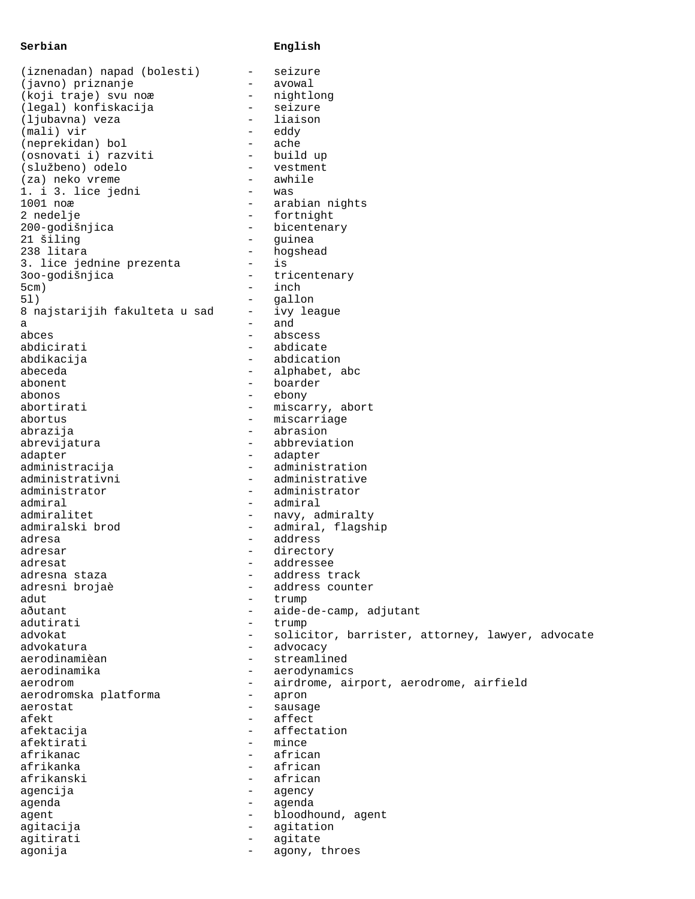## **Serbian English**

| (iznenadan) napad (bolesti)   | $\qquad \qquad -$        | seizure                                          |
|-------------------------------|--------------------------|--------------------------------------------------|
| (javno) priznanje             | -                        | avowal                                           |
| (koji traje) svu noæ          | $\qquad \qquad -$        | nightlong                                        |
|                               |                          |                                                  |
| (legal) konfiskacija          | $\qquad \qquad -$        | seizure                                          |
| (ljubavna) veza               | $-$                      | liaison                                          |
| (mali) vir                    | $\overline{\phantom{0}}$ | eddy                                             |
| (neprekidan) bol              | $\overline{\phantom{0}}$ | ache                                             |
|                               | $\overline{\phantom{0}}$ |                                                  |
| (osnovati i) razviti          |                          | build up                                         |
| (službeno) odelo              | $\overline{\phantom{0}}$ | vestment                                         |
| (za) neko vreme               | $\overline{\phantom{0}}$ | awhile                                           |
| 1. i 3. lice jedni            | $\overline{\phantom{0}}$ | was                                              |
| 1001 noæ                      | $\qquad \qquad -$        | arabian nights                                   |
|                               |                          |                                                  |
| 2 nedelje                     | $\qquad \qquad =$        | fortnight                                        |
| 200-godišnjica                | -                        | bicentenary                                      |
| 21 šiling                     | $\qquad \qquad -$        | guinea                                           |
| 238 litara                    | $\qquad \qquad -$        | hogshead                                         |
|                               |                          |                                                  |
| 3. lice jednine prezenta      | $\overline{\phantom{0}}$ | is                                               |
| 300-godišnjica                | $\qquad \qquad -$        | tricentenary                                     |
| 5cm)                          | $-$                      | inch                                             |
| 51)                           | $\qquad \qquad -$        | gallon                                           |
|                               |                          |                                                  |
| 8 najstarijih fakulteta u sad | $\overline{\phantom{0}}$ | ivy league                                       |
| a                             | $\overline{\phantom{0}}$ | and                                              |
| abces                         | $-$                      | abscess                                          |
| abdicirati                    | $\overline{\phantom{0}}$ | abdicate                                         |
|                               |                          |                                                  |
| abdikacija                    | $-$                      | abdication                                       |
| abeceda                       | $\overline{\phantom{0}}$ | alphabet, abc                                    |
| abonent                       | $-$                      | boarder                                          |
| abonos                        | $-$                      | ebony                                            |
|                               |                          |                                                  |
| abortirati                    | $-$                      | miscarry, abort                                  |
| abortus                       | $\qquad \qquad -$        | miscarriage                                      |
| abrazija                      | $-$                      | abrasion                                         |
| abrevijatura                  | $\qquad \qquad -$        | abbreviation                                     |
|                               |                          |                                                  |
| adapter                       | $\overline{\phantom{0}}$ | adapter                                          |
| administracija                | $\overline{\phantom{0}}$ | administration                                   |
| administrativni               | $\overline{\phantom{0}}$ | administrative                                   |
| administrator                 | $\overline{\phantom{0}}$ | administrator                                    |
|                               |                          |                                                  |
| admiral                       | $\qquad \qquad -$        | admiral                                          |
| admiralitet                   | -                        | navy, admiralty                                  |
| admiralski brod               | -                        | admiral, flagship                                |
| adresa                        | $\qquad \qquad -$        | address                                          |
|                               |                          |                                                  |
| adresar                       | -                        | directory                                        |
| adresat                       | $\overline{\phantom{0}}$ | addressee                                        |
| adresna staza                 | -                        | address track                                    |
| adresni brojaè                | -                        | address counter                                  |
|                               |                          |                                                  |
| adut                          | $\overline{\phantom{0}}$ | trump                                            |
| aðutant                       | $\qquad \qquad -$        | aide-de-camp, adjutant                           |
| adutirati                     | $\qquad \qquad -$        | trump                                            |
| advokat                       | $\overline{\phantom{0}}$ | solicitor, barrister, attorney, lawyer, advocate |
|                               |                          |                                                  |
| advokatura                    | $\overline{\phantom{0}}$ | advocacy                                         |
| aerodinamièan                 | $\overline{\phantom{0}}$ | streamlined                                      |
| aerodinamika                  | $\qquad \qquad -$        | aerodynamics                                     |
| aerodrom                      | $\overline{\phantom{0}}$ | airdrome, airport, aerodrome, airfield           |
|                               |                          |                                                  |
| aerodromska platforma         | $\overline{\phantom{0}}$ | apron                                            |
| aerostat                      | $-$                      | sausage                                          |
| afekt                         | $\overline{\phantom{0}}$ | affect                                           |
| afektacija                    | $-$                      | affectation                                      |
| afektirati                    | $\overline{\phantom{0}}$ | mince                                            |
|                               |                          |                                                  |
| afrikanac                     | $\overline{\phantom{0}}$ | african                                          |
| afrikanka                     | $-$                      | african                                          |
| afrikanski                    | $-$                      | african                                          |
| agencija                      | -                        |                                                  |
|                               |                          | agency                                           |
| agenda                        | $\qquad \qquad -$        | agenda                                           |
| agent                         | $\qquad \qquad -$        | bloodhound, agent                                |
| agitacija                     | -                        | agitation                                        |
| agitirati                     | -                        | agitate                                          |
|                               |                          |                                                  |
| agonija                       | $\overline{\phantom{m}}$ | agony, throes                                    |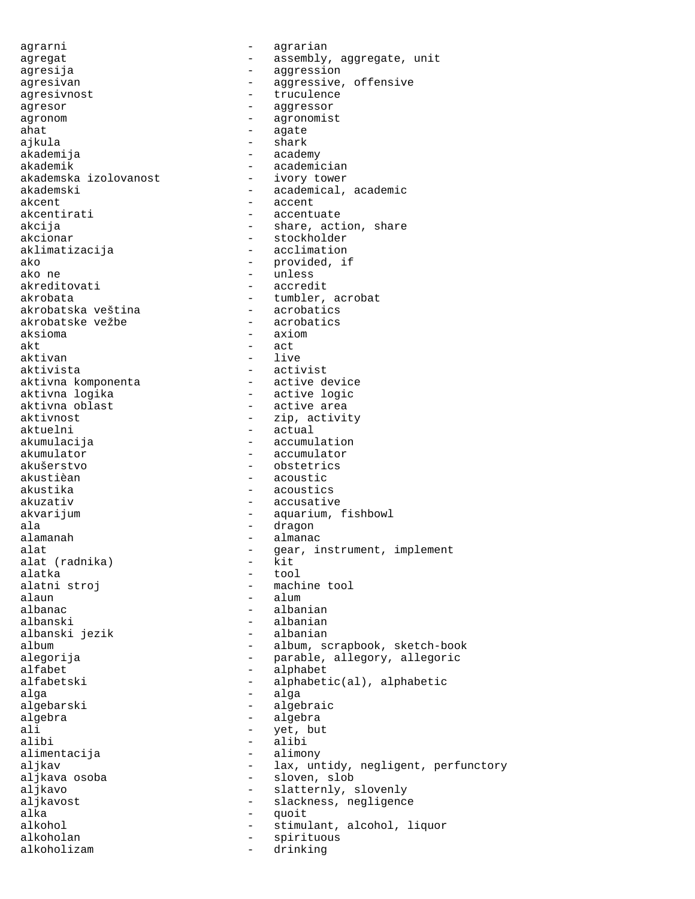agrarni - agrarian agregat - assembly, aggregate, unit agresija - aggression agresivan - aggressive, offensive agresivnost - truculence agresor - aggressor agronom - agronomist ahat - agate - agate - agate - agate - agate - agate - agate - agate - agate - agate - agate - agate - agate -- shark akademija - academy - academician<br>- ivory tower akademska izolovanost akademski - academical, academic akcent - accent akcentirati - accentuate akcija - share, action, share akcionar - stockholder aklimatizacija - acclimation ako - provided, if<br>ako ne - provided, if ako ne - unless akreditovati - accredit<br>akrobata - tumbler. - tumbler, acrobat<br>- acrobatics akrobatska veština - acrobatics akrobatske vežbe aksioma - axiom akt – act – act – act – act – act – act – act – act – act – act – act – act – act – act – act – act – act – act – act – act – act – act – act – act – act – act – act – act – act – act – act – act – act – act – act – act – - live aktivista - activist aktivna komponenta<br>
aktivna logika<br>
- active logic aktivna logika<br>aktivna oblast - active logic<br>- active area aktivna oblast - active area aktivnost - zip, activity aktuelni - actual akumulacija - accumulation akumulator - accumulator<br>akušerstvo - obstetrics - obstetrics akustièan - acoustic akustika - acoustics akuzativ - accusative akvarijum - aquarium, fishbowl ala - dragon - almanac alat  $\begin{array}{ccc} - & \text{year, instrument, implement} \\ - & \text{kit} \end{array}$ alat (radnika) alatka - tool alatni stroj - machine tool alaun - alum<br>albanac - albanac - alban - albanian albanski<br>albanski jezik - albanian<br>- albanian albanski jezik album - album, scrapbook, sketch-book alegorija - parable, allegory, allegoric alfabet - alphabet alfabetski - alphabetic(al), alphabetic alga - alga algebarski - algebraic algebra - algebra ali - yet, but - alibi<br>- alimony alimentacija aljkav  $-$  lax, untidy, negligent, perfunctory aljkava osoba - sloven, slob aljkavo - slatternly, slovenly aljkavost - slackness, negligence<br>alka alka - quoit - quoit - quoit - quoit - quoit - quoit - quoit - quoit - quoit - quoit - quoit - quoit - quoit - - stimulant, alcohol, liquor alkoholan - spirituous alkoholizam - drinking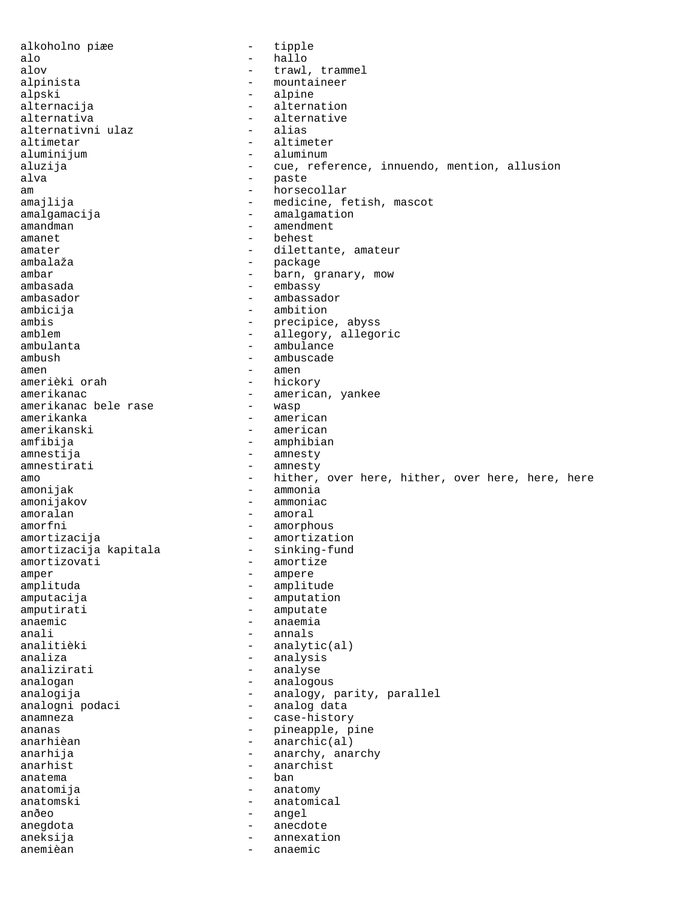alkoholno piæe - tipple alo - hallo alov  $-$  trawl, trammel alpinista - mountaineer alpski - alpine - alpine - alpine - alpine - alpine - alpine - alpine - alpine - alpine - alpine - alpine - alpine - alpine - alpine - alpine - alpine - alpine - alpine - alpine - alpine - alpine - alpine - alpine - alpine alternacija - alternation - alternative<br>- alias alternativni ulaz<br>altimetar altimetar - altimeter aluminijum - aluminum - aluminum aluzija - cue, reference, innuendo, mention, allusion alva - paste am - horsecollar amajlija  $-$  medicine, fetish, mascot amalgamacija - amalgamation amandman - amendment<br>amanet - behest<br>- behest amanet - behest<br>amater - diletts amater - dilettante, amateur ambalaža - package ambar - barn, granary, mow ambasada - embassy ambasador - ambassador ambicija - ambition ambis - precipice, abyss<br>amblem - allegory.allegory.allegory.allegory.allegory.allegory.allegory.allegory.allegory.allegory.allegory.allegory.allegory.allegory.allegory.allegory.allegory.allegory.allegory.allegory.allegory - allegory, allegoric ambulanta  $-$  ambulance ambush - ambuscade amen - amen - hickory amerikanac<br>amerikanac bele rase - american, yankee<br>- wasp amerikanac bele rase<br>amerikanka amerikanka - american amerikanski - american<br>amfibija - amphibia - amphibian amnestija - amnesty - amnesty amo  $-$  hither, over here, hither, over here, here, here, here amonijak - ammonia amonijakov - ammoniac amoralan - amoral amorfni - amorphous amortizacija - amortization amortizacija kapitala<br>amortizovati - amortize amper - ampere amplituda - amplitude - amplitude - amplitude - amplitude - amplitude - amplitude - amplitude - amplitude - amplitude - amplitude - amplitude - amplitude - amplitude - amplitude - amplitude - amplitude - amplitude - amplit - amputation amputirati - amputate anaemic - anaemia anali - annals analitièki  $-$  analytic(al) analiza - analysis analizirati - analyse analogan - analogous analogija - analogy, parity, parallel analogni podaci - analog data anamneza - case-history ananas - pineapple, pine - anarchic(al) anarhija - anarchy, anarchy anarhist - anarchist anatema - ban anatomija - anatomy anatomski - anatomical anðeo - angel anegdota - anecdote aneksija - annexation anemièan - anaemic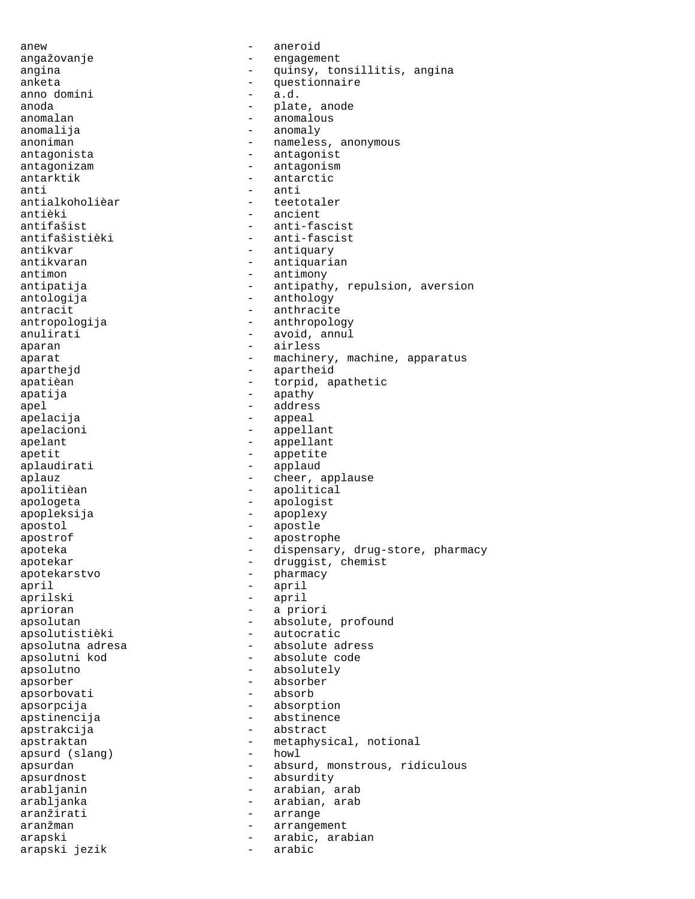anew - aneroid angažovanje - engagement angina  $\qquad \qquad -$  quinsy, tonsillitis, angina anketa - questionnaire - modomini - a.d. anno domini anoda - plate, anode - anomalous anomalija - anomaly - nameless, anonymous antagonista - antagonist antagonizam - antagonism antarktik - antarctic anti - anti antialkoholièar - teetotaler antièki - ancient<br>antifašist - anti-fas antifašist - anti-fascist<br>antifašistièki - anti-fascist - anti-fascist antikvar - antiquary antikvaran - antiquarian - antiquarian - antiquarian - antiquarian - antiquarian - antimony antimon - antimony<br>antipatija - antipathr antipatija - antipathy, repulsion, aversion<br>antologija - - anthology - anthology - anthology antracit - anthracite - anthracite - anthropologija - anthropology anulirati - avoid, annul aparan - airless aparat - machinery, machine, apparatus aparthejd - apartheid apatièan  $-$  torpid, apathetic apatija - apathy - apathy - apathy - apathy - apathy - apathy - apathy - apathy - apathy - apathy - apathy - a apel - address apelacija - appeal apelacioni - appellant apelant - appellant apetit - appetite aplaudirati - applaud aplauz - cheer, applause apolitièan - apolitical apologeta - apologist apopleksija - apoplexy apostol - apostle apostrof - apostrophe apoteka - dispensary, drug-store, pharmacy apotekar - druggist, chemist apotekarstvo - pharmacy april - april - april<br>aprilski - april - april - april aprioran - a priori apsolutan - absolute, profound apsolutistièki - autocratic apsolutna adresa  $\overline{\phantom{a}}$  - absolute adress apsolutni kod **-** absolute code apsolutno - absolutely apsorber - absorber apsorbovati - absorb apsorpcija - absorption apstinencija - abstinence apstrakcija - abstract apstraktan - metaphysical, notional<br>apsurd (slang) - howl - howl apsurd (slang) apsurdan - absurd, monstrous, ridiculous apsurdnost - absurdity arabljanin - arabian, arab arabljanka - arabian, arab aranžirati - arrange aranžman - arrangement arapski - arabic, arabian arapski jezik - arabic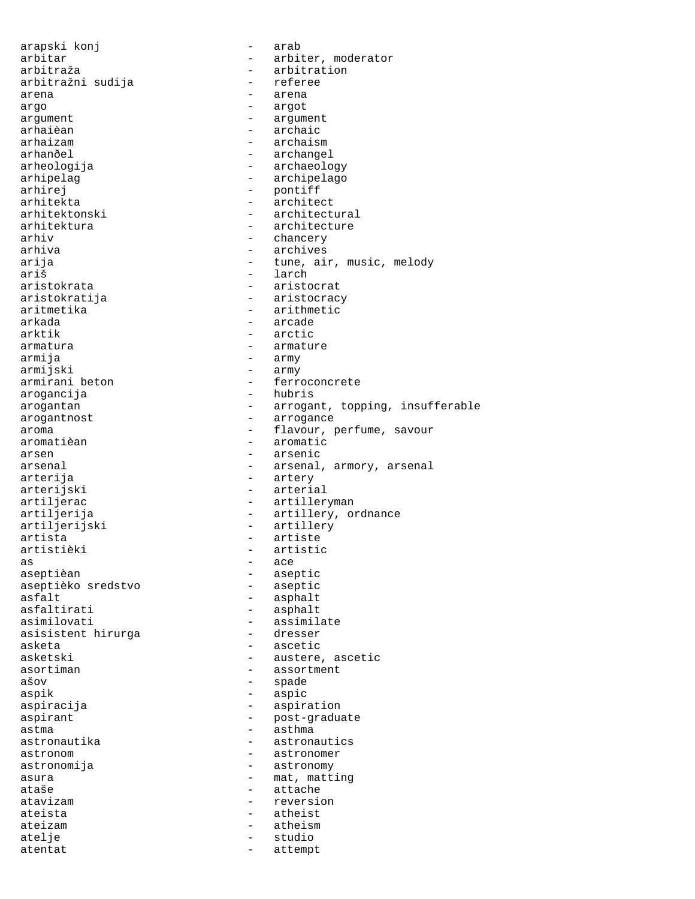arapski konj - arab arbitar - arbiter, moderator arbitraža - arbitration - arbitration - arbitration - arbitration - arbitration - arbitration - arbitration arbitražni sudija arena  $\overline{\phantom{a}}$  - arena argo - argot - argot - argot - argument - argum argument - argument - argument - argument - argument - argument - argument - argument - argument - argument arhaièan - archaic<br>arhaizam - archais arhaizam - archaism - archangel arheologija - archaeology arhipelag sama - archipelago arhirej - pontiff arhitekta - architect arhitektonski - architectural arhitektura - architecture arhiv - chancery arhiva - archives arija - tune, air, music, melody<br>
ariš - larch ariš - larch aristokrata - aristocrat - aristocrat - aristocrat - aristocrat - aristocrat - aristocrat - aristocrat - aristocrat - aristocrat - aristocrat - aristocrat - aristocrat - aristocrat - aristocrat - aristocrat - aristocrat - - aristocracy aritmetika - arithmetic<br>arkada - arcade - arcade arkada - arcade - arctic armatura  $\qquad \qquad -$  armature armija - army - army - army - army - army - army - army - army - army - army - army - army - army - army - army armijski - army<br>armirani beton - ferre - ferroconcrete arogancija - hubris arogantan - arrogant, topping, insufferable arogantnost - arrogance aroma - flavour, perfume, savour<br>aromatièan - aromatic - aromatic arsen - arsenic arsenal  $\qquad \qquad \qquad - \qquad \qquad \text{area1, arrow, are}$ arterija - artery arterijski - arterial artiljerac - artilleryman artiljerija - artillery, ordnance<br>artiljerijski - - artillery - artillery artista - artiste - artiste - artistieki - artistieki - artistieki - artistieki - artistieki - artistieki - ar - artistic  $\overline{a}$  as  $\overline{a}$  -  $\overline{a}$  ace aseptièan - aseptic<br>aseptièko sredstvo - aseptic aseptièko sredstvo<br>asfalt asfalt<br>asfaltirati - asphalt<br>asfaltirati - asphalt asfaltirati - asphalt<br>asimilovati - assimil - assimilate<br>- dresser asisistent hirurga asketa - ascetic asketski - austere, ascetic asortiman - assortment ašov - spade aspik - aspic aspiracija - aspiration aspirant - post-graduate - astma<br>astronautika - astronautika - astrona - astronautics astronom astronomer - astronomer astronomija - astronomy asura  $-$  mat, matting ataše - attache atavizam - reversion ateista - atheist ateizam - atheism atelje - studio atentat - attempt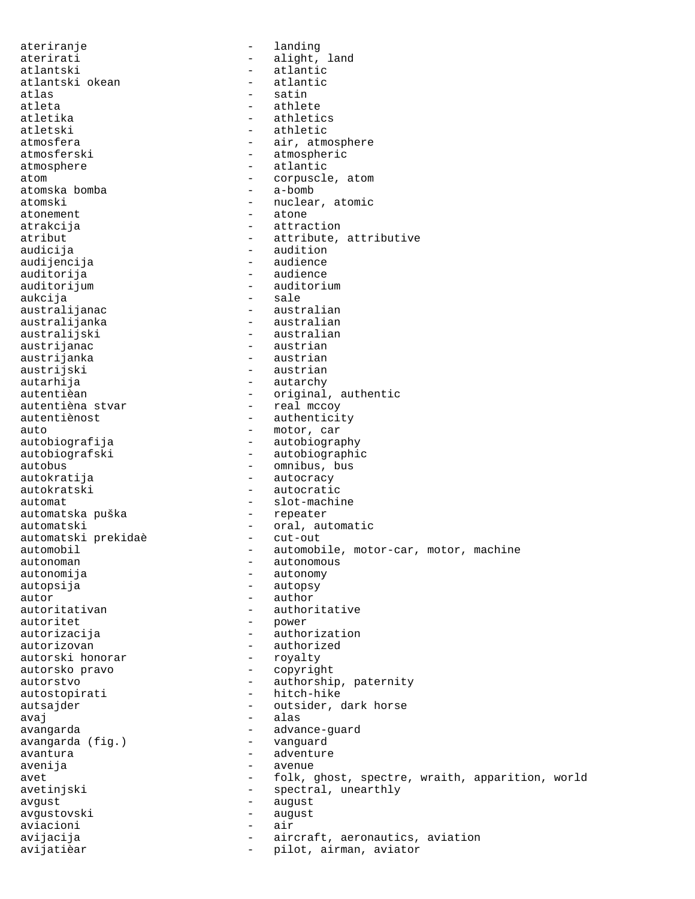ateriranje - landing aterirati - alight, land atlantski - atlantic<br>atlantski okean - - atlantic atlantski okean atlas - satin atleta - athlete - athlete - athletic - athletic - athletic - athletic - athletic - athletic - athletic - athle atletika - athletics<br>atletski - athletic atletski - athletic<br>atmosfera - - air.atmo - air, atmosphere atmosferski - atmospheric atmosphere  $\qquad \qquad -$  atlantic atom - corpuscle, atom<br>
atomska bomba - a-bomb - a-bomb atomska bomba atomski - nuclear, atomic atonement - atone atrakcija - attraction atribut - attribute, attributive audicija audicija - audition audijencija - audience auditorija - audience auditorijum - auditorium - auditorium - auditorium - auditorium - auditorium - sale - sale australijanac<br>australijanka - australian<br>- australianka - australian australijanka - australian<br>australijski - australian australijski - australian<br>austrijanac - - austrian - austrian austrijanka - austrian<br>austrijski - austrian - austrian - austrian autarhija - autarchy<br>autentièan - criqinal autentièan - original, authentic autentièna stvar - real mccoy - authenticity auto<br>
autobiografija<br>
autobiografija<br>
- autobiogra - autobiography autobiografski - autobiographic autobus - omnibus, bus autokratija - autocracy - autocratic automat - slot-machine automatska puška automatski<br>automatski prekida<br/>è $\hbox{--}$ oral, automatic automatski prekida<br/>è $\hbox{--}$ cut-out automatski prekidaè automobil - automobile, motor-car, motor, machine autonoman - autonomous autonomija - autonomy autopsija - autopsy autor - author - author autoritativan - authoritative<br>autoritet - power - power autorizacija - authorization autorizovan - authorized<br>autorski honorar - royalty autorski honorar autorsko pravo - copyright autorstvo - authorship, paternity autostopirati - hitch-hike autsajder - outsider, dark horse avaj - alas avangarda - advance-guard avangarda (fig.)<br>avantura - adventure avenija - avenue avet external contracts the folk, ghost, spectre, wraith, apparition, world avetinjski - spectral, unearthly avgust - august avgustovski - august<br>aviacioni - air aviacioni avijacija - aircraft, aeronautics, aviation<br>
avijatièar - pilot, airman, aviator pilot, airman, aviator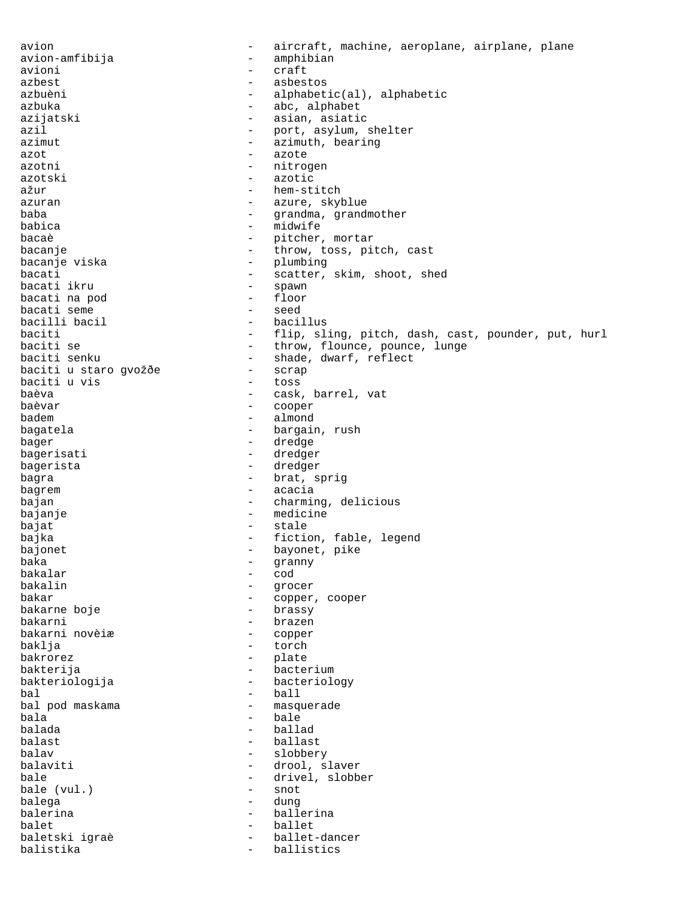avion - aircraft, machine, aeroplane, airplane, plane avion-amfibija - amphibian avioni - craft azbest - asbestos azbuèni - alphabetic(al), alphabetic azbuka - abc, alphabet azijatski - asian, asiatic<br>azil - port, asylum, s azil - port, asylum, shelter<br>azimut - azimuth, bearing - azimuth, bearing azot - azote - nitrogen azotski - azotic ažur - hem-stitch azuran  $\sim$  - azure, skyblue baba - grandma, grandmother babica - midwife bacaè - pitcher, mortar bacanje - throw, toss, pitch, cast bacanje viska - plumbing bacati - scatter, skim, shoot, shed bacati ikru - spawn bacati na pod - floor bacati seme<br>
bacilli bacil<br>
acilli bacil bacilli bacil<br>baciti baciti - flip, sling, pitch, dash, cast, pounder, put, hurl<br>baciti se - throw, flounce, pounce, lunge - throw, flounce, pounce, lunge baciti senku - shade, dwarf, reflect<br>baciti u staro gvožðe - scrap baciti u staro gvožðe - scrap baciti u vis baèva - cask, barrel, vat baèvar - cooper - almond bagatela - bargain, rush bager - dredge bagerisati - dredger bagerista - dredger bagra  $-$  brat, sprig bagrem  $\overline{a}$  - acacia bajan - charming, delicious bajanje - medicine bajat - stale bajka - fiction, fable, legend bajonet - bayonet, pike baka - granny bakalar - cod bakalin - grocer - copper, cooper<br>- brassy bakarne boje bakarni - brazen bakarni novèiæ baklja - torch bakrorez - plate bakterija - bacterium bakteriologija - bacteriology bal - ball - masquerade bala - bale balada - ballad - ballast balav - slobbery balaviti - drool, slaver bale  $\qquad \qquad$  - drivel, slobber<br>bale (vul.) - snot bale  $(vul.)$ balega - dung balerina  $\qquad \qquad$  - ballerina balet - ballet baletski igraè<br>balistika - balistika balistika - ballistics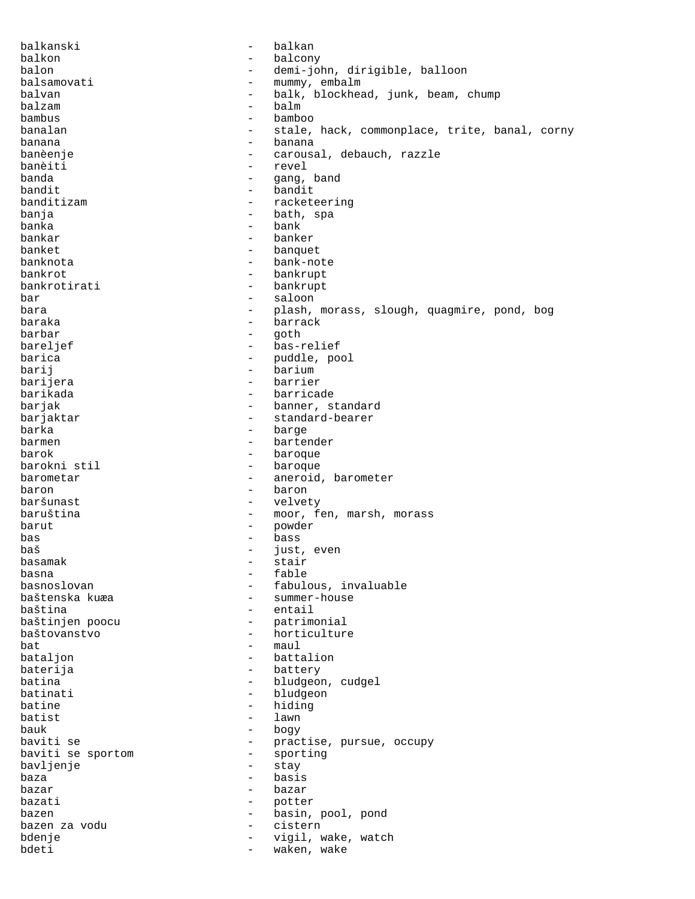balkanski - balkan balkon - balcony balon - demi-john, dirigible, balloon balsamovati - mummy, embalm balvan - balk, blockhead, junk, beam, chump balzam - balm bambus - bamboo<br>banalan - stale banalan  $-$  stale, hack, commonplace, trite, banal, corny banana - banana banèenje - carousal, debauch, razzle banèiti - revel<br>banda - revel - revel - gang, band bandit - bandit banditizam - racketeering banja - bath, spa banka - bank bankar - banker banket - banquet banknota - bank-note bankrot - bankrupt - bankrupt bar - saloon bara  $-$  plash, morass, slough, quagmire, pond, bog baraka - barrack barbar - goth bareljef - bas-relief barica  $-$  puddle, pool barij - barium - barium - barium - barium - barium - barium - barium - barium - barium - barium - barium - barium - barium - barium - barium - barium - barium - barium - barium - barium - barium - barium - barium - barium - barrier barikada - barricade barjak  $-$  banner, standard barjaktar  $-$  standard-bearer barka - barge - barge - barge - barge - barge - barge - barge - barge - barge - barge - barge - barge - barge - barge - barge - barge - barge - barge - barge - barge - barge - barge - barge - barge - barge - barge - barge - bartender barok - baroque - baroque barometar - aneroid, barometer baron - baron baršunast - velvety baruština - moor, fen, marsh, morass<br>barut - nowder barut - powder bas - bass baš - just, even basamak - stair<br>basna - stair - stair basna - fable basnoslovan - fabulous, invaluable<br>baštenska kuæa - - summer-house - summer-house baština - entail baštinjen poocu - patrimonial baštovanstvo - horticulture  $bat$   $-$  maul bataljon - battalion baterija - battery batina  $\qquad \qquad -$  bludgeon, cudgel batinati - bludgeon<br>
batine - biding batine - hiding<br>batist - lawn batist - lawn bauk - bogy baviti se  $-$  practise, pursue, occupy baviti se sportom  $-$  sporting baviti se sportom - sporting bavljenje baza - basis<br>bazar - basis bazar - bazar - bazar bazati - potter bazen  $-$  basin, pool, pond bazen za vodu - cistern bdenje  $-$  vigil, wake, watch bdeti - waken, wake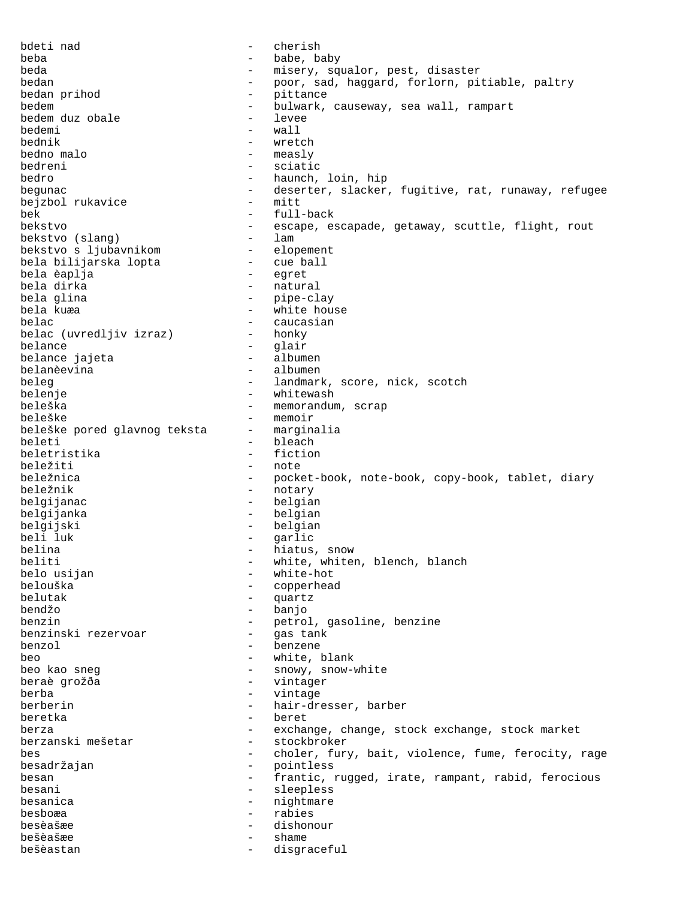bdeti nad - cherish beba - babe, baby beda - misery, squalor, pest, disaster bedan - poor, sad, haggard, forlorn, pitiable, paltry bedan prihod and the pittance bedem  $\begin{array}{ccc} \text{bedem} & - & \text{bulwark, causeway, sea wall, rampart} \\ \text{bedem} & \text{duz} & \text{obale} & - & \text{levee} \end{array}$ bedem duz obale - levee bedemi –<br>bednik – wretch bedno malo - measly bedreni - sciatic bedro - haunch, loin, hip begunac - deserter, slacker, fugitive, rat, runaway, refugee<br>bejzbol rukavice - mitt bejzbol rukavice bek - full-back bekstvo - escape, escapade, getaway, scuttle, flight, rout<br>bekstvo (slang) - lam bekstvo (slang) - lam bekstvo s ljubavnikom - elopement bela bilijarska lopta - cue ball bela èaplja<br>bela dirka - natural bela glina - pipe-clay<br>hela kuma - pipe-clay bela kuæa - white house - caucasian<br>- honky belac (uvredljiv izraz) belance - glair belance jajeta belanèevina - albumen beleg - landmark, score, nick, scotch belenje - whitewash - whitewash beleška - memorandum, scrap beleške<br>beleške pored glavnog teksta - marginalia beleške pored glavnog teksta beleti - bleach - bleach - bleach - bleach - bleach - bleach - bleach - bleach - bleach - bleach - bleach - bleach - bleach - bleach - bleach - bleach - bleach - bleach - bleach - bleach - bleach - bleach - bleach - bleach beletristika beležiti - note beležnica - pocket-book, note-book, copy-book, tablet, diary beležnik - notary belgijanac - belgian belgijanka - belgian belgijski - belgian beli luk - garlic belina  $-$  hiatus, snow beliti - white, whiten, blench, blanch belo usijan  $-$  white-hot belouška - copperhead quartz bendžo - banjo benzin<br>
benzinski rezervoar<br>
- aastank<br>
- aastank benzinski rezervoar - gas tank benzol - benzene beo - white, blank beo kao sneg  $\sim$  - snowy, snow-white beraè grožða - vintager berba - vintage berberin - hair-dresser, barber<br>heretka beretka - beret berza - exchange, change, stock exchange, stock market<br>berzanski mešetar - stockbroker - stockbroker bes - choler, fury, bait, violence, fume, ferocity, rage besadržajan - pointless besan 1983 - frantic, rugged, irate, rampant, rabid, ferocious besani - sleepless besanica - nightmare besboæa - rabies besèašæe - dishonour bešèašæe - shame bešèastan - disgraceful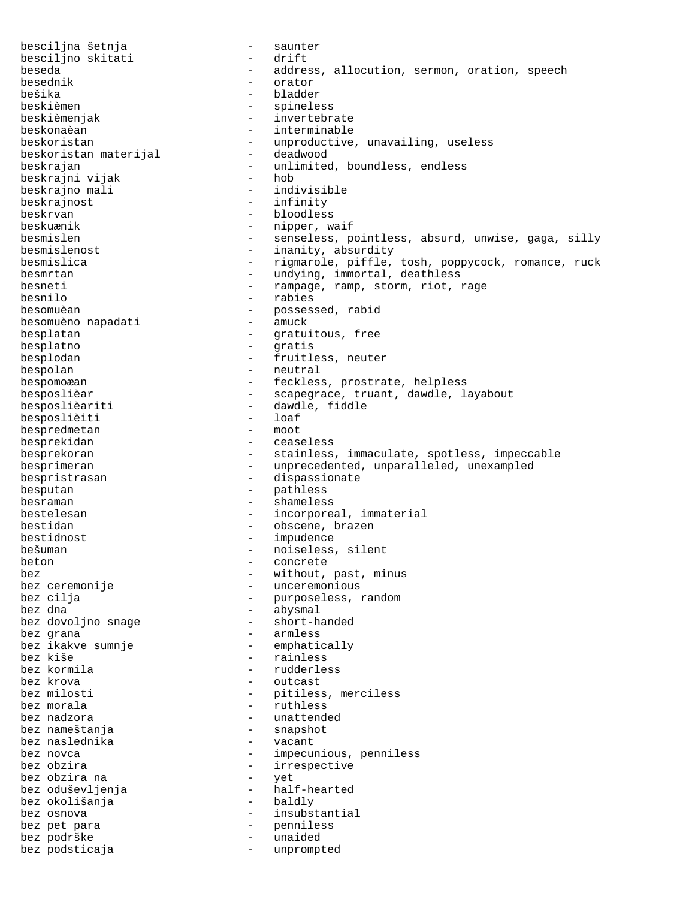besciljna šetnja - saunter besciljno skitati beseda - address, allocution, sermon, oration, speech<br>besednik - orator - besednik besednik - orator bešika - bladder beskièmen - spineless<br>beskièmen jak - invertebr beskièmenjak - invertebrate beskonaèan - interminable<br>beskoristan - interminable<br>- unproductive - unproductive, unavailing, useless<br>- deadwood beskoristan materijal beskrajan<br>heskrajni vijak - unlimited, boundless, endless beskrajni vijak<br>beskrajno mali - indivisible beskrajno mali beskrajnost - infinity beskrvan - bloodless beskuænik - nipper, waif besmislen - senseless, pointless, absurd, unwise, gaga, silly besmislenost - inanity, absurdity besmislica - rigmarole, piffle, tosh, poppycock, romance, ruck besmrtan - undying, immortal, deathless besneti - rampage, ramp, storm, riot, rage<br>
besnilo - rabies<br>
- rabies - rabies besomuèan - possessed, rabid besomuèno napadati besplatan  $-$  gratuitous, free besplatno - gratis besplodan - fruitless, neuter bespolan - neutral bespomoæan - feckless, prostrate, helpless besposlièar  $-$  scapegrace, truant, dawdle, layabout besposlièariti - dawdle, fiddle<br>
besposlièiti - loaf<br>
- loaf besposlièiti - loaf<br>bespredmetan - moot bespredmetan besprekidan - ceaseless besprekoran entitled and the stainless, immaculate, spotless, impeccable besprimeran entitled and the unprecedented, unparalleled, unexampled bespristrasan - dispassionate besputan - pathless besraman - shameless bestelesan - incorporeal, immaterial bestidan - obscene, brazen bestidnost - impudence bešuman - noiseless, silent<br>heton - concrete beton - concrete bez - without, past, minus - unceremonious bez cilja - purposeless, random bez dna - abysmal bez dovoljno snage<br>bez grana - armless bez ikakve sumnje - emphatically bez kiše - rainless bez kormila - rudderless - outcast bez milosti - pitiless, merciless bez morala  $-$  ruthless bez nadzora  $-$  unattended bez nameštanja<br>hez naslednika<br>- snapshot - snapshot bez naslednika - vacant bez novca  $\qquad \qquad -$  impecunious, penniless bez obzira - irrespective bez obzira na bez oduševljenja - half-hearted bez okolišanja bez osnova  $-$  insubstantial bez pet para  $-$  penniless<br>bez podrške  $-$  penniless bez podrške  $-$  unaided bez podsticaja - unprompted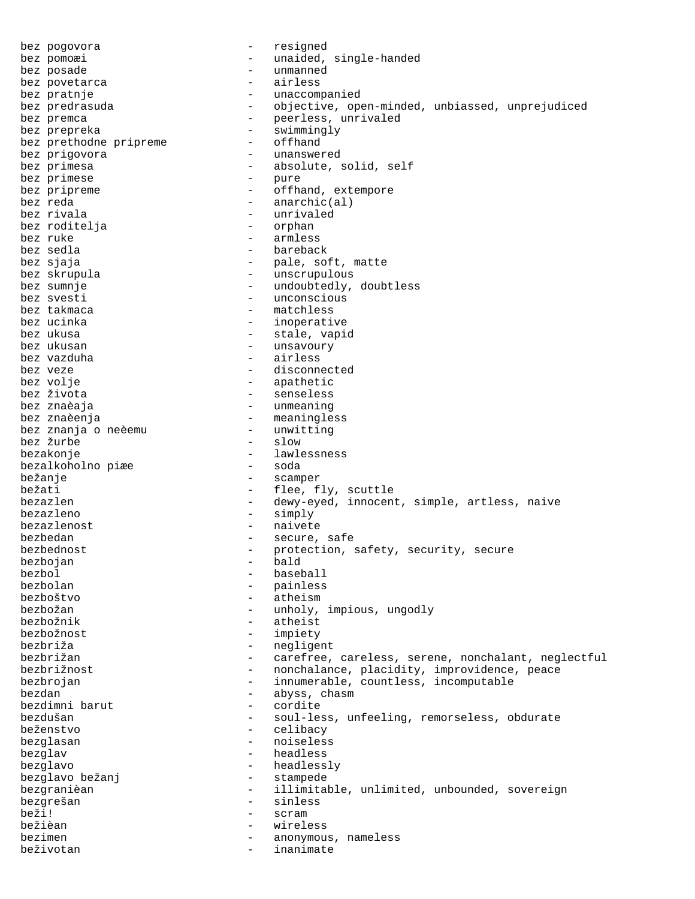bez pogovora - resigned bez pomoæi - unaided, single-handed bez posade  $-$  unmanned bez povetarca and the set of the set of the set of the set of the set of the set of the set of the set of the s bez pratnje  $-$  unaccompanied bez predrasuda - objective, open-minded, unbiassed, unprejudiced bez premca  $-$  peerless, unrivaled bez prepreka - swimmingly<br>bez prethodne pripreme - offhand bez prethodne pripreme bez prigovora  $-$  unanswered bez primesa  $\qquad -$  absolute, solid, self<br>bez primese  $\qquad -$  pure bez primese bez pripreme  $\qquad \qquad -$  offhand, extempore bez reda  $-$  anarchic(al) bez rivala - unrivaled bez roditelja bez ruke - armless - bareback bez sjaja  $-$  pale, soft, matte bez skrupula  $-$  unscrupulous bez sumnje  $\begin{array}{cccc} b = b = b \end{array}$  - undoubtedly, doubtless bez svesti - unconscious bez takmaca a matchless bez ucinka  $-$  inoperative bez ukusa  $-$  stale, vapid bez ukusan  $-$  unsavoury bez vazduha - airless bez veze  $\qquad \qquad -$  disconnected bez volje<br>bez života - apathetic<br>- senseless - senseless bez znaèaja  $-$  unmeaning bez znaèenja - meaningless bez znanja o neèemu - unwitting bez žurbe bezakonje<br>bezalkoholno piæe - lawlessness<br>- soda bezalkoholno piæe bežanje - scamper bežati - flee, fly, scuttle bezazlen - dewy-eyed, innocent, simple, artless, naive bezazleno - simply bezazlenost - naivete bezbedan - secure, safe bezbednost - protection, safety, security, secure<br>
bezboian - bald<br>
- bald bezbojan bezbol - baseball bezbolan - painless - atheism bezbožan  $-$  unholy, impious, ungodly bezbožnik - atheist bezbožnost - impiety bezbriža - negligent bezbrižan - carefree, careless, serene, nonchalant, neglectful bezbrižnost - nonchalance, placidity, improvidence, peace bezbrojan - innumerable, countless, incomputable bezdan - abyss, chasm bezdimni barut bezdušan - soul-less, unfeeling, remorseless, obdurate<br>beženstvo - celibacy - celibacy - celibacy bezglasan - noiseless bezglav - headless bezglavo - headlessly bezglavo bežanj bezgranièan - illimitable, unlimited, unbounded, sovereign bezgrešan - sinless beži! - scram bežièan - wireless bezimen - anonymous, nameless beživotan - inanimate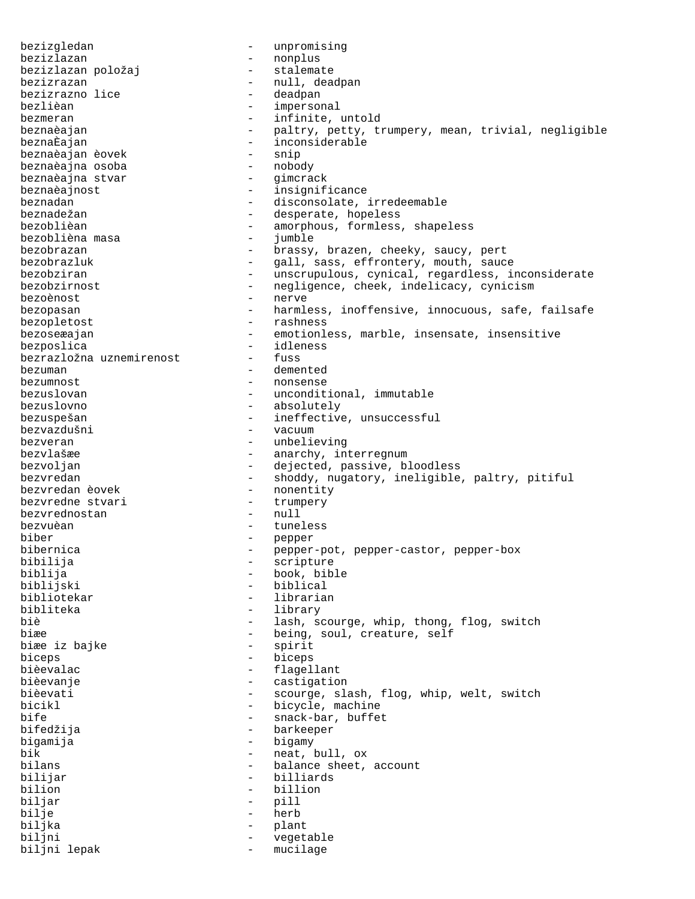bezizgledan - unpromising bezizlazan - nonplus bezizlazan položaj bezizrazan - null, deadpan bezizrazno lice - null, deadpan - null, deadpan - deadpan - deadpan - deadpan - deadpan - deadpan - deadpan - deadpan - deadpan - deadpan - deadpan - deadpan - deadpan - deadpan - deadpan - deadp bezizrazno lice<br>bezlièan impersonal bezmeran  $-$  infinite, untold beznaèajan - paltry, petty, trumpery, mean, trivial, negligible<br>beznaÈajan - inconsiderable - inconsiderable<br>- snip beznaèajan èovek - snip beznaèajna osoba - nobody beznaèajna stvar beznaèajnost - insignificance beznadan - disconsolate, irredeemable beznadežan - desperate, hopeless bezoblièan - amorphous, formless, shapeless bezoblièna masa  $-$  jumble bezobrazan - brassy, brazen, cheeky, saucy, pert bezobrazluk - gall, sass, effrontery, mouth, sauce bezobziran - unscrupulous, cynical, regardless, inconsiderate<br>bezobzirnost - negligence, cheek, indelicacy, cynicism - negligence, cheek, indelicacy, cynicism bezoènost - nerve bezopasan - harmless, inoffensive, innocuous, safe, failsafe bezopletost - rashness bezoseæajan - emotionless, marble, insensate, insensitive bezposlica - idleness bezrazložna uznemirenost bezuman - demented bezumnost - nonsense bezuslovan - unconditional, immutable bezuslovno - absolutely bezuspešan - ineffective, unsuccessful bezvazdušni - vacuum bezveran - unbelieving - anarchy, interregnum bezvoljan - dejected, passive, bloodless<br>bezvredan - - - - - - - - - - - - shoddy, nugatory, ineligible bezvredan - shoddy, nugatory, ineligible, paltry, pitiful<br>bezvredan èovek - nonentity - nonentity<br>- trumpery bezvredne stvari - trumpery bezvrednostan - null bezvuèan  $-$  tuneless biber - pepper bibernica - pepper-pot, pepper-castor, pepper-box bibilija - scripture biblija - book, bible biblijski - biblical - librarian bibliteka - library - library<br>biè - lash su - lash, scourge, whip, thong, flog, switch biæe iz bajke  $\begin{array}{ccc} - & \text{being, soul, create, self} \\ - & \text{spirit} \end{array}$ biæe iz bajke biceps - biceps bièevalac communication de la communication de la communication de la communication de la communication de la c bièevanje en mondronde de la castigation bièevati <a>>
-</a>
->
scourge, slash, flog, whip, welt, switch</>
r>
ourge, slash, flog, whip, welt, switch bicikl  $-$  bicycle, machine bife - snack-bar, buffet<br>bifedžija - snack-bar, buffet - barkeeper bigamija - bigamy bik - neat, bull, ox bilans  $\qquad \qquad -$  balance sheet, account bilijar - billiards bilion - billion biljar - pill bilje - herb<br>biljka - herb biljka - plant vegetable biljni lepak  $-$  mucilage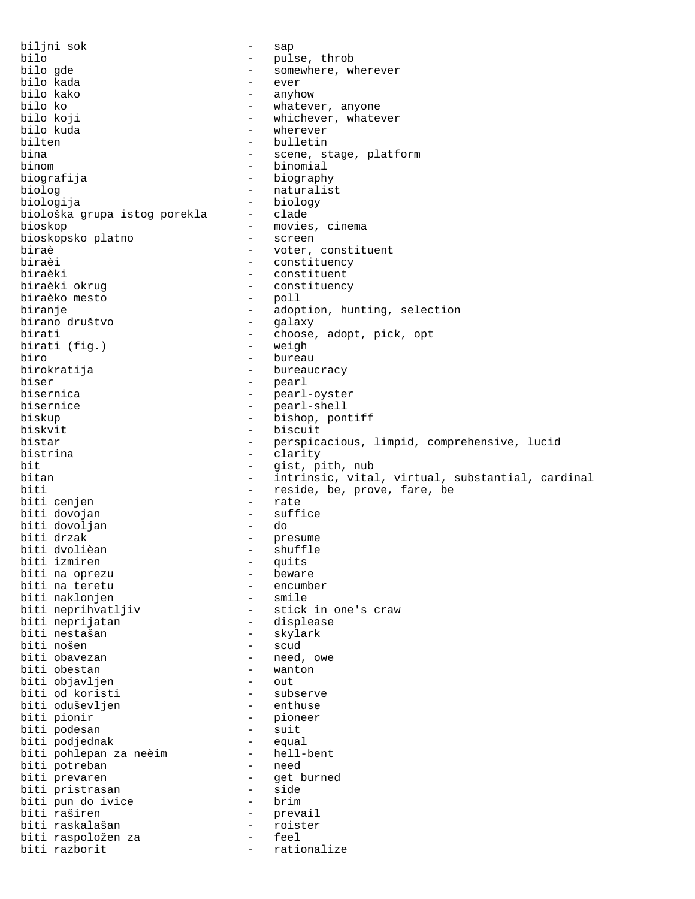biljni sok - sap bilo - pulse, throb bilo gde - somewhere, wherever bilo kada - ever bilo kako - anyhow bilo ko - whatever, anyone<br>bilo koji - whichever, whate bilo koji - whichever, whatever bilo kuda - wherever - bulletin bina  $-$  scene, stage, platform binom - binomial biografija - biography biolog - naturalist biologija - biology biološka grupa istog porekla bioskop - movies, cinema<br>bioskopsko platno - screen - screen bioskopsko platno biraè  $-$  voter, constituent biraèi  $-$  constituency biraèi - constituency biraèki - constituent<br>biraèki okrug - constituenc - constituency<br>- poll biraèko mesto biranje - adoption, hunting, selection<br>birano društvo - galaxy - selection birano društvo birati  $-$  choose, adopt, pick, opt birati (fig.)  $-$  weigh birati (fig.) biro - bureau birokratija - bureaucracy biser - pearl bisernica - pearl-oyster bisernice - pearl-shell biskup - bishop, pontiff biskvit - biscuit<br>bistar - perspic. bistar - perspicacious, limpid, comprehensive, lucid - clarity bit  $-$  gist, pith, nub<br>bitan  $-$  intrinsic vita bitan - intrinsic, vital, virtual, substantial, cardinal<br>biti - reside, be, prove, fare, be - reside, be, prove, fare, be<br>- rate biti cenjen biti dovojan - suffice biti dovoljan - do biti drzak  $-$  presume biti dvolièan - shuffle biti izmiren - quits biti na oprezu - beware biti na teretu - encumber biti naklonjen - smile biti neprihvatljiv - stick in one's craw biti neprijatan - displease biti nestašan - skylark biti nošen - scud biti obavezan  $-$  need, owe biti obestan  $-$  wanton - wanton<br>- out biti objavljen - out biti od koristi - subserve biti oduševljen<br>biti pionir - pioneer<br>- suit biti podesan - suit biti podjednak - equal biti pohlepan za neèim - hell-bent biti potreban - need biti prevaren and the set burned biti pristrasan and the side of the side of the side of the side of the side o biti pristrasan - side biti pun do ivice - brim biti raširen - prevail biti raskalašan - roister biti raspoložen za - feel biti razborit  $-$  rationalize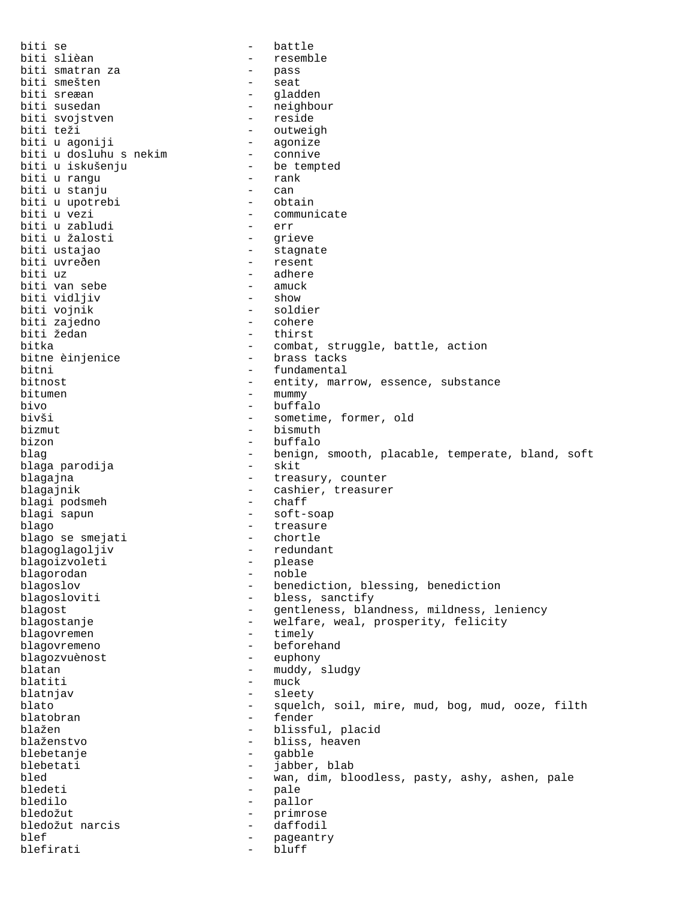biti se - battle biti slièan - resemble biti smatran za  $-$  pass biti smešten - seat biti sreæan - gladden - neighbour<br>- reside biti svojstven<br>biti teži biti teži - outweigh biti u agoniji - agonize biti u dosluhu s nekim - connive biti u iskušenju - be tempted biti u rangu - rank biti u stanju - can biti u upotrebi biti u vezi<br>biti u zabludi - err - err biti u zabludi - err biti u žalosti<br>biti ustajao - stagnate<br>- resent biti uvreðen<br>biti uz - adhere<br>- amuck biti van sebe - amuck biti vidljiv - show biti vojnik  $-$  soldiered biti zajedno biti zajedno biti zajedno biti zajedno biti zajedno biti zajedno biti za biti zajedno<br>biti žedan - thirst bitka - combat, struggle, battle, action<br>bitne èinjenice - brass tacks - brass tacks bitni - fundamental bitnost - entity, marrow, essence, substance bitumen - mummy bivo - buffalo bivši - sometime, former, old<br>bizmut - bismuth - bismuth bizmut - bismuth - bismuth - bismuth - bismuth - bismuth - bismuth - bismuth - bismuth - bismuth - bismuth - bismuth - bismuth - bismuth - bismuth - bismuth - bismuth - bismuth - bismuth - bismuth - bismuth - bismuth - bis - buffalo blag - benign, smooth, placable, temperate, bland, soft bland, soft bland, soft bland, soft bland, soft bland, soft bland, soft bland, soft bland, soft bland, soft bland, soft bland, soft bland, soft bland, soft bland, sof blaga parodija blagajna  $-$  treasury, counter blagajnik - cashier, treasurer<br>blagi podsmeh - chaff blagi podsmeh blagi sapun - soft-soap blago - treasure blago se smejati blagoglagoljiv - redundant<br>blagoizvoleti - please blagoizvoleti - please blagorodan blagoslov - benediction, blessing, benediction blagosloviti - bless, sanctify blagost **blagost** - gentleness, blandness, mildness, leniency blagostanje - welfare, weal, prosperity, felicity<br>blagovremen - timely - timely blagovremen blagovremeno - beforehand blagozvuènost - euphony blatan - muddy, sludgy blatiti – muck blatnjav - sleety blato - squelch, soil, mire, mud, bog, mud, ooze, filth blatobran blažen - blissful, placid<br>blaženstvo - bliss, heaven - bliss, heaven blebetanje - gabble jabber, blab bled - wan, dim, bloodless, pasty, ashy, ashen, pale - pale bledilo - pallor bledožut - primrose bledožut narcis - daffodil blef - pageantry blefirati - bluff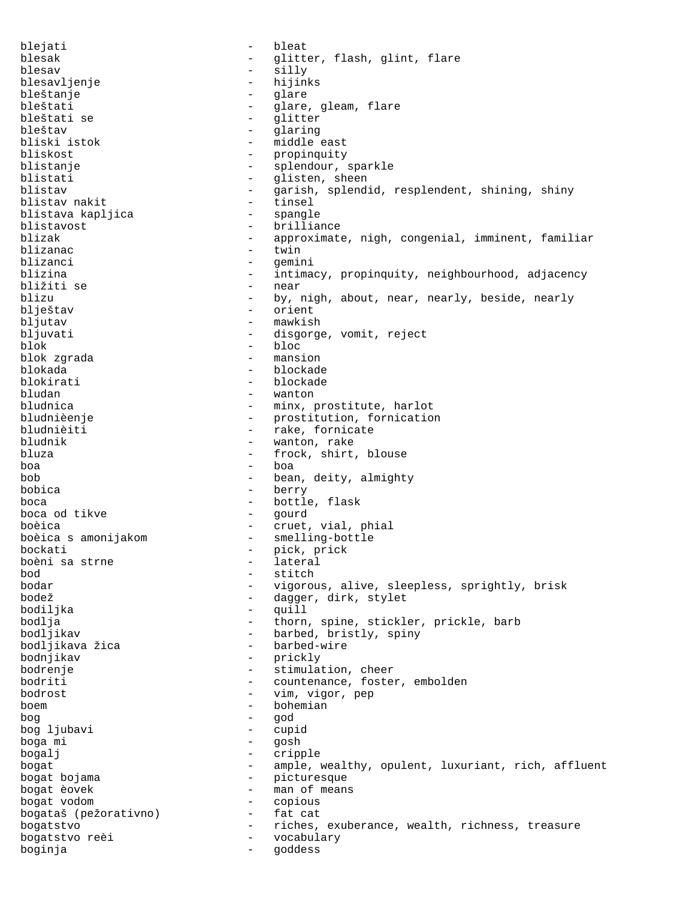blejati - bleat blesak - glitter, flash, glint, flare<br>blesav - sillv blesav - silly blesavljenje - hijinks bleštanje - glare bleštati - glare, gleam, flare bleštati se - glitter bleštav - glaring - middle east bliskost - propinquity blistanje - splendour, sparkle<br>blistati - slisten, sheen blistati - glisten, sheen<br>blistav - garish, splend - garish, splendid, resplendent, shining, shiny<br>- tinsel blistav nakit - tinsel blistava kapljica blistavost - brilliance blizak - approximate, nigh, congenial, imminent, familiar<br>hlizanac blizanac - twin blizanci - gemini - intimacy, propinquity, neighbourhood, adjacency<br>- near bližiti se<br>blizu blizu by, nigh, about, near, nearly, beside, nearly<br>blieštav orient - orient bljutav - mawkish bljuvati - disgorge, vomit, reject<br>blok - bloc blok - bloc blok zgrada - mansion blokada - blockade blokirati - blockade - blockade - blockade - blockade - blockade - blockade - blockade - blockade - blockade -- wanton bludnica - minx, prostitute, harlot<br>bludnièenje - - - - - - - prostitution, fornication - prostitution, fornication bludnièiti - rake, fornicate<br>bludnik - wanton, rake bludnik - wanton, rake<br>bluza - frock shirt - frock, shirt, blouse boa - boa bob - bean, deity, almighty bobica - berry boca - bottle, flask boca od tikve boèica - cruet, vial, phial - smelling-bottle<br>- pick prick bockati - pick, prick boèni sa strne<br>bod bod - stitch bodar - vigorous, alive, sleepless, sprightly, brisk - dagger, dirk, stylet bodiljka - quill bodlja - thorn, spine, stickler, prickle, barb bodljikav - barbed, bristly, spiny bodljikava žica - - barbed-wire bodnjikav - prickly bodrenje  $-$  stimulation, cheer bodriti - countenance, foster, embolden bodrost - vim, vigor, pep boem - bohemian bog - god bog ljubavi - cupid boga mi bogalj - cripple bogat **1988** - ample, wealthy, opulent, luxuriant, rich, affluent bogat bojama  $-$  picturesque bogat èovek - man of means bogat vodom - copious bogataš (pežorativno) bogatstvo - riches, exuberance, wealth, richness, treasure bogatstvo reèi - vocabulary<br>boginia - codess boginja - goddess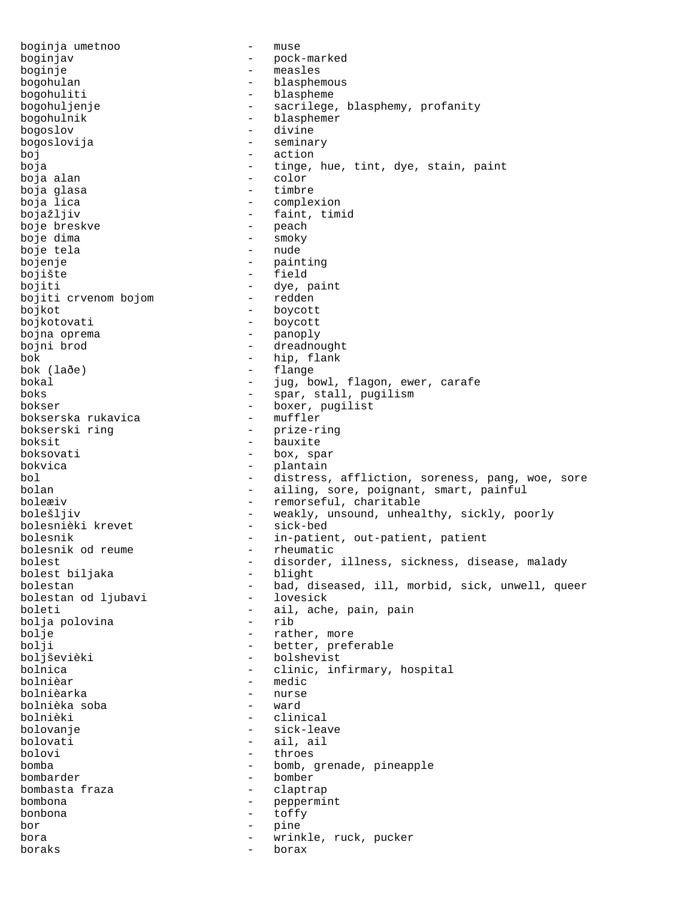boginja umetnoo - muse boginjav - pock-marked boginje - measles bogohulan - blasphemous bogohuliti - blaspheme bogohuljenje - sacrilege, blasphemy, profanity bogohulnik - blasphemer bogoslov - divine bogoslovija - seminary boj - action boja - tinge, hue, tint, dye, stain, paint boja alan - color boja glasa boja lica  $-$  complexion bojažljiv - faint, timid<br>boje breskve - - - - - - - - - - - - peach boje breskve boje dima - smoky<br>boje tela - nude - nude boje tela bojenje - painting bojište - field bojiti - dye, paint<br>bojiti crvenom bojom - redden bojiti crvenom bojom bojkot - boycott bojkotovati - boycott bojna oprema - panoply bojni brod  $\overline{\phantom{a}}$  - dreadnought bok - hip, flank - flange bokal - jug, bowl, flagon, ewer, carafe boks - spar, stall, pugilism bokser - boxer, pugilist bokserska rukavica bokserski ring <a>>
->
->
prize-ring<br/>
boksit - bauxite boksovati - box, spar bokvica - plantain bol - distress, affliction, soreness, pang, woe, sore - ailing, sore, poignant, smart, painful boleæiv - remorseful, charitable bolešljiv - weakly, unsound, unhealthy, sickly, poorly bolesnièki krevet - sick-bed bolesnièki krevet bolesnik - in-patient, out-patient, patient<br>bolesnik od reume - rheumatic bolesnik od reume bolest - disorder, illness, sickness, disease, malady bolest biljaka - blight bolest biljaka bolestan - bad, diseased, ill, morbid, sick, unwell, queer<br>bolestan od ljubavi - lovesick bolestan od ljubavi boleti - ail, ache, pain, pain<br>
bolia polovina - rib - rib bolja polovina bolje  $-$  rather, more bolji - better, preferable boljševièki - bolshevist<br>bolnica - clinic int bolnica - clinic, infirmary, hospital bolnièar - medic bolnièarka - nurse bolnièka soba - ward bolnièki - clinical bolovanje - sick-leave bolovati - ail, ail bolovi - throes bomba - bomb, grenade, pineapple bombarder - bomber bombasta fraza bombona - peppermint bonbona - toffy bor - pine bora  $-$  wrinkle, ruck, pucker boraks - borax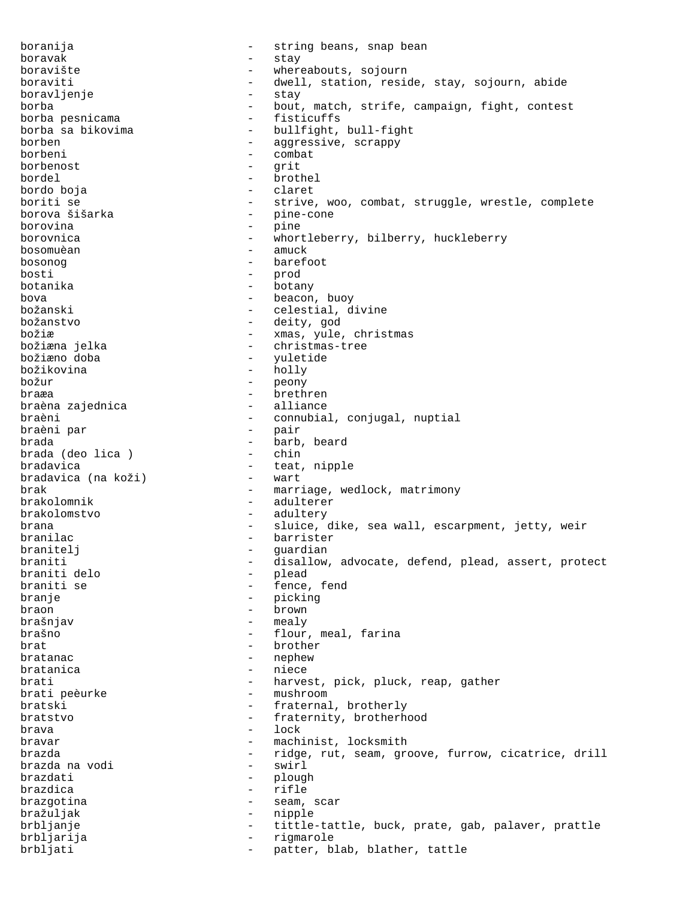boranija - string beans, snap bean boravak - stay boravište - whereabouts, sojourn boraviti - dwell, station, reside, stay, sojourn, abide boravljenje - stay borba - bout, match, strife, campaign, fight, contest borba pesnicama borba sa bikovima  $-$  bullfight, bull-fight borben - aggressive, scrappy borbeni - combat borbenost - grit bordel - brothel bordo boja - claret boriti se  $-$  strive, woo, combat, struggle, wrestle, complete borova šišarka - pine-cone borovina - pine borovnica - whortleberry, bilberry, huckleberry<br>
bosomuèan<br>
- amuck bosomuèan - amuck bosonog barefoot<br>bosti – barefoot bosti - prod botanika - botany bova - beacon, buoy božanski - celestial, divine božanstvo - deity, god božiæ - xmas, yule, christmas božiæna jelka - christmas-tree božiæno doba - yuletide božikovina - holly božur - peony braæa - brethren braèna zajednica braèni - connubial, conjugal, nuptial<br>braèni par - pair - pair braèni par brada - barb, beard brada (deo lica) bradavica<br>
bradavica (na koži) - teat, nipple<br>
- wart bradavica (na koži) brak  $-$  marriage, wedlock, matrimony brakolomnik - adulterer brakolomstvo - adultery brana - sluice, dike, sea wall, escarpment, jetty, weir branilac - barrister branitelj - guardian braniti - disallow, advocate, defend, plead, assert, protect<br>braniti delo - plead braniti delo - plead - fence, fend branje - picking - picking braon - brown - mealy brašno - flour, meal, farina brat - brother bratanac - nephew<br>bratanica - niece bratanica - niece brati  $-$  harvest, pick, pluck, reap, gather<br>brati peèurke  $-$  mushroom brati peèurke - mushroom bratski - fraternal, brotherly<br>
bratstvo<br>
- fraternity brotherb bratstvo - fraternity, brotherhood<br>hrava - lock<br> $\overline{z}$  - lock brava - lock<br>bravar - lock<br>- magb bravar - machinist, locksmith brazda - ridge, rut, seam, groove, furrow, cicatrice, drill<br>brazda na vodi - swirl brazda na vodi brazdati - plough<br>brazdica - rifle brazdica - rifle brazgotina  $-$  seam, scar bražuljak - nipple brbljanje - tittle-tattle, buck, prate, gab, palaver, prattle brbljarija - rigmarole brbljati - patter, blab, blather, tattle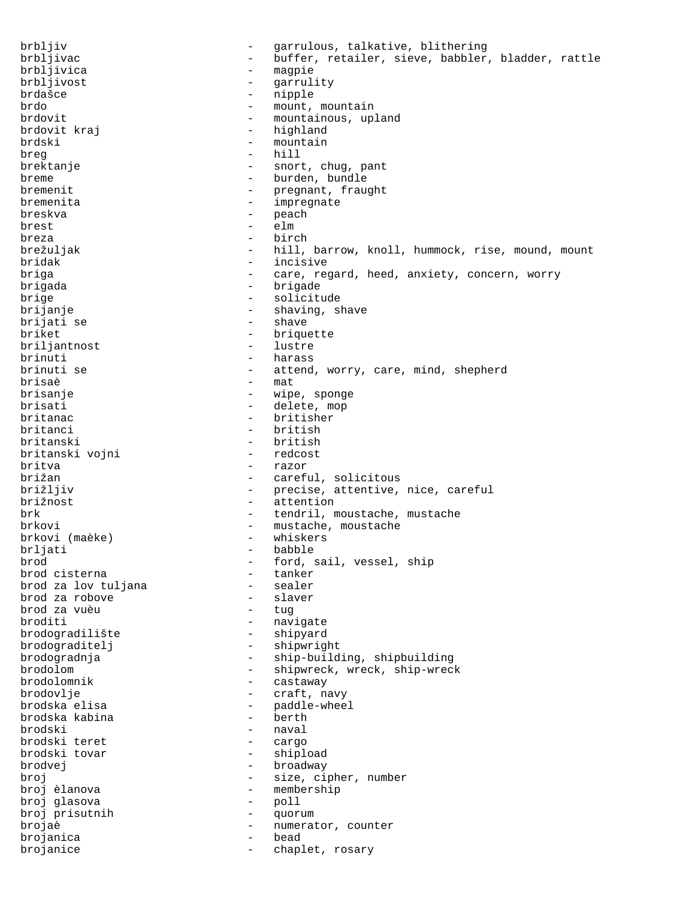brbljiv - garrulous, talkative, blithering brbljivac - buffer, retailer, sieve, babbler, bladder, rattle<br>brbljivica - magpie - magpie brbljivost - garrulity brdašce - nipple - nipple brdo - mount, mountain<br>brdovit - mountainous, up - mountainous, upland brdovit kraj  $-$  highland brdski - mountain<br>breq - hill - hill - hill brektanje - snort, chug, pant breme - burden, bundle bremenit - pregnant, fraught bremenita - impregnate breskva - peach brest - elm breza - birch brežuljak - hill, barrow, knoll, hummock, rise, mound, mount bridak - incisive briga  $-$  care, regard, heed, anxiety, concern, worry brigada - brigade brige  $-$  solicitude brijanje - shaving, shave brijati se  $-$  shave briket - briquette<br>briliantnost - lustre - lustre briljantnost brinuti - harass brinuti se  $-$  attend, worry, care, mind, shepherd brisaè - mat brisanje  $-$  wipe, sponge brisati - delete, mop<br>britanac - britisher - britisher britanac - britisher<br>
britanci - british britanci - british<br>britanski - british - british - british<br>- redcost britanski vojni britva - razor brižan - careful, solicitous brižljiv  $-$  precise, attentive, nice, careful brižnost - attention brk - tendril, moustache, mustache brkovi  $-$  mustache, moustache brkovi (maèke)  $-$  mustache, moustache brkovi (maèke)  $-$  whiskers brkovi (maèke)<br>brljati brljati - babble - babble - babble - babble - babble - ford, s - ford, sail, vessel, ship<br>- tanker brod cisterna tanker<br>brod za lov tuliana sealer brod za lov tuljana sealer<br>brod za robove slaver brod za robove - slaver brod za vuèu broditi - navigate<br>brodogradilište - shipyard - shipyard brodograditelj - shipwright brodogradnja - ship-building, shipbuilding brodolom - shipwreck, wreck, ship-wreck brodolomnik - castaway brodovlje - craft, navy brodska elisa - paddle-wheel<br>brodska kabina - - berth brodska kabina brodski - naval brodski teret brodski tovar <br/> - shipload - shipload brodvej - broadway broj  $\begin{array}{ccc} b \text{roj} & - & s \text{ize, cipher, number} \\ \text{broj èlanova} & - & \text{member} \end{array}$ - membership broj glasova - poll broj prisutnih - quorum brojaè - numerator, counter<br>brojanica - - - - - - - bead brojanica brojanice  $\qquad \qquad -$  chaplet, rosary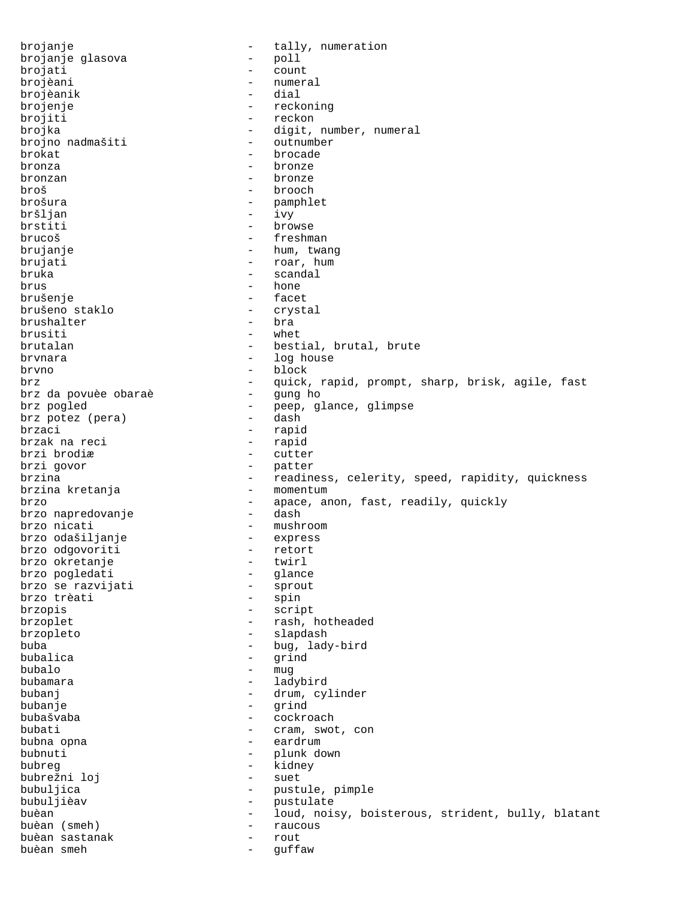brojanje - tally, numeration brojanje glasova - poll brojati - count - count brojèani - count - count - count - count - count - count - count - count - count - count - count - count - count - count - count - count - count - count - count - count - count - count - count - cou - numeral<br>- dial brojèanik<br>brojenje brojenje - reckoning<br>brojiti - reckon brojiti - reckon<br>brojka - digit, - digit, number, numeral<br>- outnumber brojno nadmašiti brokat - brocade bronza - bronze bronzan - bronze broš - brooch brošura - pamphlet bršljan - ivy brstiti - browse brucoš - freshman brujanje  $-$  hum, twang brujati - roar, hum bruka - scandal - hone<br>- facet brušenje - facet brušeno staklo - crystal brushalter brusiti - whet brutalan  $-$  bestial, brutal, brute brvnara  $\qquad \qquad -$  log house brvno - block brz - quick, rapid, prompt, sharp, brisk, agile, fast brz da povuèe obaraè brz pogled - peep, glance, glimpse<br>brz potez (pera) - dash brz potez (pera) brzaci - rapid<br>brzak na reci - rapid - rapid brzak na reci<br>brzi brodiæ - cutter brzi govor  $-$  patter brzina - readiness, celerity, speed, rapidity, quickness<br>brzina kretania - momentum brzina kretanja brzo  $-$  apace, anon, fast, readily, quickly<br>brzo napredovanie  $-$  dash  $-$  dash brzo napredovanje brzo nicati - mushroom brzo odašiljanje - express brzo odgovoriti - retort brzo okretanje - twirl brzo pogledati - glance brzo se razvijati - sprout brzo trèati brzopis - script brzoplet - rash, hotheaded brzopleto - slapdash buba - bug, lady-bird bubalica - grind bubalo - mug bubamara - ladybird bubanj - drum, cylinder bubanje - grind bubašvaba - cockroach bubati - cram, swot, con<br>bubna opna - cardrum - cardrum - eardrum bubnuti - plunk down - kidney<br>- suet bubrežni loj bubuljica - pustule, pimple bubuljièav - pustulate buèan  $-$  loud, noisy, boisterous, strident, bully, blatant buèan (smeh) - raucous buèan sastanak buèan smeh  $-$  guffaw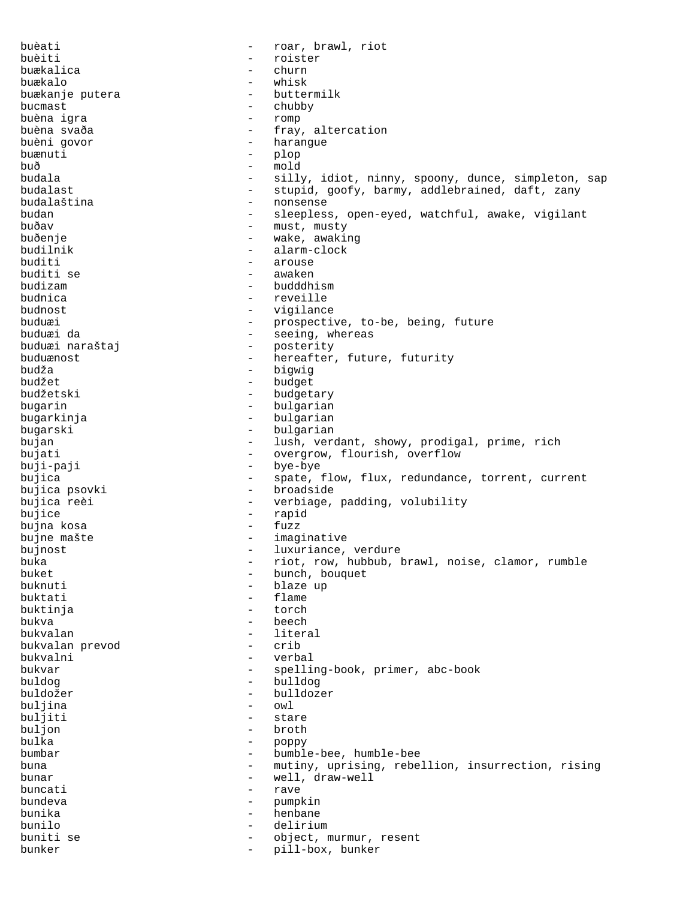buèati  $-$  roar, brawl, riot buèiti - roister buækalica - churn - church - church - church - church - church - church - church - church - church buækalo - whisk buækanje putera en buækanje putera buækanje buækanje bu bucmast - chubby<br>
buèna igra buèna igra - romp buèna svaða - fray, altercation<br>buèni govor - - - - - - - - - harangue - harangue<br>- plop buænuti - plop buð - mold budala - silly, idiot, ninny, spoony, dunce, simpleton, sap<br>budalast - stupid. goofv. barmy. addlebrained. daft. zany - stupid, goofy, barmy, addlebrained, daft, zany budalaština - nonsense budan - sleepless, open-eyed, watchful, awake, vigilant buðav - must, musty<br>buðenie - mustar vake avaki: buðenje - wake, awaking budilnik - alarm-clock buditi - arouse buditi se - arouse - arouse - arouse - arouse - arouse - arouse - arouse - arouse - arouse - arouse - arouse - arouse - arouse - arouse - arouse - arouse - arouse - arouse - arouse - arouse - arouse - arous buditi se - awaken budizam - budddhism - reveille budnost - vigilance buduæi - prospective, to-be, being, future buduæi da - seeing, whereas<br>buduæi naraštaj - - seeing, whereas - posterity buduænost **-** hereafter, future, futurity budža - bigwig budžet - budget budžetski - budgetary bugarin - bulgarian bugarkinja - bulgarian bugarski - bulgarian bujan - lush, verdant, showy, prodigal, prime, rich bujati  $-$  overgrow, flourish, overflow buji-paji - bye-bye bujica - spate, flow, flux, redundance, torrent, current bujica psovki - broadside bujica reèi - verbiage, padding, volubility bujice - rapid bujna kosa bujne mašte  $-$  imaginative bujnost  $-$  luxuriance, verdure buka - riot, row, hubbub, brawl, noise, clamor, rumble buket - bunch, bouquet - bunch, bouquet - buknuti - bunch, bouquet - buknuti - bunch, bouquet - blaze up buknuti - blaze up - flame buktinja - torch bukva - beech bukvalan - literal bukvalan prevod bukvalni - verbal bukvar - spelling-book, primer, abc-book buldog - bulldog buldožer - bulldozer buljina - owl buljiti - stare - stare - stare - stare - stare - stare - stare - stare - stare - stare - stare - stare - stare - stare - stare - stare - stare - stare - stare - stare - stare - stare - stare - stare - stare - stare - star buljon - broth poppy bumbar - bumble-bee, humble-bee buna - mutiny, uprising, rebellion, insurrection, rising bunar - well, draw-well<br>huncati - raye buncati and the contract of the contract of the contract of the contract of the contract of the contract of the contract of the contract of the contract of the contract of the contract of the contract of the contract of th bundeva - pumpkin bunika - henbane bunilo - delirium buniti se - object, murmur, resent bunker - pill-box, bunker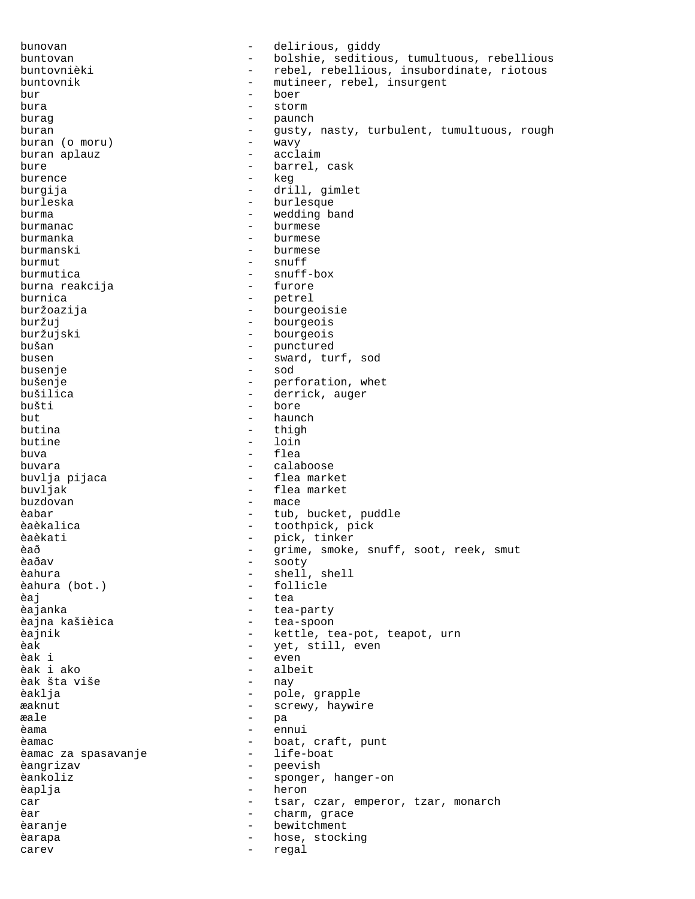bunovan - delirious, giddy buntovan - bolshie, seditious, tumultuous, rebellious buntovnièki - rebel, rebellious, insubordinate, riotous buntovnik - mutineer, rebel, insurgent bur - boer bura - storm burag - paunch buran - gusty, nasty, turbulent, tumultuous, rough huran (o moru) - wavy buran (o moru) - wavy<br>buran aplauz - acclaim buran aplauz bure  $-$  barrel, cask burence - keg burgija - drill, gimlet burleska - burlesque burma - wedding band burmanac burmanac burmese burmanka - burmese burmanski - burmese burmut - snuff - snuff - snuff - snuff - snuff - snuff - snuff - snuff - snuff - snuff - snuff - snuff - snuff - snuff - snuff - snuff - snuff - snuff - snuff - snuff - snuff - snuff - snuff - snuff - snuff - snuff - snuff - snuff-box<br>- furore burna reakcija<br>burnica burnica - petrel - bourgeoisie buržuj - bourgeois<br>buržujski - bourgeois buržujski - bourgeois<br>bušan - punctured - punctured busen - sward, turf, sod<br>busenje - sod - sod - sod busenje - sod bušenje - perforation, whet bušilica - derrick, auger bušti - bore<br>but - hauno but - haunch - haunch - haunch - haunch - haunch - haunch - haunch - haunch - haunch - haunch - haunch - haunch - haunch - haunch - haunch - haunch - haunch - haunch - haunch - haunch - haunch - haunch - haunch - haunch butina - thigh - loin buva - flea buvara<br>buvlja pijaca dhe shine e calaboose<br>- flea market buvlja pijaca buvljak - flea market buzdovan - mace èabar  $-$  tub, bucket, puddle èaèkalica  $-$  toothpick, pick èaèkati - pick, tinker èað - grime, smoke, snuff, soot, reek, smut - sooty èahura - shell, shell - follicle èaj - tea èajanka - tea-party<br>èajna kašièica - tea-spoon - tea-spoon - tea-spoon èajnik - kettle, tea-pot, teapot, urn èak - yet, still, even èak i - even - albeit<br>- nay èak šta više - nav - nav - na èaklja - pole, grapple æaknut - screwy, haywire æale pa èama - ennui - boat, craft, punt<br>- life-boat èamac za spasavanje èangrizav - peevish èankoliz - sponger, hanger-on èaplja - heron car  $-$  tsar, czar, emperor, tzar, monarch<br>
ar charm grace èar  $-$  charm, grace èaranje en mondo de la poste de la poste de la poste de la poste de la poste de la poste de la poste de la pos èarapa  $-$  hose, stocking carev - regal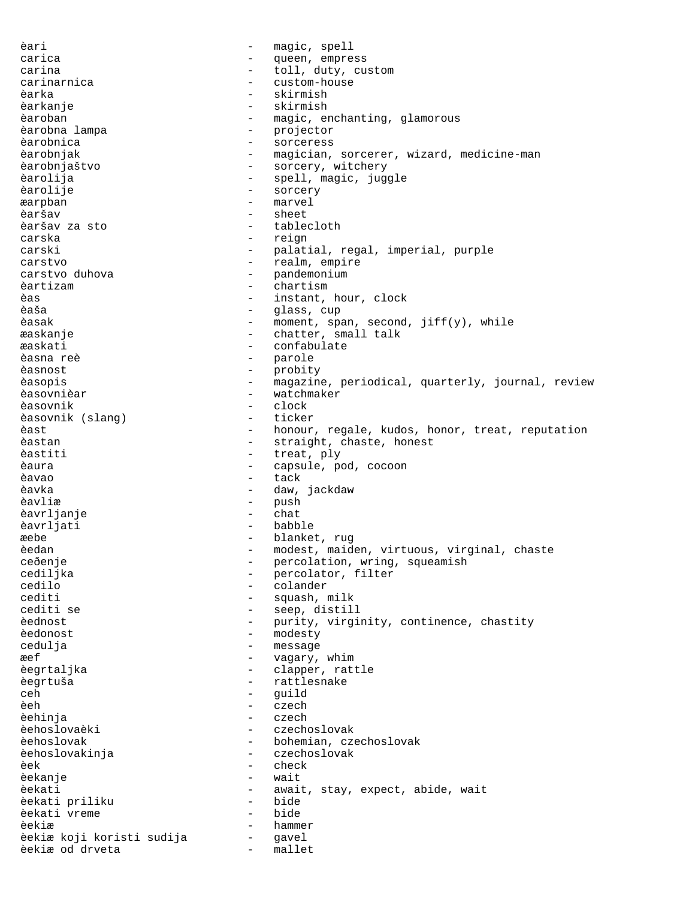èari - magic, spell carica  $-$  queen, empress carina  $-$  toll, duty, custom carinarnica - custom-house èarka - skirmish èarkanje - skirmish èaroban - magic, enchanting, glamorous èarobna lampa<br>
exploration de la projector<br>
exploration de la progress èarobnica - sorceress èarobnjak - magician, sorcerer, wizard, medicine-man èarobnjaštvo - sorcery, witchery èarolija - spell, magic, juggle èarolije - sorcery æarpban - marvel èaršav - sheet èaršav za sto - tablecloth carska - reign carski - palatial, regal, imperial, purple carstvo  $-$  realm, empire carstvo duhova - pandemonium<br>
aartizam - chartism èartizam - chartism èas - instant, hour, clock èaša - glass, cup èasak - moment, span, second, jiff(y), while æaskanje - chatter, small talk æaskati - confabulate èasna reè - parole èasnost - probity èasopis - magazine, periodical, quarterly, journal, review èasovnièar en montre de la montre de la montre de la montre de la montre de la montre de la montre de la montre èasovnik - clock èasovnik (slang) èast - honour, regale, kudos, honor, treat, reputation<br>èastan - straight, chaste, honest - straight, chaste, honest èastiti  $-$  treat, ply èaura - capsule, pod, cocoon èavao - tack èavka - daw, jackdaw èavliæ - push èavrljanje - chat èavrljati - babble æebe - blanket, rug èedan - modest, maiden, virtuous, virginal, chaste<br>ceðenje - ercolation, wring, squeamish - percolation, wring, squeamish<br>- percolator, filter cediljka - percolator, filter cedilo - percolator, filter cedilo cedilo - colander - squash, milk cediti se  $-$  seep, distill èednost entry our continuous continuous entry example to purity, virginity, continence, chastity èedonost - modesty cedulja - message æef - vagary, whim èegrtaljka - clapper, rattle èegrtuša - rattlesnake ceh - guild èeh - czech èehinja - czech èehoslovaèki - czechoslovak èehoslovak - bohemian, czechoslovak èehoslovakinja - czechoslovak èek - check - check<br>èekanie - check - wait èekanje èekati - await, stay, expect, abide, wait<br>èekati priliku - - bide - bide èekati priliku èekati vreme - bide èekiæ - hammer èekiæ koji koristi sudija - gavel èekiæ od drveta - mallet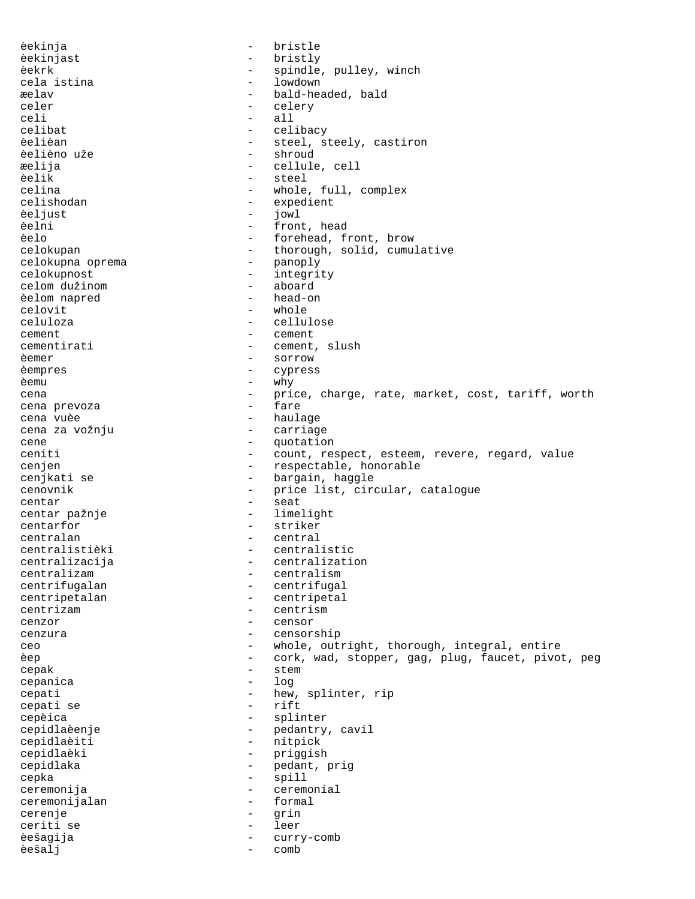èekinja - bristle èekinjast - bristly èekrk - spindle, pulley, winch - lowdown æelav - bald-headed, bald<br>celer - celerv celer - celery<br>celi - celery celi - all - all - all - all - all - all - all - all - all - all - all - all - all - all - all - all - all - all - all - all - all - all - all - all - all - all - all - all - all - all - all - all - all - all - all - all celibat - celibacy - steel, steely, castiron èelièno uže  $-$  shroud æelija - cellule, cell - steel celina - whole, full, complex celishodan - expedient èeljust - jowl èelni - front, head èelo - forehead, front, brow celokupan - thorough, solid, cumulative celokupna oprema - thorough, solid, cumulative celokupna oprema<br>celokupnost - integrity<br>- aboard celom dužinom - aboard èelom napred celovit - whole celuloza - cellulose cement - cement cementirati - cement, slush èemer - sorrow èempres - cypress èemu - why cena - price, charge, rate, market, cost, tariff, worth<br>
- fare<br>
- fare cena prevoza a cena e fare cena vuèe - haulage cena za vožnju cene  $\qquad \qquad -$  quotation ceniti - count, respect, esteem, revere, regard, value<br>
- respectable, honorable - respectable, honorable cenjkati se  $-$  bargain, haggle cenovnik - price list, circular, catalogue centar - seat centar pažnje  $-$  limelight centarfor - striker centralan - central centralistièki - centralistic centralizacija - centralization centralizam - centralism<br>centrifugalan - centrifuga centrifugalan - centrifugal<br>centripetalan - centripetal centripetalan - centripetal<br>centrizam - centrism centrizam - centrism cenzor - censor cenzura - censorship ceo - whole, outright, thorough, integral, entire èep - cork, wad, stopper, gag, plug, faucet, pivot, peg cepak - stem<br>cepanica - log cepanica and the set of  $\sim$ cepati - hew, splinter, rip<br>cepati se - rift - rift cepati se cepèica - splinter<br>cepidlaèenje - splinter<br>- pedantry - pedantry, cavil cepidlaèiti - nitpick cepidlaèki - priggish cepidlaka - pedant, prig cepka - spill ceremonija - ceremonial - ceremonial - ceremonial - ceremonial - ceremonial - ceremonial - ceremonial - ceremonial - ceremonial - ceremonial - ceremonial - ceremonial - ceremonial - ceremonial - ceremonial - ceremonial - c ceremonijalan - formalan - formalan - formalan - formalan - formalan - formalan - formalan - formalan - formala cerenje - grin ceriti se - leer èešagija - curry-comb èešalj - comb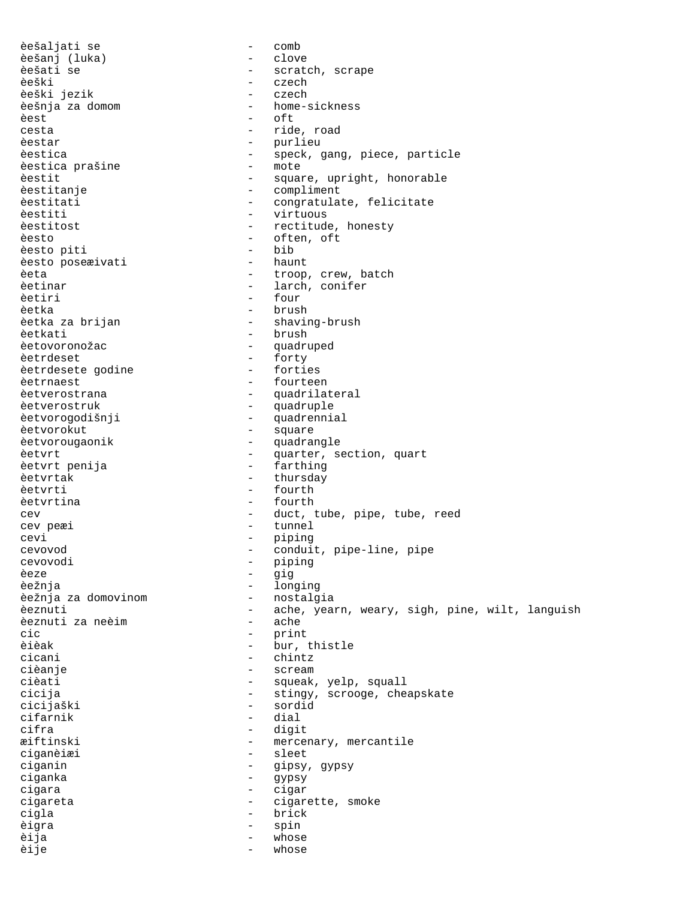èešaljati se - comb èešanj (luka) èešati se  $-$  scratch, scrape èeški - czech èeški jezik - czech - czech èešnja za domom do este en analog - home-sickness èest - oft - oft - oft - oft - oft - oft - oft - oft - oft - oft - oft - oft - oft - oft - oft - oft - oft - oft - oft - oft - oft - oft - oft - oft - oft - oft - oft - oft - oft - oft - oft - oft - oft - oft - oft - oft cesta - ride, road<br>
estar - ride, road<br>
- purlieu èestica prašine èestit - square, upright, honorable èestitanje - compliment èestitati  $\qquad \qquad -$  congratulate, felicitate èestiti - virtuous èestitost - rectitude, honesty èesto - often, oft<br>èesto piti - bib - bib èesto piti - bib èesto poseæivati èeta - troop, crew, batch<br>èetinar - troop, crew, batch<br>- larch, conifer èetinar - larch, conifer<br>
aetiri - four èetka - brush - brush - brush - brush - brush - brush - brush - brush - brush - brush - brush - brush - brush <br>èetka za brijan - brush - shavir èetkati <sup>-</sup> brush - brush - brush - brush - brush - brush - brush - brush - brush - brush - brush - brush - brush - quadru èetrdeset<br>èetrdesete godine - forties èetrdesete godine èetrnaest etroient en la comme de la comme de la comme de la comme de la comme de la comme de la comme de la c èetverostrana en en la partitateral de la partitateral de la partitate de la partitate de la partitate de la p èetverostruk - quadruple èetvorogodišnji - quadrennial èetvorokut - square èetvorougaonik - quadrangle èetvrt - quarter, section, quart èetvrt penija en mension en farthing èetvrtak - thursday èetvrti - fourth èetvrtina - fourth cev peæi - tunnel cevi - piping<br>cevovod - conduit cevovod - conduit, pipe-line, pipe cevovodi - piping<br>èeze - piping - piping èeze - gig èežnja - longing èežnja za domovinom èeznuti za neèim<br>cic èièak - bur, thistle cicani - chintz cièanje - scream cièati  $-$  squeak, yelp, squall cicijaški - sordid cifarnik<br>cifra cifra - digit ciganèiæi - sleet ciganin - gipsy, gypsy ciganka - gypsy cigara - cigar cigareta - cigarette, smoke<br>cigla cigla - brick èigra - spin èija - whose èije - whose - whose

- purlieu èestica - speck, gang, piece, particle<br>èestica prašine - - - - - mote - four - shaving-brush - quadruped cev external cever of the ceven of the ceven of the cell of the cell of the cell of the cell of the cell of the cell of the cell of the cell of the cell of the cell of the cell of the cell of the cell of the cell of the ce èeznuti - ache, yearn, weary, sigh, pine, wilt, languish<br>èeznuti za neèim - ache - print cicija - stingy, scrooge, cheapskate<br>cicijaški - sordid - mercenary, mercantile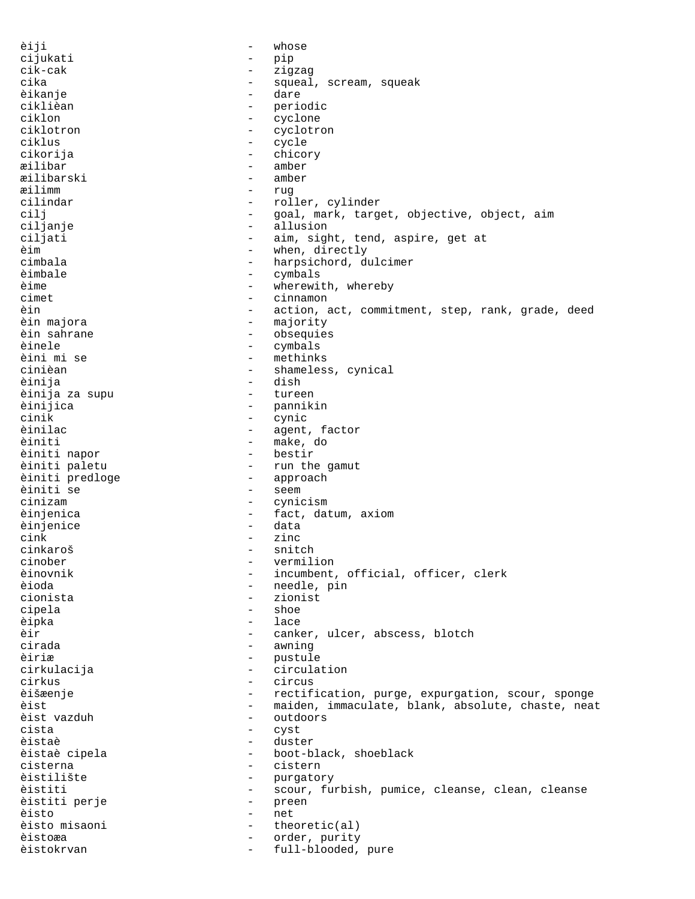èiji - whose cijukati - pip cik-cak - zigzag cika - squeal, scream, squeak<br>èikanie - squeak - dare èikanje ciklièan - periodic ciklon - cyclone - cyclone - cyclone - cyclone - cyclotre - cyclotre - cyclotre - cyclotre - cyclotre - cyclotre - cyclotre - cyclotre - cyclotre - cyclotre - cyclotre - cyclotre - cyclotre - cyclotre - cyclotre - cyclotre ciklotron - cyclotron - cyclotron - cyclotron - cyclotron - cyclotron - cyclotron - cyclotron - cyclotron - cyclotron - cyclotron - cyclotron - cyclotron - cyclotron - cyclotron - cyclotron - cyclotron - cyclotron - cyclot - cycle cikorija - chicory æilibar - amber<br>æilibarski - amber æilibarski - amber æilimm - rug cilindar - roller, cylinder cilj  $-$  goal, mark, target, objective, object, aim ciljanje - allusion - aim, sight, tend, aspire, get at<br>- when, directly èim - when, directly cimbala - harpsichord, dulcimer èimbale - cymbals<br>èime - cymbals èime - wherewith, whereby<br>cimet - cinnamon<br>- cinnamon cinnamon èin - action, act, commitment, step, rank, grade, deed èin majora - majority èin sahrane  $\qquad \qquad$  - obsequies èinele - cymbals - methinks<br>- shameles cinièan - shameless, cynical èinija - dish èinija za supu - tureen èinijica - pannikin cinik - cynic èinilac - agent, factor - make, do<br>- bestir èiniti napor èiniti paletu - run the gamut èiniti predloge - approach èiniti se cinizam - cynicism èinjenica - fact, datum, axiom èinjenice cink - zinc cinkaroš - snitch vermilion èinovnik - incumbent, official, officer, clerk<br>èioda - eedle, pin - needle, pin cionista - zionist cipela - shoe èipka - lace èir - canker, ulcer, abscess, blotch cirada - awning èiriæ - pustule cirkulacija - circulation cirkus - circus èišæenje - rectification, purge, expurgation, scour, sponge èist - maiden, immaculate, blank, absolute, chaste, neat<br>èist vazduh - outdoors èist vazduh - outdoors cista - cyst èistaè - duster <sup>-</sup> boot-black, shoeblack<br>- cistern cisterna - cistern èistilište - purgatory èistiti - scour, furbish, pumice, cleanse, clean, cleanse<br>èistiti perje - preen - preen èistiti perje èisto - net èisto misaoni - theoretic(al) èistoæa - order, purity èistokrvan - full-blooded, pure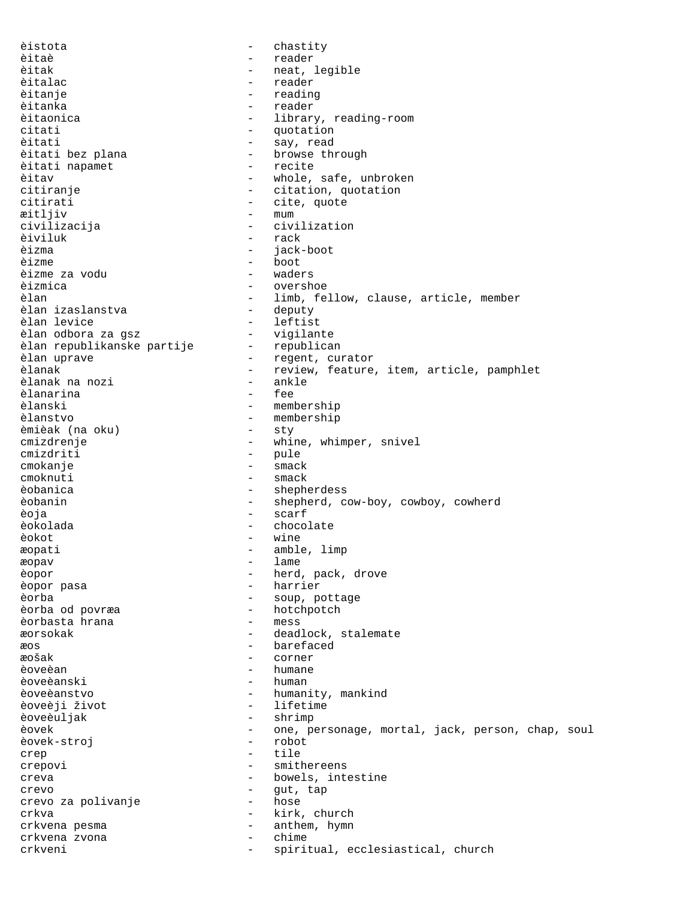èistota - chastity èitaè - reader èitak - neat, legible èitalac - reader èitanje - reading - reading<br>èitanka - reader - reader èitanka - reader èitaonica - library, reading-room<br>citati - - citati - quotation citati - quotation<br>
- quotation - say, read èitati - say, read - browse through<br>- recite èitati napamet èitav - whole, safe, unbroken citiranje  $-$  citation, quotation citirati - cite, quote æitljiv - mum<br>civilizacija - civi civilizacija - civilization èiviluk - rack èizma - jack-boot - boot<br>- waders èizme za vodu - waders èizmica - overshoe - limb, fellow, clause, article, member<br>- deputy èlan izaslanstva<br>èlan levice <sup>-</sup> leftist<br>- vigilante èlan odbora za gsz vigilante<br>èlan republikanske partije republican èlan republikanske partije èlan uprave  $\qquad \qquad \qquad -$  regent, curator èlanak - review, feature, item, article, pamphlet<br>èlanak na nozi - ankle èlanak na nozi - ankle èlanarina<br>èlanski èlanski - membership <sup>-</sup> membership<br>- sty èmièak (na oku) - sty cmizdrenje - whine, whimper, snivel cmizdriti - pule cmokanje - smack cmoknuti - smack èobanica - shepherdess èobanin - shepherd, cow-boy, cowboy, cowherd èoja - scarf èokolada - chocolate èokot - wine æopati – amble, limp<br>max – amble, limp æopav - lame èopor - herd, pack, drove èopor pasa - harrier èorba - soup, pottage èorba od povræa - hotchpotch èorbasta hrana æorsokak - deadlock, stalemate æos - barefaced æošak - corner èoveèan - humane èoveèanski - humani èoveèanstvo - humanity, mankind èoveèji život - lifetime èoveèuljak èovek - one, personage, mortal, jack, person, chap, soul<br>èovek-stroi - robot - robot èovek-stroj crep  $\qquad \qquad -$  tile crepovi - smithereens creva - bowels, intestine crevo - gut, tap crevo za polivanje crkva - kirk, church crkvena pesma - anthem, hymn<br>crkvena zvona - anthem, hymn crkvena zvona - chime crkveni - spiritual, ecclesiastical, church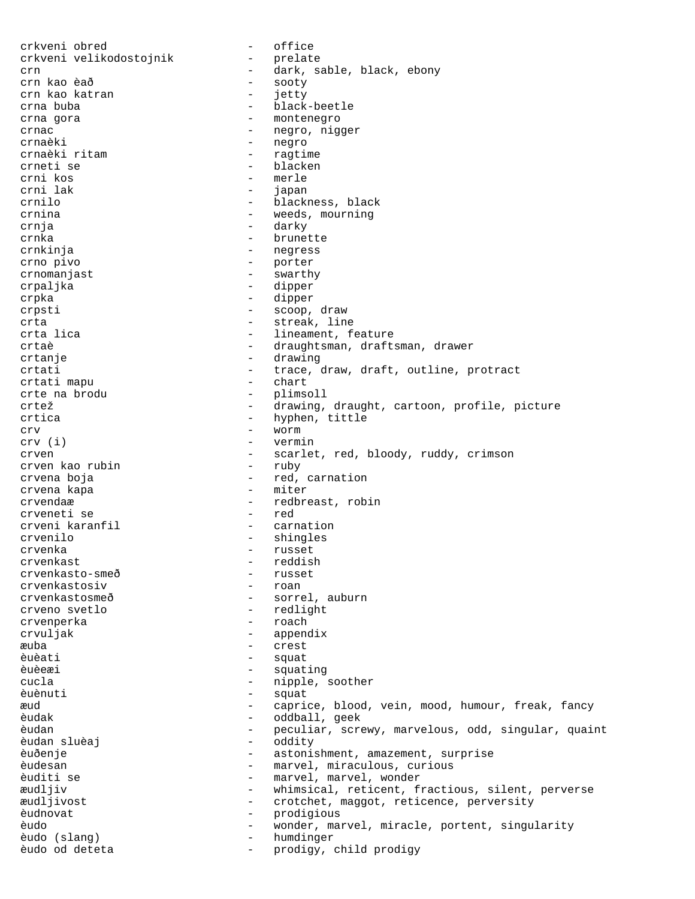crkveni obred - office crkveni velikodostojnik crn - dark, sable, black, ebony crn kao èað  $-$  sooty crn kao katran 1990 - 1990 - 1991 - 1992 - 1992 - 1992 - 1992 - 1992 - 1992 - 1992 - 1992 - 1992 - 1992 - 1992 crna buba - black-beetle crna gora  $\sim$  - montenegro crnac - negro, nigger crnaèki - negro crnaèki ritam - ragtime crneti se - blacken - merle<br>- japan crni lak  $-$  japan crnilo - blackness, black crnina - weeds, mourning crnja - darky crnka - brunette crnkinja - negress crno pivo - porter crnomanjast - swarthy crpaljka - dipper crpka - dipper crpsti - scoop, draw crta - streak, line - lineament, feature crtaè  $-$  draughtsman, draftsman, drawer crtanje - drawing crtati - trace, draw, draft, outline, protract crtati mapu - chart crte na brodu - plimsoll crtež - drawing, draught, cartoon, profile, picture crtica - hyphen, tittle crv (i) - worm<br>crv (i) - verm: - vermin crven - scarlet, red, bloody, ruddy, crimson<br>
- ruby - ruby - ruby crven kao rubin crvena boja - red, carnation crvena kapa crvendaæ - redbreast, robin<br>crveneti se - red crveneti se<br>crveni karanfil - carnation crvenilo - shingles crvenka - russet crvenkast<br>
crvenkasto-smeð<br>
- russet<br>
- russet crvenkasto-smeð - russet<br>crvenkastosiv - roan crvenkastosiv crvenkastosmeð - sorrel, auburn crveno svetlo - redlight crvenperka crvuljak - appendix æuba - crest èuèati - squat èuèeæi - squating cucla - nipple, soother èuènuti - squat æud - caprice, blood, vein, mood, humour, freak, fancy oddball, geek èudan - peculiar, screwy, marvelous, odd, singular, quaint èudan sluèaj èuðenje - astonishment, amazement, surprise èudesan - marvel, miraculous, curious èuditi se  $-$  marvel, marvel, wonder æudljiv - whimsical, reticent, fractious, silent, perverse æudljivost - crotchet, maggot, reticence, perversity èudnovat - prodigious èudo - wonder, marvel, miracle, portent, singularity èudo (slang) èudo od deteta - prodigy, child prodigy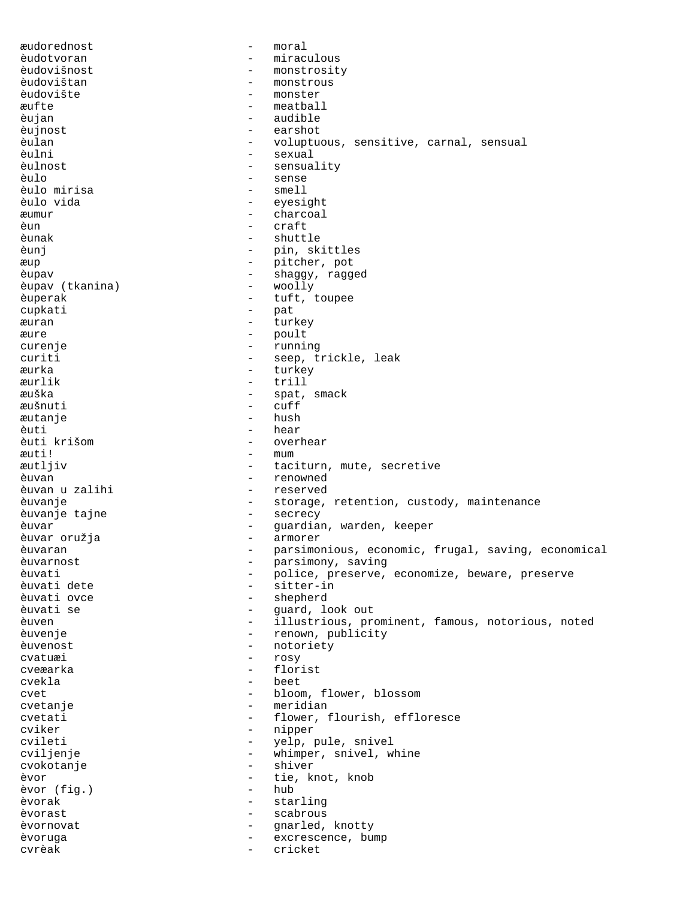æudorednost - moral èudotvoran - miraculous èudovišnost - monstrosity èudovištan - monstrous èudovište - monster æufte - meatball èujan - audible èujnost - earshot - voluptuous, sensitive, carnal, sensual èulni - sexual èulnost - sensuality èulo - sense èulo mirisa èulo vida - eyesight æumur - charcoal èun - craft èunak - shuttle èunj - pin, skittles æup - pitcher, pot èupav - shaggy, ragged èupav (tkanina) èuperak - tuft, toupee cupkati - pat æuran - turkey æure - poult curenje - running curiti - seep, trickle, leak æurka - turkey æurlik - trill æuška - spat, smack æušnuti - cuff æutanje èuti - hear èuti krišom - overhear æuti! - mum æutljiv - taciturn, mute, secretive èuvan - renowned èuvan u zalihi èuvanje - storage, retention, custody, maintenance èuvanje tajne èuvar - guardian, warden, keeper èuvar oružja èuvaran - parsimonious, economic, frugal, saving, economical èuvarnost en extreme en la parsimony, saving èuvati - police, preserve, economize, beware, preserve<br>èuvati dete - sitter-in èuvati dete - sitter-in <sup>-</sup> shepherd<br>- guard lo èuvati se - guard, look out èuven - illustrious, prominent, famous, notorious, noted èuvenje  $-$  renown, publicity èuvenost - notoriety cvatuæi - rosy cveæarka - florist cvekla - beet cvet - bloom, flower, blossom cvetanje - meridian cvetati - flower, flourish, effloresce cviker – nipper – nipper<br>cvileti – velp, p - yelp, pule, snivel<br>- whimper snivel w cviljenje - whimper, snivel, whine cvokotanje - shiver èvor  $\leftarrow$  tie, knot, knob<br>
evor (fig.) – hub èvor (fig.) èvorak - starling èvorast - scabrous èvornovat en entre la parameter de la gnarled, knotty èvoruga - excrescence, bump - excrescence, bump - excrescence, bump - excrescence, bump - excrescence, bump -  $\sim$ cvrèak - cricket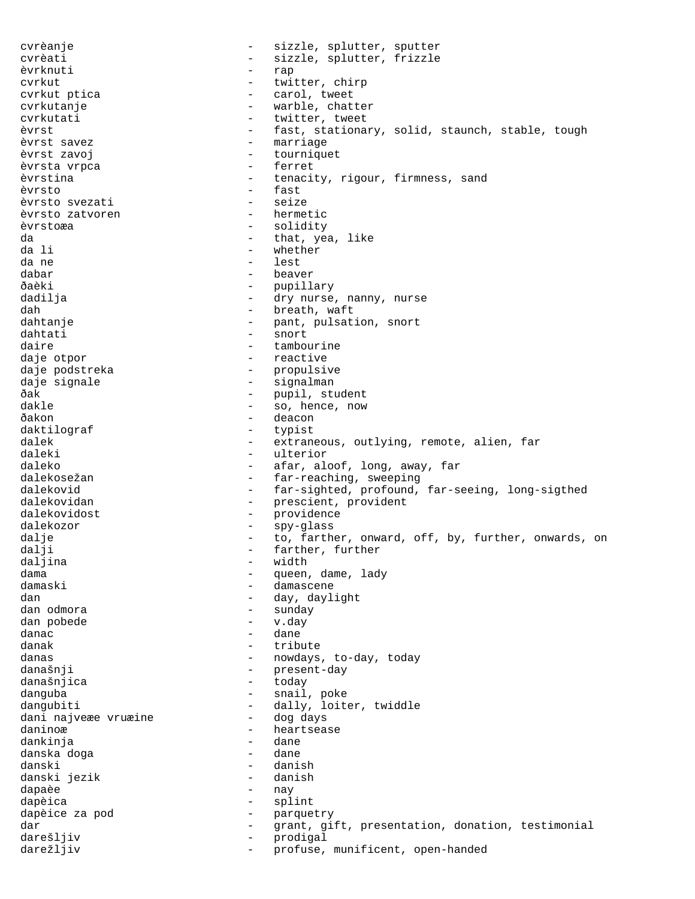cvrèanje  $-$  sizzle, splutter, sputter cvrèati - sizzle, splutter, frizzle èvrknuti - rap cvrkut - twitter, chirp cvrkut ptica and tweet the carol, tweet cvrkutanje en market - warble, chatter cvrkutati - twitter, tweet<br>
evrst - fast, stational èvrst - fast, stationary, solid, staunch, stable, tough<br>èvrst savez - marriage <sup>-</sup> marriage<br>- tournique èvrst zavoj - tourniquet èvrsta vrpca èvrstina - tenacity, rigour, firmness, sand èvrsto - fast èvrsto svezati - seize èvrsto zatvoren èvrstoæa - solidity da - that, yea, like da li - whether da ne - lest dabar - beaver - pupillary<br>- dry nurse dadilja - dry nurse, nanny, nurse dah - breath, waft - pant, pulsation, snort dahtati - snort daire  $\qquad \qquad -$  tambourine daje otpor - reactive daje podstreka - propulsive daje signale - signalman ðak - pupil, student - pupil, student - pupil, student - pupil, student - pupil, student - pupil, student - pu<br>dakle dakle - so, hence, now ðakon - deacon - deacon daktilograf - typist dalek - extraneous, outlying, remote, alien, far daleki - ulterior daleko - afar, aloof, long, away, far dalekosežan - far-reaching, sweeping dalekovid - far-sighted, profound, far-seeing, long-sigthed dalekovidan - prescient, provident dalekovidost - providence dalekozor - spy-glass dalje - to, farther, onward, off, by, further, onwards, on - farther, further<br>- width daljina - width - width - width - width - width - width - width - width - width - width - width - width - width - width - width - width - width - width - width - width - width - width - width - width - width - width - widt dama - queen, dame, lady - damascene dan  $\qquad \qquad -$  day, daylight dan odmora - sunday dan pobede - v.day danac - dane danak - tribute danas - nowdays, to-day, today<br>današnii - nowdays, to-day, today današnji - present-day današnjica - today danguba - snail, poke dangubiti - dally, loiter, twiddle<br>dani najveæe vruæine - dog days dani najveæe vruæine daninoæ - heartsease<br>dankinia - heartsease - heartsease dankinja - dane danska doga danski - danish danski jezik - danish dapaèe dapèica - splint dapèice za pod - parquetry dar en antional testimonial barrow of the grant, gift, presentation, donation, testimonial darešljiv - prodigal darežljiv  $-$  profuse, munificent, open-handed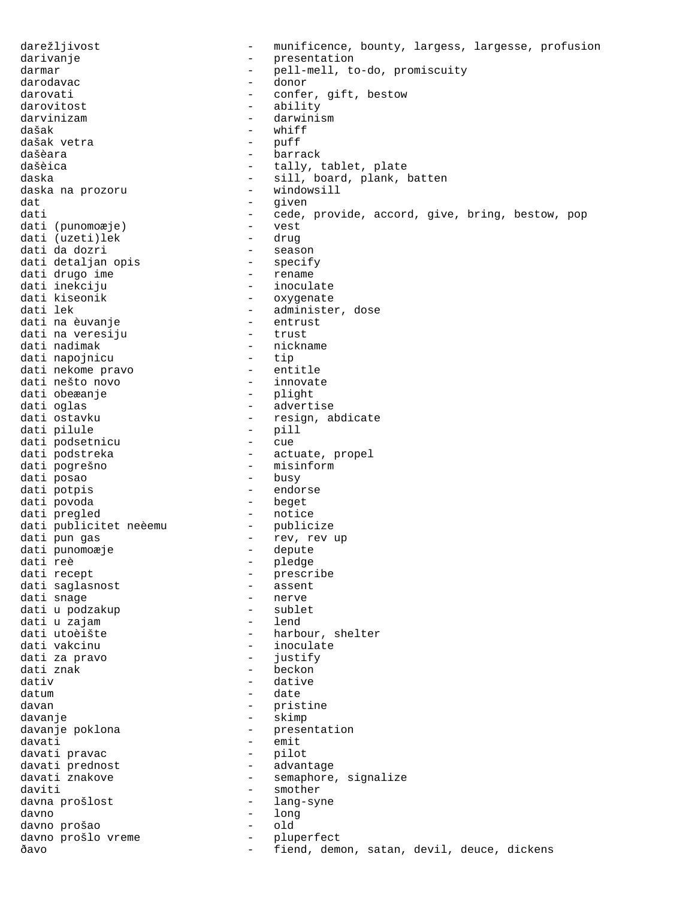darežljivost entertytost - munificence, bounty, largess, largesse, profusion darivanje - presentation<br>darmar - pell-mell to darmar - pell-mell, to-do, promiscuity darodavac - donor darovati  $\qquad \qquad -$  confer, gift, bestow darovitost - ability darvinizam - darwinism - whiff<br>- puff dašak vetra dašèara - barrack dašèica  $-$  tally, tablet, plate daska - sill, board, plank, batten<br>daska na prozoru - - windowsill daska na prozoru dat - given dati - cede, provide, accord, give, bring, bestow, pop<br>dati (punomoæje) - vest<br>dati (punomoæje) - drug - drug dati (punomoæje) - vest dati (uzeti)lek - drug dati da dozri - season dati detaljan opis - specify dati drugo ime - rename dati inekciju - inoculate dati kiseonik - oxygenate dati lek - administer, dose dati na èuvanje - entrust dati na veresiju - trust dati nadimak  $-$  nickname dati napojnicu - tip dati nekome pravo - entitle dati nešto novo - innovate dati obeæanje - plight dati oglas - advertise dati ostavku - resign, abdicate dati pilule - pill dati podsetnicu - cue dati podstreka - actuate, propel dati pogrešno - misinform dati posao - busy dati potpis - endorse dati povoda - beget dati pregled - notice dati publicitet neèemu - publicize dati pun gas - rev, rev up dati punomoæje - depute dati reè - pledge dati recept  $-$  prescribe dati saglasnost - assent – nerve<br>– sublet dati u podzakup - sublet dati u zajam dati utoèište - harbour, shelter dati vakcinu  $-$  inoculate dati za pravo  $-$  justify dati znak  $\overline{\phantom{a}}$  - beckon dativ - dative datum - date davan - pristine davanje - skimp davanje poklona  $\qquad \qquad$  - presentation davati - emit<br>davati pravac - pilot davati pravac davati prednost - advantage davati znakove semaphore, signalize daviti - smother davna prošlost  $-$  lang-syne davno 1990 - davno 1990 - davno 1990 - davno 1990 - davno 1990 - dal 1990 - dal 1990 - dal 1990 - dal 1990 - d<br>davno 1990 - dal 1990 - dal 1990 - dal 1990 - dal 1990 - dal 1990 - dal 1990 - dal 1990 - dal 1990 - dal 1990 davno prošao - old davno prošlo vreme - pluperfect ðavo - fiend, demon, satan, devil, deuce, dickens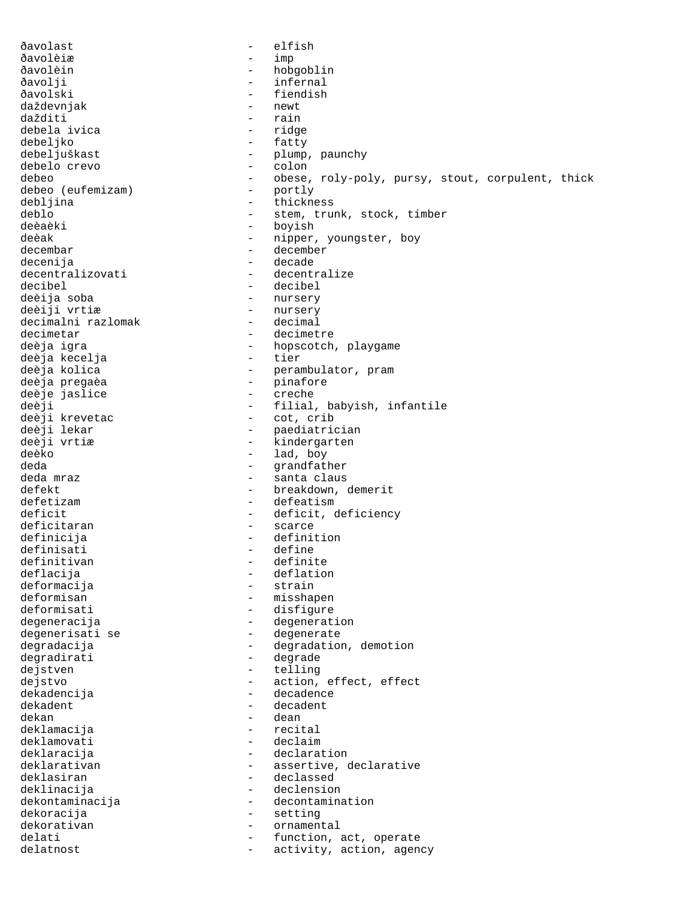ðavolast - elfish ðavolèiæ - imp ðavolèin - hobgoblin ðavolji - infernal ðavolski - fiendish daždevnjak - newt dažditi - rain debela ivica<br>debeljko - fatty debeljuškast - plump, paunchy debelo crevo debeo - obese, roly-poly, pursy, stout, corpulent, thick<br>debeo (eufemizam) - portly debeo (eufemizam) –<br>debliina – debljina - thickness deblo  $-$  stem, trunk, stock, timber deèaèki - boyish - boyish deèak - nipper, youngster, boy decembar - december decenija - decade - decentralize decibel - decibel deèija soba - nursery - nursery<br>- decimal decimalni razlomak decimetar - decimetre deèja igra - hopscotch, playgame deèja kecelja deèja kolica - perambulator, pram deèja pregaèa - pinafore deèje jaslice - creche deèji - filial, babyish, infantile deèji krevetac - cot, crib deèji lekar - paediatrician - kindergarten deèko - lad, boy deda - grandfather<br>deda mraz - grandfather<br>- santa claus - santa claus defekt - breakdown, demerit defetizam entre entre defeatism deficit - deficit, deficiency<br>deficitaran - scarce - scarce deficitaran definicija - definition definisati - define definitivan deflacija - deflation deformacija - strain - misshapen deformisati - disfigure degeneracija - degeneration degenerisati se  $-$  degenerate degradacija - degradation, demotion degradirati - degrade dejstven - telling dejstvo - action, effect, effect dekadencija - dekadencija - dekadent - decadent - decadent - decadent - decadent - decadent - decadent - decadent - decadent - decadent - decadent - decadent - decadent - decadent - decadent - decadent - decadent - decaden dekadent - decadent - decadent<br>dekan - dean dekan - dean deklamacija deklamovati - declaim deklaracija - declaration deklarativan en en en assertive, declarative deklasiran - declassed deklinacija - declension dekontaminacija - decontamination<br>dekoracija - setting dekoracija - setting dekorativan - ornamental<br>delati - function delati  $-$  function, act, operate delatnost  $-$  activity, action, agency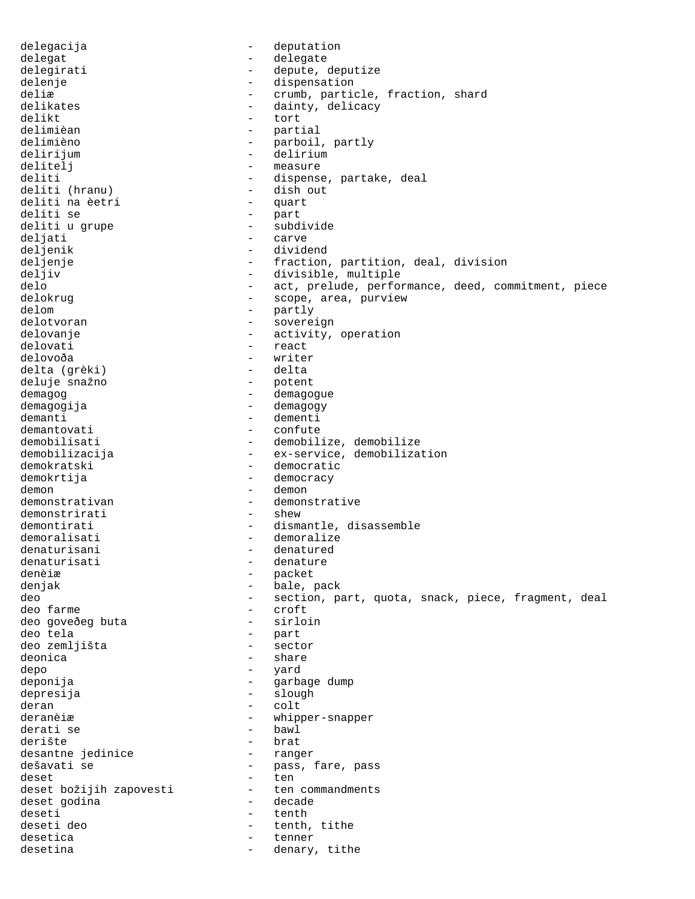delegacija - deputation delegat - delegate delegirati - depute, deputize delenje - dispensation deliæ  $-$  crumb, particle, fraction, shard delikates  $\begin{array}{ccc}\n\text{dality, delivery} \\
\text{dality, delivery}\n\end{array}$ delikt - tort delimièan - partial - parboil, partly delirijum - delirium delitelj – measure<br>deliti – dispense - dispense, partake, deal<br>- dish out deliti (hranu) - dish out deliti na èetri deliti se - part deliti u grupe - subdivide deljati - carve<br>deljenik - carve - carve deljenik - dividend<br>deljenje - - - - dividend deljenje - fraction, partition, deal, division<br>deljiv - divisible, multiple - divisible, multiple delo - act, prelude, performance, deed, commitment, piece<br>delokruq - scope, area, purview - scope, area, purview delom - partly delotvoran - sovereign delovanje - activity, operation<br>delovati - react - react - react delovoða - writer delta (grèki) deluje snažno demagog - demagogue demagogija - demagogy demanti - dementi<br>demantovati - confute demantovati - confute - demobilize, demobilize demobilizacija - ex-service, demobilization demokratski - democratic demokrtija - democracy demon - demon demonstrativan - demonstrative demonstrirative - demonstrative - shew demonstrirati demontirati - dismantle, disassemble<br>demoralisati - demoralize - demoralize denaturisani - denatured denaturisati - denature denèiæ - packet denjak  $-$  bale, pack deo - section, part, quota, snack, piece, fragment, deal deo farme - croft deo goveðeg buta deo tela - part deo zemljišta - sector deonica - share - share depo - yard deponija - garbage dump depresija - slough - slough deran - colt - whipper-snapper<br>- bawl derati se<br>derište - brat<br>- ranger desantne jedinice dešavati se  $-$  pass, fare, pass deset<br>deset božijih zapovesti - ten commandments deset božijih zapovesti - ten commandments deset godina deseti - tenth - tenth, tithe<br>- tenner desetica - tenner - denary, tithe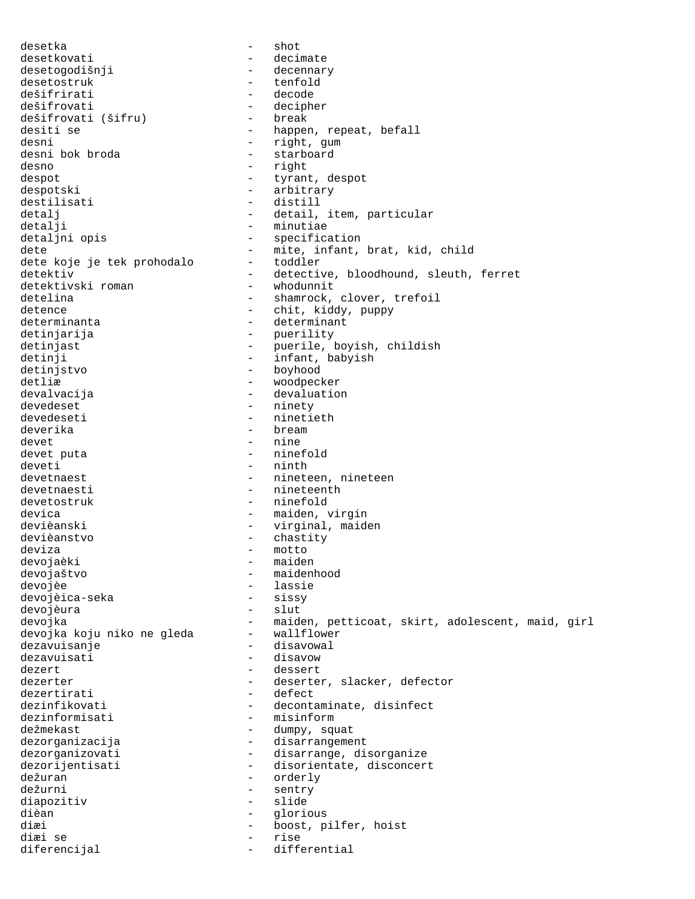desetka - shot desetkovati - decimate<br>desetogodišnji - - decennary desetogodišnji desetostruk - tenfold dešifrirati - decode dešifrovati<br>dešifrovati (šifru) - decipher<br>- break dešifrovati (šifru)<br>desiti se desiti se  $\begin{array}{ccc}\n-\text{happen, repeat, befall} \\
-\text{right, gum}\n\end{array}$ - right, gum<br>- starboard desni bok broda desno - right despot  $-$  tyrant, despot despotski - arbitrary destilisati - distill detalj - detail, item, particular detalji - minutiae<br>detaljni opis - minutiae - specifica - specification dete <sup>-</sup> mite, infant, brat, kid, child<br>dete koje je tek prohodalo - toddler dete koje je tek prohodalo detektiv - detective, bloodhound, sleuth, ferret<br>detektivski roman - whodunnit detektivski roman<br>detelina - shamrock, clover, trefoil detence - chit, kiddy, puppy determinanta  $\qquad -$  determinant detinjarija - puerility detinjast - puerile, boyish, childish detinji - infant, babyish detinjstvo - boyhood detliæ - woodpecker devalvacija - devaluation devedeset - ninety devedeseti - ninetieth deverika - bream devet - nine devet puta<br>deveti - ninth devetnaest - nineteen, nineteen devetnaesti - nineteenth devetostruk - ninefold devica<br>devièanski - maiden, virgin<br>- virginal maide devièanski - virginal, maiden devièanstvo - chastity deviza - motto devojaèki - maiden devojaštvo - maidenhood devojèe - lassie devojèica-seka devojèura - slut devojka<br>devojka koju niko ne gleda - maiden, petticoat, skirt, adolescent, maid, girl<br>devojka koju niko ne gleda - wallflower devojka koju niko ne gleda dezavuisanje - disavowal dezavuisati - disavow dezert - dessert dezerter - deserter, slacker, defector<br>dezertirati - defect dezertirati dezinfikovati - decontaminate, disinfect dezinformisati - misinform dežmekast - dumpy, squat dezorganizacija - disarrangement dezorganizovati - disarrange, disorganize<br>dezorijentisati - disorientate, disconcer - disorientate, disconcert dežuran - orderly dežurni - sentry diapozitiv - slide dièan - glorious diæi - boost, pilfer, hoist diæi se diferencijal - differential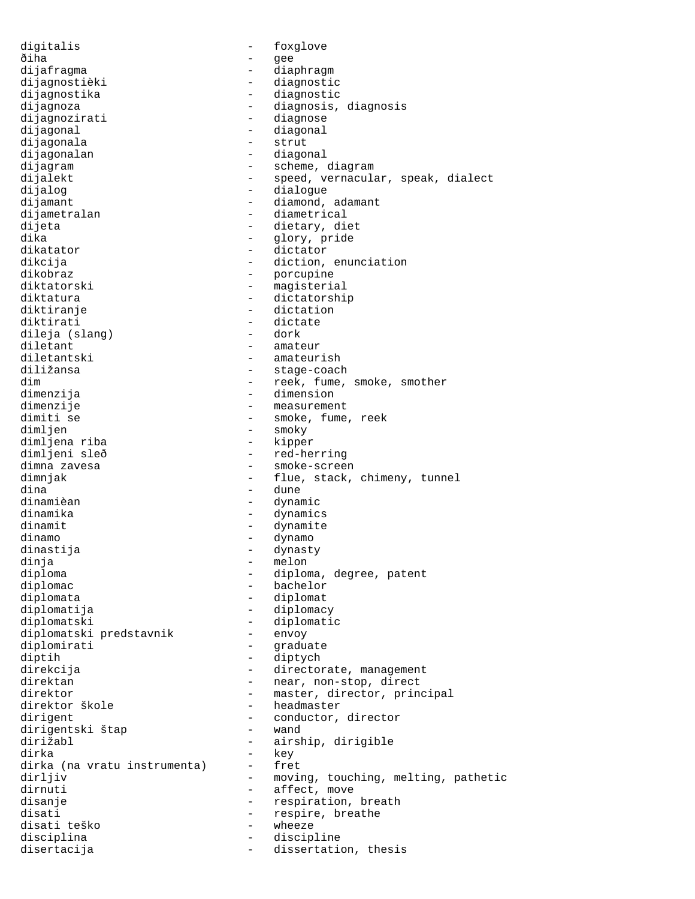digitalis - foxglove ðiha - gee dijafragma - diaphragm dijagnostièki - diagnostic dijagnostika - diagnostic dijagnoza - diagnosis, diagnosis dijagnozirati - diagnose<br>dijagonal - diagonal - diagonal dijagonal - diagonal dijagonala<br>dijagonalan dijagonalan - diagonal<br>dijagram - scheme, - scheme, diagram dijalekt - speed, vernacular, speak, dialect dijalog - dialogue dijamant - diamond, adamant dijametralan - diametrical dijeta - dietary, diet<br>dika - dietary, diet dika - glory, pride dikatator - dictator dikcija - diction, enunciation dikobraz - porcupine diktatorski - magisterial<br>diktatura - dictatorshi - dictatorship diktiranje - dictation diktirati - dictate dileja (slang) diletant - amateur diletantski - amateurish diližansa - stage-coach dim  $-$  reek, fume, smoke, smother dimenzija - dimension dimenzije - measurement - smoke, fume, reek<br>- smoky dimljen - smoky<br>dimljena riba - kipper dimljena riba<br>dimljeni sleð - red-herring dimna zavesa  $\qquad \qquad \qquad -$  smoke-screen dimnjak - flue, stack, chimeny, tunnel dina - dune dinamièan - dynamic dinamika - dynamics dinamit - dynamite dinamo - dynamo dinastija - dynasty dinja - melon diploma - diploma, degree, patent<br>diplomac - - - - - - - - bachelor diplomac - bachelor - diplomat diplomatija - diplomacy diplomatski - diplomatic<br>diplomatski predstavnik - envoy diplomatski predstavnik -<br>diplomirati diplomirati - graduate diptih - diptych direkcija - directorate, management direktan - near, non-stop, direct direktor - master, director, principal<br>direktor škole - headmaster direktor škole - headmaster - headmaster - headmaster - headmaster - headmaster - headmaster - headmaster - h<br>Andre - headmaster - headmaster - headmaster - headmaster - headmaster - headmaster - headmaster - headmaster dirigent<br>dirigentski štan - conductor, director<br>- wand dirigentski štap - wand airship, dirigible dirka - key dirka (na vratu instrumenta) dirljiv - moving, touching, melting, pathetic dirnuti - affect, move disanje - respiration, breath disati  $-$  respire, breathe disati teško - wheeze disciplina - discipline disertacija - dissertation, thesis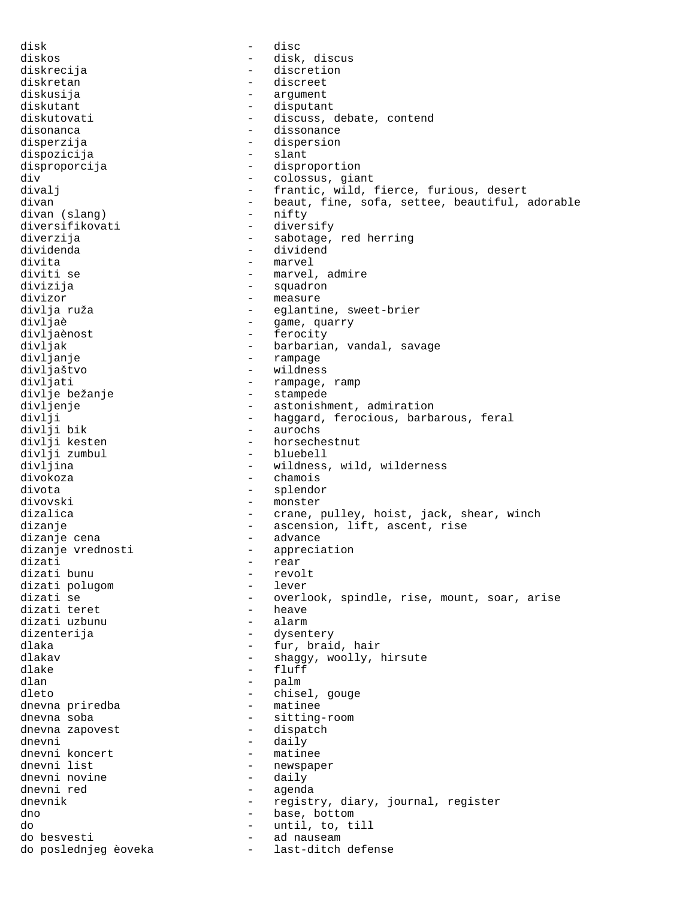disk - disc diskos - disk, discus - discretion diskretan - discreet diskusija - argument diskutant - disputant diskutovati - discuss, debate, contend<br>disonanca - dissonance disonanca<br>disperzija - dispersion - dispersion - dispersion<br>- slant dispozicija disproporcija - disproportion div - colossus, giant - frantic, wild, fierce, furious, desert divan - beaut, fine, sofa, settee, beautiful, adorable<br>divan (slang) - nifty divan (slang) diversifikovati - diversify diverzija  $-$  sabotage, red herring dividenda - dividend divita - marvel - marvel, admire divizija - squadron - measure divlja ruža  $-$  eglantine, sweet-brier divljaè  $-$  game, quarry divljaènost - ferocity divljak - barbarian, vandal, savage divljanje - rampage divljaštvo - wildness divljati - rampage, ramp<br>divlje bežanje - - stampede divlje bežanje<br>divljenje divljenje - astonishment, admiration<br>divlji - - - - - - - - haggard, ferocious, barba divlji - haggard, ferocious, barbarous, feral<br>divlji bik - aurochs divlji bik - aurochs<br>divlji kesten - horsech - horsechestnut<br>- bluebell divlji zumbul divljina - wildness, wild, wilderness divokoza - chamois divota - splendor divovski - monster dizalica  $\qquad \qquad -$  crane, pulley, hoist, jack, shear, winch dizanje  $-$  ascension, lift, ascent, rise dizanje cena - advance dizanje vrednosti - appreciation - rear<br>- revolt dizati bunu - revolt dizati polugom<br>dizati se - overlook, spindle, rise, mount, soar, arise<br>- heave dizati teret - heave dizati uzbunu dizenterija - dysentery dlaka - fur, braid, hair dlakav - shaggy, woolly, hirsute dlake - fluff dlan - palm dleto - chisel, gouge dnevna priredba dnevna soba - sitting-room dnevna zapovest dnevni - daily - daily - daily - daily - matinee dnevni koncert<br>dnevni list - newspaper<br>- daily dnevni novine<br>dnevni red - agenda dnevnik - registry, diary, journal, register dno - base, bottom do  $\begin{array}{ccc} - & \text{until, to, till} \\ \text{do besvesti} & - & \text{ad nauseum} \end{array}$ do besvesti - ad nauseam do poslednjeg èoveka - last-ditch defenses -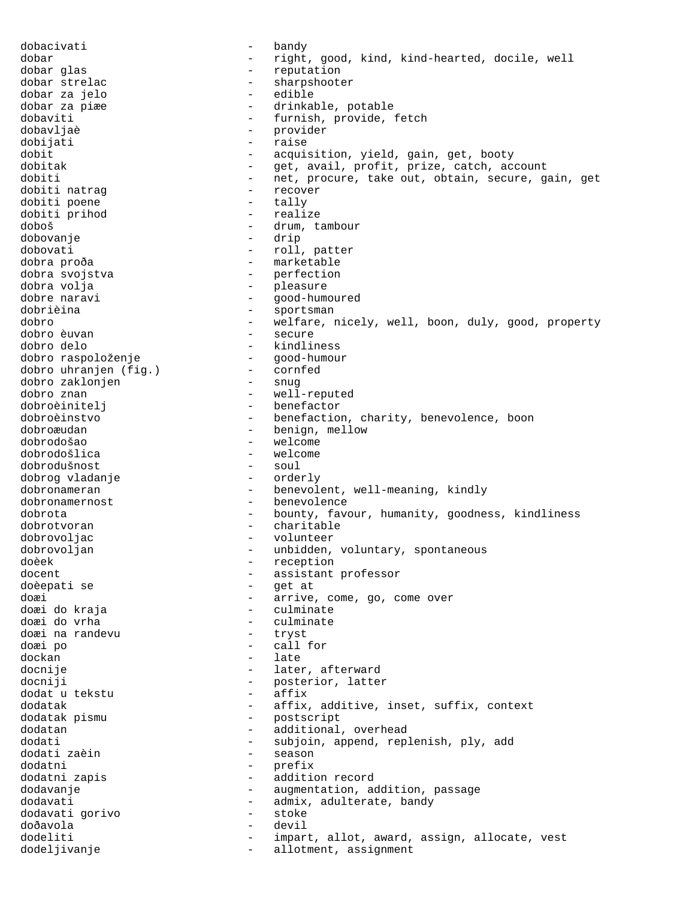dobacivati - bandy dobar - right, good, kind, kind-hearted, docile, well<br>dobar glas - reputation dobar glas  $-$  reputation dobar strelac - sharpshooter dobar za jelo - edible - drinkable, potable dobaviti - furnish, provide, fetch dobavljaè - provider dobijati - raise dobit - acquisition, yield, gain, get, booty dobitak - get, avail, profit, prize, catch, account dobiti - net, procure, take out, obtain, secure, gain, get<br>dobiti natraq dobiti natraq dobiti natrag dobiti poene  $-$  tally dobiti prihod - realize doboš - drum, tambour dobovanje dobovati - roll, patter dobra proða  $-$  marketable dobra svojstva  $-$  perfection dobra volja - pleasure good-humoured dobrièina  $-$  sportsman dobro - welfare, nicely, well, boon, duly, good, property<br>dobro euvan - secure - secure dobro delo - kindliness dobro raspoloženje - good-humour dobro uhranjen (fig.) - cornfed dobro zaklonjen<br>dobro znan - well-reputed dobroèinitelj - benefactor dobroèinstvo - benefaction, charity, benevolence, boon dobroæudan - benign, mellow - welcome<br>- welcome dobrodošlica - welcome dobrodušnost - soul dobrog vladanje dobronameran - benevolent, well-meaning, kindly dobronamernost - benevolence dobrota - bounty, favour, humanity, goodness, kindliness<br>dobrotvoran - charitable dobrotvoran - charitable dobrovoljac - volunteer dobrovoljan - unbidden, voluntary, spontaneous doèek - reception docent<br>
docenti se external docenti se external docenti se external docenti se external docential docential documents<br>
docenti se external documents and the set of the set of the set of the set of the set of the set of the doèepati se  $-$  get at doæi  $-$  arrive, come, go, come over doæi do kraja **-** culminate doæi do vrha - culminate doæi na randevu doæi po - call for dockan - late docnije - later, afterward docniji - posterior, latter dodat u tekstu - affix dodatak - affix, additive, inset, suffix, context dodatak pismu  $\qquad \qquad \qquad -$  postscript<br>dodatan  $\qquad \qquad -$  additional dodatan - additional, overhead<br>dodati - subjoin annend rep - subjoin, append, replenish, ply, add<br>- season dodati zaèin dodatni - prefix - addition record dodavanje  $\qquad \qquad -$  augmentation, addition, passage dodavati - admix, adulterate, bandy<br>dodavati qorivo - - - - - - stoke dodavati gorivo doðavola - devil dodeliti - impart, allot, award, assign, allocate, vest dodeljivanje  $\qquad \qquad -$  allotment, assignment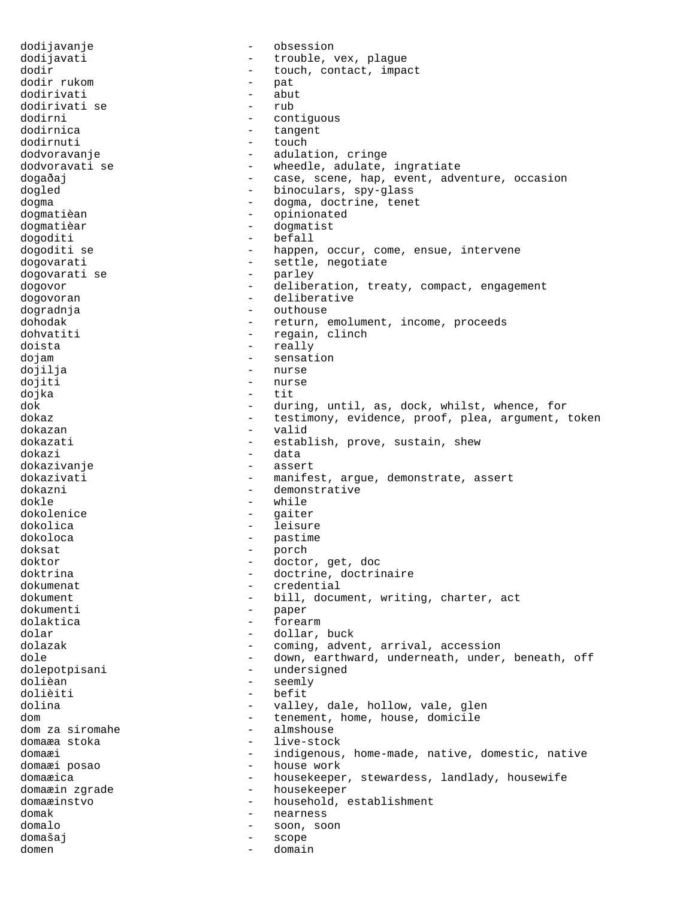dodijavanje - obsession dodijavati  $-$  trouble, vex, plague dodir  $\qquad \qquad -$  touch, contact, impact dodir rukom  $-$  pat dodirivati - abut dodirivati se<br>dodirni dodirni - contiguous<br>dodirnica - contiguous - contiguous dodirnica - tangent - touch dodvoravanje - adulation, cringe dodvoravati se  $\qquad \qquad -$  wheedle, adulate, ingratiate dogaðaj - case, scene, hap, event, adventure, occasion dogled  $\qquad \qquad -$  binoculars, spy-glass dogma  $-$  dogma, doctrine, tenet dogmatièan - opinionated dogmatièar - dogmatist dogoditi<br>dogoditi se - happen, occur, come, ensue, intervene dogovarati  $\begin{array}{ccc} - & - & - \\ - & - & - \end{array}$  esttle, negotiate dogovarati se dogovarati se energy energy and the parameter of the parameter of the parameter  $\sim$  parameter  $\sim$  parameter  $\sim$  parameter  $\sim$  parameter  $\sim$  parameter  $\sim$  parameter  $\sim$  parameter  $\sim$  parameter  $\sim$  parameter  $\sim$  pa dogovor - deliberation, treaty, compact, engagement dogovoran entry and the deliberative dogradnja - outhouse dohodak - return, emolument, income, proceeds dohvatiti - regain, clinch doista - really dojam - sensation dojilja - nurses - nurses - nurses - nurses - nurses - nurses - nurses - nurses - nurses - nurses - nurses - n dojiti - nurse dojka - tit dok - during, until, as, dock, whilst, whence, for<br>dokaz - testimony, evidence, proof, plea, argument, - testimony, evidence, proof, plea, argument, token dokazan - valid establish, prove, sustain, shew dokazi - data dokazivanje dokazivati  $-$  manifest, argue, demonstrate, assert dokazni - demonstrative dokle - while dokolenice - gaiter dokolica - leisure dokoloca - pastime doksat - porch doktor - doctor, get, doc doktrina - doctrine, doctrinaire dokumenat - credential - bill, document, writing, charter, act dokumenti - paper dolaktica - forearm dolar  $\qquad \qquad -$  dollar, buck dolazak - coming, advent, arrival, accession dole - down, earthward, underneath, under, beneath, off<br>dolenotnisani - undersigned dolepotpisani - undersigned<br>dolièan - seemly dolièan - seemly dolièiti - befit - valley, dale, hollow, vale, glen<br>- tenement, home, house, domicile dom  $\begin{array}{ccc}\n & - & \text{temperature} \\
\text{dom} & \text{z} & \text{sin} \\
\text{dom} & \text{z} & \text{sin} \\
\end{array}$ dom za siromahe<br>domaæa stoka - live-stock domaæi - indigenous, home-made, native, domestic, native domaæi posao - house work domaæica - housekeeper, stewardess, landlady, housewife domaæin zgrade  $\qquad \qquad -$  housekeeper domaæinstvo - household, establishment domak - nearness domalo - soon, soon domašaj - scope domen - domain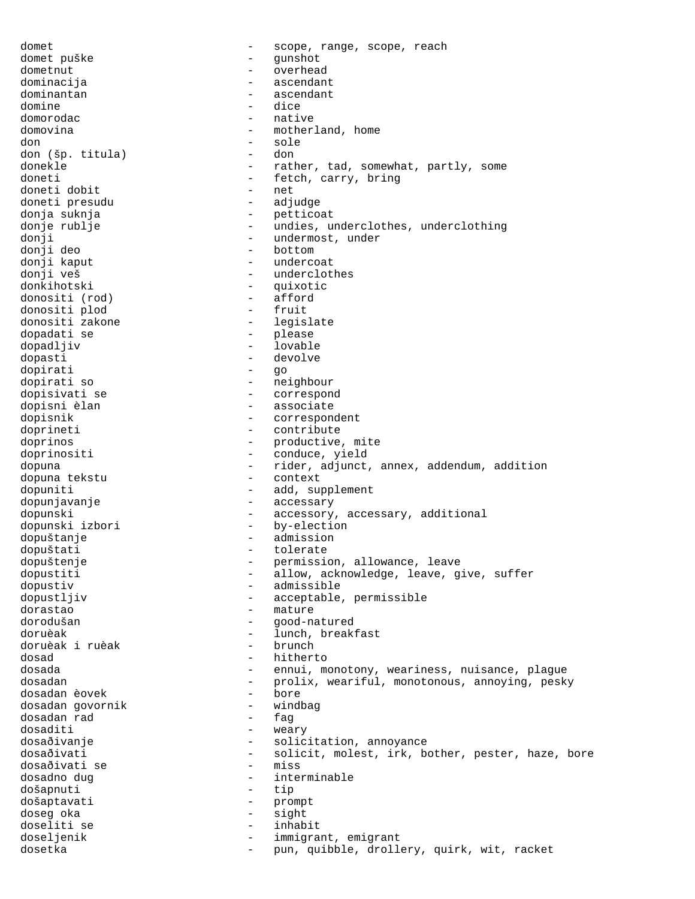domet - scope, range, scope, reach domet puške - gunshot dometnut - overhead dominacija - ascendant dominantan  $-$  ascendant domine - dice domorodac - native domovina  $\qquad \qquad -$  motherland, home don - sole don (šp. titula)<br>donekle - rather, tad, somewhat, partly, some doneti - fetch, carry, bring<br>
doneti dobit<br>
- net doneti dobit doneti presudu - adjudge donja suknja - petticoat donje rublje - undies, underclothes, underclothing donji - undermost, under donji deo<br>donji kaput donji kaput - undercoat donji veš<br>donkihotski - underclothes<br>- quixotic - quixotic<br>- afford donositi (rod) - afford<br>donositi plod - fruit donositi plod - fruit donositi zakone - legislate dopadati se<br>dopadljiv - lovable dopasti - devolve dopirati - go dopirati so  $-$  neighbour dopisivati se  $\overline{\phantom{a}}$  - correspond dopisni èlan - associate dopisnik - correspondent doprineti - contribute doprinos  $\qquad \qquad -$  productive, mite doprinositi - conduce, yield dopuna - rider, adjunct, annex, addendum, addition<br>dopuna tekstu - context - context dopuna tekstu dopuniti - add, supplement dopunjavanje - accessary dopunski<br>dopunski izbori by-election<br>by-election - by-election dopuštanje - admission dopuštati - tolerate dopuštenje - permission, allowance, leave dopustiti - allow, acknowledge, leave, give, suffer dopustiv - admissible dopustljiv - acceptable, permissible dorastao - mature dorodušan - good-natured doruèak - lunch, breakfast<br>doruèak i ruèak - hrunch - brunch doruèak i ruèak dosad - hitherto dosada - ennui, monotony, weariness, nuisance, plague<br>dosadan - ennuix weariful monotonous annoving pask dosadan - prolix, weariful, monotonous, annoying, pesky<br>dosadan èovek - bore dosadan èovek - bore dosadan govornik - windbag dosadan rad - fag dosaditi - weary - solicitation, annoyance dosaðivati - solicit, molest, irk, bother, pester, haze, bore<br>dosaðivati se - miss dosaðivati se dosadno dug<br>došapnuti - interminable<br>- tip došapnuti došaptavati - prompt doseg oka - sight doseliti se inhabitat se inhabitat se inhabitat se inhabitat se inhabitat se inhabitat se inhabitat se inhabitat se doseljenik - immigrant, emigrant dosetka - pun, quibble, drollery, quirk, wit, racket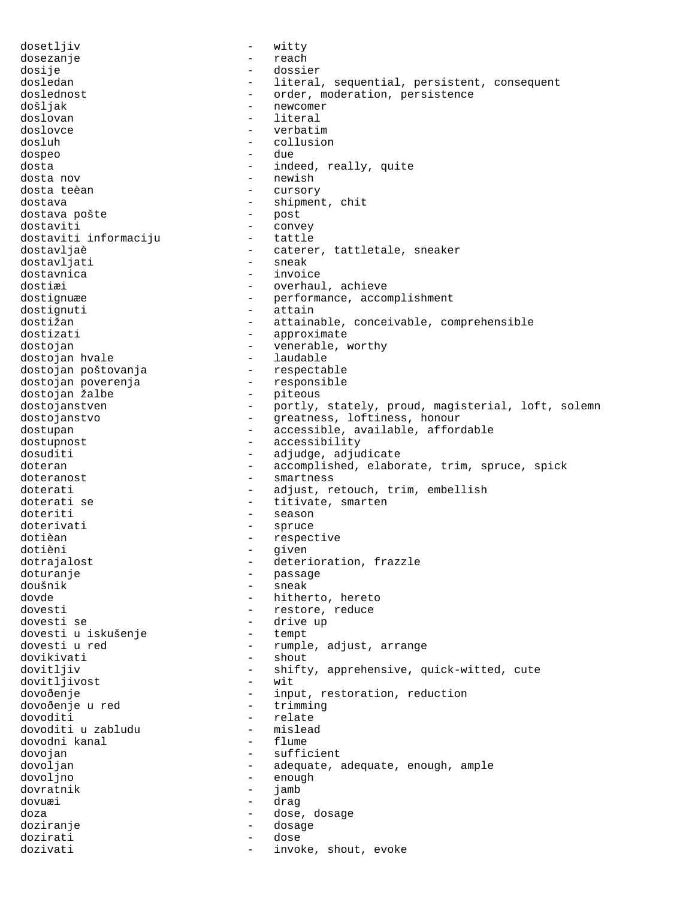dosetljiv - witty dosezanje - reach dosije - dossier dosledan - literal, sequential, persistent, consequent doslednost - order, moderation, persistence došljak - newcomer doslovan doslovce - verbatim dosluh - collusion dospeo - due dosta  $\overline{\phantom{a}}$  - indeed, really, quite dosta nov  $-$  newish dosta teèan  $-$  cursory dostava  $\begin{array}{ccc} - & \text{shipment, chit} \\ - & \text{post} \end{array}$ dostava pošte - post dostaviti - convey dostaviti informaciju dostavljaè - caterer, tattletale, sneaker<br>dostavljati - - sneak dostavljati dostavnica - invoice dostiæi - overhaul, achieve dostignuæe en en en en en erformance, accomplishment dostignuti - attain dostižan - attainable, conceivable, comprehensible dostizati - approximate dostojan - venerable, worthy dostojan hvale - laudable dostojan poštovanja dostojan poverenja<br>dostojan žalbe - responsible - piteous dostojan žalbe dostojanstven - portly, stately, proud, magisterial, loft, solemn dostojanstvo - greatness, loftiness, honour dostupan - accessible, available, affordable dostupnost - accessibility dosuditi - adjudge, adjudicate doteran - accomplished, elaborate, trim, spruce, spick doteranost - smartness doterati - adjust, retouch, trim, embellish doterati se  $-$  titivate, smarten doteriti - season doterivati - spruce dotièan - respective<br>dotièni - respective<br>civen dotièni - given dotrajalost - deterioration, frazzle doturanje - passage doušnik - sneak - hitherto, hereto dovesti  $-$  restore, reduce dovesti se<br>dovesti u iskušenje<br>
- tempt<br>
- tempt dovesti u iskušenje dovesti u red - - - - - - - - - - - - - rumple, adjust, arrange dovikivati - shout dovitljiv - shifty, apprehensive, quick-witted, cute dovitljivost - wit<br>dovoðenie - inp dovoðenje - input, restoration, reduction<br>dovoðenie u red - input, restoration, reduction dovoðenje u red - trimmingar - trimmingar - trimmingar - trimmingar - trimmingar - trimmingar - trimmingar - t<br>Trimmingar - trimmingar - trimmingar - trimmingar - trimmingar - trimmingar - trimmingar - trimmingar - trimmin dovoditi - relate dovoditi u zabludu - mislead dovodni kanal dovojan - sufficient dovoljan - adequate, adequate, enough, ample dovoljno - enough dovratnik - jamb dovuæi - drag doza - dose, dosage doziranje - dosage dozirati - dose dozivati  $-$  invoke, shout, evoke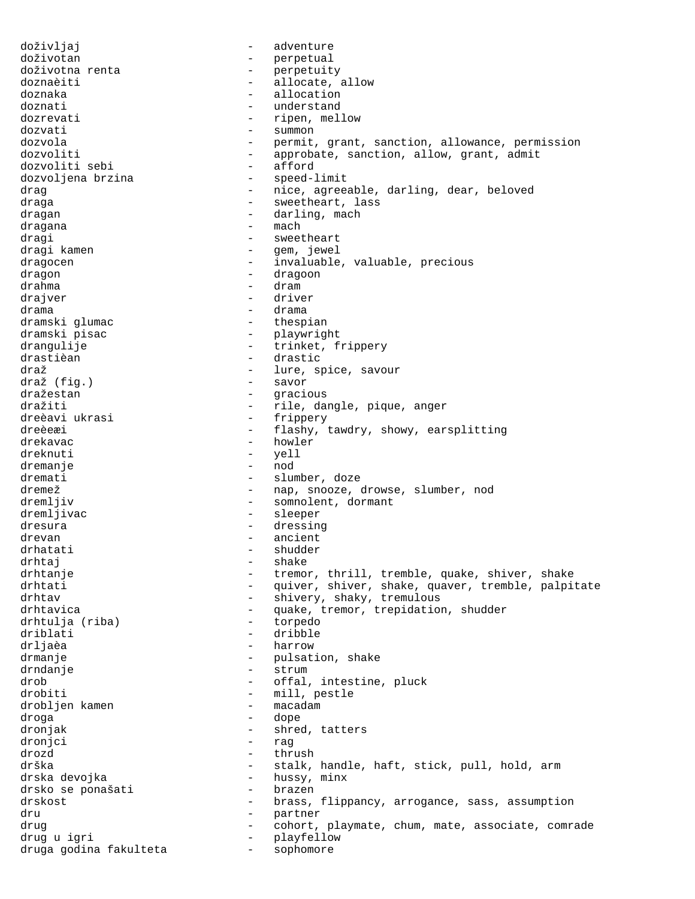doživljaj - adventure doživotan - perpetual doživotna renta - perpetuity dozivotna ienea<br>doznaèiti - allocate, allow doznaka - allocation - allocation doznati - understand dozrevati - ripen, mellow dozvati - summon dozvola - permit, grant, sanction, allowance, permission dozvoliti - approbate, sanction, allow, grant, admit<br>dozvoliti sebi - afford dozvoliti sebi - afford dozvoljena brzina drag extending the nice, agreeable, darling, dear, beloved draga - sweetheart, lass dragan - darling, mach<br>dragana - mach - mach dragana - machina - machina - machina - machina - machina - machina - machina - machina - machina - machina - <br>draoi dragi - sweetheart<br>dragi kamen - sweetheart - sweetheart - gem, jewel dragocen - invaluable, valuable, precious dragon - dragoon - dragoon drahma - dram drajver - driver drama - drama dramski glumac dramski pisac  $-$  playwright drangulije - trinket, frippery drastièan - drastic draž - lure, spice, savour - savor dražestan - gracious dražiti - rile, dangle, pique, anger<br>dreèavi ukrasi - rile, frippery - frippery dreèeæi - flashy, tawdry, showy, earsplitting<br>drekavac - howler - howler dreknuti - yell dremanje - nod dremati - slumber, doze dremež - nap, snooze, drowse, slumber, nod dremljiv - somnolent, dormant dremljivac - sleeper dresura - dressing - dressing drevan - ancient<br>drhatati - ancient - ancient drhatati - shudder drhtaj - shake drhtanje - tremor, thrill, tremble, quake, shiver, shake drhtati - quiver, shiver, shake, quaver, tremble, palpitate<br>
- shivery shaky tremulous - shivery, shaky, tremulous drhtavica - quake, tremor, trepidation, shudder<br>drhtulia (riba) - torpedo drhtulja (riba) driblati - dribble drljaèa - harrow drmanje - pulsation, shake drndanje - strum drob  $\qquad \qquad -$  offal, intestine, pluck drobiti - mill, pestle drobljen kamen - macadamamaca - macadamamaca - macadamamaca - macadamamaca - macadamamaca - macadamamaca - maca droga - dope dronjak - shred, tatters dronjci - rag drozd - thrush drška - stalk, handle, haft, stick, pull, hold, arm drska devojka<br>drsko se ponašati - hussy, minx drsko se ponašati drskost - brass, flippancy, arrogance, sass, assumption<br>dru - partner dru - partner drug extending the cohort, playmate, chum, mate, associate, comrade drug u igri - playfellow druga godina fakulteta  $-$  sophomore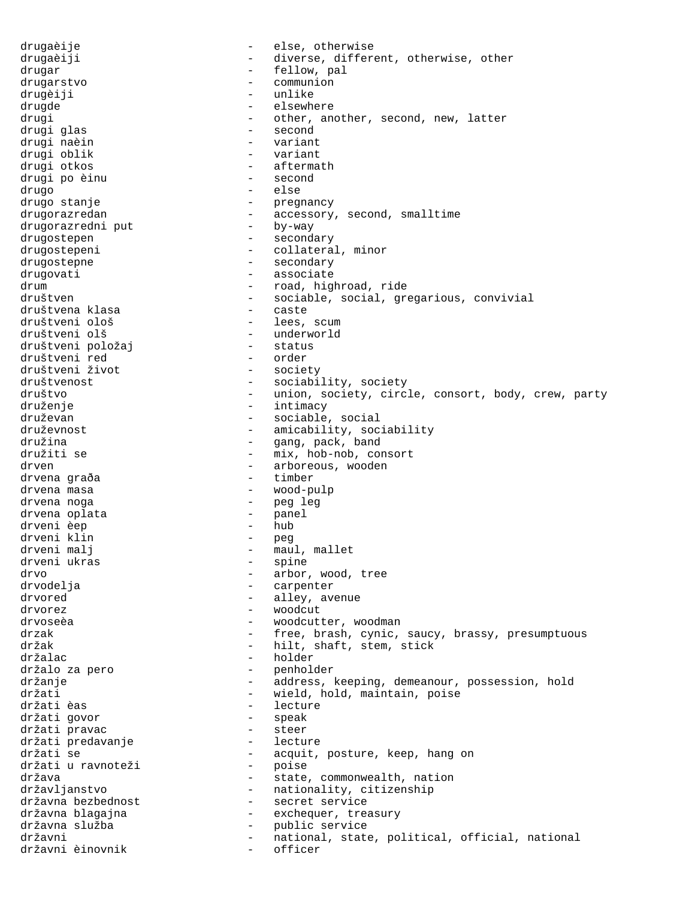drugaèije - else, otherwise drugaèiji  $-$  diverse, different, otherwise, other drugar - fellow, pal drugarstvo - communion drugèiji - unlike drugde - elsewhere drugi - other, another, second, new, latter<br>drugi glas - second - second - second<br>- variant drugi naèin - variant drugi oblik drugi otkos - aftermath drugi po èinu drugo - else drugo stanje - bregnancy drugorazredan - accessory, second, smalltime drugorazredni put - by-way drugostepen - secondary drugostepeni - collateral, minor drugostepne - secondary drugovati - associate drum - road, highroad, ride<br>društven - road, highroad, ride<br>- sociable, social, gre - sociable, social, gregarious, convivial<br>- caste društvena klasa<br>društveni ološ društveni ološ - lees, scum društveni olš - underworld društveni položaj - status društveni red - order društveni život<br>društvenost - sociability, society društvo - union, society, circle, consort, body, crew, party druženje - intimacy druževan - sociable, social druževnost<br>
- amicability, sociability<br>
- and pack hand<br>
- and pack hand - gang, pack, band družiti se  $-$  mix, hob-nob, consort drven - arboreous, wooden - arboreous, wooden - arboreous, wooden - timber drvena graða drvena masa  $\qquad \qquad \qquad -$  wood-pulp drvena noga<br>drvena oplata - peg leg - panel drvena oplata - panel drveni èep drveni klin<br>drveni malj - peg<br>- maul, mallet<br>- spine drveni ukras drvo drvo - arbor, wood, tree drvodelja (1999)<br>drvodelja (1999) - carpenter (1999) - carpenter (1999) - carpenter (1999) - carpenter (1999) - carpenter (1999) - carpenter (1999) - carpenter (1999) - carpenter (1999) - carp drvodelja - carpenter - alley, avenue drvorez - woodcut drvoseèa - woodcutter, woodman drzak - free, brash, cynic, saucy, brassy, presumptuous držak - hilt, shaft, stem, stick držalac - holder držalo za pero - penholder držanje - address, keeping, demeanour, possession, hold držati - wield, hold, maintain, poise - lecture<br>- speak držati govor - speak držati pravac - steer držati predavanje<br>držati se - acquit, posture, keep, hang on<br>- poise držati u ravnoteži<br>država - state, commonwealth, nation državljanstvo - nationality, citizenship državna bezbednost - secret service - exchequer, treasury državna služba - public service<br>državni - national, state državni - national, state, political, official, national<br>državni šinovnik - officer državni èinovnik  $-$  officer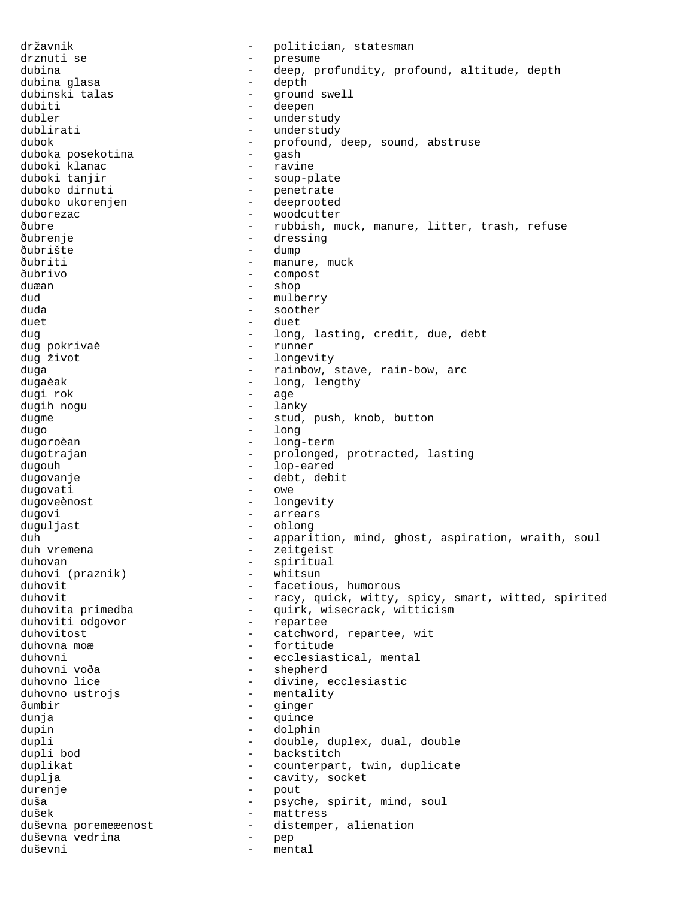državnik - politician, statesman drznuti se  $-$  presume dubina - deep, profundity, profound, altitude, depth<br>dubina qlasa - depth dubina glasa dubinski talas - ground swell dubiti - deepen<br>dubler - underst dubler - understudy dublirati - understudy<br>dubok - profound. - profound, deep, sound, abstruse<br>- gash duboka posekotina - gash duboki klanac<br>duboki tanjir duboki tanjir - soup-plate - penetrate duboko ukorenjen - deeprooted duborezac - woodcutter ðubre - rubbish, muck, manure, litter, trash, refuse ðubrenje - dressing ðubrište ðubriti - manure, muck ðubrivo - compost duæan - shop - mulberry duda - soother - soother duet - duet - long, lasting, credit, due, debt<br>- runner dug pokrivaè dug život - longevity duga - rainbow, stave, rain-bow, arc long, lengthy dugi rok - age dugih nogu dugme - stud, push, knob, button dugo - long dugoroèan - long-term dugotrajan - prolonged, protracted, lasting dugouh - lop-eared dugovanje - debt, debit dugovati dugoveènost <br/> - longevity <br/> - longevity dugovi - arrears duguljast - oblong duh - apparition, mind, ghost, aspiration, wraith, soul<br>duh vremena - zeitgeist - zeitgeist<br>- spiritual duhovan - spiritual<br>duhovi (praznik) - whitsun - whitsun duhovi (praznik)<br>duhovit duhovit - facetious, humorous<br>duhovit - facetious, humorous<br>- racy, quick, witty, duhovit - racy, quick, witty, spicy, smart, witted, spirited<br>duhovita primedba - quirk, wisecrack, witticism - quirk, wisecrack, witticism<br>- repartee duhoviti odgovor duhovitost  $-$  catchword, repartee, wit duhovna moæ  $-$  fortitude duhovni - ecclesiastical, mental - shepherd duhovno lice - divine, ecclesiastic duhovno ustrojs - mentality ðumbir - ginger<br>dunia - aujude dunja - quince dupin - dolphin dupli - double, duplex, dual, double<br>dupli bod - backstitch - backstitch - backstitch duplikat - counterpart, twin, duplicate duplja - cavity, socket durenje - pout duša - psyche, spirit, mind, soul dušek - mattress<br>duševna poremeæenost - distemper duševna poremeæenost - distemper, alienation<br>duševna vedrina - - - - - - - pep duševna vedrina - pep mental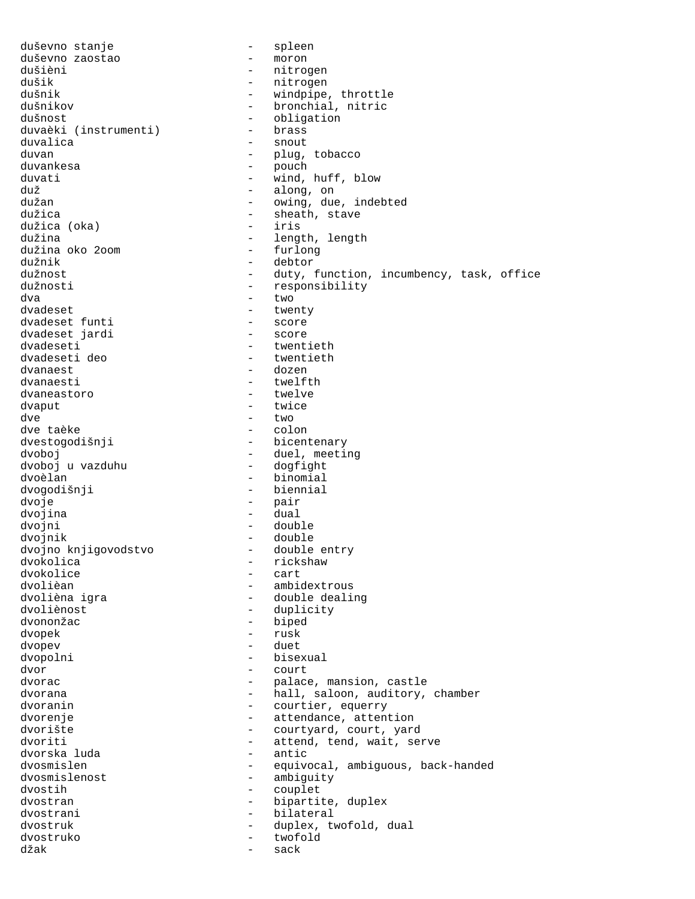duševno stanje - spleen duševno zaostao<br>dušièni dušièni - nitrogen dušik - nitrogen<br>dušnik - windpipe dušnik - windpipe, throttle<br>dušnikov - bronchial, nitric dušnikov - bronchial, nitric<br>dušnost - obligation - obligation<br>- brass duvaèki (instrumenti)<br>duvalica - snout duvan - plug, tobacco - pouch duvati - wind, huff, blow<br>duž - along, on - along, on dužan - owing, due, indebted dužica - sheath, stave - sheath, stave - sheath, stave - sheath, stave - sheath, stave - sheath, stave - sheath, stave - sheath, stave - sheath, stave - sheath, stave - sheath, stave - sheath, stave - sheath, stave - sheat dužica (oka)<br>dužina - length, length<br>- furlong dužina oko 200m<br>dužnik dužnik - debtor dužnost - duty, function, incumbency, task, office dužnosti - responsibility<br>dva - two<br>- two - two dvadeset - twenty dvadeset funti - score dvadeset jardi dvadeseti - twentieth dvadeseti deo  $-$  twentieth dvanaest - dozen - twelfth<br>- twelve dvaneastoro dvaput - twice<br>dve - two - two - two<br>- colon dve taèke<br>dvestogodišnji - bicentenary dvoboj<br>dvoboj u vazduhu - duel, meeting<br>- dogfight dvoboj u vazduhu dvoèlan - binomial dvogodišnji dvoje - pair dvojina - dual dvojni - double dvojnik - double<br>dvojno knjigovodstvo - - double entry dvojno knjigovodstvo<br>dvokolica dvokolica - rickshaw - rickshaw<br>dvokolice - rickshaw - rickshaw dvokolice - cart dvolièan<br>dvolièna igra double deali - double dealing dvoliènost - duplicity dvononžac - biped dvopek - rusk dvopev - duet dvopolni - bisexual dvor - court dvorac  $\qquad \qquad -$  palace, mansion, castle dvorana  $\qquad \qquad -$  hall, saloon, auditory, chamber dvoranin dvoranin - courtier, equerry dvorenje - attendance, attention dvorište - courtyard, court, yard<br>dvoriti - attend, tend, wait, se - attend, tend, wait, serve<br>- antic dvorska luda dvosmislen - equivocal, ambiguous, back-handed dvosmislenost - ambiguity dvostih - couplet dvostran - bipartite, duplex dvostrani - bilateral dvostruk - duplex, twofold, dual dvostruko - twofold džak - sack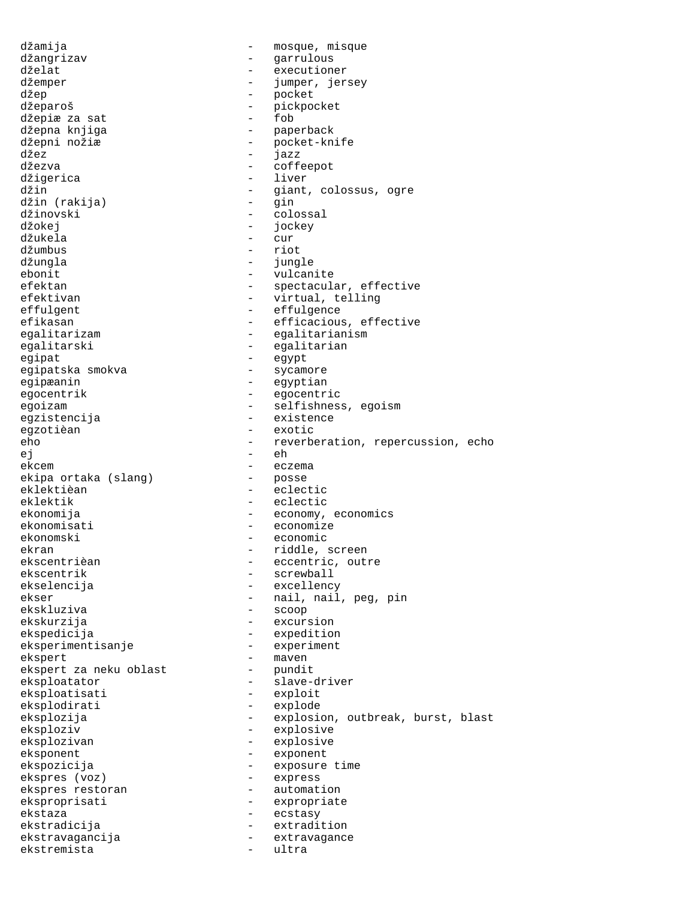džamija - mosque, misque džangrizav - garrulous dželat - executioner džemper - jumper, jersey džep - pocket - pickpocket<br>- fob džepiæ za sat<br>džepna knjiga džepna knjiga - paperback - pocket-knife džez - jazz džezva - coffeepot - liver džin - giant, colossus, ogre džin (rakija) džinovski - colossal džokej - jockey džukela - cur džumbus – riotus – riotus – riotus – riotus – riotus – riotus – riotus – riotus – riotus – riotus – riotus – r jungle ebonit - vulcanite efektan - spectacular, effective<br>efektivan - spectacular, effective - virtual, telling effulgent - effulgence efikasan - efficacious, effective egalitarizam - egalitarianism egalitarski - egalitarian egipat - egypt egipatska smokva egipæanin - egyptian egocentrik - egocentric egoizam - selfishness, egoism egzistencija - existence egzotièan - exotic - reverberation, repercussion, echo ej - eh ekcem - eczema<br>ekipa ortaka (slang) - posse ekipa ortaka (slang) eklektièan - eclectic eklektik - eclectic ekonomija - economy, economics ekonomisati - economize ekonomski - economic ekran - riddle, screen<br>ekscentrièan - eccentric, out ekscentrièan - eccentric, outre ekscentrik - eccentric, outre exscentric ekscentrik - screwball<br>ekselencija - excellenc - excellency ekser - nail, nail, peg, pin ekskluziva - scoop ekskurzija - excursion ekspedicija - expedition eksperimentisanje ekspert - maven ekspert za neku oblast eksploatator - slave-driver eksploatisati eksplodirati - explode eksplozija - explosion, outbreak, burst, blast eksploziv - explosive - explosive eksponent exponent - exponent ekspozicija - exposure time<br>ekspres (voz) - express ekspres (voz) - express ekspres restoran eksproprisati - expropriate ekstaza - ecstasy ekstradicija<br>ekstradicija - extradi ekstradicija - extradition ekstravagancija - extravagance<br>ekstremista ekstremista - ultra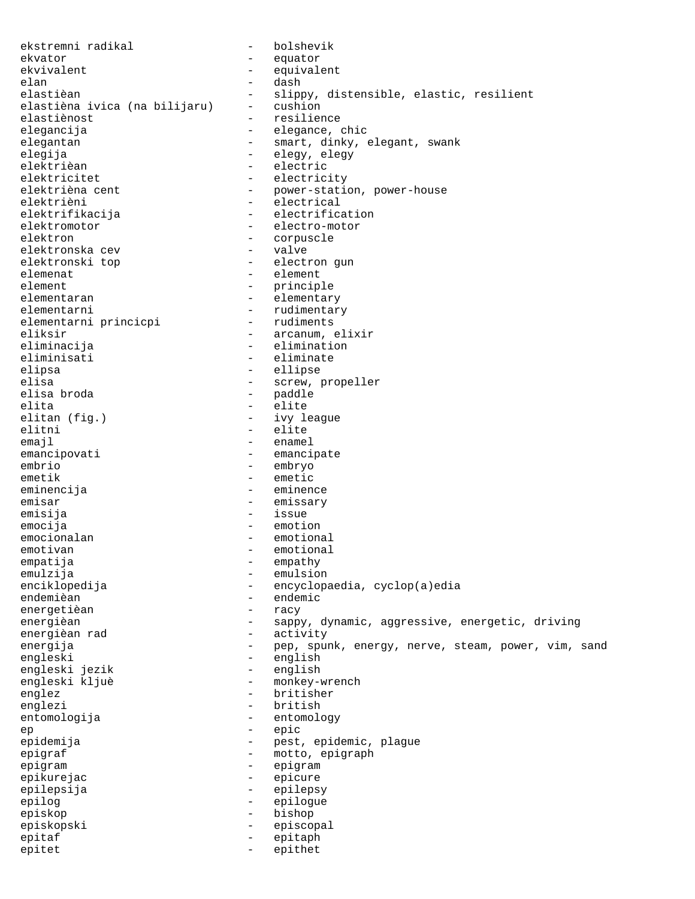ekstremni radikal - bolshevik ekvator - equator ekvivalent - equivalent elan - dash elastièan<br>elastièna ivica (na bilijaru) - cushion<br>elastièna ivica (na bilijaru) - cushion elastièna ivica (na bilijaru)<br>elastiènost elastiènost - resilience elegancija - elegance, chic<br>elegantan - elegant, dinky, e elegantan - smart, dinky, elegant, swank<br>elegija - elegy, elegy elegija - elegy, elegy elektrièan - electric elektricitet - electricity - power-station, power-house elektrièni - electrical elektrifikacija - electrification elektromotor - electro-motor elektron - corpuscle<br>elektronska cev - valve - valve elektronska cev elektronski top and allektron gun elemenat - element<br>element - element - princip element - principle - elementary elementarni<br>
elementarni princicpi - rudimentary<br>
- rudiments elementarni princicpi eliksir - arcanum, elixir<br>eliminacija - elimination - elimination - elimination eliminisati - eliminate elipsa - ellipse elisa - screw, propeller - paddle<br>- elite elita - elite - ivy league elitni - elite emajl - enamel - emancipate embrio - embryo emetik - emetic eminencija - eminence emisar - emissary emisija - issue emocija - emotion emocionalan - emotional emotivan - emotional empatija - empathy emulzija - emulsion enciklopedija - encyclopaedia, cyclop(a)edia<br>endemièan - endemic - endemic<br>- racy energetièan energièan - sappy, dynamic, aggressive, energetic, driving energièan rad  $-$  activity energija - pep, spunk, energy, nerve, steam, power, vim, sand engleski - english engleski jezik - english engleski kljuè  $-$  monkey-wrench englez - britisher englezi - british entomologija - entomology ep - epic - pest, epidemic, plague epigraf - motto, epigraph epigram - epigram epikurejac - epicure epilepsija - epilepsy epilog - epilogue episkop - bishop episkopski - episcopal epitaf - epitaph epitet - epithet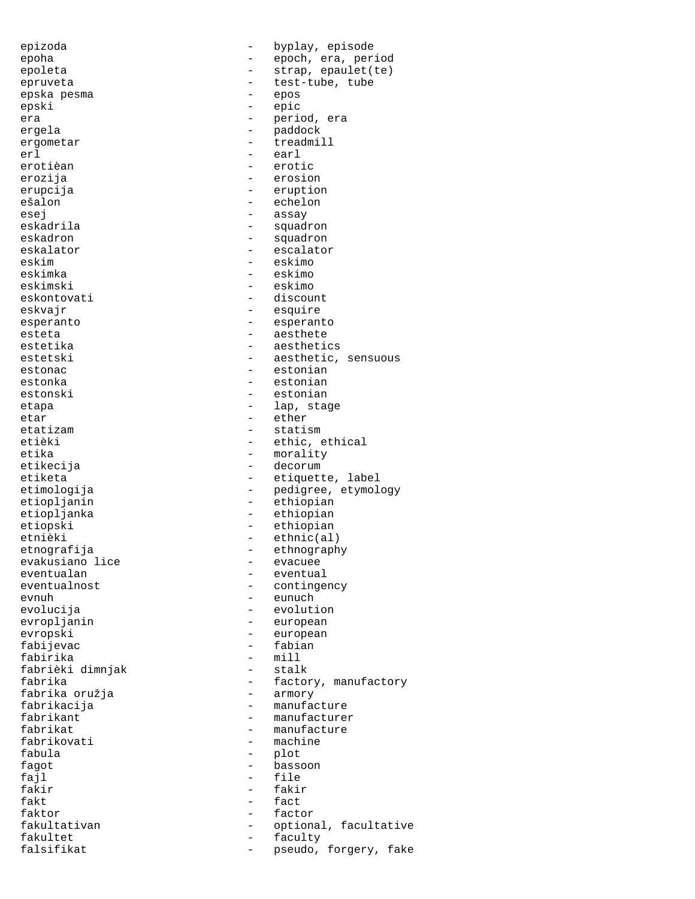epizoda - byplay, episode epoha - epoch, era, period epoleta - strap, epaulet(te) epruveta entre test-tube, tube epska pesma - epos epski – en verski – en verski – en verski – en verski – en verski – en verski – en verski – en verski – en verski – en verski – en verski – en verski – en verski – en verski – en verski – en verski – en verski – en verski era - period, era ergometar - treadmill erl - earl erotièan - erotic erozija - erosion erupcija - eruption ešalon - echelon esej - assay eskadron - squadron - squadron eskalator - escalator - escalator<br>eskim - eskimo eskim - eskimo eskimka - eskimo eskimski - eskimo<br>eskontovati - discou eskvajr - esquire esteta - aesthete estetika - aesthetics estetski - aesthetic, sensuous estonac - estonian estonka - estonian estonski - estonian<br>etapa - estonian<br>- lap sta etapa - lap, stage etar - ether - ether<br>etatizam - stati; etatizam - statism etièki - ethic, ethical<br>etika - ethic, ethical<br>- morality etikecija - decorum etiketa  $-$  etiquette, label etimologija  $-$  pedigree, etymology etiopljanin - ethiopian etiopljanka - ethiopian etiopski - ethiopian<br>ethièki - ethnic(al etnièki - ethnic(al)<br>etnografija - ethnograph evakusiano lice eventualan - eventual eventualnost - contingency evolucija - evolution evropljanin - european evropski - european fabijevac - fabian fabirika - mill fabrièki dimnjak fabrika - factory, manufactory<br>fabrika oružja - factory - armory fabrika oružja fabrikacija - manufacture fabrikant - manufacturer<br>fabrikat - manufacture fabrikat - manufacture fabula - plot fagot - bassoon fajl - file  $fakt$   $fact$ faktor - factor fakultativan - optional, facultative fakultet - faculty<br>falsifikat - nseudo falsifikat  $-$  pseudo, forgery, fake

paddock - squadron - discount esperanto - esperanto - morality - ethnography<br>- evacuee - eunuch - machine fakir - fakir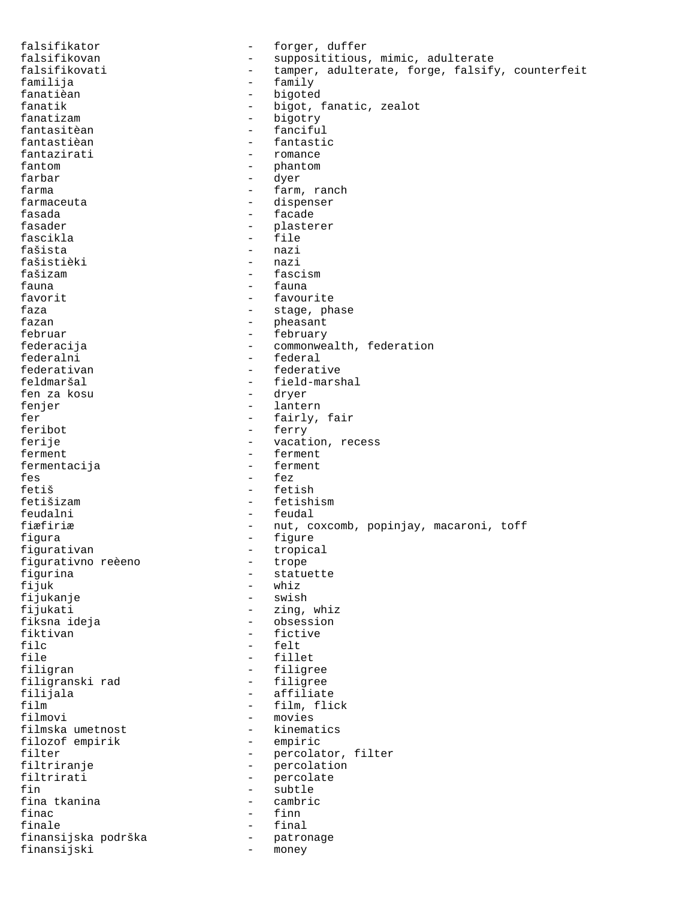falsifikator  $-$  forger, duffer falsifikovan - supposititious, mimic, adulterate - tamper, adulterate, forge, falsify, counterfeit familija - family fanatièan - bigoted fanatik - bigot, fanatic, zealot fanatizam - bigotry fantasitèan - fanciful - fantastic fantazirati - romance fantom - phantom - phantom farbar - dyer farma  $-$  farm, ranch farmaceuta  $\qquad \qquad -$  dispenser fasada - facade fasader - plasterer fascikla - file - nazi<br>- nazi fašistièki<br>fašizam fašizam - fascism fauna - fauna - favourite faza - stage, phase<br>fazan - stage, phasant - pheasant februar - february - february federacija - commonwealth, federation federalni - federalni - federal<br>federativan - federati - federative feldmaršal - field-marshal fen za kosu fenjer - lantern fer - fairly, fair<br>feribot - ferry - ferry feribot - ferry - ferry - ferry - ferry - ferry - ferry - ferry - ferry - ferry - ferry - ferry - ferry - ferry - ferry - ferry - ferry - ferry - ferry - ferry - ferry - ferry - ferry - ferry - ferry - ferry - ferry - ferr ferije - vacation, recess<br>ferment - ferment - ferment ferment - ferment fermentacija fes - fez - fetish fetišizam - fetishism feudalni - feudal fiæfiriæ - nut, coxcomb, popinjay, macaroni, toff<br>figura - figure - figure figura - figure figurativan - tropical figurativno reèeno<br>figurina figurina  $\begin{array}{ccc} - & + \\ - & \text{statu} \\ \text{fijuk} & - \\ \text{whiz} & - \end{array}$ - whiz<br>- swish fijukanje fijukati - zing, whiz fiksna ideja<br>fiktivan - obsession<br>fiktivan - fictive - fictive filc - felt file - fillet filigran - filigree<br>filiqranski rad - filigree filigranski rad<br>filijala filijala - affiliate film  $\begin{array}{cccc} - & f \text{ilm}, f \text{lick} \\ f \text{ilm} & - & \text{movies} \end{array}$ - movies<br>- kinematics filmska umetnost - kinematics filozof empirik<br>filter - percolator, filter filtriranje - percolation filtrirati - percolate<br>fin - subtle - subtle fina tkanina - cambric finac - finn finale - final finansijska podrška - patronage - patronage - patronage - patronage - patronage - patronage - patronage - patronage finansijski - money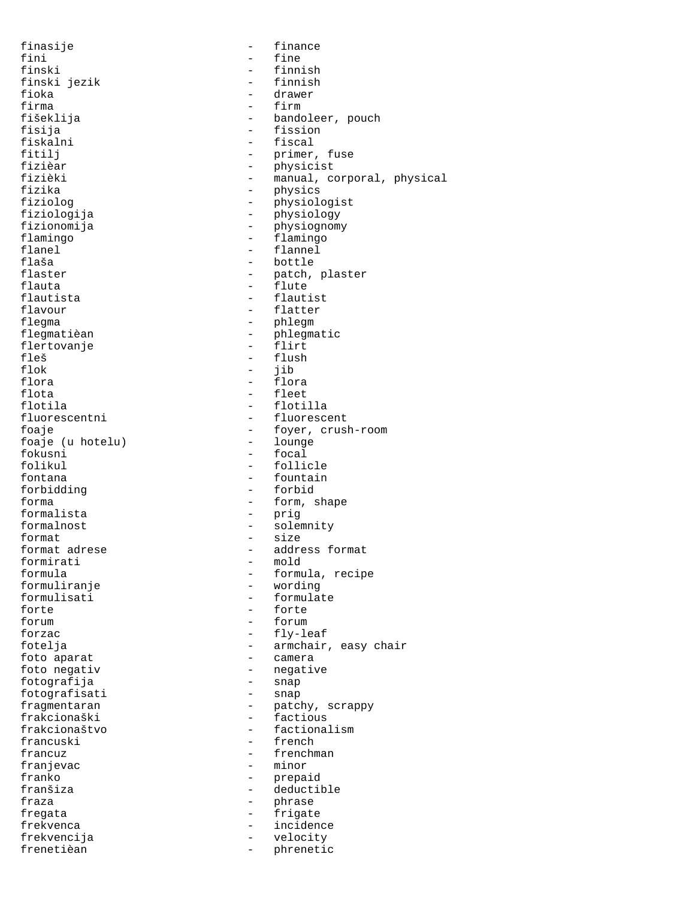finasije - finance<br>fini - fine - fine fini - fine finski jezik<br>fioka fioka - drawer firma - firm fisija - fission fizièar - physicist fizika - physics<br>fiziolog - physiolog - physiolog fiziologija - physiology fizionomija - physiognomy flamingo - flamingo flanel - flannel<br>flaša - bottle - bottle flaša - bottle flauta - flute flautista - flautist flavour - flatter<br>fleqma - helema - phleqma flegma - phlegm flertovanje fleš - flush - flush - flush - flush - flush - flush - flush - flush - flush - flush - flush - flush - flush - flush - flush - flush - flush - flush - flush - flush - flush - flush - flush - flush - flush - flush - flush flok - jib flora - flora flota - fleet flotila - flotilla fluorescentni - fluorescentni - fluorescentni<br>foaje - foyer, crus foaje (u hotelu)<br>fokusni fokusni - focal<br>folikul - folikul - folikul fontana - fountain<br>forbidding - forbid forbidding forma - form, shape formalista - prig formalnost - solemnity format  $\overline{a}$  = size<br>format adrese  $\overline{a}$  = addre formirati<br>formula formuliranje<br>formulisati formulisati - formulate<br>forte - forte - forte forte - forte - forte - forte - forte - forte - forte - forte - forte - forte - forte - forte - forte - forte - forte - forte - forte - forte - forte - forte - forte - forte - forte - forte - forte - forte - forte - forte forzac  $-$  fly-leaf foto aparat  $\qquad \qquad -$  camera foto negativ - negative fotografija - snap fotografisati<br>fraqmentaran frakcionaški - factious francuz extensive the frenchman franjevac - minor franko - prepaid fraza - phrase - phrase fregata - frigate frekvenca - incidence<br>frekvencija - velocity - velocity

- finnish<br>- finnish fišeklija - bandoleer, pouch<br>fisija - - - - - - - - - - fission - fiscal fitilj - primer, fuse<br>fizièar - primer, fuse fizièki - manual, corporal, physical - physiologist flaster - patch, plaster<br>flauta - flute - flute - phlegmatic<br>- flirt - foyer, crush-room<br>- lounge - follicle - address format<br>- mold - formula, recipe<br>- wording forum - forum fotelja - armchair, easy chair fragmentaran - patchy, scrappy<br>frakcionaški - factious frakcionaštvo - factionalism - french - deductible - velocity<br>- phreneti frenetièan - phrenetic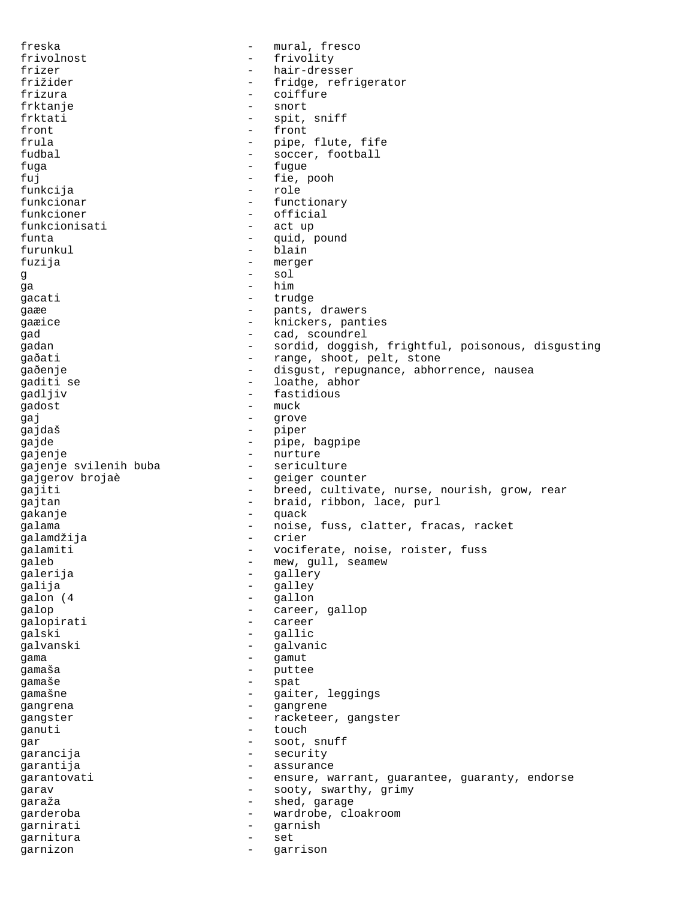freska - mural, fresco frivolnost - frivolity frizer - hair-dresser - fridge, refrigerator frizura - coiffure frktanje – snort<br>frktati – snort frktati - spit, sniff<br>front - front - front front - front - front - front - front - front - front - front - front - front - front - front - front - front - front - front - front - front - front - front - front - front - front - front - front - front - front - front - pipe, flute, fife fudbal - soccer, football fuga - fugue - fugue fuj - fie, pooh funkcija - role funkcionar  $-$  functionary funkcioner - official<br>funkcionisati - act up funkcionisati - act up act up act up act up act up act up act up act up act up act up act up act up act up act u funta  $-$  quid, pound furunkul - blain fuzija - merger g  $\overline{g}$  - sol  $\overline{g}$  - sol  $\overline{g}$ qa - him gacati - trudge gaæe - pants, drawers gaæice - knickers, panties qad - cad, scoundrel gadan - sordid, doggish, frightful, poisonous, disgusting gaðati - range, shoot, pelt, stone gaðenje - disgust, repugnance, abhorrence, nausea gaditi se  $\overline{\phantom{a}}$  - loathe, abhor<br>gadliw gadljiv - fastidious gadost - much - much - much - much - much - much - much - much - much - much - much - much - much - much - much - much - much - much - much - much - much - much - much - much - much - much - much - much - much - much - muc gaj en el estado en el estado en el estado en el estado en el estado en el estado en el estado en el estado en<br>En el estado en el estado en el estado en el estado en el estado en el estado en el estado en el estado en el gajdaš - piper gajde - pipe, bagpipe gajenje - nurture gajenje svilenih buba gajgerov brojaè - geiger counter gajiti  $-$  breed, cultivate, nurse, nourish, grow, rear gajtan  $-$  braid, ribbon, lace, purl gakanje - quack galama - noise, fuss, clatter, fracas, racket<br>qalamdžija - crier - crier galamdžija galamiti - vociferate, noise, roister, fuss galeb - mew, gull, seamew galerija - gallery - gallery<br>calija - gallery - gallery galija - galley galon (4 - gallon galop  $\qquad \qquad -$  career, gallop galopirati - career qalski - gallic galvanski - galvanic gama  $\frac{1}{2}$  gamut  $\frac{1}{2}$  gamut  $\frac{1}{2}$  gamut  $\frac{1}{2}$  gamut  $\frac{1}{2}$  gamut  $\frac{1}{2}$  gamut  $\frac{1}{2}$ gamaša - puttee<br>gamaše - spat - spat qamaše - spat gamašne - gaiter, leggings gangrena - gangrene gangster - racketeer, gangster ganuti - touch gar - soot, snuff - security garantija - assurance garantovati ensure, warrant, guarantee, guaranty, endorse garav  $\qquad \qquad$  - sooty, swarthy, grimy garaža - shed, garage garderoba - wardrobe, cloakroom garnirati - garnish garnitura - set garnizon - garrison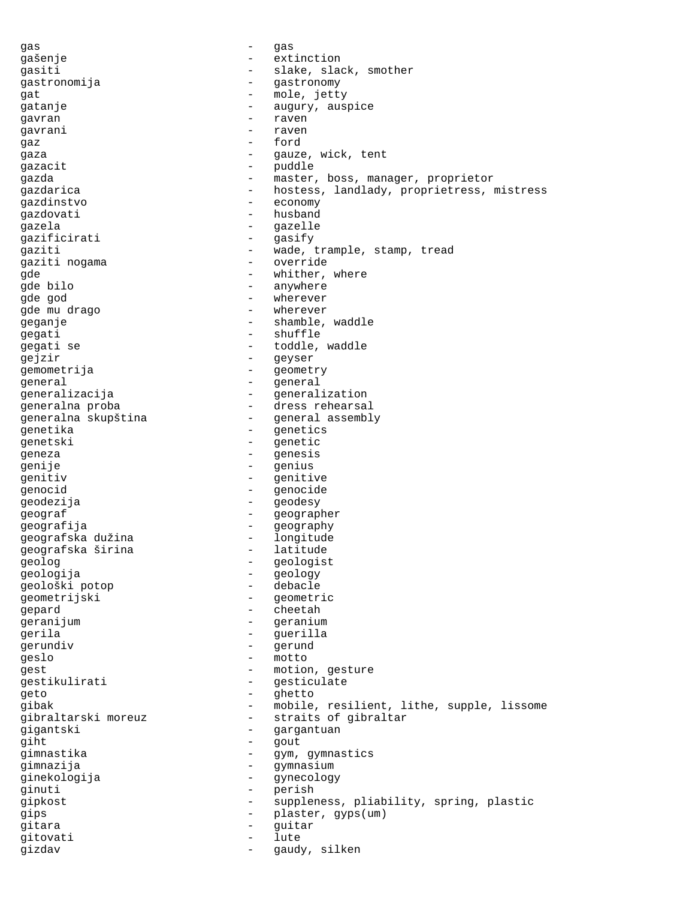gas - gas - gas gašenje - extinction gasiti - slake, slack, smother gastronomija - gastronomy gat - mole, jetty gatanje - augury, auspice gavran - raven gavrani - raven  $\begin{array}{ccc}\n\text{gaz} & - & \text{ford} \\
\text{gaz} & - & \text{ford}\n\end{array}$ gaza  $-$  gauze, wick, tent gazacit - puddle gazda - master, boss, manager, proprietor gazdarica - hostess, landlady, proprietress, mistress gazdinstvo - economy gazdovati - husband<br>gazela - husband - qazelle gazela - gazelle gazificirati - gasify gaziti - wade, trample, stamp, tread gaziti nogama - override gde  $\qquad \qquad$  - whither, where  $\qquad \qquad$  - anywhere - anywhere gde god - wherever gde mu drago  $-$  wherever geganje - shamble, waddle qeqati - shuffle gegati se  $-$  toddle, waddle gejzir - geyser gemometrija - geometry general - general generalizacija - generalization generalna proba - dress rehearsal generalna skupština - general assembly genetika – genetics<br>genetski – genetics genetski - genetic geneza - genesis genije - genius - genius genitiv - genitive genocid entry and the genocide geodezija - geodesy geograf - geographer<br>geografija - aenominale - geography geografija<br>qeografska dužina - component - geography geografska dužina - longitude geografska širina geolog - geologist<br>
geologist<br>
geologist<br>
geology<br>
- geology geologija - geology geološki potop geometrijski - geometric gepard - cheetah geranijum - geranium gerila - guerilla gerundiv - gerund geslo - motto gest - motion, gesture<br>
gestikulirati - qesticulate gestikulirati - gesticulate<br>
aeto - dhetto geto - ghetto gibak - mobile, resilient, lithe, supple, lissome<br>gibraltarski moreuz - straits of gibraltar - straits of gibraltar<br>- gargantuan gigantski - gargantuan<br>qiht - gout - qout - gout<br>- gwm gimnastika - gym, gymnastics gimnazija - gymnasium ginekologija - gynecology qinuti - perish gipkost - suppleness, pliability, spring, plastic gips - plaster, gyps(um) gitara - guitar gitovati gizdav - gaudy, silken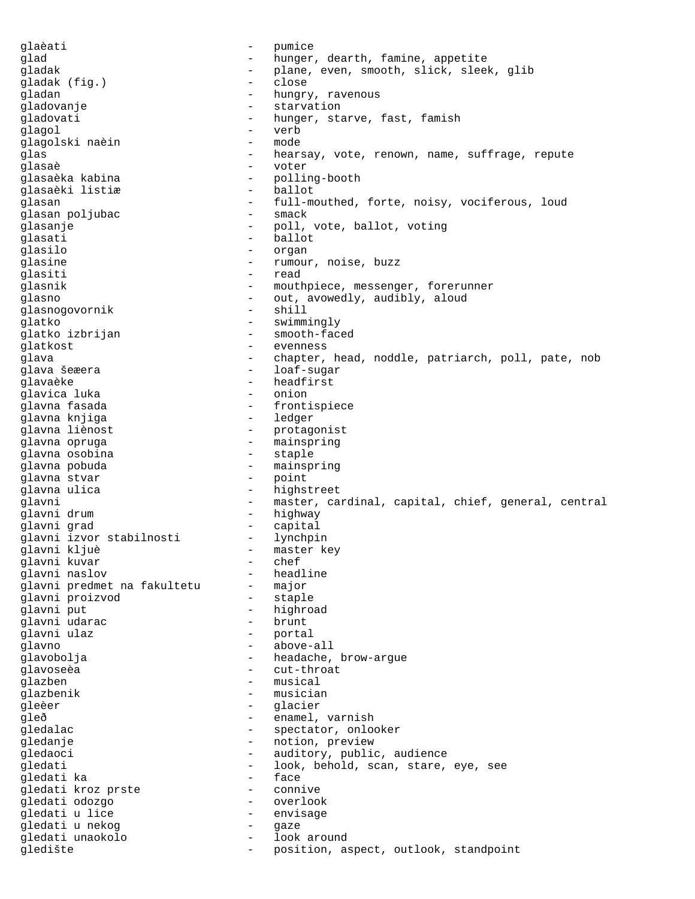qlaèati - pumice glad  $-$  hunger, dearth, famine, appetite gladak - plane, even, smooth, slick, sleek, glib gladak (fig.) - close gladan - hungry, ravenous gladovanje - starvation gladovati - hunger, starve, fast, famish<br>
declared - werb<br>
- werb glagol - verb glagolski naèin glas states of the state of the state of the state of the state of the state of the state of the state of the state of the state of the state of the state of the state of the state of the state of the state of the state of glasaè - voter - polling-booth<br>- ballot glasaèki listiæ glasan  $-$  full-mouthed, forte, noisy, vociferous, loud<br>  $-$  smack glasan poljubac<br>qlasanje - smach - smach - smach - smach - smach - smach - smach - smach - smach - smach - smach - smach - sm glasanje - poll, vote, ballot, voting - ballot glasilo - organ - organ - organ - organ - organ - organ - organ - organ - organ - organ - organ - organ - organ - organ - organ - organ - organ - organ - organ - organ - organ - organ - organ - organ - organ - organ - orga glasine  $\qquad \qquad -$  rumour, noise, buzz glasiti - read glasnik - mouthpiece, messenger, forerunner glasno<br>
dlasno - out, avowedly, audibly, aloud<br>
dlasno - shill<br>
- shill glasnogovornik qlatko - swimmingly glatko izbrijan - smooth-faced glatkost - evenness<br>glava - evenness<br>- chanter glava - chapter, head, noddle, patriarch, poll, pate, nob - loaf-sugar glavaèke - headfirst glavica luka - onion - frontispiece<br>- ledger glavna knjiga glavna liènost <br/> - protagonist <br/> - protagonist <br/> - protagonist <br/> glavna opruga - mainspring glavna osobina<br>qlavna pobuda - mainspring<br>- point glavna stvar qlavna ulica - highstreet glavni entral - master, cardinal, capital, chief, general, central glavni drum - highway glavni grad<br>glavni izvor stabilnosti lynchpin glavni izvor stabilnosti<br>glavni kljuè - master key glavni kuvar - chef - headline<br>- major glavni predmet na fakultetu - major glavni proizvod glavni put<br>
glavni udarac<br>
- hrunt - hrunt glavni udarac glavni ulaz - portal glavno - above-all glavobolja - headache, brow-argue<br>glavoseèa - - cut-throat glavoseèa - cut-throat - musical glazbenik - musician<br>gleèer - deux - glacier gleèer – glacier – glacier<br>cleð – enamel gleð - enamel, varnish gledalac - spectator, onlooker gledanje - notion, preview gledaoci - auditory, public, audience gledati - look, behold, scan, stare, eye, see<br>
- face<br>
- face gledati ka gledati kroz prste i internacija - connive gledati odozgo - overlook gledati u lice - envisage gledati u nekog  $-$  gaze gledati unaokolo - look around gledište - position, aspect, outlook, standpoint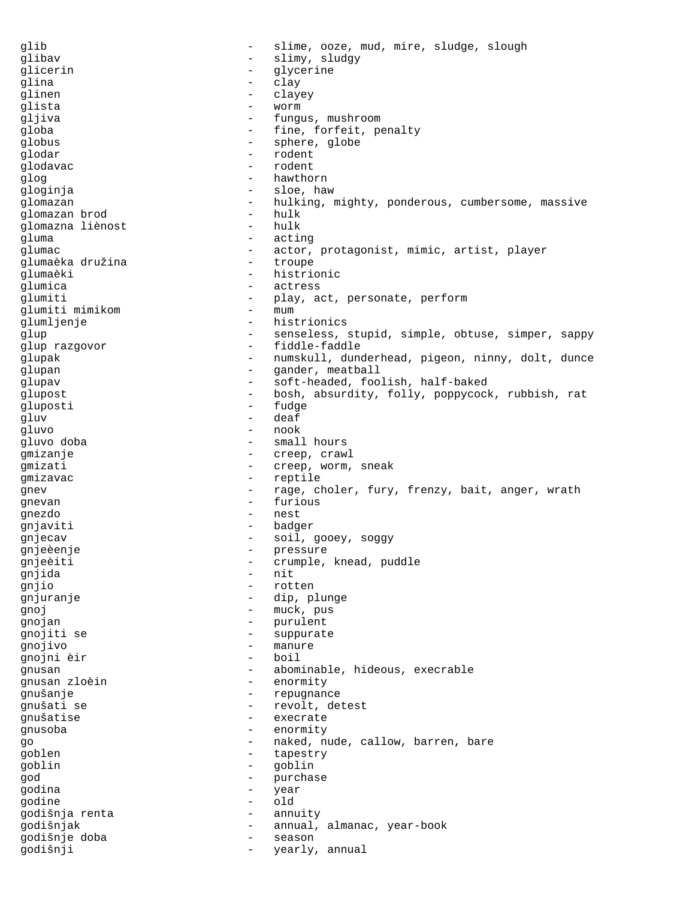glib - slime, ooze, mud, mire, sludge, slough glibav - slimy, sludgy glicerin - glycerine glina - clay glinen - clayey glista - worm gljiva - fungus, mushroom globa - fine, forfeit, penalty globus - sphere, globe glodar - rodent glodavac - rodent glog - hawthorn gloginja - sloe, haw glomazan - hulking, mighty, ponderous, cumbersome, massive alomazan brod - hulk - hulk glomazan brod - hulk glomazna liènost gluma - acting glumac<br>
- actor, protagonist, mimic, artist, player<br>
- troupe<br>
- troupe glumaèka družina  $\overline{a}$  - troupe glumaèki - histrionic<br>Glumica - estress glumica - actress - play, act, personate, perform<br>- mum glumiti mimikom glumljenje - histrionics glup - senseless, stupid, simple, obtuse, simper, sappy glup razgovor  $\qquad - \qquad$ fiddle-faddle glupak - numskull, dunderhead, pigeon, ninny, dolt, dunce glupan - gander, meatball<br>qlupav - soft-headed foo glupav - soft-headed, foolish, half-baked glupost - bosh, absurdity, folly, poppycock, rubbish, rat gluposti - fudge gluv - deaf gluvo - nook - small hours gmizanje - creep, crawl gmizati  $-$  creep, worm, sneak qmizavac - reptile gnev external contract the rage, choler, fury, frenzy, bait, anger, wrath gnevan - furious gnezdo - nest gnjaviti - badger gnjecav - soil, gooey, soggy gnjeèenje - pressure gnjeèiti - crumple, knead, puddle<br>qniida - nit gnjida - nito - nito - nito - nito - nito - nito - nito - nito - nito - nito - nito - nito - nito - nito - nito - nito - nito - nito - nito - nito - nito - nito - nito - nito - nito - nito - nito - nito - nito - nito - nit gnjio - rotten gnjuranje <br/>  $\qquad \qquad -$  dip, plunge gnoj - muck, pus qnojan - purulent gnojiti se  $-$  suppurate gnojivo - manure gnojni èir  $-$  boil gnusan - abominable, hideous, execrable gnusan zloèin - enormity gnušanje - repugnance gnušati se - - - - - - - - - - revolt, detest gnušatise - execrate gnusoba - enormity go - naked, nude, callow, barren, bare<br>
- tanestry<br>
- tanestry goblen - tapestry goblin - goblin god - purchase godina - year godine - old godišnja renta - annuity godišnjak - annual, almanac, year-book godišnje doba - season godišnji - yearly, annual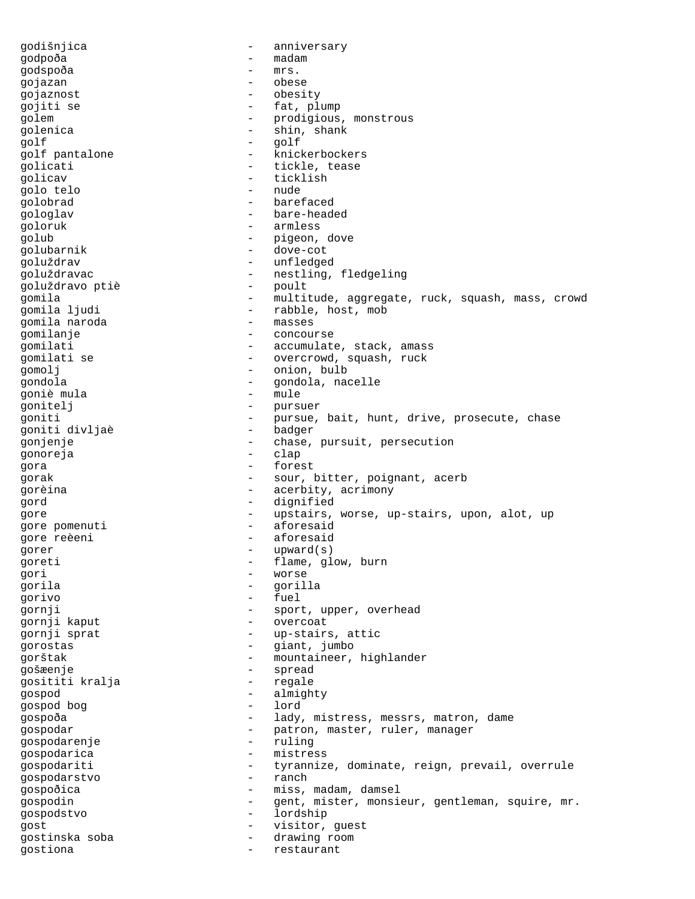godišnjica - anniversary godpoða - madam godspoða - mrs. gojazan gojaznost - obesity gojiti se  $-$  fat, plump golem - prodigious, monstrous golenica - shin, shank golf - golf golf pantalone  $-$  knickerbockers golicati - tickle, tease golicav - ticklish<br>ando telo - ticklish<br>- nude golo telo golobrad - barefaced gologlav - bare-headed goloruk - armless golub - pigeon, dove golubarnik - dove-cot goluždrav - unfledged goluždravac - nestling, fledgeling<br>goluždravo ptiè - poult - poult goluždravo ptiè gomila - multitude, aggregate, ruck, squash, mass, crowd<br>gomila ljudi - rabble, host, mob - rabble, host, mob<br>- masses gomila naroda gomilanje - concourse gomilati - accumulate, stack, amass gomilati se  $-$  overcrowd, squash, ruck gomolj - onion, bulb gondola - gondola, nacelle goniè mula de la possibilità della contratta della contratta della contratta della contratta della contratta d<br>Contratta della contratta della contratta della contratta della contratta della contratta della contratta dell gonitelj - pursuer<br>goniti - pursue. goniti  $-$  pursue, bait, hunt, drive, prosecute, chase qoniti divliae  $-$  badger goniti divljaè gonjenje - chase, pursuit, persecution<br>conoreia gonoreja - clap gora - forest gorak - sour, bitter, poignant, acerb gorèina - acerbity, acrimony gord - dignified gore entity of the upstairs, worse, up-stairs, upon, alot, up gore pomenuti aforesaid gore reèeni entre en la comme aforesaid gorer - upward(s)<br>  $\overline{a}$  -  $\overline{b}$  -  $\overline{b}$  -  $\overline{b}$  -  $\overline{b}$  and  $\overline{a}$ goreti - flame, glow, burn<br>
cori - worse gori - worse<br>
corile - corile - corile gorila - gorilla gorivo - fuel gornji - sport, upper, overhead gornji kaput - overcoat gornji sprat - up-stairs, attic gorostas - giant, jumbo gorštak - mountaineer, highlander<br>
goš<del>r</del>enie gošæenje - spread gosititi kralja - regale gospod - almighty gospod bog - lord gospoða - lady, mistress, messrs, matron, dame gospodar - patron, master, ruler, manager<br>cospodarenie - ruling gospodarenje - ruling gospodarica - mistress<br>gospodariti - tyranniz gospodariti - tyrannize, dominate, reign, prevail, overrule<br>  $\alpha$ spodarstvo - ranch gospodarstvo gospoðica - miss, madam, damsel gospodin - gent, mister, monsieur, gentleman, squire, mr. gospodstvo - lordship gost - visitor, guest gostinska soba - drawing room gostiona - restaurant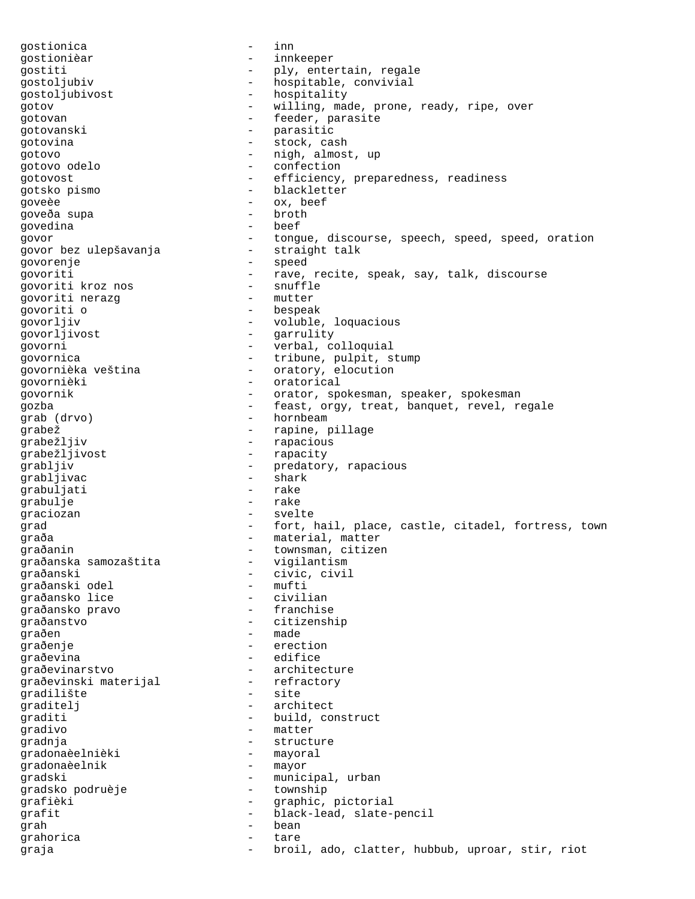gostionica - inn gostionièar - innkeeper gostiti - ply, entertain, regale<br>gostoljubiv - hospitable, convivial - hospitable, convivial gostoljubivost - hospitality gotov - willing, made, prone, ready, ripe, over gotovan - feeder, parasite gotovanski - parasitic gotovina - stock, cash gotovo - nigh, almost, up gotovo odelo - confection gotovost  $-$  efficiency, preparedness, readiness gotsko pismo - blackletter goveèe - ox, beef goveða supa - broth govedina govor pez ulepšavanja – tongue, discourse, speech, speed, speed, oration govor bez ulepšavanja – straight talk govor bez ulepšavanja govorenje - speed govoriti  $\begin{array}{ccc} - & \text{rave, recite, speak, say, talk, discourse} \\ - & \text{snuffle} \end{array}$ govoriti kroz nos - snuffle govoriti nerazg govoriti o - bespeak yovorljiv - voluble, loquacious<br>govorljivost - garrulity - garrulity - garrulity qovorni - verbal, colloquial govornica<br>govornièka veština<br>- oratory, elocution<br>- oratory, elocution - oratory, elocution govornièki - oratorical govornik - orator, spokesman, speaker, spokesman gozba - feast, orgy, treat, banquet, revel, regale<br>grab (drvo) - hornbeam -- hornbeam grabež - rapine, pillage - rapacious grabežljivost - rapacity grabljiv - predatory, rapacious grabljivac - shark grabuljati grabulje - rake graciozan - svelte grad  $-$  fort, hail, place, castle, citadel, fortress, town -<br>graða - material, matter graðanin<br>graðanska samozaštita - townsman, citizen<br>- vigilantism graðanska samozaštita graðanski - civic, civil<br>
graðanski odel - mufti - mufti graðanski odel - mufti graðansko lice - - civilian<br>graðansko pravo - - - franchise graðansko pravo graðanstvo - citizenship qraðen - made graðenje - erection graðevina - edifice graðevinarstvo - architecture<br>qraðevinski materijal - refractory graðevinski materijal - refractory gradilište - site - site - site - site - site - site - site - site - site - site - site - site - site - site graditelj - architect graditi - build, construct gradivo - matter gradnja - structure gradonaèelnièki - mayoral gradonaèelnik pradski - municipal, urban - municipal, urban - municipal, urban - township gradsko podruèje grafièki - graphic, pictorial grafit - black-lead, slate-pencil grah - bean - bean - bean - bean - bean - bean - bean - bean - bean - bean - bean - bean - bean - bean - bean grahorica - tare graja - broil, ado, clatter, hubbub, uproar, stir, riot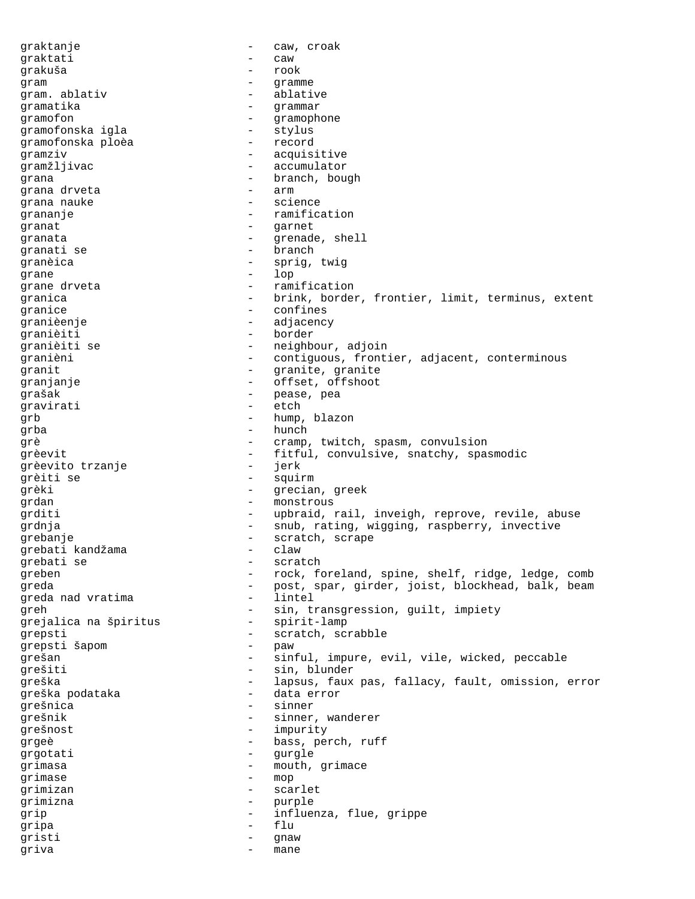graktanje - caw, croak graktati - caw grakuša - rook gram  $-$  gramme gram. ablativ  $\qquad \qquad$  - ablative gramatika - grammar gramofon - gramophone<br>qramofonska igla - stylus - stylus gramofonska igla - stylus gramofonska ploèa gramziv - acquisitive gramžljivac - accumulator grana  $r = 0$ <br>grana drveta  $r = 0$  arm  $r = 0$ grana drveta grana nauke  $\qquad \qquad -$  science grananje - ramification granat - garnet granata - grenade, shell<br>qranati se - - - - - - - - - - branch granati se - branch granèica - sprig, twig grane - lop grane drveta  $\qquad \qquad -$  ramification granica - brink, border, frontier, limit, terminus, extent<br>
confines granice - confines<br>
granièenie granièenje - adjacency - border granièiti se  $-$  neighbour, adjoin granièni - contiguous, frontier, adjacent, conterminous granit  $\qquad \qquad -$  granite, granite granjanje - offset, offshoot grašak - pease, pea gravirati - etch<br>
orb - hump grb  $\qquad \qquad - \qquad \text{hump, blazon}$  $\begin{array}{ccc}\n\text{grba} & - & \text{hunch} \\
\text{cm} & - & \text{cm} \\
\end{array}$ grè  $-$  cramp, twitch, spasm, convulsion grèevit - fitful, convulsive, snatchy, spasmodic<br>  $\overline{C}$ grèevito trzanje - jerk grèiti se  $-$  squirm grèki  $-$  grecian, greek grdan - monstrous grditi  $-$  upbraid, rail, inveigh, reprove, revile, abuse grdnja - snub, rating, wigging, raspberry, invective grebanje - scratch, scrape grebati kandžama - claw grebati se - scratch - scr greben - rock, foreland, spine, shelf, ridge, ledge, comb<br>rock, spine, shelf, ridge, ledge, comb<br>rock, spine, shelf, ridge, ledge, comb greda - post, spar, girder, joist, blockhead, balk, beam<br>
greda nad vratima - lintel greda nad vratima greh - sin, transgression, guilt, impiety<br>grejalica na špiritus - spirit-lamp grejalica na špiritus grepsti - scratch, scrabble grepsti šapom - paw grešan - sinful, impure, evil, vile, wicked, peccable grešiti - sin, blunder greška - lapsus, faux pas, fallacy, fault, omission, error greška podataka - data error<br>grešnica - data error grešnica - sinner - sinner - sinner - sinner - sinner - sinner - sinner - sinner - sinner - sinner - sinner grešnik - sinner, wanderer<br>
- sinner, wanderer grešnost - impurity grgeè - bass, perch, ruff<br>grgotati - gurgle grgotati - gurgle grimasa - mouth, grimace<br>
grimase - mon grimase - mop grimizan - scarlet grimizna - purple grip - influenza, flue, grippe<br>
- flu<br>
- flu gripa - flu gristi - gnaw griva - mane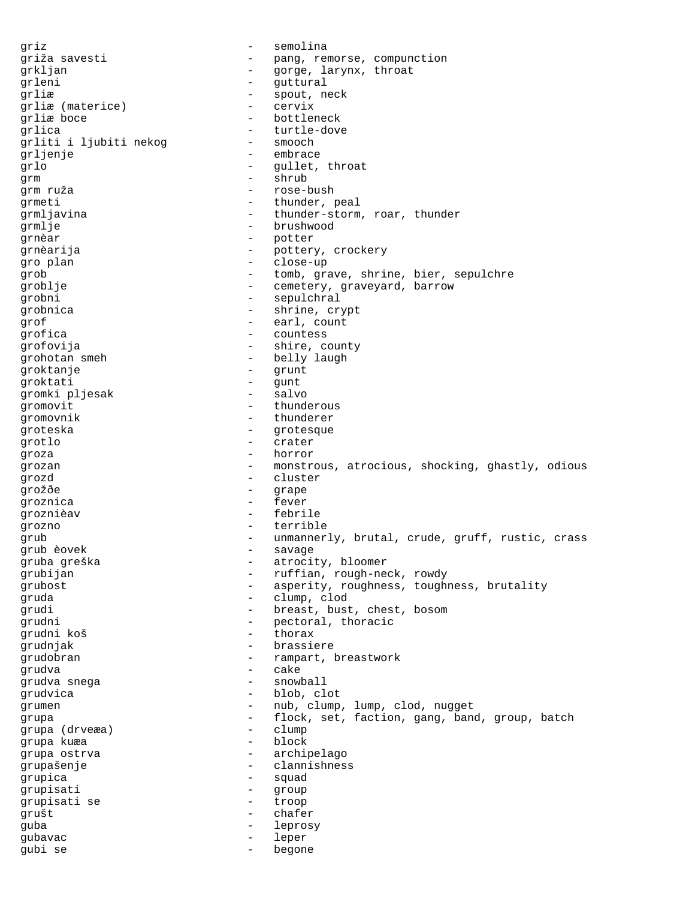griz - semolina griža savesti - pang, remorse, compunction<br>
- anxe larvnx throat grkljan - gorge, larynx, throat grleni - guttural grliæ - spout, neck grliæ (materice) - cervix<br>
grliæ boge - bottler grliæ boce  $\qquad \qquad -$  bottleneck grlica - turtle-dove grliti i ljubiti nekog grljenje - embrace grlo - gullet, throat qrm - shrub grm ruža - rose-bush grmeti - thunder, peal grmljavina - thunder-storm, roar, thunder grmlje - brushwood grnèar - potter grnèarija - pottery, crockery<br>
gro plan gro plan - close-up grob - tomb, grave, shrine, bier, sepulchre groblje - cemetery, graveyard, barrow grobni - sepulchral grobnica - shrine, crypt qrof - earl, count grofica - countess grofovija - shire, county grohotan smeh  $-$  belly laugh groktanje - grunt groktati - gunt<br>qromki pljesak - salvo gromki pljesak - salvo - salvo - salvo - salvo - salvo - salvo - salvo - salvo - salvo - salvo - salvo - salvo gromovit - thunderous<br>gromovnik - thunderor gromovnik - thunderer groteska - grotesque<br>grotes grotlo - crater groza - horror grozan - monstrous, atrocious, shocking, ghastly, odious grozd - cluster<br>
gro<sup>ž</sup>đe - crane grožðe - grape groznica - fever groznièav - febrile grozno - terrible grub - unmannerly, brutal, crude, gruff, rustic, crass grub èovek<br>
gruba greška - savage - savage gruba greška - atrocity, bloomer grubijan - ruffian, rough-neck, rowdy grubost  $\begin{array}{ccc}\n-\text{asperity, roughness, towards} \\
-\text{clumn. cloud}\n\end{array}$ gruda - clump, clod grudi - breast, bust, chest, bosom<br>grudni - - - - - - - - - - - - - - pectoral, thoracic - pectoral, thoracic<br>- thorax grudni koš - thorax grudnjak - brassiere grudobran - rampart, breastwork<br>grudva - rampart, breastwork<br>- cake grudva - cake grudva snega - snowball grudvica - blob, clot grumen - nub, clump, lump, clod, nugget<br>
- flock set faction gang band grupa  $\begin{array}{ccc} - & \text{flock, set, fraction, gang, band, group, batch} \\ - & \text{clumn} \end{array}$ grupa (drveæa) - clump grupa kuæa grupa ostrva and the set of the set of the set of the set of the set of the set of the set of the set of the s grupašenje - clannishness qrupica - squad qrupisati - group grupisati se - troop grušt - chafer guba - leprosy gubavac - leper gubi se - begone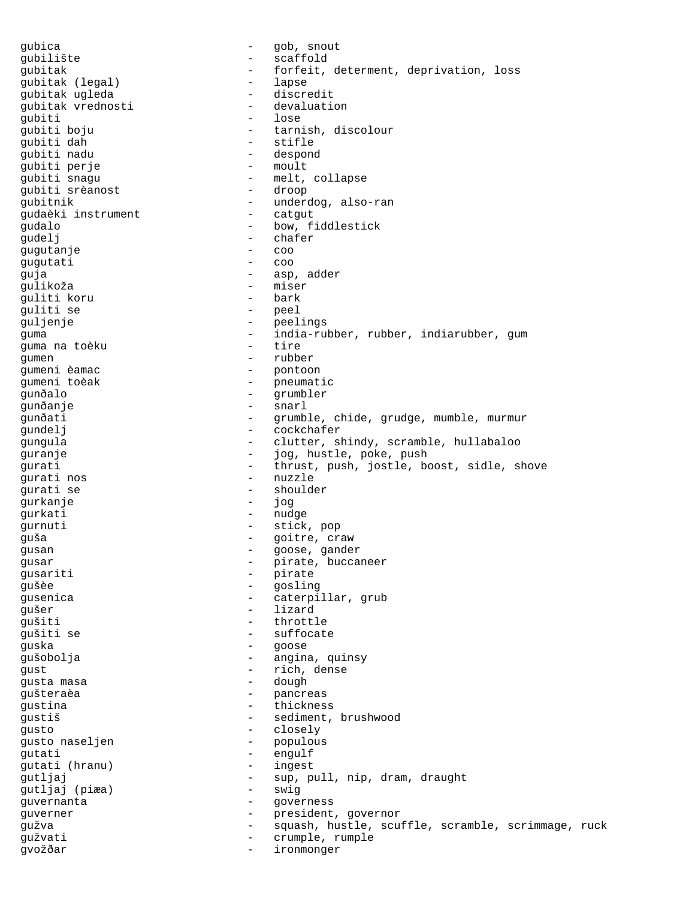gubica - gob, snout gubilište - scaffold gubitak - forfeit, determent, deprivation, loss<br>qubitak (legal) - lapse gubitak (legal) - lapse gubitak ugleda - discredit gubitak vrednosti - devaluation gubiti<br>gubiti boju - tarnish, discolour<br>- stifle gubiti dah<br>qubiti nadu - despond<br>- moult gubiti perje<br>gubiti snagu - melt, collapse<br>- droop gubiti srèanost gubitnik - underdog, also-ran gudaèki instrument  $-$  catgut qudalo - bow, fiddlestick gudelj - chafer gugutanje - coo gugutati guja - asp, adder gulikoža - miser guliti koru - bark guliti se guljenje - peelings guma - india-rubber, rubber, indiarubber, gum guma na toèku gumen - rubber<br>gumeni èamac - rubber<br>- pontoo: - pontoon gumeni toèak - pneumatic<br>gunðalo - grumbler gunðalo - grumbler gunðanje - snarl gunðati - grumble, chide, grudge, mumble, murmur gundelj - cockchafer gungula - clutter, shindy, scramble, hullabaloo guranje  $\qquad \qquad \qquad -$  jog, hustle, poke, push gurati - thrust, push, jostle, boost, sidle, shove gurati nos - nuzzle gurati se gurkanje - jog gurkati - nudge gurnuti - stick, pop guša - goitre, craw gusan - goose, gander gusar - pirate, buccaneer gusariti - pirate<br>questo - pirate<br>cosline gušèe - gosling gusenica - caterpillar, grub qušer - lizard gušiti - throttle gušiti se - throttle - suffocate - suffocate - suffocate - suffocate - suffocate - suffocate - suffocate - suffocate - suffocate - suffocate - suffocate - suffocate - suffocate - suffocate - suffocate - s - suffocate guska - goose gušobolja - angina, quinsy gust - rich, dense gusta masa - dough gušteraèa - pancreas<br>qustina - pancreas - pancreas gustina - thickness<br>
gustiš - sediment gustiš - sediment, brushwood<br>gusto - closely - closely gusto - closely gusto naseljen - populacijen - populacijen - populacijen - populacijen - populacije - populacije - populacije<br>Populacije gutati - engulf<br>qutati (hranu) - ingest gutati (hranu) gutljaj - sup, pull, nip, dram, draught gutljaj (piæa) guvernanta - governess guverner - president, governor gužva - squash, hustle, scuffle, scramble, scrimmage, ruck gužvati - crumple, rumple gvožðar - ironmonger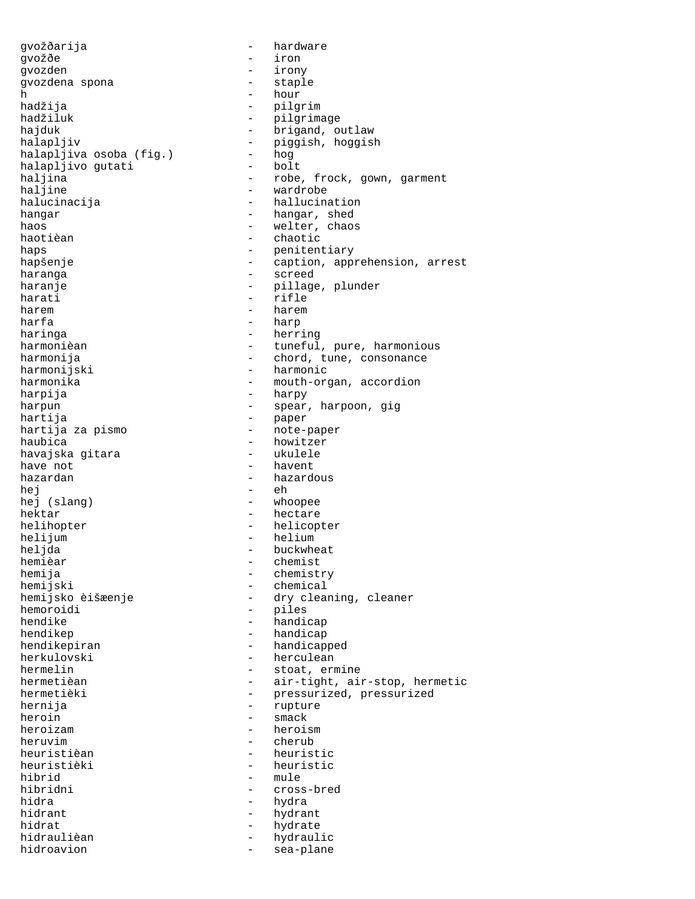gvožðarija - hardware gvožðe - iron gvozden - irony gvozdena spona h - hour hadžija - pilgrim hadžiluk - pilgrimage<br>hajduk - brigand, o hajduk - brigand, outlaw<br>halapljiv - - - - - - - - - - - piqqish, hoqqisl halapljiva osoba (fig.) - hog<br>halapliivo qutati - bolt halapljivo gutati<br>haljina haljina  $\begin{array}{ccc} - & \text{role, frock, gown, garment} \\ - & \text{wardrole} \end{array}$ - wardrobe halucinacija - hallucination hangar  $-$  hangar, shed haos - welter, chaos haotièan - chaotic haps - penitentiary<br>
hapšenje - caption, app: hapšenje - caption, apprehension, arrest<br>haranga - - - - - - - screed haranga - screed haranje - pillage, plunder - rifle harem - harem - harem harfa - harp - harp - harp - harp - harp - harp - harp - harp - harp - harp - harp - harp - harp - harp - harp haringa - herring - herring harmonièan - herring - herring - herring - herring - herring - herring - herring harmonija - chord, tune, consonance<br>harmonijski - - - - - - - - harmonic - harmonic harmonika - mouth-organ, accordion harpija - harpy harpun - spear, harpoon, gig hartija - paper hartija za pismo - note-paper - howitzer<br>- ukulele havajska gitara have not  $-$  havent hazardan - hazardous  $he<sub>i</sub>$  -  $eh$ hej (slang) - whoopee hektar - hectare - hectare helihopter - helicopter helijum - helium heljda - buckwheat<br>hemièar - buckwheat<br>- chemist hemièar - chemist hemija - chemistry<br>hemijski - chemical hemijski - chemical<br>hemijsko èišæenje - dry clea hemoroidi - piles hendike - handicap hendikep - handicap hendikepiran - handicapped herkulovski - herculean hermelin - stoat, ermine<br>hermetièan - air-tight, ai hermetièki - pressurized, pressurized hernija - rupture heroin - smack<br>heroizam - heroi. heroizam - heroism heruvim - cherub heuristièan - heuristic<br>heuristièki - heuristic heuristièki - heuristic<br>hibrid - mule hibrid - mule<br>hibridni - cross - cross-bred hidra - hydra hidrant - hydrant - hydrant hidrat - hydrate - hydrate - hydrate - hydrate - hydrate - hydrate - hydrate - hydrate - hydraul - h - hydraulic hidroavion - sea-plane

- piggish, hoggish<br>- hog - tuneful, pure, harmonious - dry cleaning, cleaner - air-tight, air-stop, hermetic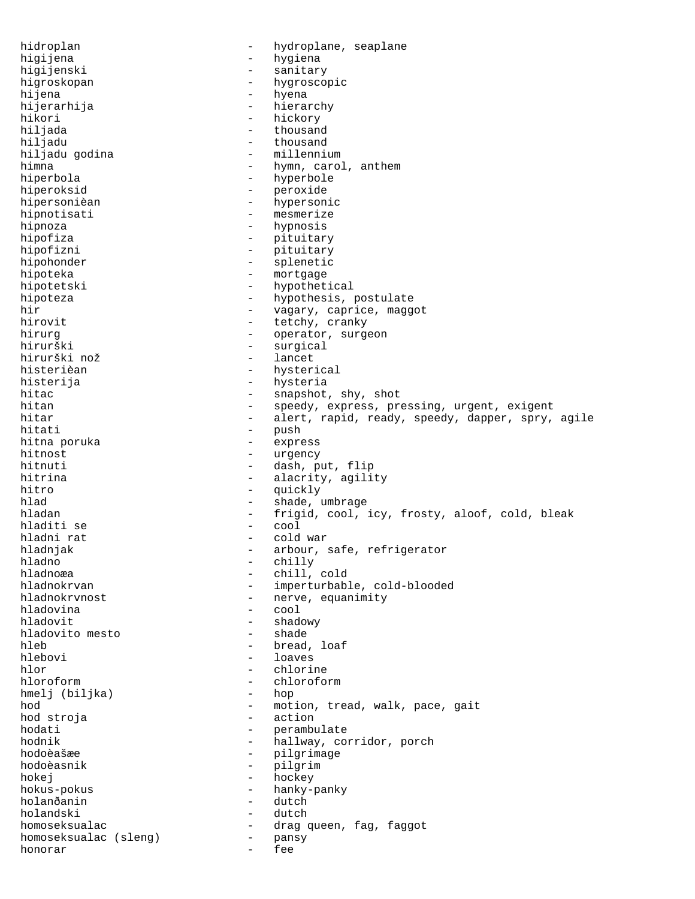hidroplan - hydroplane, seaplane higijena - hygiena - hygiena<br>higijenski - sanitar higijenski - sanitary higroskopan - hygroscopic hijena - hyena hijerarhija - hierarchy hikori - hickory - hickory - hickory - hickory - hickory - hickory - hickory - hickory - hickory - hickory - h hiljada - thousand - thousand<br>- millennium hiljadu godina himna - hymn, carol, anthem<br>hiperbola - hyperbole - hyperbole - hyperbole hiperoksid - peroxide hipersonièan - hypersonic hipnotisati - mesmerize hipnoza - hypnosis hipofiza  $-$  pituitary hipofizni - pituitary hipohonder - splenetic hipoteka - mortgage - mortgage hipotetski - hypothetical hipoteza  $-$  hypothesis, postulate hir  $-$  vagary, caprice, maggot<br>hirovit  $-$  tetchy cranky - tetchy, cranky hirurg - operator, surgeon - surgical<br>- lancet hirurški nož histerièan - hysterical histerija - hysteria hitac - snapshot, shy, shot<br>hitan - speedy, express, pr hitan - speedy, express, pressing, urgent, exigent<br>hitar - alert, rapid, ready, speedy, dapper, spry, hitar - alert, rapid, ready, speedy, dapper, spry, agile<br>hitati - push - push<br>- express hitna poruka hitnost - urgency hitnuti - dash, put, flip hitrina  $-$  alacrity, agility hitro - quickly hlad - shade, umbrage hladan - frigid, cool, icy, frosty, aloof, cold, bleak hladiti se - cool hladni rat - cold war - cold war - cold war - cold war - cold war - cold war - cold war - cold war - cold war hladnjak - arbour, safe, refrigerator<br>hladno - - - - - - - - - - chilly hladno - chilly hladnoæa - chill, cold hladnokrvan - imperturbable, cold-blooded<br>hladnokrvnost - nerve, equanimity - nerve, equanimity<br>- cool hladovina hladovit - shadowy<br>hladovito mesto - shade - shade hladovito mesto hleb - bread, loaf hlebovi - loaves hlor - chlorine hloroform - chloroform - chloroform - chloroform - chloroform - chloroform - chloroform - chloroform - chloroform - chloroform - chloroform - chloroform - chloroform - chloroform - chloroform - chloroform - chloroform - ch hmelj (biljka) hod  $\begin{array}{cccc} - & \text{motion, trend, walk, pace, gait} \\ - & \text{action} & \end{array}$ hod stroja - action hodati - perambulate<br>hodnik - hallway co - hallway, corridor, porch hodoèašæe - pilgrimage<br>hodoèasnik - pilgrimage hodoèasnik - pilgrim<br>hokej - hockey - hockey - hockey hokus-pokus - hanky-panky holanðanin - dutch holandski - dutch homoseksualac - drag queen, fag, faggot<br>homoseksualac (sleng) - pansy homoseksualac (sleng) honorar - fee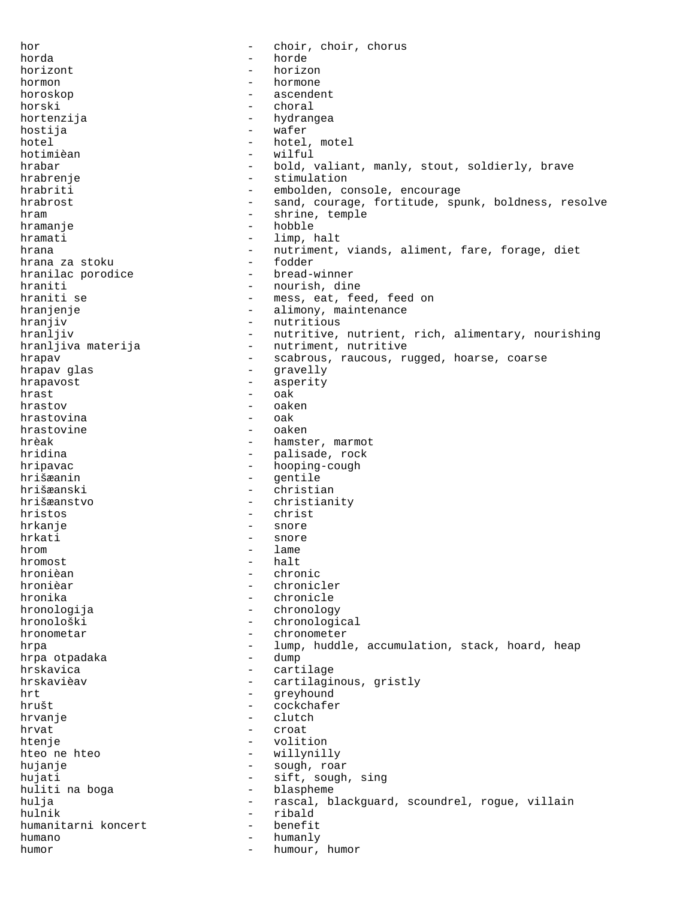hor - choir, choir, chorus horda - horde horizont - horizon hormon - hormone horoskop - ascendent horski - choral<br>hortenzija - hydran hortenzija - hydrangea<br>hostija - wafer hostija - wafer hotel - hotel, motel<br>hotimièan - vilful - vilful - wilful hrabar - bold, valiant, manly, stout, soldierly, brave hrabrenje - stimulation hrabriti - embolden, console, encourage hrabrost **1988** - sand, courage, fortitude, spunk, boldness, resolve hram - shrine, temple hramanje - hobble hramati - limp, halt hrana  $\frac{1}{10}$  - nutriment, viands, aliment, fare, forage, diet hrana za stoku - fodder hranilac porodice hraniti - nourish, dine<br>hraniti se extensive - mess, eat, fe - mess, eat, feed, feed on hranjenje - alimony, maintenance hranjiv - nutritious hranljiv  $-$  nutritive, nutrient, rich, alimentary, nourishing hranljiva materija  $-$  nutriment, nutritive hrapav **- scabrous, raucous, rugged, hoarse, coarse** hrapav glas - gravelly hrapavost - asperity hrast - oak hrastov - oaken<br>hrastovina - oaken hrastovina - oak hrastovine<br>hrèak - hamster, marmot hridina - palisade, rock hripavac hooping-cough - hooping-cough hrišæanin - gentile hrišæanski - christian hrišæanstvo - christianity hristos - christ hrkanje - snore hrkati - snore hrom - lame<br>hromost - halt hromost - halt hronièan - chronic<br>hronièar - chronic - chronicler hronika - chronicle hronologija - chronology hronološki - chronological hronometar - chronometer hrpa - lump, huddle, accumulation, stack, hoard, heap<br>hrpa otpadaka - dump - dump hrpa otpadaka<br>hrskavica - cartilage<br>- cartilagi hrskavièav - cartilaginous, gristly hrt - greyhound hrušt - cockchafer<br>hrusnie - cockchafer hrvanje - clutch<br>hrvat - croat hrvat - croat<br>htenie - volit htenje  $-$  volition hteo ne hteo  $-$  willynilly hujanje - sough, roar hujati  $-$  sift, sough, sing huliti na boga  $-$  blaspheme hulja - rascal, blackguard, scoundrel, rogue, villain hulnik - ribald humanitarni koncert - humano - humanly humor - humour, humor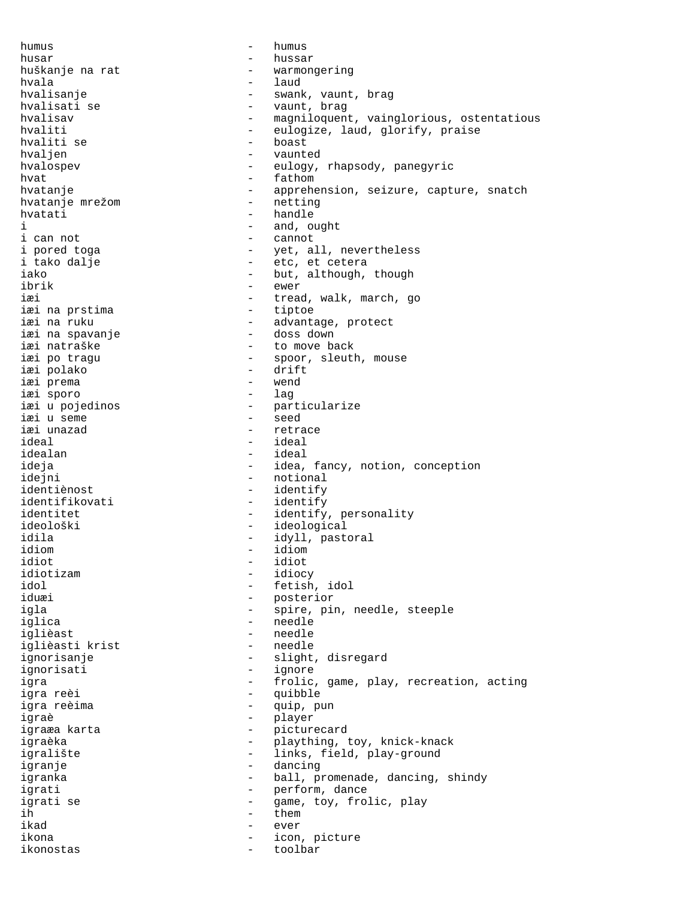humus - humus husar - hussar - hussar huškanje na rat - warmongering hvala - laud hvalisanje - swank, vaunt, brag hvalisati se - vaunt, brag<br>hvalisav - magniloguen hvalisav - magniloquent, vainglorious, ostentatious - eulogize, laud, glorify, praise<br>- hoast hvaliti se - boast hvaljen - vaunted<br>hvalosnev - vaunted<br>- eulogy hvalospev - eulogy, rhapsody, panegyric hvat - fathom hvatanje - apprehension, seizure, capture, snatch<br>hvatanje mrežom - netting hvatanje mrežom hvatati - handle i and, ought i can not  $\qquad \qquad -$  cannot i pored toga - yet, all, nevertheless i tako dalje - etc, et cetera iako - but, although, though<br>ibrik - ewer ibrik - ewer<br>iæi - tread - tread, walk, march, go<br>- tiptoe iæi na prstima<br>iæi na ruku - advantage, protect<br>- doss down iæi na spavanje iæi natraške  $-$  to move back iæi po tragu  $-$  spoor, sleuth, mouse iæi polako - drift iæi prema - wend iæi sporo<br>iæi u pojedinos iæi u pojedinos - particularize iæi u seme - seed iæi unazad - retrace ideal - ideal idealan - ideal ideja - idea, fancy, notion, conception idejni - notional identiènost - identify identifikovati - identify identitet - identify, personality ideološki - ideological idila - idyll, pastoral idiom - idiom idiot - idiot idiotizam - idiocy idol - fetish, idol - posterior igla - spire, pin, needle, steeple iglica - needle<br>iglica - needle - needle iglièast - needle iglièasti krist - needle ignorisanje - slight, disregard ignorisati - ignore igra - frolic, game, play, recreation, acting<br>igra reèi - cuibble igra reèi - quibble igra reèima - quip, pun igraè - player igraæa karta - picturecard<br>igraèka - picturecard igraèka - plaything, toy, knick-knack igralište - links, field, play-ground igranje - dancing igranka - ball, promenade, dancing, shindy igrati  $-$  perform, dance igrati se  $\qquad \qquad$  - game, toy, frolic, play ih - them ikad - ever ikona - icon, picture ikonostas - toolbar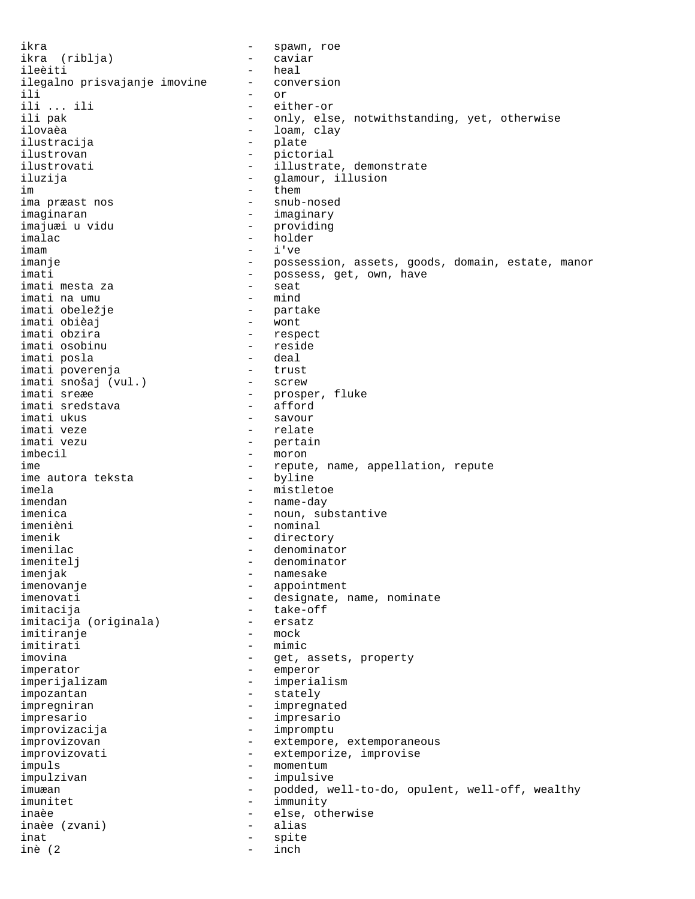ikra - spawn, roe ikra (riblja) - caviar ileèiti - heal ilegalno prisvajanje imovine - conversion ili - or ili ... ili - either-or ili pak - only, else, notwithstanding, yet, otherwise ilovaèa - loam, clay - plate<br>- picto ilustrovan - pictorial ilustrovati - illustrate, demonstrate iluzija - glamour, illusion im them them ima præast nos - snub-nosed imaginaran - imaginary imajuæi u vidu - providing imalac - holder imam - i've imanje - possession, assets, goods, domain, estate, manor imati imati - possess, get, own, have imati mesta za imati mesta za - seat imati na umu - mind imati obeležje - partake imati obièaj<br>imati obzira - respect<br>- reside imati osobinu - reside imati posla - deal imati poverenja - trust imati snošaj (vul.)<br>imati sreæe - prosper, fluke<br>- afford imati sredstava<br>imati ukus imati ukus - savour imati veze - relate - pertain imbecil - moron ime  $-$  repute, name, appellation, repute ime autora teksta ime autora teksta imela - mistletoe imendan - name-day imenica - noun, substantive imenièni - nominal imenik - directory imenilac - denominator imenitelj - denominator imenjak - namesake imenovanje - namesake - namesake - namesake - namesake - namesake - namesake - namesake - n imenovanje - appointment - designate, name, nominate imitacija - take-off imitacija (originala) - ersatz imitiranje imitirati - mimic<br>imovina - det. imovina - get, assets, property imperator - emperor imperijalizam - imperialism impozantan - stately impregniran - impregnated<br>impresario - impresario impresario - impresario improvizacija - impromptu improvizovan extempore, extemporaneous improvizovati - extemporize, improvise impuls - momentum<br>impulzivan - impulsiv impulzivan - impulsive imuæan - podded, well-to-do, opulent, well-off, wealthy imunitet - immunity inaèe  $\qquad \qquad -$  else, otherwise inaèe (zvani) - alias inat - spite inè (2 - inch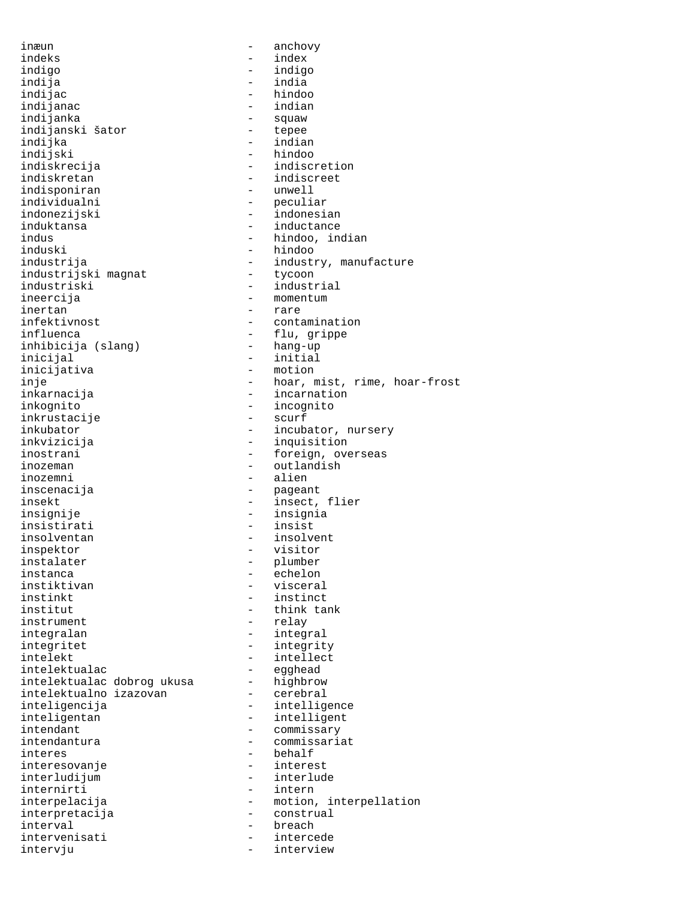inæun - anchovy indeks - index indigo - indigo indija - india indijanac<br>indijanka indijanski šator<br>indijka indijka - indian indiskrecija - indiscretion indiskretan - indiscreet<br>indisponiran - unwell indisponiran individualni - peculiar indonezijski - indonesian induktansa - inductance indus - hindoo, indian<br>induski - hindoo - hindoo induski - hindoo<br>industrija - hindoo industrijski magnat<br>industriski industriski - industrial inertan - rare<br>infektivnost - conta influenca<br>
inhibiciia (slanq) - flu, grippe<br>
- hang-up inhibicija (slang) inicijal - initial inje - hoar, mist, rime, hoar-frost<br>inkarnacija - - incarnation inkognito - incognito inkrustacije<br>inkubator inkubator - incubator, nursery inostrani  $-$  foreign, overseas inozeman - outlandish inozemni - alien inscenacija - pageant insekt - insect, flier insignije - insignia<br>insistirati - insist insistirati insolventan - insolvent inspektor - visitor instalater - plumber instanca - echelon instiktivan - visceral<br>instinkt - instinct institut - think tank instrument - relay integralan - integral integritet - integrity intelekt - intellect<br>intelektualac - egghead intelektualac - egghead intelektualac dobrog ukusa - highbrow intelektualno izazovan - cerebral inteligencija - intelligence inteligentan - intelligent<br>intendant - commissary intendant - commissary<br>intendantura - commissari interes - behalf<br>interesovanie - interest interesovanje - interest interludijum internirti - intern interpelacija - motion, interpellation<br>interpretacija - construal interpretacija - construal interval - breach intervenisati - intercede intervju - interview

- hindoo<br>- indian - squaw<br>- tepee - hindoo - industry, manufacture<br>- tycoon - momentum - contamination - motion - incarnation - inquisition - instinct - commissariat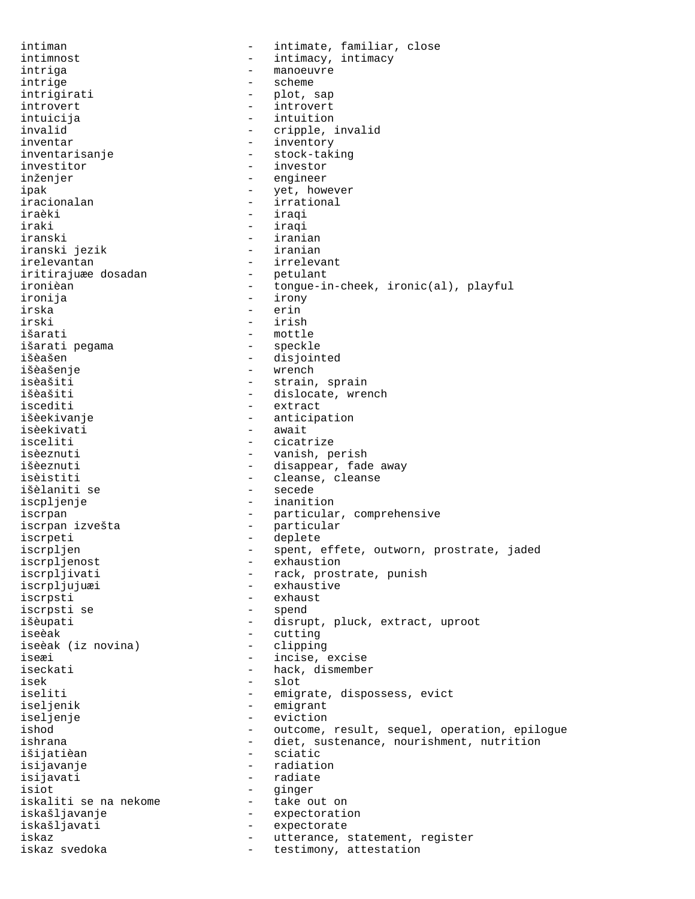intiman - intimate, familiar, close intimnost  $-$  intimacy, intimacy intriga - manoeuvre intrige  $-$  scheme intrigirati - plot, sap introvert - introvert intuicija - intuition invalid  $-$  cripple, invalid inventar - inventory inventarisanje - stock-taking investitor  $-$  investor inženjer - engineer ipak - yet, however iracionalan  $-$  irrational iraèki - iraqi iraki - iraqi - iraqi - iraqi - iraqi - iraqi - irani. - iranian<br>- iranian iranski jezik irelevantan - irrelevant iritirajuæe dosadan - petulant ironièan - tongue-in-cheek, ironic(al), playful<br>ironija - irony - irony - irony irska - erin irski - irish išarati - mottle - mottle<br>išarati pegama - - - - - - - - speckle išarati pegama išèašen - disjointed išèašenje - wrench isèašiti - strain, sprain - dislocate, wrench iscediti - extract išèekivanje - anticipation isèekivati - await - cicatrize isèeznuti  $-$  vanish, perish išèeznuti  $-$  disappear, fade away isèistiti - cleanse, cleanse išèlaniti se iscpljenje - inanition iscrpan - particular, comprehensive<br>iscrpan izvešta - particular iscrpan izvešta - particular iscrpeti - deplete iscrpljen - spent, effete, outworn, prostrate, jaded<br>iscrpljenost - exhaustion iscrpljenost<br>iscrpljivati - exhaustion<br>- rack, prost - rack, prostrate, punish iscrpljujuæi - exhaustive iscrpsti - exhaust iscrpsti se  $-$  spend išèupati - disrupt, pluck, extract, uproot iseèak - cutting iseèak (iz novina) iseæi - incise, excise iseckati  $-$  hack, dismember isek - slot iseliti - emigrate, dispossess, evict iseljenik - emigrant - eviction ishod - outcome, result, sequel, operation, epilogue<br>ishrana - diet, sustenance, nourishment, nutrition - diet, sustenance, nourishment, nutrition išijatièan - sciatic - radiation isijavati - radiate isiot - ginger iskaliti se na nekome iskašljavanje - expectoration iskašljavati - expectorate iskaz  $-$  utterance, statement, register iskaz svedoka  $-$  testimony, attestation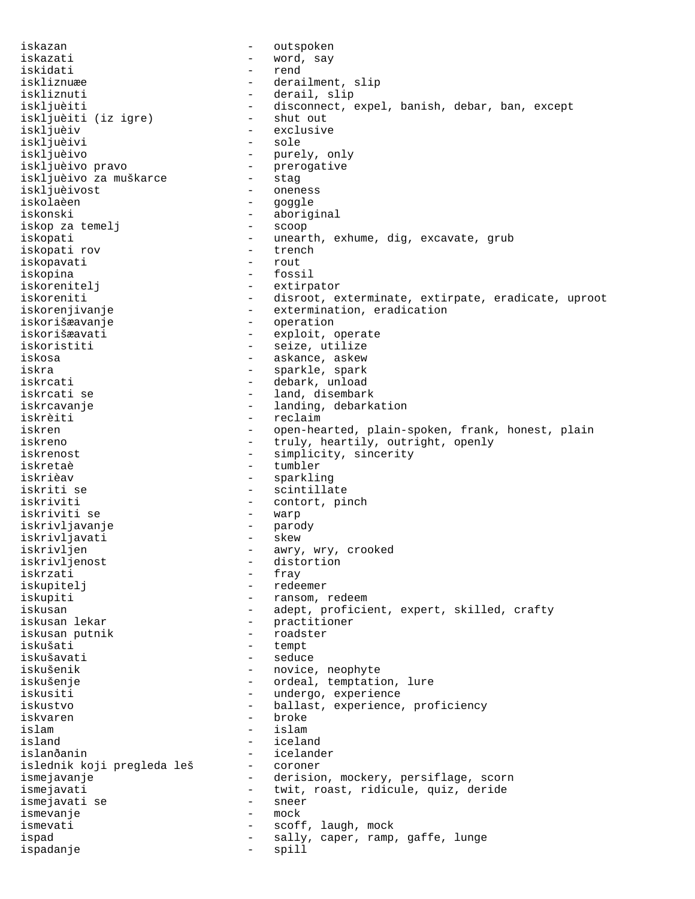iskazan - outspoken iskazati - word, say iskidati - rend iskliznuæe en andre blev af derailment, slip iskliznuti - derail, slip iskljuèiti - disconnect, expel, banish, debar, ban, except<br>iskljuèiti (iz iqre) - shut out iskljuèiti (iz igre)<br>iskljuèiv - exclusive<br>- sole iskljuèivi<br>iskljuèivo - purely, only iskljuèivo pravo - prerogative iskljuèivo za muškarce iskljuèivost - oneness iskolaèen - goggle iskonski - aboriginal<br>iskop za temelj - scoop - scoop iskop za temelj iskopati - unearth, exhume, dig, excavate, grub<br>iskopati rov - trench iskopati rov - trench iskopavati - rout iskopina iskorenitelj - extirpator iskoreniti entime - disroot, exterminate, extirpate, eradicate, uproot iskorenjivanje - extermination, eradication iskorišæavanje - operation iskorišæavati - exploit, operate iskoristiti - seize, utilize iskosa - askance, askew iskra <br/> - sparkle, spark iskrcati - debark, unload iskrcati se  $-$  land, disembark iskrcavanje <br />  $\qquad \qquad -$  landing, debarkation iskrèiti - reclaim iskren - open-hearted, plain-spoken, frank, honest, plain<br>iskreno - truly, heartily, outright, openly - truly, heartily, outright, openly iskrenost - simplicity, sincerity iskretaè - tumbler iskrièav - sparkling iskriti se  $-$  scintillate iskriviti - contort, pinch iskriviti se - warp iskrivljavanje - parody iskrivljavati - skew iskrivljen - awry, wry, crooked<br>iskrivljenost - distortion - distortion iskrzati - fray iskupitelj - redeemer iskupiti - ransom, redeem iskusan - adept, proficient, expert, skilled, crafty<br>iskusan lekar - practitioner - practitioner iskusan putnik  $-$  roadster iskušati - tempt iskušavati - seduce iskušenik - novice, neophyte<br>iskušenje - iskušenje - novice, neophyte iskušenje - ordeal, temptation, lure iskusiti - undergo, experience<br>iskustvo - hallast experience iskustvo - ballast, experience, proficiency iskvaren - broke - broke - broke - broke - broke - broke - broke - broke - broke - broke - broke - broke - bro islam - islam island - iceland islanðanin - icelander<br>islednik-koji pregleda leš - coroner islednik koji pregleda leš ismejavanje e state - derision, mockery, persiflage, scorn ismejavati - twit, roast, ridicule, quiz, deride<br>ismejavati se - sneer<br>- sneer ismejavati se - sneer ismevanje - mock ismevati  $-$  scoff, laugh, mock ispad - sally, caper, ramp, gaffe, lunge ispadanje - spill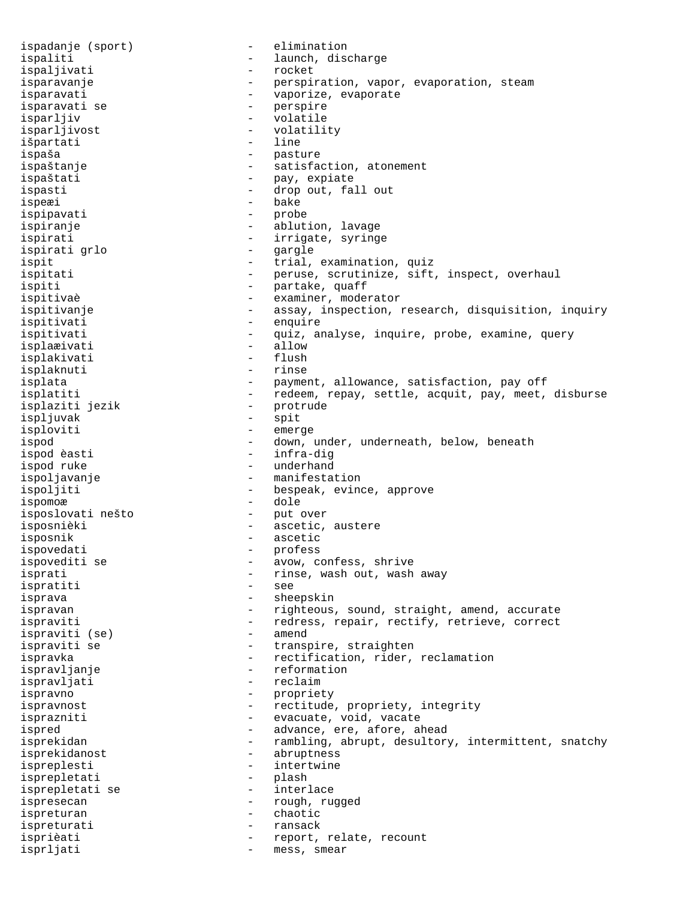ispadanje (sport) - elimination ispaliti - launch, discharge ispaljivati - rocket isparavanje - perspiration, vapor, evaporation, steam isparavati - vaporize, evaporate isparavati se - perspire isparljiv - volatile<br>isparljivost - volatili - volatility<br>- line išpartati ispaša - pasture ispaštanje - satisfaction, atonement ispaštati - pay, expiate ispasti  $\qquad \qquad -$  drop out, fall out ispeæi - bake ispipavati - probe ispiranje  $\qquad \qquad$  - ablution, lavage ispirati - irrigate, syringe<br>ispirati qrlo ispirati grlo - gargle ispit  $-$  trial, examination, quiz ispitati - peruse, scrutinize, sift, inspect, overhaul ispiti - partake, quaff - examiner, moderator ispitivanje e assay, inspection, research, disquisition, inquiry ispitivati - enquire ispitivati quiz, analyse, inquire, probe, examine, query isplarivati isplaæivati isplakivati - flush isplaknuti - rinse isplata - payment, allowance, satisfaction, pay off isplatiti - redeem, repay, settle, acquit, pay, meet, disburse isplaziti jezik - protrude ispljuvak - spit isploviti - emerge ispod - down, under, underneath, below, beneath<br>ispod èasti - infra-diq - infra-dig ispod ruke  $\qquad \qquad -$  underhand ispoljavanje - manifestation ispoljiti - bespeak, evince, approve ispomoæ - dole<br>isposlovati nešto - put over isposlovati nešto isposnièki  $-$  ascetic, austere isposnik - ascetic ispovedati - profess ispovediti se  $-$  avow, confess, shrive isprati - rinse, wash out, wash away<br>ispratiti - - - - - - - - - - - - see ispratiti isprava - sheepskin ispravan - righteous, sound, straight, amend, accurate ispraviti  $-$  redress, repair, rectify, retrieve, correct<br>ispraviti (se)  $-$  amend ispraviti (se) ispraviti se  $\qquad \qquad$  - transpire, straighten ispravka - rectification, rider, reclamation ispravljanje - reformation ispravljati - reclaim ispravno - propriety ispravnost  $-$  rectitude, propriety, integrity isprazniti  $-$  evacuate, void, vacate ispred  $\qquad \qquad -$  advance, ere, afore, ahead isprekidan - rambling, abrupt, desultory, intermittent, snatchy isprekidanost - abruptness ispreplesti<br>isprepletati - intertwine<br>plash - plash isprepletati - plash isprepletati se ispresecan - rough, rugged ispreturan - chaotic ispreturati - ransack isprièati  $-$  report, relate, recount isprljati - mess, smear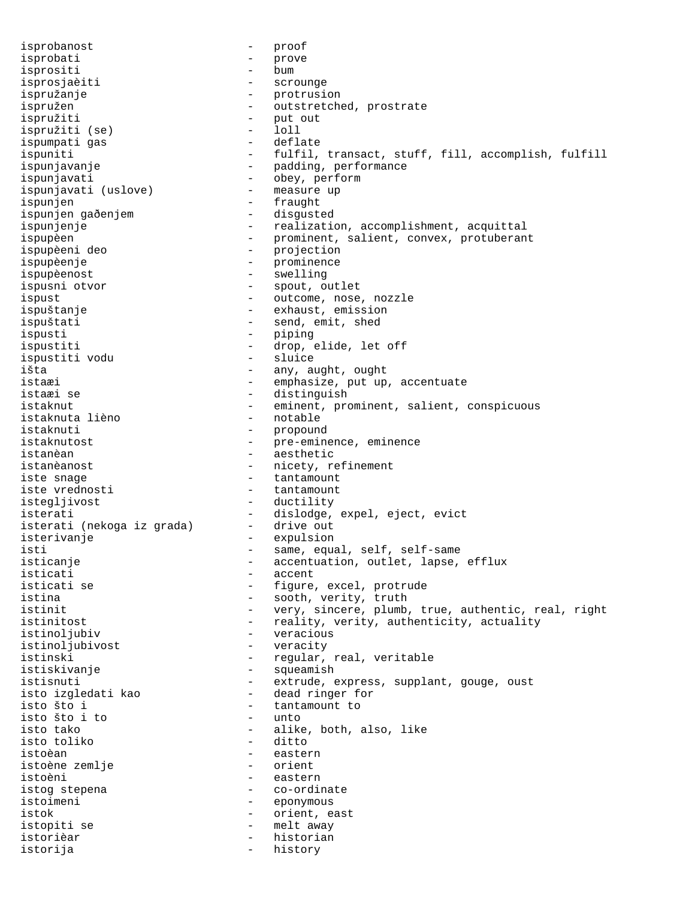isprobanost - proof isprobati - prove isprobati - prove isprositi - prove isprositi isprosjaèiti - scrounge ispružanje - protrusion ispružen - outstretched, prostrate ispružiti - put out ispružiti (se) - loll ispumpati gas ispuniti - fulfil, transact, stuff, fill, accomplish, fulfill ispunjavanje en morton v rojatelje i padding, performance ispunjavati<br>ispunjavati (uslove) - obey, perform<br>- measure up ispunjavati (uslove) ispunjen - fraught ispunjen gaðenjem ispunjenje  $-$  realization, accomplishment, acquittal ispupèen  $-$  prominent, salient, convex, protuberant ispupèeni deo - projection ispupèenje - prominence ispupèenost - swelling ispusni otvor  $-$  spout, outlet ispust  $\qquad \qquad -$  outcome, nose, nozzle ispuštanje - exhaust, emission ispuštati  $-$  send, emit, shed ispusti - piping ispustiti - drop, elide, let off<br>ispustiti vodu - sluice - sluice ispustiti vodu išta - any, aught, ought istaæi - emphasize, put up, accentuate istaæi se - distinguish istaknut - eminent, prominent, salient, conspicuous<br>istaknuta lièno - notable - notable istaknuta lièno istaknuti - propound<br>istaknutost - pre-emine istaknutost - pre-eminence, eminence<br>istanèan - aesthetic - aesthetic istanèanost  $-$  nicety, refinement iste snage  $\overline{\phantom{0}}$  = tantamount<br>iste vrednosti  $\overline{\phantom{0}}$  - tantamount iste vrednosti istegljivost - ductility isterati - dislodge, expel, eject, evict<br>isterati (nekoga iz grada) - drive out isterati (nekoga iz grada) isterivanje - expulsion isti - same, equal, self, self-same<br>isticanje - external - accentuation, outlet, lapse, isticanje - accentuation, outlet, lapse, efflux isticati - accent<br>isticati se - - - - - - - - - - figure isticati se - figure, excel, protrude<br>
istina - sooth verity truth - sooth, verity, truth istinit  $-$  very, sincere, plumb, true, authentic, real, right istinitost  $-$  reality, verity, authenticity, actuality istinoljubiv - veracious istinoljubivost - veracity istinski - regular, real, veritable istiskivanje - squeamish istisnuti extrude, express, supplant, gouge, oust isto izgledati kao dead ringer for tantamount to - tantamount to<br>- unto isto što i to isto tako  $\begin{array}{ccc} - & \text{alive} & \text{both} & \text{also} \\ - & \text{dite} & \text{both} & \text{also} \\ \end{array}$ - ditto istoèan - eastern istoène zemlje istoèni - eastern istog stepena  $\qquad \qquad -$  co-ordinate istoimeni - eponymous istok - orient, east istopiti se  $-$  melt away istorièar - historian istorija - history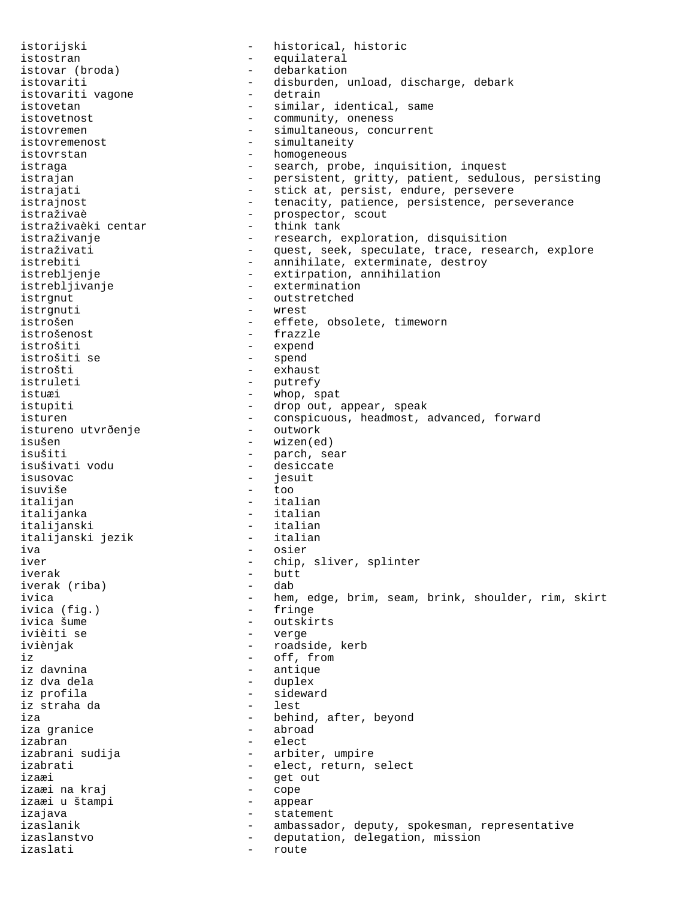istorijski - historical, historic istostran - equilateral istovar (broda) - debarkation istovariti - disburden, unload, discharge, debark<br>istovariti vaqone - detrain istovariti vagone istovetan - similar, identical, same istovetnost  $\qquad \qquad \qquad -$  community, oneness istovremen - simultaneous, concurrent istovremenost - simultaneity<br>istovrstan - homogeneous istovrstan - homogeneous<br>istraqa - search, pro - search, probe, inquisition, inquest istrajan - persistent, gritty, patient, sedulous, persisting istrajati  $-$  stick at, persist, endure, persevere istrajnost external tenacity, patience, persistence, perseverance istraživaè - prospector, scout istraživaèki centar<br>istraživanje istraživanje - research, exploration, disquisition<br>istraživati - quest, seek, speculate, trace, resea - quest, seek, speculate, trace, research, explore istrebiti - annihilate, exterminate, destroy<br>istrebljenje - extirpation, annihilation istrebljenje<br>
istrebljivanje<br>
- extermination<br>
- extermination istrebljivanje - extermination<br>istrqnut - outstretched - outstretched istrgnuti - wrest istrošen - effete, obsolete, timeworn istrošenost - frazzle - expend istrošiti se  $-$  spend istrošti - exhaust istruleti - putrefy istuæi - whop, spat istupiti  $\qquad \qquad -$  drop out, appear, speak isturen - conspicuous, headmost, advanced, forward<br>istureno utvrðenje - outwork istureno utvrðenje<br>isušen - wizen(ed) isušiti - parch, sear<br>isušivati vodu - - desiccate isušivati vodu isusovac - jesuit isuviše - too italijan - italian italijanka - italian - italian<br>- italian italijanski jezik iva - osier - osier<br>iver - chip, - chip, sliver, splinter iverak - butt iverak (riba)<br>ivica - hem, edge, brim, seam, brink, shoulder, rim, skirt<br>- fringe ivica (fig.)<br>ivica šume ivica šume<br>ivièiti se de la province de la province de la province de la province de la province de la province<br>contra la province de la province de la province de la province de la province de la province de la province d - verge iviènjak - roadside, kerb iz - off, from iz davnina  $\qquad \qquad$  - antique iz dva dela - duplex iz profila - sideward iz straha da iza  $\begin{array}{ccc} 1 & - & - \\ 1 & - & - \end{array}$  behind, after, beyond iza granice - abroad izabran - elect - arbiter, umpire izabrati - elect, return, select izaæi - get out izaæi na kraj - cope izaæi u štampi izajava - statement izaslanik - ambassador, deputy, spokesman, representative izaslanstvo - deputation, delegation, mission izaslati - route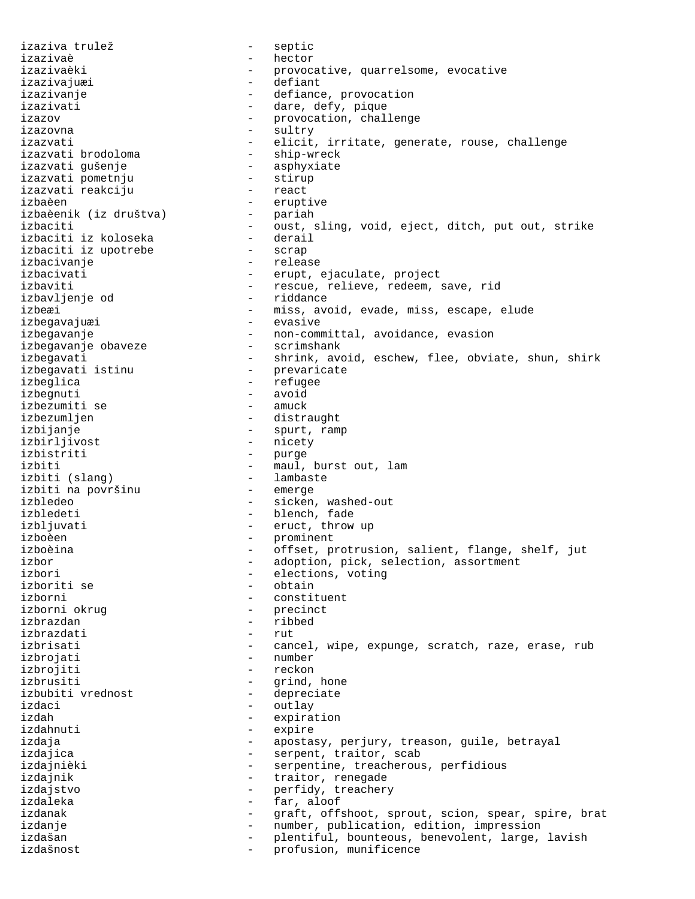izaziva trulež - septic izazivaè - hector izazivaèki - provocative, quarrelsome, evocative izazivajuæi - defiant - defiance, provocation izazivati  $\overline{\phantom{a}}$  - dare, defy, pique izazov - provocation, challenge izazovna - sultry izazvati - elicit, irritate, generate, rouse, challenge<br>izazvati brodoloma - ship-wreck izazvati brodoloma izazvati gušenje<br>
izazvati pometniu<br>
- stirup izazvati pometnju - stirup izazvati reakciju izbaèen - eruptive izbaèenik (iz društva) izbaciti - oust, sling, void, eject, ditch, put out, strike izbaciti iz koloseka dirediren e deraile e deraile e deraile e deraile e deraile e deraile e deraile e derail<br>Deraile e deraile e deraile e deraile e deraile e deraile e deraile e deraile e deraile e deraile e deraile e izbaciti iz upotrebe - scrap izbacivanje<br>izbacivati - release<br>erupt, izbacivati - erupt, ejaculate, project<br>izbaviti - erupt, ejaculate, project - rescue, relieve, redeem, save, rid<br>- riddance izbavljenje od izbeæi - miss, avoid, evade, miss, escape, elude izbegavajuæi izbegavanje - non-committal, avoidance, evasion<br>izbegavanje obaveze - - scrimshank izbegavanje obaveze izbegavati - shrink, avoid, eschew, flee, obviate, shun, shirk<br>izbegavati istinu - prevaricate izbegavati istinu izbeglica - refugee izbegnuti - avoid<br>izbezumiti se - amuck izbezumiti se izbezumljen - distraught izbijanje **-** spurt, ramp izbirljivost - nicety<br>izbistriti - purqe - purge izbiti  $\begin{array}{ccc} - & - \\ - & \text{maul} \end{array}$  burst out, lam izbiti (slang) - lambaste izbiti na površinu izbledeo - sicken, washed-out izbledeti - blench, fade izbljuvati - eruct, throw up izboèen - prominent izboèina - offset, protrusion, salient, flange, shelf, jut izbor - adoption, pick, selection, assortment<br>izbori - elections, voting - elections, voting izboriti se - obtain izborni - constituent<br>izborni okruq - constituent - precinct - precinct izbrazdan - ribbed izbrazdati izbrisati - cancel, wipe, expunge, scratch, raze, erase, rub izbrojati - number izbrojiti - reckon izbrusiti - grind, hone<br>izbubiti vrednost - depreciate izbubiti vrednost izdaci - outlay izdah - expiration izdahnuti - expire izdaja - apostasy, perjury, treason, guile, betrayal izdajica  $-$  serpent, traitor, scab izdajnièki - serpentine, treacherous, perfidious izdajnik  $-$  traitor, renegade izdajstvo - perfidy, treachery izdaleka - far, aloof izdanak en metalang sama termanak anak separa sekara sekara sekara sekara sekara sekara sekara sekara sekara s izdanje - number, publication, edition, impression izdašan - plentiful, bounteous, benevolent, large, lavish<br>izdašnost - profusion munificence izdašnost - profusion, munificence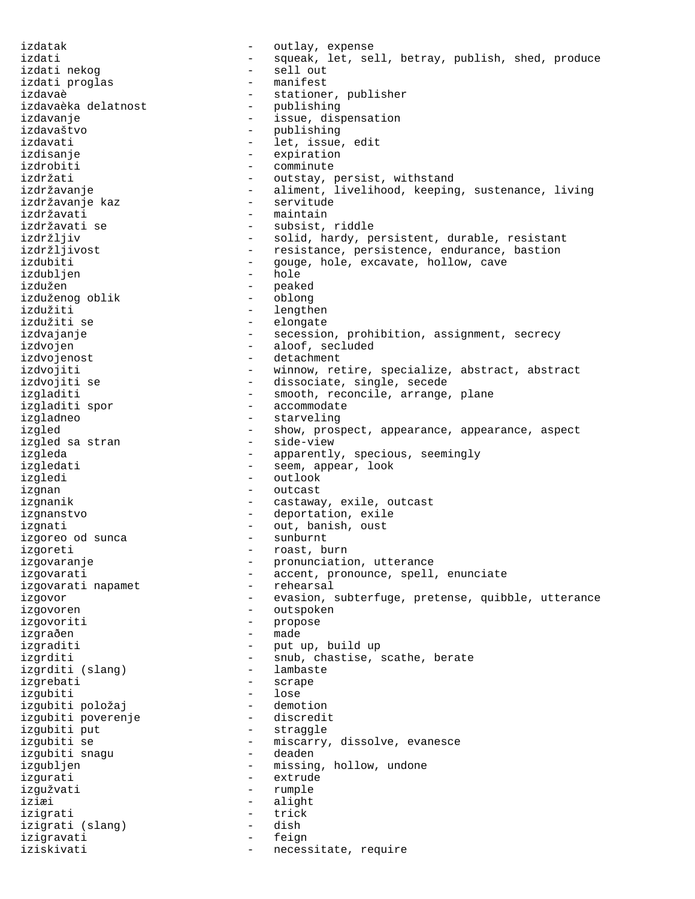izdatak  $\qquad \qquad -$  outlay, expense izdati  $-$  squeak, let, sell, betray, publish, shed, produce izdati nekog - sell out izdati proglas izdavaè - stationer, publisher<br>izdavaèka delatnost - publishing izdavaèka delatnost izdavanje - issue, dispensation izdavaštvo - publishing - let, issue, edit izdisanje - expiration izdrobiti - comminute izdržati - outstay, persist, withstand izdržavanje e state - aliment, livelihood, keeping, sustenance, living izdržavanje kaz  $-$  servitude izdržavati - maintain izdržavati se - subsist, riddle izdržljiv - solid, hardy, persistent, durable, resistant<br>izdržljivost - resistance, persistence, endurance, bastion - resistance, persistence, endurance, bastion izdubiti - gouge, hole, excavate, hollow, cave<br>izdublien - hole - hole izdubljen izdužen - peaked<br>izduženog oblik - oblong izduženog oblik izdužiti - lengthen - elongate izdvajanje en en en en en secession, prohibition, assignment, secrecy izdvojen - aloof, secluded izdvojenost - detachment izdvojiti  $-$  winnow, retire, specialize, abstract, abstract izdvojiti se  $-$  dissociate, single, secede izgladiti - smooth, reconcile, arrange, plane izgladiti spor  $-$  accommodate izgladneo - starveling izgled - show, prospect, appearance, appearance, aspect<br>izgled sa stran - side-view - side-view izgleda - apparently, specious, seemingly izgledati - seem, appear, look izgledi - outlook izgnan - outcast izgnanik - castaway, exile, outcast izgnanstvo - deportation, exile izgnati - out, banish, oust izgoreo od sunca izgoreti - roast, burn izgovaranje - pronunciation, utterance izgovarati and accent, pronounce, spell, enunciate izgovarati napamet  $\overline{\phantom{a}}$  - rehearsal izgovor exasion, subterfuge, pretense, quibble, utterance izgovoren - outspoken izgovoriti - propose izgraðen - made izgraditi - put up, build up izgrditi - snub, chastise, scathe, berate izgrditi (slang) - lambaste izgrebati - scrape izgubiti - lose izgubiti položaj - demotion izgubiti poverenje izgubiti put - straggle - miscarry, dissolve, evanesce<br>- deaden izgubiti snagu izqubljen - missing, hollow, undone izgurati - extrude izgužvati - rumple iziæi - alight<br>izionati - trick izigrati - trick izigrati (slang) - dish izigravati - feign iziskivati  $-$  necessitate, require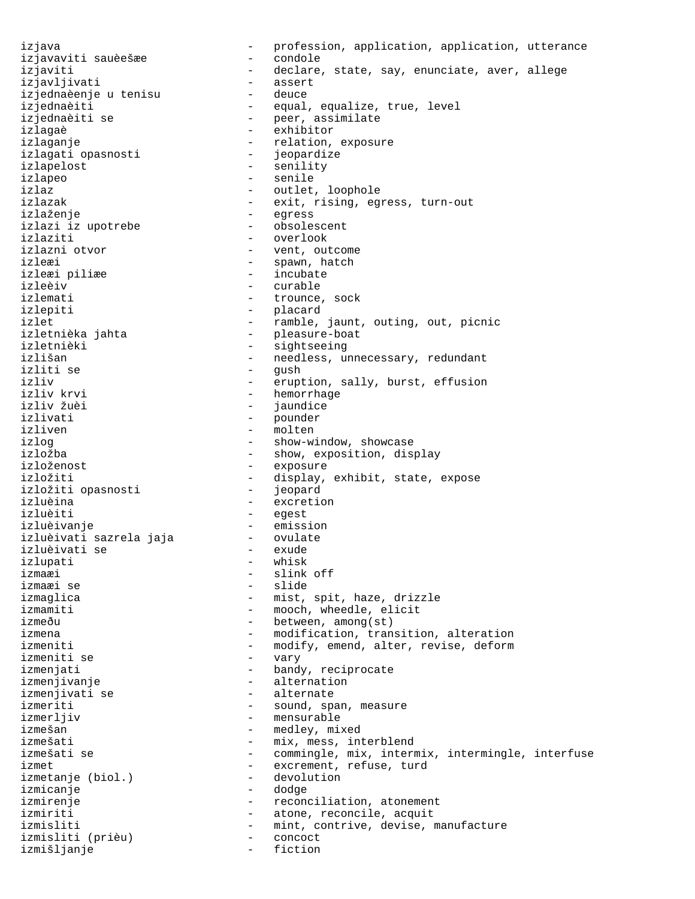izjava<br>izjava - profession, application, application, utterance<br>izjavaviti sauèeš<del>z</del>e - condole izjavaviti sauèešæe - condole izjaviti  $-$  declare, state, say, enunciate, aver, allege izjavljivati - assert<br>izjednaèenje u tenisu - deuce izjednaèenje u tenisu izjednaeenje u tenisu<br>izjednaèiti - equal, equalize, true, level<br>izjednaèiti izjednaèiti se  $\overline{\phantom{a}}$  - peer, assimilate izlagaè - exhibitor izlaganje - relation, exposure<br>izlagati opasnosti - jeopardize izlagati opasnosti izlapelost - senility izlapeo - senile izlaz  $\qquad \qquad -$  outlet, loophole izlazak  $-$  exit, rising, egress, turn-out izlaženje<br>izlazi iz upotrebe obsolescent izlazi iz upotrebe izlaziti - overlook izlazni otvor and the set of the vent, outcome izleæi - spawn, hatch<br>izleæi piliæe - - - - - - - - - - - - - incubate izleæi piliæe<br>izleèiv izleèiv - curable - trounce, sock izlepiti - placard izlet  $\qquad \qquad -$  ramble, jaunt, outing, out, picnic izletnièka jahta - pleasure-boat - sightseeing izlišan - needless, unnecessary, redundant izliti se - gush izliv  $\begin{array}{ccc} - & \text{eruption, sally, burst, effusion} \\ - & \text{hemorrhage} \end{array}$ - hemorrhage<br>- jaundice izliv žuèi - jaundice izlivati - pounder izliven - molten<br>izlog - show-w: - show-window, showcase izložba - show, exposition, display izloženost - exposure izložiti - display, exhibit, state, expose<br>izložiti opasnosti - jeopard izložiti opasnosti izluèina - excretion izluèiti - egest izluèivanje<br>izluèivati sazrela jaja ovulate izluèivati sazrela jaja ovulatelaizluèivati se izluèivati se izlupati - whisk izmaæi - slink off - slide izmaglica - mist, spit, haze, drizzle izmamiti - mooch, wheedle, elicit izmeðu - between, among(st) izmena  $-$  modification, transition, alteration izmeniti  $-$  modify, emend, alter, revise, deform izmeniti se  $-$  vary izmenjati  $\qquad \qquad -$  bandy, reciprocate izmenjivanje en metalog v radioenation izmenjivati se  $\overline{\phantom{a}}$  - alternate izmeriti - sound, span, measure izmerljiv - mensurable izmešan - medley, mixed - mix, mess, interblend izmešati se  $\sim$  - commingle, mix, intermix, intermingle, interfuse izmet  $\frac{1}{2}$  - excrement, refuse, turd izmetanje (biol.) - devolution izmetanje (biol.) izmicanje - dodge izmirenje  $-$  reconciliation, atonement izmiriti - atone, reconcile, acquit izmisliti - mint, contrive, devise, manufacture<br>izmisliti (prièu) - concoct izmisliti (prièu) - concoct izmišljanje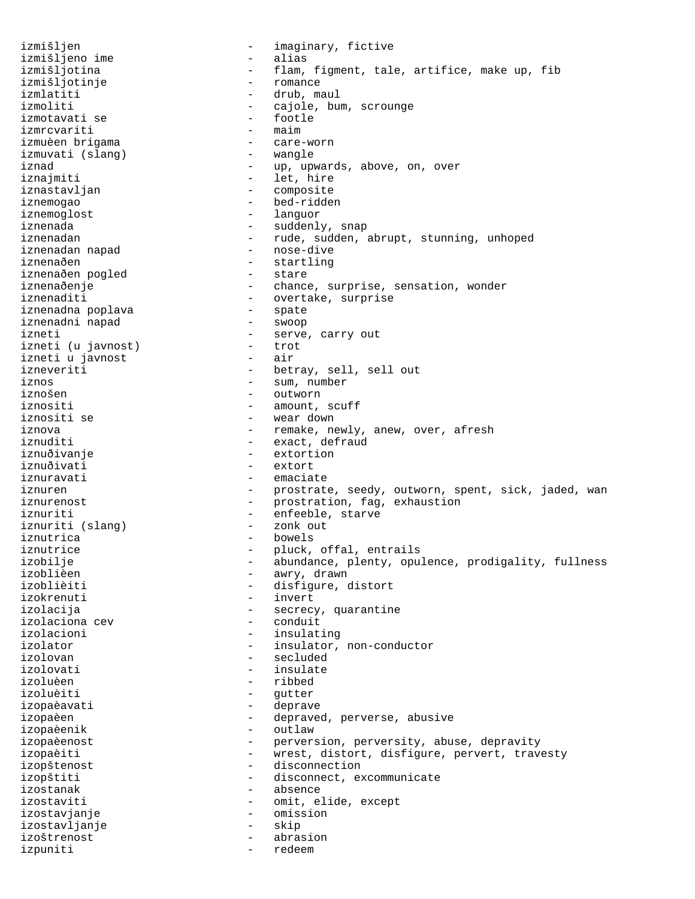izmišljen - imaginary, fictive izmišljeno ime - alias - flam, figment, tale, artifice, make up, fib<br>- romance izmišljotinje<br>izmlatiti - drub, maul izmoliti - cajole, bum, scrounge<br>izmotavati se - - - - - - footle izmotavati se - footle izmrcvariti - maim izmuèen brigama - care-worn izmuvati (slang) iznad  $\qquad \qquad -$  up, upwards, above, on, over iznajmiti - let, hire iznastavljan - composite iznemogao - bed-ridden iznemoglost - languor iznenada - suddenly, snap iznenadan - rude, sudden, abrupt, stunning, unhoped<br>iznenadan napad - nose-dive iznenadan napad iznenaðen<br>iznenaðen pogled - startling<br>- stare iznenaðen pogled<br>iznenaðenje iznenaðenje - chance, surprise, sensation, wonder<br>iznenaditi - - overtake, surprise - overtake, surprise<br>- spate iznenadna poplava - spate iznenadni napad izneti<br>
izneti (u iavnost) - serve, carry out<br>
- trot izneti (u javnost) - trot izneti u javnost izneveriti - betray, sell, sell out iznos - sum, number - outworn iznositi - amount, scuff - wear down iznova - remake, newly, anew, over, afresh<br>iznuditi - exact, defraud iznuditi - exact, defraud<br>iznuðivanje - extortion - extortion iznuðivati - extort iznuravati - emaciate iznuren en en eerstrate, seedy, outworn, spent, sick, jaded, wan iznurenost  $\qquad \qquad \qquad -$  prostration, fag, exhaustion iznuriti - enfeeble, starve iznuriti (slang) - zonk out iznutrica - bowels iznutrice - pluck, offal, entrails izobilje - abundance, plenty, opulence, prodigality, fullness izoblièen - awry, drawn - disfigure, distort izokrenuti - invert izolacija - secrecy, quarantine izolaciona cev izolacioni - insulating izolator  $-$  insulator, non-conductor izolovan - secluded izolovati - insulate izoluèen - ribbed izoluèiti - gutter izopaèavati - deprave izopaèen  $\qquad \qquad -$  depraved, perverse, abusive izopaèenik - outlaw izopaèenost <br />
- perversion, perversity, abuse, depravity<br />
- perversion, perversity, abuse, depravity izopaèiti - wrest, distort, disfigure, pervert, travesty izopštenost - disconnection izopštiti - disconnect, excommunicate izostanak - absence izostaviti - omit, elide, except izostavjanje - omission izostavljanje - skip izoštrenost - abrasion izpuniti - redeem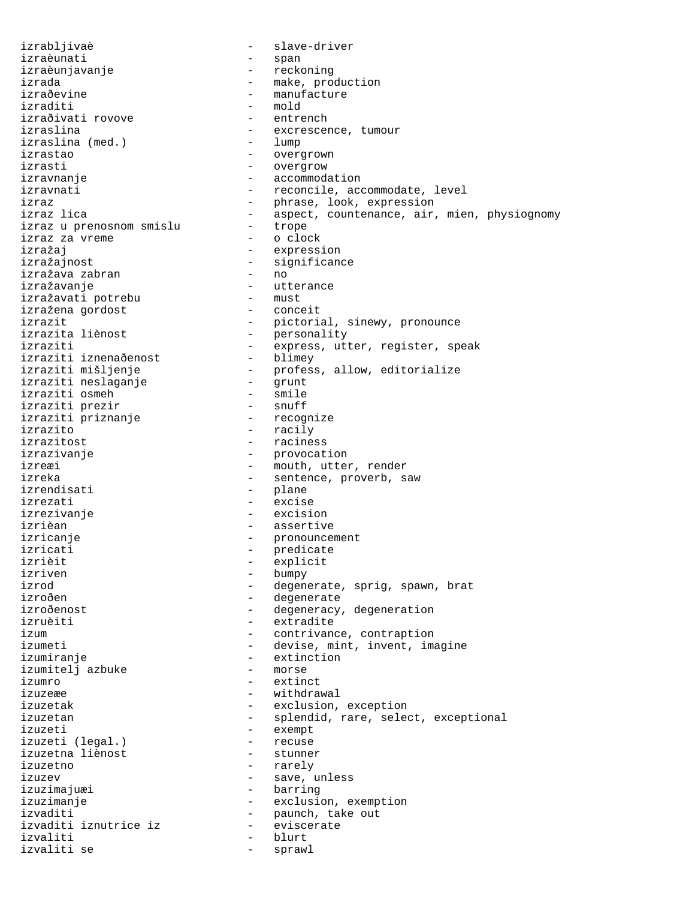izrabljivaè - slave-driver izraèunati - span izraèunjavanje - reckoning izrada - make, production<br>izraðevine - manufacture - manufacture izraðevine - manufacture izraðivati rovove<br>izraslina izraslina (med.)<br>izrastao izrasti - overgrow izravnanje - accommodation izravnati  $-$  reconcile, accommodate, level izraz - phrase, look, expression izraz u prenosnom smislu - trope izraz za vreme izražaj - expression izražava zabran<br>izražavanje izražavati potrebu - must izražena gordost izrazit - pictorial, sinewy, pronounce<br>izrazita liènost - personality izrazita liènost - personality izraziti - express, utter, register, speak -<br>izraziti iznenaðenost<br>izraziti mišljenje izraziti mišljenje profess, allow, editorialize izraziti neslaganje - grunt izraziti osmeh - smile izraziti prezir - snuff izraziti priznanje<br>izrazito izrazito in the racily contract to the racily izrazitost izrazivanje  $\qquad \qquad \qquad -$  provocation izreæi - mouth, utter, render izreka - sentence, proverb, saw izrezati - excise izrezivanje - excision izrièan - assertive izricanje - pronouncement izricati - predicate izrièit - explicit izriven - bumpy<br>izrod - degen izrod - degenerate, sprig, spawn, brat<br>izroðen - - degenerate izroðenost er stærfer er stærfer er degeneracy, degeneration izruèiti - extradite izum  $\qquad \qquad -$  contrivance, contraption izumeti - devise, mint, invent, imagine izumiranje - extinction<br>izumiteli azbuke - - - - - - - - morse izumitelj azbuke izumro - extinct izuzeæe  $-$  withdrawal izuzetak  $-$  exclusion, exception izuzeti - exempt<br>izuzeti (legal.) - - exempt izuzeti (legal.) - recuse izuzetna liènost izuzetno - rarely izuzev  $\qquad$  - save, unless izuzimajuæi - barring izuzimanje - exclusion, exemption izvaditi - paunch, take out izvaditi iznutrice iz - eviscerate izvaliti - blurt izvaliti se

- mold<br>- entrench - excrescence, tumour<br>- lump - overgrown izraz lica - aspect, countenance, air, mien, physiognomy - aspect, countenance, air, mien, physiognomy - significance<br>- no - utterance<br>- must - raciness - plane - degenerate izuzetan - splendid, rare, select, exceptional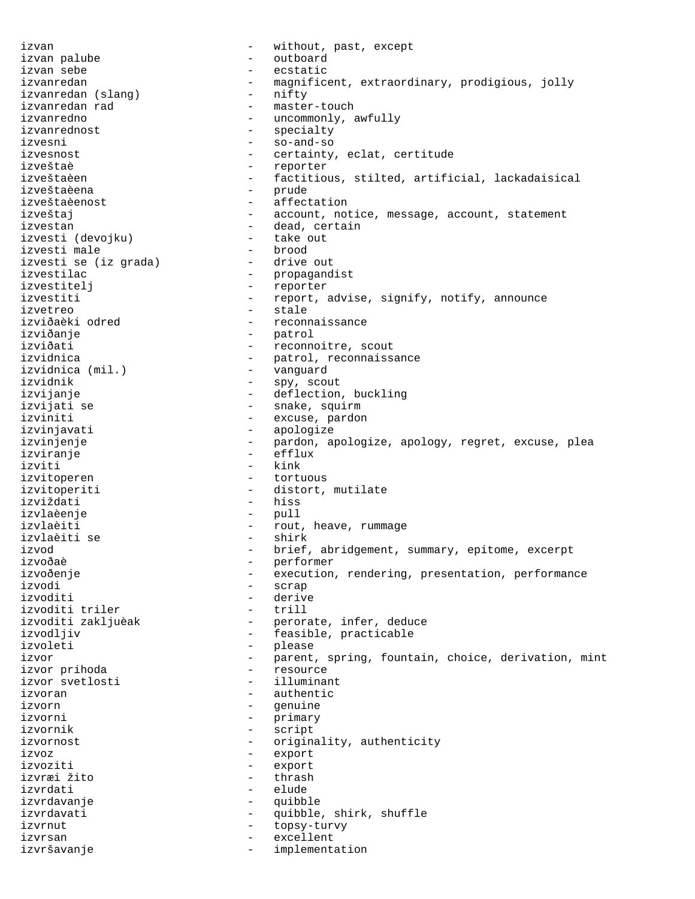izvan - without, past, except izvan palube  $\qquad \qquad -$  outboard izvan sebe - ecstatic izvanredan - magnificent, extraordinary, prodigious, jolly<br>izvanredan (slang) - nifty izvanredan (slang) - nifty - nifty - nifty - nifty - nifty - nifty - nifty - nifty - nifty - nifty - nifty - n izvanredan rad  $\overline{\phantom{a}}$  - master-touch izvanredno - uncommonly, awfully izvanrednost - specialty<br>izvesni - so-and-so izvesni - so-and-so - certainty, eclat, certitude izveštaè - reporter izveštaèen - factitious, stilted, artificial, lackadaisical izveštaèena - prude izveštaèenost - affectation izveštaj  $-$  account, notice, message, account, statement izvestan - dead, certain izvesti (devojku) - take out izvesti male<br>izvesti se (iz grada) - drive out izvesti se (iz grada) izvestilac<br>izvestiteli - propagandist<br>izvestiteli - reporter izvestitelj - reporter izvestiti  $-$  report, advise, signify, notify, announce izvetreo - stale - reconnaissance izviðanje - patrol izviðati  $-$  reconnoitre, scout izvidnica - patrol, reconnaissance izvidnica (mil.) - vanguard izvidnik - spy, scout izvijanje - deflection, buckling - snake, squirm izviniti  $-$  excuse, pardon izvinjavati - apologize izvinjenje - pardon, apologize, apology, regret, excuse, plea izviranje - efflux izviti - kink izvitoperen - tortuous izvitoperiti - distort, mutilate<br>izviždati - hiss<br>- hiss izviždati izvlaèenje - pull izvlaèiti - rout, heave, rummage izvlaèiti se izvod - brief, abridgement, summary, epitome, excerpt izvoðaè - performer izvoðenje execution, rendering, presentation, performance izvodi - scrap - derive<br>- trill izvoditi triler<br>izvoditi zakljuèak - perorate, infer, deduce izvodljiv - feasible, practicable izvoleti - please izvor **1200** - parent, spring, fountain, choice, derivation, mint izvor prihoda - resource izvor svetlosti izvoran - authentic<br>izvorn - authentic izvorn - genuine izvorni - primary izvornik - script izvornost - originality, authenticity<br>izvoz izvoz - export izvoziti - export izvræi žito - thrash izvrdati - elude izvrdavanje - quibble izvrdavati - quibble, shirk, shuffle<br>izvrnut - topsv-turvv izvrnut - topsy-turvy izvrsan - excellent izvršavanje - implementation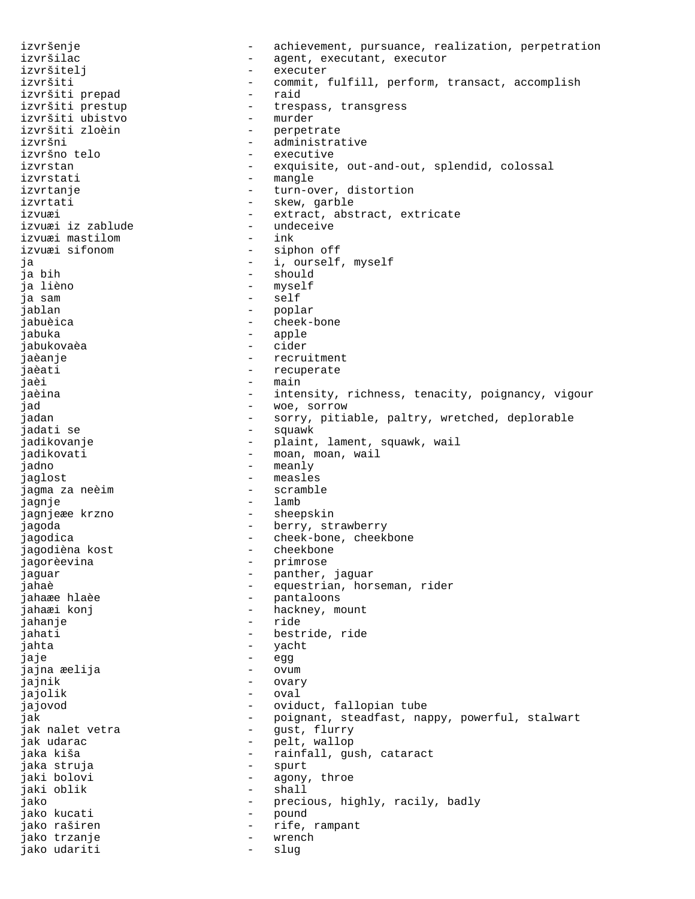izvršenje e state - achievement, pursuance, realization, perpetration izvršilac - agent, executant, executor izvršitelj - executer izvršiti - commit, fulfill, perform, transact, accomplish<br>izvršiti prepad - raid izvršiti prepad izvršiti prestup - trespass, transgress izvršiti ubistvo<br>izvršiti zloèin izvršiti zloèin - perpetrate izvršni - administrative<br>izvršno telo - - - - - - - - - executive izvršno telo - executive - exquisite, out-and-out, splendid, colossal izvrstati - mangle izvrtanje  $\qquad \qquad \qquad -$  turn-over, distortion izvrtati  $\qquad \qquad -$  skew, garble izvuæi 1280 - extract, abstract, extricate<br>1280 - izvuæi iz zablude 1280 - undeceive izvuæi iz zablude - undeceive izvuæi mastilom - ink izvuæi sifonom ja - i, ourself, myself ja bih - should ja lièno - myself - self jablan - poplar jabuèica - cheek-bone jabuka - apple jabukovaèa - cider jaèanje en metallie en metallie en metallie recruitment jaèati - recuperate jaèi - main jaèina - intensity, richness, tenacity, poignancy, vigour jad - woe, sorrow - sorry, pitiable, paltry, wretched, deplorable jadati se  $-$  squawk jadikovanje - - - - - - - - - plaint, lament, squawk, wail jadikovati  $-$  moan, moan, wail jadno - meanly jaglost - measles jagma za neèim jagnje - lamb jagnjeæe krzno  $-$  sheepskin jagoda - berry, strawberry jagodica<br>jagodica - cheek-bone, cheekbone<br>jagodièna kost - cheekbone jagodièna kost - cheekbone jagorèevina jaguar - panther, jaguar jahaè - equestrian, horseman, rider<br>jahaæe hlaèe - - - - - - - - - pantaloons - pantaloons jahaæi konj **-** hackney, mount jahanje - ride jahati - bestride, ride jahta - yacht jaje - egg jajna æelija - ovum jajnik - ovary jajolik - oval jajovod - oviduct, fallopian tube jak - poignant, steadfast, nappy, powerful, stalwart<br>jak nalet vetra - - gust, flurry jak nalet vetra<br>jak udarac - pelt, wallop jaka kiša - rainfall, gush, cataract<br>iaka struia - - - - - - - - - - spurt jaka struja jaki bolovi - agony, throe - shall jako - precious, highly, racily, badly jako kucati  $\qquad \qquad -$  pound jako raširen 1988. – Prife, rampant jako trzanje - wrench jako udariti  $\qquad \qquad -$  slug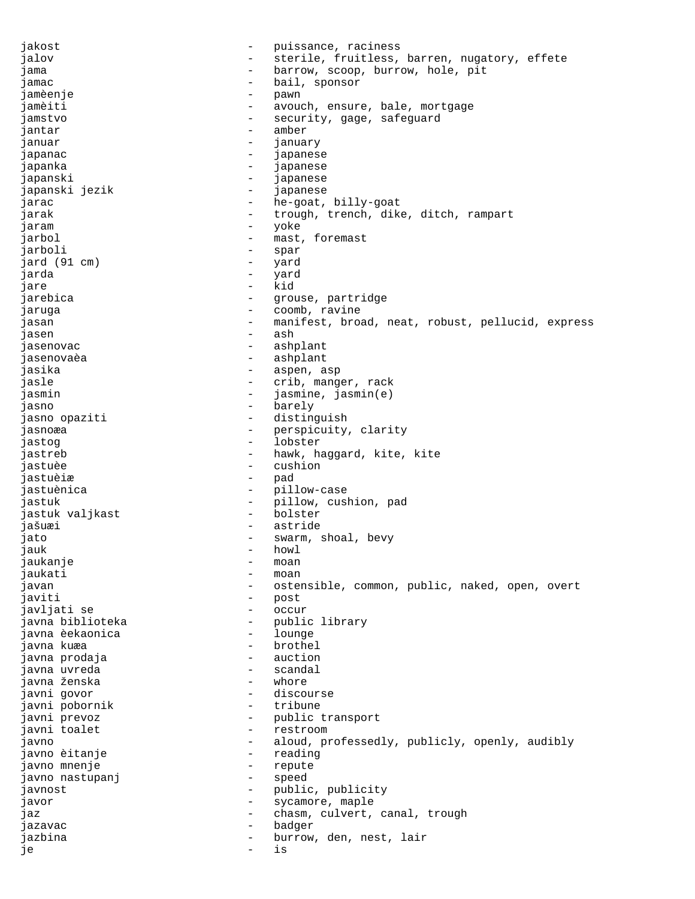jakost  $-$  puissance, raciness jalov **1988** - sterile, fruitless, barren, nugatory, effete jama  $\qquad \qquad \qquad -$  barrow, scoop, burrow, hole, pit jamac - bail, sponsor jamèenje - pawn jamèiti - avouch, ensure, bale, mortgage jamstvo - security, gage, safeguard<br>iantar jantar - amber<br>januar - amber<br>januar - januar januar - january - january<br>jananac japanac - japanese japanka - japanese japanski - japanese japanski jezik  $-$  japanese jarac  $-$  he-goat, billy-goat jarak  $-$  trough, trench, dike, ditch, rampart jaram - yoke jarbol  $-$  mast, foremast jarboli - spar jard (91 cm) - yard jarda - yard jare - kid jarebica <br />  $\qquad \qquad$  - grouse, partridge jaruga - coomb, ravine jasan 1983 - manifest, broad, neat, robust, pellucid, express jasen - ash jasenovac - ashplant jasenovaèa - ashplant jasika - aspen, asp jasle  $\qquad \qquad -$  crib, manger, rack jasmin - jasmine, jasmin(e) jasno - barely jasno opaziti - distinguish jasnoæa - perspicuity, clarity<br>iastog jastog - lobster jastreb  $-$  hawk, haggard, kite, kite jastuèe - cushion<br>iastuèire - cushion - cushion jastuèiæ - pad jastuènica <br/> - pillow-case <br/> - pillow-case jastuk - pillow, cushion, pad<br>jastuk valjkast - bolster - bolster jastuk valjkast - bolster - bolster jašuæi - astride jato  $-$  swarm, shoal, bevy jauk - howl<br>iaukanie - howl - howl jaukanje - moan jaukati - moan javan 1988 - ostensible, common, public, naked, open, overt javiti - post javljati se  $\overline{\phantom{a}}$  - occur javna biblioteka - public library javna èekaonica javna kuæa  $\qquad \qquad$  - brothel javna prodaja - auction javna uvreda - scandal javna ženska - whore javni govor  $-$  discourse javni pobornik - tribune - public transport<br>- restroom javni toalet  $-$  restroom javno - aloud, professedly, publicly, openly, audibly javno èitanje - reading javno mnenje<br>javno nastupanj javno nastupanj - speed javnost - public, publicity javor - sycamore, maple jaz  $\qquad \qquad -$  chasm, culvert, canal, trough jazavac - badger jazbina - burrow, den, nest, lair je - is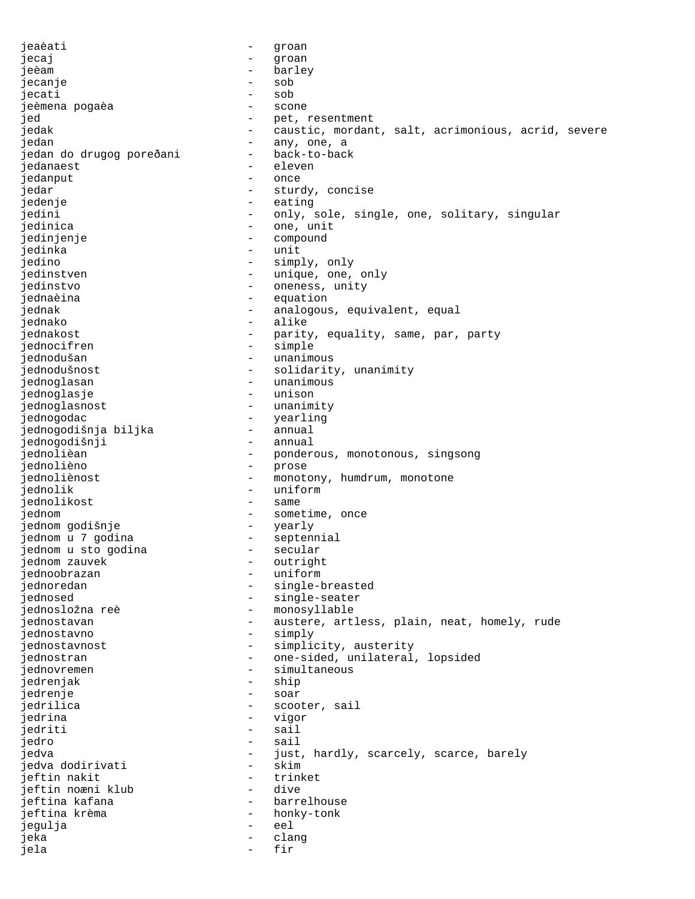jeaèati - groan jecaj - groan jeèam - barley jecanje - sob jecati - sob jeèmena pogaèa - scone jed - pet, resentment jedak - caustic, mordant, salt, acrimonious, acrid, severe<br>jedan - any, one, a - any, one, a<br>- back-to-back jedan do drugog poreðani back-to-<br>iedanaest jedanaest jedanput - once jedar  $-$  sturdy, concise jedenje - eating jedini  $-$  only, sole, single, one, solitary, singular jedinica - one, unit jedinjenje - compound jedinka - unit jedino - simply, only jedinstven - unique, one, only<br>iedinstvo jedinstvo - oneness, unity jednaèina - equation jednak - analogous, equivalent, equal<br>iednako - alike - alike jednakost **-** parity, equality, same, par, party jednocifren - simple jednodušan - unanimous jednodušnost - solidarity, unanimity jednoglasan - unanimous jednoglasje - unisoner -<br>iednoglasnost - unisoner jednoglasnost - unanimity jednogodac - yearling jednogodišnja biljka - annual jednogodišnji jednolièan - ponderous, monotonous, singsong jednolièno - prose jednoliènost  $-$  monotony, humdrum, monotone jednolik - uniform jednolikost - same jednom<br>
jednom godišnje<br>
jednom u 7 godina<br>
jednom u 7 godina<br>
- sentennial jednom godišnje jednom u 7 godina - septennial jednom u sto godina - secular jednom zauvek - outright<br>iednoobrazan - uniform jednoobrazan<br>jednoredan jednoredan - single-breasted<br>jednosed - single-seater - single-seater jednosložna reè - monosyllable jednostavan en en austere, artless, plain, neat, homely, rude jednostavno - simply jednostavnost <br />
- simplicity, austerity<br />
jednostran - one-sided, unilateral, lopsided jednovremen - simultaneous jedrenjak - ship jedrenje - soar jedrilica - scooter, sail<br>iedrina - scooter, sail jedrina - vigor jedriti - sail - sail - sail - sail - sail - sail - sail - sail - sail - sail - sail - sail - sail - sail - sa jedro - sail jedva - just, hardly, scarcely, scarce, barely jedva dodirivati - skim jeftin nakit - trinket jeftin noæni klub jeftina kafana - barrelhouse<br>jeftina krèma - barrelhouse - bankv-tonk jeftina krèma - honky-tonk jegulja - eel jeka - clang jela - fir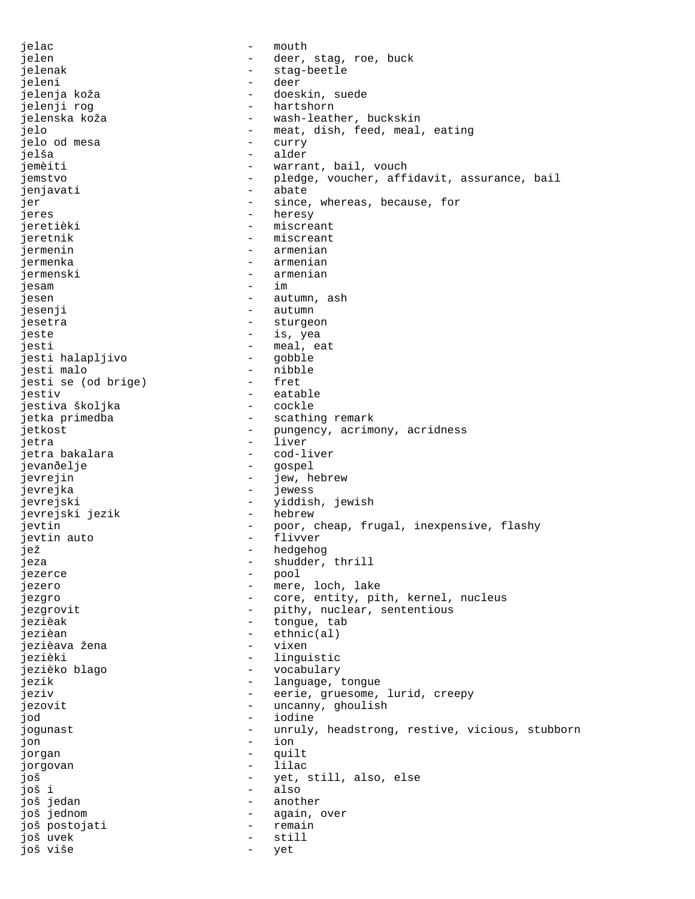jelac - mouth jelen - and - deer, stag, roe, buck jelenak - stag-beetle jeleni - deer doeskin, suede jelenji rog - hartshorn jelenska koža - vash-leather, buckskin jelo - meat, dish, feed, meal, eating<br>ielo od mesa - curry - curry jelo od mesa - curry jelša - alder jemèiti - warrant, bail, vouch jemstvo - pledge, voucher, affidavit, assurance, bail jenjavati - abate jer  $-$  since, whereas, because, for jeres - heresy<br>jeretièki - heresy - heresy jeretièki - miscreant - miscreant jermenin - armenian jermenka - armenian jermenski - armenian jesam - im jesen - autumn, ash jesenji - autumn - autumn - autumn - autumn - autumn - autumn - autumn - autumn - autumn - autumn - autumn - a jesetra - sturgeon - is, yea jesti - meal, eat jesti halapljivo jesti malo<br>iesti se (od brige) - fret<br>- fret jesti se (od brige) jestiv - eatable jestiva školjka jetka primedba  $\qquad \qquad$  - scathing remark jetkost  $-$  pungency, acrimony, acridness jetra - liver - cod-liver jevanðelje - gospel jevrejin - jew, hebrew jevrejka jevrejski - yiddish, jewish jevrejski jezik jevtin - poor, cheap, frugal, inexpensive, flashy jevtin auto - flivver jež - hedgehog jeza - shudder, thrill<br>iezarce - shudder, thrill jezerce - pool jezero  $-$  mere, loch, lake jezgro - core, entity, pith, kernel, nucleus jezgrovit  $-$  pithy, nuclear, sententious jezièak  $-$  tongue, tab jezièan - ethnic(al) jezièava žena - vixen jezièki - linguistic jezièko blago - vocabulary jezik  $-$  language, tongue jeziv - eerie, gruesome, lurid, creepy jezovit - uncanny, ghoulish<br>iod jod - iodine jogunast  $-$  unruly, headstrong, restive, vicious, stubborn<br>jon jon - ion jorgan - quilt jorgovan - lilac još - yet, still, also, else još i - also još jedan - another još jednom - again, over još postojati - remain još uvek - still još više - yet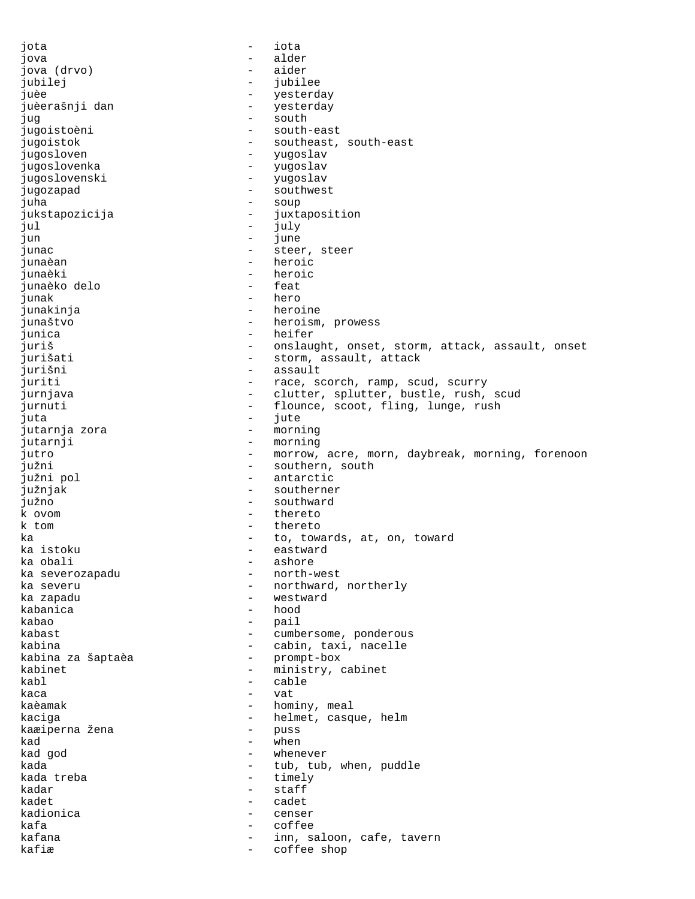jota - iota jova - alder jova (drvo) – aider jubilej - jubilee juèe - yesterday juèerašnji dan  $-$  yesterday jug - south jugoistoèni - south-east jugoistok - southeast, south-east - yugoslav jugoslovenka - yugoslav jugoslovenski - yugoslav jugozapad - southwest juha - soup jukstapozicija - juxtaposition jul - july jun - june junac - steer, steer<br>
iunaèan - steer - heroic junaèan - heroic junaèki - heroic junaèko delo<br>junak - hero junakinja - heroine junaštvo - heroism, prowess junica - heifer juriš - onslaught, onset, storm, attack, assault, onset jurišati  $-$  storm, assault, attack jurišni - assault juriti - race, scorch, ramp, scud, scurry<br>iurniava - clutter, splutter, bustle, rush, jurnjava - clutter, splutter, bustle, rush, scud<br>iurnuti - flounce scoot fling lunge rush jurnuti - flounce, scoot, fling, lunge, rush<br>iuta - iute - iute juta - jute - jute - jute - jute - jute - jute - jute - jute - jute - jute - jute - jute - jute - jute - jute - jute - jute - jute - jute - jute - jute - jute - jute - jute - jute - jute - jute - jute - jute - jute - jute jutarnja zora<br>jutarnji - morning jutro  $-$  morrow, acre, morn, daybreak, morning, forenoon južni - southern, south južni pol - antarctic južnjak - southerner južno - southward k ovom - thereto - thereto<br>- toutous ka - to, towards, at, on, toward ka istoku  $-$  eastward ka obali  $-$  extending to the extending to the extending of  $-$  ashore - ashore<br>- north-west ka severozapadu<br>ka severu ka severu  $-$  northward, northerly<br>ka zapadu  $-$  westward - westward kabanica - hood kabao - pail - pail - pail - pail - pail - pail - pail - pail - pail - pail - pail - pail - pail - pail - pail - pail - pail - pail - pail - pail - pail - pail - pail - pail - pail - pail - pail - pail - pail - pail - pail - cumbersome, ponderous kabina - cabin, taxi, nacelle kabina za šaptaèa - promptabox - promptabox - promptabox - promptabox - promptabox - promptabox - promptabox -<br>Promptabox - promptabox - promptabox - promptabox - promptabox - promptabox - promptabox - promptabox - prompt kabinet - ministry, cabinet<br>
kabl - cable kabl - cable kaca - vat kaèamak  $-$  hominy, meal kaciga<br>kaæiperna žena - helmet, casque, helm<br>- puss kaæiperna žena - puss kad - when - when - when kad god  $\qquad \qquad -$  whenever kada  $\begin{array}{ccc}\n & - & \text{tub, tub, when, puddle} \\
\text{kada treba} & - & \text{timelv}\n\end{array}$ - timely<br>- staff kadar - staff kadet - cadet kadionica - censer kafa - coffee kafana  $-$  inn, saloon, cafe, tavern kafiæ  $-$  coffee shop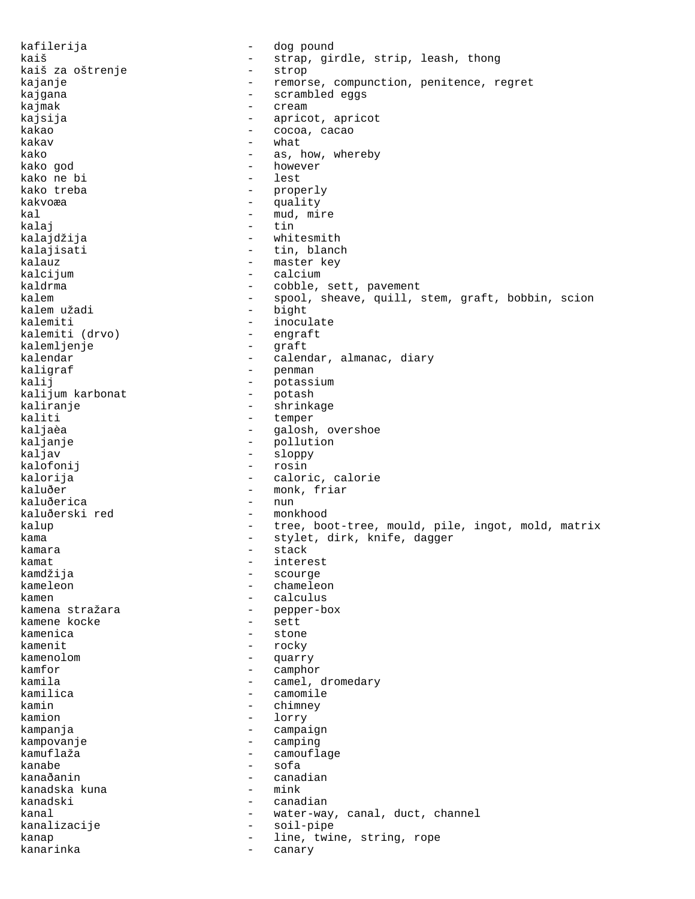kafilerija - dog pound kaiš - strap, girdle, strip, leash, thong<br>kaiš za oštrenje - strop - strop kaiš za oštrenje kajanje  $-$  remorse, compunction, penitence, regret kajgana - scrambled eggs kajmak - cream - cream - cream - cream - cream - cream - cream - cream - cream - cream - cream - cream - cream - cream - cream - cream - cream - cream - cream - cream - cream - cream - cream - cream - cream - cream - cream kajsija - apricot, apricot kakao - cocoa, cacao - what kako  $-$  as, how, whereby kako god - however kako ne bi<br>kako treba - properly kakvoæa - quality kal  $-$  mud, mire kalaj - tin kalajdžija - whitesmith - tin, blanch kalauz - master key kalcijum - calcium kaldrma - cobble, sett, pavement<br>kalem - - spool, sheave, quill, kalem - spool, sheave, quill, stem, graft, bobbin, scion<br>kalem užadi - bight - bight kalemiti - inoculate kalemiti (drvo) - engraft kalemljenje kalendar  $-$  calendar, almanac, diary kaligraf - penman<br>kalij - botass kalij - potassium - botassium<br>kalijum karbonat - potash kalijum karbonat<br>kaliranje kaliranje - shrinkage - shrinkage - shrinkage - shrinkage - shrinkage - shrinkage - shrinkage - shrinkage - sh kaliti - temper<br>kaljaèa - temper - temper kaljaèa - galosh, overshoe<br>kaljanje - galosh, overshoe<br>- gollution - pollution kaljav - sloppy kalofonij - rosin kalorija - caloric, calorie<br>kaluðer - - - - - - - - - - - - monk. friar - monk, friar<br>- nun kaluðerica kaluðerski red - monkhood kalup  $-$  tree, boot-tree, mould, pile, ingot, mold, matrix kama - stylet, dirk, knife, dagger kamara - stack - stack kamat - interest kamdžija - scourge kameleon - chameleon kamen - calculus - pepper-box<br>- sett kamene kocke kamenica - stone kamenit - rocky kamenolom - quarry kamfor - camphor kamila - camel, dromedary<br>kamilica - camomile - camomile kamilica - camomile kamin - chimney lorry kampanja - campaign kampovanje - camping - camouflage kanabe - sofa<br>kanaðanin - sofa - canadian<br>- mink kanadska kuna kanadski - canadian kanal  $-$  water-way, canal, duct, channel<br>
kanalizacije soil-pipe kanalizacije - soil-pipe kanap  $\qquad \qquad -$  line, twine, string, rope kanarinka - canary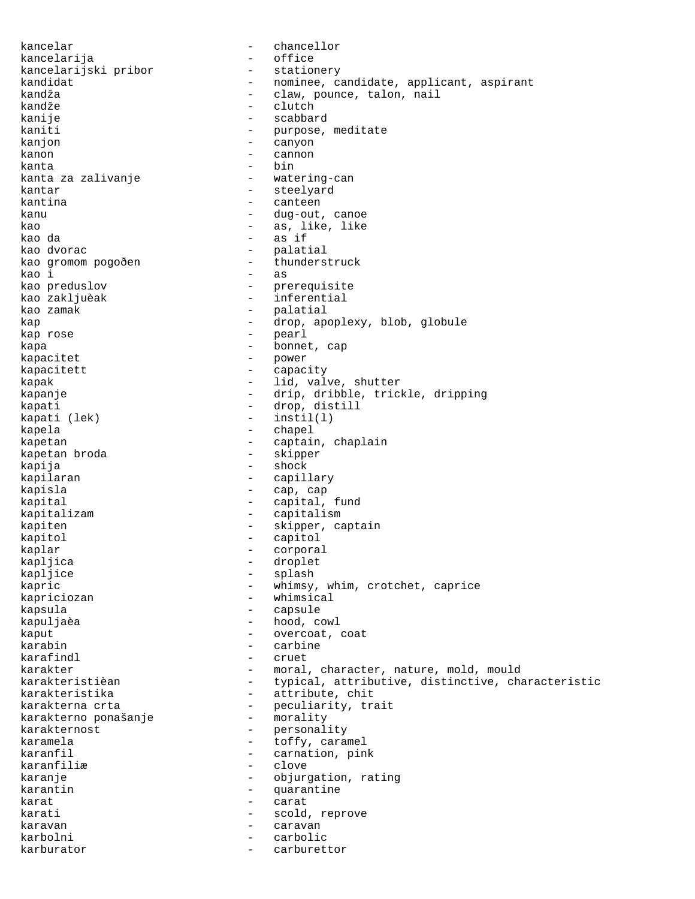kancelar - chancellor kancelarija<br>kancelarijski pribor stationery kancelarijski pribor<br>kandidat - nominee, candidate, applicant, aspirant kandža - claw, pounce, talon, nail<br>kandže - clutch - clutch - clutch kanije - scabbard kaniti - purpose, meditate<br>kanion - canyon kanjon - canyon kanon - cannon - cannon - cannon - cannon - cannon - cannon - cannon - cannon - cannon - cannon - cannon - cannon - cannon - cannon - cannon - cannon - cannon - cannon - cannon - cannon - cannon - cannon - cannon - cannon kanta - bin kanta za zalivanje kantar - steelyard kantina - canteen kanu - dug-out, canoe kao  $-$  as, like, like kao da - as if kao dvorac - palatial kao gromom pogoðen - thunderstruck kao i energy and the contract of the contract of the contract of the contract of the contract of the contract of the contract of the contract of the contract of the contract of the contract of the contract of the contract kao preduslov - prerequisite - inferential kao zamak  $-$  palatial kap  $\qquad \qquad -$  drop, apoplexy, blob, globule kap rose  $-$  pearl kapa  $\qquad \qquad$  - bonnet, cap kapacitet - power<br>kapacitett - capacitett - capacitett kapacitett - capacity kapak  $-$  lid, valve, shutter kapanje - drip, dribble, trickle, dripping kapati - drop, distill<br>kapati (lek) - instil(l)  $-$  instil(l) kapela - chapel kapetan  $\qquad \qquad -$  captain, chaplain kapetan broda and a skipper kapija - shock kapilaran  $-$  capillary kapisla  $\qquad \qquad -$  cap, cap kapital  $\qquad \qquad -$  capital, fund kapitalizam - capitalism kapiten - skipper, captain kapitol - capitol - capitol - capitol - capitol - capitol - capitol - capitol - capitol - capitol - capitol - capitol - capitol - capitol - capitol - capitol - capitol - capitol - capitol - capitol - capitol - capitol - ca kaplar - corporal kapljica - droplet kapljice - splash kapric - whimsy, whim, crotchet, caprice kapriciozan - whimsical - whimsical<br>- capsule kapsula - capsule kapuljaèa - hood, cowl kaput  $\overline{\phantom{a}}$  - overcoat, coat karabin - carbine karafindl - cruet karakter - moral, character, nature, mold, mould<br>karakteristièan - typical, attributive, distinctive, character, character, character, character, character, ch - typical, attributive, distinctive, characteristic karakteristika - attribute, chit karakterna crta - peculiarity, trait<br>karakterno ponašanje - morality karakterno ponašanje karakternost - personality<br>karamela - toffy.cara karamela  $\qquad \qquad -$  toffy, caramel karanfil  $-$  carnation, pink karanfiliæ - clove<br>karanje - chiver - clove - objurgation, rating karantin - quarantine karat - carat karati  $\sim$  - scold, reprove karavan - caravan - caravan - caravan - caravan - caravan - caravan - caravan - caravan - caravan - caravan karbolni - carbolic karburator - carburettor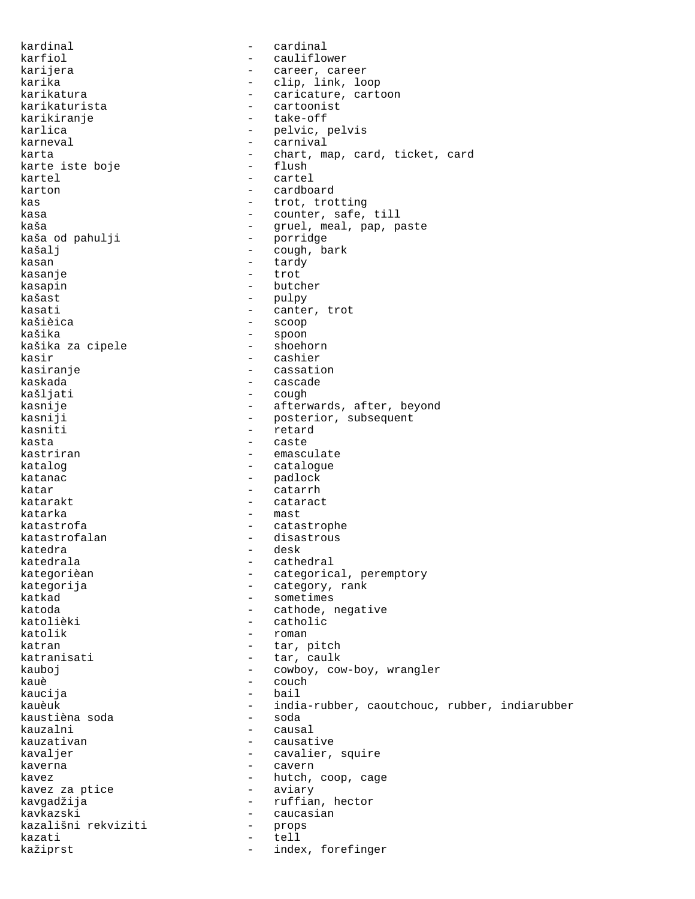kardinal - cardinal karfiol - cauliflower karijera - career, career karika - clip, link, loop<br>karikatura - caricature, cart - caricature, cartoon<br>- cartoonist karikaturista - cartoonist karikiranje karlica - pelvic, pelvis carnival karta - chart, map, card, ticket, card<br>karte iste boje - flush - flush karte iste boje kartel - cartel karton - cardboard kas - trot, trotting kasa  $-$  counter, safe, till kaša - gruel, meal, pap, paste<br>kaša od pahulji - - - - - - - - - porridge kaša od pahulji - porridge kašalj - cough, bark kasan - tardy kasanje kasapin - butcher - pulpy kasati - canter, trot<br>kašièica - canter, trot kašièica - scoop - spoon<br>- shoehorn kašika za cipele kasir - cashier kasiranje - cassation kaskada - cascade kašljati - cough - afterwards, after, beyond kasniji - posterior, subsequent<br>kasniti - retard - retard kasniti - retard<br>kasta - caste kasta - caste kastriran - emasculate katalog  $-$  catalogue katanac - padlock katar  $\overline{\phantom{a}}$  - catarrh katarakt - cataract katarka - mast<br>katastrofa - mast - mast katastrofa - catastrophe katastrofalan - disastrous katedra - desk katedrala - cathedral kategorièan - categorical, peremptory kategorija - category, rank<br>katkad - category, rank - sometimes katoda  $-$  cathode, negative katolièki - catholic katolik - roman katran  $-$  tar, pitch katranisati  $-$  tar, caulk kauboj  $-$  cowboy, cow-boy, wrangler kauè - couch - couch - couch - couch - couch - couch - couch - couch - couch - couch - couch - couch - couch kaucija - bail - india-rubber, caoutchouc, rubber, indiarubber<br>- soda kaustièna soda<br>kauzalni kauzalni - causal - causative kavaljer - cavalier, squire<br>kaverna - cavern kaverna habitat e caverna d'alta e caverna de la caverna de la caverna de la caverna de la caverna de la cave kavez  $\begin{array}{ccc} k$ avez za ptice  $\begin{array}{ccc} - & - & \text{hutch}, & \text{coop}, & \text{cage} \end{array}$ kavez za ptice kavgadžija - ruffian, hector kavkazski - caucasian kazališni rekviziti - props kazati - tell kažiprst - index, forefinger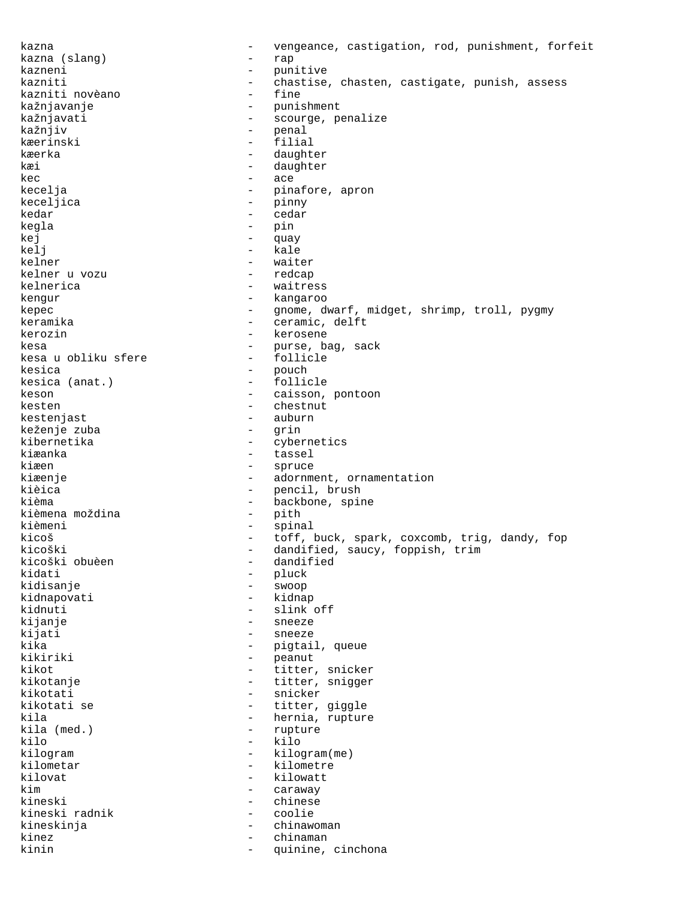kazna - vengeance, castigation, rod, punishment, forfeit kazna (slang) - rap - punitive<br>- chastise kazniti - chastise, chasten, castigate, punish, assess<br>kazniti novèano - fine kazniti novèano - fine kažnjavanje - punishment kažnjavati - scourge, penalize<br>kažnjiv - - - - - - - - - - - penal kažnjiv - penal - filial kæerka - daughter kæi daughter et al. 1999 - daughter  $kec$  -  $acc$ kecelja - pinafore, apron keceljica - pinny kedar - cedar kegla - pin kej - quay kelj – kale<br>kelner – wait kelner - waiter kelner u vozu kelnerica - waitress kengur - kangaroo kepec - gnome, dwarf, midget, shrimp, troll, pygmy keramika - ceramic, delft kerozin - kerosene kesa - purse, bag, sack kesa u obliku sfere kesica - pouch - follicle keson  $-$  caisson, pontoon kesten - chestnut - chestnut - chestnut - chestnut - chestnut - chestnut - chestnut - chestnut - chestnut - chestnut - chestnut - chestnut - chestnut - chestnut - chestnut - chestnut - chestnut - chestnut - chestnut - ches - auburn<br>- grin keženje zuba<br>kibernetika - cybernetics kiæanka - tassel kiæen - spruce kiæenje en adornment, ornamentation kièica - pencil, brush kièma  $-$  backbone, spine kièmena moždina - pith kièmeni - spinal kicoš - toff, buck, spark, coxcomb, trig, dandy, fop<br>kicoški - dandified, saucy, foppish, trim kicoški - dandified, saucy, foppish, trim<br>kicoški obuèen - dandified kicoški obuèen - dandified - pluck<br>- sweep kidisanje - swoop - kidnap kidnuti - slink off kijanje - sneeze kijati - sneeze kika  $-$  pigtail, queue kikiriki - peanut - peanut - kikot kikot  $-$  titter, snicker kikotanje  $-$  titter, snigger kikotati - snicker kikotati se  $-$  titter, giggle kila  $\begin{array}{ccc} k$ ila (med.)  $\begin{array}{ccc} - & h$ ernia, rupture kila (med.)  $\end{array}$ kila (med.) - rupture kilo - kilo kilogram - kilogram(me)<br>kilometar - kilometre kilometar - kilometre<br>kilowat - kilowatt kilovat - kilowatt caraway kineski - chinese kineski radnik - coolie kineskinja - chinawoman kinez - chinaman - chinaman - chinaman - chinaman - chinaman - chinaman - chinaman - chinaman - chinaman - chinaman - chinaman - chinaman - chinaman - chinaman - chinaman - chinaman - chinaman - chinaman - chinaman - china - quinine, cinchona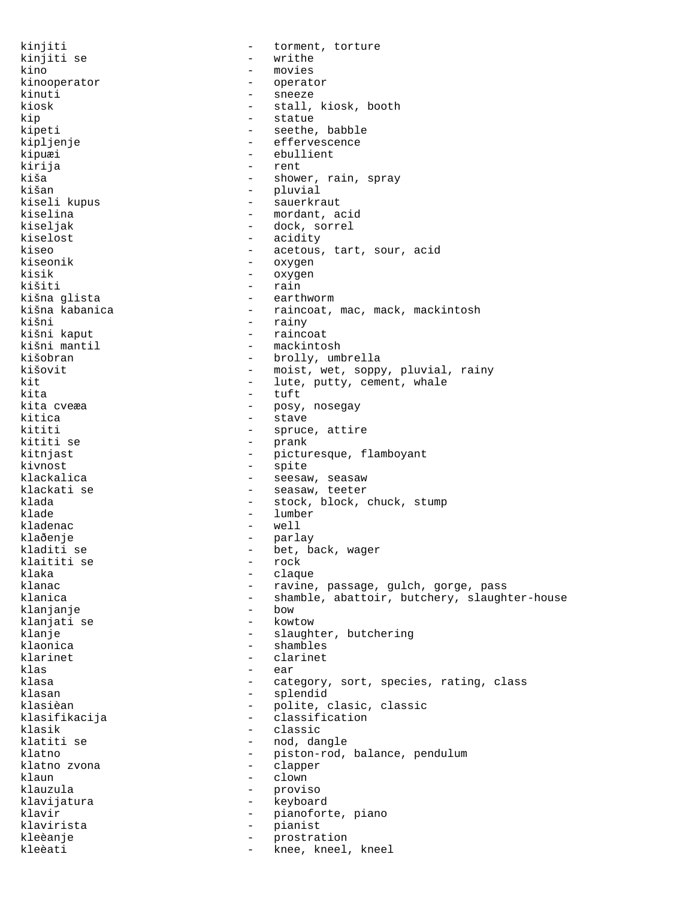kinjiti  $-$  torment, torture kinjiti se  $-$  writhe kino - movies kinooperator - operator kinuti - sneeze - stall, kiosk, booth kip - statue - seethe, babble kipljenje - effervescence - ebullient kirija - rent kiša - shower, rain, spray<br>kišan - shower, rain, spray - pluvial kiseli kupus - sauerkraut kiselina 1989 - mordant, acid kiseljak - dock, sorrel kiselost - acidity<br>kiseo - acetous - acetous kiseo - acetous, tart, sour, acid<br>kiseonik - oxygen kiseonik - oxygen kisik - oxygen<br>kišiti - rain - rain kišiti - rain<br>kišna glista - rain - earth kišna glista<br>kišna kabanica - earthworm - earthworm kišna kabanica - raincoat, mac, mack, mackintosh - rainy<br>- raincoat kišni kaput<br>kišni mantil - mackintosh kišobran - brolly, umbrella kišovit - moist, wet, soppy, pluvial, rainy kit  $-$  lute, putty, cement, whale kita kita - tuft kita cveæa - posy, nosegay<br>kitica - posy, nosegay kitica - stave kititi - spruce, attire - prank kitnjast  $-$  picturesque, flamboyant kivnost - spite klackalica - seesaw, seasaw klackati se - seasaw, teeter klada - stock, block, chuck, stump - lumber kladenac - well klaðenje - parlay - bet, back, wager<br>- rock klaititi se - rock klaka - claque klanac - ravine, passage, gulch, gorge, pass - shamble, abattoir, butchery, slaughter-house<br>- how klanjanje - bow klanjati se klanje  $\qquad \qquad -$  slaughter, butchering klaonica - shambles klarinet - clarinet klas - ear klasa - category, sort, species, rating, class - splendid klasièan - polite, clasic, classic<br>klasifikacija - - classification klasifikacija - classification<br>klasik - classic klasik - classic klatiti se  $-$  nod, dangle<br>klatno  $-$  piston-rod, - piston-rod, balance, pendulum<br>- clapper klatno zvona - clapper klaun - clown - clown - clown - clown - clown - clown - clown - clown - clown - clown - clown - clown - clown - clown - clown - clown - clown - clown - clown - clown - clown - clown - clown - clown - clown - clown - clown - proviso klavijatura - keyboard klavir  $-$  pianoforte, piano klavirista - pianist prostration kleèati - knee, kneel, kneel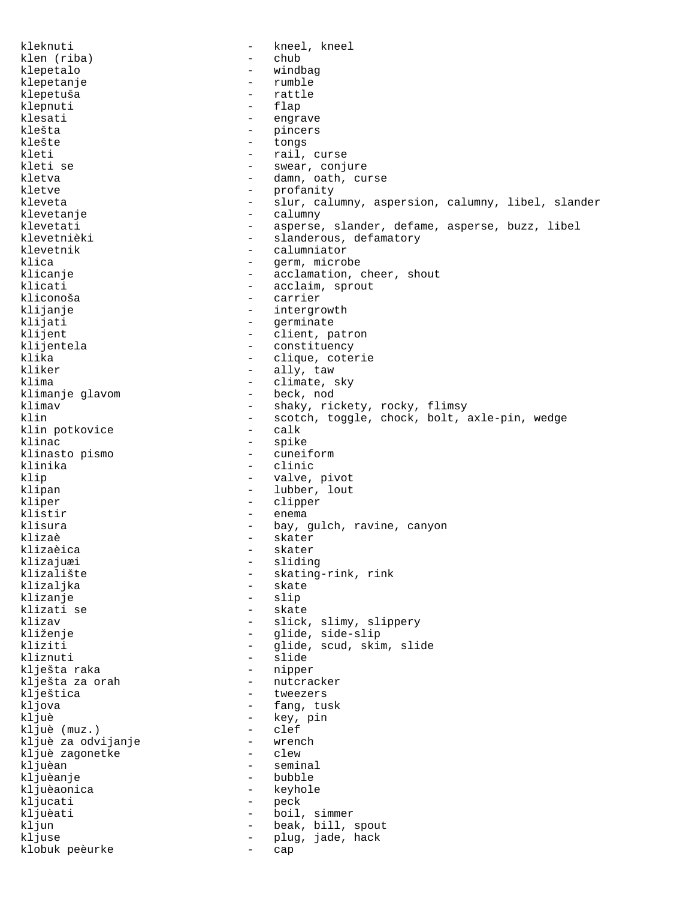kleknuti - kneel, kneel klen (riba) - chub klepetalo - windbag klepetanje - rumble klepetuša – ratti<br>klepnuti – flap klepnuti – talenti – talenti – talenti – talenti – talenti – talenti – talenti – talenti – talenti – talenti – talenti – talenti – talenti – talenti – talenti – talenti – talenti – talenti – talenti – talenti – talenti – t klesati - engrave - engrave - engrave - engrave - engrave - engrave - engrave - engrave - engrave - engrave klešta - pincers - tongs kleti - rail, curse kleti se  $-$  swear, conjure kletva  $\qquad \qquad -$  damn, oath, curse kletve - profanity kleveta - slur, calumny, aspersion, calumny, libel, slander klevetanje <br/> - calumny - calumny klevetati - asperse, slander, defame, asperse, buzz, libel klevetnièki - slanderous, defamatory<br>
klevetnik - calumniator klevetnik - calumniator<br>klica - erm, microl klica - germ, microbe<br>klicanje - germ, microbe klicanje - acclamation, cheer, shout<br>klicati - acclaim, sprout klicati - acclaim, sprout - carrier klijanje - intergrowth klijati - germinate<br>klijent - client, p - client, patron klijentela  $-$  constituency klika - clique, coterie kliker - ally, taw klima - climate, sky<br>klimanje glavom - beck, nod klimanje glavom klimav - shaky, rickety, rocky, flimsy<br>klin - scotch, toggle, chock, bolt, a - scotch, toggle, chock, bolt, axle-pin, wedge<br>- calk klin potkovice<br>klinac - spike<br>- cuneiform klinasto pismo klinika - clinic klip  $\qquad \qquad$  - valve, pivot klipan - lubber, lout kliper - clipper klistir - enema klisura  $-$  bay, gulch, ravine, canyon klizaè - skater klizaèica - skater klizajuæi - sliding<br>klizalište - skating klizalište - skating-rink, rink klizaljka - skate klizaljka - skate - slip klizati se  $-$  skate klizav  $-$  slick, slimy, slippery kliženje - glide, side-slip kliziti - glide, scud, skim, slide kliznuti - slide klješta raka  $-$  nipper klješta za orah  $-$  nutcracker klještica - tweezers<br>kljova - tweezers - tang, tu kljova - fang, tusk - key, pin<br>- clef kljuè (muz.) - clef kljuè za odvijanje - wrench kljuè zagonetke<br>kljuèan - seminal kljuèanje - bubble kljuèaonica kljucati - peck kljuèati - boil, simmer kljun - beak, bill, spout kljuse  $-$  plug, jade, hack klobuk peèurke - cap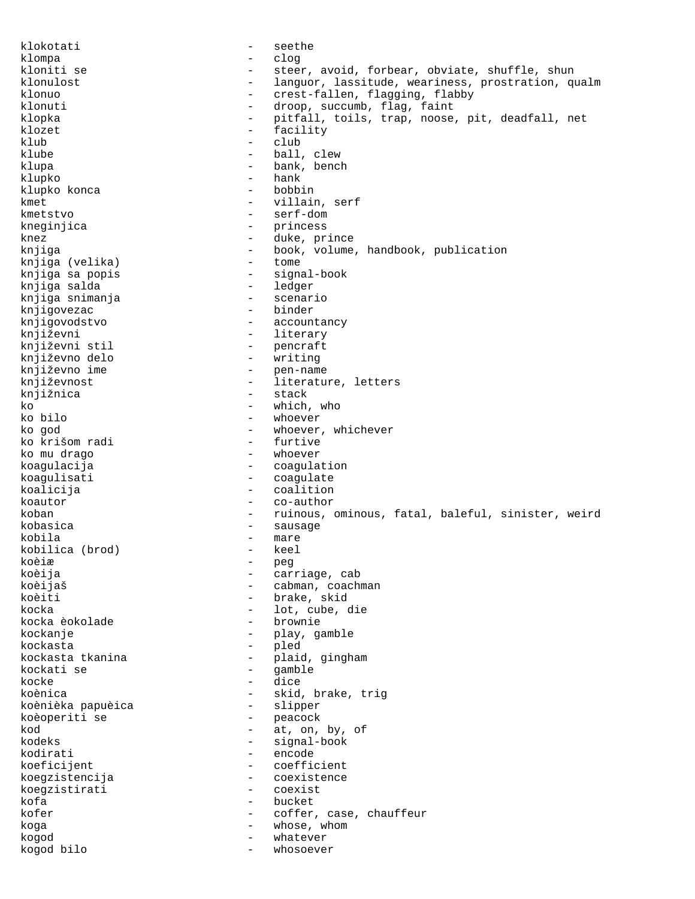klokotati - seethe klompa - clog kloniti se  $\qquad \qquad -$  steer, avoid, forbear, obviate, shuffle, shun klonulost **1988** - languor, lassitude, weariness, prostration, qualm klonuo - crest-fallen, flagging, flabby<br>
klonuti - crest-fallen, flagging, flabby<br>
- droop, succumb, flag, faint - droop, succumb, flag, faint klopka - pitfall, toils, trap, noose, pit, deadfall, net klozet - facility klub - club klube  $\qquad \qquad -$  ball, clew klupa - bank, bench klupko - hank klupko konca kmet - villain, serf kmetstvo - serf-dom kneginjica - princess knez - duke, prince<br>
knjiga - duke, prince<br>
- book, volume - book, volume, handbook, publication<br>- tome knjiga (velika)<br>knjiga sa popis - signal-book<br>- ledger knjiga salda - ledger knjiga snimanja - scenario knjigovezac knjigovodstvo - accountancy književni - literary<br>književni stil - pencraft - pencraft književno delo - writing književno ime  $-$  pen-name književnost  $-$  literature, letters knjižnica - stack ko  $\frac{1}{2}$  - which, who ko bilo ko bilo - whoever - whoever, whichever<br>- furtive ko krišom radi ko mu drago - whoever koagulacija - coagulation koagulisati - coagulate koalicija - coalition koautor - co-author koban - ruinous, ominous, fatal, baleful, sinister, weird kobasica - sausage - mare<br>- keel kobilica (brod) koèiæ - peg koèija - carriage, cab koèijaš - cabman, coachman<br>koèiti - cabman, coachman - brake, skid kocka - lot, cube, die kocka èokolade kockanje - play, gamble kockasta - pled kockasta tkanina  $\begin{array}{ccc} & - & - \\ \text{kookati} & \text{se} \\ \end{array}$  -  $\begin{array}{ccc} & - \\ \text{pliid} & \text{gimplam} \\ \end{array}$ kockati se  $-$  gamble kocke - dice koènica - skid, brake, trig koènièka papuèica - slipper koèoperiti se  $kod$   $-$  at, on, by, of  $kodeks$   $-$  signal-book - signal-book kodirati - encode koeficijent - coefficient koegzistencija - coexistence koegzistirati kofa - bucket<br>kofer - coffer kofer  $\sim$  - coffer, case, chauffeur koga - whose, whom kogod - whatever kogod bilo - whosoever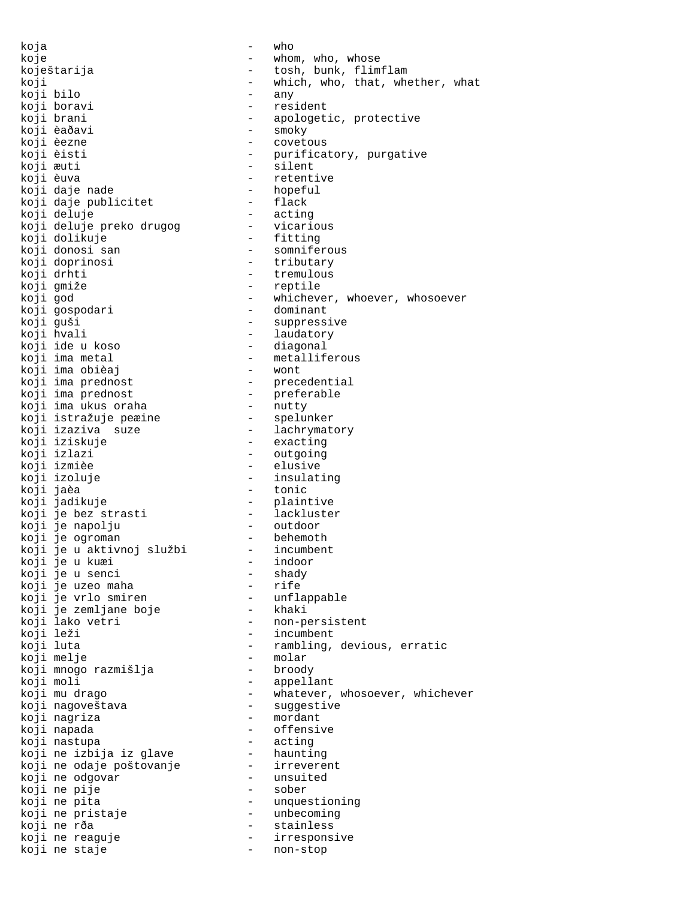koja - who koje  $-$  whom, who, whose koji bilo<br>koji boravi koji boravi - resident koji èaðavi - smoky koji æuti - silent koji èuva - retentive koji daje nade - hopeful koji daje publicitet - flack koji deluje - acting koji deluje preko drugog vicarious koji dolikuje - fitting koji donosi san somniferous koji doprinosi - tributary koji drhti - tremulous koji gmiže - reptile koji gospodari - dominant koji guši - suppressive koji hvali - laudatory koji ide u koso - diagonal koji ima metal - metalliferous koji ima obièaj - wont koji ima prednost - precedential koji ima prednost - preferable koji ima ukus oraha - nutty koji istražuje peæine - spelunker koji izaziva suze - lachrymatory koji iziskuje - exacting koji izlazi - outgoing koji izmièe - elusive koji izoluje - insulating koji jaèa - tonic koji jadikuje - plaintive koji je bez strasti lackluster koji je napolju outdoor koji je ogroman - behemoth koji je u aktivnoj službi - incumbent koji je u kuæi - indoor koji je u senci - shady koji je uzeo maha - rife koji je vrlo smiren unflappable koji je zemljane boje - khaki koji lako vetri - non-persistent koji leži - incumbent koji melje - molar koji mnogo razmišlja - broody koji moli - appellant koji nagoveštava - suggestive koji nagriza - mordant koji napada - offensive koji nastupa - acting koji ne izbija iz glave haunting koji ne odaje poštovanje - irreverent koji ne odgovar - unsuited koji ne pije - sober koji ne pita - unquestioning koji ne pristaje unbecoming koji ne rða - stainless koji ne reaguje - irresponsive koji ne staje - non-stop

koještarija - tosh, bunk, flimflam koji  $-$  which, who, that, whether, what koii bilo  $-$  any koji brani - apologetic, protective - covetous<br>- purificatory, purgative koji èisti - purificatory, purgative koji god - whichever, whoever, whosoever koji luta - rambling, devious, erratic koji mu drago - whatever, whosoever, whichever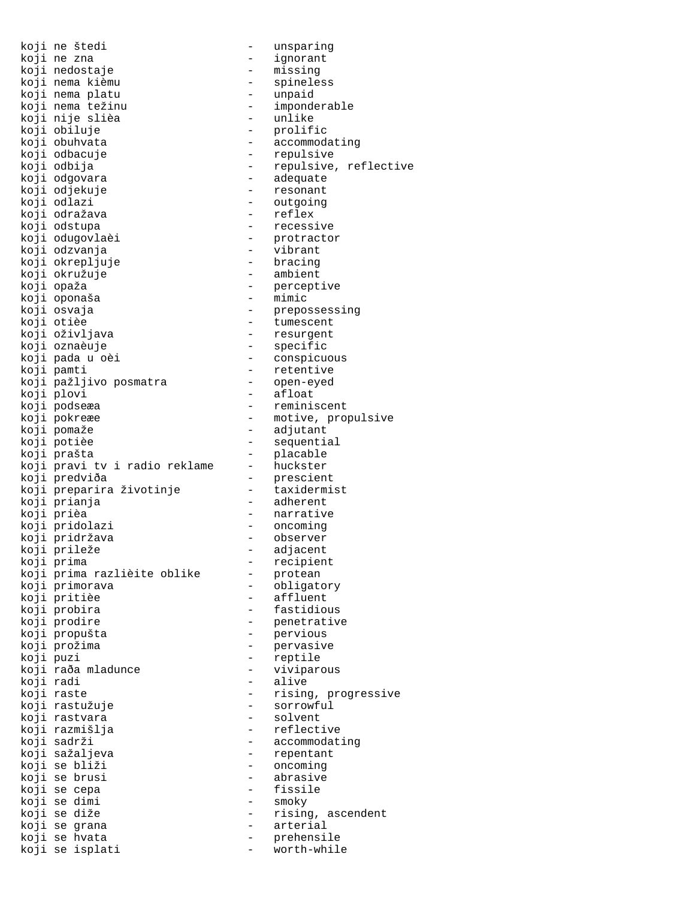| koji | ne štedi                      |                          |
|------|-------------------------------|--------------------------|
| koji | ne zna                        |                          |
|      |                               |                          |
| koji | nedostaje                     |                          |
| koji | nema kièmu                    |                          |
| koji | nema platu                    |                          |
| koji | nema težinu                   |                          |
| koji | nije slièa                    |                          |
|      |                               |                          |
|      | koji obiluje                  | $\overline{\phantom{0}}$ |
|      | koji obuhvata                 |                          |
|      | koji odbacuje                 | $\overline{\phantom{0}}$ |
|      | koji odbija                   |                          |
|      | koji odgovara                 |                          |
|      |                               |                          |
|      | koji odjekuje                 |                          |
|      | koji odlazi                   |                          |
|      | koji odražava                 |                          |
|      | koji odstupa                  |                          |
|      |                               |                          |
|      | koji odugovlaèi               |                          |
|      | koji odzvanja                 |                          |
|      | koji okrepljuje               |                          |
|      | koji okružuje                 |                          |
|      | koji opaža                    |                          |
|      | koji oponaša                  |                          |
|      |                               |                          |
|      | koji osvaja                   |                          |
|      | koji otièe                    |                          |
|      | koji oživljava                |                          |
|      | koji oznaèuje                 |                          |
|      | koji pada u oèi               |                          |
|      |                               |                          |
|      | koji pamti                    |                          |
|      | koji pažljivo posmatra        |                          |
|      | koji plovi                    |                          |
|      | koji podseæa                  | $\overline{\phantom{0}}$ |
|      | koji pokreæe                  |                          |
|      |                               |                          |
|      | koji pomaže                   | $\overline{\phantom{0}}$ |
|      | koji potièe                   |                          |
|      | koji prašta                   | $\overline{\phantom{0}}$ |
|      | koji pravi tv i radio reklame |                          |
|      | koji predviða                 |                          |
|      |                               |                          |
|      | koji preparira životinje      |                          |
|      | koji prianja                  |                          |
|      | koji prièa                    |                          |
|      | koji pridolazi                |                          |
|      | koji pridržava                |                          |
|      |                               |                          |
| koji | prileže                       | -                        |
| koji | prima                         |                          |
|      | koji prima razlièite oblike   |                          |
|      | koji primorava                |                          |
|      | koji pritièe                  |                          |
|      |                               |                          |
| koji | probira                       |                          |
| koji | prodire                       |                          |
| koji | propušta                      |                          |
|      | koji prožima                  |                          |
| koji | puzi                          |                          |
|      | koji raða mladunce            |                          |
|      |                               |                          |
| koji | radi                          |                          |
| koji | raste                         |                          |
| koji | rastužuje                     |                          |
| koji | rastvara                      |                          |
|      | koji razmišlja                |                          |
|      |                               |                          |
| koji | sadrži                        |                          |
|      | koji sažaljeva                |                          |
| koji | se bliži                      |                          |
| koji | se brusi                      |                          |
| koji | se cepa                       |                          |
|      |                               |                          |
| koji | se dimi                       |                          |
| koji | se diže                       |                          |
|      | koji se grana                 |                          |
| koji | hvata<br>se                   |                          |
|      | koji se isplati               |                          |
|      |                               |                          |

unsparing ignorant missing spineless unpaid imponderable unlike prolific accommodating repulsive repulsive, reflective adequate resonant outgoing reflex recessive protractor vibrant bracing ambient perceptive mimic prepossessing tumescent resurgent specific conspicuous retentive open-eyed afloat reminiscent motive, propulsive adjutant sequential placable huckster prescient taxidermist adherent narrative oncoming observer adjacent recipient protean obligatory affluent fastidious penetrative pervious pervasive reptile viviparous alive rising, progressive sorrowful solvent reflective accommodating repentant oncoming abrasive fissile smoky rising, ascendent arterial

prehensile<br>worth-while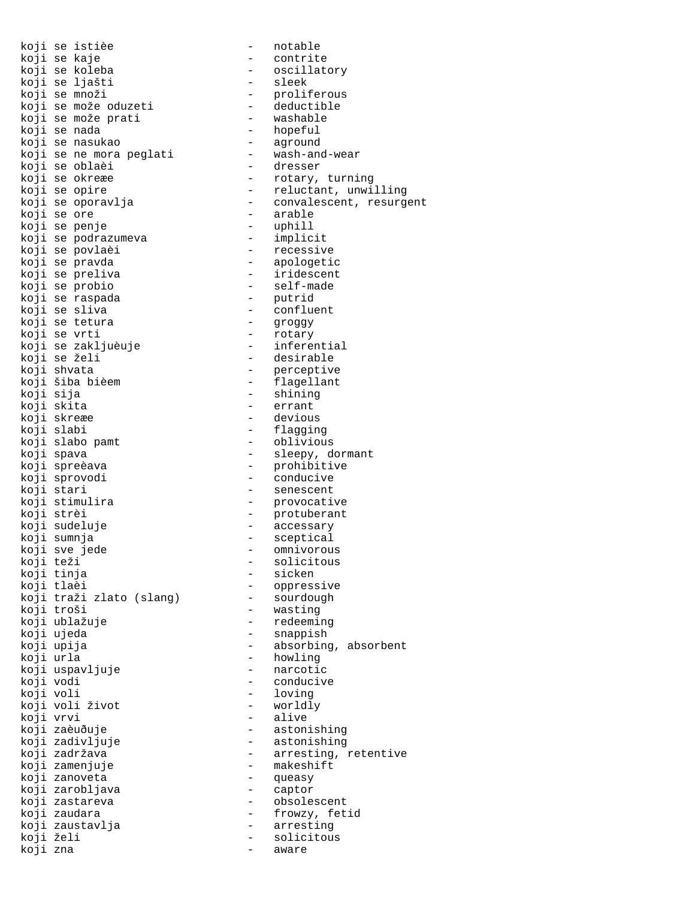|           | koji se istièe           |                          | notable                 |
|-----------|--------------------------|--------------------------|-------------------------|
|           | koji se kaje             | $-$                      | contrite                |
|           | koji se koleba           |                          | oscillatory             |
|           | koji se ljašti           | $\equiv$                 | sleek                   |
|           | koji se množi            |                          | proliferous             |
|           | koji se može oduzeti     | $\sim$                   | deductible              |
|           | koji se može prati       | $\sim$ $\sim$            | washable                |
|           | koji se nada             | $\sigma_{\rm{max}}$      | hopeful                 |
|           | koji se nasukao          |                          | aground                 |
|           | koji se ne mora peglati  | $\overline{\phantom{0}}$ | wash-and-wear           |
|           | koji se oblaèi           | $-$                      | dresser                 |
|           | koji se okreæe           | $-$                      | rotary, turning         |
|           | koji se opire            |                          | reluctant, unwilling    |
|           | koji se oporavlja        | $\overline{a}$           | convalescent, resurgent |
|           | koji se ore              | $-$                      | arable                  |
|           | koji se penje            | $\sim 100$               | uphill                  |
|           |                          | $\equiv$                 |                         |
|           | koji se podrazumeva      | $-$                      | implicit<br>recessiv    |
|           | koji se povlaèi          | $\omega_{\rm{max}}$      | recessive               |
|           | koji se pravda           |                          | apologetic              |
|           | koji se preliva          | $\sim 10^{-10}$          | iridescent              |
|           | koji se probio           | $\equiv$                 | self-made<br>putrid     |
|           | koji se raspada          | $\overline{\phantom{0}}$ |                         |
|           | koji se sliva            |                          | - confluent             |
|           | koji se tetura           |                          | groggy                  |
|           | koji se vrti             | $\frac{1}{2}$ .          | rotary                  |
|           | koji se zakljuèuje       |                          | inferential             |
|           | koji se želi             | $\overline{\phantom{a}}$ | desirable               |
|           | koji shvata              |                          | perceptive              |
|           | koji šiba bièem          | $\frac{1}{2}$ .          | flagellant              |
| koji sija |                          | -                        | shining                 |
|           | koji skita               | $\overline{\phantom{0}}$ | errant                  |
|           | koji skreæe              | $-$                      | devious                 |
|           | koji slabi               | $\frac{1}{2}$            | flagging                |
|           | koji slabo pamt          |                          | oblivious               |
|           | koji spava               | $\overline{\phantom{0}}$ | sleepy, dormant         |
|           |                          | $\frac{1}{2}$            |                         |
|           | koji spreèava            |                          | prohibitive             |
|           | koji sprovodi            | $\sigma_{\rm{max}}$      | conducive               |
|           | koji stari               |                          | senescent               |
|           | koji stimulira           | $\sim$                   | provocative             |
|           | koji strèi               |                          | - protuberant           |
|           | koji sudeluje            | $\sim 100$               | accessary               |
|           | koji sumnja              | $\overline{\phantom{a}}$ | sceptical               |
|           | koji sve jede            |                          | omnivorous              |
| koji teži |                          |                          | solicitous              |
|           | koji tinja               |                          | sicken                  |
|           | koji tlaèi               |                          | oppressive              |
|           | koji traži zlato (slang) |                          | sourdough               |
|           | koji troši               | $-$                      | wasting                 |
|           | koji ublažuje            |                          | redeeming               |
|           | koji ujeda               | -                        | snappish                |
|           | koji upija               |                          | absorbing, absorbent    |
| koji urla |                          | -                        | howling                 |
|           | koji uspavljuje          |                          | narcotic                |
| koji vodi |                          | -                        | conducive               |
| koji voli |                          |                          | loving                  |
|           | koji voli život          | $-$                      | worldly                 |
|           |                          |                          | alive                   |
| koji vrvi |                          | $-$                      |                         |
|           | koji zaèuðuje            | $-$                      | astonishing             |
|           | koji zadivljuje          |                          | astonishing             |
|           | koji zadržava            | $\overline{\phantom{0}}$ | arresting, retentive    |
|           | koji zamenjuje           | $-$                      | makeshift               |
|           | koji zanoveta            | $\overline{\phantom{0}}$ | queasy                  |
|           | koji zarobljava          | $-$                      | captor                  |
|           | koji zastareva           | $\equiv$                 | obsolescent             |
|           | koji zaudara             | $-$                      | frowzy, fetid           |
|           | koji zaustavlja          | $\sim$                   | arresting               |
| koji želi |                          | $\overline{\phantom{0}}$ | solicitous              |
| koji zna  |                          | $\overline{\phantom{0}}$ | aware                   |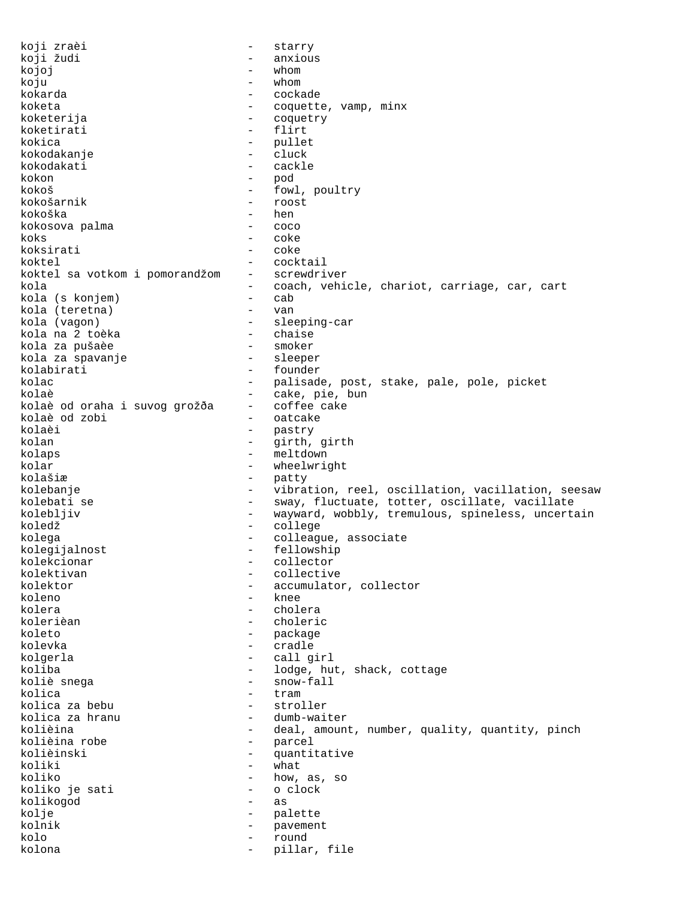koji zraèi  $-$  starry koji žudi - anxious kojoj – whom koju - whom kokarda - cockade koketa - coquette, vamp, minx koketerija - coquetry koketirati kokica - pullet<br>kokodakanje - cluck kokodakanje - cluck kokodakati - cackle kokon - pod kokoš - fowl, poultry kokošarnik - roost kokoška - hen kokosova palma - coco koks - coke koksirati - coke - cocktail<br>- screwdriver koktel sa votkom i pomorandžom kola - coach, vehicle, chariot, carriage, car, cart<br>kola (s koniem) - cab kola (s konjem) - cab kola (teretna) - van kola (vagon) - sleeping-car kola na 2 toèka - chaise kola za pušaèe - smoker kola za spavanje kolabirati - founder kolac - palisade, post, stake, pale, pole, picket<br>kolaè - cake, pie, bun kolaè - cake, pie, bun<br>kolaè od oraha i suvoq qrožða - coffee cake kolaè od oraha i suvog grožða - coffee cake kolaè od zobi - oatcake kolaèi - pastry kolan - girth, girth - girth, girth - girth, girth - girth, girth - girth - girth - girth - girth - girth - gi - meltdown<br>- wheelwrig kolar - wheelwright kolašiæ - patty<br>kolebanie - patty - patty kolebanje en en en vibration, reel, oscillation, vacillation, seesaw kolebati se  $-$  sway, fluctuate, totter, oscillate, vacillate kolebljiv  $-$  wayward, wobbly, tremulous, spineless, uncertain koledž - college - colleague, associate<br>- fellowship kolegijalnost - fellowship<br>kolekcionar - collector kolekcionar - collector - collector - collector - collector - collector - collector - collector - collector kolektivan - collective - collective - collective - collective - collective - collective - collective - collective - collective - collective - collective - collective - collective - collective - collective - collective - c kolektor - accumulator, collector<br>koleno - knee kolera - cholera - choleric koleto - package - package kolevka - cradle kolgerla - call girl koliba - lodge, hut, shack, cottage koliè snega  $-$  snow-fall kolica - tram kolica za bebu - stroller kolica za hranu - dumb-waiter<br>kolièina - deal, amoun kolièina - deal, amount, number, quality, quantity, pinch<br>kolièina robe - parcel - parcel<br>- quanti kolièinski - quantitative koliki - what koliko  $\begin{array}{ccc} 1 & - & - & - \\ 1 & - & - & - \\ 2 & - & - & - \end{array}$  as, so koliko je sati koliko je sati kolikogod - as kolje - palette kolnik - pavement kolo - round kolona - pillar, file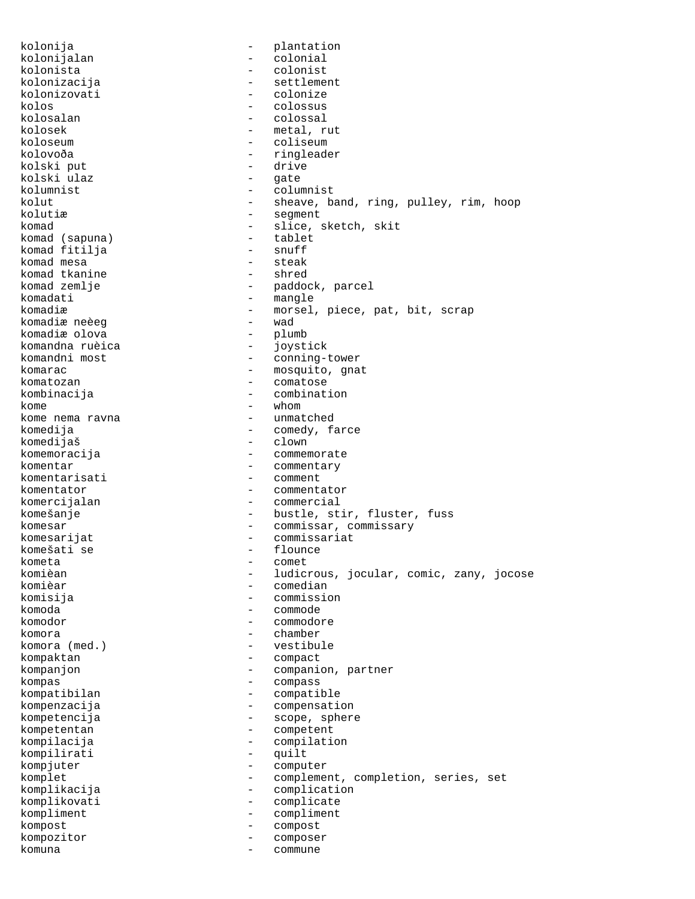kolonija - plantation kolonijalan - colonial<br>kolonista - colonist kolonista - colonist kolonizacija - settlement kolonizovati - colonize<br>kolos - colossus - colossus kolos - colossus kolosalan - colossal kolosek - metal, rut<br>koloseum - metal, rut - coliseum kolovoða - ringleader kolski put - drive kolski ulaz<br>kolumnist kolumnist - columnist kolut - sheave, band, ring, pulley, rim, hoop kolutiæ - segment komad (sapuna) - slice, sketch, skit<br>
komad (sapuna) - tablet komad (sapuna) - tablet komad fitilja - snuff komad mesa - steak komad tkanine<br>komad zemlje komad zemlje - paddock, parcel<br>komadati - mangle - mangle komadiæ  $-$  morsel, piece, pat, bit, scrap komadiæ neeeg komadiæ neèeg - wad komadiæ olova<br>komandna ruèica - plumbb komandna ruèica - joystick komandni most  $-$  conning-tower komarac - mosquito, gnat<br>
komatozan - mosquito, gnat komatozan - comatose kombinacija - combination<br>kome - whom kome<br>
kome nema ravna<br>
kome nema ravna<br>
kome – whom kome nema ravna komedija - comedy, farce komedijaš - clown komemoracija - commen - commemorate komentar - commentary - comment komentator - commentator komercijalan - commercial komešanje  $-$  bustle, stir, fluster, fuss komesar - commissar, commissary<br>komesarijat komesarijat - commissariat - commissariat - commissariat - commissariat - commissariat - commissariat - commissariat - commissariat - commissariat - commissariat - commissariat - commissariat - commissariat - commissariat komešati se - flounces - flounces - flounces - flounces - flounces - flounces - flounces - flounces - flounces kometa - comet komièan - ludicrous, jocular, comic, zany, jocose komièar - comedian - commission komoda - commode komodor - commodore komora - chamber komora (med.) - vestibule kompaktan - compact kompanjon - companion, partner kompas - compass kompatibilan - compatible kompenzacija - compensation kompetencija - scope, sphere<br>kompetentan - competent kompetentan - competent<br>kompilacija - compilati - compilation<br>- cuilt kompilirati - quilt kompjuter - computer komplet - complement, completion, series, set komplikacija - complication komplikovati - complicate<br>
kompliment - compliment<br>
- compliment kompliment - compliment kompost - compost kompozitor - composer komuna - commune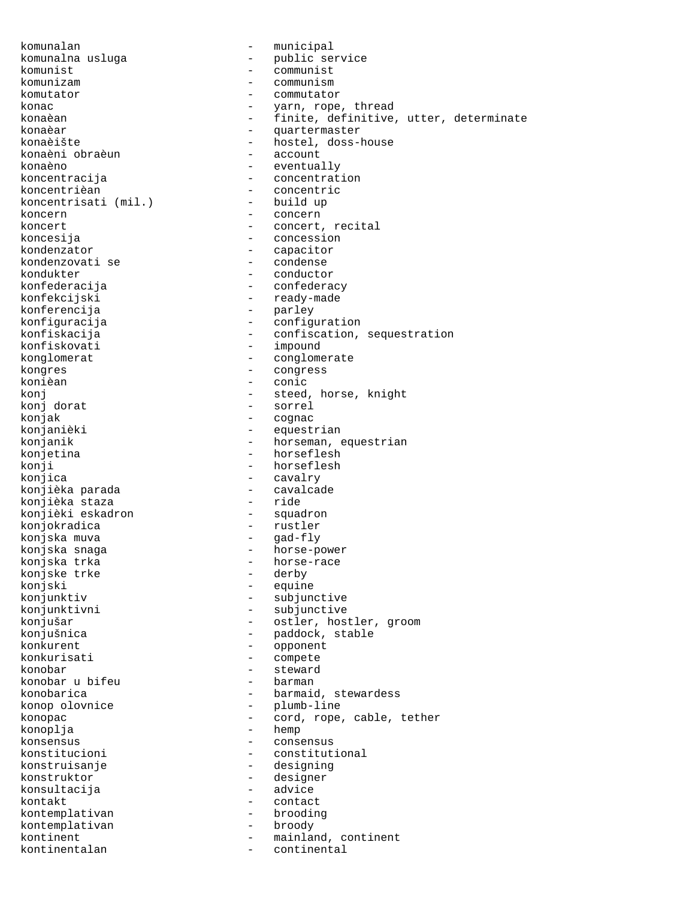konaèni obraèun koncentrisati (mil.) kondenzovati se<br>kondukter konferencija konièan - conic<br>koni - conic - conic konj dorat - sorrel konjak - cognac<br>konjanièki - cognac - cognac konjièka parada - cavalcade konjièki eskadron konjokradica - rustler konjska muva - gad-fly konjske trke<br>konjski konjski - equine<br>konjunktiv - subjun konkurisati - compete konobar - steward konobar u bifeu konoplja - hemp konsultacija kontakt - contact kontemplativan

komunalan - municipal komunalna usluga - public service<br>komunist - communist komunist - communist komunizam - communism komutator - commutator konac - yarn, rope, thread konaèan - finite, definitive, utter, determinate konaèar - quartermaster - hostel, doss-house<br>- account konaèno - eventually<br>koncentracija - eventually - eventually koncentracija<br>
koncentrièan<br>
- concentric - concentric<br>- build up koncern - concern - concern koncert - concert, recital<br>koncesija - concession - concession koncesija - concession - capacitor<br>- condense kondukter - conductor<br>konfederacija - confedera konfederacija - confederacy - ready-made<br>- parley konfiguracija - configuration konfiskacija - confiscation, sequestration - impound konglomerat - conglomerate kongres - congress konj <br/>  $\qquad \qquad \qquad$  - steed, horse, knight konj dorat <br/>  $\qquad \qquad \qquad$  - sorrel konjanièki - equestrian - horseman, equestrian konjetina - horseflesh konji - horseflesh<br>konjica - horseflesh - horseflesh - cavalry<br>- cavalcade konjièka staza - ride konjska snaga - horse-power konjska trka<br>
konjske trke<br>
- derby<br>
- derby - subjunctive konjunktivni - subjunctive konjušar - ostler, hostler, groom konjušnica  $-$  paddock, stable konkurent - opponent konobarica  $\qquad \qquad -$  barmaid, stewardess konop olovnice - plumb-line konopac - cord, rope, cable, tether konsensus - consensus konstitucioni - constitutional konstruisanje - designing konstruktor - designer<br>konsultacija - advice kontemplativan - brooding<br>kontemplativan - broody kontinent - mainland, continent kontinentalan - continental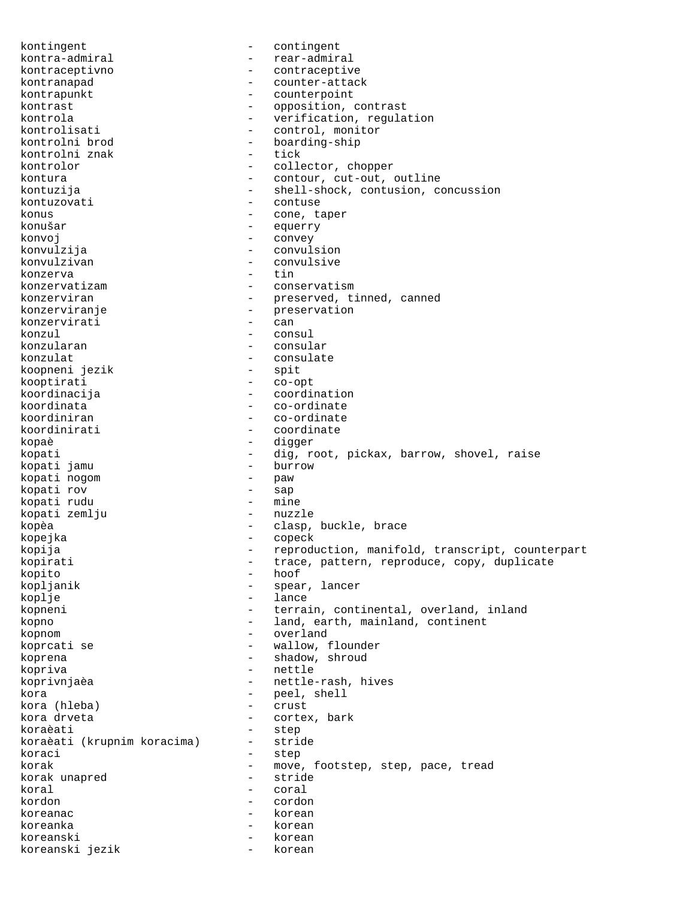kontingent - contingent kontra-admiral - rear-admiral kontraceptivno - contraceptive kontranapad - counter-attack kontrapunkt - counterpoint kontrast - opposition, contrast kontrola - verification, regulation<br>
kontrolisati - control, monitor kontrolisati - control, monitor<br>kontrolni brod - boarding-ship - boarding-ship<br>- tick kontrolni znak kontrolor - collector, chopper kontura  $-$  contour, cut-out, outline kontuzija - shell-shock, contusion, concussion kontuzovati - contuse konus - cone, taper konušar - equerry konvoj - convey konvulzija - convulsion konvulzivan - convulsive<br>konzerva - tin konzerva<br>konzervatizam konzervatizam - conservatism konzerviran - preserved, tinned, canned konzerviranje - preservation<br>
konzervirati - can konzervirati konzul - consul - consular konzulat - consulate - consulate - consulate - consulate - consulate - consulate - consulate - consulate - consulate - consulate - consulate - consulate - consulate - consulate - consulate - consulate - consulate - consula koopneni jezik kooptirati - co-opt koordinacija - coordination koordinata<br>koordiniran - co-ordinate koordiniran - co-ordinate<br>koordinirati - coordinate - coordinate kopaè - digger kopati - dig, root, pickax, barrow, shovel, raise<br>
kopati iamu - burrow - burrow kopati jamu - bur<br>kopati noqom - paw kopati nogom - paw kopati rov - sap kopati rudu - mine kopati zemlju kopèa - clasp, buckle, brace kopejka - copeck kopija - reproduction, manifold, transcript, counterpart kopirati  $-$  trace, pattern, reproduce, copy, duplicate kopito - hoof<br>kopljanik - spear - spear, lancer koplje - lance kopneni - terrain, continental, overland, inland kopno - land, earth, mainland, continent kopnom - overland koprcati se  $-$  wallow, flounder koprena - shadow, shroud kopriva - nettle koprivnjaèa - nettle-rash, hives kora - peel, shell kora (hleba) - crust - cortex, bark koraèati - step koraèati (krupnim koracima) koraci - step korak - move, footstep, step, pace, tread<br>korak unapred - stride - stride korak unapred koral - coral kordon - cordon koreanac - korean koreanka - korean koreanski - korean<br>koreanski jezik - korean koreanski jezik - korean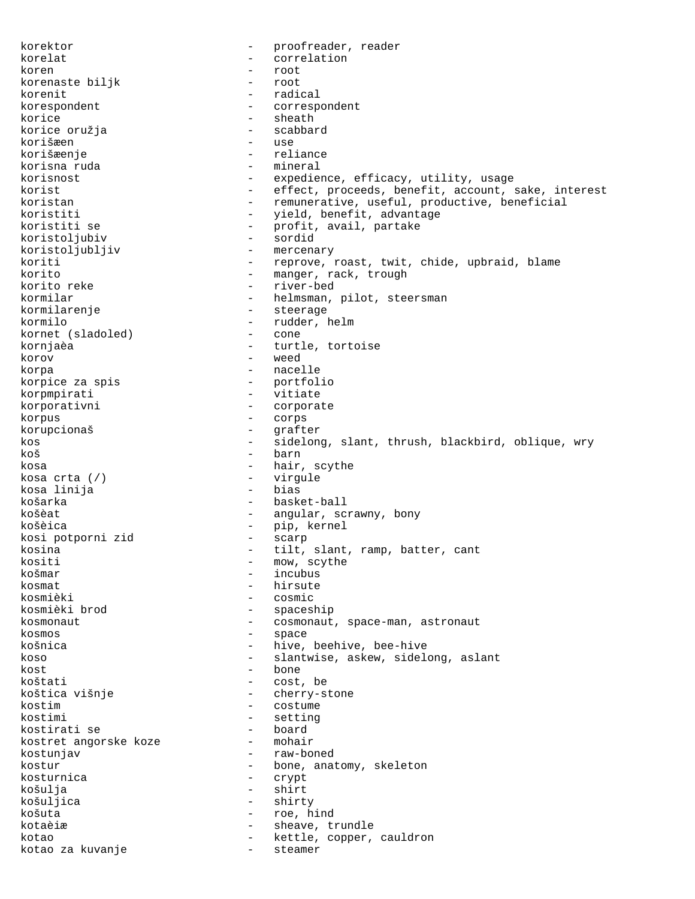korektor - proofreader, reader korelat - correlation koren - root<br>korenaste bilik - root korenaste biljk korenit - radical<br>korespondent - correspo korespondent - correspondent korice - sheath - sheath - sheath - sheath - sheath - sheath - sheath - sheath - sheath - sheath - sheath - sheath - sheath - sheath - sheath - sheath - sheath - sheath - sheath - sheath - sheath - sheath - sheath - sheath korice oružja - scabbard korišæen korišæenje - reliance korisna ruda  $-$  mineral korisnost expedience, efficacy, utility, usage korist - effect, proceeds, benefit, account, sake, interest koristan - remunerative, useful, productive, beneficial koristiti - yield, benefit, advantage - profit, avail, partake<br>- sordid koristoljubiv - sordid koristoljubljiv koriti - reprove, roast, twit, chide, upbraid, blame<br>korito - manger rack trough korito  $-$  manger, rack, trough  $-$  manger, rack, trough korito reke korito reke  $\overline{\phantom{0}}$  - river-bed<br>kormilar - helmsman, - helmsman, pilot, steersman kormilarenje - steerage - rudder, helm<br>- cone kornet (sladoled) kornjaèa  $-$  turtle, tortoise korov - weed korpa - nacelle korpice za spis - portfolio korpmpirati - vitiate korporativni - corporate korpus - corps korupcionaš - grafter kos - sidelong, slant, thrush, blackbird, oblique, wry koš - barn kosa  $\frac{1}{2}$ kosa  $\frac{1}{2}$  (/)  $\frac{1}{2}$  - hair, scythe kosa crta (/) - virgule kosa linija košarka - basket-ball košèat  $-$  angular, scrawny, bony košèica - pip, kernel kosi potporni zid - scarp kosina  $\overline{\phantom{a}}$  = tilt, slant, ramp, batter, cant<br>kositi = mow, scythe kositi - mow, scythe<br>košmar - incubus košmar - incubus<br>kosmat - incubus<br>- hirsute kosmat - hirsute<br>kosmièki - eosmic kosmièki - cosmic - spaceship kosmonaut enter a cosmonaut, space-man, astronaut kosmos - space košnica - hive, beehive, bee-hive koso  $-$  slantwise, askew, sidelong, aslant kost - bone koštati - cost, be koštica višnje - cherry-stone kostim - costume - costume - costume - costume - costume - costume - costume - costume - costume - costume - costume - costume - costume - costume - costume - costume - costume - costume - costume - costume - costume - cos - setting<br>- board kostirati se - board kostret angorske koze kostunjav - raw-boned kostur - bone, anatomy, skeleton kosturnica - crypt košulja - shirt košuljica - shirty košuta - roe, hind kotaèiæ  $-$  sheave, trundle kotao - kettle, copper, cauldron<br>kotao za kuvanje - - - - - steamer kotao za kuvanje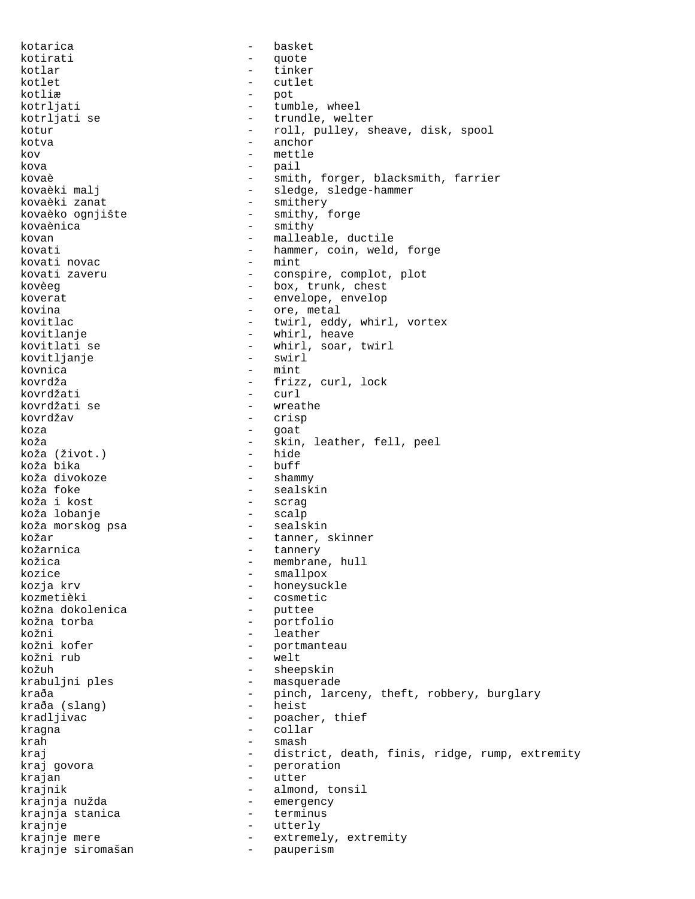kotarica - basket kotirati - quote kotlar - tinker kotlet - cutlet kotliæ – pot<br>kotrliati – mi kotrljati - tumble, wheel<br>kotrljati se - - trundle, welt - trundle, welter kotur - roll, pulley, sheave, disk, spool kotva - anchor kov - mettle kova - pail kovaè  $-$  smith, forger, blacksmith, farrier kovaèki malj  $-$  sledge, sledge-hammer kovaèki zanat  $-$  smithery kovaèko ognjište - smithy, forge kovaènica - smithy kovan - malleable, ductile<br>kovati - hammer coin weld kovati - hammer, coin, weld, forge<br>kovati novac - mint - mint kovati novac - mint conspire, complot, plot kovèeg  $\begin{array}{ccc} - & - & - \\ - & - & - \end{array}$  box, trunk, chest - envelope, envelop kovina  $-$  ore, metal kovitlac - twirl, eddy, whirl, vortex kovitlanje  $-$  whirl, heave kovitlati se  $-$  whirl, soar, twirl<br>kovitljanje  $-$  swirl  $-$  swirl kovitljanje kovnica - mint kovrdža - frizz, curl, lock kovrdžati - curl kovrdžati se<br>kovrdžav kovrdžav - crisp koza - goat - skin, leather, fell, peel<br>- hide koža (život.) - hide koža bika - buff koža divokoze<br>koža foke - sealskin<br>- scrag koža i kost - scrag koža lobanje - scalp koža morskog psa kožar  $-$  tanner, skinner kožarnica - tannery - membrane, hull kozice - smallpox<br>kozja krv - smallpox - smallpox kozja krv - honeysuckle - cosmetic<br>- puttee kožna dokolenica - puttee kožna torba - portfolio - leather kožni kofer  $-$  portmanteau kožni rub - welt kožuh - sheepskin krabuljni ples<br>
kraða - masquerade<br>
- ninch lar kraða - pinch, larceny, theft, robbery, burglary<br>
kraða (slang) - heist kraða (slang) kradljivac - poacher, thief<br>kragna - collar - collar kragna - collar krah - smash - district, death, finis, ridge, rump, extremity kraj govora de estate de la peroration krajan - utter krajnik - almond, tonsil krajnja nužda - emergency krajnja stanica - terminus krajnje - utterly - utterly<br>krajnje mere - - - - - - extreme krajnje mere  $-$  extremely, extremity krajnje siromašan - pauperism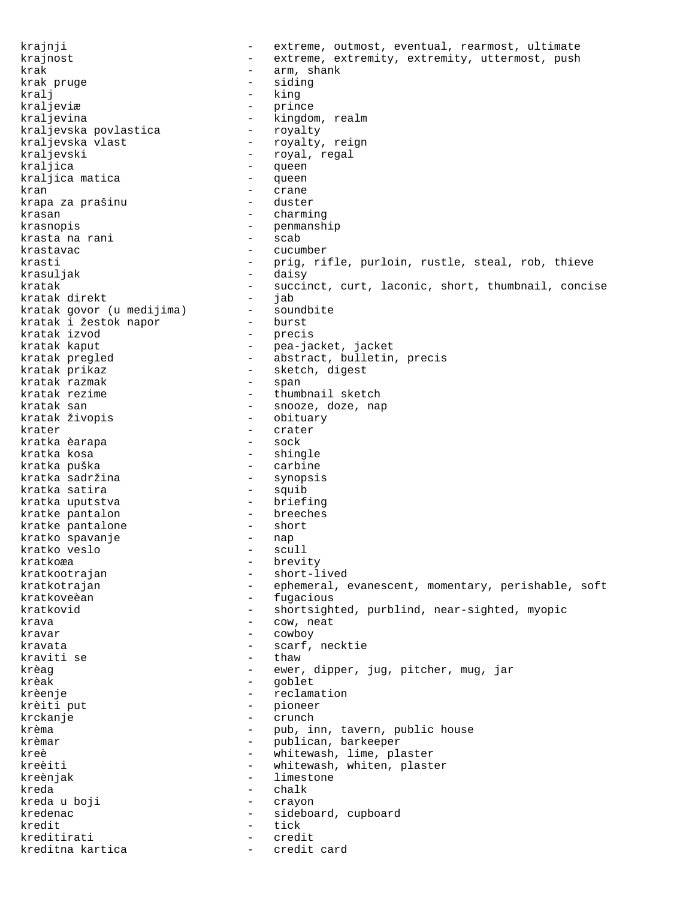krajnji  $-$  extreme, outmost, eventual, rearmost, ultimate krajnost **1988** - extreme, extremity, extremity, uttermost, push krak - arm, shank krak pruge  $\qquad \qquad$  - siding kralj - king kraljeviæ - prince - kingdom, realm<br>- royalty kraljevska povlastica - royalty kraljevska vlast<br>kraljevski - royal, regal kraljica - queen kraljica matica kran - crane krapa za prašinu krasan - charming - charming krasnopis - penmanship krasta na rani - scab krastavac - cucumber krasti entertained by the prig, rifle, purloin, rustle, steal, rob, thieve krasuljak - daisy kratak - succinct, curt, laconic, short, thumbnail, concise<br>kratak direkt - jab kratak direkt - jab kratak govor (u medijima) - soundbite kratak i žestok napor - burst kratak izvod<br>kratak kaput - precis - pea-jacket, jacket kratak pregled  $-$  abstract, bulletin, precis kratak prikaz  $\begin{array}{ccc} - & \text{sketch, digest} \\ - & \text{span} \end{array}$ kratak razmak<br>kratak rezime - thumbnail sketch kratak san - snooze, doze, nap kratak živopis krater - crater kratka èarapa kratka kosa  $-$  shingle kratka puška<br>kratka sadržina - carbine - carbine kratka sadržina<br>kratka satira - squib<br>- briefing kratka uputstva - briefing kratke pantalon - breeches kratke pantalone - short kratko spavanje - nap kratko veslo kratkoæa - brevity kratkootrajan - short-lived kratkotrajan - ephemeral, evanescent, momentary, perishable, soft<br>kratkoveèan - fuqacious - fugacious kratkovid - shortsighted, purblind, near-sighted, myopic krava - cow, neat kravar - cowboy kravata - scarf, necktie kraviti se  $-$  thaw krèag  $-$  ewer, dipper, jug, pitcher, mug, jar krèak - goblet krèenje - reclamation krèiti put - pioneer krckanje - crunch krèma  $-$  pub, inn, tavern, public house krèmar  $-$  publican, barkeeper kreè  $-$  whitewash, lime, plaster kreèiti - whitewash, whiten, plaster<br>
kreèniak - limestone - limestone kreda - chalk kreda u boji - crayon kredenac - sideboard, cupboard kredit - tick kreditirati kreditna kartica  $-$  credit card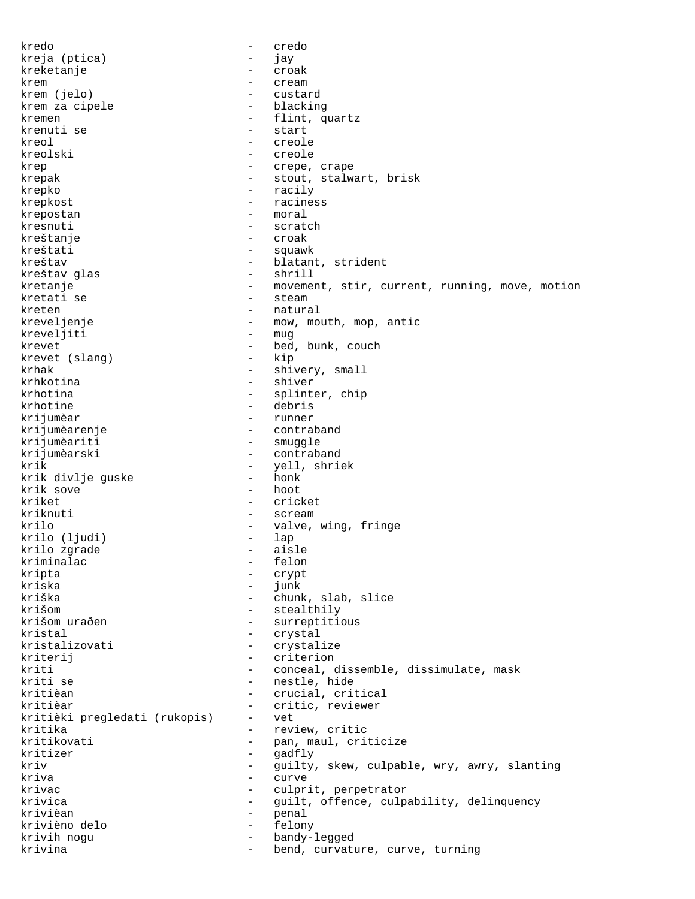kredo - credo kreja (ptica) - jay kreketanje - croak krem - cream - cream krem (jelo) - custard krem za cipele kremen - flint, quartz<br>krenuti se - - - - - - - - - - start - start kreol - creole kreolski - creole krep  $\qquad \qquad -$  crepe, crape krepak - stout, stalwart, brisk krepko - racily krepkost - raciness krepostan - moral kresnuti - scratch kreštanje - croak kreštati - squawk<br>kreštav - blatan - blatant, strident<br>- shrill kreštav glas kretanje - movement, stir, current, running, move, motion<br>kretati se - steam - steam - steam kreten - natural krevelienie - natural - natural - natural - natural - natural - natural - natural - natural - natural - natural - natural - natural - natural - natural - natural - natural - natural - natural - natural - n - mow, mouth, mop, antic<br>- muq kreveljiti krevet - bed, bunk, couch krevet (slang) krhak - shivery, small krhkotina - shiver krhotina - splinter, chip krhotine - debris krijumèar - runner krijumèarenje - contraband - contraband - contraband - contraband - smuggle krijumèariti - smuggle<br>krijumèarski - contrab - contraband krik - yell, shriek krik divlje guske - honk krik sove kriket - cricket kriknuti - scream - scream - scream - scream - scream - scream - scream - scream - scream - scream - scream krilo - valve, wing, fringe<br>krilo (ljudi) - lap - lap krilo (ljudi) - lap krilo zgrade - aisle kriminalac kripta - crypt kriska<br>kriška kriška - chunk, slab, slice<br>krišom - stealthilv - stealthily krišom uraðen  $-$  surreptitious kristal - crystal kristalizovati - crystalize kriterij - criterion kriti - conceal, dissemble, dissimulate, mask<br>kriti se - - - - - - - - - - - - nestle, hide - nestle, hide<br>- crucial crit kritièan  $-$  crucial, critical kritièar - critic, reviewer kritièki pregledati (rukopis) - vet kritika - review, critic kritikovati - pan, maul, criticize<br>kritizer - cadfly kritizer – gadfly<br>kriv – gadfly<br>e quilty kriv  $-$  guilty, skew, culpable, wry, awry, slanting<br>  $-$  curve kriva - curve krivac - culprit, perpetrator krivica  $-$  guilt, offence, culpability, delinquency krivièan - penal krivièno delo - felony krivih nogu  $-$  bandy-legged krivina  $-$  bend, curvature, curve, turning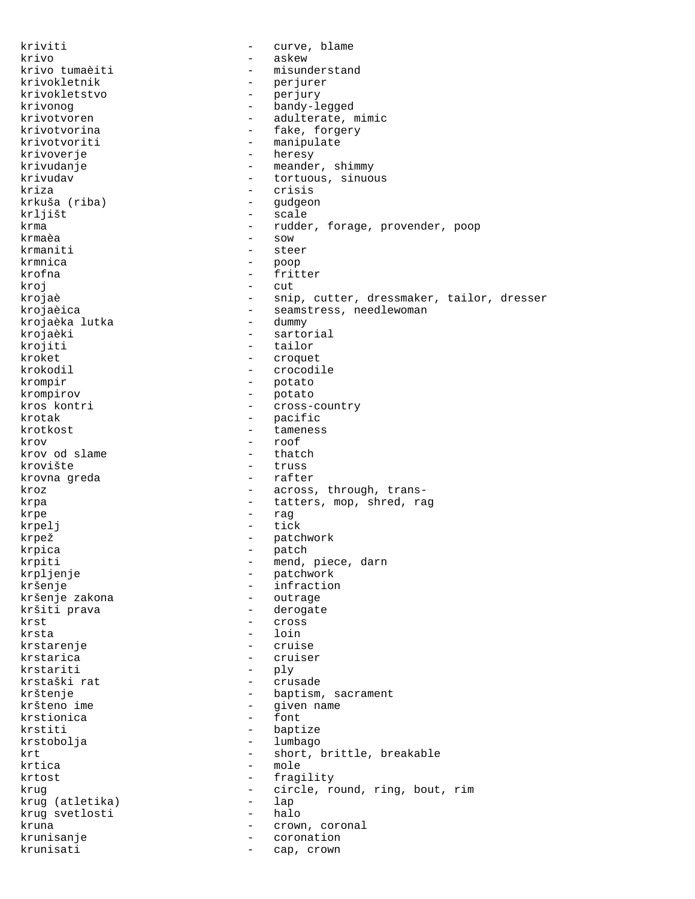kriviti  $-\text{curve}$ , blame krivo - askew - misunderstand krivokletnik - perjurer krivokletstvo - perjury krivonog <br/> egged $-$ bandy-legged krivotvoren - adulterate, mimic<br>krivotvorina - fake, forgery krivotvorina - fake, forgery<br>
krivotvoriti - manipulate - manipulate krivoverje - heresy krivudanje - meander, shimmy - tortuous, sinuous kriza - crisis - crisis krkuša (riba) - gudgeon krljišt - scale krma  $-$  rudder, forage, provender, poop krmaèa - sow krmaniti - steer krmnica - poop krofna - fritter kroj – cut<br>krojaè – cut – cut – cut krojaè - snip, cutter, dressmaker, tailor, dresser<br>krojaèica - - seamstress, needlewoman - seamstress, needlewoman<br>- dummv krojaèka lutka krojaèki - sartorial krojiti - tailor kroket - croquet krokodil - crocodile krompir - potato krompirov - potato kros kontri  $-$  cross-country krotak - pacific<br>krotkost - tamenes: tameness krov - roof krov od slame krovište - truss krovna greda kroz  $\qquad \qquad -$  across, through, transkrpa - tatters, mop, shred, rag krpe - rag - rag - rag - rag - rag - rag - rag - rag - rag - rag - rag - rag - rag - rag - rag - rag - rag - rag - rag - rag - rag - rag - rag - rag - rag - rag - rag - rag - rag - rag - rag - rag - rag - rag - rag - rag krpelj - tick - tick - tick - tick - tick - tick - tick - tick - tick - tick - tick krpež - patchwork<br>krpica - patch - patch krpica - patch krpiti - mend, piece, darn krpljenje - patchwork kršenje<br>
kršenje zakona<br>
kršenje zakona<br>
– outrage kršenje zakona kršiti prava antik i veliki se derogate krst - cross krsta - loin krstarenje - cruise krstarica - cruiser krstariti - ply krstaški rat - crusade krštenje - baptism, sacrament - given name<br>- font krstionica - font krstiti - baptize<br>krstobolja - 1 mbago - 1 mbago - lumbago krt - short, brittle, breakable krtica – mole krtost - fragility krug (atletika) - circle, round, ring, bout, rim<br>krug (atletika) - lap krug (atletika) - lap krug svetlosti<br>kruna - halo - halo - halo - halo - halo - halo - halo - halo - halo - halo - halo - halo - halo - halo - halo kruna  $-$  crown, coronal krunisanje - coronation krunisati  $\qquad \qquad -$  cap, crown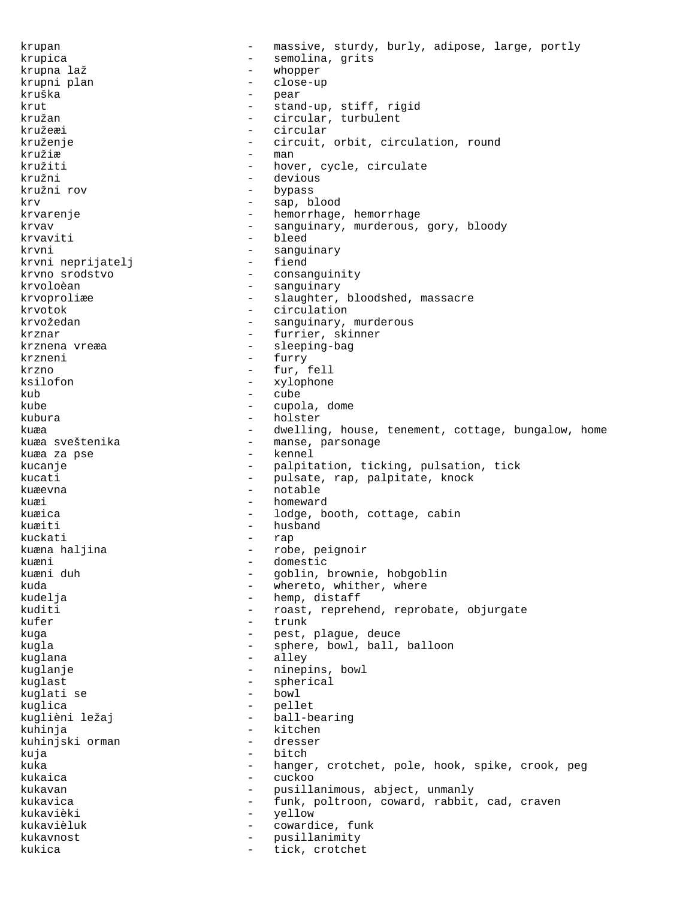krupan - massive, sturdy, burly, adipose, large, portly krupica - semolina, grits krupna laž  $-$  whopper krupni plan - close-up kruška - pear krut - stand-up, stiff, rigid<br>
kružan - circular, turbulent kružan - circular, turbulent<br>kružeæi - circular kružeæi - circular kruženje - circuit, orbit, circulation, round  $kružiæ$  - man  $-$  man  $-$  hove - hover, cycle, circulate kružni - devious kružni rov - bypass krv - sap, blood krvarenje  $\qquad \qquad -$  hemorrhage, hemorrhage krvav - sanguinary, murderous, gory, bloody krvaviti - bleed krvni heprijatelj (\* 1908)<br>
krvni neprijatelj (\* 1908)<br>
1908 – fiend krvni neprijatelj<br>krvno srodstvo krvno srodstvo - consanguinity - sanguinary krvoproliæe - slaughter, bloodshed, massacre krvotok - circulation krvožedan - sanguinary, murderous krznar - furrier, skinner - sleeping-bag krzneni - furry krzno - fur, fell ksilofon - xylophone<br>
kub - cube kub - cube<br>kube - cupe kube  $\sim$  - cupola, dome kubura - holster kuæa en som til tenement, cottage, bungalow, home tenement, cottage, bungalow, home kuæa sveštenika - manse, parsonage<br>kuæa za pse - - - - - - - - - - kennel kuæa za pse kucanje  $-$  palpitation, ticking, pulsation, tick kucati - pulsate, rap, palpitate, knock kuæevna - notable kuæi - homeward kuæica - lodge, booth, cottage, cabin kuæiti - husband kuckati - rap kuæna haljina - robe, peignoir kuæni - domestic - goblin, brownie, hobgoblin<br>- whereto whither where kuda - whereto, whither, where<br>kudelja - where - hemp, distaff - hemp, distaff kuditi  $-$  roast, reprehend, reprobate, objurgate kufer - trunk kuqa - trunk kuqa - trunk - trunk kuqa - trunk - trunk - trunk - trunk - trunk - trunk - trunk -- pest, plague, deuce kugla  $\qquad \qquad$  - sphere, bowl, ball, balloon kuglana  $-$  alley kuglanje - ninepins, bowl<br>kuglast - sherical kuglast - spherical kuglati se - bowl kuglica - pellet<br>kuglièni ležaj - - - - ball-bearing kuglièni ležaj kuhinja - kitchen<br>kuhinjski orman - - dresser kuhinjski orman kuja - bitch - bitch - bitch - bitch - bitch - bitch - bitch - bitch - bitch - bitch - bitch - bitch - bitch -- hanger, crotchet, pole, hook, spike, crook, peg kukaica - cuckoo kukavan - pusillanimous, abject, unmanly kukavica - funk, poltroon, coward, rabbit, cad, craven kukavièki - yellow - yellow - yellow - yellow - yellow - yellow - yellow - yellow - yellow - yellow - yellow kukavièluk - cowardice, funk - pusillanimity kukica - tick, crotchet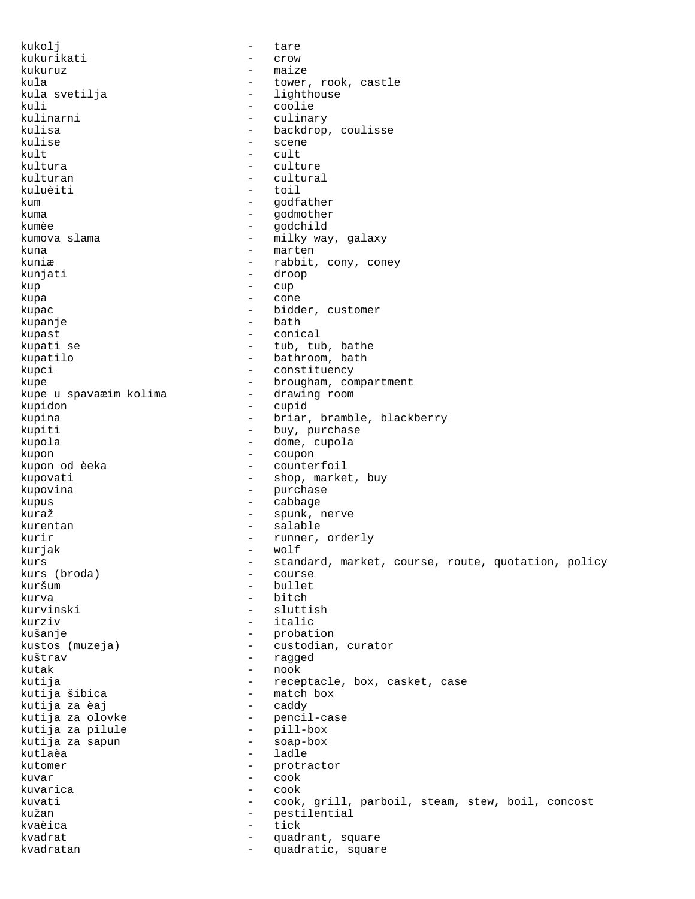kukolj - tare kukurikati - crow kukuruz - maize kula - tower, rook, castle kula svetilja - lighthouse - lighthouse - lighthouse - lighthouse - lighthouse - lighthouse - lighthouse - lig kuli - coolie<br>kulinarni - coolie - culina kulinarni - culinary kulisa - backdrop, coulisse - scene  $kult$  - cult kultura - culture kulturan - cultural kuluèiti kum - godfather kuma - godmother kumèe - godchild kumova slama - milky way, galaxy<br>kuna - marten kuna - marten - marten - marten - marten - marten - marten - marten - marten - marten - marten - marten - marten - marten - marten - marten - marten - marten - marten - marten - marten - marten - marten - marten - marten kuniæ - rabbit, cony, coney<br>kuniati - droop - droop kunjati - droop - droop - droop - droop - droop - droop - droop - droop - droop - droop - droop - droop - droop - droop - droop - droop - droop - droop - droop - droop - droop - droop - droop - droop - droop - droop - droo kup - cup kupa - cone - cone - cone - cone kupac  $\qquad \qquad -$  bidder, customer kupanje - bath kupast - conical kupati se  $-$  tub, tub, bathe kupatilo - bathroom, bath<br>kupci - constituency kupci - constituency kupe - brougham, compartment kupe u spavaæim kolima - drawing room.<br>kupidom kupidon - cupid kupina - briar, bramble, blackberry<br>
kupiti - buy, purchase - buy, purchase kupola - dome, cupola kupon - coupon - counterfoil kupovati  $-$  shop, market, buy kupovina  $\qquad \qquad -$  purchase kupus - cabbage - cabbage - cabbage - cabbage - cabbage - cabbage - cabbage - cabbage - cabbage - cabbage - cabbage - cabbage - cabbage - cabbage - cabbage - cabbage - cabbage - cabbage - cabbage - cabbage - cabbage - cabb kuraž  $-$  spunk, nerve kurentan - salable kurir  $-$  runner, orderly kurjak - wolf<br>kurs - tan kurs - standard, market, course, route, quotation, policy<br>kurs (broda) - course kurs (broda) - course kuršum – bullet<br>kurva – bitch - bitch kurvinski - sluttish kurziv - italic kušanje - probation<br>kustos (muzeja) - - custodian. kustos (muzeja) - custodian, curator kuštrav - ragged - nook kutija - receptacle, box, casket, case<br>kutija šibica - - - - - - match box - match box<br>- caddy kutija za èaj - caddy - pencil-case<br>- pill-box kutija za pilule - pill-box kutija za sapun - soap-box kutlaèa - ladle kutomer – protractor<br>kuvar – protractor kuvar - cook kuvarica - cook kuvati - cook, grill, parboil, steam, stew, boil, concost kužan - pestilential kvaèica - tick - quadrant, square kvadratan  $-$  quadratic, square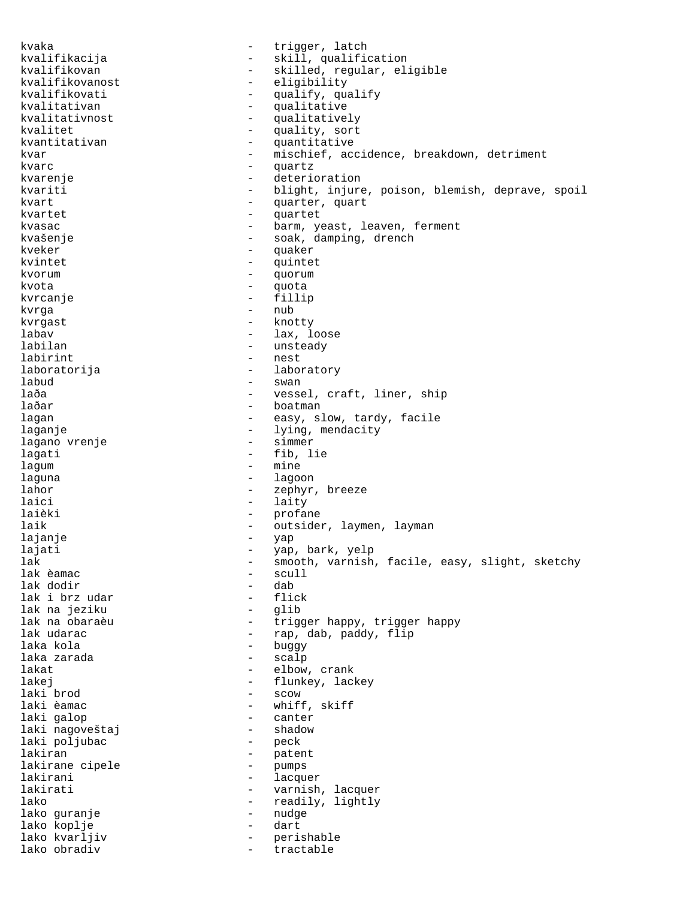kvaka  $-$  trigger, latch kvalifikacija - skill, qualification<br>kvalifikovan - skilled, regular, el kvalifikovan - skilled, regular, eligible<br>kvalifikovanost - eligibility kvalifikovanost - eligibility kvalifikovati - qualify, qualify<br>kvalitativan - - qualitative kvalitativan - qualitative kvalitativnost - qualitatively<br>kvalitet - quality, sort kvalitet - quality, sort<br>kvantitativan - quantitative kvantitativan - quantitative<br>kvar - mischief, ac - mischief, accidence, breakdown, detriment kvarc - quartz - deterioration kvariti - blight, injure, poison, blemish, deprave, spoil kvart - quarter, quart kvartet - quartet kvasac - barm, yeast, leaven, ferment kvašenje - soak, damping, drench<br>kveker - muaker - muaker kveker – quaker – quaker – quaker – quaker – quaker – quaker – quaker – quaker – quaker – quaker – quaker – quaker – quaker – quaker – quaker – quaker – quaker – quaker – quaker – quaker – quaker – quaker – quaker – quaker kvintet - quintet  $k$ vorum  $-$  quorum  $-$  quorum  $k$ vota kvota - quota kvrcanje - fillip kvrga - nub kvrgast - knotty labav - lax, loose - unsteady labirint - nest laboratorija - laboratory labud - swan laða - vessel, craft, liner, ship<br>laðar - vessel, craft, liner, ship - boatman lagan - easy, slow, tardy, facile laganje - lying, mendacity<br>lagano vrenje - - - - - - - - - - - simmer lagano vrenje lagati - fib, lie lagum - mine laguna - lagoon - lagoon lahor  $-$  zephyr, breeze laici - laity laièki - profane laik  $-$  outsider, laymen, layman lajanje - yap lajati - yap, bark, yelp lak - smooth, varnish, facile, easy, slight, sketchy lak èamac - scull lak dodir - dab lak i brz udar - flick lak na jeziku<br>lak na obaraèu lak na obaraèu - trigger happy, trigger happy<br>lak udarac - trigger happy, trigger happy - rap, dab, paddy, flip laka kola - buggy laka zarada lakat - elbow, crank lakej - flunkey, lackey laki brod - scow laki èamac - whiff, skiff - canter<br>- shadow laki nagoveštaj - shadow laki poljubac lakiran - patent<br>lakirane cipele - pumps lakirane cipele lakirani - lacquer lakirati - varnish, lacquer lako  $-$  readily, lightly  $-$  readily, lightly lako guranje - nudge lako koplje - dart lako kvarljiv - perishable lako obradiv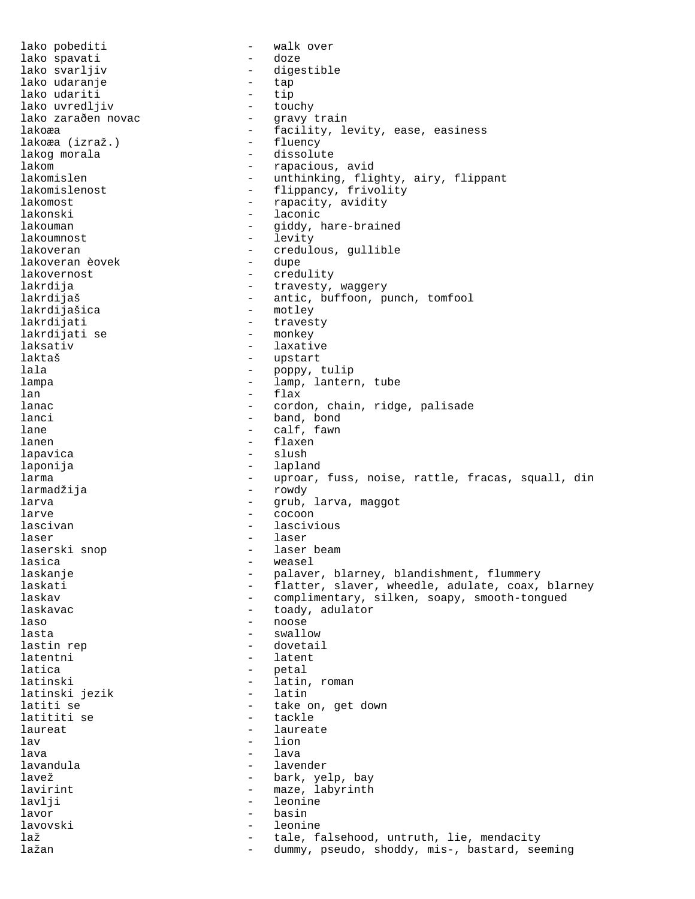lako pobediti  $-$  walk over lako spavati  $\qquad \qquad -$  doze lako svarljiv - digestible lako udaranje - tap lako udariti - tip lako uvredljiv - touchy lako zaraðen novac<br>lakoæa - facility, levity, ease, easiness<br>- fluency lakoæa (izraž.) - fluency lakog morala lakom - rapacious, avid lakomislen - unthinking, flighty, airy, flippant lakomislenost - flippancy, frivolity lakomost  $-$  rapacity, avidity lakonski - laconic lakouman - giddy, hare-brained lakoumnost - levity lakoveran - credulous, gullible<br>lakoveran èovek - dupe - dupe lakoveran èovek<br>lakovernost lakovernost - credulity lakrdija - travesty, waggery lakrdijaš - antic, buffoon, punch, tomfool<br>lakrdijašica - - - - - motley lakrdijašica - motley - travesty<br>- monkey lakrdijati se<br>laksativ - laxative laktaš - upstart lala  $\qquad \qquad$  - poppy, tulip lampa - lamp, lantern, tube  $lan$  - flax lanac - cordon, chain, ridge, palisade lanci - band, bond<br>
lane - calf, fawn lane - calf, fawn<br>
lanen - calf, fawn<br>
- flaxen lanen - flaxen lapavica - slush laponija - lapland larma - uproar, fuss, noise, rattle, fracas, squall, din larmadžija - rowdy larva - grub, larva, maggot larve - cocoon lascivan - lascivious laser - laser laserski snop lasica - weasel laskanje en andron version version of the palaver, blarney, blandishment, flummery laskati - flatter, slaver, wheedle, adulate, coax, blarney<br>laskav - complimentary, silken, soapy, smooth-tongued - complimentary, silken, soapy, smooth-tongued laskavac  $\qquad \qquad \qquad -$  toady, adulator laso - noose lasta - swallow lastin rep  $\qquad \qquad$  - dovetail latentni - latent latica - petal latinski - latin, roman - latin, roman - latin, roman - latin, roman - latin, roman - latin, roman - latin, roman - latin, roman - latin, roman - latin, roman - latin, roman - latin, roman - latin, roman - latin, roman - l latinski jezik<br>latiti se - take on, get down<br>- tackle latititi se laureat  $\qquad \qquad \qquad -$  laureate  $\qquad \qquad -$  lion - lion lava - lava lavandula - lavender lavež  $\qquad \qquad -$  bark, yelp, bay lavirint  $-$  maze, labyrinth lavlji - leonine lavor - basin lavovski - leonine laž  $-$  tale, falsehood, untruth, lie, mendacity lažan 1988 – dummy, pseudo, shoddy, mis-, bastard, seeming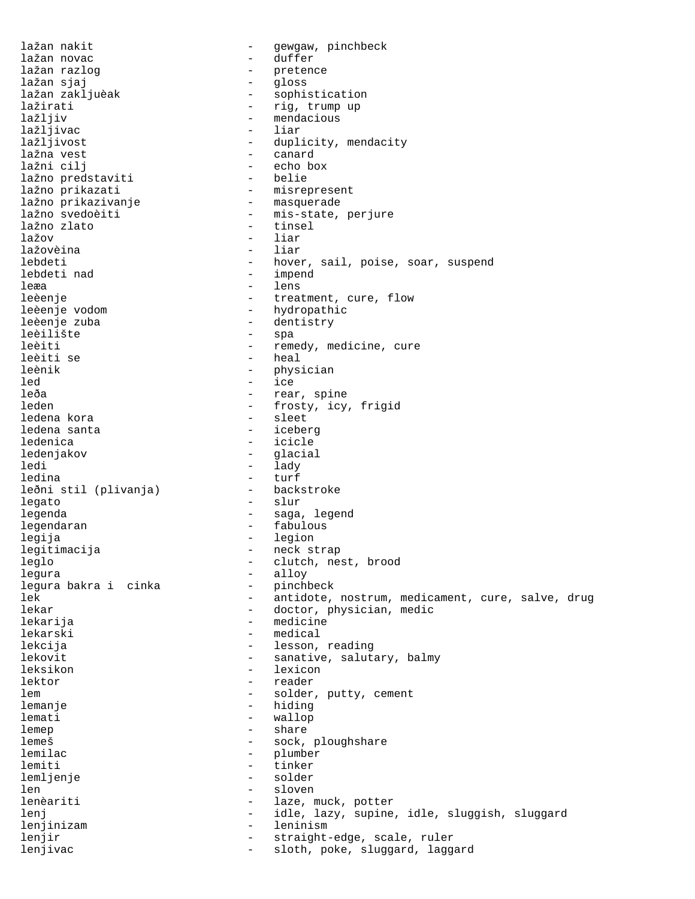lažan nakit  $-$  gewgaw, pinchbeck lažan novac  $\qquad \qquad -$  duffer lažan razlog - pretence lažan sjaj - gloss lažan zakljuèak  $\begin{array}{ccc} - & sophistication \\ - & riq, \text{trump up} \end{array}$ lažirati - rig, trump up<br>lažljiv - - - - - - - - - - - - - mendacious - mendacious<br>- liar lažljivac<br>lažljivost - duplicity, mendacity lažna vest - canard - echo box<br>- belie lažno predstaviti lažno prikazati - misrepresent lažno prikazivanje lažno svedoèiti - mis-state, perjure<br>lažno zlato - tinsel lažno zlato - tinsel lažov - liar lažovèina lebdeti - hover, sail, poise, soar, suspend<br>lebdeti nad - impend - impend leæa - lens<br>leèenje - lens - lens - treatment, cure, flow leèenje vodom - hydropathic leèenje zuba - dentistry - spa leèiti - remedy, medicine, cure leèiti se  $-$  heal leènik - physician led<br>leða - ice<br>leða - rear - rear, spine leden - frosty, icy, frigid ledena kora<br>ledena santa ledena santa<br>1edenica - iceberg - icicle - icicle ledenjakov - glacial ledi - lady ledina - turf leðni stil (plivanja) legato - slur legenda - saga, legend legendaran  $\overline{\phantom{a}}$  - fabulous legija - legion - legion legitimacija - neck strap leglo - clutch, nest, brood legura - alloy legura bakra i cinka<br>lek lek - antidote, nostrum, medicament, cure, salve, drug<br>lekar - doctor, physician, medic - doctor, physician, medic lekarija - medicine lekarski - medical lekcija - lesson, reading lekovit - sanative, salutary, balmy leksikon - lexicon lektor - reader lem  $-$  solder, putty, cement lemanje - hiding lemati - wallop lemep - share - share - share - share - share - share - share - share - share - share - share - share - share - share - share - share - share - share - share - share - share - share - share - share - share - share - share - sock, ploughshare lemilac - plumber lemiti - tinker lemljenje - solder len - sloven lenèariti  $-$  laze, muck, potter lenj  $-$  idle, lazy, supine, idle, sluggish, sluggard lenjinizam - leninism lenjir  $-$  straight-edge, scale, ruler lenjivac - sloth, poke, sluggard, laggard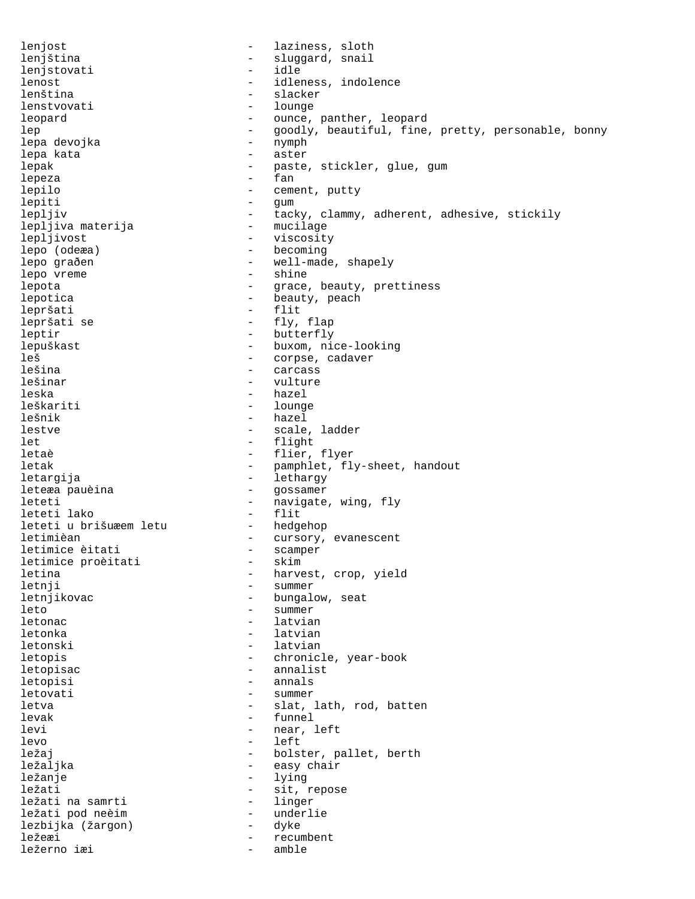lenjost  $-$  laziness, sloth lenjština - sluggard, snail lenjstovati lenost - idleness, indolence lenština - slacker lenstvovati - lounger - lounger - lounger - lounger - lounger - lounger - lounger - lounger - lounger - lounger leopard  $\qquad \qquad -$  ounce, panther, leopard lep - goodly, beautiful, fine, pretty, personable, bonny<br>lepa devoika - nymph - nymph lepa devojka lepa kata  $\qquad \qquad$  - aster lepak - paste, stickler, glue, gum lepeza - fan lepilo - cement, putty lepiti - gum lepljiv - tacky, clammy, adherent, adhesive, stickily<br>lepljiva materija - mucilage lepljiva materija - mucilage lepljivost - viscosity lepo (odeæa) - becoming lepo graðen - vell-made, shapely lepo vreme  $\qquad \qquad$  - shine lepota - grace, beauty, prettiness - beauty, peach lepršati - flit lepršati se  $\begin{array}{ccc} - & fly, \text{flag} \\ - & \text{butterflv} \end{array}$ - butterfly lepuškast - buxom, nice-looking leš - corpse, cadaver lešina - carcass lešinar - vulture leska - hazel leškariti - lounge lešnik - hazel lestve - scale, ladder - flight letaè  $-$  flier, flyer letak - pamphlet, fly-sheet, handout letargija - lethargy leteæa pauèina leteti  $\begin{array}{ccc} - & - & \text{navigate, wing, fly} \\ - & \text{filter} \end{array}$ leteti lako - flit leteti u brišuæem letu<br>letimièan - cursory, evanescent<br>- scamper letimice èitati - scamper letimice proèitati letina  $\overline{\phantom{a}}$  - harvest, crop, yield letnji - summer - bungalow, seat leto - summer letonac - latvian letonka - latvian letonski - latvian letopis - chronicle, year-book letopisac - annalist letopisi - annals letovati - summer letva - slat, lath, rod, batten levak - funnel levi - near, left<br>levo - left<br>- left - left ležaj - bolster, pallet, berth<br>ležaljka - - - - - - - - - - - - - easy chair ležaljka - easy chair ležanje – lying – lying – ležanje – lying – ležanje – lying – lying – lying – lying – lying – lying – lying – - sit, repose<br>- linger ležati na samrti - linger ležati pod neèim - underlie lezbijka (žargon) ležeæi - recumbent<br>ležerno iæi - recumbent ležerno iæi - amble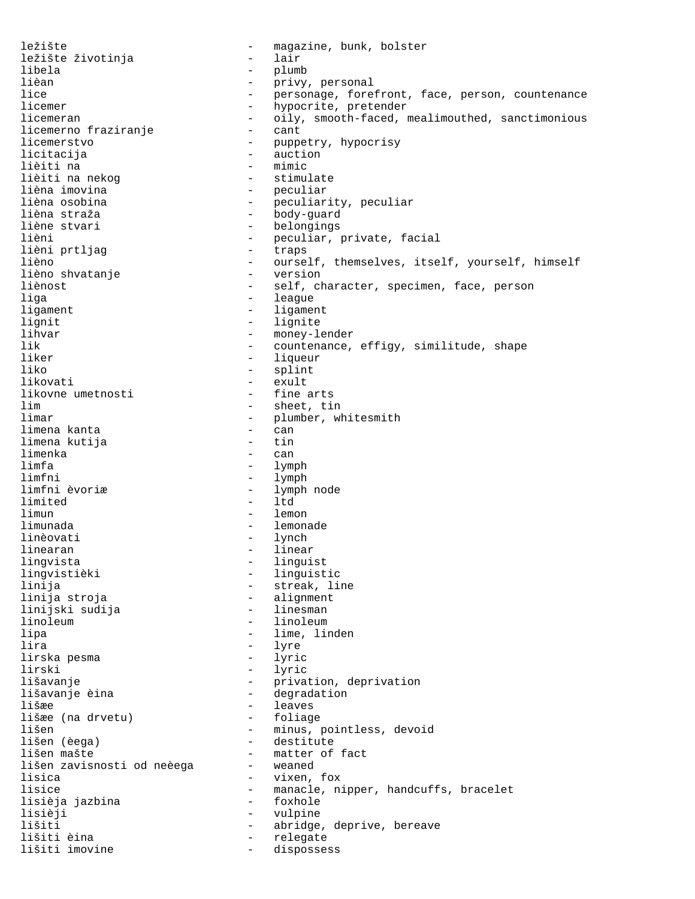ležište - magazine, bunk, bolster<br>ležište životinia - - - - - - - - lair ležište životinja - lair libela - plumb lièan - privy, personal lice - personage, forefront, face, person, countenance<br>licemer - hypocrite, pretender - hypocrite, pretender licemeran - oily, smooth-faced, mealimouthed, sanctimonious<br>licemerno fraziranje - cant licemerno fraziranje<br>licemerstvo - puppetry, hypocrisy licitacija - auction lièiti na minic<br>lièiti na nekog de la stimulate lièiti na nekog<br>lièna imovina - peculiar lièna osobina  $-$  peculiarity, peculiar lièna straža<br>lièna straža - body-guard<br>liène stvari - belongings liène stvari - belongings - peculiar, private, facial<br>- trans lièni prtljag  $-$  traps lièno - ourself, themselves, itself, yourself, himself lièno shvatanje<br>liènost liènost - self, character, specimen, face, person - league ligament - ligament lignit - lignite<br>lihvar - monev-l lihvar - money-lender<br>lik - countenance. - countenance, effigy, similitude, shape liker - liqueur - liqueur - liqueur - liqueur - liqueur - liqueur - liqueur - liqueur - liqueur - liqueur - li - splint likovati - exult likovne umetnosti<br>lim lim - sheet, tin - plumber, whitesmith limena kanta - can limena kutija limenka - can limfa - lymph - lymph - lymph - lymph - lymph - lymph - lymph - lymph - lymph - lymph - lymph - lymph - lymph - lymph - lymph - lymph - lymph - lymph - lymph - lymph - lymph - lymph - lymph - lymph - lymph - lymph - lymph limfni - lymph - lymph node<br>- ltd limited limun - lemon - lemonade linèovati - lynch linearan  $-$  linear lingvista - linguist lingvistièki - linguistic<br>linija - streak, li - streak, line<br>- alignment linija stroja - alignment linijski sudija linoleum - linoleum - linoleum lipa - lime, linden lira - lyre lirska pesma lirski - lyric lišavanje - privation, deprivation lišavanje èina - degradation - leaves<br>- foliage lišæe (na drvetu)<br>lišen lišen - minus, pointless, devoid<br>lišen (èega) - destitute - destitute lišen mašte<br>lišen zavisnosti od neèega - matter of fact lišen zavisnosti od neèega lisica - vixen, fox lisice - manacle, nipper, handcuffs, bracelet<br>lisièja jazbina - foxhole - foxhole lisièja jazbina - foxhole lisièji - vulpine lišiti - abridge, deprive, bereave - relegate<br>- disposse lišiti imovine  $-$  dispossess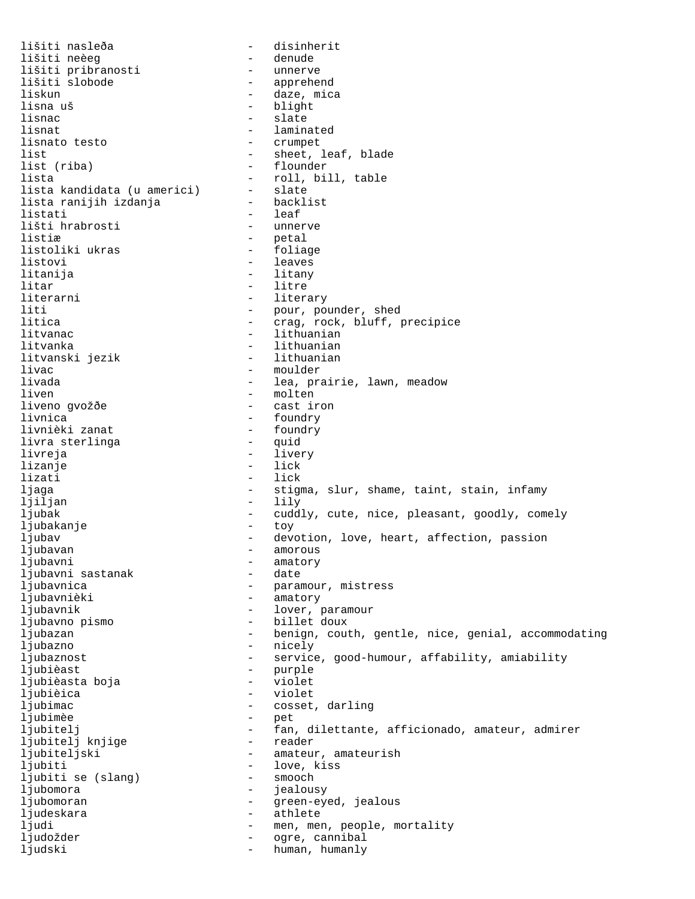lišiti nasleða - disinherit lišiti neèeg - denude lišiti pribranosti<br>lišiti slobode - apprehend liskun - daze, mica lisna uš - blight lisnac - slate lisnat - laminated<br>lisnato testo - crumpet lisnato testo list  $-$  sheet, leaf, blade list (riba) - flounder lista - roll, bill, table lista kandidata (u americi) - slate<br>lista ranijih izdanja - backlist lista ranijih izdanja listati - leaf<br>lišti hrabrosti - unnerve lišti hrabrosti listiæ – petal – petal – petal – petal – petal – petal – petal – petal – petal – petal – petal – petal – petal listoliki ukras listovi - leaves litanija - litany litar - litre - literary liti - pour, pounder, shed - crag, rock, bluff, precipice litvanac - lithuanian litvanka - lithuanian<br>litvanski jezik - - lithuanian litvanski jezik livac - moulder livada  $\qquad \qquad \qquad -$  lea, prairie, lawn, meadow liven - molten liveno gvožðe livnica - foundry - foundry - foundry - foundry - foundry - foundry - foundry - foundry - foundry - foundry - foundry - foundry - foundry - foundry - foundry - foundry - foundry - foundry - foundry - foundry - foundry - fo livnièki zanat - foundry livra sterlinga livreja - livery lizanje - lick lizati  $-$  lick ljaga - stigma, slur, shame, taint, stain, infamy ljiljan - lily ljubak - cuddly, cute, nice, pleasant, goodly, comely ljubakanje ljubav - devotion, love, heart, affection, passion ljubavan - amorous ljubavni - amatory<br>1 iubavni sastanak - date - date ljubavni sastanak ljubavnica <br />  $\qquad \qquad -$  paramour, mistress ljubavnièki - amatory ljubavnik - lover, paramour ljubavno pismo - billet doux ljubazan - benign, couth, gentle, nice, genial, accommodating ljubazno - nicely ljubaznost <br />
- service, good-humour, affability, amiability<br/>  $\,$ ljubièast - purple ljubièasta boja - violet ljubièica - violet ljubimac - cosset, darling ljubimèe - pet ljubitelj - fan, dilettante, afficionado, amateur, admirer<br>liubiteli kniiqe - reader ljubitelj knjige ljubiteljski - amateur, amateurish ljubiti - love, kiss<br>ljubiti se (slang) - smooch ljubiti se (slang) - smooth - smooth - smooth - smooth - smooth - smooth - smooth - smooth - smooth - smooth ljubomora - jealousy ljubomoran - green-eyed, jealous ljudeskara - athlete ljudi - men, men, people, mortality<br>ljudožder - - - - - - - - oqre, cannibal ljudožder - ogre, cannibal ljudski - human, humanly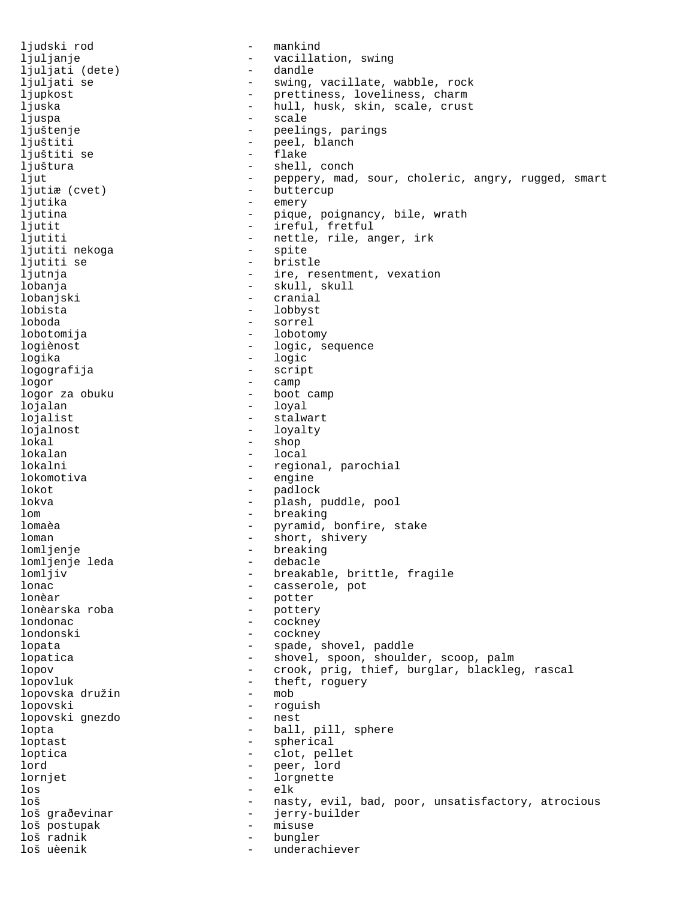ljudski rod - mankind ljuljanje - vacillation, swing ljuljati (dete)<br>ljuljati se - swing, vacillate, wabble, rock ljupkost  $-$  prettiness, loveliness, charm ljuska - hull, husk, skin, scale, crust ljuspa - scale ljuštenje - peelings, parings ljuštiti - peel, blanch<br>liuštiti se - - - - - - - - flake ljuštiti se<br>ljuštura - shell, conch ljut - peppery, mad, sour, choleric, angry, rugged, smart ljutiæ (cvet) - buttercup ljutika - emery ljutina  $-$  pique, poignancy, bile, wrath ljutit - ireful, fretful ljutiti - nettle, rile, anger, irk<br>ljutiti nekoga ljutiti nekoga - spite ljutiti se  $-$  bristle ljutnja  $-$  ire, resentment, vexation lobanja - skull, skull lobanjski - cranial lobista - lobbyst loboda - sorrel lobotomija - lobotomy - logic, sequence logika - logic logografija - script logor - camp - boot camp lojalan - loyal lojalist - stalwart lojalnost - loyalty<br>lokal - shop - shop - shop lokalan - local lokalni - regional, parochial lokomotiva - engine lokot - padlock lokva - plash, puddle, pool lom - breaking lomaèa - pyramid, bonfire, stake loman - short, shivery lomljenje<br>lomljenje leda<br>lomljenje leda<br>debacle<br>lomljenje leda lomljenje leda<br>lomljiv - breakable, brittle, fragile lonac - casserole, pot - potter<br>- pottery lonèarska roba - pottery - pottery - pottery - pottery - pottery - pottery - pottery - pottery - pottery - po londonac - cockney londonski - cockney lopata  $\qquad \qquad -$  spade, shovel, paddle lopatica - shovel, spoon, shoulder, scoop, palm lopov **1988** - crook, prig, thief, burglar, blackleg, rascal lopovluk - theft, roguery<br>lopovska družin - mob lopovska družin - mob lopovski <sub>anezdo</sub> († 1990)<br>1990 - Theory Hopovski anezdo († 1992)<br>1992 - Theory Hopovski anezdo († 1992) lopovski gnezdo lopta - ball, pill, sphere loptast - spherical loptica - clot, pellet lord - peer, lord lornjet - lorgnette los - elk loš - nasty, evil, bad, poor, unsatisfactory, atrocious<br>loš građevinar - ierrv-builder loš graðevinar - jerry-builder loš postupak - misuse loš radnik - bungler underachiever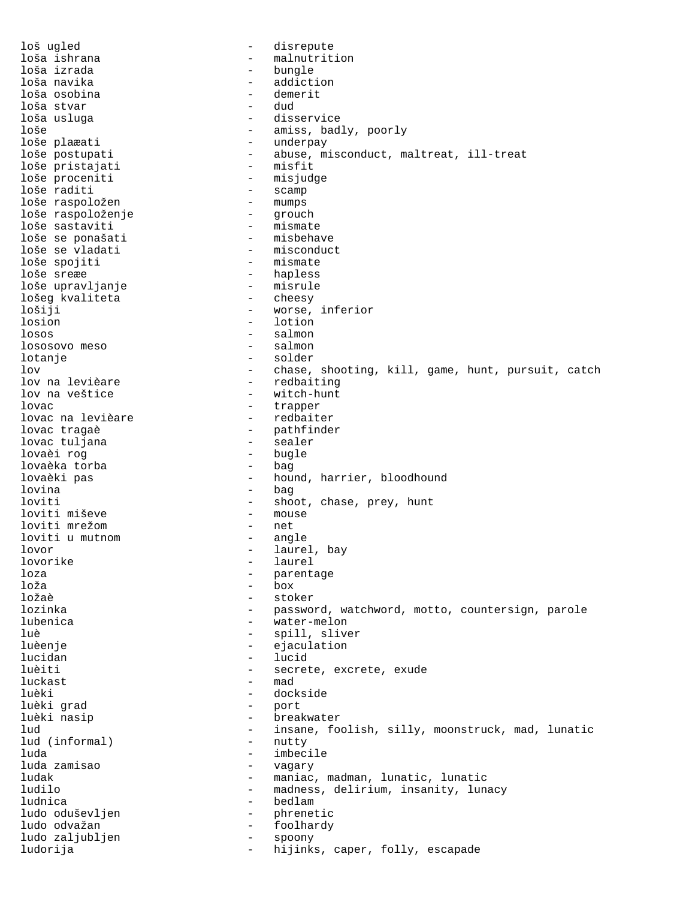loš ugled  $-$  disrepute loša ishrana - malnutrition loša izrada - bungle - addiction loša osobina - demerit loša stvar<br>loša usluga loša usluga - disservice loše - amiss, badly, poorly - underpay loše postupati - abuse, misconduct, maltreat, ill-treat loše pristajati<br>loše proceniti loše proceniti - misjudge - scamp<br>- mumps loše raspoložen - mumps loše raspoloženje - grouch loše sastaviti - mismate loše se ponašati<br>loše se vladati loše se vladati - misconduct - mismate loše sreæe - hapless loše upravljanje - misrule lošeg kvaliteta lošiji - worse, inferior losion - lotion losos - salmon lososovo meso lotanje - solder lov  $-$  chase, shooting, kill, game, hunt, pursuit, catch lov na levièare  $-$  redbaiting - redbaiting lov na veštice  $-$  witch-hunt lovac - trapper lovac na levièare<br>lovac tragaè - pathfinder<br>- sealer lovac tuljana - sealer lovaèi rog - bugle lovaèka torba<br>lovaèki pas - hound, harrier, bloodhound lovina - bag loviti  $-$  shoot, chase, prey, hunt<br>loviti miševe  $-$  mouse loviti miševe - mouse loviti mrežom - net loviti u mutnom lovor - laurel, bay lovorike - laurel loza - parentage loža - box - stoker lozinka - password, watchword, motto, countersign, parole lubenica - water-melon luè  $-$  spill, sliver luèenje ejaculation este estable ejaculation lucidan - lucid luèiti - secrete, excrete, exude  $\begin{array}{cccc} \texttt{luckast} & \hspace{1.5cm} & \hspace{1.5cm} & \hspace{1.5cm} & \hspace{1.5cm} & \hspace{1.5cm} & \hspace{1.5cm} & \hspace{1.5cm} & \hspace{1.5cm} & \hspace{1.5cm} & \hspace{1.5cm} & \hspace{1.5cm} & \hspace{1.5cm} & \hspace{1.5cm} & \hspace{1.5cm} & \hspace{1.5cm} & \hspace{1.5cm} & \hspace{1.5cm} & \hspace{1.5cm} & \hspace{1.5cm} & \hspace{1.5cm} & \hspace{1$ luèki - dockside luèki grad luèki nasip - breakwater - insane, foolish, silly, moonstruck, mad, lunatic<br>- nuttv lud (informal) luda - imbecile luda zamisao ludak - maniac, madman, lunatic, lunatic ludilo - madness, delirium, insanity, lunacy ludnica - bedlam ludo oduševljen - - - - - - - - - phrenetic ludo odvažan - foolhardy ludo zaljubljen spoongaar - spoongaar - spoongaar - spoongaar - spoongaar - spoongaar - spoongaar - spoongaar<br>- spoongaar - spoongaar - spoongaar - spoongaar - spoongaar - spoongaar - spoongaar - spoongaar - spoongaar ludorija - hijinks, caper, folly, escapade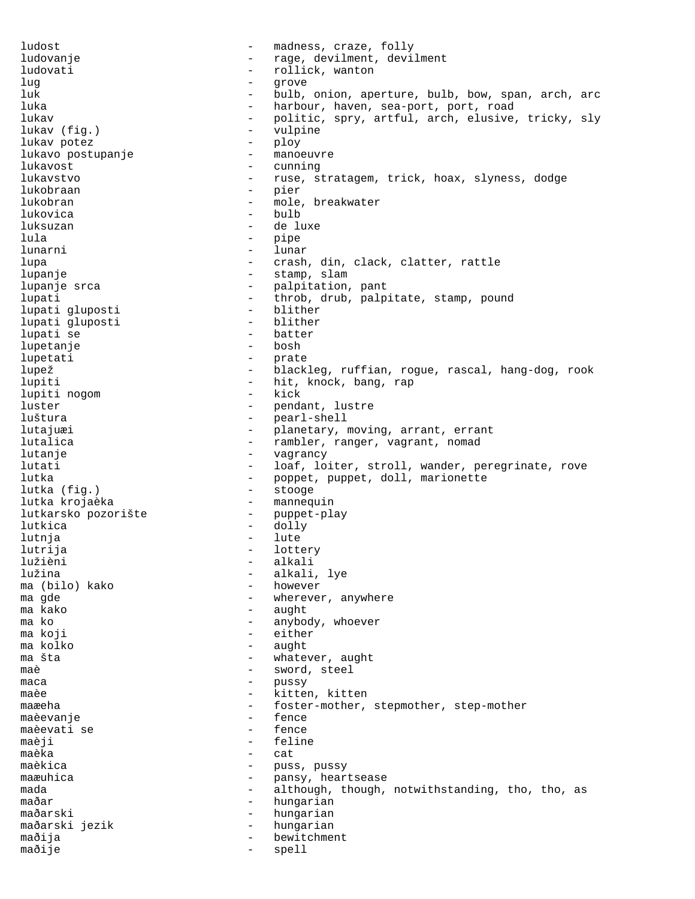ludost  $\qquad \qquad -$  madness, craze, folly ludovanje - rage, devilment, devilment ludovati  $-$  rollick, wanton lug - grove luk - bulb, onion, aperture, bulb, bow, span, arch, arc - harbour, haven, sea-port, port, road<br>- politic spry artful arch elusive lukav - politic, spry, artful, arch, elusive, tricky, sly<br>lukav (fig.) - wulpipe lukav (fig.) - vulpine<br>
lukav potez<br>
- plov lukav potez - ploy lukavo postupanje lukavost - cunning lukavstvo - ruse, stratagem, trick, hoax, slyness, dodge lukobraan - pier lukobran - mole, breakwater lukovica - bulb luksuzan de luxe lula - pipe lunarni - lunar lupa - crash, din, clack, clatter, rattle lupanje  $\qquad \qquad -$  stamp, slam lupanje srca - palpitation, pant<br>lupati - throb.drub.palp lupati - throb, drub, palpitate, stamp, pound<br>lupati dluposti - blither lupati gluposti - blither lupati gluposti lupati se  $\qquad \qquad -$  batter<br>lupetanie  $\qquad \qquad -$  bosh lupetanje lupetati - prate lupež - blackleg, ruffian, rogue, rascal, hang-dog, rook lupiti  $-$  hit, knock, bang, rap<br>lupiti noqom  $-$  kick lupiti nogom - kick luster - pendant, lustre<br>
luštura - pearl-shell<br>
- pearl-shell luštura - pearl-shell lutajuæi - planetary, moving, arrant, errant lutalica - rambler, ranger, vagrant, nomad<br>lutanie - rangersky - vagrancy lutanje - vagrancy lutati - loaf, loiter, stroll, wander, peregrinate, rove lutka  $(fiq.)$  - poppet, puppet, doll, marionette lutka  $(fiq.)$ lutka (fig.) lutka krojaèka  $-$  mannequin lutkarsko pozorište - puppet-play lutkica - dolly lutnja - lute lutrija – lottery Iužièni – lottery Iužièni lužièni - alkali - alkali, lye<br>- however ma (bilo) kako<br>ma qde ma gde  $\qquad \qquad -$  wherever, anywhere<br>ma kako  $\qquad \qquad -$  aught ma kako - aught - anybody, whoever ma koji  $-$  either ma kolko - aught ma šta - whatever, aught<br>
maề - sword steel maè - sword, steel maca - pussy maèe  $-$  kitten, kitten maæeha - foster-mother, stepmother, step-mother<br>maèevanie - fence maèevanje - fence maèevati se maèji - feline maèka - cat maèkica  $-$  puss, pussy maæuhica  $-$  pansy, heartsease mada - although, though, notwithstanding, tho, tho, as maðar - hungarian maðarski - hungarian<br>maðarski jezik - hungarian maðarski jezik - hungariannar - hungariannar - hungariannar - hungariannar - hungariannar - hungariannar - hun<br>Hungariannar - hungariannar - hungariannar - hungariannar - hungariannar - hungariannar - hungariannar - hunga maðija - bewitchment maðije - spell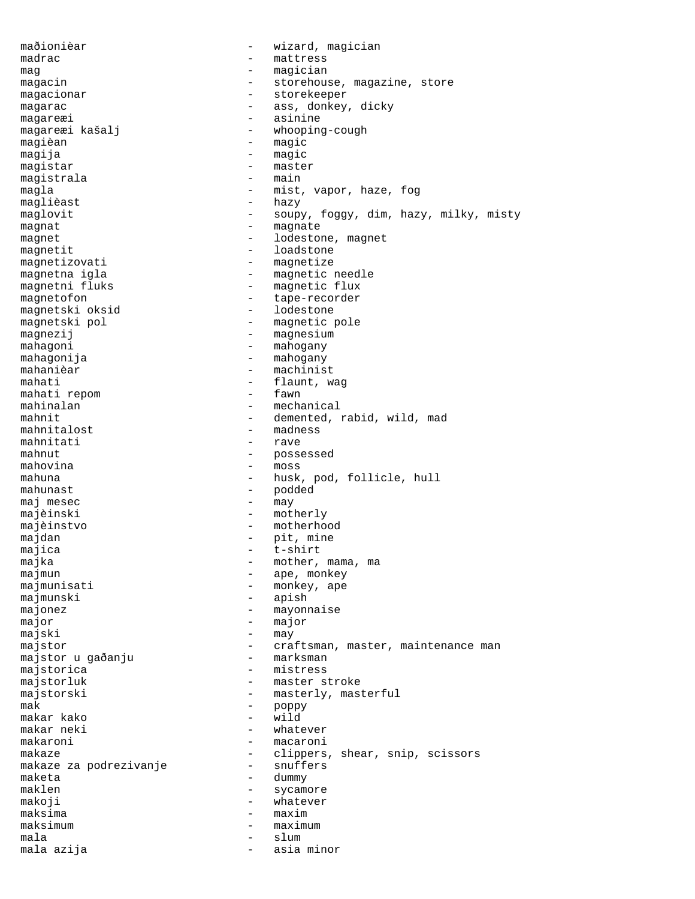maðionièar - wizard, magician<br>madrac - - mattress - mattress mag - magician magacin - storehouse, magazine, store magacionar - storekeeper magarac  $\qquad \qquad$  - ass, donkey, dicky magareæi - asinine - whooping-cough magièan - magic magija - magic magistar - master<br>magistrala - main - main magistrala magla  $-$  mist, vapor, haze, fog maglièast - hazy maglovit - soupy, foggy, dim, hazy, milky, misty magnat - magnate magnet - lodestone, magnet magnetit - loadstone<br>magnetizovati - magnetize magnetizovati - magnetize magnetna igla - magnetic needle - magnetic flux magnetofon - tape-recorder<br>magnetski oksid - lodestone magnetski oksid magnetski pol - magnetic pole magnezij - magnesium mahagoni - mahogany mahagonija - mahogany mahanièar - machinist mahati  $\begin{array}{ccc} 1 & - & - & \text{flaunt, wag} \\ - & \text{faunt, wag} \end{array}$ mahati repom mahinalan - mechanical - demented, rabid, wild, mad<br>- madness mahnitalost - madne<br>mahnitati - rave mahnitati mahnut - possessed mahovina - moss mahuna - husk, pod, follicle, hull mahunast - podded maj mesec  $-$  may majèinski - motherly majèinstvo - motherhood majdan  $-\text{pit, mine}$ <br>majica  $-\text{t-shift}$ majica - t-shirt majka - mother, mama, ma majmun - ape, monkey majmunisati  $-$  monkey, ape majmunski - apish majonez - mayonnaise major - major majski - may majstor - craftsman, master, maintenance man majstor u gaðanju majstorica - mistress majstorluk - master stroke<br>maistorski - masterly, mas majstorski - masterly, masterful<br>mak - noppy mak - poppy makar kako - wild makar neki - whatever makaroni - macaroni makaze  $-$  clippers, shear, snip, scissors<br>makaze za podrezivanje  $-$  snuffers makaze za podrezivanje maketa - dummy maklen - sycamore makoji - whatever maksima - maxim maksimum - maximum - maximum mala - slum mala azija  $\sim$  - asia minor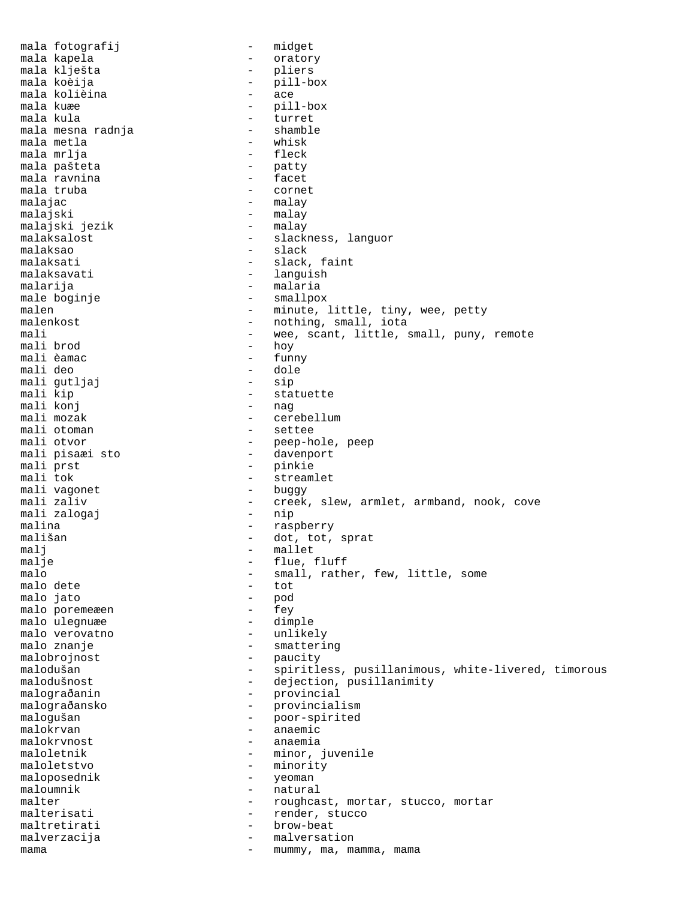mala fotografij en en en midget mala kapela - oratory mala klješta<br>mala koèija - pill-b - pill-box<br>- ace mala kolièina<br>mala kuæe mala kuæe - pill-box - turret<br>- shamble mala mesna radnja - shamble mala metla - whisk mala mrlja - fleck mala pašteta - patty mala ravnina  $\qquad \qquad \qquad -$  facet<br>mala truba  $\qquad \qquad -$  cornet mala truba malajac - malay malajski - malay<br>malaiski jezik - malay malajski jezik malaksalost - slackness, languor<br>malaksao - slack - slack malaksao - slack malaksati - slack, faint - languish malarija - malaria - smallpox malen - minute, little, tiny, wee, petty<br>malenkost - nothing, small, iota - nothing, small, iota mali  $-$  wee, scant, little, small, puny, remote mali brod  $-$  hov mali brod mali èamac - funny - dole<br>- sip mali gutljaj<br>mali kip - statuette<br>- nag mali konj<br>mali mozak mali mozak - cerebellum mali otoman  $\begin{array}{ccc}\n & - & \text{settee} \\
\text{mali otvor} & - & \text{peep-hc} \\
\end{array}$ - peep-hole, peep<br>- davenport mali pisaæi sto<br>mali prst mali prst - pinkie - streamlet<br>- buqgy mali vagonet<br>mali zaliv - creek, slew, armlet, armband, nook, cove<br>- nip mali zalogaj malina - raspberry mališan - dot, tot, sprat malj - mallet malje - flue, fluff<br>malo - small, rath - small, rather, few, little, some<br>- tot malo dete - tot malo jato - pod malo poremeæen - fey malo ulegnuæe - dimple malo verovatno malo znanje  $\overline{\phantom{0}}$  - smattering malobrojnost - paucity malodušan - spiritless, pusillanimous, white-livered, timorous malodušnost - dejection, pusillanimity malodušnost - dejection, pusillanimity<br>malograðanin - provincial malograðansko - provincialism malogušan - poor-spirited malokrvan - anaemic - anaemia maloletnik - minor, juvenile maloletstvo – minority<br>maloposednik – yeoman – yeoman maloposednik<br>maloumnik - natural malter - roughcast, mortar, stucco, mortar malterisati - render, stucco maltretirati - brow-beat malverzacija - malversation mama  $-$  mummy, ma, mamma, mama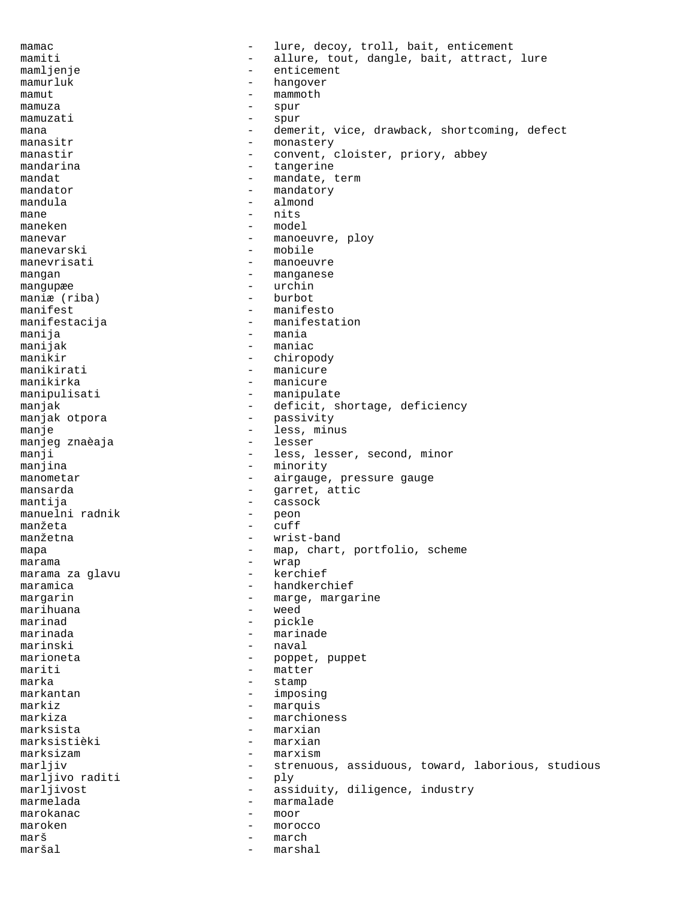mamac and the set of the lure, decoy, troll, bait, enticement mamiti - allure, tout, dangle, bait, attract, lure<br>mamlienie - enticement mamljenje - enticement mamurluk - hangover mamut - mammoth mamuza  $\qquad \qquad -$  spur<br>mamuzati  $\qquad \qquad -$  spur mamuzati - spur<br>mana - demo mana - demerit, vice, drawback, shortcoming, defect<br>manasitr - monastery - monastery manastir - convent, cloister, priory, abbey mandarina  $-$  tangerine mandat mandat - mandate, term mandator - mandatory mandula - almond mane - nits maneken - model manevar - manoeuvre, ploy manevarski - mobile - manoeuvre mangan - manganese mangupæe - urchin maniæ (riba)<br>manifest - manifesto manifestacija - manifestation manija - mania - mania manijak - maniac manikir - chiropody manikirati - manicure manikirka - manicure manipulisati - manipulate manjak - deficit, shortage, deficiency<br>manjak otpora - passivity - passivity manjak otpora manje - less, minus manjeg znaèaja manji  $-$  less, lesser, second, minor manjina - minority manometar - airgauge, pressure gauge mansarda  $-$  garret, attic mantija - cassock manuelni radnik - peon<br>manžeta - cuff manžeta - cuff manžetna - wrist-band mapa - map, chart, portfolio, scheme<br>marama marama - wrap marama za glavu maramica - handkerchief margarin  $-$  marge, margarine marihuana - weed marinad - pickle marinada - marinade marinski - naval marioneta  $-$  poppet, puppet mariti - matter marka - stamp markantan - imposing markiz - marquis<br>markiza - marchio markiza - marchioness<br>marksista marksista - marxian - marxian marksizam - marxism marljiv - strenuous, assiduous, toward, laborious, studious<br>marljivo raditi - ply marljivo raditi marljivost - assiduity, diligence, industry marmelada - marmalade - marmalade marokanac - moor maroken - morocco marš - march maršal - marshal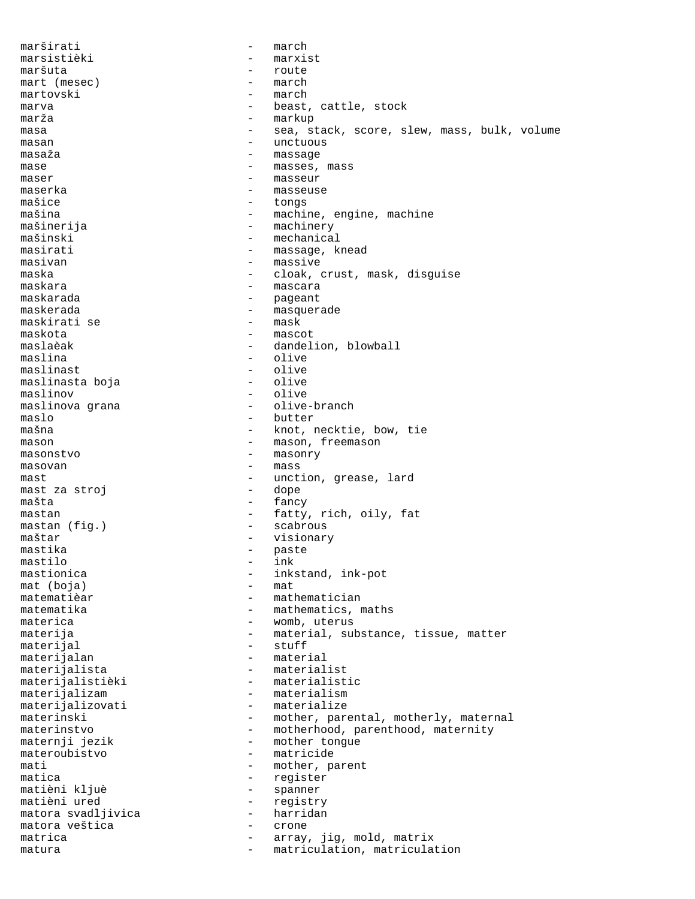marširati - march marsistièki - marxist maršuta - route mart (mesec) - marthemas martovski – march marva  $-$  beast, cattle, stock marža - markup masa e sea, stack, score, slew, mass, bulk, volume masan - unctuous masaža - massage - massage mase  $-$  masses, mass maser – masseur<br>maserka – masseur maserka - masseuse mašice - tongs mašina - machine, engine, machine mašinerija - machinery mašinski - mechanical masirati - massage, knead<br>masiyan - massage, knead masivan - massive<br>maska - cloak d maska - cloak, crust, mask, disguise maskara - mascara - mascara<br>maskarada - maskarada - mascara - pageant maskerada - masquerade - masquerade - maskirati se maskirati se maskota - mascot maslaèak - dandelion, blowball maslina - olive maslinast - olive maslinasta boja - olive maslinov - olive maslinova grana maslo - butter - knot, necktie, bow, tie mason - mason, freemason masonstvo - masonry masovan - mass mast<br>mast za stroj dope - unction, grease, lard<br>dope - dope mast za stroj mašta - fancy mastan - fatty, rich, oily, fat<br>mastan (fig.) - scabrous - scabrous maštar - visionary mastika - paste<br>mastilo - ink mastilo - ink<br>mastionica - ink - inkstand, ink-pot<br>- mat mat (boja)<br>matematièar - mathematician matematika - mathematics, maths materica  $-$  womb, uterus materija - material, substance, tissue, matter materijal - stuff materijalan - material materijalista - materialist materijalistièki - materialistic<br>materijalizam - materialism - materialism<br>- materialize materijalizovati materinski - mother, parental, motherly, maternal materinstvo - motherhood, parenthood, maternity<br>maternji jezik - mother tongue - mother tongue materoubistvo - matricide mati  $-$  mother, parent matica - register - spanner matièni ured - registry matora svadljivica - harridan matora veštica - crone matrica  $\qquad \qquad -$  array, jig, mold, matrix matura - matriculation, matriculation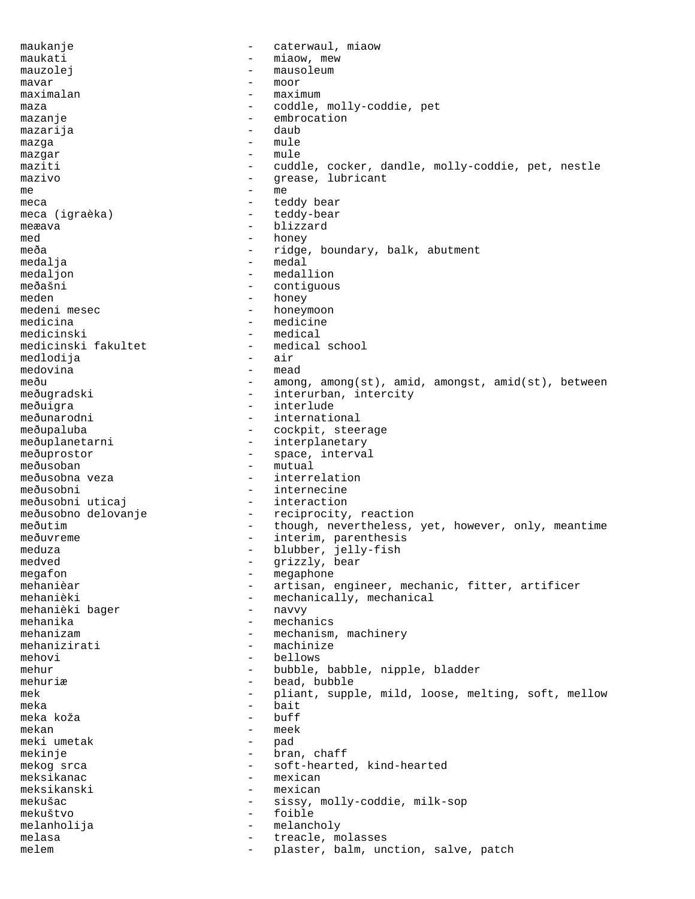maukanje  $-$  caterwaul, miaow maukati  $-$  miaow, mew mauzolej entre entre entre entre entre mausoleum mavar - moor maximalan - maximum maza - coddle, molly-coddie, pet mazanje - embrocation mazarija mazga - mule mazgar - mule maziti  $-$  cuddle, cocker, dandle, molly-coddie, pet, nestle mazivo  $-$  grease, lubricant  $m_{\text{e}}$  - me meca - teddy bear meca (igraèka) - teddy-bear meæava - blizzard med - honey meða - ridge, boundary, balk, abutment medalja - medal medaljon - medallion - medallion<br>meðašni - contiguou meðašni - contiguous<br>meden - contiguous<br>- honey meden - honey<br>medeni mesec - honey<br>- honey - honeymoon medicina - medicine<br>medicinski - medical - medical<br>- medical school medicinski fakultet - medical school is medical school of the medical school of the medical school of the medi medlodija - air medovina - mead meðu - among, among(st), amid, amongst, amid(st), between meðugradski - interurban, intercity meðuigra - interlude eðunarodni - interlude - internationale - internationale - internationale - international international meðupaluba - cockpit, steerage meðuplanetarni - interplanetary meðuprostor - space, interval meðusoban - mutual meðusobna veza - interrelation meðusobni - internecine meðusobni uticaj  $-$  interaction meðusobno delovanje - reciprocity, reaction meðutim  $-$  though, nevertheless, yet, however, only, meantime meðuvreme - interim, parenthesis<br>meduza - hlubber jelly-fish meduza - blubber, jelly-fish<br>medved - arizzly bear medved  $-$  grizzly, bear megafon - megaphone mehanièar  $-$  artisan, engineer, mechanic, fitter, artificer mehanièki - mechanically, mechanical<br>mehanièki baqer - navvy - navvy mehanièki bager mehanika - mechanics menanizam - mechanism, machinery mehanizirati - machinize mehovi - bellows mehur - bubble, babble, nipple, bladder mehuriæ  $\qquad \qquad -$  bead, bubble mek - pliant, supple, mild, loose, melting, soft, mellow<br>- hait meka - bait meka koža - buff mekan - meek meki umetak  $-$  pad mekinje - bran, chaff mekog srca - soft-hearted, kind-hearted meksikanac - mexican meksikanski - mexican mekušac - sissy, molly-coddie, milk-sop mekuštvo - foible melanholija - melancholy melasa  $\qquad \qquad -$  treacle, molasses melem - plaster, balm, unction, salve, patch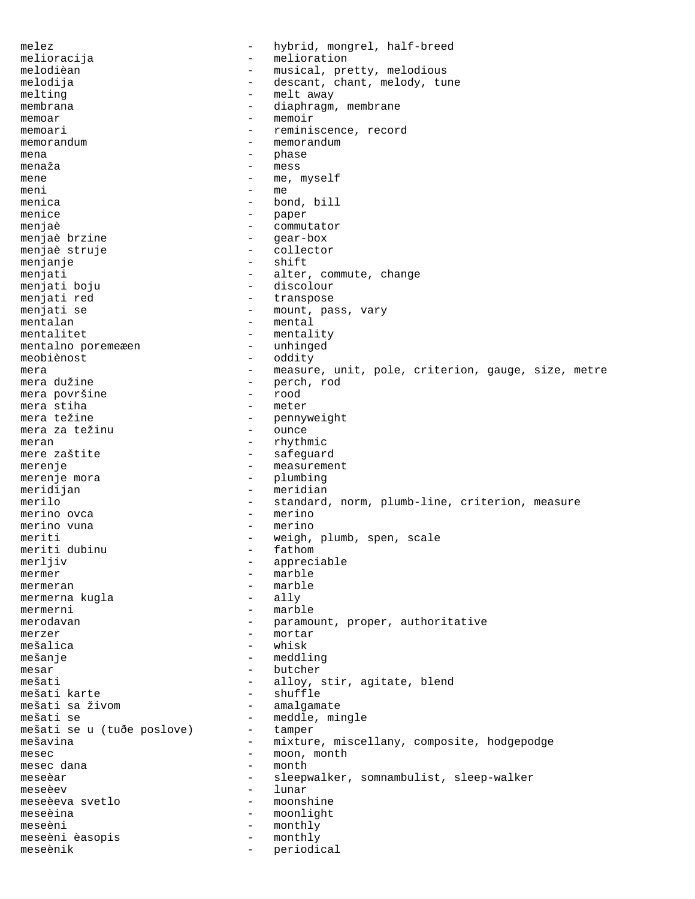melez - hybrid, mongrel, half-breed melioracija - melioration melodièan - musical, pretty, melodious melodija  $-$  descant, chant, melody, tune melting  $-$  melt away membrana - diaphragm, membrane - memoir memoar - memoir memoari  $-$  reminiscence, record memorandum - memorandum - memorandum mena - phase menaža - mess mene  $-$  me, myself  $m \geq n$  meni  $-m \geq m$ menica  $-$  bond, bill menice - paper<br>menjaè - communi menjaè di distribution de la commutator menjaè brzine  $-$  gear-box menjaè struje  $\qquad \qquad -$  collector menjanje - shift menjati - alter, commute, change<br>menjati boju - discolour - discolour menjati boju - discolour - transpose menjati se  $-$  mount, pass, vary mentalan - mental mentalitet - mentality mentalno poremeæen meobiènost - oddity mera e contracted the measure, unit, pole, criterion, gauge, size, metre mera dužine - perch, rod mera površine mera stiha  $-$  meter mera težine - pennyweight<br>mera za težinu - cunce mera za težinu  $-$  ounce meran - rhythmic<br>mere zaštite - safequar - safeguard merenje enter a measurement merenje mora - plumbing meridijan - meridian merilo  $-$  standard, norm, plumb-line, criterion, measure merino ovca - merino merino vuna - meriti - meriti meriti  $-$  weigh, plumb, spen, scale<br>meriti dubinu  $-$  fathom meriti dubinu merljiv - appreciable mermer - marble mermeran - marble<br>mermerna kuqla - ally mermerna kugla mermerni - marble merodavan - paramount, proper, authoritative merzer - mortar mešalica - whisk mešanje - meddling mesar - butcher mešati - alloy, stir, agitate, blend<br>mešati karte - - - - - - - shuffle - shuffle<br>- amalgamate mešati sa živom  $-$ <br>mešati se mešati se - meddle, mingle mešati se u (tuðe poslove) - tamper<br>mešavina - mixture - mixture, miscellany, composite, hodgepodge mesec dana moon = moon, month - month meseèar - sleepwalker, somnambulist, sleep-walker meseèev - lunar meseèeva svetlo - moonshine meseèina - moonlight meseèni - monthly meseèni èasopis - monthly meseènik - periodical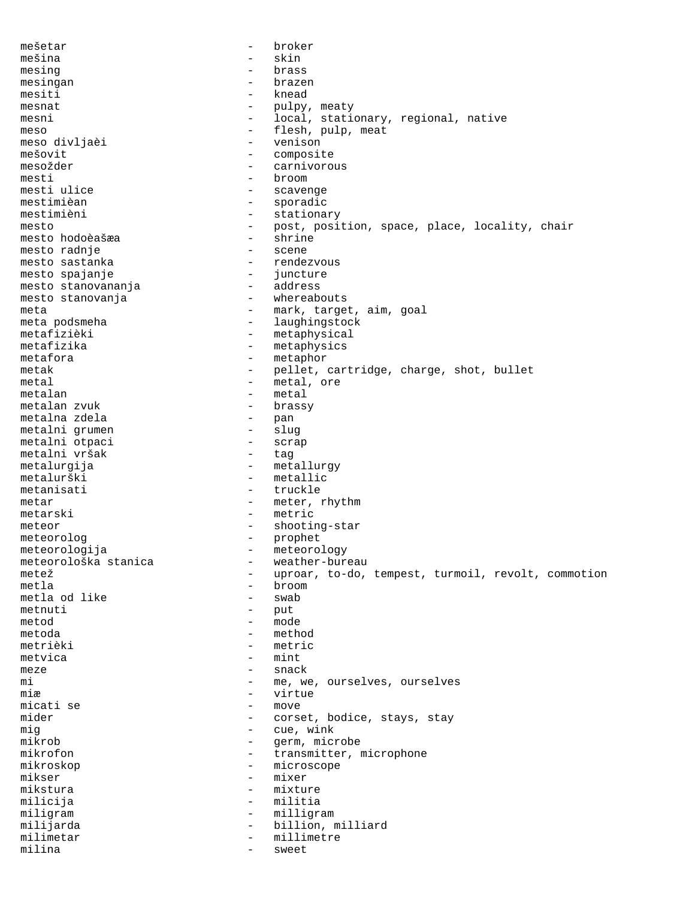mešetar - broker mešina - skin mesing  $-$  brass mesingan - brazen mesiti - knead mesnat - pulpy, meaty mesni - local, stationary, regional, native meso - flesh, pulp, meat meso divljaèi mešovit - composite mesožder  $-$  carnivorous mesti - broom - scavenge mestimièan - sporadic mestimièni - stationary mesto - post, position, space, place, locality, chair<br>mesto hodoèašæa - shrine mesto hodoèašæa - shrine mesto radnje - scene - rendezvous<br>- juncture mesto spajanje - juncture mesto stanovananja - address mesto stanovanja meta<br>meta podsmeha<br>- laughingstock<br>- laughingstock meta podsmeha  $-$  laughingstock metafizièki  $-$  metaphysical metafizièki - metaphysical<br>metafizika - metaphysics - metaphysics metafora - metaphor - metaphor<br>metak - pellet metak - pellet, cartridge, charge, shot, bullet metal  $-$  metal, ore metalan - metal<br>metalan zvuk - brassy metalan zvuk - brassis - brassis - brassis - brassis - brassis - brassis - brassis - brassis - brassis - brass metalna zdela - pan metalni grumen - slug<br>metalni otpaci - scrap metalni otpaci - scrap metalni vršak metalurgija - metallurgy metalurški - metallic metanisati - truckle metar - meter, rhythm metarski – metric<br>meteor – shootii meteor - shooting-star meteorolog - prophet meteorologija - meteorology meteorološka stanica - weather-bureau metež - uproar, to-do, tempest, turmoil, revolt, commotion<br>metla - broom - broom<br>- swab metla od like metnuti - put metod - mode metoda - method metrièki - metric metvica – mint<br>meze – snac meze - snack mi  $-$  me, we, ourselves, ourselves miæ - virtue micati se mider  $-$  corset, bodice, stays, stay mig<br>mikrob - cue, wink<br>- germ, micro - germ, microbe mikrofon - transmitter, microphone<br>mikroskop - microscope - microscope mikser - mixer mikstura - mixture milicija - militia miligram - milligram milijarda - billion, milliard milimetar - millimetre milina - sweet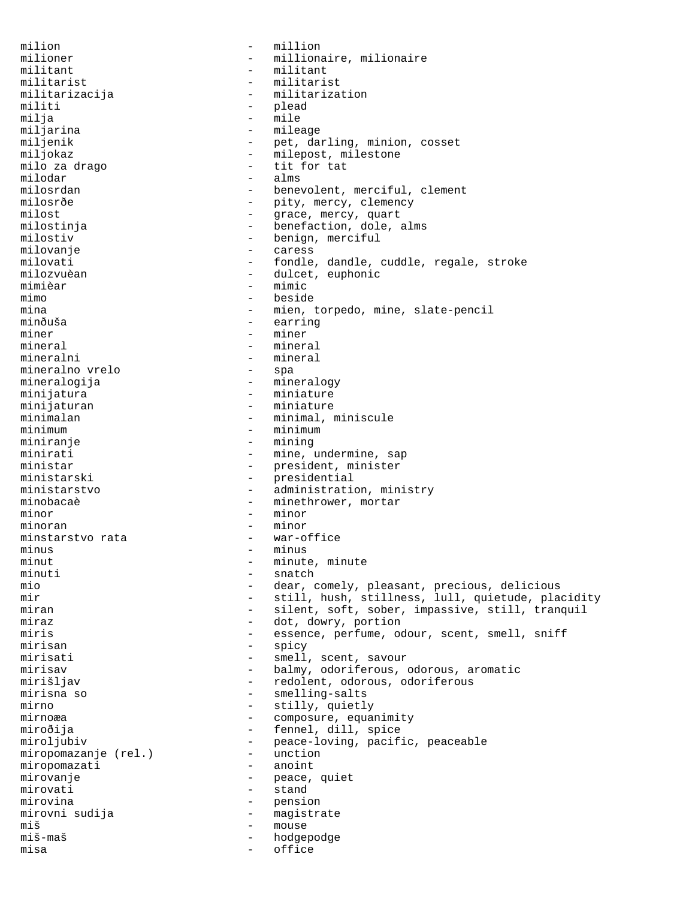milion  $-$  million milioner - millionaire, milionaire<br>militant - militant - militant militant - militant militarist - militarist militarizacija - militarization militi - plead<br>milja - mile - mile milja - mile miljarina - mileage miljenik - pet, darling, minion, cosset<br>
- milepost, milestone miljokaz - milepost, milestone - tit for tat<br>- alms milodar<br>milosrdan - benevolent, merciful, clement milosrðe - pity, mercy, clemency<br>milost - pity, mercy, clemency milost  $-$  grace, mercy, quart milostinja - benefaction, dole, alms milostiv - benign, merciful milovanje - caress milovati - fondle, dandle, cuddle, regale, stroke milozvuèan - dulcet, euphonic<br>mimièar - mimic mimièar – mimic<br>mimo – mimic - beside mina - mien, torpedo, mine, slate-pencil<br>minăuša - extring - extring - earring miner – miner<br>mineral – mineral – mineral mineral - mineral mineralni - mineral<br>mineralno vrelo - spa mineralno vrelo mineralogija - mineralogy minijatura - miniature - miniature - miniature - miniature - miniature - miniature - miniature - miniature - miniature - miniature - miniature - miniature - miniature - miniature - miniature - miniature - miniature - minia minijaturan - miniature minimalan - minimal, minimal, minimal, minimal, minimal, minimal, minimal, m minimalan - minimal, miniscule minimum - minimum - minimum - minimum - minimum - minimum - minimum - minimum minimum - minimum - minimum - minimum - minimum - minimum - minimum - minimum - minimum - minimum - minimum - - mining minirati - mine, undermine, sap<br>ministar - president minister - president, minister ministarski - presidential ministarstvo - administration, ministry minobacaè  $-$  minethrower, mortar minor - minor minoran - minor<br>minstarstvo rata - var-office minstarstvo rata minus - minus - minus - minut minut - minute, minute minuti - minute, minute minute minute - minute minute minute minute minute minute minute minuti - snatch<br>mio - dear. mio - dear, comely, pleasant, precious, delicious mir - still, hush, stillness, lull, quietude, placidity - silent, soft, sober, impassive, still, tranquil miraz - dot, dowry, portion<br>miris - essence perfume of miris  $-$  essence, perfume, odour, scent, smell, sniff mirisan - spicy mirisati - smell, scent, savour<br>mirisav - balmy, odoriferous, mirisav - balmy, odoriferous, odorous, aromatic mirišljav  $-$  redolent, odorous, odoriferous mirisna so  $\begin{array}{ccc} - & - \\ - & - \end{array}$  smelling-salts<br>mirno  $\begin{array}{ccc} - & - \\ - & - \end{array}$  stilly, quietly mirno - stilly, quietly<br>mirnoæa - composure, equal - composure, equanimity miroðija - fennel, dill, spice<br>miroljubiv - peace-loving, pacif - peace-loving, pacific, peaceable<br>- unction miropomazanje (rel.) - unction<br>miropomazati - anoint miropomazati mirovanje  $-$  peace, quiet mirovati - stand mirovina - pension mirovni sudija - magistrate miš - mouse hodgepodge misa - office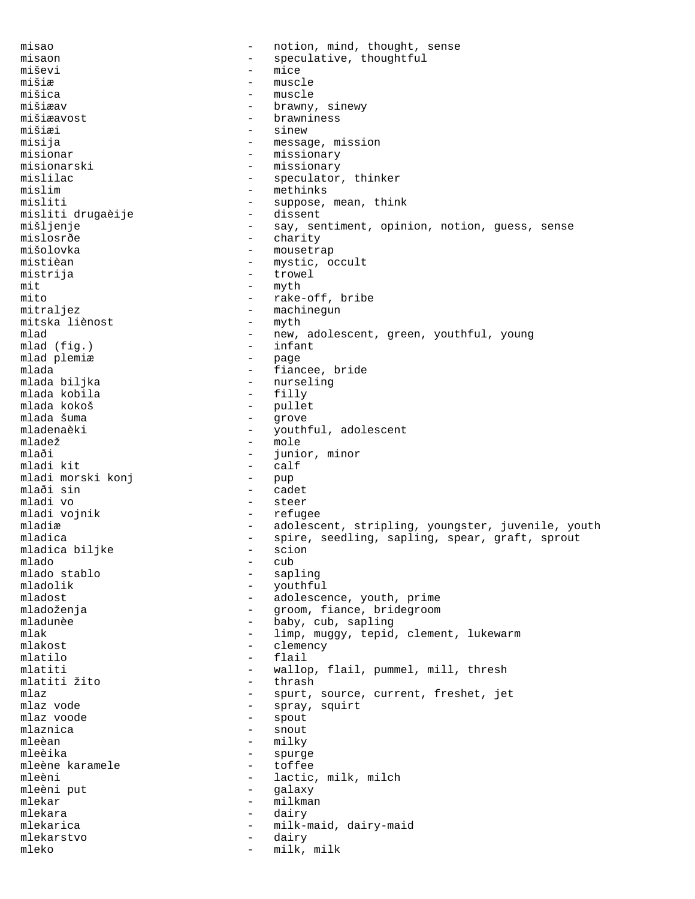misao  $-$  notion, mind, thought, sense misaon - speculative, thoughtful<br>miševi - mice miševi – mice – mice – mice – mice – mice – mice – mice – mice – mice – mice – mice – mice – mice – mice – mice mišiæ - muscle mišica - muscle mišiæav - brawny, sinewy<br>mišiæavost - brawniness mišiæavost - brawniness mišiæi - sinew - sinew - sinew - sinew - sinew - sinew - sinew - sinew - sinew - sinew - sinew - sinew - sinew<br>
- message - sinew - message - sinew - message - sinew - message - sinew - message - sinew - sinew - sinew - si - message, mission misionar - missionary misionarski - missionary mislilac - speculator, thinker mislim - methinks misliti - suppose, mean, think<br>misliti druqaèije - dissent - dissent misliti drugaèije mišljenje en moradom v say, sentiment, opinion, notion, guess, sense mislosrðe - charity<br>mišolovka - mousetra - mousetrap mistièan - mystic, occult<br>mistriia - mystic, occult mistrija - trowel mit  $-\text{myth}$ <br>mito  $-\text{rake}$ - rake-off, bribe mitraljez - machinegun<br>mitska liènost - myth - myth mitska liènost mlad - new, adolescent, green, youthful, young mlad (fig.) - infant mlad (fig.) - infan<br>mlad plemiæ mlad plemiæ mlada  $-$  fiancee, bride  $-$  fiancee, bride  $-$  murseling - nurseling<br>- filly mlada kobila<br>mlada kokoš - pullet<br>- grove mlada šuma - grove mladenaèki - youthful, adolescent<br>mladež - mole mladež – mole<br>mlaði – mole - junior, minor<br>- calf mladi kit - calf mladi morski konj<br>mlaði sin - cadet mladi vo - steer mladi vojnik  $-$  refugee mladiæ  $-$  adolescent, stripling, youngster, juvenile, youth mladica - spire, seedling, sapling, spear, graft, sprout<br>mladica bilike - scion<br>- scion mladica biljke - scion mlado<br>mlado stablo mlado stablo - sapling mladolik - youthful - youthful - youthful - youthful - youthful - youthful - youthful - youthful - adolesce - adolescence, youth, prime mladoženja - Groom, fiance, bridegroom mladunèe  $\begin{array}{ccc} \text{mladunèe} & - & \text{baby, cub, sampling} \\ \text{mlak} & - & \text{limp. muqav. tepid} \end{array}$ - limp, muggy, tepid, clement, lukewarm mlakost - clemency mlatilo - flail<br>mlatiti - wallow mlatiti - wallop, flail, pummel, mill, thresh mlatiti žito thrashmid mlaz  $-$  spurt, source, current, freshet, jet<br>  $-$  spray squirt mlaz vode  $\begin{array}{ccc} \texttt{m}\texttt{laz} & \texttt{v} & \texttt{v} & \texttt{v} & \texttt{v} \\ \texttt{m}\texttt{laz} & \texttt{v} & \texttt{v} & \texttt{v} & \texttt{v} \\ \end{array}$ - spout mlaznica - snout - milky<br>- spurg mleèika - spurge mleène karamele mleèni - lactic, milk, milch mleèni put  $-$  galaxy mlekar - milkman<br>mlekara - dairv mlekara - dairy mlekarica - milk-maid, dairy-maid mlekarstvo - dairy mleko - milk, milk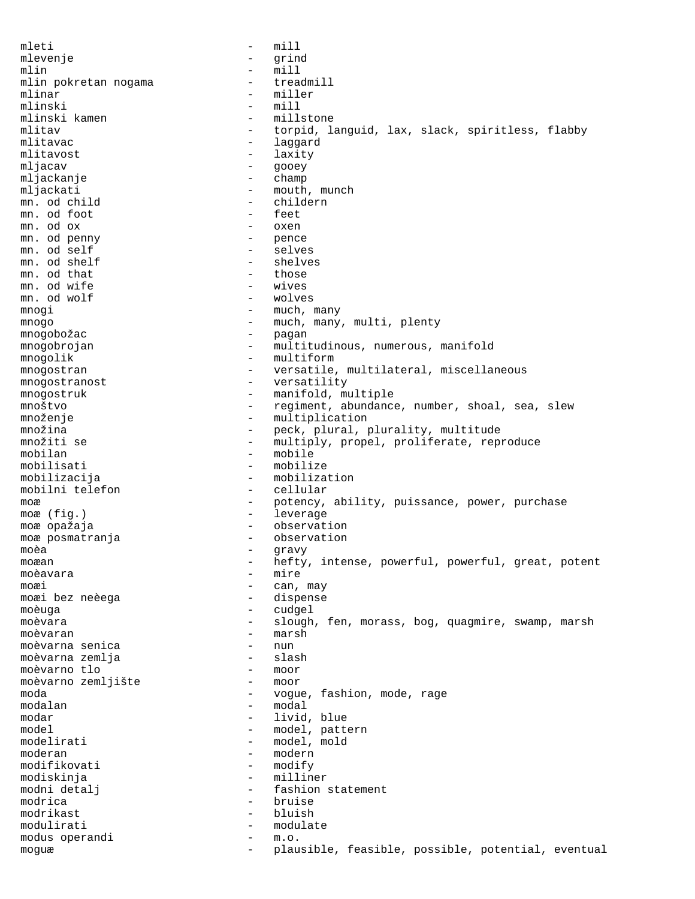mleti - mill mlevenje - grind mlin - mill mlin pokretan nogama and a material treadmill mlinar - miller<br>mlinski - mill mlinski<br>mlinski kamen mlinski kamen - millstone<br>mlitav - torpid, la mlitav - torpid, languid, lax, slack, spiritless, flabby<br>mlitavac - laggard - laggard mlitavost - laxity mljacav - gooey mljackanje - champ mljackati - mouth, munch mn. od child - childern mn. od foot - feet - feet - feet - feet - feet - feet - feet - feet - feet - feet - feet - feet - feet - feet - feet - feet - feet - feet - feet - feet - feet - feet - feet - feet - feet - feet - feet - feet - feet - feet mn. od ox - oxen<br>mn. od penny - pence mn. od penny - penny - pences of self per per pences of  $p$ mn. od self - selves mn. od shelf  $\overline{\phantom{0}}$  - shelves  $\overline{\phantom{0}}$  - shelves  $\overline{\phantom{0}}$  mn. od that  $-$  those mn. od wife  $-$  those  $-$  wives mn. od wife  $\begin{array}{ccc} & - & \text{wives} \\ \text{mn. od wolf} & & - & \text{wolves} \end{array}$ mn. od wolf mnoqi - much, many mnogo  $-$  much, many, multi, plenty mnogobožac - pagan mnogobrojan - multitudinous, numerous, manifold mnogolik - multiform mnogostran - versatile, multilateral, miscellaneous mnogostranost - versatility mnogostruk - manifold, multiple mnoštvo - regiment, abundance, number, shoal, sea, slew množenje - multiplication<br>množina - peck, plural, p množina - peck, plural, plurality, multitude - multiply, propel, proliferate, reproduce mobilan - mobile mobilisati - mobilize mobilizacija - mobilization<br>mobilni telefon - cellular mobilni telefon moæ end a stronger of the potency, ability, puissance, power, purchase moæ (fig.) - leverage moæ opažaja  $-$  observation moæ posmatranja  $\qquad \qquad$ - observation moèa - gravy moæan - hefty, intense, powerful, powerful, great, potent<br>moèavara - mire moèavara - mire moæi - can, may moæi bez neèega moèuga - cudgel moèvara - slough, fen, morass, bog, quagmire, swamp, marsh moèvaran - marsh moèvarna senica moèvarna zemlja - slash moèvarno tlo - moor moèvarno zemljište moda - vogue, fashion, mode, rage  $-$  modal modar - livid, blue model<br>modelirati - model, pattern<br>- model, mold - model, mold moderan - modern<br>modifikovati - modify - modify modifikovati modiskinja - milliner modni detalj  $-$  fashion statement modrica - bruise modrikast - blues - blues - blues - blues - blues - blues - blues - blues - blues - blues - blues - blues - blues - blues - blues - blues - blues - blues - blues - blues - blues - blues - blues - blues - blues - blues - bl modulirati - modulate modus operandi - m.o. moguæ - plausible, feasible, possible, potential, eventual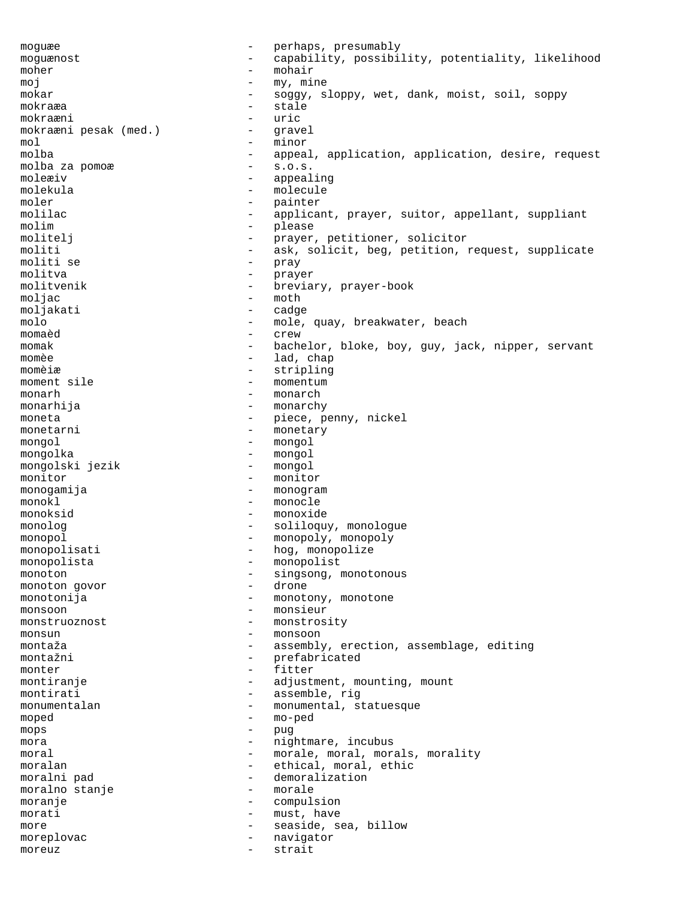moguæe - perhaps, presumably moguænost - capability, possibility, potentiality, likelihood<br>moher - mohair moher - mohair moj - my, mine mokar - soggy, sloppy, wet, dank, moist, soil, soppy<br>
- stale<br>
- stale mokraæa - stale<br>mokraæni - stale mokraæni - uric mokraæni pesak (med.) - gravel mol - minor<br>molba - appea - appeal, application, application, desire, request<br>- s.o.s. molba za pomoæ moleæiv - appealing molekula - molecule moler - painter molilac - applicant, prayer, suitor, appellant, suppliant molim - please molitelj - prayer, petitioner, solicitor moliti - ask, solicit, beg, petition, request, supplicate<br>moliti se annoy - pray moliti se - pray molitva - prayer molitvenik - breviary, prayer-book<br>moljac - moth - moth<br>- cadge moljakati molo - mole, quay, breakwater, beach<br>momand - crew momaèd - crew momak - bachelor, bloke, boy, guy, jack, nipper, servant momèe  $-$  lad, chap momèiæ - stripling<br>moment sile - momentum moment sile - moment sile monarh - monarch - monarch - monarch - monarch - monarch - monarch - monarch - monarch - monarch - monarch - monarch - monarch - monarch - monarch - monarch - monarch - monarch - monarch - monarch - monarch - monarch - mon monarhija - monarchy moneta - piece, penny, nickel monetarni - monetary mongol - mongol mongolka - mongol mongolski jezik monitor  $-$  monitor monogamija - monogram monokl - monocle monoksid - monoxide monolog  $\qquad \qquad \qquad -$  soliloquy, monologue monopol - monopoly, monopoly<br>monopolisati - hog monopolize monopolisati - hog, monopolize<br>monopolista - monopolista monopolista<br>monoton - monopolist<br>- singsong. monoton - singsong, monotonous monoton qovor - drone - drone monoton govor monotonija - monotony, monotone monsoon - monsieur<br>monstruoznost - monstros. - monstrosity monsun - monsoon montaža - assembly, erection, assemblage, editing montažni - prefabricated<br>monter - fitter monter - fitter - adjustment, mounting, mount<br>- assemble, rig montirati - assemble, rig<br>monumentalan - monumental si monumentalan - monumental, statuesque<br>moned - moned moped - mo-ped mops - pug mora  $-$  nightmare, incubus moral - morale, moral, morals, morality<br>moralan - ethical moral ethic moralan - ethical, moral, ethic moralni pad<br>moralno stanie demoralno stanie demoralno stanie moralno stanje en energia en en en morale moranje - compulsion morati - must, have more  $\qquad \qquad$  - seaside, sea, billow moreplovac - navigator moreuz - strait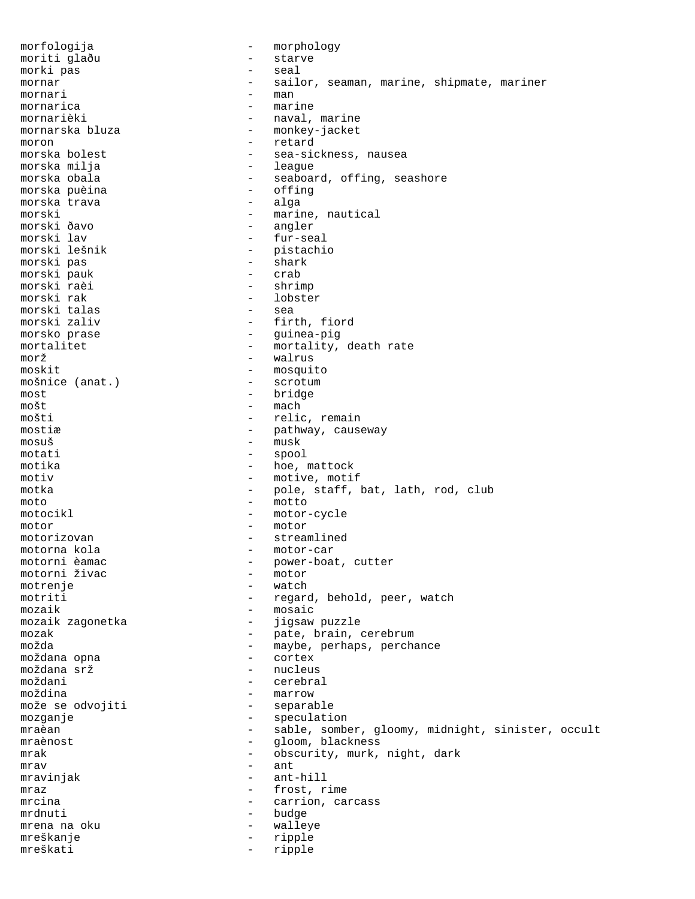morfologija - morphology moriti glaðu - starve morki pas - seal mornar - sailor, seaman, marine, shipmate, mariner mornari - manus - manus - manus - manus - manus - manus - manus - manus - manus - manus - manus - manus - manus - manus - manus - manus - manus - manus - manus - manus - manus - manus - manus - manus - manus - manus - manu mornarica - marine mornarièki - naval, marine<br>mornarska bluza - - monkey-jacket - monkey-jacket moron - retard<br>morska bolest - sea-sic - sea-sickness, nausea<br>- leaque morska milja<br>morska obala - seaboard, offing, seashore<br>- offing morska puèina - offing morska trava morski - marine, nautical morski ðavo - angler morski lav - fur-seal - pistachio<br>- shark morski pas - shark morski pauk - crab morski raèi<br>morski rak - lobster<br>- sea morski talas<br>morski zaliv - firth, fiord morsko prase  $-$  guinea-pig mortalitet - mortality, death rate morž - walrus moskit - mosquito mošnice (anat.) - scrotum<br>most - bridge most - bridge mošt<br>mošti - mach<br>- relig - relic, remain mostiæ  $-$  pathway, causeway mosuš - musk motati - spool motika  $-$  hoe, mattock motiv  $-$  motive, motif motka - pole, staff, bat, lath, rod, club moto - motto motocikl - motor-cycle motor - motor motorizovan - streamlined motorna kola - motor-car - power-boat, cutter<br>- motor motorni živac motrenje - watch motriti - regard, behold, peer, watch<br>mozaik - mosaic mozaik - mosaic - jigsaw puzzle mozak  $-$  pate, brain, cerebrum možda - maybe, perhaps, perchance moždana opna moždana srž<br>moždani - nucleus<br>- cerebra cerebral moždina - marrow može se odvojiti mozganje - speculation mraèan  $-$  sable, somber, gloomy, midnight, sinister, occult mraènost <br/> - gloom, blackness mrak  $-$  obscurity, murk, night, dark  $m$ rav  $-$  ant mravinjak - ant-hill mraz  $-$  frost, rime mrcina - carrion, carcass<br>mrdnuti - carrion, carcass mrdnuti - budge mrena na oku  $-$  walleye mreškanje - ripple mreškati - ripple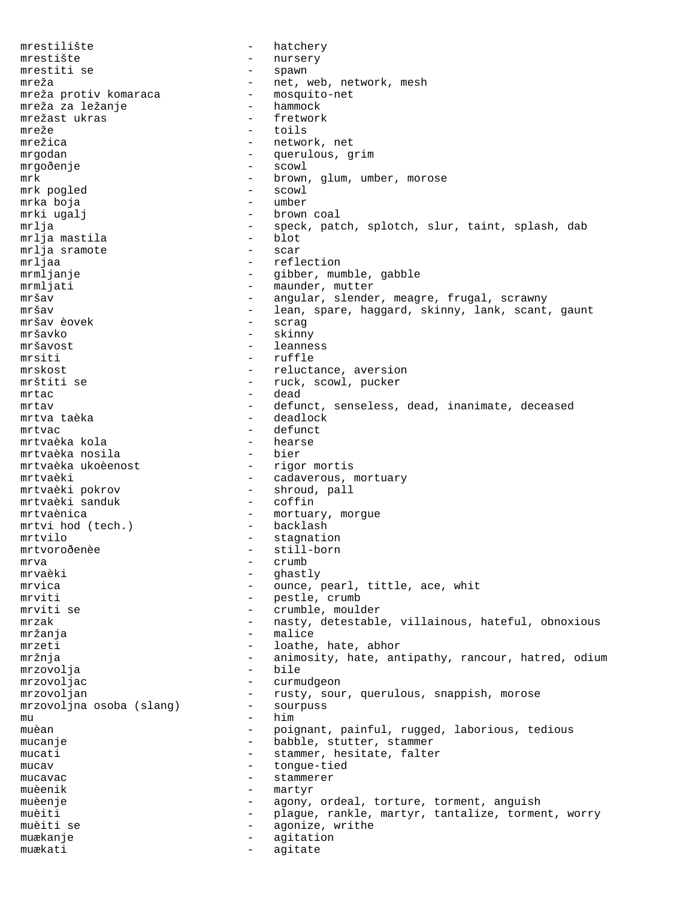mrestilište - hatchery mrestište - nursery<br>mrestiti se - spawn mrestiti se  $-$  spawn mreža  $-$ net, web, network, mesh mreža protiv komaraca  $-$ mosquito-net mreža protiv komaraca mosquitomreža za ležanje hammock mreža za ležanje hammock<br>mrežast ukras fretwork mrežast ukras<br>mreže mreže - toils - network, net mrgodan - querulous, grim mrgoðenje - scowl mrk  $m$ nded and the scowl brown, glum, umber, morose mrk  $m$ orose scowl and the scowl scowl brown  $m$ mrk pogled mrka boja - umber mrki ugalj  $\qquad \qquad$  - brown coal mrlja - speck, patch, splotch, slur, taint, splash, dab<br>mrlia mastila - blot mrlja mastila mrlja sramote - scar mrljaa - reflection - reflection - reflection - reflection - reflection - reflection - reflection - reflection mrmljanje - gibber, mumble, gabble mrmljati - maunder, mutter<br>mršav - angular, slende - angular, slender, meagre, frugal, scrawny mršav - lean, spare, haggard, skinny, lank, scant, gaunt mršav èovek - scrag mršavko - skinny leanness mrsiti - ruffle mrskost - reluctance, aversion mrštiti se  $-$  ruck, scowl, pucker  $\begin{array}{cccc} \text{mrtac} & \hspace{1.5cm} & \hspace{1.5cm} & \hspace{1.5cm} & \hspace{1.5cm} & \hspace{1.5cm} & \hspace{1.5cm} & \hspace{1.5cm} & \hspace{1.5cm} & \hspace{1.5cm} & \hspace{1.5cm} & \hspace{1.5cm} & \hspace{1.5cm} & \hspace{1.5cm} & \hspace{1.5cm} & \hspace{1.5cm} & \hspace{1.5cm} & \hspace{1.5cm} & \hspace{1.5cm} & \hspace{1.5cm} & \hspace{1.5cm} & \hspace{1$ mrtav end and the defunct, senseless, dead, inanimate, deceased mrtva taèka  $\overline{\phantom{a}}$  - deadlock mrtvac - defunct mrtvaèka kola - hearse mrtvaèka nosila - bier mrtvaèka ukoèenost mrtvaèki - cadaverous, mortuary mrtvaèki pokrov - shroud, pall mrtvaèki sanduk mrtvaènica - mortuary, morgue mrtvi hod (tech.) mrtvilo  $-$  stagnation mrtvoroðenèe - still-born mrva - crumb - crumb - crumb - crumb - crumb - crumb - crumb - crumb - crumb - crumb - crumb - crumb - crumb mrvaèki - ghastly<br>mrvica - ghastly - ghastly mrvica  $-$  ounce, pearl, tittle, ace, whit mrviti - pestle, crumb mrviti se  $-$  crumble, moulder mrzak - nasty, detestable, villainous, hateful, obnoxious mržanja - malice mrzeti - loathe, hate, abhor mržnja - animosity, hate, antipathy, rancour, hatred, odium mrzovolja mrzovoljac - curmudgeon mrzovoljan - rusty, sour, querulous, snappish, morose mrzovoljna osoba (slang) - sourpuss mu - him muèan - poignant, painful, rugged, laborious, tedious mucanje  $\qquad \qquad \qquad -$  babble, stutter, stammer mucati - stammer, hesitate, falter mucav - tongue-tied mucavac - stammerer<br>muganik - martyr muèenik - martyr muèenje - agony, ordeal, torture, torment, anguish muèiti  $-$  plague, rankle, martyr, tantalize, torment, worry muèiti se  $-$  agonize, writhe muækanje en agitation muækati - agitate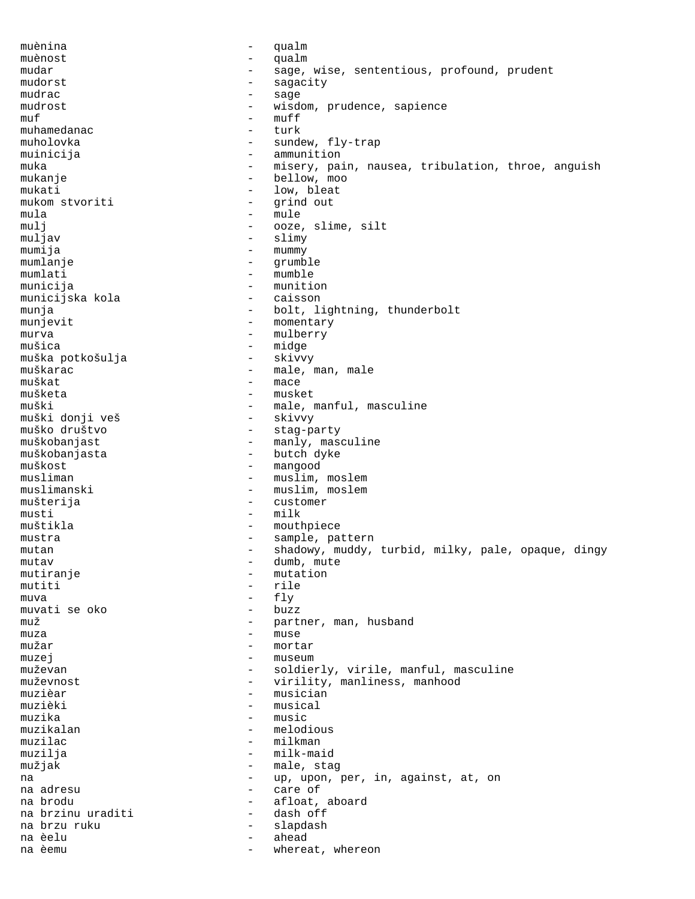muènina - qualm muènost - qualm mudar - sage, wise, sententious, profound, prudent mudorst - sagacity mudrac - sage mudrost - wisdom, prudence, sapience<br>
- wisdom, prudence, sapience  $\begin{array}{ccc}\nmuf & - & muff \\
\nonumber\n\end{array}$ muhamedanac - turk - sundew, fly-trap muinicija - ammunition muka - misery, pain, nausea, tribulation, throe, anguish<br>mukanie - bellow, moo - bellow, moo mukati  $-$  low, bleat mukom stvoriti - grind out mula - mule mulj - ooze, slime, silt<br>muljav - slimy - slimy - slimy mumija - mummy mumlanje - mummy - mummy - mummy - mummy - mummy - mummy - mummy - mummy - mummy - mummy - mummy - mummy - mummy - mummy - mummy - mummy - mummy - mummy - mummy - mummy - mummy - mummy - mummy - mummy - mumm mumlanje - grumble mumlati - mumble<br>municija - mumiti - munition<br>- caisson municijska kola munja  $-$  bolt, lightning, thunderbolt munjevit - momentary murva - mulberry - midge<br>- skivvy muška potkošulja muškarac <br/> e male, man, male muškat - mace mušketa - musket - male, manful, masculine<br>- skivvy muški donji veš<br>muško društvo muško društvo - stag-party - manly, masculine muškobanjasta - butch dyke muškost – mangood<br>musliman – muslim musliman - muslim, moslem<br>muslimanski - muslim, moslem - muslim, moslem mušterija - customer musti - milk muštikla - mouthpiece mustra  $-$  sample, pattern mutan  $-$  shadowy, muddy, turbid, milky, pale, opaque, dingy mutav - dumb, mute mutiranje - mutation mutiti - rile muva - fly muvati se oko muž  $-$  partner, man, husband muza - muse mužar - mortar muzej – museum muževan - soldierly, virile, manful, masculine<br>muževnost - virility, manliness, manhood muževnost - virility, manliness, manhood<br>muzièar - musician muzièar - musician - musical<br>- music muzika - music muzikalan - melodious - milkman muzilja - milk-maid mužjak - male, stag na e contract the contract of the up, upon, per, in, against, at, on na adresu  $-$  care of na brodu - afloat, aboard na brzinu uraditi na brzu ruku - slapdash na èelu - ahead - whereat, whereon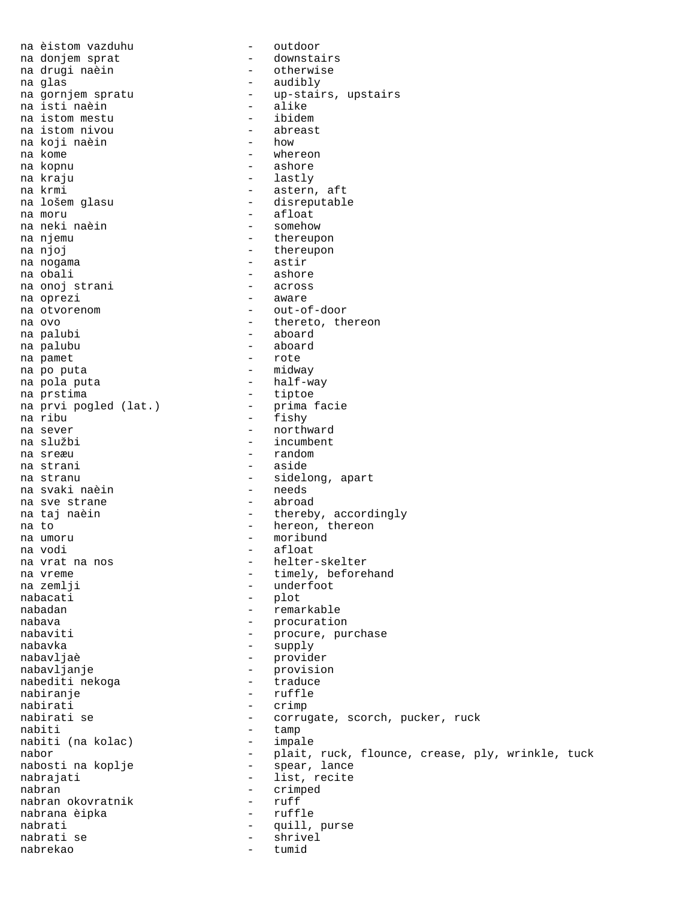na èistom vazduhu - outdoor na donjem sprat<br>na drugi naèin - otherwise<br>- audibly na glas - audibly na gornjem spratu - up-stairs, upstairs na isti naèin - alike na istom mestu - ibidem na istom nivou - abreast na koji naèin<br>na kome na kome - whereon - ashore na kraju - lastly - astern, aft na lošem glasu  $-$  disreputable na moru - afloat<br>na neki naèin - somehow - somehow na neki naèin na njemu  $-$  thereupon na njoj - thereupon na nogama - astir - ashore<br>- across na onoj strani - across na oprezi na otvorenom  $-$  out-of-door na ovo - thereto, thereon - aboard<br>- aboard na palubu na pamet  $-$  rote na po puta  $-$  midway na pola puta  $-$  half-way na prstima  $-$  tiptoe na prvi pogled (lat.)<br>na ribu na prvi pogled (lat.) - prima facie<br>
na ribu - fishy<br>
na sever - northward na sever - northward - incumbent na sreæu - random na strani  $-$  aside na stranu - sidelong, apart na svaki naèin - needs na sve strane na taj naèin  $-$  thereby, accordingly na to - hereon, thereon - moribund na vodi - afloat na vrat na nos - helter-skelter na vreme  $\begin{array}{ccc} 1 & - & \text{timely, beforehand} \\ 1 & - & \text{underfoot} \end{array}$ na zemlji - underfoot - plot nabadan - remarkable nabava - procuration nabaviti - procure, purchase nabavka - supply nabavljaè - provider nabavljanje - provision nabediti nekoga nabiranje – ruffle<br>nabirati – ruffle nabirati - crimp<br>nabirati se - corru nabirati se  $\begin{array}{ccc}\n-\text{corrugate,} & \text{score}, \text{pucker}, \text{ruck}\n\end{array}$ - tamp<br>- impale nabiti (na kolac) nabor - plait, ruck, flounce, crease, ply, wrinkle, tuck<br>nabosti na koplje - spear, lance - spear, lance nabrajati - list, recite<br>nabran - list, recite<br>- crimped - crimped<br>- ruff nabran okovratnik - ruff nabrana èipka nabrati - quill, purse - shrivel<br>- tumid nabrekao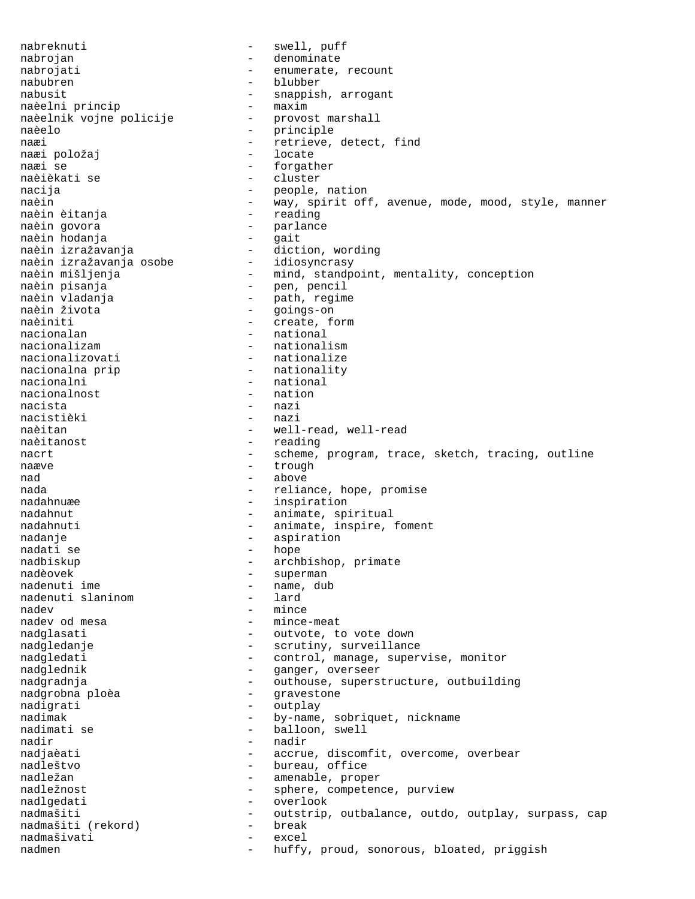nabreknuti - swell, puff nabrojan - denominate nabrojati  $-$  enumerate, recount nabubren - blubber nabusit<br>
naèelni princip<br>
maxim - maxim<br>
- maxim naèelni princip<br>naèelnik vojne policije provost marshall naèelnik vojne policije naèelo - principle naæi 1992 - naæi 1992 - netrieve, detect, find<br>naæi položai 1992 - locate naæi položaj<br>naæi se naæi se - forgather - cluster nacija - people, nation naèin - way, spirit off, avenue, mode, mood, style, manner naèin èitanja - reading naèin govora<br>naèin hodania - extreme - quit naèin hodanja<br>naèin izražavanja - - - - - - diction, wording naèin izražavanja naëin izražavanja<br>naèin izražavanja osobe<br>naèin mišljenja naèin mišljenja - mind, standpoint, mentality, conception naèin pisanja - pen, pencil naèin vladanja - path, regime - goings-on naèiniti - create, form<br>nacionalan - create, form nacionalan - national<br>nacionalizam - national nacionalizam - nationalism nacionalizovati - nationalize nacionalna prip  $-$  nationality nacionalni - national<br>nacionalnost - nation nacionalnost nacista - nazi<br>nacistièki - nazi nacistièki<br>naèitan naèitan - well-read, well-read<br>naèitanost - reading - reading nacrt end a scheme, program, trace, sketch, tracing, outline naæve en andere andere trough nad - above nada - reliance, hope, promise nadahnuæe - inspiration nadahnut - animate, spiritual nadahnuti - animate, inspire, foment nadanje - aspiration - hope nadbiskup - archbishop, primate<br>
nadèovek - superman<br>
- superman nadèovek - superman - name, dub<br>- lard nadenuti slaninom nadev<br>
nadev od mesa<br>
- mince - mince-meat nadglasati  $-$  outvote, to vote down nadgledanje - scrutiny, surveillance nadgledati - control, manage, supervise, monitor nadglednik - ganger, overseer nadgradnja - outhouse, superstructure, outbuilding nadgrobna ploèa - gravestone<br>nadigrati - quiplay nadigrati - outplay<br>nadimak - by-name nadimak - by-name, sobriquet, nickname<br>
nadimati se - balloon, swell - balloon, swell nadir - nadir - nadir nadjaèati - accrue, discomfit, overcome, overbear nadleštvo - bureau, office - amenable, proper nadležnost  $-$  sphere, competence, purview nadlgedati - overlook<br>nadmašiti - outstrip nadmašiti (rekord) - outstrip, outbalance, outdo, outplay, surpass, cap<br>nadmašiti (rekord) - break nadmašiti (rekord) nadmašivati - excel<br>nadmen - huffv huffy, proud, sonorous, bloated, priggish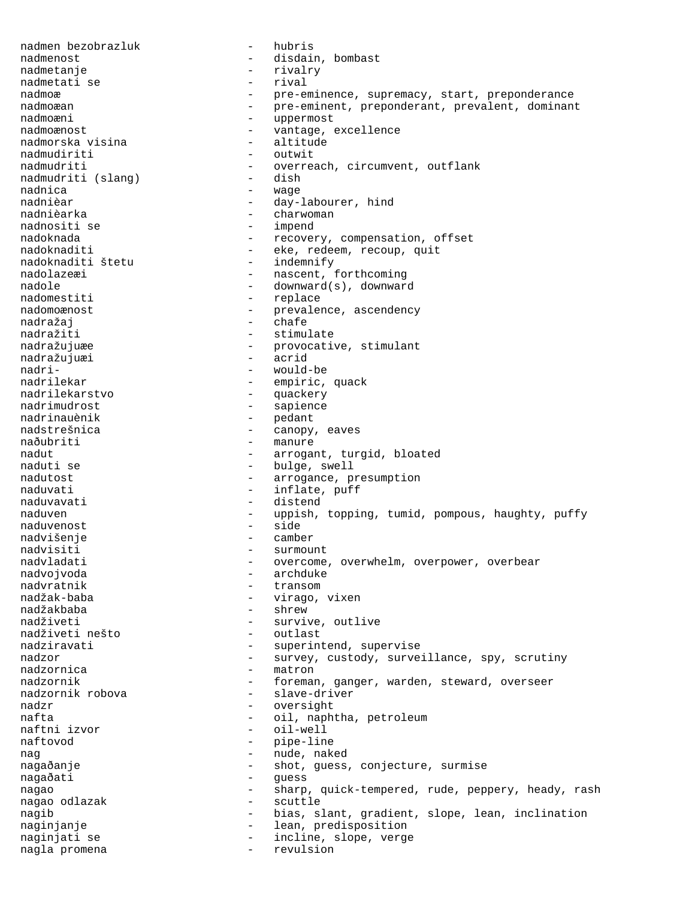nadmen bezobrazluk - hubris nadmenost - disdain, bombast nadmetanje – rivalry nadmetati se – rivalry – rivalry – rivalry – rivalry – rival nadmetati se nadmoæ - pre-eminence, supremacy, start, preponderance<br>
- pre-eminent, preponderant, prevalent, dominant nadmoæan - pre-eminent, preponderant, prevalent, dominant<br>nadmoæni - uppermost nadmoæni - uppermost - vantage, excellence<br>- altitude nadmorska visina<br>nadmudiriti - outwit nadmudriti  $-$  overreach, circumvent, outflank<br>nadmudriti (slang)  $-$  dish nadmudriti (slang) nadnica - wage nadnièar <br/> e day-labourer, hind<br/>  $\,$ nadnièarka - charwoman nadnositi se  $-$  impend nadoknada - recovery, compensation, offset<br>
nadoknaditi - eke, redeem, recoup, quit - eke, redeem, recoup, quit<br>- indemnify nadoknaditi štetu<br>nadolazeæi nadolazeæi - nascent, forthcoming<br>nadole - downward(s) downward nadole - downward(s), downward<br>
nadomestiti - replace - replace nadomoænost <br/> - prevalence, ascendency nadražaj - chafe nadražiti - stimulate nadražujuæe - provocative, stimulant<br>nadražujuæi - - acrid nadražujuæi nadri- - would-be nadrilekar - empiric, quack nadrilekarstvo - quackery nadrimudrost - sapience nadrinauènik - pedant nadstrešnica - canopy, eaves<br>naðubriti - manure - manure nadut - arrogant, turgid, bloated - bulge, swell nadutost - arrogance, presumption naduvati - inflate, puff naduvavati - distend naduven - uppish, topping, tumid, pompous, haughty, puffy<br>naduvenost - side<br>- side naduvenost nadvišenje - camber nadvisiti - surmount nadvladati entitledini v roman - overcome, overwhelm, overpower, overbear nadvojvoda - archduke nadvratnik - transom - virago, vixen nadžakbaba - shrew - survive, outlive<br>- outlast nadživeti nešto nadziravati - superintend, supervise nadzor - survey, custody, surveillance, spy, scrutiny nadzornica - matron nadzornik - foreman, ganger, warden, steward, overseer<br>nadzornik robova - slave-driver - slave-driver<br>- oversight nadzr - oversight nafta - oil, naphtha, petroleum naftni izvor - oil-well - pipe-line nag 1988 – nude, naked nagaðanje - shot, guess, conjecture, surmise nagaðati - guess nagao  $-$  sharp, quick-tempered, rude, peppery, heady, rash nagao odlazak  $-$  scuttle nagib  $-$  bias, slant, gradient, slope, lean, inclination naginjanje  $-$  lean, predisposition naginjati se  $-$  incline, slope, verge nagla promena  $-$  revulsion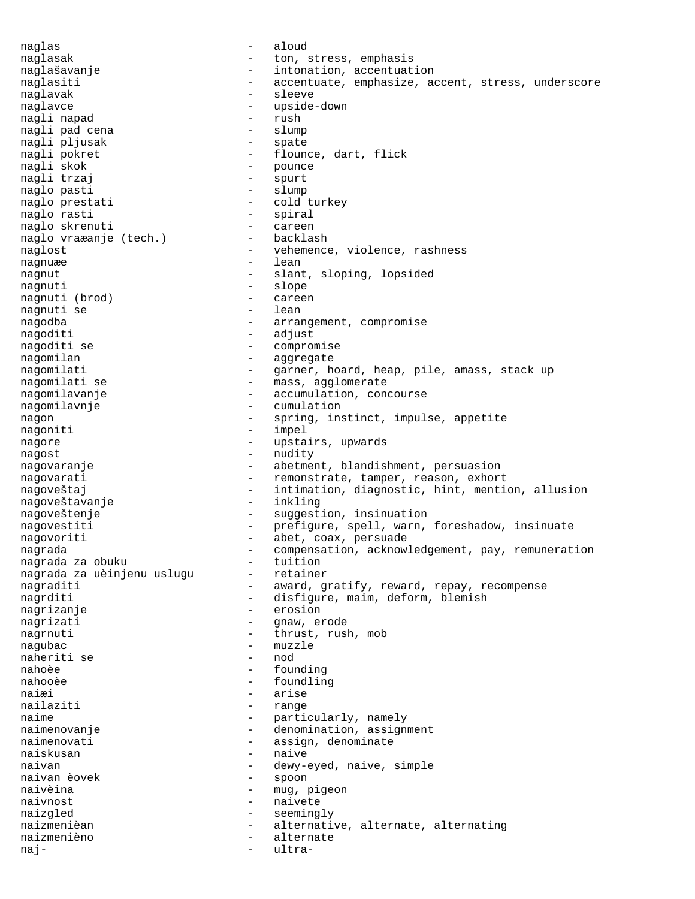naglas - aloud naglasak  $-$  ton, stress, emphasis naglašavanje - intonation, accentuation naglasiti - accentuate, emphasize, accent, stress, underscore naglavak - sleeve naglavce - upside-down nagli napad - rush nagli pad cena - slump nagli pljusak<br>nagli pokret nagli pokret  $-$  flounce, dart, flick<br>nagli skok  $-$  pounce nagli skok - pounce - spurt naglo pasti  $-$  slump naglo prestati - cold turkey naglo rasti<br>
naglo skrenuti - spiral<br>
- careen naglo skrenuti - careen naglo vraæanje (tech.) -<br>naglost naglost  $-$  vehemence, violence, rashness nagnuæe en andere af den andere af den andere af den andere af den andere af den andere af den andere af den a nagnut - slant, sloping, lopsided nagnuti - slope<br>nagnuti (brod) - careen nagnuti (brod) - careen - careen - careen - careen - careen - careen - careen - careen - careen - careen - care nagnuti se nagodba - arrangement, compromise nagoditi - adjust - adjust nagoditi - adjust - compromise nagomilan - aggregate nagomilati  $-$  garner, hoard, heap, pile, amass, stack up nagomilati se  $-$  mass, agglomerate nagomilavanje - - accumulation, concourse nagomilavnje - cumulation<br>nagon - spring, ins - spring, instinct, impulse, appetite nagoniti - impel nagore  $-$  upstairs, upwards nagost - nudity nagovaranje e strategie - abetment, blandishment, persuasion nagovarati - remonstrate, tamper, reason, exhort<br>nagoveštaj - intimation, diagnostic, hint, mention - intimation, diagnostic, hint, mention, allusion<br>- inkling nagoveštavanje nagoveštenje - suggestion, insinuation nagovestiti - prefigure, spell, warn, foreshadow, insinuate nagovoriti - abet, coax, persuade nagrada - compensation, acknowledgement, pay, remuneration<br>nagrada za obuku - tuition nagrada za obuku - tuition<br>nagrada za uèinjenu uslugu - retainer nagrada za uèinjenu uslugu nagraditi  $-$  award, gratify, reward, repay, recompense nagrditi - disfigure, maim, deform, blemish nagrizanje - erosion nagrizati - gnaw, erode nagrnuti - thrust, rush, mob nagubac - muzzle<br>naheriti se - mod - mod naheriti se nahoèe - founding nahooèe - foundling naiæi - arise nailaziti naime  $-$  particularly, namely naimenovanje - denomination, assignment<br>
naimenovati - assign, denominate - assign, denominate naiskusan en maive naivan - dewy-eyed, naive, simple<br>
naivan èovek - spoon<br>
- spoon - spoon naivèina - mug, pigeon naivnost - naivete naizgled - seemingly naizmenièan - alternative, alternate, alternating naizmenièno - alternate naj- - ultra-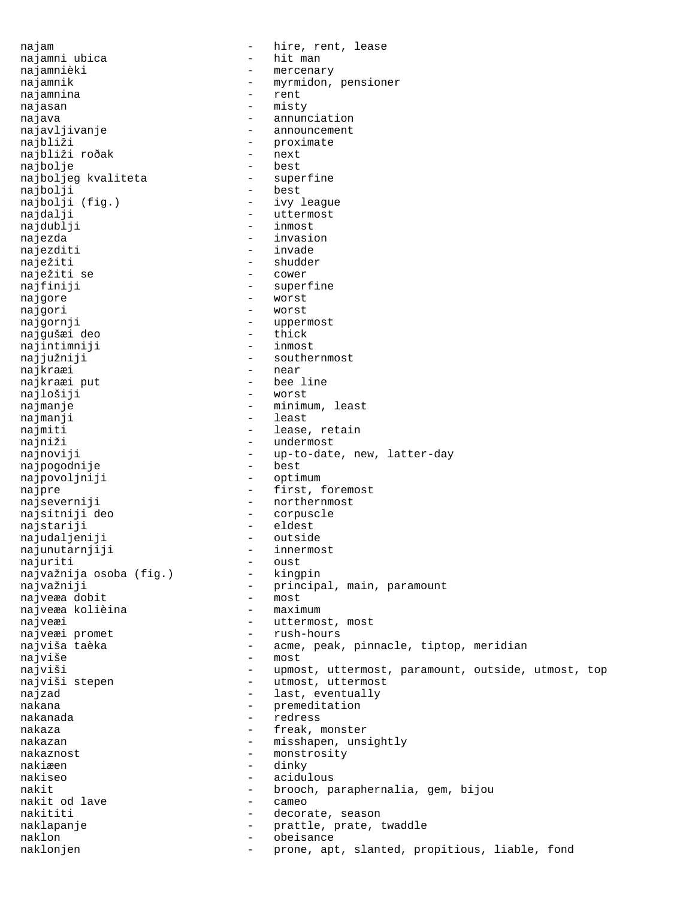najam - hire, rent, lease<br>najamni ubica - hit man - hit man najamni ubica najamnièki  $-$  mercenary najamnik - myrmidon, pensioner najamnina najasan - misty najava - annunciation - annunciation - annunciation - annunciation - annunciation - annunciation - annunciation - announcement najbliži - proximate<br>najbliži ročak - next - next najbliži roðak - next<br>najbolje - next najbolje - best najboljeg kvaliteta - superfine najbolji najbolji (fig.) - ivy league najdalji - uttermost najdublji - inmost najezda - invasion - invasion najezditi - invade naježiti - shudder - shudder - shudder - shudder - shudder - shudder - shudder - shudder - shudder - shudder naježiti se najfiniji - superfine najgore - worst najgori - worst<br>najgornji - worst - worst - uppermost<br>- thick najgušæi deo - thick najintimniji najjužniji - southernmost najkraæi - near najkraæi put  $-$  bee line najlošiji - worst najmanje - minimum, least najmanji - least najmiti - lease, retain najniži - undermost najnoviji - up-to-date, new, latter-day<br>najnogodnije - best - best najpogodnije - best najpovoljniji najpre  $-$  first, foremost najseverniji - northernmost najsitniji deo - corpuscle najstariji - eldest<br>najudaljeniji - eldest najudaljeniji - outside<br>najunutarniiji - - innermost najunutarnjiji - inner<br>najuriti - oust najuriti<br>naivažnija osoba (fig.) - kingpin najvažnija osoba (fig.) najvažniji - principal, main, paramount<br>najveza dobit - most<br>- most najveæa dobit - most najveæa kolièina najveæi - uttermost, most najveæi promet  $-$  rush-hours najviša taèka  $-$  acme, peak, pinnacle, tiptop, meridian najviše – most najviši - upmost, uttermost, paramount, outside, utmost, top<br>najviši stepen - utmost, uttermost - utmost, uttermost najzad  $-$  last, eventually nakana - premeditation<br>nakanada - premeditation nakanada - redress nakaza - freak, monster - misshapen, unsightly nakaznost - monstrosity nakiæen - dinky nakiseo - acidulous nakit - brooch, paraphernalia, gem, bijou nakit od lave and the cameo nakititi - decorate, season naklapanje - prattle, prate, twaddle<br>naklon - cheisance naklon - obeisance naklonjen - prone, apt, slanted, propitious, liable, fond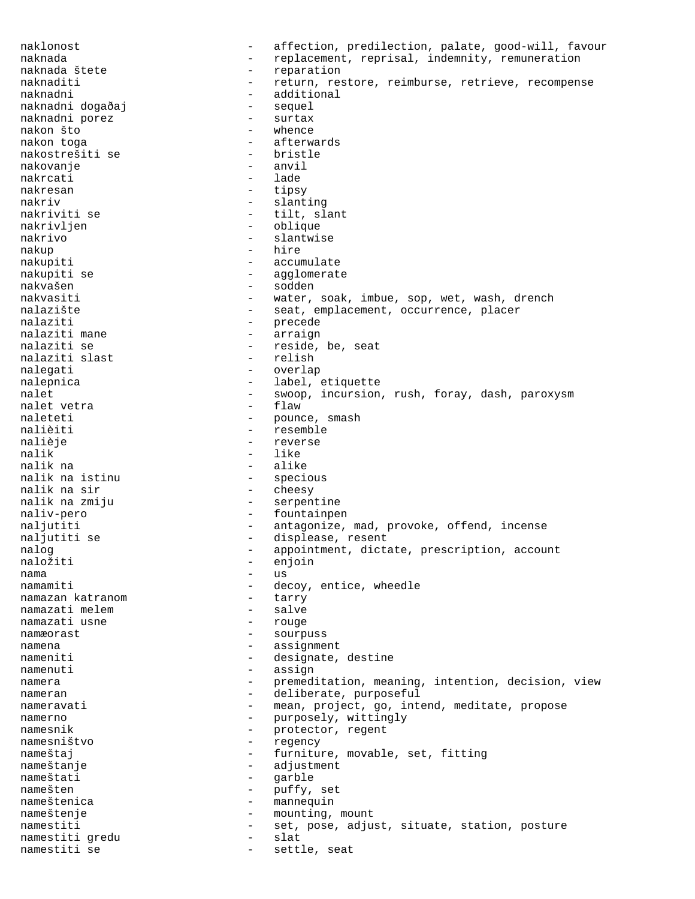naklonost - affection, predilection, palate, good-will, favour naknada - replacement, reprisal, indemnity, remuneration<br>naknada štete - reparation<br>reparation - reparation naknaditi  $-$  return, restore, reimburse, retrieve, recompense naknadni - additional<br>naknadni događaj - sequel naknadni dogaðaj sequel<br>naknadni porez surtax naknadni porez<br>nakon što nakon što - whence - afterwards<br>- bristle nakostrešiti se - bristle nakovanje - anvil nakrcati nakresan - tipsy nakriv - slanting - slanting nakriviti se  $-$  tilt, slant nakrivljen - oblique<br>nakrivo - slantwis - slantwise nakup - hire nakupiti - accumulate nakupiti se  $\qquad \qquad -$  agglomerate<br>nakvašen - sodden nakvašen - sodden - water, soak, imbue, sop, wet, wash, drench nalazište - seat, emplacement, occurrence, placer nalaziti  $\frac{1}{2}$  - precede nalaziti mane - arraign nalaziti se - reside, be, seat<br>nalaziti slast - relish - relish nalaziti slast - relish nalegati - overlap nalepnica - label, etiquette nalet - swoop, incursion, rush, foray, dash, paroxysm<br>nalet vetra - flaw - flaw nalet vetra naleteti - pounce, smash<br>
nalièiti - resemble<br>
- resemble - resemble nalièje  $-$  reverse nalik - like<br>nalik na saman - like nalik na  $\frac{1}{1}$  - alike nalik na istinu - specious nalik na sir energy and the symmetry of the symmetry of the symmetry of the symmetry of the symmetry of the symmetry of the symmetry of the symmetry of the symmetry of the symmetry of the symmetry of the symmetry of the sy nalik na zmiju  $-$  serpentine naliv-pero - fountainpen naljutiti - antagonize, mad, provoke, offend, incense<br>naljutiti se displease, resent naljutiti se  $\begin{array}{ccc} & - & \text{displease, result} \\ \text{nalog} & - & \text{appointment, dict} \end{array}$ - appointment, dictate, prescription, account<br>- enioin naložiti - enjoin<br>nama - us nama - us namamiti - decoy, entice, wheedle<br>namazan katranom - tarry - tarry namazan katranom tarry namazati melem salve namazati melem - salve namazati usne namæorast - sourpuss namena - assignment nameniti - designate, destine namenuti - assign namera e contraction, meaning, intention, decision, view nameran - deliberate, purposeful nameravati - mean, project, go, intend, meditate, propose namerno - purposely, wittingly<br>
namesnik - protector, regent - protector, regent namesništvo - regency nameštaj  $-$  furniture, movable, set, fitting nameštanje - adjustment nameštati - garble namešten - puffy, set nameštenica - mannequin nameštenje - mounting, mount<br>namestiti - set. pose. adjust namestiti - set, pose, adjust, situate, station, posture<br>namestiti qredu - slat namestiti gredu anti-slat namestiti se  $-$  settle, seat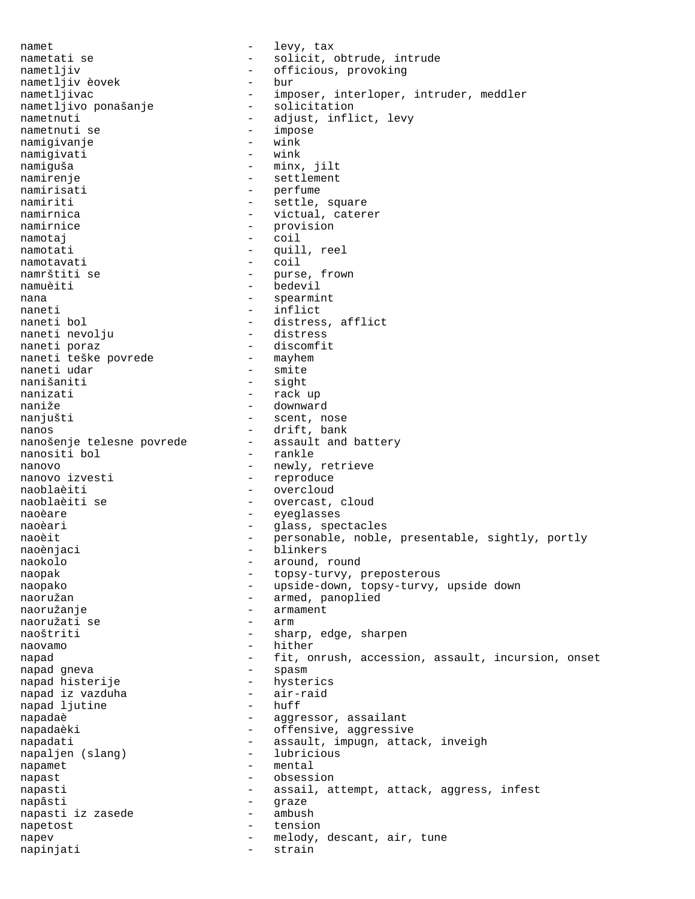namet - levy, tax nametati se  $-$  solicit, obtrude, intrude<br>nametliv nametljiv - officious, provoking<br>nametljiv èovek - bur - bur nametljiv èovek - buring - buring - buring - buring - buring - buring - buring - buring - buring - buring - buring - buring - buring - buring - buring - buring - buring - buring - buring - buring - buring - buring - buring - imposer, interloper, intruder, meddler<br>- solicitation nametljivo ponašanje<br>nametnuti nametnuti - adjust, inflict, levy - impose<br>- wink namigivanje - wink namigivati namiguša - minx, jilt<br>namirenje - minx, jilt - settlement namirisati  $-$  perfume namiriti - settle, square namirnica  $-$  victual, caterer namirnice - provision<br>namotai - coil namotaj en estas en la coil namotati - quill, reel namotavati - coil namrštiti se  $-$  purse, frown namuèiti - bedevil nana  $-$  spearmint naneti - inflict<br>naneti bol - distress - distress, afflict<br>- distress naneti nevolju naneti poraz - discomfit naneti teške povrede - mayhem naneti udar nanišaniti - sight nanizati - rack up naniže - downward - scent, nose nanos<br>
nanošenje telesne povrede<br>
- assault and battery<br>
nanošenje telesne povrede nanositi bol  $-$  rankle nanovo<br>
nanovo izvesti<br>
- reproduce<br>
- reproduce - reproduce naoblaèiti - overcloud naoblaèiti se  $\qquad \qquad -$  overcast, cloud naoèare eyeglasses - eyeglasses naoèari - glass, spectacles<br>naoèit - sersonable, noble naoèit - personable, noble, presentable, sightly, portly<br>naoèniaci - hlinkers naoènjaci - blinkers<br>naokolo - around naokolo - around, round naopak - topsy-turvy, preposterous naopako - upside-down, topsy-turvy, upside down naoružan - armed, panoplied<br>naoružanie - armament - armament<br>- arm naoružati se naoštriti - sharp, edge, sharpen naovamo - hither napad - fit, onrush, accession, assault, incursion, onset<br>napad qneva - spasm - spasm napad gneva napad histerije - hysterics napad iz vazduha - air-raid napad ljutine napadaè  $-$  aggressor, assailant napadaèki - offensive, aggressive<br>napadati - offensive, aggressive<br>assault, impugn, atta - assault, impugn, attack, inveigh<br>- lubricious napaljen (slang) napamet - mental<br>napast - cheese napast - obsession napasti - assail, attempt, attack, aggress, infest napâsti - graze<br>napasti iz zasede - ambush napasti iz zasede napetost - tension napev - melody, descant, air, tune napinjati - strain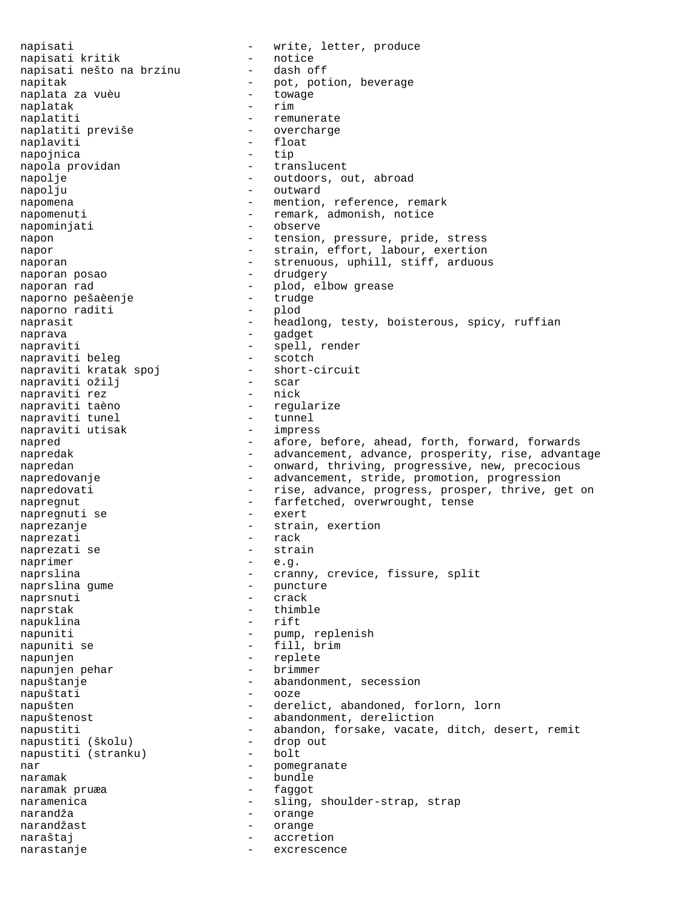napisati  $-$  write, letter, produce napisati kritik  $-$  notice napisati kritik - notice<br>napisati nešto na brzinu - dash off napisati nešto na brzinu - dash off napitak - pot, potion, beverage napitak  $\begin{array}{ccc} \text{nept} & \text{not} & \text{pot} \text{.} \\ \text{neptak} & \text{nopt} & \text{towage} \\ \text{nonlatak} & - & \text{towage} \\ \end{array}$ naplatak naplatiti - remunerate naplatiti previše naplaviti<br>
napoinica<br>
 - float<br>
- tip napojnica - tip napola providan napolje - outdoors, out, abroad napolju - outward napomena  $-$  mention, reference, remark napomenuti - remark, admonish, notice napominjati - observe napon - tension, pressure, pride, stress napor - strain, effort, labour, exertion naporan - strenuous, uphill, stiff, arduous naporan posao - drudgery naporan rad - plod, elbow grease naporno pešaèenje - trudge naporno raditi naprasit - headlong, testy, boisterous, spicy, ruffian naprava - gadget napraviti<br>
napraviti beleq<br>
- scotch<br>
- scotch napraviti beleg - scotch napraviti kratak spoj - short-circuit napraviti ožilj - scar napraviti rez - nick - regularize<br>- tunnel napraviti tunel - tunnel<br>napraviti utisak - impress napraviti utisak napred - afore, before, ahead, forth, forward, forwards napredak - advancement, advance, prosperity, rise, advantage napredan - onward, thriving, progressive, new, precocious napredovanje enterprise - advancement, stride, promotion, progression napredovati - rise, advance, progress, prosper, thrive, get on napregnut - farfetched, overwrought, tense<br>napregnuti se - exert - exert napregnuti se naprezanje - strain, exertion<br>
naprezati - rack<br>
- rack naprezati - rack naprezati se naprimer - e.g. naprslina - cranny, crevice, fissure, split<br>naprslina qume - puncture - puncture naprslina gume - puncture - puncture - puncture - puncture - puncture - puncture - puncture - puncture - punctu naprsnuti naprstak - thimble<br>napuklina - rift<br>- rift napuklina napuniti - pump, replenish napuniti se  $-$  fill, brim napunjen - replete<br>napunjen pehar - brimmer napunjen pehar napuštanje - abandonment, secession napuštati napušten - derelict, abandoned, forlorn, lorn napuštenost - abandonment, dereliction napustiti - abandon, forsake, vacate, ditch, desert, remit<br>napustiti (školu) - drop out napustiti (školu) - drop out napustiti (stranku) nar  $-$  pomegranate naramak - bundle naramak pruæa naramenica - sling, shoulder-strap, strap narandža - orange narandžast - orange naraštaj  $-$  accretion narastanje - excrescence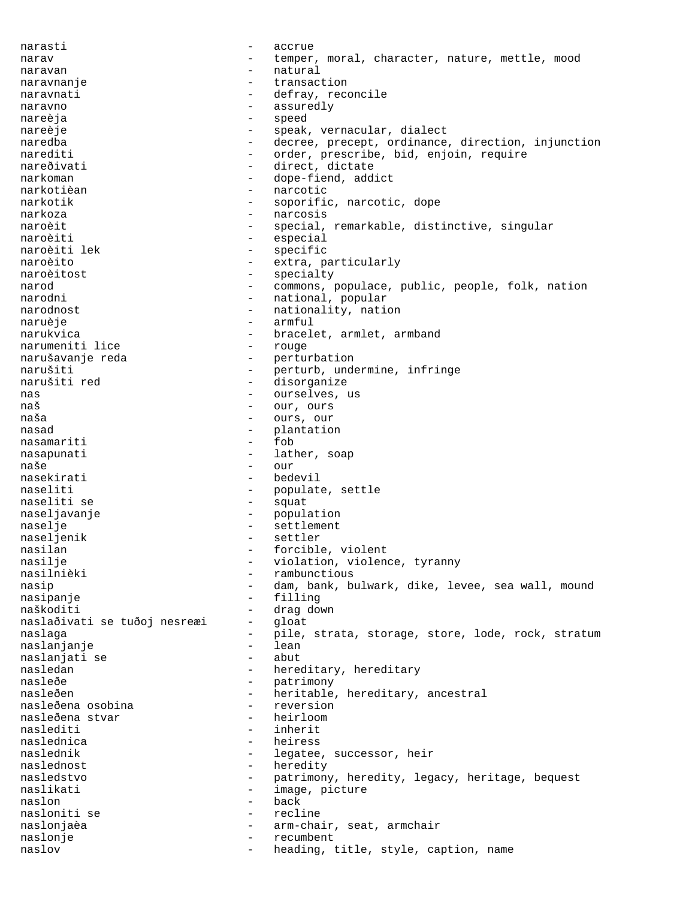narasti - accrue narav and temper, moral, character, nature, mettle, mood naravan - natural - natural naravnanje - transaction naravnati - defray, reconcile naravno - assuredly nareèja - speed nareèje - speak, vernacular, dialect naredba - decree, precept, ordinance, direction, injunction<br>narediti - order, prescribe, bid, enjoin, require narediti - order, prescribe, bid, enjoin, require nareðivati - direct, dictate<br>
narkoman - dope-fiend add - dope-fiend, addict narkotièan - narcotic narkotik - soporific, narcotic, dope narkoza - narcosis naroèit - special, remarkable, distinctive, singular naroèiti - especial naroèiti lek (1999) - especial especial de la partie de la partie de la partie de la parti<br> especific naroèiti lek - specific - specific - specific - specific - specific - specific naroèito - extra, particularly<br>naroèitost - extra, particularly naroèitost - specialty narod - commons, populace, public, people, folk, nation - national, popular narodnost  $-$  nationality, nation naruèje - armful - bracelet, armlet, armband<br>- rouge narumeniti lice narušavanje reda - - perturbation<br>narušiti - - perturb.unde narušiti - perturb, undermine, infringe narušiti red - disorganize nas - ourselves, us naš - our, ours ours, our nasad - plantation<br>nasamariti nasamariti - fob nasapunati - lather, soap naše - our nasekirati - bedevil naseliti - populate, settle naseliti se - squat naseljavanje - population<br>naselje - settlement naselje - settlement<br>naseljenik - settler - settler - settler nasilan - forcible, violent<br>nasilie - violation violen nasilje - violation, violence, tyranny nasilnièki - rambunctious nasip 1983 - dam, bank, bulwark, dike, levee, sea wall, mound nasipanje - filling - drag down<br>- qloat naslaðivati se tuðoj nesreæi naslaga - pile, strata, storage, store, lode, rock, stratum naslanjanje - lean naslanjati se - abut nasledan - hereditary, hereditary<br>nasleðe - hereditary, hereditary nasleðe - patrimony nasleðen - heritable, hereditary, ancestral<br>nasleðena osobina - reversion - reversion nasleðena osobina - reversionasleðena stvar - reversionasleðena stvar - reversionasleðena stvar - reversionasl nasleðena stvar - heirloom<br>naslediti - inherit naslediti<br>naslednica - heiress naslednik - legatee, successor, heir naslednost - heredity nasledstvo - patrimony, heredity, legacy, heritage, bequest naslikati - image, picture naslon - back nasloniti se - recline naslonjaèa - arm-chair, seat, armchair naslonje - recumbent naslov - heading, title, style, caption, name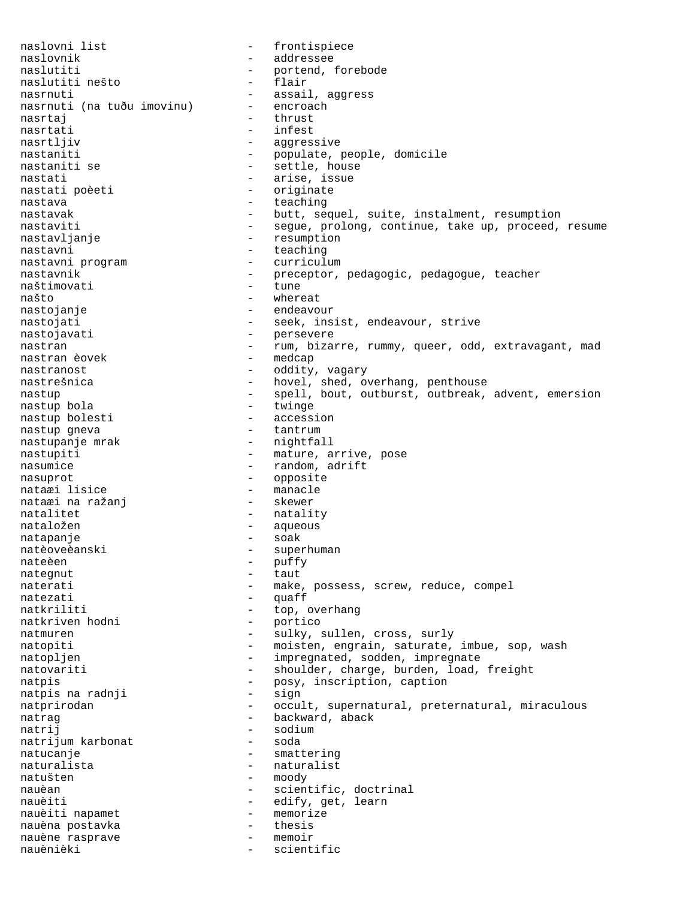naslovni list - frontispiece naslovnik - addressee naslutiti  $-$  portend, forebode naslutiti nešto  $-$  flair naslutiti nešto nasrnuti - assail, aggress<br>nasrnuti (na tuðu imovinu) - encroach nasrnuti (na tuðu imovinu) nasrtaj en la estas en la estas en la estas en la estas en la estas en la estas en la estas en la estas en la e nasrtati - infest nasrtljiv - aggressive nastaniti - populate, people, domicile - settle, house nastati - arise, issue - originate nastava - teaching nastavak - butt, sequel, suite, instalment, resumption nastaviti - segue, prolong, continue, take up, proceed, resume nastavljanje - resumption nastavni - teaching<br>nastavni program - - curriculum nastavni program nastavnik - preceptor, pedagogic, pedagogue, teacher<br>naštimovati - tune - tune naštimovati<br>našto - whereat nastojanje - endeavour nastojati  $-$  seek, insist, endeavour, strive nastojavati - persevere nastran 1988 - rum, bizarre, rummy, queer, odd, extravagant, mad nastran èovek - medcap<br>nastranost - oddity nastranost  $\qquad \qquad -$  oddity, vagary nastrešnica - hovel, shed, overhang, penthouse nastup - spell, bout, outburst, outbreak, advent, emersion<br>nastup bola - twinge nastup bola - twinge nastup bolesti - accession nastup gneva - tantrum nastupanje mrak nastupiti - mature, arrive, pose<br>nasumice - mature, arrive, pose<br> $-$  random, adrift - random, adrift nasuprot - opposite<br>
nataxi lisice<br>
- manacle nataæi lisice - manacle nataæi na ražanj natalitet - natality nataložen en metaložen aqueous natapanje - soak natèoveèanski - superhuman nateèen - puffy nategnut - taut naterati - make, possess, screw, reduce, compel<br>naterati - quaff natezati - quaff<br>natkriliti - top. - top, overhang natkriven hodni - portico natmuren - sulky, sullen, cross, surly natopiti - moisten, engrain, saturate, imbue, sop, wash natopljen - impregnated, sodden, impregnate natovariti - shoulder, charge, burden, load, freight natpis - posy, inscription, caption natpis na radnji - sign natpis na radnji natprirodan - occult, supernatural, preternatural, miraculous natrag  $-$  backward, aback natrij - sodium hartonat - sodium - soda natrijum karbonat natucanje - smattering naturalista - naturalist natušten - moody nauèan - scientific, doctrinal nauèiti - edify, get, learn nauèiti napamet - memorize nauèna postavka - thesis nauène rasprave nauènièki - scientific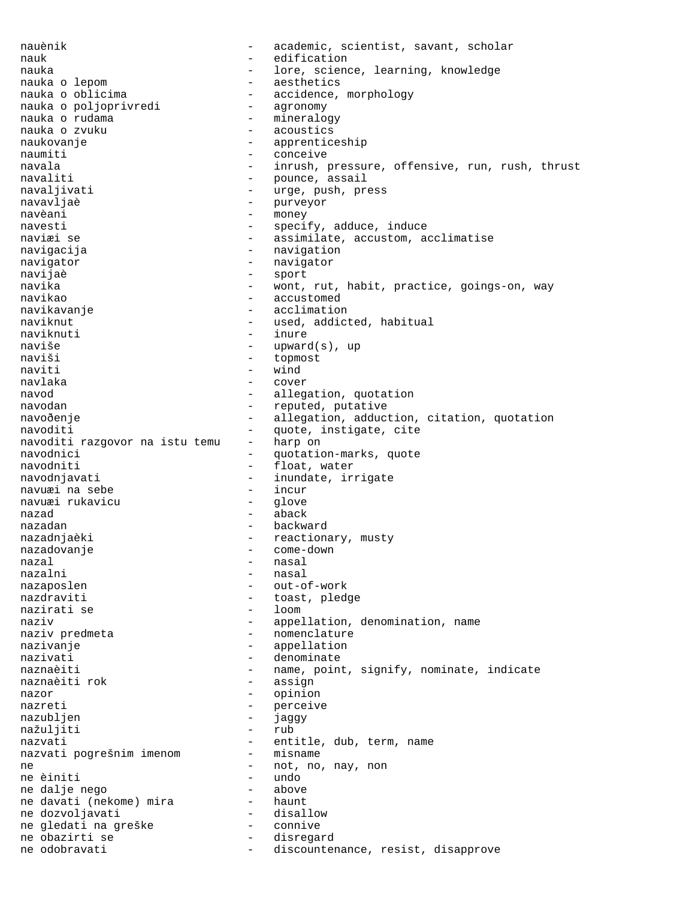nauènik - academic, scientist, savant, scholar nauk - edification nauka - lore, science, learning, knowledge nauka o lepom  $\sim$  - aesthetics nauka o oblicima - accidence, morphology<br>nauka o poljoprivredi - agronomy nauka o poljoprivredi<br>nauka o rudama nauka o rudama - mineralogy - acoustics naukovanje - apprenticeship naumiti - conceive navala - inrush, pressure, offensive, run, rush, thrust navaliti - pounce, assail navaljivati - urge, push, press navavljaè - purveyor navèani - money navesti - specify, adduce, induce naviæi se  $-$  assimilate, accustom, acclimatise navigacija - navigation navigator - navigator navijaè - sport navika - wont, rut, habit, practice, goings-on, way<br>navikao - accustomed - accustomed navikavanje  $\overline{\phantom{a}}$  - acclimation naviknut - used, addicted, habitual naviknuti - inure<br>naviše - inure - inure - upward(s), up naviši - topmost naviti - wind navlaka - cover navod allegation, quotation navodan - reputed, putative navoðenje - allegation, adduction, citation, quotation<br>navoditi - quote instigate cite navoditi  $-$  quote, instigate, cite<br>navoditi razqovor na istu temu  $-$  harp on navoditi razgovor na istu temu navodnici - quotation-marks, quote navodniti - float, water navodnjavati - inundate, irrigate<br>navuæi na sebe - - incur - incur navuæi na sebe - incur navuæi rukavicu nazad - aback nazadan - backward nazadnjaèki  $-$  reactionary, musty nazadovanje - come-down nazal - nasal - nasal nazaposlen - out-of-work<br>nazdraviti - toast, pled - toast, pledge<br>- loom nazirati se naziv  $\qquad \qquad -$  appellation, denomination, name naziv predmeta  $-$  nomenclature nazivanje  $\qquad \qquad$  - appellation nazivati  $\qquad \qquad -$  denominate naznaèiti - name, point, signify, nominate, indicate naznaèiti rok - assign naznaèiti rok nazor - opinion nazreti - perceive<br>nazublien - iaggy - iaggy nazubljen - jaggy<br>nažuliiti - rub - rub nažuljiti nazvati  $-$  entitle, dub, term, name nazvati poqrešnim imenom  $-$  misname nazvati pogrešnim imenom ne  $\frac{1}{100}$  - not, no, nay, non ne èiniti - undo<br>- above ne dalje nego ne davati (nekome) mira ne dozvoljavati - disallow ne gledati na greške ne obazirti se  $-$  disregard ne odobravati - discountenance, resist, disapprove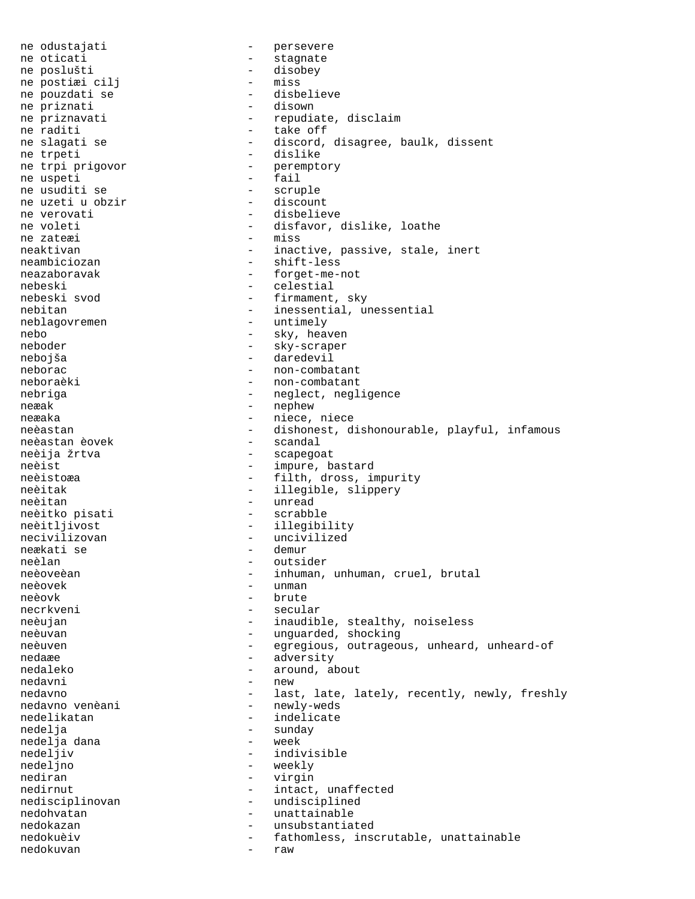ne odustajati  $-$  persevere ne oticati in the stagnate of the stagnate of the stagnate stagnate stagnate ne poslušti - disobey ne postiæi cilj ne pouzdati se - disbelieve ne priznati ne priznavati - repudiate, disclaim<br>ne raditi - repudiate, disclaim<br>- take off ne raditi  $-$  take off<br>
ne slagati se  $-$  discord, - discord, disagree, baulk, dissent ne trpeti - dislike ne trpi prigovor and the perempt of the uspective series of the series of the series of the series of the series of the series of the series of the series of the series of the series of the series of the series of the seri ne uspeti ne usuditi se - scruple ne uzeti u obzir ne verovati internationale disbelieve ne voleti - disfavor, dislike, loathe ne zate<br/>æi - miss - miss neaktivan entry and the state of the state inert inext inert inext inert neambiciozan - shift-less neazaboravak - forget-me-not nebeski - celestial - firmament, sky nebitan - inessential, unessential neblagovremen - untimely nebo - sky, heaven neboder - sky-scraper nebojša - daredevil neborac - non-combatant neboraèki - non-combatant nebriga - neglect, negligence neæak - nephew neæaka - niece, niece neèastan - dishonest, dishonourable, playful, infamous<br>neèastan èovek - scandal neèastan èovek neèija žrtva - scapegoat neèist - impure, bastard neèistoæa - filth, dross, impurity neèitak - illegible, slippery neèitan - unread neèitko pisati - scrabble neèitljivost - illegibility<br>necivilizovan - uncivilized - uncivilized<br>- demur neækati se neèlan - outsider neèoveèan - inhuman, unhuman, cruel, brutal<br>neèovek - unman - unman neèovek - unman<br>neèovk - brute - brute necrkveni - secular neèujan - inaudible, stealthy, noiseless neèuvan - unguarded, shocking neèuven egregious, outrageous, unheard, unheard-of nedaæe - adversity nedaleko - around, about nedavni - new nedavno - last, late, lately, recently, newly, freshly<br>
nedavno venèani - newly-weds - newly-weds nedelikatan  $-$  indelicate nedelja - sunday nedelja dana nedeljiv - indivisible nedeljno - weekly nediran - virgin nedirnut - intact, unaffected nedisciplinovan - undisciplined<br>nedobyatan - unattainable nedohvatan - unattainable nedokazan - unsubstantiated nedokuèiv - fathomless, inscrutable, unattainable nedokuvan - raw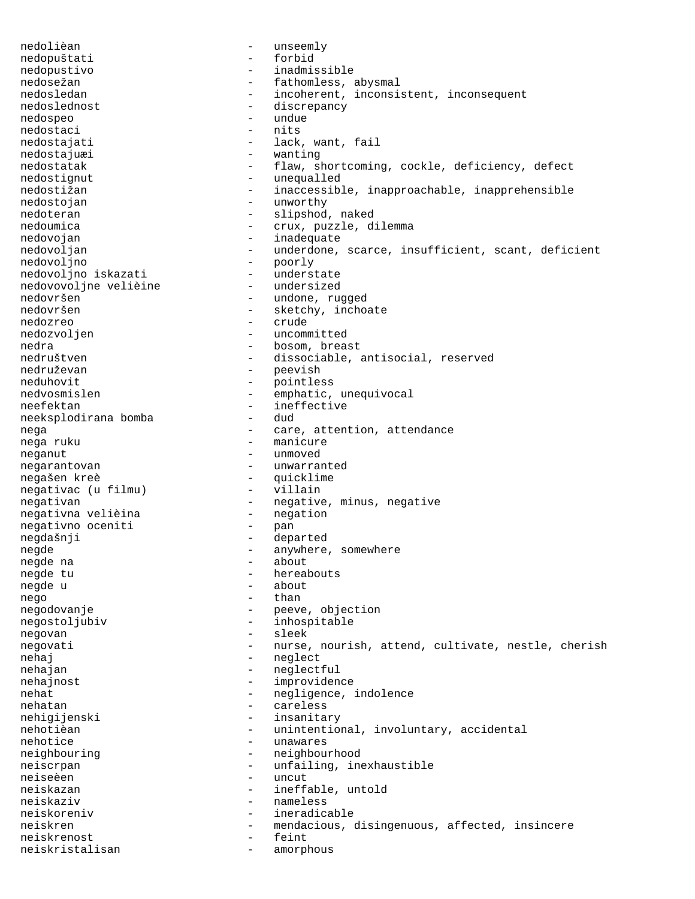nedolièan - unseemly nedopuštati nedopustivo - inadmissible nedosežan - fathomless, abysmal<br>nedosledan - fathomless, abysmal<br>- incoherent, inconsi - incoherent, inconsistent, inconsequent<br>- discrepancy nedoslednost - discrepancy nedospeo - undue nedostaci<br>nedostajati - lack, want, fail nedostajuæi - wanting nedostatak - flaw, shortcoming, cockle, deficiency, defect nedostignut - unequalled nedostižan - inaccessible, inapproachable, inapprehensible nedostojan - unworthy nedoteran - slipshod, naked nedoumica - crux, puzzle, dilemma nedovojan - inadequate nedovoljan - underdone, scarce, insufficient, scant, deficient<br>nedovoljno - poorly - poorly - poorly<br>- understate nedovoljno iskazati - understate nedovovoljne velièine<br>nedovršen - undone, rugged nedovršen - sketchy, inchoate nedozreo - crude nedozvoljen - uncommitted nedra  $-$  bosom, breast nedruštven - dissociable, antisocial, reserved nedruževan - peevish<br>neduhovit - pointles neduhovit - pointless nedvosmislen - emphatic, unequivocal neefektan - ineffective<br>neeksplodirana bomba - dud - dud neeksplodirana bomba nega  $\begin{array}{cccc} - & \text{care, attention, attendance} \\ - & \text{manicure} \end{array}$ - manicure neganut - unmoved negarantovan - unwarranted<br>negašen kreè - quicklime - quicklime<br>- villain negativac (u filmu) negativan - negative, minus, negative negativan - negative, minus, negative negativna velièina - negation negativno oceniti negdašnji - departed<br>negde - departed<br>- anywhere - anywhere, somewhere negde na  $-$  about negde tu entreminent - hereabouts negde u - about - about nego - than negodovanje - peeve, objection negostoljubiv - inhospitable negovan - sleek negovati entitled a nurse, nourish, attend, cultivate, nestle, cherish nehaj - neglect nehajan - neglectful nehajnost - improvidence nehat - negligence, indolence<br>
- careless nehatan - careless nehigijenski - insanitary nehotièan - unintentional, involuntary, accidental<br>nehotice nehotice - unawares neighbouring extending the neighbourhood neiscrpan - unfailing, inexhaustible<br>
neise<br/>èen - uncut<br>
- uncut - uncut neiskazan - ineffable, untold neiskaziv - nameless neiskoreniv - ineradicable neiskren - mendacious, disingenuous, affected, insincere neiskrenost - feint neiskristalisan - amorphous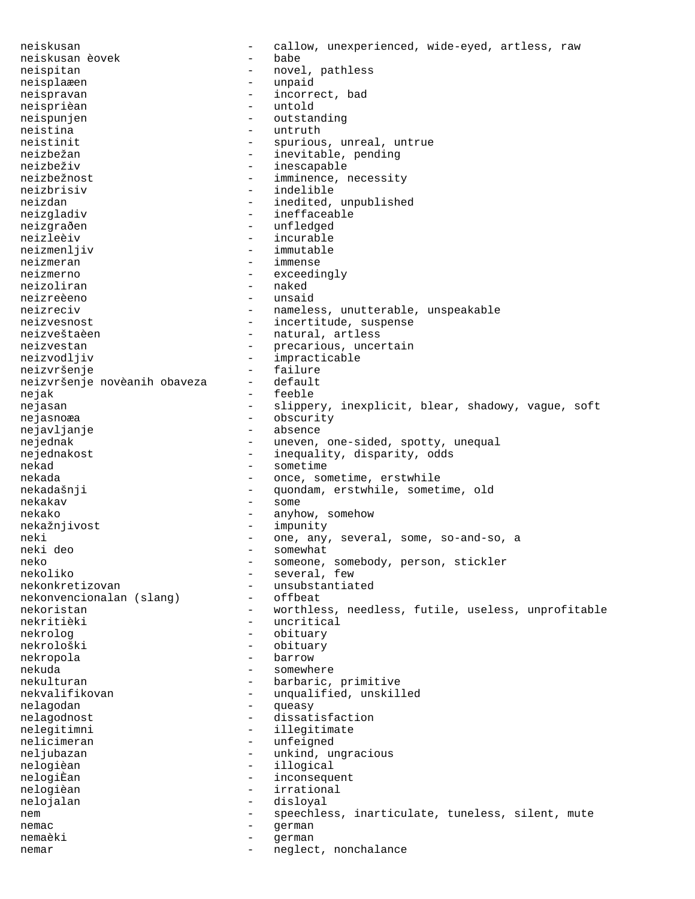neiskusan - callow, unexperienced, wide-eyed, artless, raw neiskusan èovek - babe neispitan - novel, pathless neisplaæen - unpaid neispravan - incorrect, bad neisprièan - untold neispunjen - outstanding<br>neistina neistina - untruth<br>neistinit - spurious - spurious, unreal, untrue neizbežan - inevitable, pending neizbeživ - inescapable neizbežnost <br />  $\qquad \qquad -$  imminence, necessity neizbrisiv - indelible neizdan - inedited, unpublished neizgladiv - ineffaceable neizgraðen - unfledged neizleèiv - incurable<br>neizmenliiv - immutable<br>- immutable neizmenljiv - immutable - immutable - immutable - immutable - immutable - immutable - immutable - immutable neizmeran - immense<br>neizmerno - exceedi neizmerno - exceedingly<br>
neizoliran - haked - naked<br>- unsaid neizreèeno neizreciv - nameless, unutterable, unspeakable neizvesnost entry and the suspense of the incertitude, suspense neizveštaèen  $-$  natural, artless neizvestan entryche entryche entryche precarious, uncertain neizvodljiv - impracticable neizvršenje<br>neizvršenje novèanih obaveza - default neizvršenje novèanih obaveza - default nejak - feeble<br>nejasan - slinne nejasan - slippery, inexplicit, blear, shadowy, vague, soft<br>nejasnoæa - obscurity nejasnoæa - obscurity nejavljanje - absence nejednak - uneven, one-sided, spotty, unequal nejednakost <br/> - inequality, disparity, odds nekad - sometime nekada - once, sometime, erstwhile<br>nekadašnji - once, sometime, erstwhile, somet - quondam, erstwhile, sometime, old nekakav - some nekako - anyhow, somehow nekažnjivost - impunity neki - one, any, several, some, so-and-so, a - somewhat neko - someone, somebody, person, stickler<br>
- several, few<br>
- several, few nekoliko - several, few - several, few - several, few - several, few - several, few - several - several - several - several - several - several - several - several - several - several - several - several - several - severa - unsubstantiated<br>- offbeat nekonvencionalan (slang) nekoristan - worthless, needless, futile, useless, unprofitable nekritièki - uncritical nekrolog - obituary nekrološki - obituary nekropola - barrow nekuda - somewhere nekulturan - barbaric, primitive nekvalifikovan - unqualified, unskilled<br>nelagodan - mieasy nelagodan - queasy nelagodnost - dissatisfaction nelegitimni - illegitimate nelicimeran - unfeigned neljubazan  $-$  unkind, ungracious nelogièan - illogical nelogiÈan - inconsequent nelogièan - irrational nelojalan - disloyal<br>nem - speechle nem external extended to the speechless, inarticulate, tuneless, silent, mute nemac - german nemaèki - german nemar - neglect, nonchalance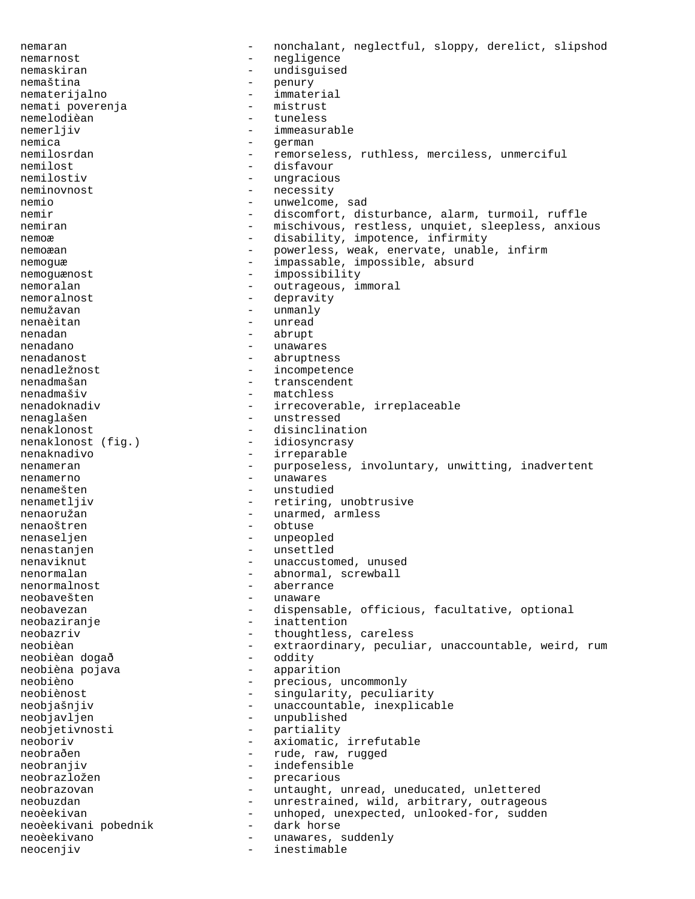nemaran - nonchalant, neglectful, sloppy, derelict, slipshod nemarnost - negligence<br>nemaskiran - undisquise nemaskiran - undisguised nemaština - penury<br>nematerijalno - immaterial nematerijalno - immateri<br>nemati poverenia - mistrust nemati poverenja - mistrust nemelodièan - tuneless nemerljiv - immeasurable<br>nemica - <br/> - qerman nemica - german nemilosrdan - remorseless, ruthless, merciless, unmerciful<br>nemilost<br>- disfavour nemilost - disfavour<br>nemilostiv - ungraciou - ungracious neminovnost - necessity nemio - unwelcome, sad nemir  $-$  discomfort, disturbance, alarm, turmoil, ruffle nemiran - mischivous, restless, unquiet, sleepless, anxious nemoæ - disability, impotence, infirmity<br>nemoæan - newerless weak eneryate unable nemoæan - powerless, weak, enervate, unable, infirm<br>nemogue - impassable, impossible, absurd nemoguæ - impassable, impossible, absurd nemoguænost - impossibility nemoralan - outrageous, immoral<br>nemoralnost - depravity - depravity nemužavan - unmanly nenaèitan - unread nenadan - abrupt nenadano - unawares nenadanost - abruptness nenadležnost - incompetence nenadmašan - transcendent<br>nenadmašiv - matchless nenadmašiv - matchless<br>nenadoknadiv - irrecovera - irrecoverable, irreplaceable nenaglašen - unstressed nenaklonost<br>
nenaklonost (fig.) - disinclination<br>
- idiosyncrasy nenaklonost (fig.) nenaknadivo - irreparable nenameran - purposeless, involuntary, unwitting, inadvertent nenamerno - unawares nenamešten - unstudied nenametljiv - retiring, unobtrusive nenaoružan - unarmed, armless nenaoštren - obtuse - obtuse<br>nenaselien - unpeop nenaseljen - unpeopled nenastanjen - unsettled nenaviknut - unaccustomed, unused nenormalan - abnormal, screwball<br>nenormalnost - aberrance nenormalnost - aberrance - unaware neobavezan - dispensable, officious, facultative, optional<br>neobaziranie - inattention - inattention neobazriv - thoughtless, careless<br>neobièan - extraordinary peculia neobièan - extraordinary, peculiar, unaccountable, weird, rum neobièan dogað - oddity neobièna pojava - apparition neobièno - precious, uncommonly<br>neobiènost - singularity, peculia neobiènost  $-$  singularity, peculiarity neobjašnjiv  $\begin{array}{ccc} - & \text{unaccountable, inexplicit} \\ - & \text{unpublished} \end{array}$ neobjavljen - unpublished<br>neobjetivnosti - partiality neobjetivnosti - partiality<br>neoboriv - axiomatic - axiomatic, irrefutable neobraðen - rude, raw, rugged<br>neobranjiv - rudefensible - indefensible neobrazložen - precarious neobrazovan - untaught, unread, uneducated, unlettered neobuzdan - unrestrained, wild, arbitrary, outrageous<br>neoèekivan - unhoped unexpected unlooked-for sudden neoèekivan - unhoped, unexpected, unlooked-for, sudden<br>neoèekivani pobednik - dark horse neoèekivani pobednik - dark horse neoèekivano - unawares, suddenly<br>neoceniiv neocenjiv - inestimable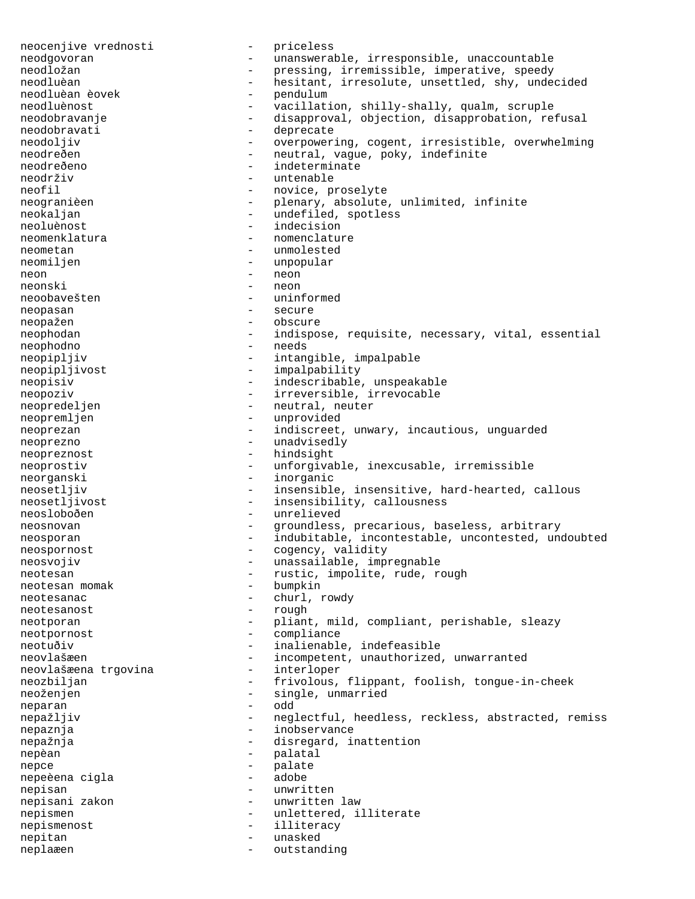neocenjive vrednosti - priceless neodgovoran - unanswerable, irresponsible, unaccountable neodložan - version - pressing, irremissible, imperative, speedv - pressing, irremissible, imperative, speedy neodluèan - hesitant, irresolute, unsettled, shy, undecided<br>neodluèan èovek - pendulum neodluèan èovek - pendulum neodluènost - vacillation, shilly-shally, qualm, scruple neodobravanje entitledni refusal - disapproval, objection, disapprobation, refusal neodobravati - deprecate<br>neodoljiv - overpower: - overpowering, cogent, irresistible, overwhelming neodreðen - - neutral, vague, poky, indefinite neodreðeno - indeterminate neodrživ - untenable<br>neofil - novice pr - novice, proselyte neogranièen - plenary, absolute, unlimited, infinite<br>neokaljan - undefiled spotless neokaljan - undefiled, spotless neoluènost  $-$  indecision neomenklatura - nomenclature neometan - unmolested neomiljen - unpopular neon - neon - neon neonski - neon neoobavešten - uninformed neopasan - secure neopažen - obscure neophodan - indispose, requisite, necessary, vital, essential neophodno - needs neopipljiv - intangible, impalpable neopipljivost - impalpability neopisiv  $-$  indescribable, unspeakable neopoziv  $-$  irreversible, irrevocable neopredeljen - neutral, neuter neopremljen - unprovided neoprezan - indiscreet, unwary, incautious, unguarded neoprezno - unadvisedly neopreznost - hindsight neoprostiv - unforgivable, inexcusable, irremissible neorganski - inorganic neosetljiv - insensible, insensitive, hard-hearted, callous neosetljivost - insensibility, callousness neosloboðen - unrelieved<br>neosnovan - stoundless neosnovan - groundless, precarious, baseless, arbitrary neosporan - indubitable, incontestable, uncontested, undoubted neospornost - cogency, validity neosvojiv  $-$  unassailable, impregnable neotesan  $-$  rustic, impolite, rude, rough neotesan momak  $-$  bumpkin neotesan momak neotesanac - churl, rowdy<br>neotesanost - churl, rowdy neotesanost neotporan - pliant, mild, compliant, perishable, sleazy neotpornost - compliance neotuðiv  $-$  inalienable, indefeasible neovlašæen - incompetent, unauthorized, unwarranted<br>neovlašæena trgovina - interloper neovlašæena trgovina neozbiljan - frivolous, flippant, foolish, tongue-in-cheek neoženjen - single, unmarried - single, unmarried - single, unmarried - single, unmarried - single - single neparan nepažljiv - neglectful, heedless, reckless, abstracted, remiss - inobservance nepažnja  $-$  disregard, inattention nepèan - palatal nepce - palate nepeèena cigla nepisan - unwritten nepisani zakon  $-$  unwritten law nepismen - unlettered, illiterate nepismenost - illiteracy nepitan - unasked neplaæen - outstanding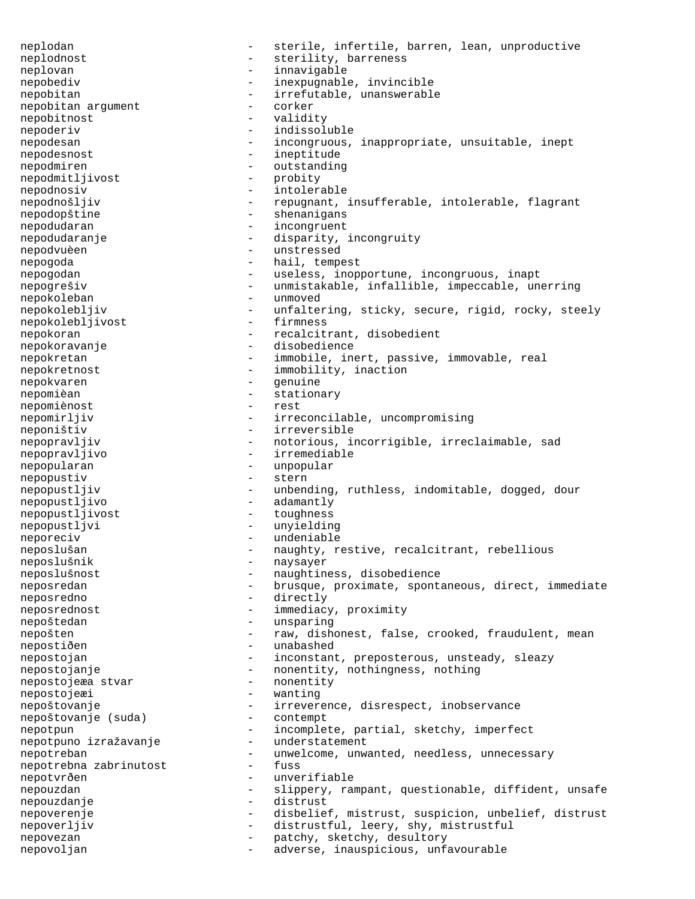neplodan - sterile, infertile, barren, lean, unproductive neplodnost - sterility, barreness neplovan - innavigable nepobediv - inexpugnable, invincible nepobitan - irrefutable, unanswerable<br>nepobitan arqument - corker nepobitan argument - corker nepobitnost nepoderiv - indissoluble nepodesan - incongruous, inappropriate, unsuitable, inept nepodesnost - ineptitude nepodmiren - outstanding<br>nepodmitljivost - probity nepodmitljivost nepodnosiv - intolerable nepodnošljiv  $-$  repugnant, insufferable, intolerable, flagrant nepodopštine - shenanigans nepodudaran - incongruent<br>nepodudaranie - disparity nepodudaranje - disparity, incongruity nepodvuèen en en en matressed nepogoda - hail, tempest nepogodan - useless, inopportune, incongruous, inapt nepogrešiv  $-$  unmistakable, infallible, impeccable, unerring nepokoleban - unmoved nepokolebljiv - unfaltering, sticky, secure, rigid, rocky, steely<br>nepokolebliivost - firmness nepokolebljivost nepokoran - recalcitrant, disobedient nepokoravanje - disobedience nepokretan entitle real that the immobile, inert, passive, immovable, real nepokretnost - immobility, inaction nepokvaren 1980 - genuine nepomièan - stationary<br>nepomiènost - rest<br>- rest nepomiènost - rest nepomirljiv - irreconcilable, uncompromising neponištiv - irreversible nepopravljiv - notorious, incorrigible, irreclaimable, sad nepopravljivo - irremediable nepopularan - unpopular nepopustiv - stern nepopustljiv - unbending, ruthless, indomitable, dogged, dour nepopustljivo - adamantly nepopustljivost - toughness nepopustljvi - unyielding neporeciv - undeniable neposlušan - naughty, restive, recalcitrant, rebellious neposlušnik - naysayer neposlušnost - naughtiness, disobedience neposredan - brusque, proximate, spontaneous, direct, immediate neposredno - directly neposrednost - immediacy, proximity nepoštedan - unsparing nepošten - raw, dishonest, false, crooked, fraudulent, mean nepostiðen - unabashed nepostojan - inconstant, preposterous, unsteady, sleazy nepostojanje - nonentity, nothingness, nothing<br>nepostojeæa stvar - nonentity nepostojeæa stvar - nonentity nepostojeæi - wanting<br>nepoštovanie - irrever nepoštovanje - irreverence, disrespect, inobservance nepoštovanje (suda) - contempt nepoštovanje (suda) nepotpun - incomplete, partial, sketchy, imperfect<br>nepotpuno izražavanje - understatement nepotpuno izražavanje nepotreban<br>nenotrebna zabrinutost - unwelcome, unwanted, needless, unnecessary<br>- fuss nepotrebna zabrinutost nepotvrðen - unverifiable nepouzdan - slippery, rampant, questionable, diffident, unsafe nepouzdanje - distrust nepoverenje entitle - disbelief, mistrust, suspicion, unbelief, distrust nepoverljiv  $-$  distrustful, leery, shy, mistrustful nepovezan - patchy, sketchy, desultory<br>nepovolian - adverse inauspicious unf nepovoljan - adverse, inauspicious, unfavourable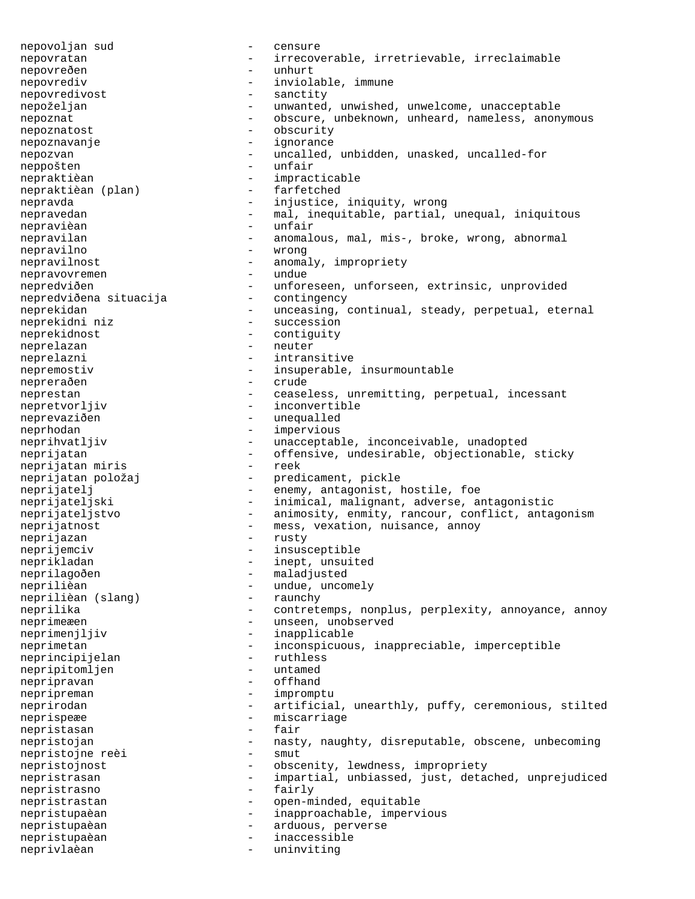nepovoljan sud - censure nepovratan - irrecoverable, irretrievable, irreclaimable nepovreðen - unhurt nepovrediv  $-$  inviolable, immune nepovredivost - sanctity nepoželjan - unwanted, unwished, unwelcome, unacceptable nepoznat - obscure, unbeknown, unheard, nameless, anonymous nepoznatost - obscurity nepoznavanje - ignorance nepozvan - uncalled, unbidden, unasked, uncalled-for neppošten - unfair nepraktièan  $-$  impracticable<br>nepraktièan (plan)  $-$  farfetched nepraktièan (plan) nepravda - injustice, iniquity, wrong nepravedan - mal, inequitable, partial, unequal, iniquitous<br>nepravièan - unfair nepravièan  $-$  unfair nepravilan - anomalous, mal, mis-, broke, wrong, abnormal nepravilno - wrong nepravilnost - anomaly, impropriety<br>nepravouremen nepravovremen - undue nepredviðen - unforeseen, unforseen, extrinsic, unprovided<br>nepredviðena situacija - contingency nepredviðena situacija neprekidan - unceasing, continual, steady, perpetual, eternal neprekidni niz - succession neprekidnost - contiguity neprelazan - neuter neprelazni - intransitive nepremostiv and the insuperable, insurmountable nepreraðen - crude neprestan - ceaseless, unremitting, perpetual, incessant nepretvorljiv - inconvertible<br>neprevaziðen - unequalled neprevaziðen - unequalled neprhodan - impervious neprihvatljiv  $-$  unacceptable, inconceivable, unadopted neprijatan - offensive, undesirable, objectionable, sticky<br>neprijatan miris - reek neprijatan miris<br>neprijatan položaj neprijatan položaj  $-$  predicament, pickle neprijatelj  $-$  enemy, antagonist, l - enemy, antagonist, hostile, foe neprijateljski - inimical, malignant, adverse, antagonistic neprijateljstvo - animosity, enmity, rancour, conflict, antagonism neprijatnost - mess, vexation, nuisance, annoy<br>neprijazan - rusty - rusty neprijazan - rusty neprijemciv - insusceptible neprikladan - inept, unsuited neprilagoðen - maladjusted neprilièan  $-$  undue, uncomely<br>neprilièan (slang)  $-$  raunchy neprilièan (slang) neprilika - contretemps, nonplus, perplexity, annoyance, annoy neprimeæen - unseen, unobserved neprimenjljiv - inapplicable neprimetan - inconspicuous, inappreciable, imperceptible neprincipijelan - ruthless neprincipijelan - ruthless nepripitomljen - untamed nepripravan - offhand nepripreman - impromptu<br>neprirodan - artificial neprirodan - artificial, unearthly, puffy, ceremonious, stilted<br>neprispere<br>- miscarriage neprispeæe - miscarriage<br>nepristasan nepristasan - fair nepristojan - nasty, naughty, disreputable, obscene, unbecoming<br>nepristojne re<br/>èj - smut nepristojne reèi - smut nepristojnost - obscenity, lewdness, impropriety nepristrasan - impartial, unbiassed, just, detached, unprejudiced nepristrasno - fairly nepristrastan - open-minded, equitable nepristupaèan - inapproachable, impervious nepristupaèan - arduous, perverse nepristupaèan - inaccessible neprivlaèan - uninviting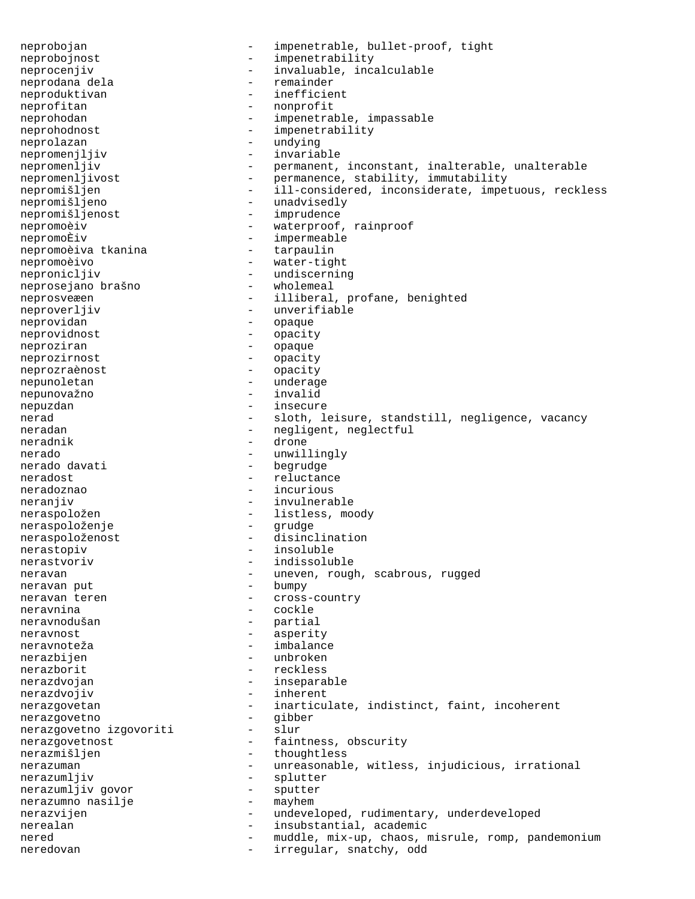neprobojan - impenetrable, bullet-proof, tight<br>neprobojnost - impenetrability neprobojnost - impenetrability neprocenjiv  $-$  invaluable, incalculable neprodana dela  $-$  remainder neproduktivan - inefficient neprofitan - nonprofit neprohodan - impenetrable, impassable neprohodnost - impenetrability neprolazan - undying nepromenjljiv - invariable - epromenljiv - - epromanent, nepromenljiv - permanent, inconstant, inalterable, unalterable<br>nepromenljivost - permanence, stability, immutability nepromenljivost - permanence, stability, immutability<br>nepromišljen - ill-considered, inconsiderate, impet - ill-considered, inconsiderate, impetuous, reckless nepromišljeno - unadvisedly nepromišljenost - imprudence nepromoèiv - waterproof, rainproof nepromoÈiv<br>
nepromoèiva tkanina<br>
- tarpaulin<br>
nepromoèiva tkanina nepromoèivo - water-tight nepronicljiv - undiscerning<br>neproseiano brašno - wholemeal neprosejano brašno<br>neprosveæen - illiberal, profane, benighted neproverljiv - unverifiable neprovidan - opaque neprovidnost - opacity neproziran - opaque neprozirnost - opacity neprozraènost - opacity nepunoletan - underage nepunovažno - invalid nepuzdan - insecure nerad - sloth, leisure, standstill, negligence, vacancy<br>neradan - negligent neglectful neradan - negligent, neglectful<br>neradnik - drone - drone nerado  $\begin{array}{ccc} - & \text{unwillingly} \\ - & \text{bearudge} \end{array}$ - begrudge neradost - reluctance neradoznao - incurious neranjiv - invulnerable neraspoložen - listless, moody<br>neraspoloženje - grudge - stranega - grudge neraspoloženje neraspoloženost - disinclination nerastopiv - insoluble<br>nerastvoriv - indissolut - indissoluble neravan - uneven, rough, scabrous, rugged neravan put - bumpy - cross-country neravnina - cockle neravnodušan - partial neravnost - asperity neravnoteža - imbalance nerazbijen - unbroken nerazborit - reckless nerazdvojan - inseparable nerazdvojiv - inherent nerazgovetan - inarticulate, indistinct, faint, incoherent nerazgovetno<br>
nerazgovetno<br>
izgovoriti – slur<br>
– slur nerazgovetno izgovoriti nerazgovetnost - faintness, obscurity nerazmišljen - thoughtless nerazuman - unreasonable, witless, injudicious, irrational nerazumljiv - splutter<br>nerazumljiv qovor - sputter nerazumljiv govor - sputter nerazumno nasilje - mayhem nerazvijen - undeveloped, rudimentary, underdeveloped nerealan - insubstantial, academic nered - muddle, mix-up, chaos, misrule, romp, pandemonium neredovan - irregular, snatchy, odd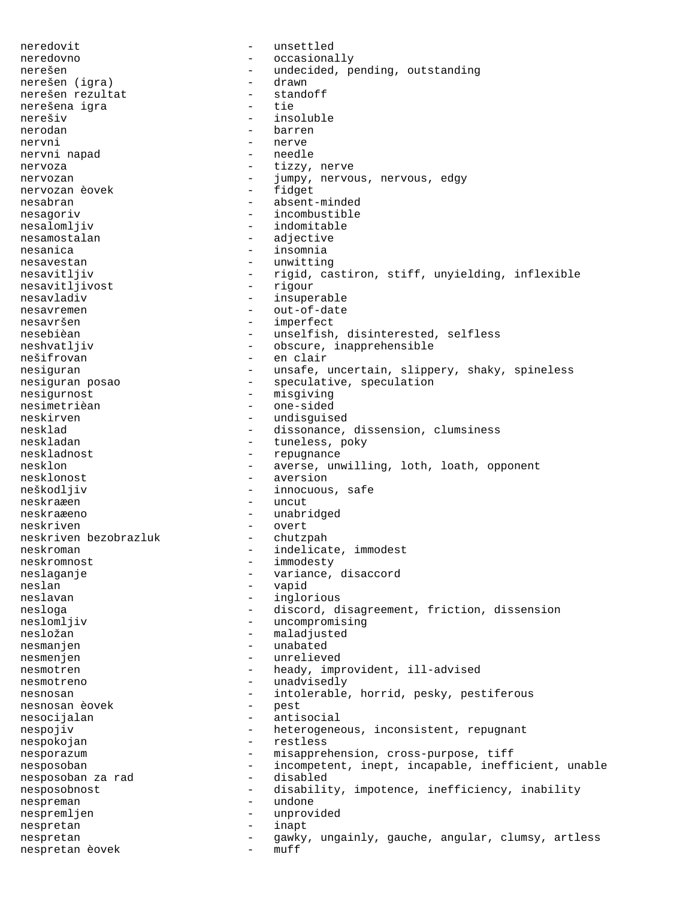neredovit - unsettled neredovno - occasionally nerešen - undecided, pending, outstanding<br>nerešen (igra) - drawn - drawn nerešen (igra) - drawn nerešen rezultat nerešena igra<br>nerešiv - tie nerešiv - insoluble nerodan - barren nervni - nerve nervni napad nervoza - tizzy, nerve nervozan - jumpy, nervous, nervous, edgy<br>nervozan èovek - fidget nervozan èovek nesabran - absent-minded nesagoriv - incombustible nesalomljiv - indomitable nesamostalan - adjective<br>nesanica - insomnia nesanica - insomnia nesavestan - unwitting nesavitljiv - rigid, castiron, stiff, unyielding, inflexible nesavitljivost - rigour nesavitljivost<br>nesavladiv - insuperable nesavremen - out-of-date<br>nesavršen - imperfect - imperfect nesebièan - unselfish, disinterested, selfless neshvatljiv  $\qquad \qquad -$  obscure, inapprehensible nešifrovan - en clair nesiguran - unsafe, uncertain, slippery, shaky, spineless nesiguran posao  $\qquad \qquad$  - speculative, speculation nesigurnost - misgiving<br>nesimetrièan - one-sided nesimetrièan - one-sided<br>neskirven - undisquis neskirven - undisguised<br>nesklad - dissonance. nesklad - dissonance, dissension, clumsiness<br>neskladan - - tuneless, poky - tuneless, poky neskladnost - repugnance nesklon - averse, unwilling, loth, loath, opponent nesklonost - aversion - innocuous, safe neskraæen - uncut neskraæeno - unabridged neskriven<br>
neskriven bezobrazluk - overt<br>
- chutzpah neskriven bezobrazluk neskroman en modest en modest en modest immodest neskromnost - immodesty neslaganje - variance, disaccord<br>neslan<br>- vanid neslan - vapid<br>neslavan - ingloi - inglorious nesloga - discord, disagreement, friction, dissension<br>neslomljiv - uncompromising - uncompromising nesložan - maladjusted nesmanjen - unabated nesmenjen - unrelieved nesmotren - heady, improvident, ill-advised<br>nesmotreno - unadvisedly nesmotreno - unadvisedly nesnosan - intolerable, horrid, pesky, pestiferous<br>nesnosan èovek - pest<br>pest nesnosan èovek - pestuale - pestuale - pestuale - pestuale - pestuale - pestuale - pestuale - per pestuale - p nesocijalan - antisocial nespojiv external consistent, repugnant the heterogeneous, inconsistent, repugnant nespokojan - restless nesporazum - misapprehension, cross-purpose, tiff nesposoban - incompetent, inept, incapable, inefficient, unable nesposoban za rad nesposobnost - disability, impotence, inefficiency, inability nespreman - undone nespremljen - unprovided nespretan - unprovided - unprovided nespretan - inapt nespretan - gawky, ungainly, gauche, angular, clumsy, artless nespretan èovek - muff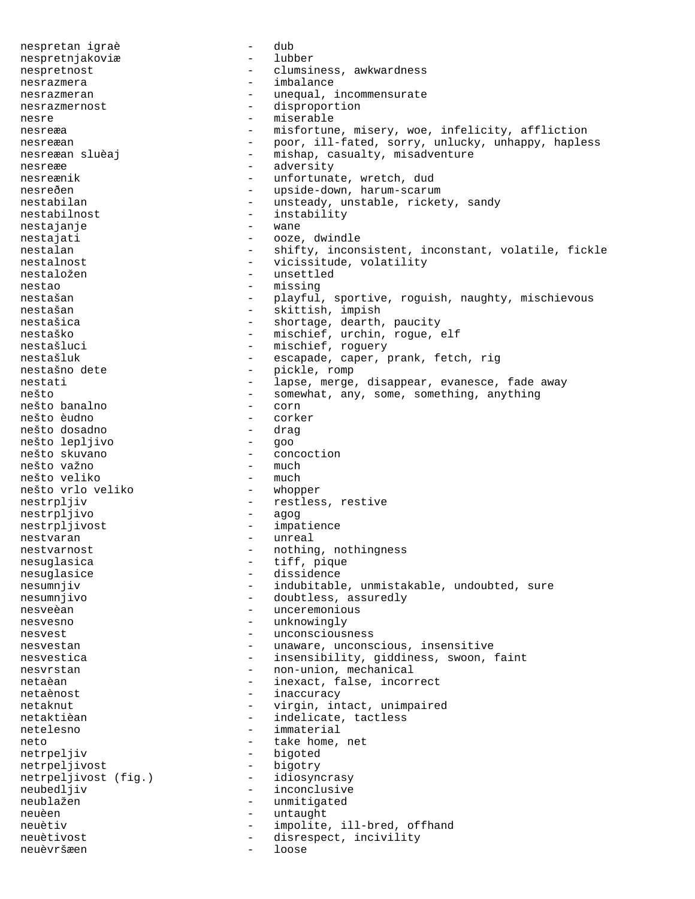nespretan igraè - dub nespretnjakoviæ - lubber nespretnost - clumsiness, awkwardness nesrazmera  $-$  imbalance nesrazmeran - unequal, incommensurate nesrazmernost - disproportion nesre - miserable nesreæa - misfortune, misery, woe, infelicity, affliction nesreæan - poor, ill-fated, sorry, unlucky, unhappy, hapless nesreæan sluèaj  $-$  mishap, casualty, misadventure nesreæe - adversity nesreænik - unfortunate, wretch, dud nesreðen - upside-down, harum-scarum nestabilan - unsteady, unstable, rickety, sandy nestabilnost - instability<br>nestajanje - wane - wane nestajanje - wanestajanje nestajati - ooze, dwindle nestalan - shifty, inconsistent, inconstant, volatile, fickle nestalnost - vicissitude, volatility<br>nestaložen - unsettled nestaložen - unsettled nestao - missing - missing - missing para ang manang manang manang manang manang manang manang manang manang m<br>Ang manang manang manang manang manang manang manang manang manang manang manang manang manang manang manang m - playful, sportive, roguish, naughty, mischievous nestašan - skittish, impish nestašica - shortage, dearth, paucity nestaško - mischief, urchin, rogue, elf nestašluci - mischief, roguery nestašluk - escapade, caper, prank, fetch, rig<br>nestašno dete - pickle, romp nestašno dete nestati - lapse, merge, disappear, evanesce, fade away nešto<br>nešto banalno<br>- corn<br>- corn<br>- corn nešto banalno - corn nešto èudno - corker nešto dosadno - drag nešto lepljivo<br>nešto skuvano - concoction<br>- much nešto važno - much nešto veliko - much<br>nešto vrlo veliko - vhopper nešto vrlo veliko nestrpljiv - restless, restive - restless, restive - restess, restive - agog nestrpljivo nestrpljivost - impatience<br>nestvaran - unreal - unreal nestvarnost external restriction of the nothing, nothingness nesuglasica  $-$  tiff, pique nesuglasice - dissidence nesumnjiv  $-$  indubitable, unmistakable, undoubted, sure nesumnjivo - doubtless, assuredly nesveèan  $-$  unceremonious nesvesno - unknowingly nesvest - unconsciousness nesvestan - unaware, unconscious, insensitive nesvestica <br/> - insensibility, giddiness, swoon, faint nesvrstan - non-union, mechanical netaèan - inexact, false, incorrect netaènost - inaccuracy<br>
netaknut - virgin in netaknut - virgin, intact, unimpaired netaktièan  $-$  indelicate, tactless netelesno - immaterial neto  $-$  take home, net netrpeljiv - bigoted netrpeljivost - bigotry<br>netrpeljivost (fig.) - idiosyncrasy netrpeljivost (fig.)<br>neubedljiv - inconclusive neublažen - unmitigated<br>
neuèen - untaught neuèen - untaught neuètiv - impolite, ill-bred, offhand neuètivost  $-$  disrespect, incivility neuèvršæen - loose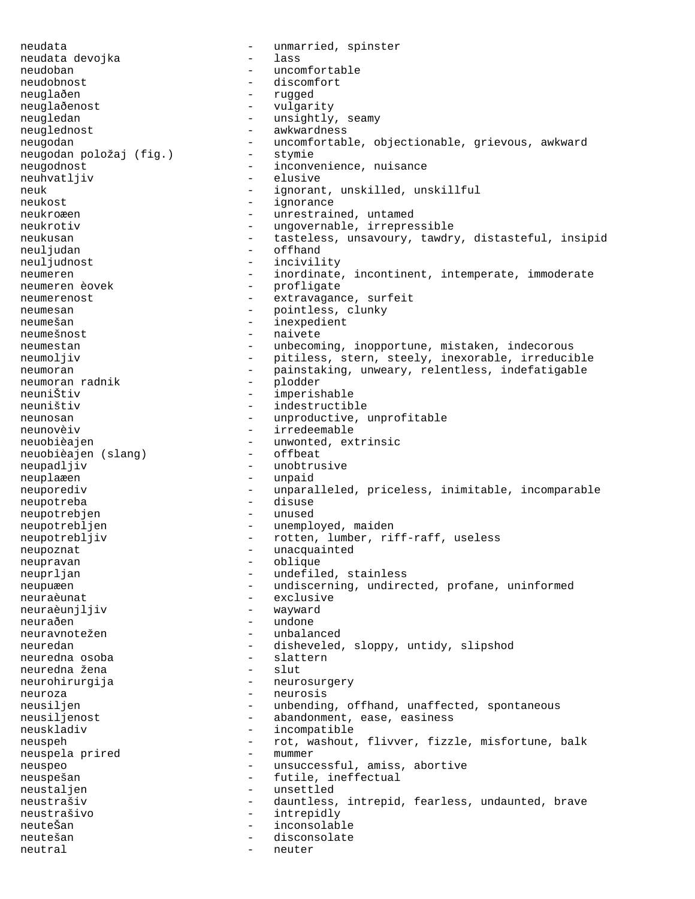neudata  $\begin{array}{ccc} - & \text{unmarried, spinster} \\ - & \text{las} \end{array}$ neudata devojka neudoban - uncomfortable neudobnost - discomfort neuglaðen - rugged neuglaðenost - vulgarity neugledan - unsightly, seamy neuglednost - awkwardness neugodan - uncomfortable, objectionable, grievous, awkward neugodan položaj (fig.) - stymie neugodan položaj (fig.) neugodnost extending the inconvenience, nuisance neuhvatljiv - elusive neuk - ignorant, unskilled, unskillful neukost - ignorance neukroæen en van de van de van de van de van de van de van de van de van de van de van de van de van de van de neukrotiv - ungovernable, irrepressible neukusan - tasteless, unsavoury, tawdry, distasteful, insipid neuljudan - offhand<br>neuljudnost - offhand<br>- incivility neuljudnost<br>neumeren neumeren - inordinate, incontinent, intemperate, immoderate<br>
- profligate<br>
- profligate - profligate<br>- extravaganc neumerenost - extravagance, surfeit neumesan - pointless, clunky neumešan - inexpedient neumešnost - naivete neumestan - unbecoming, inopportune, mistaken, indecorous neumoljiv - pitiless, stern, steely, inexorable, irreducible neumoran - painstaking, unweary, relentless, indefatigable<br>neumoran radnik - plodder neumoran radnik - plodder neuniŠtiv - imperishable - indestructible neunosan - unproductive, unprofitable neunovèiv - irredeemable neuobièajen - unwonted, extrinsic<br>neuobièajen (slang) - offbeat neuobièajen (slang) neupadljiv - unobtrusive neuplaæen - unpaid neuporediv - unparalleled, priceless, inimitable, incomparable neupotreba - disuse neupotrebjen - unused neupotrebljen - unemployed, maiden neupotrebljiv - rotten, lumber, riff-raff, useless neupoznat - unacquainted<br>neupravan - blique - blique neupravan neuprljan - undefiled, stainless neupuæen - undiscerning, undirected, profane, uninformed neuraèunat - exclusive neuraèunjljiv neuraðen - undone neuravnotežen - unbalanced neuredan - disheveled, sloppy, untidy, slipshod neuredna osoba - slattern neuredna osoba - slattern neuredna žena - slut neurohirurgija - neurosurgery neuroza - neurosis neusiljen - unbending, offhand, unaffected, spontaneous<br>neusiljenost - abandonment, ease, easiness neusiljenost - abandonment, ease, easiness<br>neuskladiv - incompatible - incompatible neuspeh - rot, washout, flivver, fizzle, misfortune, balk<br>neuspela prired - mummer neuspela prired - mummer neuspeo - unsuccessful, amiss, abortive neuspešan - futile, ineffectual neustaljen - unsettled neustrašiv  $-$  dauntless, intrepid, fearless, undaunted, brave neustrašivo - intrepidly - inconsolable neutešan - disconsolate neutral - neuter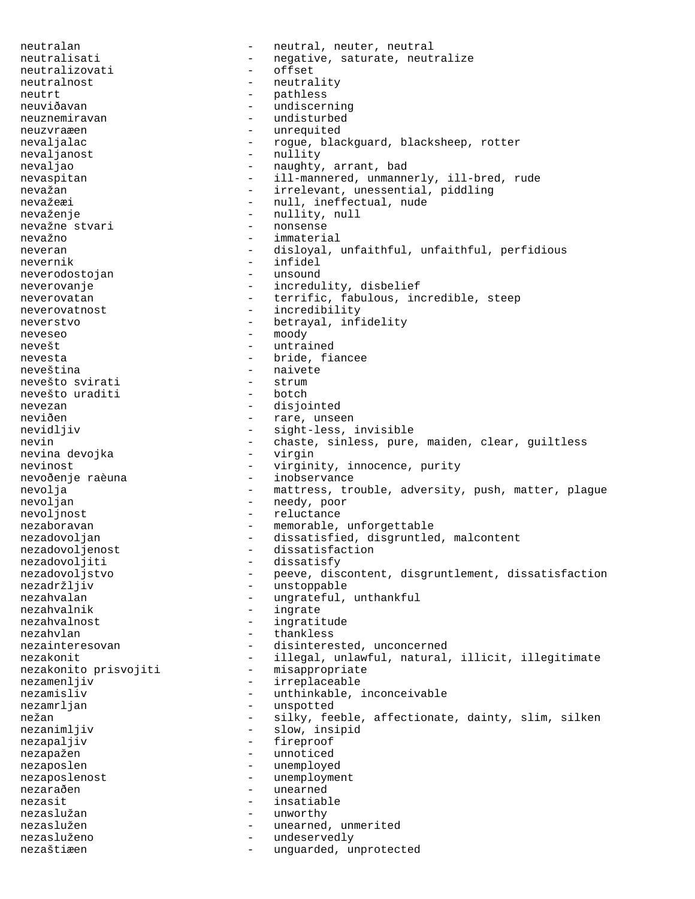neutralan - neutral, neutral, neutral neutralisati - negative, saturate, neutralize<br>neutralizovati - offset neutralizovati neutralnost - neutrality neutrt - pathless neuviðavan meuviðavan meuviðavan meuviðavan meuviðavan meuviðavan menning neuznemiravan - undisturbed neuzvraæen - unrequited nevaljalac - rogue, blackguard, blacksheep, rotter nevaljanost - nullity nevaljao - naughty, arrant, bad nevaspitan - ill-mannered, unmannerly, ill-bred, rude nevažan - irrelevant, unessential, piddling nevažeæi  $-$  null, ineffectual, nude nevaženje - nullity, null<br>nevažne stvari - nonsense - nonsense nevažne stvari nevažno - immaterial neveran - disloyal, unfaithful, unfaithful, perfidious<br>nevernik - infidel nevernik – infinite energy of the series of the series of the series of the series of the series of the series neverodostojan - unsound neverovanje - incredulity, disbelief neverovatan - terrific, fabulous, incredible, steep neverovatnost - incredibility neverstvo - betrayal, infidelity neveseo - moody nevešt - untrained nevesta  $-$  bride, fiancee neveština - naivete<br>nevešto svirati - strum - naivete nevešto svirati - strum nevešto uraditi nevezan - disjointed neviðen - rare, unseen nevidljiv - sight-less, invisible nevin - chaste, sinless, pure, maiden, clear, guiltless<br>nevina devojka - virgin nevina devojka nevinost - virginity, innocence, purity - inobservance nevolja - mattress, trouble, adversity, push, matter, plague nevoljan - needy, poor nevoljnost - reluctance nezaboravan entry and the memorable, unforgettable nezadovoljan - dissatisfied, disgruntled, malcontent nezadovoljenost - dissatisfaction nezadovoljiti - dissatisfy nezadovoljstvo - peeve, discontent, disgruntlement, dissatisfaction nezadržljiv - unstoppable nezahvalan  $-$  ungrateful, unthankful nezahvalnik - ingrate nezahvalnost - ingratitude nezahvlan - thankless nezainteresovan - disinterested, unconcerned nezakonit entimate - illegal, unlawful, natural, illicit, illegitimate nezakonito prisvojiti - misappropriate nezamenljiv - irreplaceable nezamisliv - unthinkable, inconceivable<br>nezamrlian - unspotted nezamrljan - unspotted nežan - silky, feeble, affectionate, dainty, slim, silken nezanimljiv - slow, insipid nezapaljiv - fireproof nezapažen - unnoticed nezaposlen - unemployed nezaposlenost - unemployment<br>nezaraðen - unearned nezaraðen - unearned nezasit<br>nezaslužan - insatiable<br>nezaslužan - unworthy nezaslužan - unworthy nezaslužen - unearned, unmerited<br>nezasluženo - undeservedly nezasluženo - undeservedly<br>nezaštiæen - unquarded un nezaštiæen en variouwer - unguarded, unprotected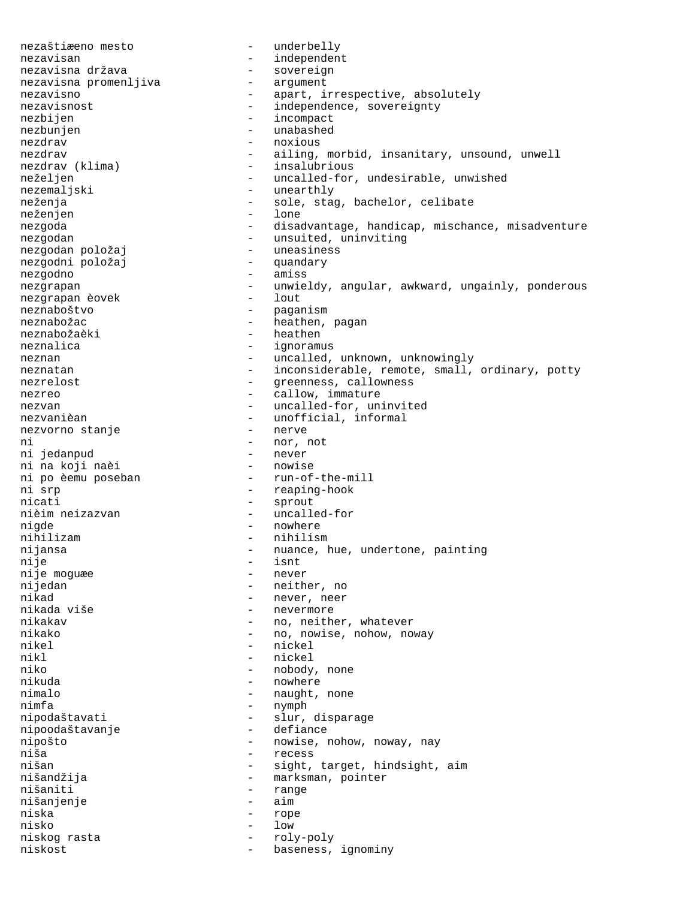nezaštiæeno mesto - underbelly nezavisan - independent<br>nezavisna država - sovereign nezavisna država - sovereign nezavisna promenljiva nezavisno - apart, irrespective, absolutely nezavisnost - independence, sovereignty<br>
nezbijen<br>
- incompact - incompact nezbunjen - unabashed nezdrav - noxious nezdrav - ailing, morbid, insanitary, unsound, unwell<br>nezdrav (klima) - insalubrious - insalubrious neželjen - uncalled-for, undesirable, unwished nezemaljski - unearthly neženja - sole, stag, bachelor, celibate neženjen - lone nezgoda - disadvantage, handicap, mischance, misadventure nezgodan - unsuited, uninviting<br>nezgodan položaj - uneasiness nezgodan položaj - uneasiness nezgodni položaj nezgodno - amiss nezgrapan - unwieldy, angular, awkward, ungainly, ponderous<br>nezgrapan èovek - lout nezgrapan èovek neznaboštvo - paganism neznabožac - heathen, pagan neznabožaèki - heathen neznalica - ignoramus neznan - uncalled, unknown, unknowingly neznatan - inconsiderable, remote, small, ordinary, potty nezrelost  $-$  greenness, callowness nezreo  $\overline{\phantom{a}}$  - callow, immature nezvan - uncalled-for, uninvited nezvanièan - unofficial, informal nezvorno stanje ni - nor, not ni jedanpud - never ni na koji naèi ni po èemu poseban - run-of-the-mill ni srp  $\overline{\phantom{a}}$  - reaping-hook nicati - sprout nièim neizazvan - uncalled-for nigde - nowhere - nowhere - nowhere - nihilizam - nihilism nihilizam - nihilism nijansa - nuance, hue, undertone, painting<br>nije - isnt - isnt - isnt<br>- never nije moguæe<br>nijedan nijedan - neither, no<br>nikad - never neer nikad - never, neer - nevermore nikakav - no, neither, whatever nikako - no, nowise, nohow, noway nikel - nickel nikl - nickel niko - nobody, none nikuda - nowhere - nowhere nimalo - naught, none nimfa - nymph - nymph - nymph - nymph - nymph - slur, - slur, disparage<br>- defiance nipoodaštavanje nipošto - nowise, nohow, noway, nay niša niša - recess nišan - sight, target, hindsight, aim<br>nišandžija - - - - - - - marksman, pointer - marksman, pointer nišaniti - range<br>nišanjenje - range - range nišanjenje niska - rope nisko - low<br>niskog rasta - rol:<br>- rol: niskog rasta - roly-poly niskost  $-$  baseness, ignominy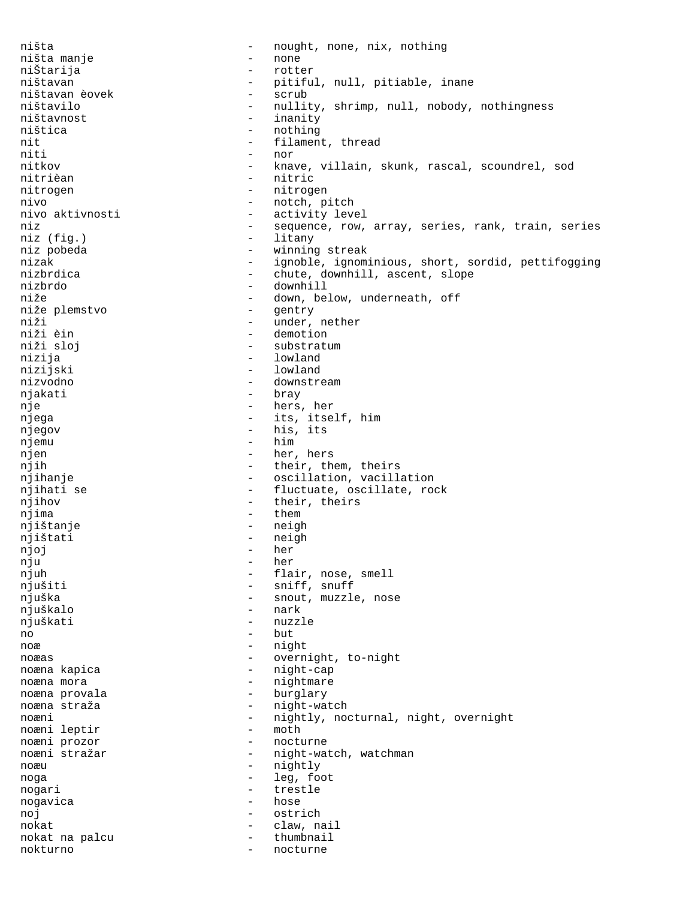ništa - nought, none, nix, nothing ništa manje - none niŠtarija - rotter ništavan - pitiful, null, pitiable, inane ništavan èovek - scrub ništavilo - nullity, shrimp, null, nobody, nothingness ništavnost - inanity ništica - nothing - nothing - nothing - nothing - nothing - nothing - nothing - nothing - nothing - nothing - nothing - nothing - nothing - nothing - nothing - nothing - nothing - nothing - nothing - nothing - nothing - no nit  $-$  filament, thread<br>niti  $-$  nor - nor nitkov - knave, villain, skunk, rascal, scoundrel, sod nitrièan - nitric nitrogen - nitrogen nivo - notch, pitch nivo aktivnosti - activity level niz  $-$  sequence, row, array, series, rank, train, series<br>niz (fiq.)  $-$  litany niz (fig.) - litang na manang manang manang manang manang manang manang manang manang manang manang manang manang manang manang manang manang manang manang manang manang manang manang manang manang manang manang manang man niz pobeda  $-$  winning streak nizak - ignoble, ignominious, short, sordid, pettifogging<br>nizbrdica - chute, downhill, ascent, slope nizbrdica - chute, downhill, ascent, slope<br>
nizbrdo - chute, downhill, ascent, slope<br>
- downhill nizbrdo - downhill - down, below, underneath, off<br>- gentry niže plemstvo<br>niži niži - under, nether niži èin - demotion - substratum nizija - lowland nizijski - lowland nizvodno - downstream njakati - braya - braya - braya - braya - braya - braya - braya - braya - braya - braya - braya - braya - bray nje  $-$  hers, her njega - its, itself, him njegov - his, its njemu - him njen - her, hers njih  $-$  their, them, theirs njihanje  $-$  oscillation, vacillation njihati se  $-$  fluctuate, oscillate, rock njihov - their, theirs njima - them njištanje - neigh njištati - neigh njoj - her nju - her njuh - flair, nose, smell njušiti - sniff, snuff njuška - snout, muzzle, nose njuškalo - nark njuškati - nuzzle  $n_0$  - but noæ - night noæas - overnight, to-night noæna kapica - night-cap noæna mora <br/> endem - nightmare noæna provala <br/> endblommed - burglary noæna straža  $-$  night-watch noæni - nightly, nocturnal, night, overnight<br>noæni leptir - moth - moth noæni leptir<br>noæni prozor - nocturne noæni stražar - 1998 - night-watch, watchman noæu - nightly noga - leg, foot nogari - trestle<br>noqavica - hose<br>- hose nogavica - hose - hose - hose - hose - hose - hose - hose - hose - hose - hose - hose - hose - hose - hose - h noj en estrich en estrich en estrich nokat - claw, nail nokat na palcu  $-$  thumbnail nokturno - nocturne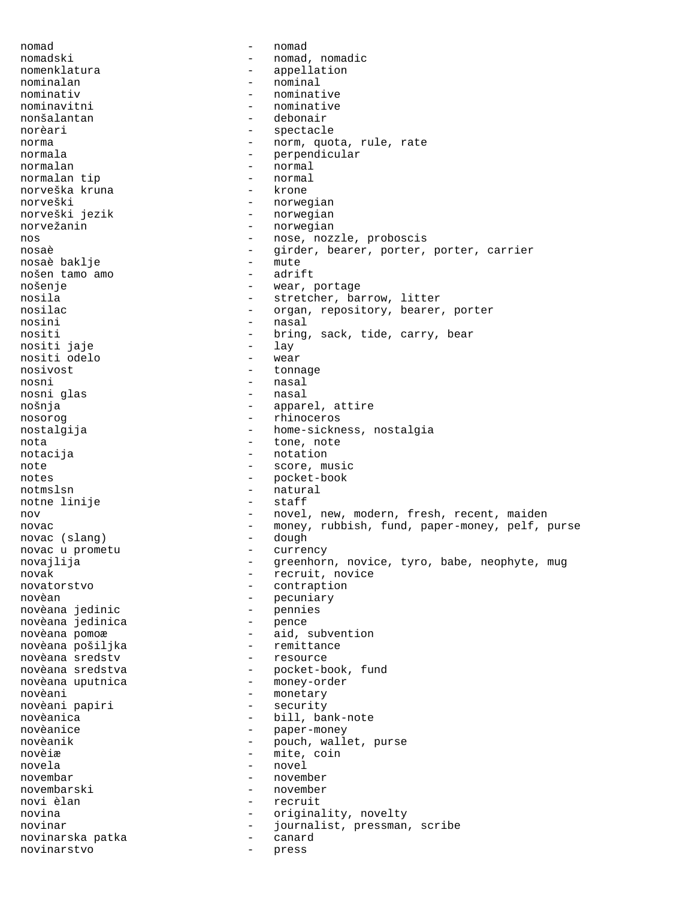nomad - nomad nomadski - nomad, nomadic<br>nomenklatura - appellation nomenklatura - appellation nominalan nominativ - nominative nominavitni - nominative - debonair norèari - spectacle norma - norm, quota, rule, rate normala - perpendicular normalan - normal<br>normalan tip - normal - normal normalan tip - normal norveška kruna norveški - norwegian<br>norveški jezik - norwegian - norwegian norvežanin <br />
morvežanin + norwegian<br />
morve $\sim$  0.1111 + norwegian nos  $-$  nose, nozzle, proboscis nosaè  $\qquad \qquad \qquad -$  girder, bearer, porter, porter, carrier<br>nosaè baklie  $\qquad \qquad -$  mute nosaè baklje - mute nošen tamo amo<br>nošenje nošenje - wear, portage nosila - stretcher, barrow, litter<br>nosilac - croan, repository, bearer - organ, repository, bearer, porter nosini - nasal nositi - bring, sack, tide, carry, bear nositi jaje nositi odelo - wear tonnage nosni - nasal nosni glas nošnja - apparel, attire nosorog - rhinoceros nostalgija - home-sickness, nostalgia nota - tone, note notacija - notation - notation note  $\qquad \qquad -$  score, music notes - pocket-book notmslsn - natural<br>notne linije - staff notne linije nov and the novel, new, modern, fresh, recent, maiden novac - money, rubbish, fund, paper-money, pelf, purse novac (slanq) - dough novac (slang) - dough novac u prometu novajlija - compositor - greenhorn, novice, tyro, babe, neophyte, mug novak - recruit, novice<br>novatorstvo - contraption - contraption novèan - pecuniary novèana jedinic - pennies novèana jedinica novèana pomoæ - aid, subvention novèana pošiljka - remittance novèana sredstv novèana sredstva - pocket-book, fund novèana uputnica - money-order novèani<br>novèani papiri de la composition de la composition de la composition de la composition de la composition de la<br>novèani papiri novèani papiri - security novèanica - bill, bank-note novèanice - paper-money pouch, wallet, purse novèiæ - mite, coin novela - novel novembar - november novembarski - november novi èlan di controlle della controlle della controlle della controlle della controlle della controlle della co novina  $-$  originality, novelty novinar - journalist, pressman, scribe novinarska patka - canard novinarstvo - press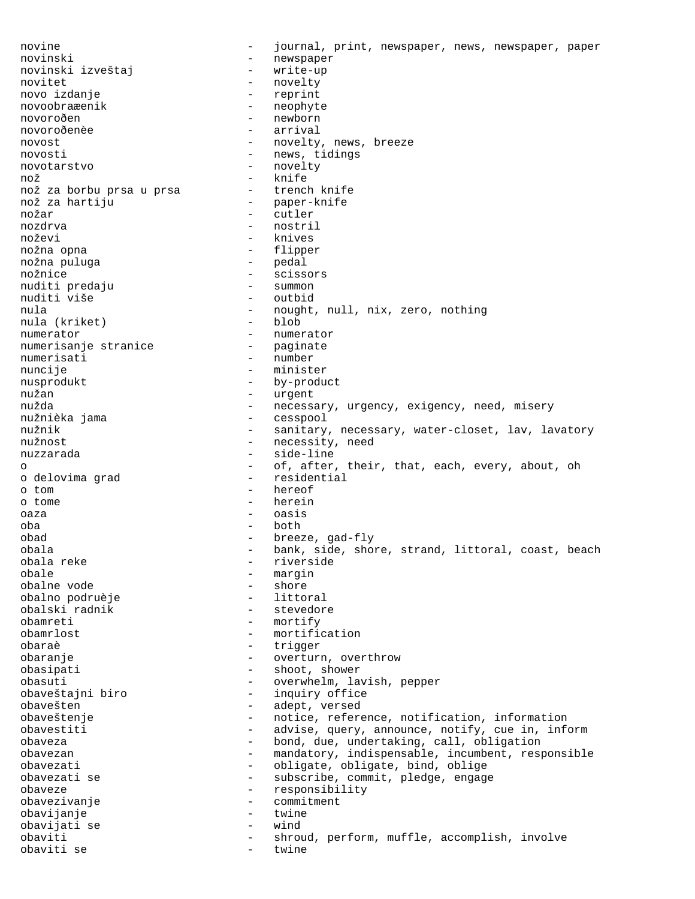novine  $-$  journal, print, newspaper, news, newspaper, paper novinski - newspaper novinski izveštaj novitet - novelty novo izdanje - reprint novoobraæenik - neophyte<br>novoroðen - newborn novoroðen - newborn - arrival novost - novelty, news, breeze novosti - news, tidings novotarstvo - novelty nož - knife nož za borbu prsa u prsa nož za hartiju - paper-knife nožar - cutler nozdrva - nostril noževi - knives nožna opna - flipper nožna puluga nožnice – scissors<br>
nuditi predaju – summon – summon nuditi predaju - summon nuditi više nula - nought, null, nix, zero, nothing<br>nula (kriket) - blob nula (kriket) numerator - numerator<br>numerisanje stranice - paginate numerisanje stranice numerisati - number nuncije - minister nusprodukt - by-product nužan - urgent nužda - necessary, urgency, exigency, need, misery<br>nužnièka jama - cesspool - cesspool nužnièka jama<br>nužnik nužnik - sanitary, necessary, water-closet, lav, lavatory<br>nužnost - necessity, need - necessity, need nuzzarada - side-line o - of, after, their, that, each, every, about, oh<br>
o delovima grad - residential o delovima grad o tom - hereof o tome - herein oaza - oasis oba - both obad - breeze, gad-fly obala - bank, side, shore, strand, littoral, coast, beach<br>obala reke - riverside - riverside obale - margin<br>obalne vode - margin<br>- shore obalne vode - shore obalno podruèje<br>obalski radnik - stevedore obamreti - mortify obamrlost - mortification obaraè - trigger obaranje - overturn, overthrow obasipati - shoot, shower obasuti - overwhelm, lavish, pepper obaveštajni biro - inquiry office obavešten - adept, versed obaveštenje - notice, reference, notification, information obavestiti - advise, query, announce, notify, cue in, inform obaveza - bond, due, undertaking, call, obligation - mandatory, indispensable, incumbent, responsible obavezati - obligate, obligate, bind, oblige obavezati se  $-$  subscribe, commit, pledge, engage obaveze - responsibility obavezivanje - commitment obavijanje - twine obavijati se - wind obaviti - shroud, perform, muffle, accomplish, involve obaviti se - twine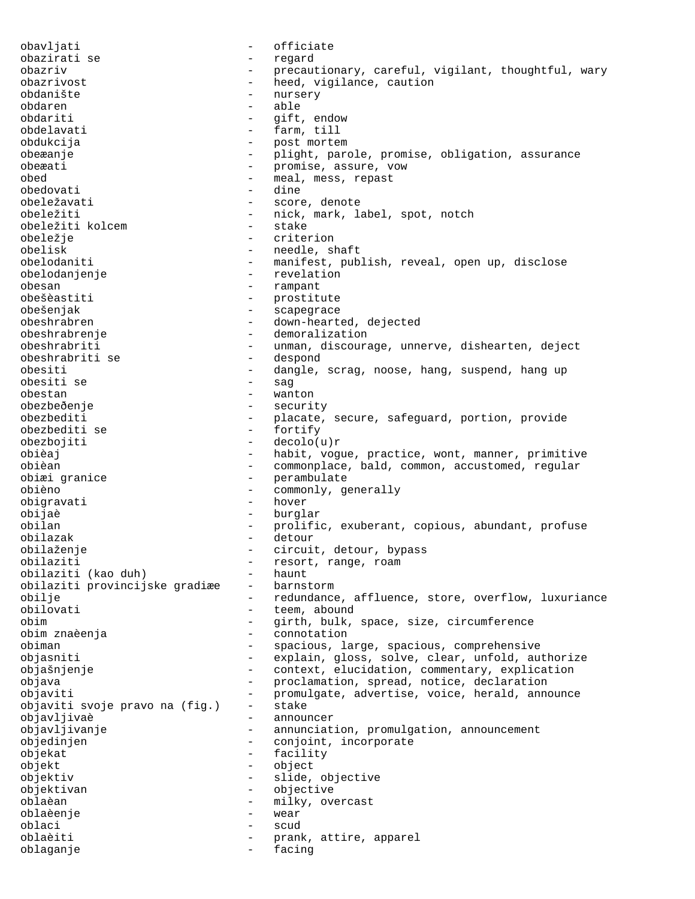obavljati - officiate obazirati se - regard obazriv - precautionary, careful, vigilant, thoughtful, wary obazrivost - heed, vigilance, caution obdanište - nursery obdaren - able obdariti - gift, endow obdelavati - farm, till obdukcija - post mortem obeæanje - plight, parole, promise, obligation, assurance obeæati - promise, assure, vow obed - meal, mess, repast obedovati - dine obeležavati - score, denote obeležiti - nick, mark, label, spot, notch<br>obeležiti kolcem - stake - stake obeležiti kolcem obeležje - criterion obelisk - needle, shaft obelodaniti - manifest, publish, reveal, open up, disclose obelodanjenje - revelation obesan - rampant obešèastiti - prostitute obešenjak - scapegrace obeshrabren - down-hearted, dejected obeshrabrenje - demoralization obeshrabriti - unman, discourage, unnerve, dishearten, deject<br>obeshrabriti se - despond obeshrabriti se obesiti - dangle, scrag, noose, hang, suspend, hang up obesiti se - sag obestan - wanton obezbeðenje - security obezbediti - placate, secure, safeguard, portion, provide obezbediti se - fortify obezbojiti - decolo(u)r obièaj - habit, vogue, practice, wont, manner, primitive obièan - commonplace, bald, common, accustomed, regular<br>
obiæi granice - perambulate - perambulate obièno - commonly, generally obigravati - hover obijaè - burglar<br>
obilan - prolifi prolific, exuberant, copious, abundant, profuse obilazak - detour obilaženje - circuit, detour, bypass obilaziti - resort, range, roam<br>obilaziti (kao duh) - haunt obilaziti (kao duh) haunt<br>obilaziti provincijske gradiæe barnstorm obilaziti provincijske gradiæe obilje - redundance, affluence, store, overflow, luxuriance<br>
obilovati - teem, abound - teem, abound obim - girth, bulk, space, size, circumference obim znaèenja - connotation obiman - spacious, large, spacious, comprehensive objasniti - explain, gloss, solve, clear, unfold, authorize objašnjenje - context, elucidation, commentary, explication objava - proclamation, spread, notice, declaration objaviti  $-$  promulgate, advertise, voice, herald, announce<br>objaviti svoje pravo na (fig.) - stake objaviti svoje pravo na (fig.) - stake objavljivaè - announcer objavljivanje - annunciation, promulgation, announcement objedinjen en metal - conjoint, incorporate objekat - facility objekt - object objektiv - slide, objective objektivan - objective oblaèan - milky, overcast oblaèenje - wear oblaci - scud oblaèiti - prank, attire, apparel oblaganje - facing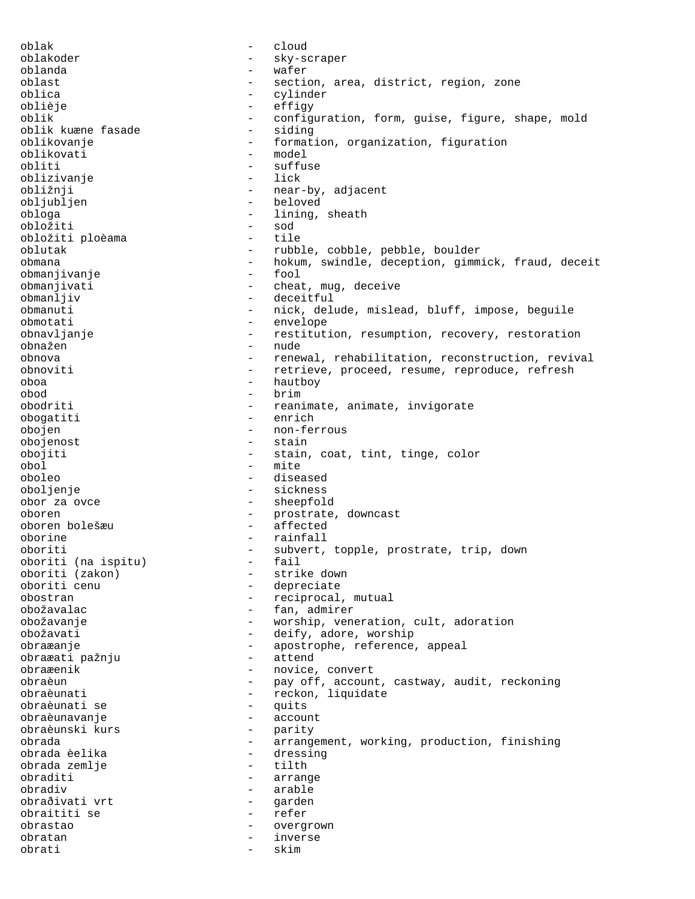oblak - cloud oblakoder - sky-scraper oblanda - wafer oblast  $-$  section, area, district, region, zone oblica - cylinder oblièje - effigy oblik - configuration, form, guise, figure, shape, mold oblik kuæne fasade - siding oblik kuæne fasade<br>oblikovanje - formation, organization, figuration<br>- model oblikovati obliti - suffuse<br>
oblizivanie - lick<br>
- lick oblizivanje obližnji - near-by, adjacent obljubljen - beloved obloga - lining, sheath - bloga - lining, sheath - lining, sheath - sol obložiti - sod obložiti ploèama tile tile tile s oblutak - rubble, cobble, pebble, boulder obmana - hokum, swindle, deception, gimmick, fraud, deceit obmanjivanje<br>obmanjivati obmanjivati - cheat, mug, deceive<br>
obmanljiv<br>
- deceitful - deceitful obmanuti - nick, delude, mislead, bluff, impose, beguile - envelope obnavljanje e strandardivala - restitution, resumption, recovery, restoration obnažen - nude obnova - renewal, rehabilitation, reconstruction, revival obnoviti - retrieve, proceed, resume, reproduce, refresh oboa - hautboy obod - brim obodriti - reanimate, animate, invigorate obogatiti - enrich obojen - non-ferrous obojenost - stain obojiti - stain, coat, tint, tinge, color obol - mite oboleo - diseased oboljenje - sickness obor za ovce  $\qquad \qquad -$  sheepfold oboren - prostrate, downcast oboren bolešæu - affected oborine - rainfall oboriti (na ispitu) - subvert, topple, prostrate, trip, down oboriti (na ispitu) - fail oboriti (na ispitu)<br>oboriti (zakon) oboriti (zakon) - strike down - depreciate obostran - reciprocal, mutual obožavalac - fan, admirer obožavanje - worship, veneration, cult, adoration obožavati - deify, adore, worship obraæanje - apostrophe, reference, appeal obraæati pažnju - attend obraæenik - novice, convert obraèun - pay off, account, castway, audit, reckoning<br>obraèunati - reckon, liquidate obraèunati - reckon, liquidate obraèunati se - quits obraèunavanje - account obraèunski kurs - parity obrada - arrangement, working, production, finishing<br>obrada èelika - dressing - dressing<br>- tilth obrada zemlje obraditi - arrange obradiv - arable obraðivati vrt - garden obraititi se - refer obrastao - overgrown obratan  $-$  inverse obrati - skim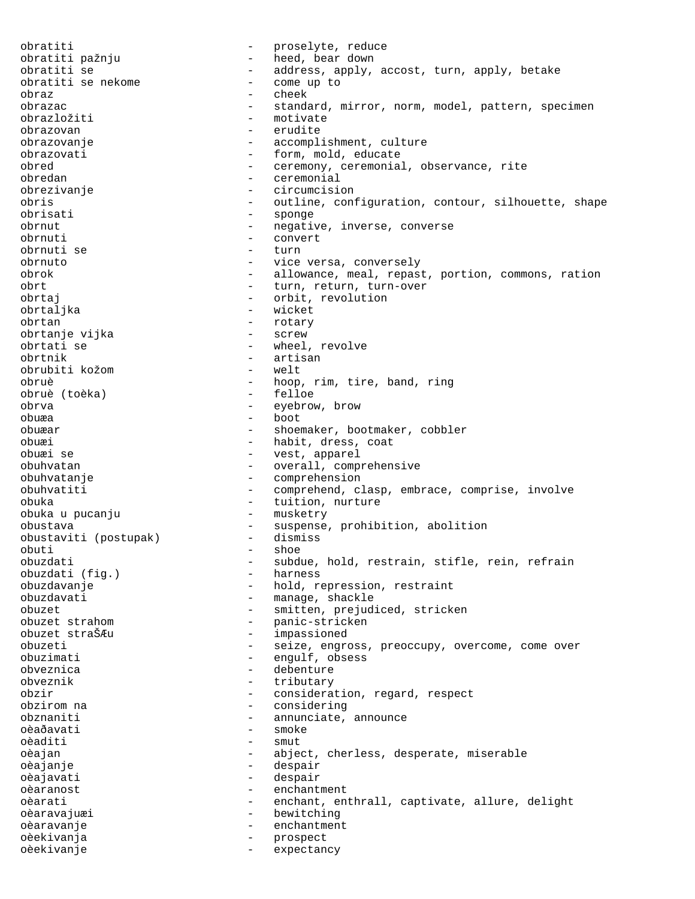obratiti - proselyte, reduce obratiti pažnju - heed, bear down obratiti se - address, apply, accost, turn, apply, betake obratiti se nekome - come up to obraz - cheek obrazac - standard, mirror, norm, model, pattern, specimen<br>obrazložiti - motivate obrazložiti - motivate - motivate - motivate - motivate - motivate - motivate - motivate - motivate - motivate obrazovan - erudite obrazovanje - accomplishment, culture obrazovati - form, mold, educate obred - ceremony, ceremonial, observance, rite obredan - ceremonial obrezivanje - circumcision obris - outline, configuration, contour, silhouette, shape obrisati - sponge obrnut - negative, inverse, converse obrnuti - convert obrnuti se - turn obrnuto - vice versa, conversely obrok - allowance, meal, repast, portion, commons, ration obrt - turn, return, turn-over obrtaj - orbit, revolution obrtaljka - wicket obrtan - rotary obrtanje vijka<br>obrtati se - wheel, revolve obrtnik - artisan obrubiti kožom - welt obruè  $-$  hoop, rim, tire, band, ring<br>obruè (toèka)  $-$  felloe obruè (toèka) - felloe obrva - eyebrow, brow obuæa - boot obuæar - shoemaker, bootmaker, cobbler obuæi - habit, dress, coat obuæi se - vest, apparel obuhvatan  $-$  overall, comprehensive obuhvatanje - comprehension obuhvatiti - comprehend, clasp, embrace, comprise, involve obuka - tuition, nurture obuka u pucanju obustava - suspense, prohibition, abolition<br>obustaviti (postupak) - dismiss obustaviti (postupak) -<br>obuti obuti - shoe obuzdati - subdue, hold, restrain, stifle, rein, refrain obuzdati (fig.) - harness obuzdati (fig.) obuzdavanje - hold, repression, restraint<br>obuzdavati - - manage, shackle - manage, shackle obuzet - smitten, prejudiced, stricken obuzet strahom  $-$  panic-stricken<br>obuzet straŠÆu impassioned - impassioned obuzeti - seize, engross, preoccupy, overcome, come over obuzimati - engulf, obsess obveznica - debenture obveznik - tributary obzir - consideration, regard, respect<br>obzirom na - considering obzirom na - considering obznaniti - annunciate, announce<br>
oà davati - smoke oèaðavati - smoke - smoke - smoke - smoke - smoke - smoke - smoke - smoke - smoke - smoke - smoke - smoke - sm oèaditi - smut<br>oèadan - shie oèajan - abject, cherless, desperate, miserable<br>Oèajanie oèajanje - despair oèajavati - despair oèaranost enchantment oèarati - enchant, enthrall, captivate, allure, delight oèaravajuæi - bewitching oèaravanje - enchantment oèekivanja - prospect oèekivanje - expectancy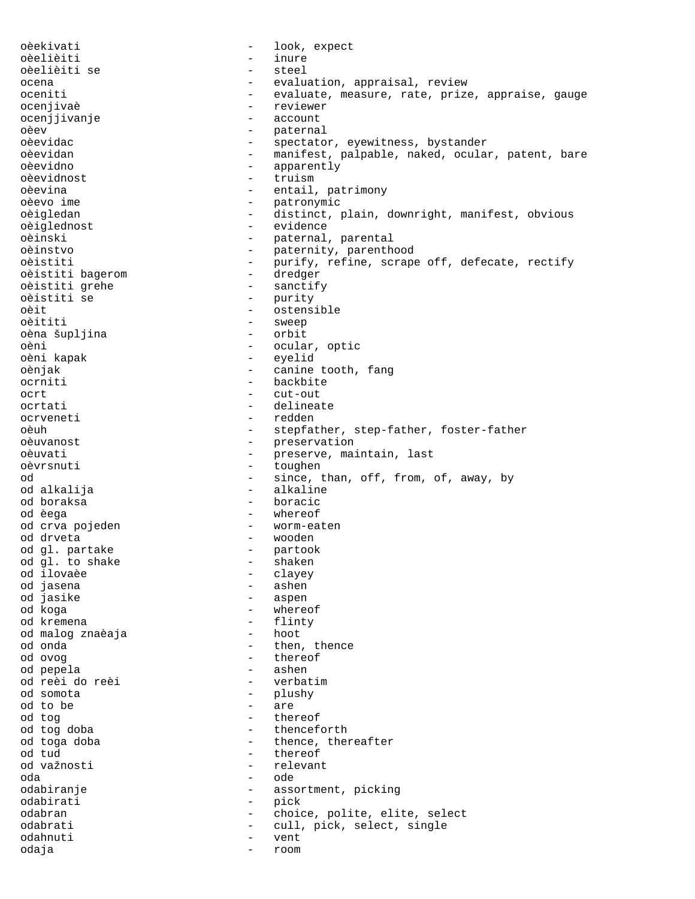oèekivati - look, expect oèelièiti - inure oèelièiti se - steel ocena - evaluation, appraisal, review oceniti - evaluate, measure, rate, prize, appraise, gauge ocenjivaè - reviewer ocenjjivanje - account - account - account - account - account - account - account - account - account oèev - paternal - paternal - paternal - paternal - paternal - paternal - paternal - paternal - paternal - paternal - paternal - paternal - paternal - paternal - paternal - paternal - paternal - paternal - paternal - patern - spectator, eyewitness, bystander oèevidan en entre manifest, palpable, naked, ocular, patent, bare oèevidno - apparently oèevidnost - truism oèevina - entail, patrimony oèevo ime - patronymic oèigledan - distinct, plain, downright, manifest, obvious oèiglednost - evidence oèinski - paternal, parental - paternity, parenthood<br>- purify, refine, scrape oèistiti  $-$  purify, refine, scrape off, defecate, rectify oèistiti baqerom  $-$  dredger oèistiti bagerom - dredger oèistiti grehe<br>oèistiti se - purity<br>- ostens oèit - ostensible<br>
oèititi - sweep<br>
- sweep - sweep<br>- orbit oèna šupljina oèni - ocular, optic oèni kapak - eyelid oènjak - canine tooth, fang ocrniti - backbite ocrt<br>
ocrtati - cut-out<br>
- delinea ocrtati - delineate ocrveneti - redden oèuh - stepfather, step-father, foster-father oèuvanost en entre la preservation oèuvati  $-$  preserve, maintain, last oèvrsnuti - toughen od  $-$  since, than, off, from, of, away, by od alkalija - alkaline od boraksa - boracic od èega - whereof od crva pojeden - vorm-eaten od drveta - wooden od gl. partake - partook od gl. to shake<br>od ilovaèe - clayey<br>- ashen od jasena - ashen od jasike<br>od koga - whereof od kremena<br>
od malog značaja<br>
- hoot - hoot od malog znaèaja od onda  $-$  then, thence od ovog - thereof od pepela - ashen od reèi do reèi - verbatim od somota - plushy od to be  $\overline{ }$  are  $\overline{ }$  are  $\overline{ }$  and to  $\overline{ }$  then od tog - thereof od tog doba - thenceforth - thence, thereafter od tud - thereof - relevant oda - ode odabiranje - assortment, picking odabirati - pick odabran - choice, polite, elite, select odabrati - cull, pick, select, single odahnuti - vent odaja - room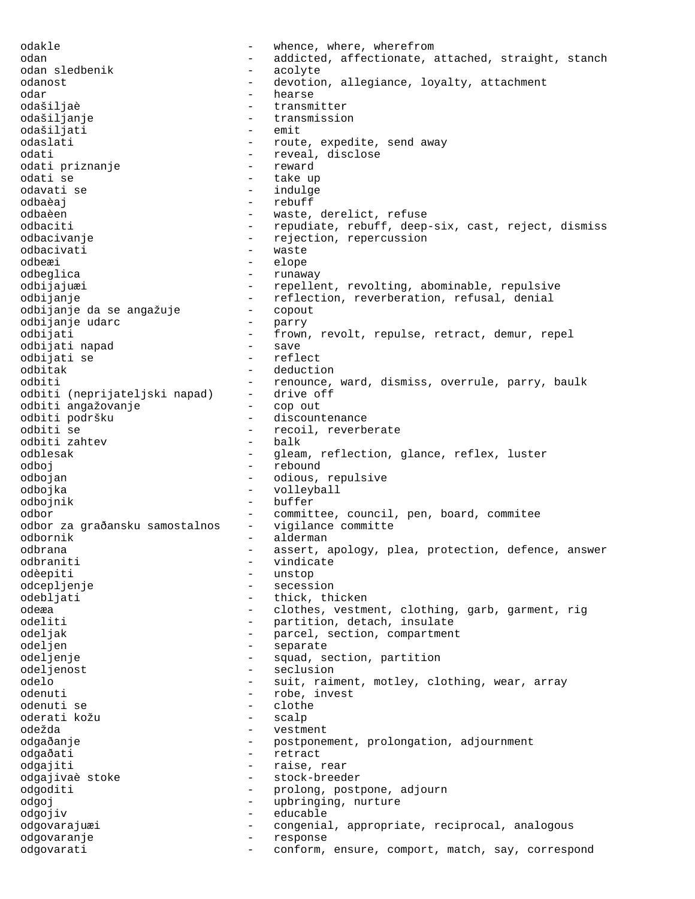odakle  $\qquad \qquad -$  whence, where, wherefrom odan - addicted, affectionate, attached, straight, stanch odan sledbenik - acolyte odanost external contract the devotion, allegiance, loyalty, attachment odar - hearse odašiljaè - transmitter odašiljanje - transmission odašiljati - emit odaslati - route, expedite, send away odati - reveal, disclose odati priznanje odati se - take up odavati se  $-$  indulge odbaèaj - rebuff odbaèen - waste, derelict, refuse odbaciti - repudiate, rebuff, deep-six, cast, reject, dismiss odbacivanje - rejection, repercussion<br>odbacivati - waste - waste odbacivati - waster - waster - was - was - was - was - was - was - was - was - was - was - was - was - was - w odbeæi - elope odbeglica - runaway odbijajuæi - repellent, revolting, abominable, repulsive odbijanje - reflection, reverberation, refusal, denial odbijanje da se angažuje - copout odbijanje udarc odbijati - frown, revolt, repulse, retract, demur, repel<br>
odbijati napad - save - save odbijati napad odbijati se - reflect odbitak - deduction odbiti - renounce, ward, dismiss, overrule, parry, baulk<br>odbiti (neprijateljski napad) - drive off odbiti<br>odbiti (neprijateljski napad) –<br>odbiti angažovanje – odbiti angažovanje - cop out odbiti podršku - discountenance odbiti se - recoil, reverberate<br>
odbiti zahtev - balk<br>
- balk odbiti zahtev odblesak - gleam, reflection, glance, reflex, luster odboj - rebound odbojan - odious, repulsive<br>odbojka - odious, repulsive<br>- vollevball odbojka - volleyball odbojnik - buffer odbor - committee, council, pen, board, commitee odbor za graðansku samostalnos - vigilance committe odbornik - alderman odbrana - assert, apology, plea, protection, defence, answer odbraniti - vindicate<br>
odèeniti - unstop odèepiti - unstop odcepljenje odebljati - thick, thicken odeæa - clothes, vestment, clothing, garb, garment, rig odeliti - partition, detach, insulate odeljak - parcel, section, compartment odeljen - separate odeljenje - squad, section, partition<br>odeljenost - seclusion odeljenost - seclusion<br>
odelo - suit raim odelo - suit, raiment, motley, clothing, wear, array odenuti - robe, invest odenuti se  $\overline{a}$  - clothe  $\overline{a}$  - clothe  $\overline{a}$ oderati kožu - scalp odežda - vestment odgaðanje - postponement, prolongation, adjournment odgaðati - retract odgajiti - raise, rear odgajivaè stoke - stock-breeder odgoditi - prolong, postpone, adjourn odgoj - upbringing, nurture odgojiv - educable odgovarajuæi - congenial, appropriate, reciprocal, analogous odgovaranje - response odgovarati entertain- conform, ensure, comport, match, say, correspond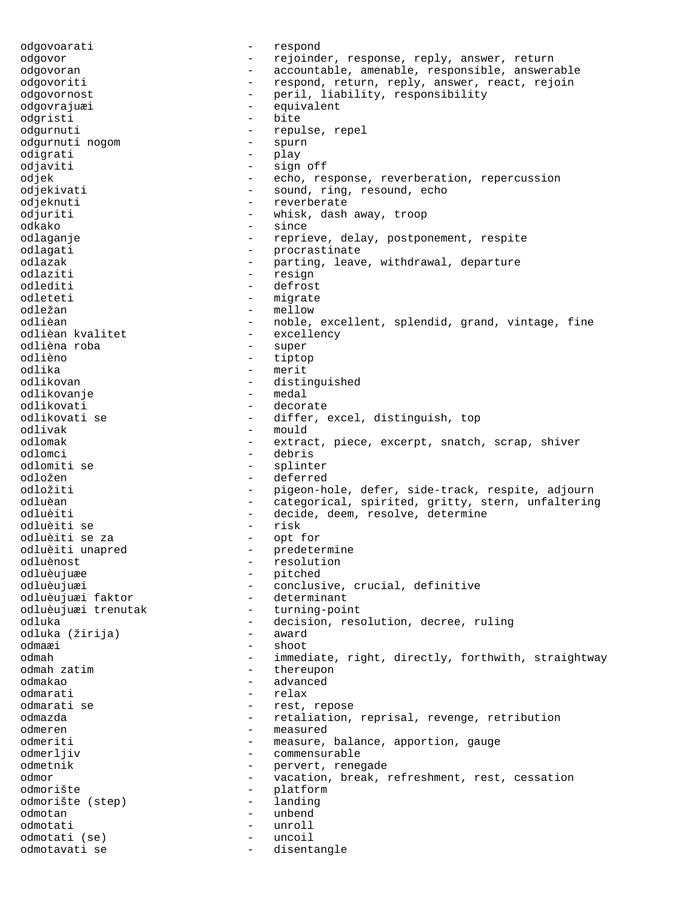odgovoarati - respond odgovor - rejoinder, response, reply, answer, return odgovoran - accountable, amenable, responsible, answerable odgovoriti - respond, return, reply, answer, react, rejoin odgovornost - peril, liability, responsibility odgovrajuæi - equivalent odgristi – biteratur – biteratur – biteratur – biteratur – biteratur – biteratur – biteratur – biteratur – bit<br>Die biteratur – biteratur – biteratur – biteratur – biteratur – biteratur – biteratur – biteratur – biteratur - repulse, repel<br>- spurn odgurnuti nogom odigrati - play odjaviti - sign off odjek - echo, response, reverberation, repercussion odjekivati - sound, ring, resound, echo odjeknuti - reverberate odjuriti - whisk, dash away, troop odkako - since odlaganje e se reprieve, delay, postponement, respite odlagati - procrastinate<br>
odlazak - parting leave odlazak - parting, leave, withdrawal, departure<br>
- calign - resign<br>
- resign odlaziti - resign<br>
odlediti - resign - resign - defrost odlediti - defrost<br>
odleteti - migrate - migrate odležan – mellow<br>odlièan – moble odlièan - noble, excellent, splendid, grand, vintage, fine<br>
odlièan kvalitet - excellency - excellency<br>- super odlièna roba odlièno - tiptop odlika - merit<br>odlikovan - merit - merit odlikovan - distinguished<br>odlikovanie - medal odlikovanje - medal odlikovati - decorate<br>
odlikovati se - differ, e odlikovati se - - differ, excel, distinguish, top<br>
odlivak - - - - - - - mould odlivak - mould - extract, piece, excerpt, snatch, scrap, shiver odlomci - debris odlomiti se - splinter odložen - deferred odložiti - pigeon-hole, defer, side-track, respite, adjourn odluèan - categorical, spirited, gritty, stern, unfaltering odluèiti - decide, deem, resolve, determine odluèiti se odluèiti se za - opt for odluèiti unapred - predetermine odluènost - resolution odluèujuæe - pitched<br>
odluèujuæi - conclus odluèujuæi - conclusive, crucial, definitive<br>
odluèujuæi faktor - determinant odluèujuæi faktor determinant<br>odluèujuæi trenutak turning-point odluèujuæi trenutak odluka - decision, resolution, decree, ruling odluka (žirija) odmaæi - shoot odmah - immediate, right, directly, forthwith, straightway<br>
odmah zatim<br>
- thereupon odmah zatim - thereupon odmakao - advanced odmarati - relax odmarati se  $-$  rest, repose odmazda - retaliation, reprisal, revenge, retribution odmeren - measured odmeriti - measure, balance, apportion, gauge odmerljiv - commensurable odmetnik - pervert, renegade<br>
odmor - vacation break odmor - vacation, break, refreshment, rest, cessation odmorište<br>
odmorište (step) - platform<br>
- landing odmorište (step) - landing odmotan - unbend<br>odmotati - unroll odmotati - unroll<br>odmotati (se) - uncoil odmotati (se) - uncoil odmotavati se  $-$  disentangle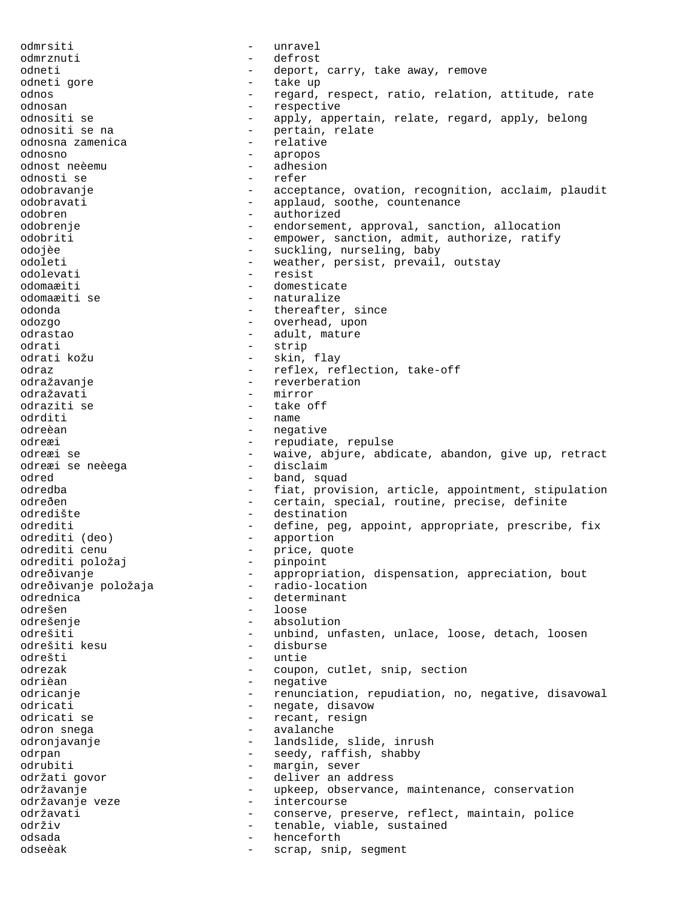odmrsiti - unravel odmrznuti - defrost odneti - deport, carry, take away, remove odneti gore - take up odnos external regard, respect, ratio, relation, attitude, rate odnosan - respective odnositi se  $\begin{array}{cccc} - & \text{apply, appendix, relation} \end{array}$  relate, regard, apply, belong odnositi se na - pertain, relate<br>- relative odnosna zamenica - relative odnosno - apropos odnost neèemu - adhesion odnosti se<br>odobravanje - acceptance, ovation, recognition, acclaim, plaudit odobravati - applaud, soothe, countenance odobren - authorized odobrenje - endorsement, approval, sanction, allocation odobriti - empower, sanction, admit, authorize, ratify odojèe - suckling, nurseling, baby<br>
odoleti - suckling, nurseling, baby<br>
- weather persist prevail odoleti - weather, persist, prevail, outstay odolevati - resist odomaæiti - domesticate - naturalize odonda - thereafter, since odozgo - overhead, upon odrastao - adult, mature odrati - strip odrati kožu - skin, flay odraz  $-$  reflex, reflection, take-off odražavanje - reverberation odražavati - mirror - mirror odraziti se - take off odrditi<br>odreèan odreèan - negative - repudiate, repulse odreæi se - waive, abjure, abdicate, abandon, give up, retract<br>odreæi se neèega - disclaim odreæi se neèega odred band, squad odredba - fiat, provision, article, appointment, stipulation odreðen - certain, special, routine, precise, definite odredište - destination odrediti - define, peg, appoint, appropriate, prescribe, fix<br>odrediti (deo) - apportion - apportion odrediti cenu - price, quote<br>
odrediti položai - princint odrediti položaj - pinpoint odreðivanje - appropriation, dispensation, appreciation, bout<br>odreðivanje položaja - radio-location odreðivanje položaja - radio-location<br>odrednica odrednica - determinant odrešen - loose odrešenje - absolution odrešiti - unbind, unfasten, unlace, loose, detach, loosen odrešiti kesu - disburse odrešti - untie - untie - untie - untie - untie - untie - untie - untie - untie - untie - untie - untie - untie - untie - untie - untie - untie - untie - untie - untie - untie - untie - untie - untie - untie - untie - unti - coupon, cutlet, snip, section odrièan en la communiste de la communiste de la communiste de la communiste de la communiste de la communiste odricanje enteries - renunciation, repudiation, no, negative, disavowal odricati - negate, disavow odricati se - - - - - - - - recant, resign<br>
odron snega odron snega - avalanche odronjavanje - 1andslide, slide, inrush odrpan - seedy, raffish, shabby odrubiti - margin, sever<br>
održati govor - deliver an ade - deliver an address održavanje - upkeep, observance, maintenance, conservation održavanje veze  $-$  intercourse održavati - conserve, preserve, reflect, maintain, police održiv - tenable, viable, sustained odsada - henceforth - henceforth odseèak - scrap, snip, segment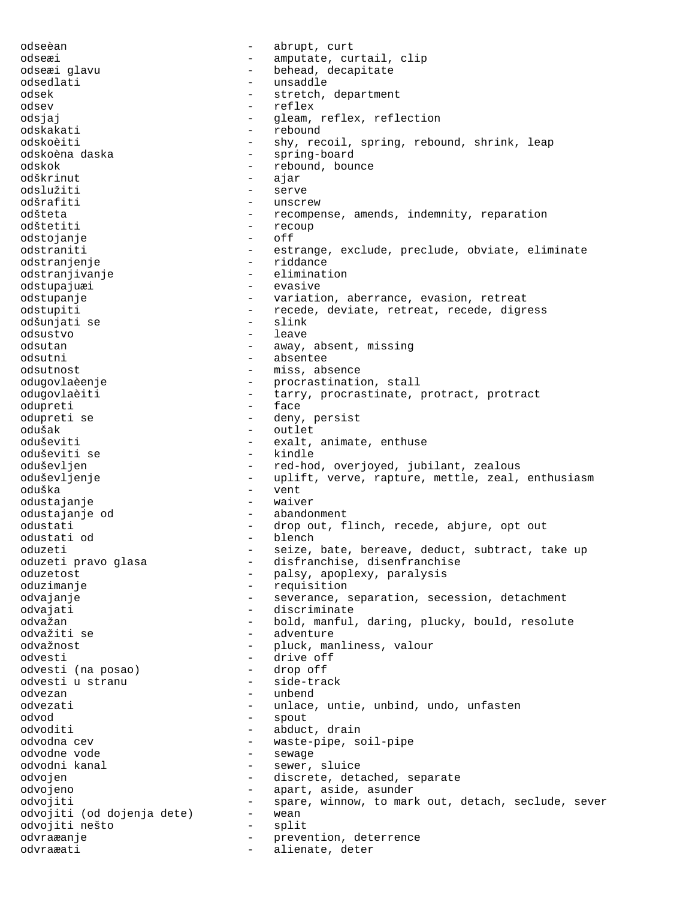odseèan - abrupt, curt odseæi - amputate, curtail, clip odseæi glavu  $-$  behead, decapitate odsedlati - unsaddle odsek - stretch, department odsev - reflex odsjaj - gleam, reflex, reflection<br>
odskakati - rebound odskakati - rebound - shy, recoil, spring, rebound, shrink, leap odskoèna daska <br/> - spring-board <br/> - spring-board <br/> - spring-board <br/>  $\,$ odskok - rebound, bounce odškrinut - ajar odslužiti - serve odšrafiti - unscrew odšteta - recompense, amends, indemnity, reparation odštetiti - recoup odstojanje - off odstraniti - estrange, exclude, preclude, obviate, eliminate odstranjenje<br>
odstranjivanje<br>
odstranjivanje<br>
and and and and alimination odstranjivanje odstupajuæi - evasive odstupanje entitle retreat - variation, aberrance, evasion, retreat odstupiti - recede, deviate, retreat, recede, digress odšunjati se odsustvo - leave odsutan - away, absent, missing odsutni - absentee odsutnost - miss, absence odugovlaèenje - procrastination, stall odugovlaèiti - tarry, procrastinate, protract, protract odupreti - face odupreti se - deny, persist odušak - outlet - exalt, animate, enthuse<br>- kindle oduševiti se oduševljen - red-hod, overjoyed, jubilant, zealous oduševljenje - - uplift, verve, rapture, mettle, zeal, enthusiasm oduška - vent odustajanje - waiver odustajanje od  $-$  abandonment odustati - drop out, flinch, recede, abjure, opt out odustati od - blench oduzeti - seize, bate, bereave, deduct, subtract, take up<br>oduzeti pravo glasa - disfranchise, disenfranchise - disfranchise, disenfranchise oduzetost - palsy, apoplexy, paralysis oduzimanje  $-$  requisition odvajanje en en en en en en everance, separation, secession, detachment odvajati - discriminate odvažan - bold, manful, daring, plucky, bould, resolute odvažiti se  $-$  adventure odvažnost - pluck, manliness, valour odvesti - drive off odvesti (na posao) odvesti u stranu - side-track odvezan - unbend - unlace, untie, unbind, undo, unfasten<br>- spout odvod - spout odvoditi - abduct, drain odvodna cev external control odvodna cev external vaste-pipe, soil-pipe odvodne vode - sewage odvodni kanal  $\qquad \qquad$  - sewer, sluice odvojen - discrete, detached, separate odvojeno - apart, aside, asunder odvojiti - spare, winnow, to mark out, detach, seclude, sever odvojiti (od dojenja dete) - wean odvojiti nešto - split odvraæanje - prevention, deterrence odvraæati - alienate, deter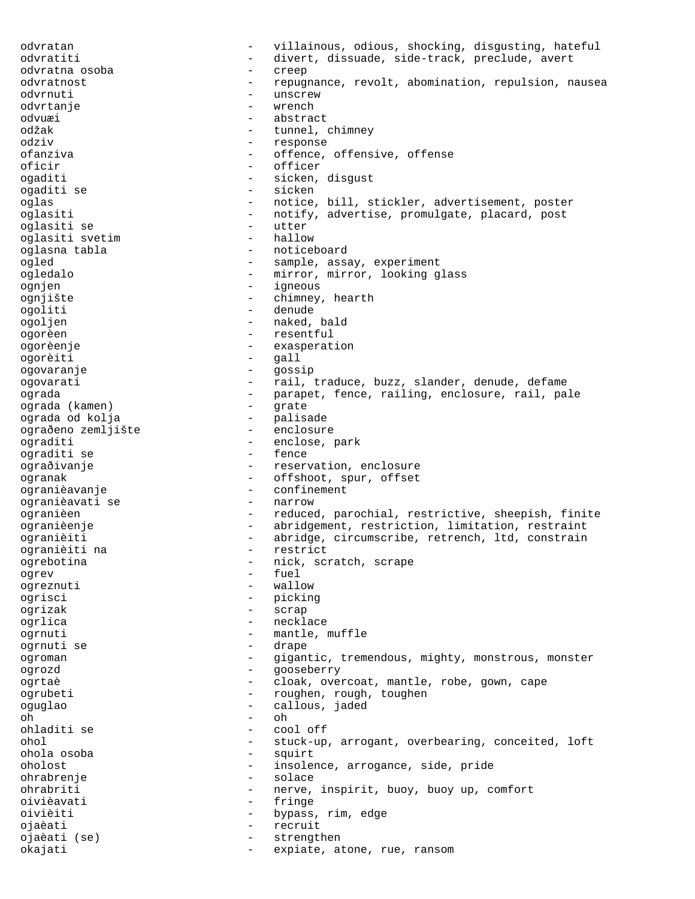odvratan - villainous, odious, shocking, disgusting, hateful odvratiti - divert, dissuade, side-track, preclude, avert odvratna osoba - creep odvratnost - repugnance, revolt, abomination, repulsion, nausea odvrnuti - unscrew - unscrew - unscrew - unscrew - unscrew - unscrew - unscrew - unscrew - unscrew - unscrew odvrtanje odvuæi - abstract odžak - tunnel, chimney<br>
odziv - tesponse - response ofanziva - offence, offensive, offense oficir - officer<br>
ogaditi - officer<br>
- sicken. ogaditi - sicken, disgust<br>ogaditi se - sicken - sicken - sicken oglas - notice, bill, stickler, advertisement, poster oglasiti - notify, advertise, promulgate, placard, post oglasiti se - utter oglasiti svetim endings oglasna tabla - noticeboard ogled - sample, assay, experiment ogledalo - mirror, mirror, looking glass ognjen - igneous ognjište - chimney, hearth ogoliti - denude ogoljen - naked, bald ogorèen - resentful ogorèenje - exasperation ogorèiti - gall ogovaranje - gossip ogovarati - rail, traduce, buzz, slander, denude, defame ograda - parapet, fence, railing, enclosure, rail, pale<br>ograda (kamen) - grate ograda (kamen) - grate ograda od kolja - palisade ograðeno zemljište - enclosure ograditi - enclose, park ograditi se ograðivanje - reservation, enclosure ogranak - offshoot, spur, offset ogranièavanje - confinement ogranièavati se ogranièen - reduced, parochial, restrictive, sheepish, finite ogranièenje  $-$  abridgement, restriction, limitation, restraint ogranièiti <a>>
- abridge, circumscribe, retrench, ltd, constrain</a> ogranièiti na - restrict ogrebotina - nick, scratch, scrape<br>
- fuel<br>
- fuel ogrev - fuel ogreznuti - wallow ogrisci - picking ogrizak - scrap ogrlica - necklace ogrnuti - mantle, muffle ogrnuti se  $\overline{\phantom{a}}$  - drape ogroman - gigantic, tremendous, mighty, monstrous, monster<br>ogrozd - gooseberry ogrozd - gooseberry ogrtaè de cloak, overcoat, mantle, robe, gown, cape ogrubeti - roughen, rough, toughen<br>
- roughen, rough, toughen oguglao - callous, jaded oh - oh ohladiti se - cool off ohol - stuck-up, arrogant, overbearing, conceited, loft<br>
- squirt<br>
- squirt - squirt oholost - insolence, arrogance, side, pride ohrabrenje - solace ohrabriti - nerve, inspirit, buoy, buoy up, comfort oivièavati - fringe oivièiti - bypass, rim, edge ojaèati - recruit ojaèati (se) - strengthen okajati - expiate, atone, rue, ransom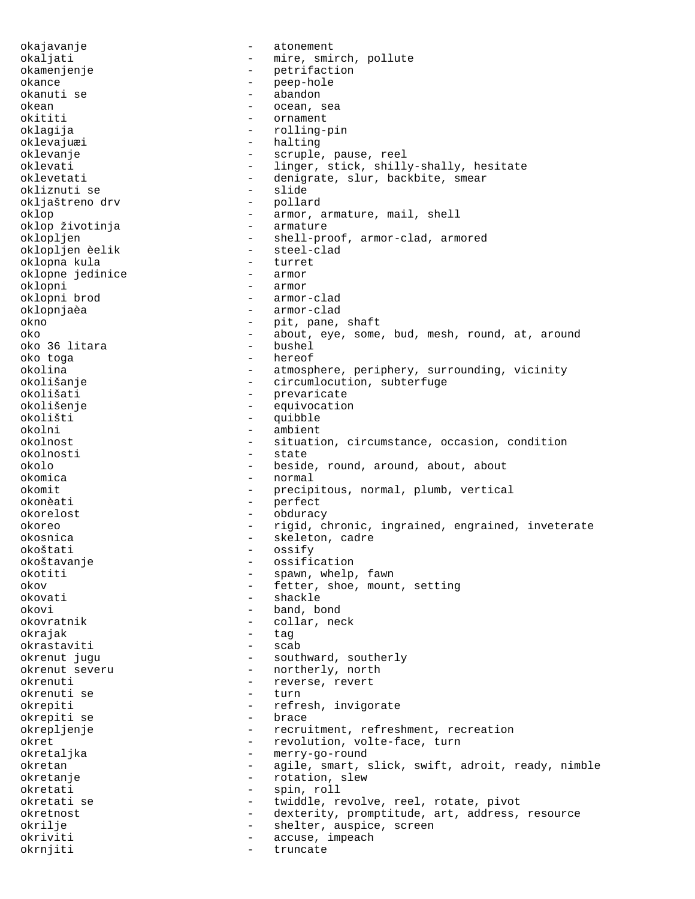okajavanje - atonement okaljati - mire, smirch, pollute okamenjenje<br>
okance<br>
okance<br>
- petrifaction<br>
- petrifaction okance - peep-hole okanuti se - abandon okean - ocean, sea<br>
okititi - ornament - ornament okititi - ornament<br>oklagija - ornament - ornament oklagija - rolling-pin - halting oklevanje - scruple, pause, reel oklevati - linger, stick, shilly-shally, hesitate - denigrate, slur, backbite, smear<br>- slide okliznuti se - slide okljaštreno drv oklop  $\leftarrow$  armor, armature, mail, shell<br>oklop životinja  $\leftarrow$  armature oklop životinja oklopljen - shell-proof, armor-clad, armored oklopljen èelik - steel-oklopna kula - steel-oklopna kula - steel-oklopna kurret oklopna kula - turret oklopne jedinice oklopni - armor - armor - armor - armor - armor - armor - armor - armor - armor - armor - armor - armor - armor - armor-clad oklopnjaèa - armor-clad okno - pit, pane, shaft oko - about, eye, some, bud, mesh, round, at, around oko 36 litara oko toga - hereof - atmosphere, periphery, surrounding, vicinity okolišanje - circumlocution, subterfuge okolišati - prevaricate okolišenje - equivocation okolišti - quibble<br>okolni - ambient okolni - ambient<br>okolnost - situati okolnost - situation, circumstance, occasion, condition okolnosti - state - beside, round, around, about, about okomica - normal okomit - precipitous, normal, plumb, vertical okonèati - perfect okorelost - obduracy okoreo - rigid, chronic, ingrained, engrained, inveterate okosnica - skeleton, cadre okoštati - ossify okoštavanje - ossification okotiti - spawn, whelp, fawn okov - fetter, shoe, mount, setting okovati - shackle okovi - band, bond okovratnik - collar, neck okrajak - tag<br>okrastaviti - scab okrastaviti okrenut jugu - southward, southerly<br>okrenut severu - - northerly, north - northerly, north okrenuti - reverse, revert okrenuti se - turn okrepiti - refresh, invigorate - refresh, invigorate - refresh, invigorate - refresh, invigorate - refresh, invigorate - refresh, invigorate - refresh, invigorate - refresh, invigorate - refresh, invigorate - refresh, invi okrepiti se okrepljenje - recruitment, refreshment, recreation okret - revolution, volte-face, turn okretaljka - merry-go-round okretan - agile, smart, slick, swift, adroit, ready, nimble okretanje - rotation, slew okretati - spin, roll okretati se  $-$  twiddle, revolve, reel, rotate, pivot okretnost **-** dexterity, promptitude, art, address, resource okrilje - shelter, auspice, screen okriviti - accuse, impeach okrnjiti - truncate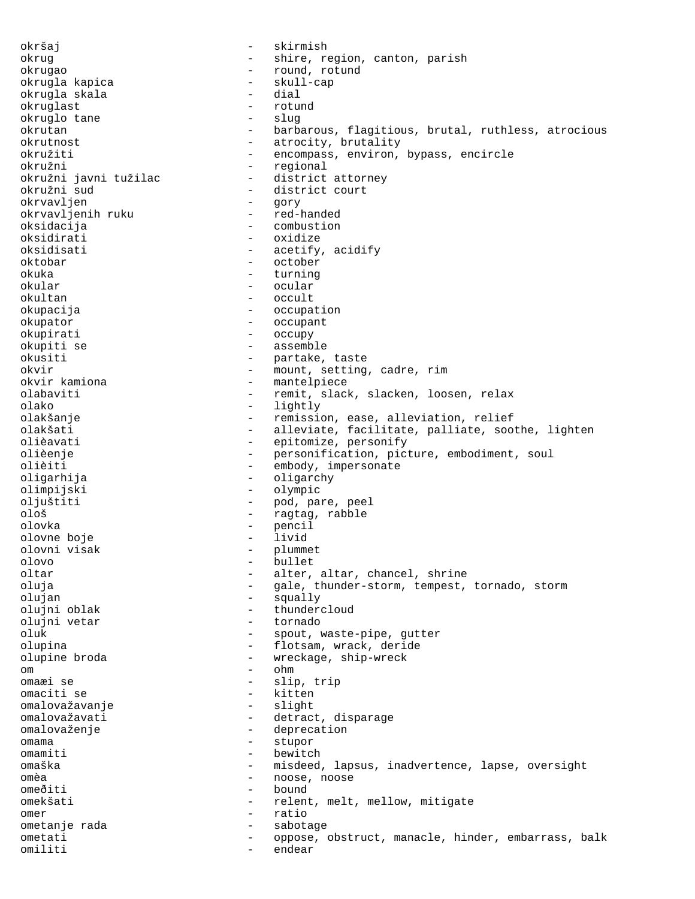okršaj - skirmish okrug - shire, region, canton, parish okrugao - round, rotund - skull-cap<br>- dial okrugla skala - dial okruglast - rotundast - rotundast - rotundast - rotundast - rotundast - rotundast - rotundast - rotundast - rotundast - rotundast - rotundast - rotundast - rotundast - rotundast - rotundast - rotundast - rotundast - rotund okruglo tane okrutan - barbarous, flagitious, brutal, ruthless, atrocious<br>okrutnost - atrocity, brutality - atrocity, brutality okružiti - encompass, environ, bypass, encircle okružni<br>
okružni javni tužilac district attorney okružni javni tužilac<br>okružni sud - district court<br>- gory okrvavljen - gory okrvavljenih ruku oksidacija - combustion oksidirati - oxidize<br>
oksidisati - acetify - acetify, acidify oktobar - october okuka - turning - turning - turning - turning - turning - turning - turning - turning - turning - turning - turning - turning - turning - turning - turning - turning - turning - turning - turning - turning - turning - turn okular - ocular - occult okupacija - occupation okupator - occupant okupirati - occupy okupiti se - assemble okusiti - partake, taste okvir - mount, setting, cadre, rim - mantelpiece<br>- remit slack olabaviti - remit, slack, slacken, loosen, relax olako - lightly olakšanje - remission, ease, alleviation, relief olakšati - alleviate, facilitate, palliate, soothe, lighten<br>olièavati - epitomize, personify olièavati  $-$  epitomize, personify<br>olièenie  $-$  personification, pictomic olièenje - personification, picture, embodiment, soul<br>olièiti - embody, impersonate - embody, impersonate oligarhija - oligarchy olimpijski - olympic oljuštiti - pod, pare, peel ološ - ragtag, rabble olovka - pencil<br>olovne boje - livid - livid olovne boje<br>olovni visak olovni visak - plummet - bullet oltar  $\qquad \qquad -$  alter, altar, chancel, shrine oluja - gale, thunder-storm, tempest, tornado, storm olujan - squally olujni oblak - thundercloud - thundercloud - thundercloud - thundercloud - thundercloud - tornado olujni vetar oluk - spout, waste-pipe, gutter olupina - flotsam, wrack, deride olupine broda - wreckage, ship-wreck om - ohm omaæi se - slip, trip omaciti se - kitten - kitten - kitten - kitten - kitten - kitten - kitten - kitten - kitten - kitten - kitten omalovažavanje - slight omalovažavati - detract, disparage omalovaženje - deprecation omama - stupor - stupor - stupor - stupor - stupor - stupor - stupor - stupor - stupor - stupor - stupor - stupor - stupor - stupor - stupor - stupor - stupor - stupor - stupor - stupor - stupor - stupor - stupor - stupor - bewitch omaška - misdeed, lapsus, inadvertence, lapse, oversight omèa - noose, noose omeðiti - bound omekšati - relent, melt, mellow, mitigate omer - ratio ometanje rada - sabotage ometati - oppose, obstruct, manacle, hinder, embarrass, balk omiliti - endear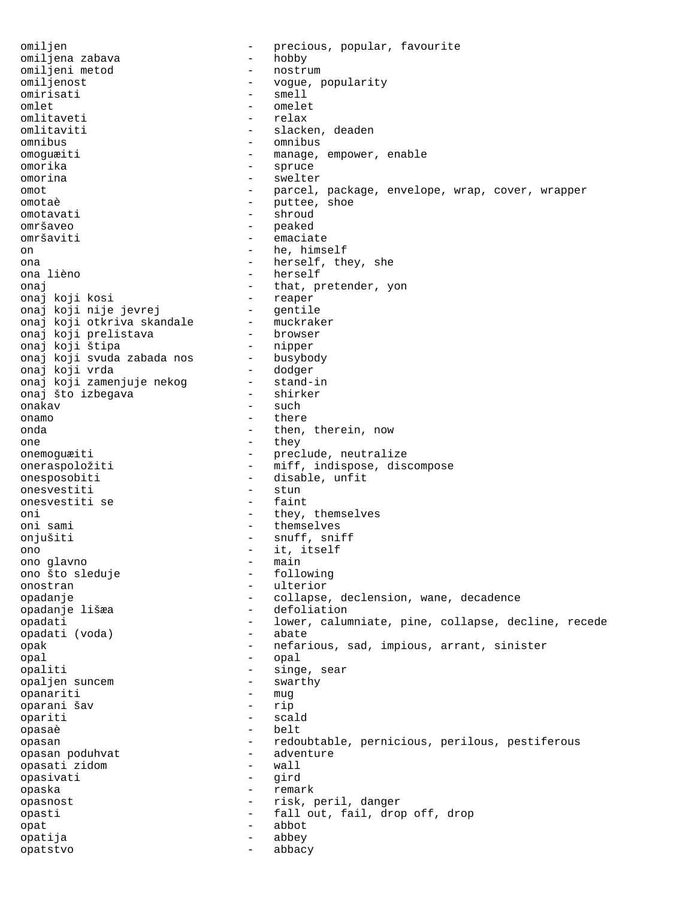omiljen - precious, popular, favourite<br>
- hobby - hobby omiljena zabava - hobby omiljeni metod<br>omiljenost - vogue, popularity omirisati - smell omlet - omelet omlitaveti - relax<br>
omlitaviti - slack - slacken, deaden omnibus - omnibus omoguæiti - manage, empower, enable omorika - spruce omorina - swelter omot - parcel, package, envelope, wrap, cover, wrapper<br>
- puttee, shoe<br>
- puttee, shoe omotaè de component de la puttee, shoe omotavati - shroud omršaveo - peaked omršaviti - emaciate on - he, himself ona - herself, they, she - herself onaj  $-$  that, pretender, yon onaj koji kosi  $-$  reaper onaj koji kosi - reaper onaj koji nije jevrej - gentile onaj koji otkriva skandale - muckraker onaj koji prelistava - browser onaj koji štipa<br>onaj koji svuda zabada nos busybody onaj koji svuda zabada nos - busybody onaj koji vrda - dodger onaj koji zamenjuje nekog - stand-in onaj što izbegava - shirker - such onamo - there onda - then, therein, now one - they<br>onemoguæiti - prec! - preclude, neutralize oneraspoložiti - miff, indispose, discompose<br>onesposobiti - disable, unfit - disable, unfit<br>- stun onesvestiti - stun<br>onesvestiti se - faint onesvestiti se oni - they, themselves oni sami  $-$  themselves onjušiti - snuff, sniff ono  $\frac{1}{2}$ ono  $\frac{1}{2}$  - it, itself ono glavno - main ono što sleduje onostran - ulterior opadanje - collapse, declension, wane, decadence opadanje lišæa - defoliation opadati (voda) - lower, calumniate, pine, collapse, decline, recede opadati (voda) - abate opadati (voda) opak - nefarious, sad, impious, arrant, sinister opal - opal opaliti - singe, sear<br>
opalien suncem - swarthy opaljen suncem - swarthy opanariti - muga - muga - muga - muga - muga - muga - muga - muga - muga - muga - muga - muga - muga - muga - <br>Tanàna - muga - muga - muga - muga - muga - muga - muga - muga - muga - muga - muga - muga - muga - muga - mug oparani šav - rip opariti - scald opasaè - belt opasan - redoubtable, pernicious, perilous, pestiferous<br>opasan poduhvat - adventure opasan poduhvat - adventure opasati zidom - wall opasivati opaska - remark opasnost - risk, peril, danger opasti - fall out, fail, drop off, drop<br>opat - abbot opat - abbot opatija - abbey opatstvo - abbacy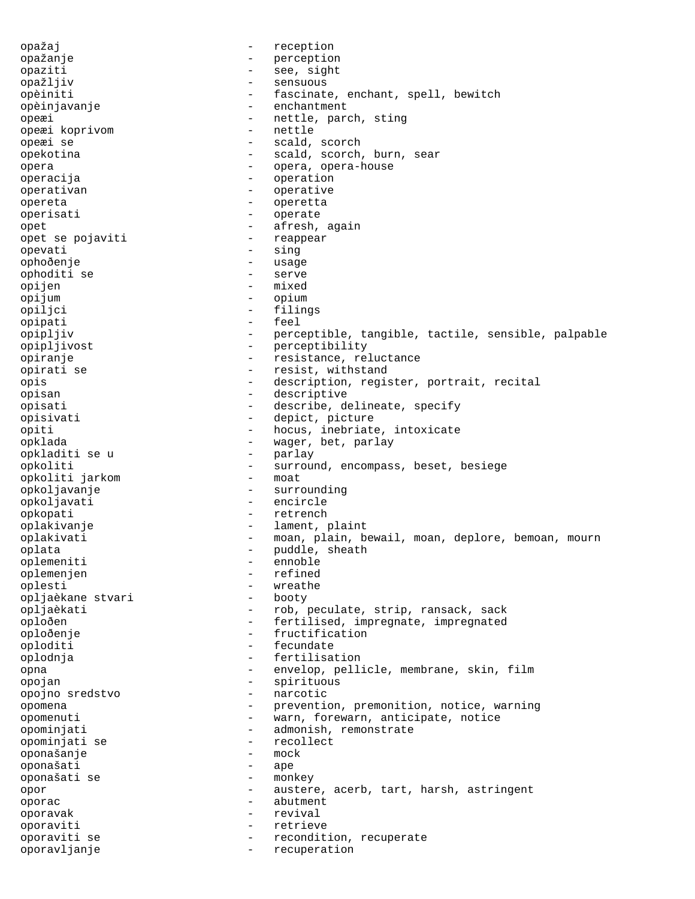opažaj - reception opažanje - perception opaziti - see, sight opažljiv - sensuous opèiniti - fascinate, enchant, spell, bewitch opèinjavanje - enchantment opeæi  $-$  nettle, parch, sting<br>opeæi koprivom  $-$  nettle opeæi koprivom<br>opeæi se - scald, scorch opekotina - scald, scorch, burn, sear opera - opera, opera-house operacija - operation operativan - operative<br>
opereta - opereta opereta - operetta operisati - operate opet<br>
opet se pojaviti<br>
opet se pojaviti<br>  $\begin{array}{ccc} - & \text{afresh, again} \\ - & \text{reappear} \end{array}$ opet se pojaviti - reappear opevati - sing ophoðenje - usage - usage - usage - usage - usage - usage - usage - usage - usage - usage - usage - usage - usage - usage - usage - usage - usage - usage - usage - usage - usage - usage - usage - usage - usage - usage - us ophoditi se opijen - mixed<br>opijum - mixed<br>- opium - opium opijum - opium - opium - opium - opium - opium - opium - opium - opium - opium - opium - opium - opium - opium - filings opipati - feel opipljiv - perceptible, tangible, tactile, sensible, palpable opipljivost - perceptibility opiranje - resistance, reluctance opirati se  $-$  resist, withstand opis - description, register, portrait, recital opisan - descriptive opisati - describe, delineate, specify opisivati - depict, picture opiti - hocus, inebriate, intoxicate<br>opklada - - - - - - - - - waqer, bet, parlay - wager, bet, parlay<br>- parlay opkladiti se u opkoliti - surround, encompass, beset, besiege<br>
- moat<br>
- moat opkoliti jarkom opkoljavanje - surrounding opkoljavati - encircle opkopati - retrench oplakivanje - lament, plaint oplakivati - moan, plain, bewail, moan, deplore, bemoan, mourn oplata - puddle, sheath<br>
oplemeniti - ennoble oplemeniti - ennoble<br>
oplemenien - refined oplemenjen - refined as a refined as a refined as  $\sim$  refined as  $\sim$  refined as  $\sim$  refined as  $\sim$  refined as  $\sim$  refined as  $\sim$  refined as  $\sim$  refined as  $\sim$  refined as  $\sim$  refined as  $\sim$  refined as  $\sim$  refined oplesti - wreathe<br>
opliaèkane stvari - booty - booty opljaèkane stvari opljaèkati - rob, peculate, strip, ransack, sack oploðen - fertilised, impregnate, impregnated oploðenje - fructification oploditi - fecundate oplodnja - fertilisation opna - envelop, pellicle, membrane, skin, film opojan - spirituous opojno sredstvo opomena - prevention, premonition, notice, warning opomenuti - warn, forewarn, anticipate, notice opominjati - admonish, remonstrate opominjati se - recollect<br>
opomašanie - mock<br>
- mock oponašanje - mock oponašati - ape oponašati se opor - austere, acerb, tart, harsh, astringent oporac - abutment oporavak - revival oporaviti - retrieve<br>oporaviti se de la conditi - recondit oporaviti se - recondition, recuperate oporavljanje - recuperation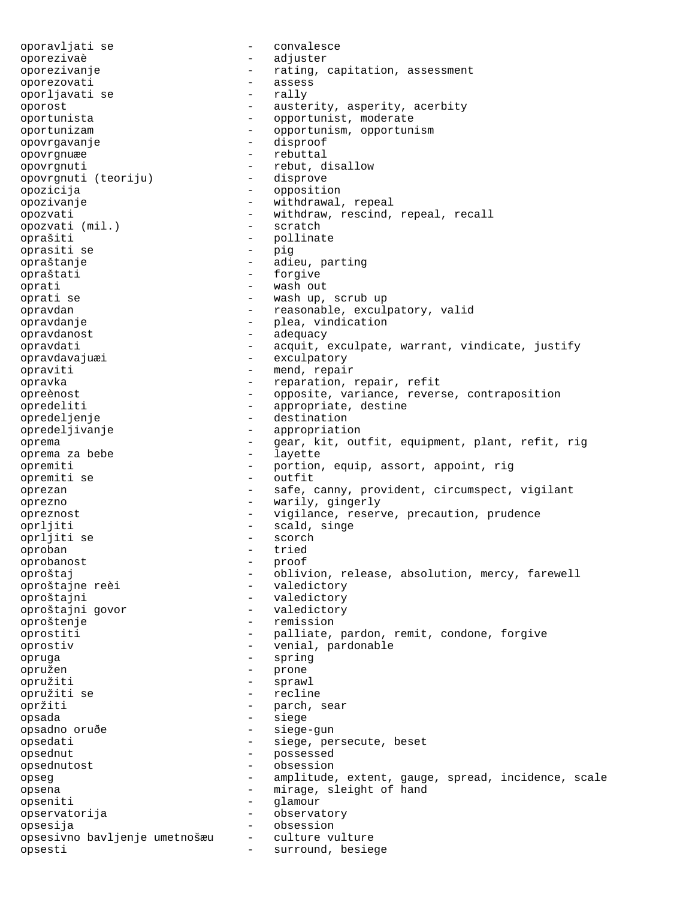oporavljati se - convalesce oporezivaè - adjuster oporezivanje - rating, capitation, assessment oporezovati - assess oporljavati se oporost - austerity, asperity, acerbity oportunista - opportunist, moderate<br>oportunizam - - opportunism, opportuni oportunizam - opportunism, opportunism opovrgavanje - disproof opovrgnuæe - rebuttal opovrgnuti (teoriju) - rebut, disallow<br>opovrgnuti (teoriju) - disprove opovrgnuti (teoriju) opozicija - opposition opozivanje - withdrawal, repeal opozvati - withdraw, rescind, repeal, recall opozvati (mil.) - scratch  $opozvati$  ( $mil.$ ) oprašiti - pollinate<br>oprašiti se do nativela - pic oprasiti se - pig opraštanje - adieu, parting<br>opraštati - - - - - - - - - - forgive opraštati oprati - wash out - wash out - wash out - wash out - wash up, - wash up, scrub up opravdan - reasonable, exculpatory, valid opravdanje - plea, vindication opravdanost - adequacy opravdati - acquit, exculpate, warrant, vindicate, justify opravdavajuæi - exculpatory opraviti - mend, repair opravka - reparation, repair, refit opreènost - opposite, variance, reverse, contraposition opredeliti - appropriate, destine opredeljenje - destination opredeljivanje - appropriation oprema  $-$  gear, kit, outfit, equipment, plant, refit, rig oprema za bebe  $-$  layette oprema za bebe opremiti - portion, equip, assort, appoint, rig opremiti se - outfit oprezan - safe, canny, provident, circumspect, vigilant oprezno - warily, gingerly opreznost - vigilance, reserve, precaution, prudence oprljiti - scald, singe oprljiti se - scorch oproban - tried<br>
oprobanost - tried<br>
- proof oprobanost - proof oproštaj - oblivion, release, absolution, mercy, farewell oproštajne reèi  $-$  valedictory oproštajni - valedictory<br>
oproštajni qovor - valedictory - valedictory oproštajni govor oproštenje - remission oprostiti - palliate, pardon, remit, condone, forgive oprostiv - venial, pardonable opruga - spring opružen - prone opružiti - sprawl opružiti se - recline opržiti - parch, sear<br>
opsada - siege - siege opsada - siege - siege-gun opsedati - siege, persecute, beset opsednut - possessed opsednutost - obsession opseg extent, gauge, spread, incidence, scale opsena - mirage, sleight of hand opseniti - glamour opservatorija - observatory opsesija - obsession opsesivno bavljenje umetnošæu - culture vulture opsesti - surround, besiege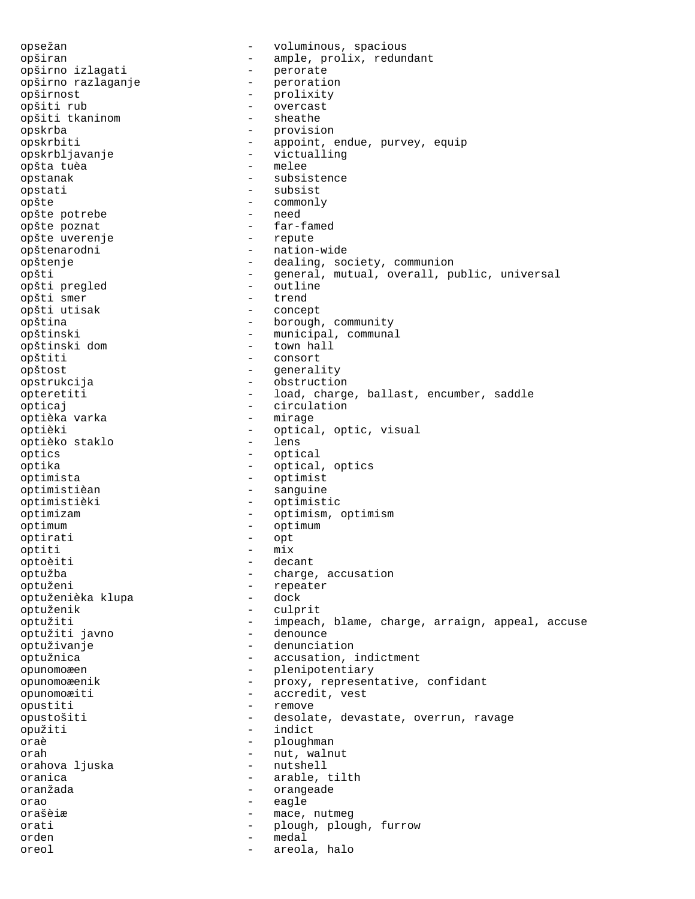opsežan - voluminous, spacious opširan - ample, prolix, redundant<br>opširno izlagati - - - - - - - perorate opširno izlagati - perorate opširno razlaganje - peroration opširnost - prolixity opšiti rub - overcast opšiti tkaninom opskrba - provision<br>
opskrbiti - appoint, - appoint, endue, purvey, equip opskrbljavanje - victualling<br>
opšta tuèa - melee opšta tuèa opstanak - subsistence opstati - subsist opšte - commonly opšte potrebe opšte poznat<br>
opšte uverenje<br>
- repute - repute opšte uverenje opštenarodni - nation-wide opštenje - dealing, society, communion opšti - general, mutual, overall, public, universal<br>opšti preqled - outline opšti pregled - outline - outline<br>opšti smer - trend opšti smer - trend opšti utisak opština - borough, community opštinski - municipal, communal opštinski dom opštiti - consort opštost - generality<br>
opstrukcija - bostructio opstrukcija - obstruction opteretiti - load, charge, ballast, encumber, saddle opticaj - circulation optièka varka optièki - optical, optic, visual<br>
optièko staklo - lens optièko staklo optics - optical optika - optical, optics optimista - optimist optimistièan - sanguine optimistièki - optimistic optimizam - optimism, optimism optimum - optimum<br>
optimum - optimum - optimum optirati - opt<br>
optiti - mix<br>
- mix optiti - mix optoèiti - decant optužba - charge, accusation<br>
optuženi - charge, accusation<br>
- repeater - repeater<br>- dock optuženièka klupa optuženik - culprit optužiti - impeach, blame, charge, arraign, appeal, accuse<br>optužiti iavno - denounce optužiti javno optuživanje - denunciation optužnica - accusation, indictment opunomoæen - plenipotentiary<br>opunomoæenik - proxy, representer opunomoæenik - proxy, representative, confidant opunomoæiti - accredit, vest<br>
opustiti - remove opustiti - remove<br>opustošiti - desolat opustošiti - desolate, devastate, overrun, ravage opužiti - indict oraè dia mandritry dia mandritry dia mandritry dia mandritry dia mandritry dia mandritry dia mandritry dia man orah - nut, walnut orahova ljuska oranica arable, tilth oranžada - orangeade orao - eagle<br>orašèi<del>r</del> - eagle orašèiæ - mace, nutmeg orati - plough, plough, furrow orden - medal oreol - areola, halo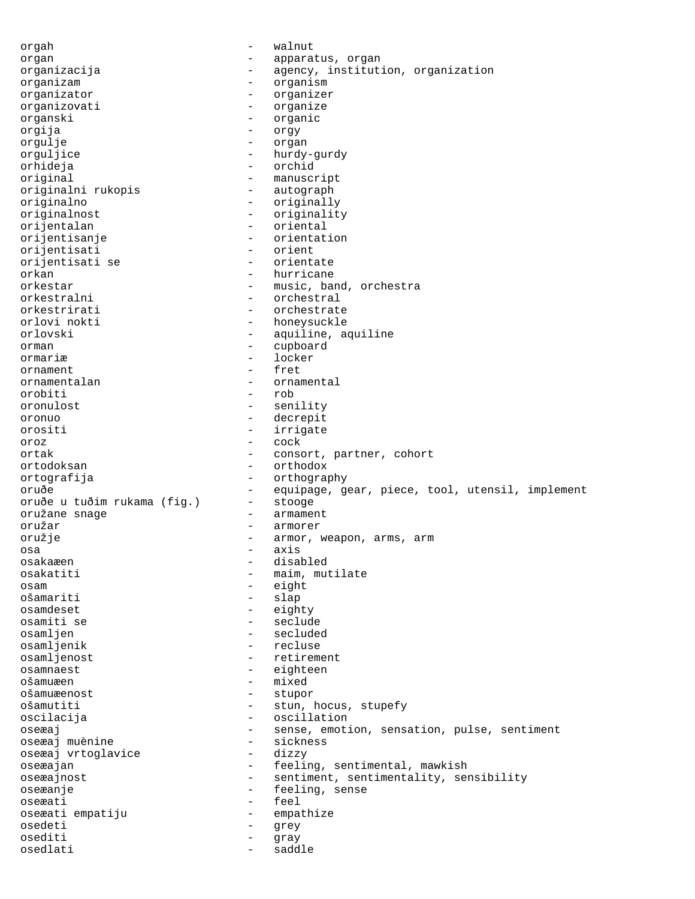orgah - walnut organ - apparatus, organ<br>organizacija - apparatus, organ organizacija - agency, institution, organization organizam - organism organizator - organizer organizovati - organize organski - organic orgija - orgy orgulje - organ orguljice - hurdy-gurdy orhideja - orchid original - manuscript originalni rukopis originalno - originally originalnost - originality orijentalan - oriental orijentisanje - orientation orijentisati - orient orijentisati se<br>orkan orkan - hurricane - hurricane - hurricane - hurricane - hurricane - hurricane - hurricane - hurricane - hurricane - hurricane - hurricane - hurricane - hurricane - hurricane - hurricane - hurricane - hurricane - hurricane orkestar - music, band, orchestra<br>
orkestralni - orchestral - orchestral orkestrirati - orchestrate<br>
orlovi nokti - honevsuckle orlovi nokti - honeysuckle<br>orlovski - aquiline, a - aquiline, aquiline orman - cupboard ormariæ - locker<br>ornament - fret ornament - frequency is a frequency of  $\sim$ ornamentalan - ornamental<br>orobiti - rob orobiti - rob oronulost - senility oronuo - decrepit orositi - irrigate oroz - cock ortak - consort, partner, cohort ortodoksan - orthodox ortografija - orthography oruðe - equipage, gear, piece, tool, utensil, implement<br>oruðe u tuðim rukama (fig.) - stooge oruðe u tuðim rukama (fig.) oružane snage - armament oružar - armorer oružje - armor, weapon, arms, arm osa - axis osakaæen - disabled osakatiti  $-$  maim, mutilate osam - eight - slap osamdeset - eighty osamiti se - seclude osamljen - secluded osamljenik - recluse osamljenost<br>
osamnaest<br>
osamnaest<br>
- eighteen osamnaest - eighteen ošamuæen - mixed ošamuæenost - stupor ošamutiti - stun, hocus, stupefy oscilacija - oscillation oseæaj - sense, emotion, sensation, pulse, sentiment<br>oseæaj muènine - sickness oseæaj muènine - sickness oseæaj vrtoglavice oseæajan - feeling, sentimental, mawkish oseæajnost entiment, sentimentality, sensibility oseæanje - feeling, sense oseæati - feel<br>oseæatiempatiju - empal oseæati empatiju - empathize osedeti - grey osediti - gray osedlati - saddle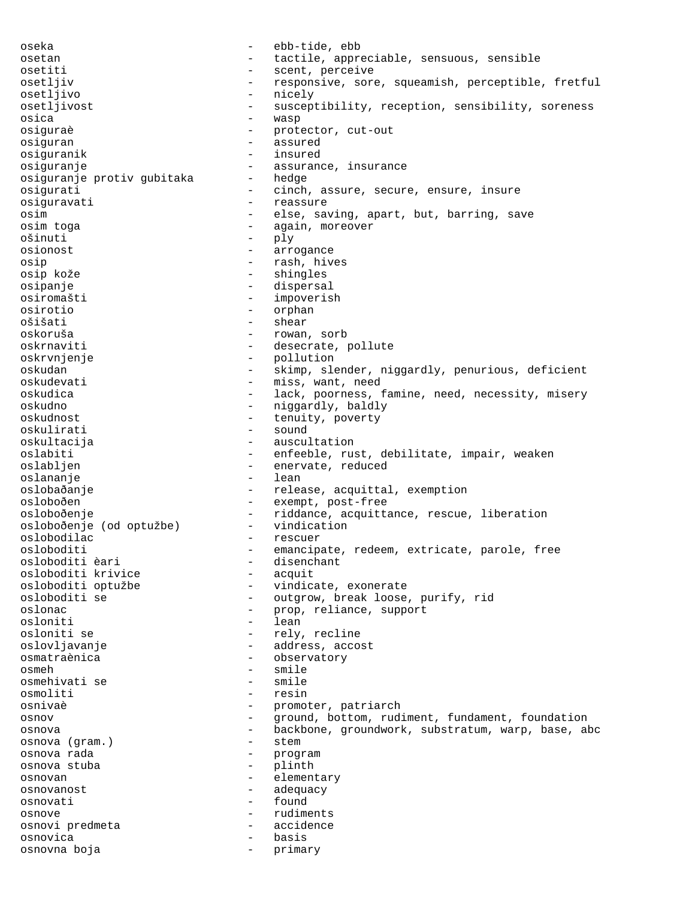oseka - ebb-tide, ebb osetan - tactile, appreciable, sensuous, sensible osetiti - scent, perceive osetljiv - responsive, sore, squeamish, perceptible, fretful osetljivo - nicely osetljivost - susceptibility, reception, sensibility, soreness osica - wasp osiguraè - protector, cut-out<br>
osiguran osiguran - assured osiguranik - insured osiguranje - assurance, insurance<br>osiguranje protiv qubitaka - hedge osiguranje protiv gubitaka osigurati - cinch, assure, secure, ensure, insure osiguravati - reassure osim - else, saving, apart, but, barring, save osim toga  $-$  again, moreover ošinuti - ply osionost - arrogance<br>
osin - rash hiv osip - rash, hives osip kože - shingles - dispersal osiromašti - impoverish osirotio - orphan ošišati - shear oskoruša - rowan, sorb oskrnaviti - desecrate, pollute oskrvnjenje<br>
oskudan - pollution<br>
- skimp sla oskudan - skimp, slender, niggardly, penurious, deficient oskudevati - miss, want, need oskudica - lack, poorness, famine, need, necessity, misery - niggardly, baldly<br>- tenuity poverty oskudnost - tenuity, poverty oskulirati - sound oskultacija - auscultation oslabiti - enfeeble, rust, debilitate, impair, weaken oslabljen - enervate, reduced oslananje - lean oslobaðanje - release, acquittal, exemption osloboðen - exempt, post-free osloboðenje<br>osloboðenje (od optužbe) - riddance, acquittance, rescue, liberation osloboðenje (od optužbe) - vindication oslobodilac - rescuer osloboditi - emancipate, redeem, extricate, parole, free<br>osloboditi èari - disenchant - disenchant<br>- acquit osloboditi krivice osloboditi optužbe - vindicate, exonerate osloboditi se - outgrow, break loose, purify, rid oslonac - prop, reliance, support osloniti - lean osloniti se  $-$  rely, recline oslovljavanje - address, accost osmatraènica - observatory<br>
osmeh - smile osmeh - smile osmehivati se - smile osmoliti - resin osnivaè - promoter, patriarch<br>
- promoter, patriarch<br>
- ground bottom rud osnov - ground, bottom, rudiment, fundament, foundation osnova - backbone, groundwork, substratum, warp, base, abc osnova (gram.) - stem osnova rada - program osnova stuba - plinth osnovan - elementary osnovanost - adequacy osnovati - found osnove - rudiments osnovi predmeta - accidence osnovica - basis osnovna boja - primary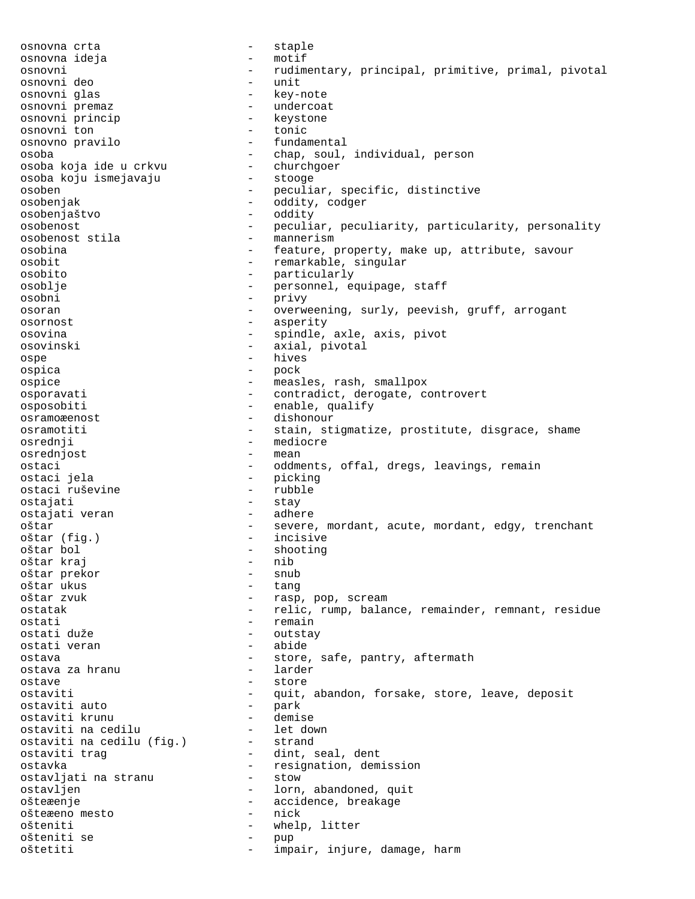osnovna crta<br>
osnovna ideja<br>
 - motif osnovna ideja osnovni - rudimentary, principal, primitive, primal, pivotal osnovni deo - unit osnovni glas<br>
osnovni premaz<br>
- undercoat - undercoat<br>- keystone osnovni princip - keystone osnovni ton osnovno pravilo - fundamental osoba - chap, soul, individual, person osoba koja ide u crkvu - churchgoer osoba koju ismejavaju osoben - peculiar, specific, distinctive osobenjak - oddity, codger osobenjaštvo - oddity osobenost<br>
osobenost stila<br>
- mannerism<br>
- mannerism<br>
- mannerism osobenost stila - mannerism osobina - feature, property, make up, attribute, savour osobit - remarkable, singular osobito - particularly osoblje - personnel, equipage, staff osobni - privy osoran - overweening, surly, peevish, gruff, arrogant osornost - asperity osovina - spindle, axle, axis, pivot osovinski - axial, pivotal ospe - hives ospica - pock ospice - measles, rash, smallpox osporavati - contradict, derogate, controvert osposobiti - enable, qualify osramoæenost - dishonour osramotiti - stain, stigmatize, prostitute, disgrace, shame osrednji - mediocre - mediocre - mediocre - mediocre - mediocre - mediocre - mediocre - mediocre - mediocre osrednjost ostaci - oddments, offal, dregs, leavings, remain<br>ostaci jela - - - - - - - picking - picking<br>- rubble ostaci ruševine ostajati - stay - stay<br>ostajati veran - adhere ostajati veran oštar - severe, mordant, acute, mordant, edgy, trenchant<br>oštar (fig.) - incisive oštar (fig.) - incisive - shooting<br>- nib oštar kraj - nib oštar prekor - snub oštar ukus<br>oštar zvuk - rasp, pop, scream ostatak - relic, rump, balance, remainder, remnant, residue ostati - remain ostati duže - outstay ostati veran - abide ostava - store, safe, pantry, aftermath<br>ostava za hranu - - larder ostava za hranu ostave - store - store - store - store - store - store - store - store - store - store - store - store - store ostaviti - quit, abandon, forsake, store, leave, deposit<br>ostaviti auto - park ostaviti auto ostaviti krunu - demise ostaviti na cedilu - let down ostaviti na cedilu (fig.) - strand ostaviti trag - dint, seal, dent ostavka<br>
ostavliati na stranu<br>
- stow<br>
- stow<br>
- stow ostavljati na stranu ostavljen - lorn, abandoned, quit ošteæenje - accidence, breakage ošteæeno mesto - nick ošteniti - whelp, litter ošteniti se - pup oštetiti - impair, injure, damage, harm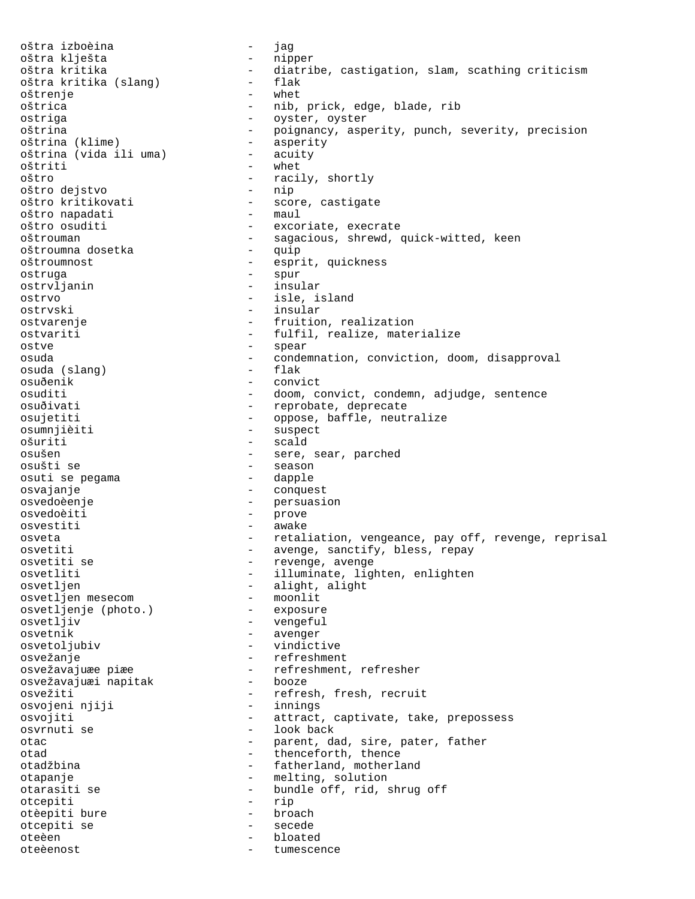oštra izboèina - jag oštra klješta<br>oštra kritika - diatribe, castigation, slam, scathing criticism<br>- flak oštra kritika (slang) oštrenje - whet oštrica - nib, prick, edge, blade, rib ostriga - oyster, oyster oštrina - poignancy, asperity, punch, severity, precision<br>oštrina (klime) - asperity oštrina (klime) - asperity oštrina (vida ili uma) oštriti - whet oštro  $\overline{\phantom{a}}$  - racily, shortly  $\overline{\phantom{a}}$  - racily, shortly oštro dejstvo oštro kritikovati - score, castigate<br>oštro napadati - maul - maul oštro napadati oštro osuditi - excoriate, execrate<br>oštrouman - sagacious, shrewd, - sagacious, shrewd, quick-witted, keen<br>- quip oštroumna dosetka - quip oštroumnost - esprit, quickness<br>ostruga - espur - spur - spur<br>- insular ostrvljanin ostrvo - isle, island<br>
ostrvski - insular - insular ostvarenje - fruition, realization ostvariti - fulfil, realize, materialize ostve - spear osuda - condemnation, conviction, doom, disapproval osuda (slang) osuðenik - convict osuditi - doom, convict, condemn, adjudge, sentence osuðivati - reprobate, deprecate osujetiti - oppose, baffle, neutralize osumnjièiti - suspect ošuriti - scald osušen - sere, sear, parched osušti se - season osuti se pegama osvajanje - conquest osvedoèenje - persuasion osvedoèiti - prove osvestiti - awake osveta - retaliation, vengeance, pay off, revenge, reprisal osvetiti - avenge, sanctify, bless, repay osvetiti se  $-$  revenge, avenge osvetliti - illuminate, lighten, enlighten osvetljen - alight, alight<br>osvetlien mesecom - moonlit osvetljen mesecom - moonlit osvetljenje (photo.) - exposure osvetljiv - vengeful osvetnik - avenger osvetoljubiv - vindictive osvežanje - refreshment osvežavajuæe piæe - refreshment, refresher<br>osvežavajuæi napitak - booze osvežavajuæi napitak osvežiti - refresh, fresh, recruit<br>osvojeni njiji - refresh, recruit osvojeni njiji osvojiti - attract, captivate, take, prepossess osvrnuti se - look back otac - parent, dad, sire, pater, father<br>
- thenceforth thence otad  $-$  thenceforth, thence otadžbina - fatherland, motherland otapanje - melting, solution otarasiti se - bundle off, rid, shrug off otcepiti - rip otèepiti bure - broach otcepiti se - secede oteèen - bloated oteèenost - tumescence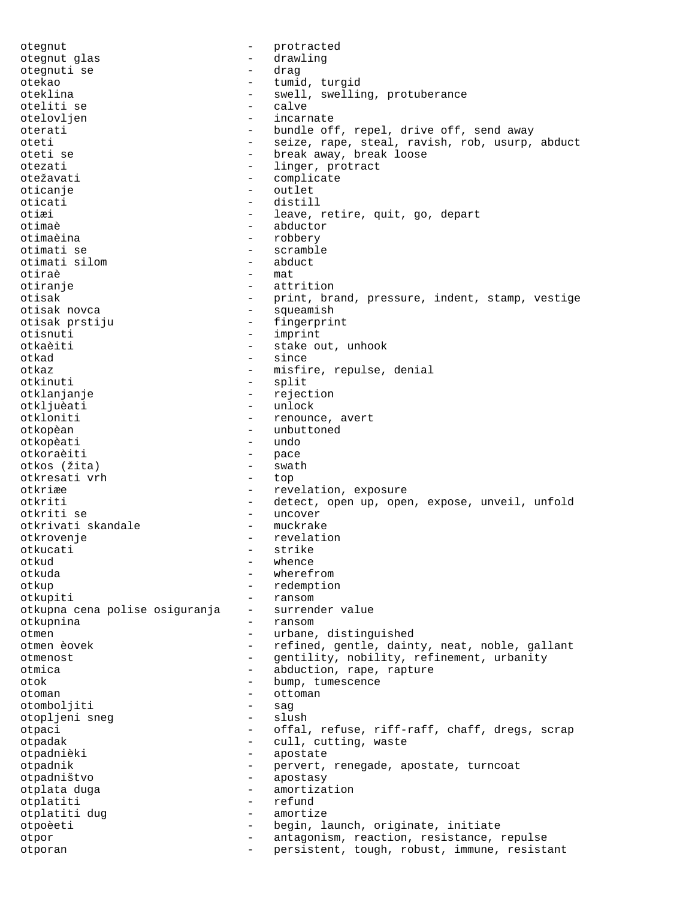otegnut - protracted<br>
otegnut glas<br>
- drawling otegnut glas - drawling otegnuti se otekao - tumid, turgid oteklina  $-$  swell, swelling, protuberance oteliti se - calve otelovljen oterati - bundle off, repel, drive off, send away oteti - seize, rape, steal, ravish, rob, usurp, abduct<br>oteti se - - - - - - - - break away, break loose oteti se  $\begin{array}{ccc}\n\text{otet} & - & \text{break away, break loose} \\
\text{otezati} & - & \text{linear. protract}\n\end{array}$ - linger, protract otežavati - complicate<br>
oticanje - conflicte - context - outlet oticati - distill otiæi - leave, retire, quit, go, depart otimaè - abductor otimaèina - robbery - scramble<br>- abduct otimati silom - abduct otiraè<br>otiranje otiranje - attrition - print, brand, pressure, indent, stamp, vestige otisak novca - squeamish otisak prstiju - fingerprint otisnuti - imprint otkaèiti - stake out, unhook otkad - since otkaz  $-$  misfire, repulse, denial otkinuti - split otklanjanje - rejection otkljuèati - unlock<br>otkloniti - renoun - renounce, avert otkopèan - unbuttoned - unbuttoned - unbuttoned - unbuttoned - unbuttoned - unbuttoned - undo otkopèati - undo otkoraèiti - pace otkos (žita) - swath otkresati vrh otkriæe - revelation, exposure otkriti - detect, open up, open, expose, unveil, unfold otkriti se - uncover otkrivati skandale otkrovenje - revelation otkucati - strike - strike - strike - strike - strike - strike - strike - strike - strike - strike - strike whence otkuda - wherefrom otkup - redemption otkupiti<br>otkupna cena polise osiguranja – surrender value otkupna cena polise osiguranja otkupnina - ransom otmen - urbane, distinguished otmen èovek en entre refined, gentle, dainty, neat, noble, gallant otmenost - gentility, nobility, refinement, urbanity otmica - abduction, rape, rapture otok - bump, tumescence<br>otoman - ottoman - ottoman otoman - ottoman - ottoman - ottoman - ottoman - ottoman - ottoman - ottoman - ottoman - ottoman - ottoman - ottoman - ottoman - ottoman - ottoman - ottoman - ottoman - ottoman - ottoman - ottoman - ottoman - ottoman - ott otomboljiti - sag otopljeni sneg otpaci - offal, refuse, riff-raff, chaff, dregs, scrap otpadak - cull, cutting, waste otpadnièki - apostate otpadnik - pervert, renegade, apostate, turncoat otpadništvo - apostasy otplata duga - amortization otplatiti - refund otplatiti dug - amortize otpoèeti - begin, launch, originate, initiate otpor - antagonism, reaction, resistance, repulse otporan - persistent, tough, robust, immune, resistant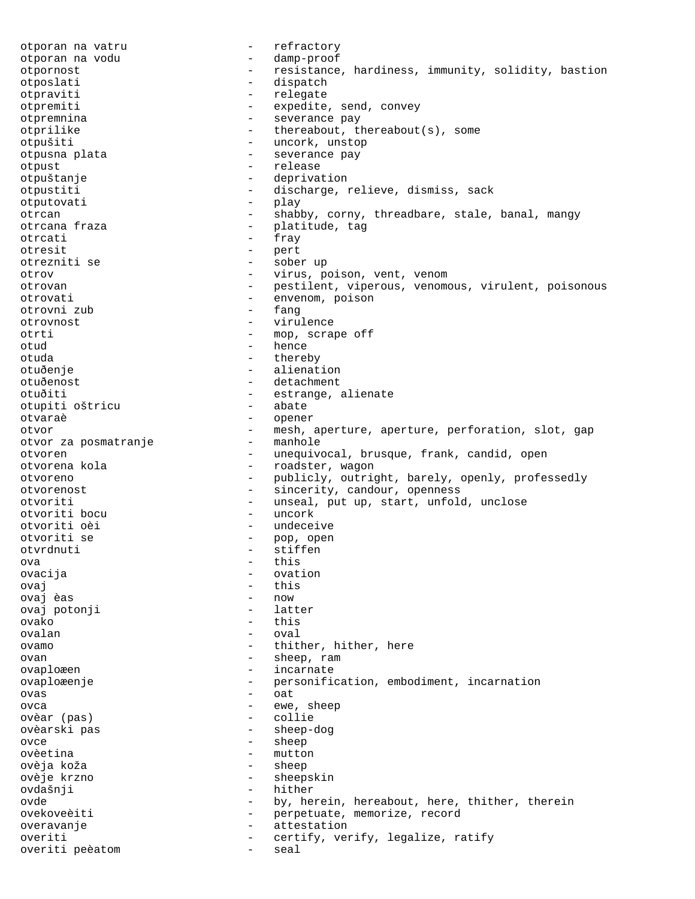otporan na vatru - refractory otporan na vodu otpornost - resistance, hardiness, immunity, solidity, bastion otposlati - dispatch otpraviti - relegate<br>
otpremiti - relegate<br>
- expedite otpremiti - expedite, send, convey otpremnina - severance pay otprilike  $-$  thereabout, thereabout(s), some otpušiti - uncork, unstop otpusna plata  $\qquad \qquad -$  severance pay otpust - release otpuštanje - deprivation otpustiti - discharge, relieve, dismiss, sack otputovati - play otrcan - shabby, corny, threadbare, stale, banal, mangy<br>otrcana fraza - platitude, tag - platitude, tag otrcati - fray - fray - fray - fray - fray - fray - fray - pert otresit - pert otrezniti se - sober up otrov - virus, poison, vent, venom otrovan - pestilent, viperous, venomous, virulent, poisonous otrovati - envenom, poison<br>
otrovni zub - fanq otrovni zub otrovnost - virulence otrti - mop, scrape off otud - hence otuda - thereby otuðenje - alienation - detachment otuðiti - estrange, alienate<br>otupiti oštricu - abate - abate otupiti oštricu otvaraè - opener otvor  $-$  mesh, aperture, aperture, perforation, slot, gap otvor za posmatranie  $-$  manhole otvor za posmatranje otvoren - unequivocal, brusque, frank, candid, open - roadster, wagon otvoreno - publicly, outright, barely, openly, professedly otvorenost - sincerity, candour, openness otvoriti - unseal, put up, start, unfold, unclose otvoriti bocu - uncork otvoriti bocu otvoriti oèi - undeceive - pop, open<br>- stiffen otvrdnuti - stiffen<br>
ova - this ova - this<br>
ovaciie - cytology - cytology ovacija - ovation ovaj - this ovaj èas - now ovaj potonji ovako - this ovalan - oval ovamo - thither, hither, here ovan - sheep, ram ovaploæen - incarnate ovaploæenje - personification, embodiment, incarnation ovas - oat ovca - ewe, sheep ovèar (pas) - collie ovèarski pas - sheep-dog ovce - sheep<br>ovèetina - sheep<br>- mutto: - mutton<br>- sheep ovèja koža - sheep ovèje krzno - sheepskin ovdašnji - hither ovde - by, herein, hereabout, here, thither, therein ovekoveèiti - perpetuate, memorize, record<br>
overavanje - attestation overavanje - attestation overiti - certify, verify, legalize, ratify overiti peèatom - seal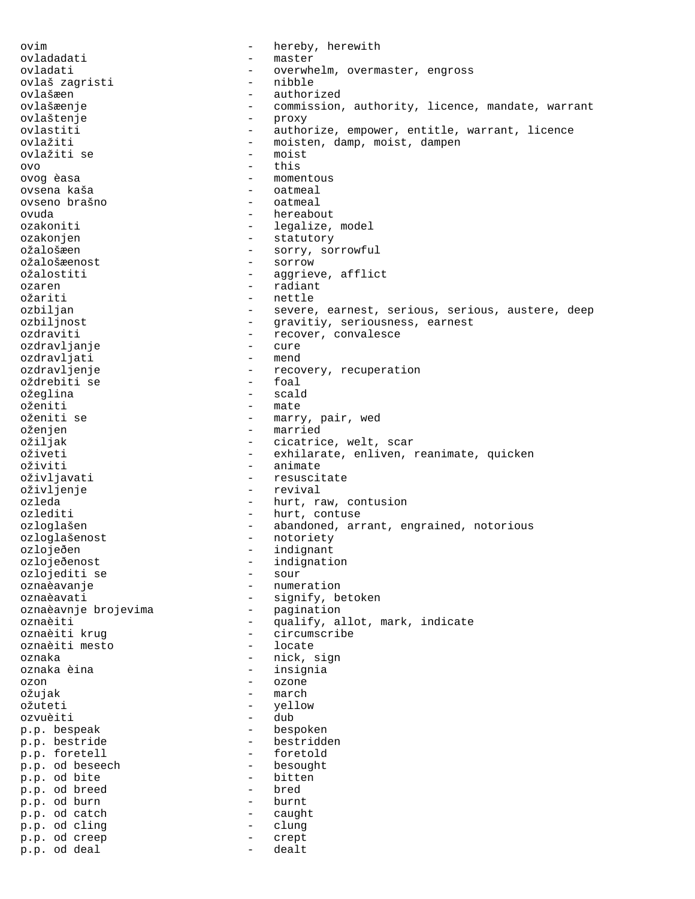ovim  $-$  hereby, herewith ovladadati - master ovladati - overwhelm, overmaster, engross<br>
- overwhelm, overmaster, engross<br>
- nibble ovlaš zagristi ovlašæen - authorized ovlašæenje - commission, authority, licence, mandate, warrant ovlaštenje - proxy ovlastiti - authorize, empower, entitle, warrant, licence<br>
ovlažiti - moisten, damp, moist, dampen - moisten, damp, moist, dampen<br>- moist ovlažiti se  $\alpha$ vo  $\alpha$ ovog èasa - momentous ovsena kaša - oatmeal ovseno brašno - oatmeal ovuda - hereabout ozakoniti  $-$  legalize, model ozakonjen - statutory ožalošæen - sorry, sorrowful ožalošæenost - sorrow ožalostiti  $-$  aggrieve, afflict ozaren 1980an - Salaiant ezkurtzailea eta arabiarra eta arrazko ziraurra eta arrazko zen arrazko zen arrazko z<br>Nagriaren 18a - Irailaren 18a - Irailaren 18a - Irailaren 18a - Irailaren 18a - Irailaren 18a - Irailaren 18a - nettle ozbiljan - severe, earnest, serious, serious, austere, deep ozbiljnost - gravitiy, seriousness, earnest ozdraviti - recover, convalesce<br>ozdravlianie - - - - - - - - cure ozdravljanje - cure ozdravljati ozdravljenje - - recovery, recuperation<br>oždrebiti se - - - - - foal oždrebiti se - foal ožeglina oženiti - mate<br>oženiti se - marr - marry, pair, wed oženjen - married<br>ožiljak - cicatric - cicatrice, welt, scar oživeti - exhilarate, enliven, reanimate, quicken oživiti - animate oživljavati - resuscitate oživljenje - revival ozleda - hurt, raw, contusion ozlediti - hurt, contuse ozloglašen - abandoned, arrant, engrained, notorious ozloglašenost - notoriety ozlojeðen - indignant ozlojeðenost<br>
ozlojeðenost<br>
ozlojediti se<br>
- sour<br>
- sour ozlojediti se oznaèavanje - numeration oznaèavati<br>
oznaèavnje brojevima<br>
- pagination<br>
- pagination oznaèavnje brojevima oznaèiti - qualify, allot, mark, indicate oznaèiti krug - circumscribe oznaèiti mesto oznaka - nick, sign oznaka èina  $-$  insignia ozon - ozone ožujak - march - march - march - march - march - march - march - march - march - march - march - march - march ožuteti - yellow ozvuèiti - dub<br>p.p. bespeak - besp - bespoken p.p. bestride - bestridden<br>p.p. foretell - foretold p.p. foretell - foretold p.p. od beseech - besought - besought - besought - besought - besought - bitten p.p. od bite - bitten by the bitten problem of breed - bred p.p. od breed - bred<br>
p.p. od burn - burnt - burnt p.p. od burn<br>p.p. od catch - burnt p.p. od catch - caught p.p. od cling - clung p.p. od creep - crept p.p. od deal - dealt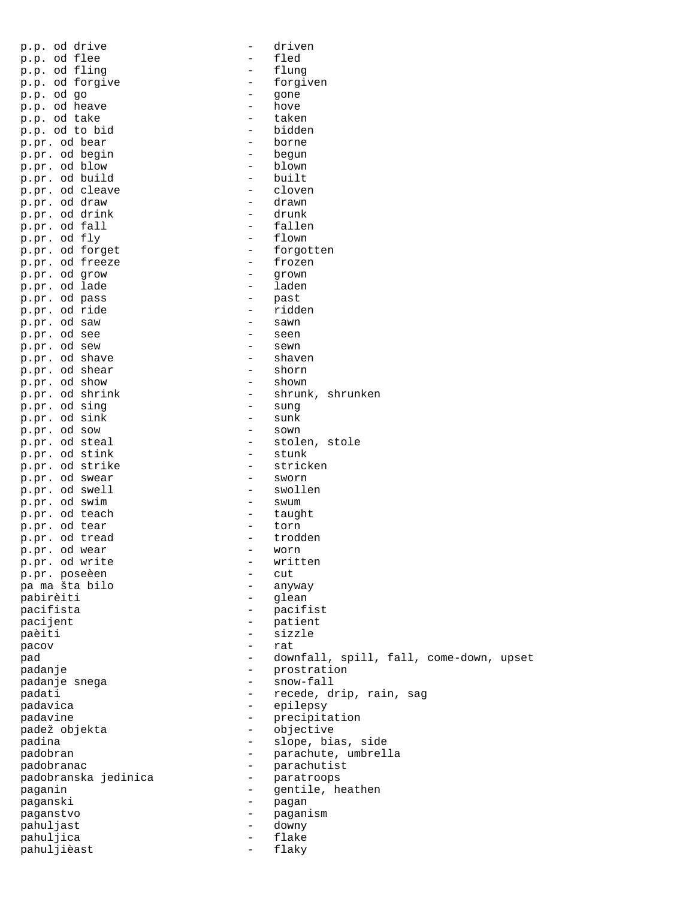| od drive<br>p.p.            | $\overline{\phantom{0}}$                   | driven          |
|-----------------------------|--------------------------------------------|-----------------|
| od flee<br>p.p.             |                                            | fled            |
| od fling<br>p.p.            | $\overline{\phantom{0}}$                   | flung           |
| od forgive<br>p.p.          |                                            | forgiven        |
| od go<br>p.p.               | $\overline{\phantom{0}}$                   | gone            |
| od heave<br>p.p.            | $\overline{\phantom{0}}$                   | hove            |
| od take<br>p.p.             | $\overline{a}$                             | taken           |
| od to bid<br>p.p.           |                                            | bidden          |
| od bear<br>p.pr.            |                                            | borne           |
| od begin<br>p.pr.           | -                                          | begun           |
| od blow<br>p.pr.            | -                                          | blown           |
| od build<br>p.pr.           | $\overline{\phantom{0}}$                   | built           |
| od cleave<br>p.pr.          | -                                          | cloven          |
| od draw<br>p.pr.            | -                                          | drawn           |
| od drink<br>p.pr.           | $\overline{\phantom{0}}$                   | drunk           |
| od fall<br>p.pr.            | $\overline{\phantom{0}}$                   | fallen          |
| od fly<br>p.pr.             |                                            | flown           |
| od forget<br>p.pr.          | $\overline{\phantom{0}}$                   | forgotten       |
| od freeze<br>p.pr.          |                                            | frozen          |
| od grow<br>p.pr.            | $\overline{\phantom{0}}$                   | grown           |
| od lade<br>p.pr.            |                                            | laden           |
| od pass<br>p.pr.            | -                                          | past            |
| od ride<br>p.pr.            | -                                          | ridden          |
| od saw<br>p.pr.             | $\overline{\phantom{0}}$                   | sawn            |
| od see                      |                                            | seen            |
| p.pr.<br>od sew             | $\overline{\phantom{0}}$                   | sewn            |
| p.pr.<br>od shave           | -                                          | shaven          |
| p.pr.<br>od shear           | $\overline{\phantom{0}}$                   | shorn           |
| p.pr.<br>od show            | $\overline{\phantom{0}}$                   |                 |
| p.pr.                       | $\overline{a}$                             | shown           |
| od shrink<br>p.pr.          |                                            | shrunk,<br>s    |
| od sing<br>p.pr.            | $\overline{\phantom{0}}$<br>$\overline{a}$ | sung            |
| od sink<br>p.pr.            |                                            | sunk            |
| od sow<br>p.pr.<br>od steal |                                            | sown<br>stolen, |
| p.pr.<br>od stink           |                                            | S<br>stunk      |
| p.pr.<br>strike<br>od       |                                            | stricken        |
| p.pr.<br>od swear           | -                                          | sworn           |
| p.pr.<br>od swell<br>p.pr.  |                                            | swollen         |
| od swim<br>p.pr.            |                                            | swum            |
| od teach<br>p.pr.           |                                            | taught          |
| od tear<br>p.pr.            | -                                          | torn            |
| od tread                    |                                            | trodden         |
| p.pr.<br>p.pr. od wear      |                                            | worn            |
| p.pr. od write              |                                            | written         |
| p.pr. poseèen               |                                            | cut             |
| pa ma šta bilo              |                                            | anyway          |
| pabirèiti                   |                                            | glean           |
| pacifista                   |                                            |                 |
|                             |                                            | pacifist        |
| pacijent                    |                                            | patient         |
| paèiti                      |                                            | sizzle          |
| pacov                       |                                            | rat             |
| pad                         |                                            | downfall,       |
| padanje                     |                                            | prostrati       |
| padanje snega               |                                            | snow-fall       |
| padati                      |                                            | recede, d       |
| padavica                    |                                            | epilepsy        |
| padavine                    |                                            | precipita       |
| padež objekta               |                                            | objective       |
| padina                      |                                            | slope, bi       |
| padobran                    |                                            | parachute       |
| padobranac                  |                                            | parachuti       |
| padobranska jedinica        |                                            | paratroop       |
| paganin                     |                                            | gentile,        |
| paganski                    |                                            | pagan           |
| paganstvo                   |                                            | paganism        |
| pahuljast                   |                                            | downy           |
| pahuljica                   |                                            | flake           |
| pahuljièast                 | $\overline{\phantom{0}}$                   | flaky           |

| p.p. od drive        | -                        | driven                                  |
|----------------------|--------------------------|-----------------------------------------|
| p.p. od flee         | -                        | fled                                    |
| p.p. od fling        | $\qquad \qquad -$        | flung                                   |
| p.p. od forgive      | $-$                      | forgiven                                |
| p.p. od go           | $\overline{\phantom{0}}$ | qone                                    |
| p.p. od heave        | $\qquad \qquad -$        | hove                                    |
| p.p. od take         | $\qquad \qquad -$        | taken                                   |
| p.p. od to bid       | $\overline{\phantom{0}}$ | bidden                                  |
| p.pr. od bear        | $\qquad \qquad -$        | borne                                   |
| p.pr. od begin       | $\qquad \qquad -$        | begun                                   |
| p.pr. od blow        | $\qquad \qquad -$        | blown                                   |
| p.pr. od build       | $\overline{\phantom{0}}$ | built                                   |
| p.pr. od cleave      | $\qquad \qquad -$        | cloven                                  |
| p.pr. od draw        | $\qquad \qquad -$        | drawn                                   |
| p.pr. od drink       | $\qquad \qquad -$        | drunk                                   |
| p.pr. od fall        | $\overline{\phantom{0}}$ | fallen                                  |
| p.pr. od fly         | $\qquad \qquad -$        | flown                                   |
| p.pr. od forget      | Ξ.                       | forgotten                               |
| p.pr. od freeze      | $\qquad \qquad -$        | frozen                                  |
| p.pr. od grow        | $\qquad \qquad =$        | grown                                   |
| p.pr. od lade        | -                        | laden                                   |
| p.pr. od pass        | -                        |                                         |
|                      |                          | past<br>ridden                          |
| p.pr. od ride        | -                        |                                         |
| p.pr. od saw         | $\qquad \qquad -$        | sawn                                    |
| p.pr. od see         | $\qquad \qquad -$        | seen                                    |
| p.pr. od sew         | $\qquad \qquad -$        | sewn                                    |
| p.pr. od shave       | $\qquad \qquad -$        | shaven                                  |
| p.pr. od shear       | $\overline{\phantom{0}}$ | shorn                                   |
| p.pr. od show        | $-$                      | shown                                   |
| p.pr. od shrink      | $-$                      | shrunk, shrunken                        |
| p.pr. od sing        | $-$                      | sunq                                    |
| p.pr. od sink        | $\qquad \qquad -$        | sunk                                    |
| p.pr. od sow         | $\qquad \qquad -$        | sown                                    |
| p.pr. od steal       | $\overline{\phantom{0}}$ | stolen, stole                           |
| p.pr. od stink       | $-$                      | stunk                                   |
| p.pr. od strike      | $\qquad \qquad -$        | stricken                                |
| p.pr. od swear       | $\qquad \qquad -$        | sworn                                   |
| p.pr. od swell       | -                        | swollen                                 |
| p.pr. od swim        | -                        | swum                                    |
| p.pr. od teach       | $\qquad \qquad -$        | taught                                  |
| p.pr. od tear        | $-$                      | torn                                    |
| p.pr. od tread       | -                        | trodden                                 |
| p.pr. od wear        | -                        | worn                                    |
| p.pr. od write       |                          | written                                 |
| p.pr. poseèen        | -                        | cut                                     |
| pa ma šta bilo       |                          | anyway                                  |
| pabirèiti            | -                        | glean                                   |
| pacifista            | -                        | pacifist                                |
| pacijent             | -                        | patient                                 |
| paèiti               | -                        | sizzle                                  |
| pacov                | -                        | rat                                     |
| pad                  | -                        | downfall, spill, fall, come-down, upset |
| padanje              | -                        | prostration                             |
| padanje snega        | $-$                      | snow-fall                               |
| padati               | $\overline{\phantom{0}}$ | recede, drip, rain, sag                 |
| padavica             | -                        | epilepsy                                |
| padavine             | $\overline{\phantom{0}}$ | precipitation                           |
| padež objekta        | $\overline{\phantom{0}}$ |                                         |
| padina               | $\overline{\phantom{0}}$ | objective                               |
|                      |                          | slope, bias, side                       |
| padobran             | $\overline{\phantom{0}}$ | parachute, umbrella                     |
| padobranac           | -                        | parachutist                             |
| padobranska jedinica | -                        | paratroops                              |
| paganin              | -                        | gentile, heathen                        |
| paganski             | -                        | pagan                                   |
| paganstvo            | -                        | paganism                                |
| pahuljast            | -                        | downy                                   |
| pahuljica            | $\overline{\phantom{0}}$ | flake                                   |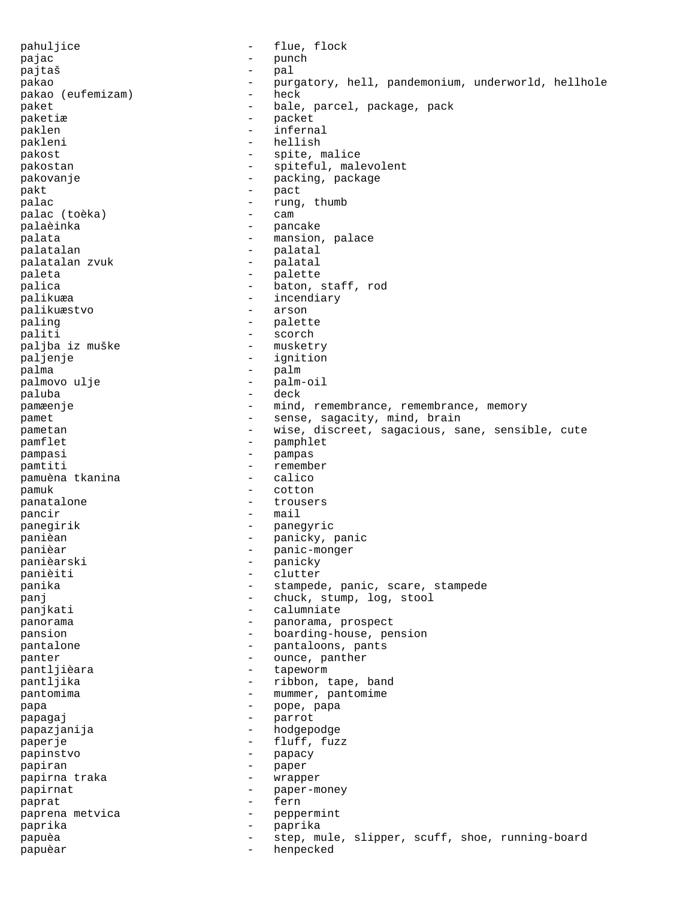pahuljice  $\qquad \qquad -$  flue, flock pajac - punch pajtaš - pal pakao - purgatory, hell, pandemonium, underworld, hellhole pakao (eufemizam) - heck paket - bale, parcel, package, pack<br>
paketia paketiæ – packet<br>naklen – packet paklen - infernal pakleni - hellish pakost - spite, malice pakostan  $-$  spiteful, malevolent pakovanje  $\qquad \qquad \qquad -$  packing, package pakt - pact palac  $-$  rung, thumb palac (toèka) - cam palaèinka - pancake palata  $-$  mansion, palace palatalan - palatal palatalan zvuk - palatal paleta - palette palica  $-$  baton, staff, rod palikuæa - incendiary<br>
palikuæstvo - - arson palikuæstvo paling - palette - scorch<br>- musketry paljba iz muške paljenje - ignition palma - palm palmovo ulje - palm-oil paluba pamæenje **1988** - mind, remembrance, remembrance, memory pamet - sense, sagacity, mind, brain pametan entry resolution of the vise, discreet, sagacious, sane, sensible, cute pamflet - pamphlet<br>namnasi - pampasi - pampas pampasi - pampas pamtiti - remember pamuèna tkanina - calico - calico - calico - calico - calico - calico - calico - calico - calico - c pamuk - cotton panatalone - trousers pancir - mail panegirik - panegyric panièan - panicky, panic<br>panièar - panic-monger panièar - panic-monger panièarski - panicky<br>panièiti - clutter panièiti - clutter panika  $-$  stampede, panic, scare, stampede panj  $-$  chuck, stump, log, stool panjkati  $-$  calumniate panorama  $\qquad \qquad -$  panorama, prospect pansion - boarding-house, pension pantalone  $\qquad \qquad \qquad -$  pantaloons, pants panter  $\qquad \qquad - \qquad \text{ounce}$ , panther pantljièara  $-$  tapeworm pantljika - ribbon, tape, band pantomima  $-$  mummer, pantomime papa - pope, papa papagaj - parrot papazjanija - hodgepodge paperje - fluff, fuzz papinstvo - papacy papiran - paper papirna traka  $-$  wrapper papirnat - paper-money paprat - fern paprena metvica and a subset of the peppermint paprika - paprika papuèa - step, mule, slipper, scuff, shoe, running-board papuèar - henpecked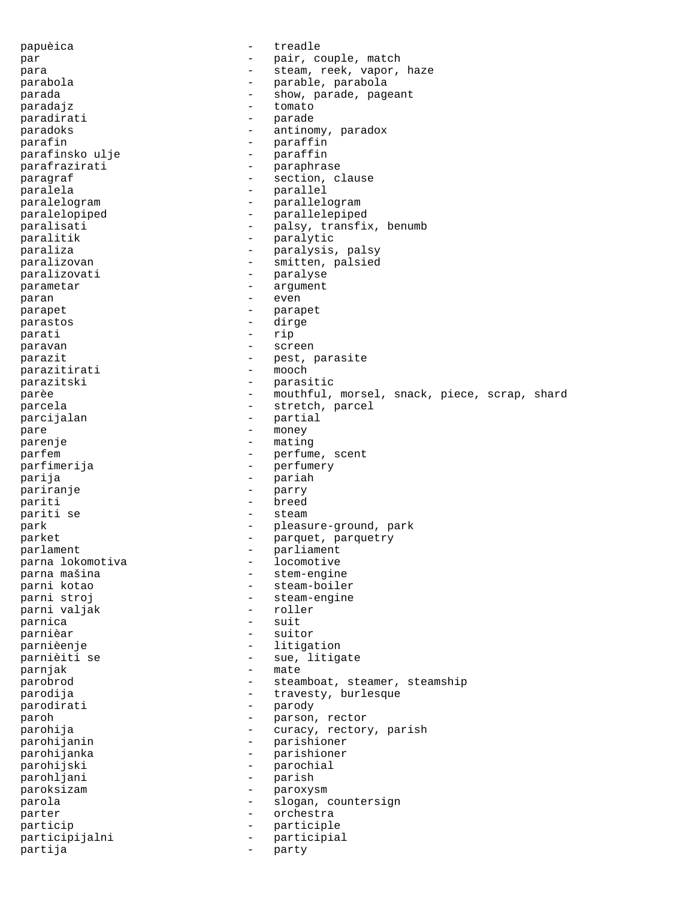papuèica  $\qquad \qquad -$  treadle par  $-$  pair, couple, match para  $-$  steam, reek, vapor, haze parabola - parable, parabola parada - show, parade, pageant paradajz - tomato paradirati - parade paradoks - antinomy, paradox parafin<br>
parafinsko ulje<br>
- paraffin parafinsko ulje parafrazirati - paraphrase -<br>paragraf - section, clause paralela  $-$  parallel paralelogram - parallelogram - parallelogram paralelopiped - parallelepiped paralisati - palsy, transfix, benumb paralitik - paralytic paraliza - paralysis, palsy paralizovan - smitten, palsied paralizovati - paralyse parametar  $-$  argument paran - even parapet - parapet parastos - dirge parati - rip paravan - screen parazit - pest, parasite parazitirati - mooch parazitski - parasitic parèe - mouthful, morsel, snack, piece, scrap, shard - mouthful, morsel, snack, piece, scrap, shard parcela  $\qquad \qquad$  - stretch, parcel parcijalan - partial pare  $\overline{ }$  - money parenje - mating parfem  $-$  perfume, scent parfimerija - perfumery parija - pariah - pariah - pariah - pariah - pariah - pariah - pariah - pariah - pariah - pariah - pariah - pariah - pariah - pariah - pariah - pariah - pariah - pariah - pariah - pariah - pariah - pariah - pariah - pariah pariranje - parry pariti - breed pariti se  $-$  steam park - pleasure-ground, park parket - parquet, parquetry parlament - parliament parna lokomotiva -<br>parna mašina - stem-engine<br>parni kotao - steam-boile - steam-boiler parni stroj - steam-engine parni valjak parnica entrancement and the suit parnièar  $-$  suitor parnièenje - litigation parnièiti se  $-$  sue, litigate -<br>parnjak - mate parobrod **come contract of the steamboat, steamer, steamship** parodija  $-$  travesty, burlesque parodirati - parody paroh - parson, rector parohija - curacy, rectory, parish parohijanin - parishioner parohijanka - parishioner parohijski - parochial parohljani - parish paroksizam - paroxysm parola  $-$  slogan, countersign parter  $\qquad \qquad -$  orchestra particip  $\qquad \qquad -$  participle participijalni - participial partija - party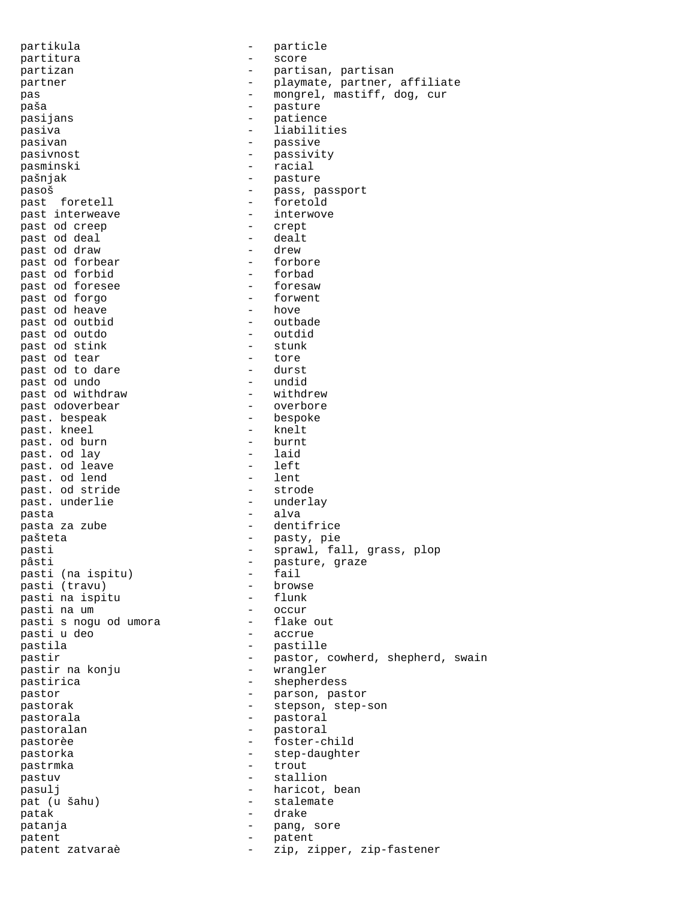partikula - particle partitura - score partizan - partisan, partisan partner - playmate, partner, affiliate pas  $-$  mongrel, mastiff, dog, cur paša - pasture - pasture - pasture - pasture - pasture - pasture - pasture - pasture - pasture - pasture - pasture - pasture - pasture - pasture - pasture - pasture - pasture - pasture - pasture - pasture - pasture - pastu pasijans - patience pasiva - liabilities pasivan - passive - passive - passive - passive - passive - passive - passive - passive - passive - passive - passive - passive - passive - passive - passive - passive - passive - passive - passive - passive - passive - pa pasivnost - passivity pasminski - racial pašnjak - pasture pasoš - pass, passport past foretell  $-$  foretold past interweave  $\qquad \qquad -$  interwove<br>past od creep  $\qquad \qquad -$  crept past od creep - crept past od deal - dealt past od draw - drew past od forbear - forbore past od forbid - forbad past od foresee  $\begin{array}{ccc} & - & \text{foresaw} \\ \text{nast} & \text{od} & \text{forao} \end{array}$  - foresaw past od forgo  $-$  forwer  $-$  forwer past od heave  $\begin{array}{ccc} 1 & - & \text{hove} \\ - & \text{outbad} \end{array}$ past od outbid<br>
past od outdo<br>
- outdid past od outdo - outdidensit od stink - outdidensit - outdidensity - outdidensity - outdidensity - outdidensity - outdidensity - outdidensity - outdidensity - outdidensity - outdidensity - outdidensity - outdid past od stink and the stunk of the stunk of the stunk of the stunk of the stunk of the stunk of the stunk of the stunk of the stunk of the stunk of the stunk of the stunk of the stunk of the stunk of the stunk of the stunk past od tear - tore past od to dare - durst past od undo - undid past od withdraw  $-$  withdrew bast odoverbear  $-$  overbore past odoverbear - overbore past. bespeak - bespoker - bespoker - bespoker - bespoker - bespoker - bespoker - bespoker - bespoker - bespok past. kneel end as the set of hurn the set of hurn the set of hurn the set of the set of the set of the set of the set of the set of the set of the set of the set of the set of the set of the set of the set of the set of t past. od burn - burnt past. od lay - laid past. od leave  $\begin{array}{ccc} - & \text{left} \\ - & \text{left} \\ - & \text{left} \end{array}$ past. od lend<br>
past. od stride - strode - strode past. od stride - strode past. underlie pasta  $-$  alva pasta za zube  $-$  dentifrice pašteta - pasty, pie pasti - sprawl, fall, grass, plop pâsti - pasture, graze<br>pasti (na ispitu) - fail pasti (na ispitu) - fail<br>nasti (travu) - browse pasti (travu) - browse - browse - browse - browse - flunk pasti na ispitu  $-$  flunk nasti na um  $-$  occur pasti na um - occur pasti s nogu od umora - flake out i u deo - accrue pasti u deo pastila - pastille pastir - pastor, cowherd, shepherd, swain pastir na konju - wrangler -<br>pastirica - shepherdess pastor - parson, pastor pastorak - stepson, step-son pastorala - pastoral pastoralan  $-$  pastoral pastorèe  $-$  foster-child pastorka - step-daughter pastrmka - trout pastuv - stallion pasulj  $-$  haricot, bean pat (u šahu) - stalemate patak - drake patanja - pang, sore patent - patent patent zatvaraè - zip, zipper, zip-fastener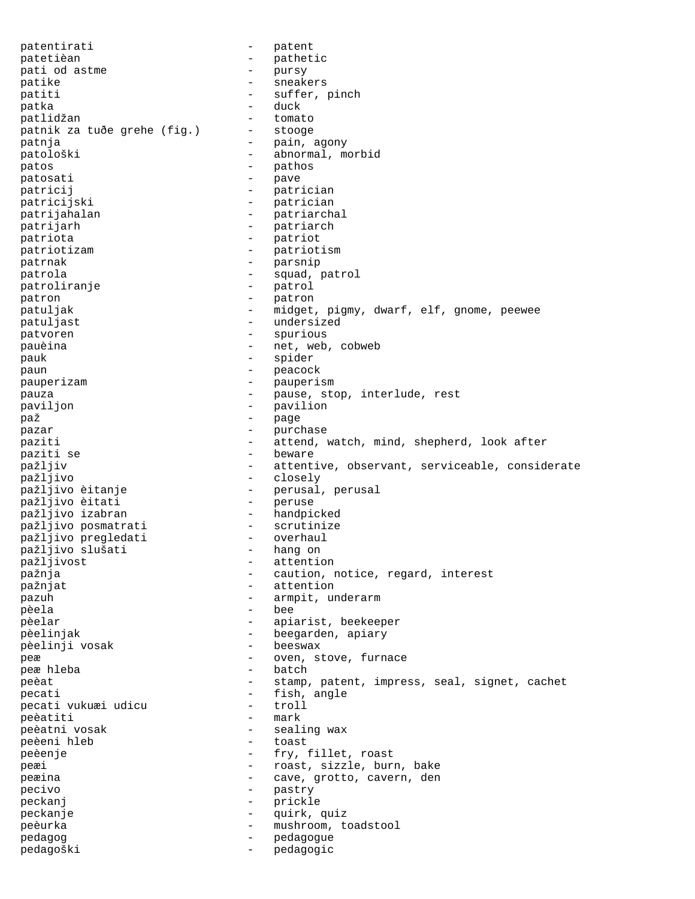patentirati - patent<br>
patetièan - pathet patetièan - pathetic pati od astme - pursy patike - sneakers patiti  $-$  suffer, pinch patka - duck patlidžan - tomato patnik za tuðe grehe (fig.) patnja - pain, agony abnormal, morbid patos - pathos patosati  $-$  pave patricij - patrician patricijski - patrician patrijahalan - patriarchal<br>
patrijarh - patriarch patrijarh - patriarch patriota - patriot patriotizam - patriotism<br>
patrnak - parsnip patrnak - parsnip patrola - squad, patrol patroliranje - patrol patron - patron - patron patuljak - midget, pigmy, dwarf, elf, gnome, peewee patuljast  $-$  undersized patvoren - spurious pauèina  $-$  net, web, cobweb pauk - spider paun - peacock pauperizam - pauperism pauza - pause, stop, interlude, rest<br>
payilion - payilion - payilion paviljon - pavilion - pavilion<br>naž paž - page pazar - purchase paziti - attend, watch, mind, shepherd, look after - beware pažljiv - attentive, observant, serviceable, considerate<br>pažljivo - closely - closely - closely pažljivo èitanje - perusal, perusal<br>pažljivo èitati - - - - - - - peruse pažljivo èitati - peruse - pažljivo izabran - handpicked<br>pažljivo posmatrati - scrutinize pažljivo posmatrati - scrutinize pažljivo pregledati overhaul<br>pažljivo slušati hang on pažljivo slušati<br>pažljivost - attention pažnja - caution, notice, regard, interest pažnjat - attention pazuh  $-$  armpit, underarm pèela - bee pèelar - apiarist, beekeeper<br> - apiarist, beekeeper<br> - beegarden, apiary - beegarden, apiary pèelinji vosak - beeswax peæ  $-$  oven, stove, furnace peæ hleba  $-$  batch peæ hleba - batcher - batcher - batcher - batcher - batcher - batcher - batcher peèat  $-$  stamp, patent, impress, seal, signet, cachet<br>pecati  $-$  fish angle pecati  $\begin{array}{ccc} 1 & - & - \\ - & - & - \end{array}$  tish, angle pecati vukuæi udicu pecati vukuæi udicu - troll peèatiti - mark peèatni vosak - sealing wax peèeni hleb peèenje - fry, fillet, roast peæi  $-$  roast, sizzle, burn, bake peæina  $-$  cave, grotto, cavern, den pecivo - pastry peckanj - prickle peckanje - quirk, quiz peèurka - mushroom, toadstool pedagog entry and the pedagogue of the pedagogue pedagoški - pedagogic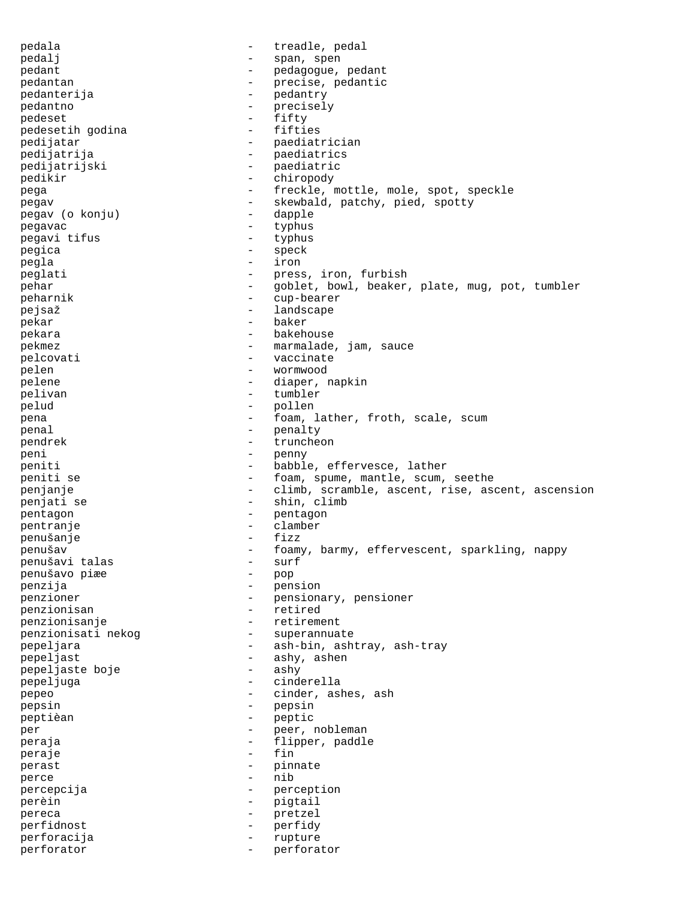pedala  $-$  treadle, pedal pedalj - span, spen pedant - pedagogue, pedant<br>
pedantan - pedagogue, pedantic pedantan  $-$  precise, pedantic pedanterija - pedantry pedantno - precisely<br>
pedeset - fifty<br>
- fifty pedeset<br>
pedesetih qodina<br>
and the settle of the settles pedesetih godina<br>pedijatar - paediatrician pedijatrija - paediatrics pedijatrijski - paediatric pedikir - chiropody pega - freckle, mottle, mole, spot, speckle pegav  $-$  skewbald, patchy, pied, spotty pegav (o konju) - dapple pegavac - typhus pegavi tifus - typhus<br>
pegica - speck pegica - speck<br>negla - speck<br>- iron pegla - iron peglati - press, iron, furbish<br>
rebar - coblet bowl beaker pehar - goblet, bowl, beaker, plate, mug, pot, tumbler<br>
- cup-bearer peharnik - cup-bearer pejsaž - landscape pekar - baker pekara - bakehouse pekmez - marmalade, jam, sauce pelcovati - vaccinate pelen - wormwood pelene - diaper, napkin pelivan - tumbler<br>pelud - pollen pelud - pollen<br>pena - foam - foam i pena - foam, lather, froth, scale, scum<br>
- penalty penal - penalty<br>
pendrek - trunche pendrek - truncheon peni - penny peniti - babble, effervesce, lather peniti se - foam, spume, mantle, scum, seethe penjanje  $-$  climb, scramble, ascent, rise, ascent, ascension penjati se  $-$  shin, climb pentagon - pentagon pentranje - clamber penušanje - fizizor - fizizor - fizizor penušav - foamy, barmy, effervescent, sparkling, nappy<br>
penušavi talas - surf penušavi talas - surf penušavo piæe - pop penzija - pension pensionary, pensioner penzionisan - retired penzionisanje - retirement penzionisati nekog pepeljara - ash-bin, ashtray, ash-tray pepeljast - ashy, ashen pepeljaste boje - ashy pepeljuga - cinderella pepeo - cinder, ashes, ash<br>
pepsin<br>
- pepsin<br>
- pepsin pepsin - pepsin peptièan - peptic per - peer, nobleman peraja - flipper, paddle peraje - fin perast - pinnate perce - nib percepcija - perception perèin - pigtail<br>pereca - pigtail - pretzel pereca - pretzel perfidnost - perfidy perforacija - rupture perforator  $-$  perforator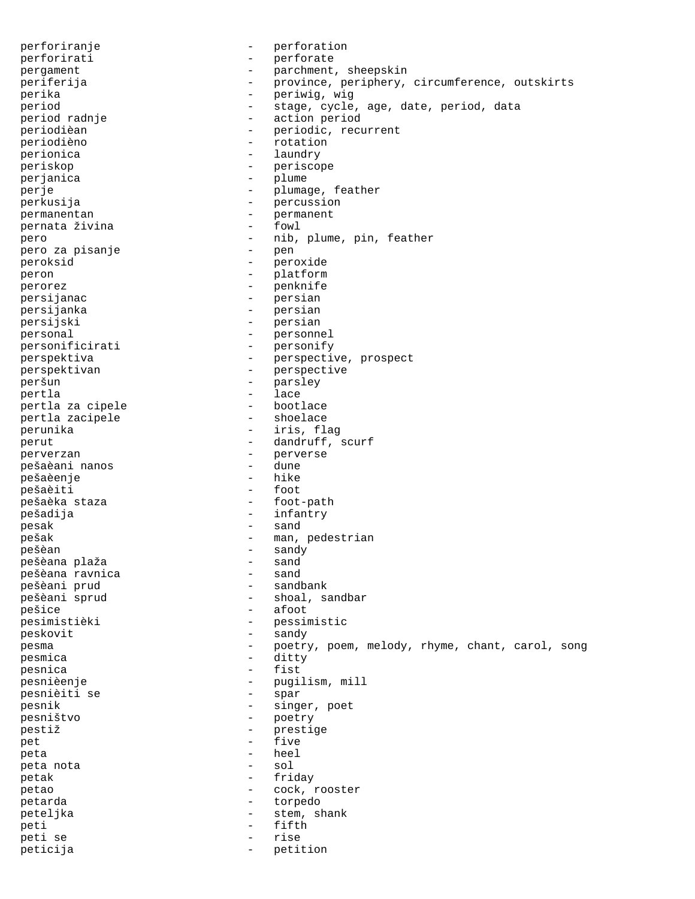perforiranje - perforation perforirati - perforate pergament - parchment, sheepskin periferija - province, periphery, circumference, outskirts perika - periwig, wig period - stage, cycle, age, date, period, data period radnje - action period periodièan  $-$  periodic, recurrent periodièno - rotation perionica and a laundry berionical control of the laundry periskop - periscope perjanica - plume perje  $-$  plumage, feather perkusija - percussion permanentan - permanent pernata živina pero  $-$  nib, plume, pin, feather pero za pisanje  $-$  pen pero za pisanje - pen peroksid - peroxide peron - platform perorez - penknife persijanac - persian persijanka - persian persijski - persian personal - personnel personificirati - personify perspektiva - perspective, prospect perspektivan - perspective peršun - parsley pertla - lace pertla za cipele - bootlace pertla zacipele perunika - iris, flag perut  $\qquad \qquad -$  dandruff, scurf perverzan - perverse<br>nešaèani nanos - dune - dune pešaèani nanos - dune pešaèenje - hike pešaèiti pešaèka staza  $-$  foot-path pešadija - infantry pesak - sand pešak - man, pedestrian pešèan - sandy pešèana plaža - sand pešèana ravnica<br>
pešèani prud<br>
pešèani prud pešèani prud<br>pešèani sprud - shoal, sandbar pešice - afoot - pessimistic peskovit - sandy pesma - poetry, poem, melody, rhyme, chant, carol, song<br>pesmica - ditty<br>ditty pesmica - ditty pesnica entrants and the fist pesnièenje - pugilism, mill pesnièiti se pesnik - singer, poet - poetry<br>- prestie pestiž - prestige pet the set of the set of the set of the set of the set of the set of the set of the set of the set of the set of the set of the set of the set of the set of the set of the set of the set of the set of the set of the set o peta - heel peta nota petak - friday petao - cock, rooster petarda  $-$  torpedo peteljka - stem, shank peti - fifth peti se  $-$  rise peticija - petition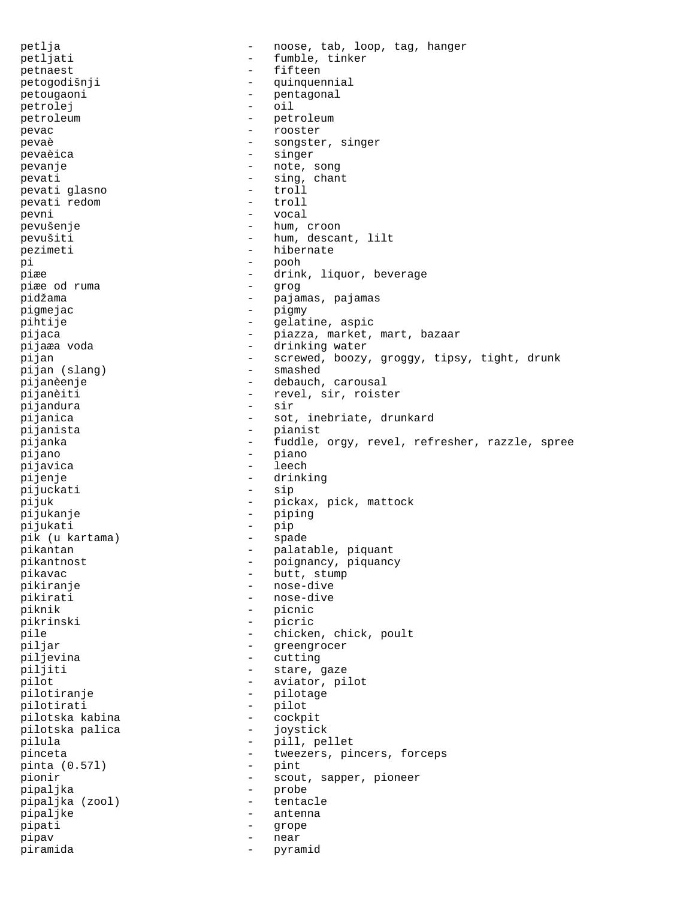petlja - noose, tab, loop, tag, hanger petljati - fumble, tinker petnaest - fifteen petogodišnji - quinquennial petougaoni - pentagonal petrolej - oil<br>netroleum - petroleum - petroleum petroleum - petroleum - petroleum pevac - rooster pevaè - songster, singer -<br>pevaèica - singer - singer pevanje  $-$  note, song pevati - sing, chant<br>
pevati qlasno - troll<br>
- troll pevati glasno pevati redom - troll pevni - vocal pevušenje - hum, croon pevušiti - hum, descant, lilt pezimeti - hibernate pi - pooh piæe - drink, liquor, beverage piæe od ruma pidžama - pajamas, pajamas pigmejac - pigmy pihtije - gelatine, aspic pijaca - piazza, market, mart, bazaar -<br>pijaæa voda - - - - - - - - - - - - drinking water pijan - screwed, boozy, groggy, tipsy, tight, drunk pijan (slang) - smashed pijan (slang) pijanèenje - debauch, carousal pijanèiti - revel, sir, roister pijandura - sirianica - sirianica - sirianica - sirianica - sirianica - sirianica - sirianica - sirianica - si pijanica - sot, inebriate, drunkard pijanista - pianist pijanka - fuddle, orgy, revel, refresher, razzle, spree pijano - piano pijavica - leech pijenje - drinking - drinking<br>nijuckati - sip pijuckati pijuk - pickax, pick, mattock<br>pijukanje - piping - piping pijukanje - piping pijukati - pip pik (u kartama) - spade pikantan - palatable, piquant<br>pikantnost - palatable, piquanc pikantnost  $-$  poignancy, piquancy -<br>pikavac - butt, stump pikiranje - nose-dive pikirati - nose-dive<br>piknik - picnic - picnic - picnic pikrinski - picric pile  $\qquad \qquad -$  chicken, chick, poult piljar - greengrocer piljevina - cutting piljiti - stare, gaze pilot - aviator, pilot pilotiranje - pilotage pilotirati - pilot pilotska kabina - cockpit pilotska palica pilula - pill, pellet pinceta - tweezers, pincers, forceps<br>
pinta (0.571) - pint pinta  $(0.571)$ pionir - scout, sapper, pioneer pipaljka - probe pipaljka (zool) - tentacle pipaljke - antenna pipati - grope pipav - near piramida - pyramid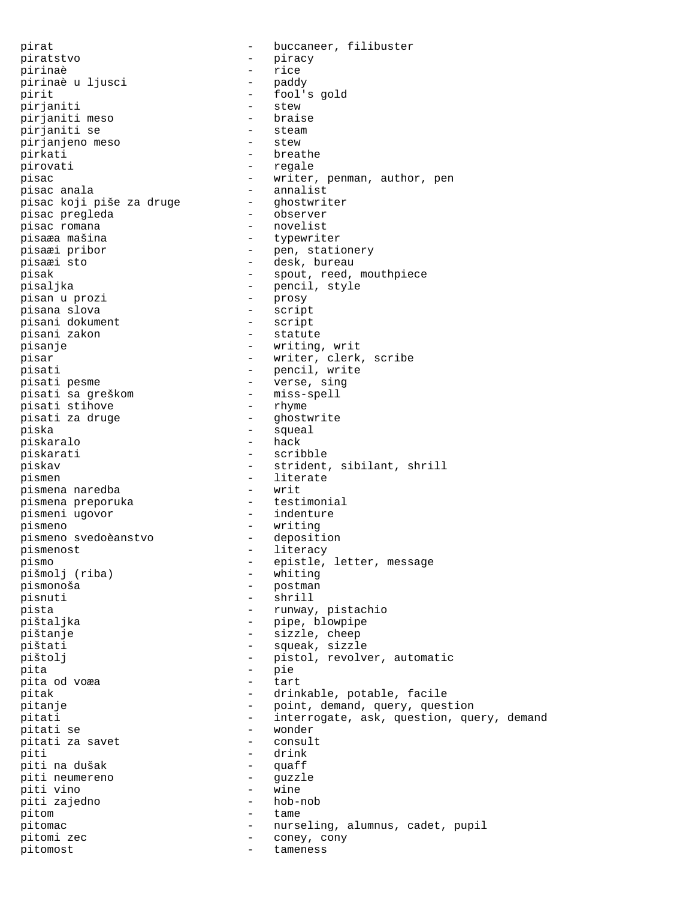pirat  $-$  buccaneer, filibuster piratstvo - piracy -<br>pirinaè - rice pirinaè u ljusci pirinaè u ljusci<br>
pirit - paddy<br>
pirit - fool's gold<br>
pirianiti - stew<br>
- stew pirjaniti  $-$  stew  $-$  braise pirjaniti meso - braise pirjaniti se - steam pirjanjeno meso pirkati - breathe pirovati  $-$  regale pisac - writer, penman, author, pen pisac anala - annalist pisac koji piše za druge pisac pregleda  $-$  observer pisac romana  $\qquad \qquad$  - novelist pisaæa mašina - typewriter pisaæi pribor - pen, stationery pisaæi sto - desk, bureau pisak  $-$  spout, reed, mouthpiece pisaljka - pencil, style<br>pisan u prozi - prosy - prosy pisan u prozi - prosy pisana slova - script pisani dokument - script pisani zakon pisanje - writing, writ pisar - writer, clerk, scribe pisati - pencil, write pisati pesme - verse, sing pisati sa greškom - miss-spell pisati stihove pisati za druge  $-$  ghostwrite piska - squeal piskaralo piskarati - scribble piskav - strident, sibilant, shrill pismen - literate pismena naredba - writ pismena preporuka pismeni ugovor  $-$  indenture pismeno<br>
pismeno svedo<br/>èanstvo<br>
- deposition<br>
- deposition pismeno svedoèanstvo pismenost  $-$  literacy pismo<br>pismo<br>pišmoli (riba) - epistle, letter, message<br>pišmoli (riba) - whiting pišmolj (riba) pismonoša - postman pisnuti - shrill pista - runway, pistachio<br>pištaljka - runway, pistachio - pipe, blowpipe pištanje - sizzle, cheep pištati - squeak, sizzle pištolj - pistol, revolver, automatic<br>pita - pie pita - pie pita od voæa - tart pitak - drinkable, potable, facile pitanje - point, demand, query, question pitati - interrogate, ask, question, query, demand pitati se - wonder pitati za savet piti - drink piti na dušak - quaff piti neumereno - guzzle piti vino piti zajedno - hob-nob pitom  $-$  tame pitomac - nurseling, alumnus, cadet, pupil pitomi zec  $-$  coney, cony pitomost - tameness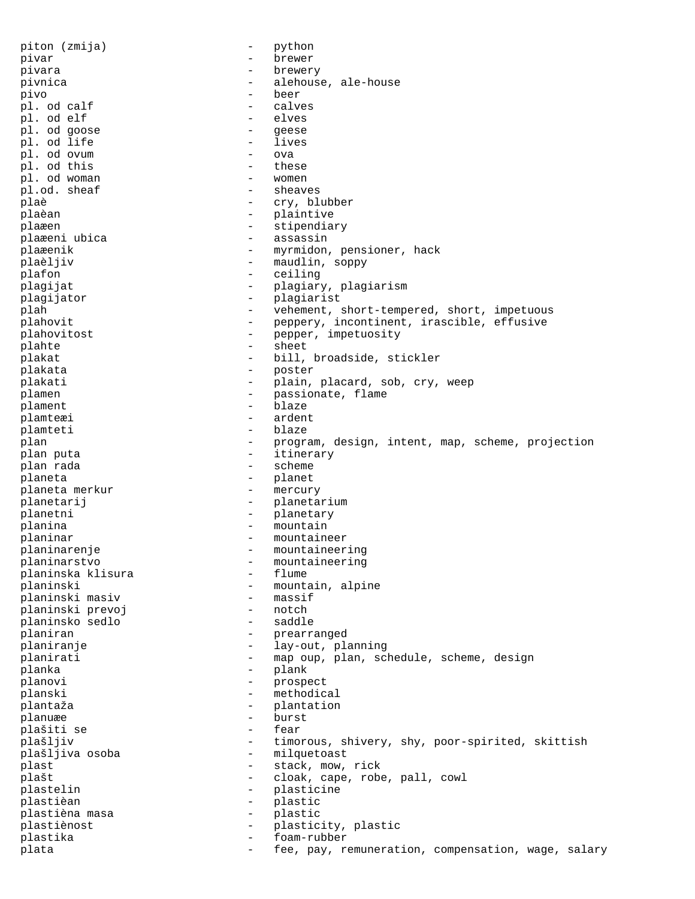piton (zmija) - python pivar - brewer pivara - brewery pivnica <br/> - alehouse, ale-house pivo - beer pl. od calf  $\qquad \qquad$  - calve  $\qquad \qquad$  - calve  $\qquad \qquad$  - elves pl. od elf - elves pl. od goose  $-$  geese  $-$  geese  $-$  lives pl. od life - lives - lives - lives - lives - lives - lives - lives - lives - lives - lives - lives - lives - <br>
- lives - lives - lives - lives - lives - lives - lives - lives - lives - lives - lives - lives - lives - liv pl. od ovum - ova<br>nl. od this - these pl. od this  $\Box$  - these  $\Box$  od woman - women pl. od woman<br>pl.od. sheaf - sheaves plaè  $-$  cry, blubber plaèan - plaintive<br>plaæen - extinendia plaæen - stipendiary plaæeni ubica plaæenik - myrmidon, pensioner, hack<br>nlaðling - maudlingsoppy plaèljiv - maudlin, soppy<br>
platon - ceiling plafon - ceiling plagijat - plagiary, plagiarism<br>nlagijator - plagiarist plagijator - plagiarist<br>
plah - yehement plah - vehement, short-tempered, short, impetuous plahovit - peppery, incontinent, irascible, effusive plahovitost - pepper, impetuosity<br>
plahte<br>
- sheet<br>
- sheet plahte - sheet plakat - bill, broadside, stickler plakata - poster plakati - plain, placard, sob, cry, weep<br>plamen - plain, placard, sob, cry, weep plamen - passionate, flame<br>
plament - blaze<br>
- blaze plament - blaze plamteæi – ardent<br>plamteti – blaze plamteti – blaze – blaze – blaze – blaze – blaze – blaze – blaze – blaze – blaze – blaze – blaze – blaze – blaze – blaze – blaze – blaze – blaze – blaze – blaze – blaze – blaze – blaze – blaze – blaze – blaze – blaze – bla plan - program, design, intent, map, scheme, projection plan puta  $\qquad \qquad$  - itinerary plan rada  $\qquad \qquad -$  scheme planeta<br>planeta merkur - planet<br>- mercury - mercury planeta merkur planetarij  $\qquad \qquad -$  planetarium planetni - planetary -<br>
planina - mountain<br>
planinar - mountaine - mountaineer planinarenje - mountaineering planinarstvo - mountaineering planinska klisura<br>planinski - mountain, alpine<br>- massif planinski masiv - massif planinski prevoj - notch planinsko sedlo planiran  $\qquad \qquad$  - prearranged planiranje  $\qquad \qquad -$  lay-out, planning planirati - map oup, plan, schedule, scheme, design planka - plank planovi - prospect planski - methodical<br>
plantaža - mantation<br>
- plantation plantaža - plantation planuæe - burst plašiti se plašljiv - timorous, shivery, shy, poor-spirited, skittish plašljiva osoba - milquetoast plast  $\begin{array}{ccc} \texttt{plast} & - & \texttt{stack, mow, rick} \\ \texttt{blašt} & - & \texttt{cloak, cape, robs} \end{array}$ - cloak, cape, robe, pall, cowl plastelin - plasticine plastièan - plastic plastièna masa - plastic plastiènost - plasticity, plastic plastika - foam-rubber plata  $-$  fee, pay, remuneration, compensation, wage, salary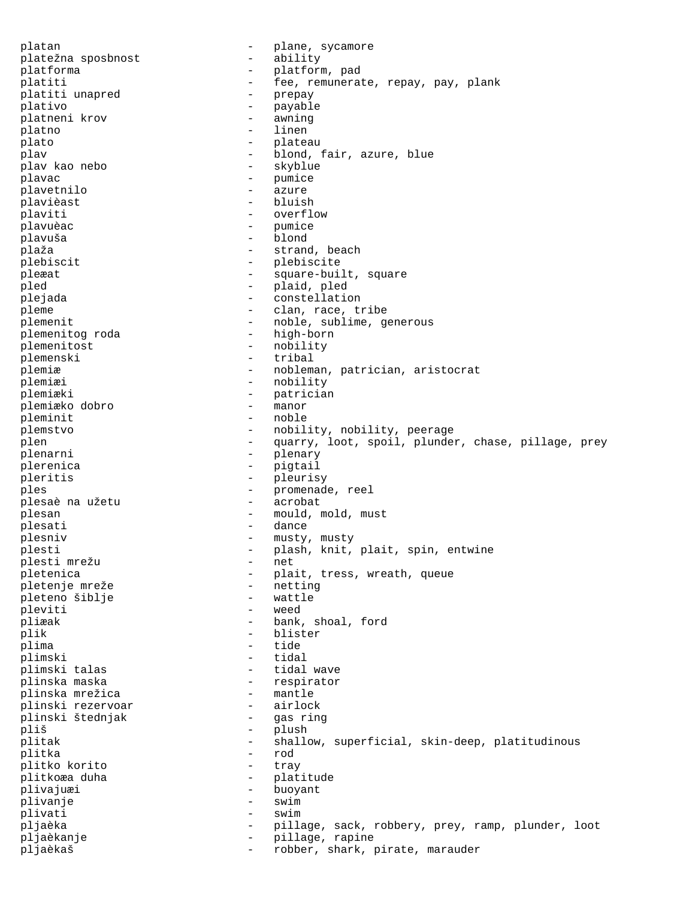platan - plane, sycamore<br>platežna sposbnost - ability platežna sposbnost platforma - platform, pad platiti - fee, remunerate, repay, pay, plank platiti unapred  $\begin{array}{ccc} - & \text{prepay} \\ - & \text{new} \end{array}$ plativo - payable<br>
platneni krov - awning platneni krov and the set of the set of the set of the set of the set of the set of the set of the set of the s<br>
and the set of the set of the set of the set of the set of the set of the set of the set of the set of the se platno plato - plateau plav  $\begin{array}{ccc} - & - & \text{bond, fair, azure, blue} \\ - & \text{skvblue} \end{array}$ - skyblue plavac - pumice plavetnilo plavièast - bluish plaviti - overflow<br>plavuèac - plavuèac - plavuèac plavuèac - pumice plavuša – blondings – blo plaža  $-$  strand, beach plebiscit - plebiscite pleæat - square-built, square pled - plaid, pled<br>
pleiada - constellatio plejada - constellation pleme  $\qquad \qquad -$  clan, race, tribe plemenit<br>plemenitog roda and the subset of the subset of the subset of the plemenitog roda<br>plemenitog roda and the subset of the subset of the subset of the subset of the subset of the subset of the subset of the subset of plemenitog roda plemenitost - nobility plemenski - tribal<br>plemiæ - noblem - nobleman, patrician, aristocrat plemiæi - nobility<br>plemiæki - patricia - patrician<br>- manor plemiæko dobro - manor pleminit plemstvo - nobility, nobility, peerage plen - quarry, loot, spoil, plunder, chase, pillage, prey plenarni - plenary plerenica - pigtail pleritis - pleurisy - promenade, reel<br>- acrobat plesaè na užetu plesan - mould, mold, must<br>plesati - dance plesati - dance plesniv  $-$  musty, musty plesti  $-$  plash, knit, plait, spin, entwine plesti mrežu  $-$  net plesti mrežu pletenica - plait, tress, wreath, queue<br>
pletenie mreže - netting<br>
- netting pletenje mreže<br>
pleteno šiblie<br>
- wattle pleteno šiblje - watti<br>
pleviti - weed pleviti pliæak - bank, shoal, ford plik - blister plima - tide plimski - tidal - tidal wave plinska maska - respirator plinska mrežica - mantle plinski rezervoar - airlock plinski štednjak - gas ring pliš - plush - shallow, superficial, skin-deep, platitudinous plitka - rod plitko korito plitkoæa duha  $-$  platitude plivajuæi - buoyant plivanje - swim plivati - swim pljaèka - pillage, sack, robbery, prey, ramp, plunder, loot pljaèkanje - pillage, rapine pljaèkaš - robber, shark, pirate, marauder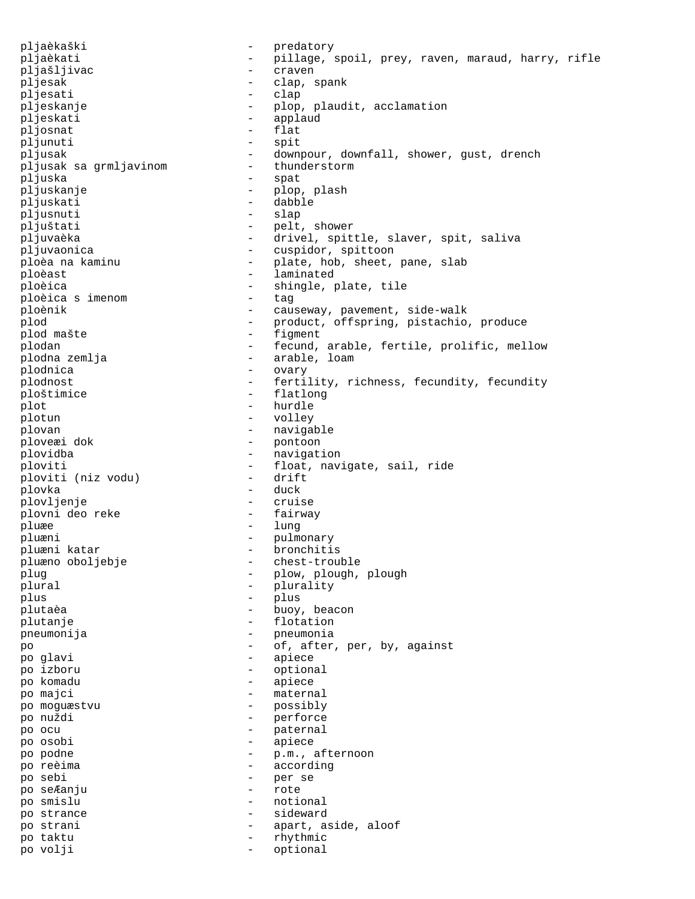pljaèkaški - predatory pljaèkati - pillage, spoil, prey, raven, maraud, harry, rifle pljašljivac - craven pljesak - clap, spank pljesati - clap pljeskanje - plop, plaudit, acclamation<br>
- applaudit, acclamation<br>
- applaud pljeskati - applaud - applaud - biosnat - flat pljosnat pljunuti - spit pljusak - downpour, downfall, shower, gust, drench<br>pliusak sa qrmliavinom - thunderstorm pljusak sa grmljavinom pljuska - spat pljuskanje - plop, plash pljuskati - dabble pljusnuti - slap pljuštati - pelt, shower pljuvaèka - - drivel, spittle, slaver, spit, saliva pljuvaonica - cuspidor, spittoon ploèa na kaminu  $-$  plate, hob, sheet, pane, slab ploèast  $\overline{\phantom{a}}$  - laminated ploèica<br>
ploèica simenom<br>
- tag - tag - tag - tag - tag - tag - tag - tag - tag - tag - tag - tag - tag - tag - tag - tag - tag - tag - tag - tag - tag - tag - tag - tag - tag - tag - tag - tag ploèica s imenom - tag ploènik - causeway, pavement, side-walk plod - product, offspring, pistachio, produce plod mašte  $-$  figment plodan - fecund, arable, fertile, prolific, mellow plodna zemlja - arable, loam plodnica - ovary plodnost  $-$  fertility, richness, fecundity, fecundity<br>ploštimice  $-$  flatlong ploštimice - flatlong<br>nlot - hurdle plot - hurdle<br>
plotun - volley plotun - volley plovan - navigable - pontoon plovidba - navigation ploviti  $-$  float, navigate, sail, ride<br>ploviti (niz vodu)  $-$  drift ploviti (niz vodu) plovka - duck plovljenje - cruise plovni deo reke pluæe - lung pluæni - pulmonary pluæni katar  $\qquad \qquad$  - bronchitis pluæno oboljebje - chest-trouble plug - plow, plough, plough plural  $\begin{array}{ccc} \text{plural} & - & \text{plurality} \\ \text{nlus} & - & \text{nlus} \end{array}$ plus - plus - plus plutaèa - buoy, beacon plutanje - flotation pneumonija - pneumonia<br>po - of after po - of, after, per, by, against po glavi - apiece po izboru - optional po komadu - apiece po majci - maternal po moguæstvu - possibly po nuždi - perforce po ocu  $-$  paternal po osobi - apiece po podne - p.m., afternoon po reèima  $\qquad \qquad$  - according po sebi - per se po seÆanju - rote po smislu - notional po strance  $-$  sideward po strani  $\qquad \qquad -$  apart, aside, aloof po taktu - rhythmic po volji - optional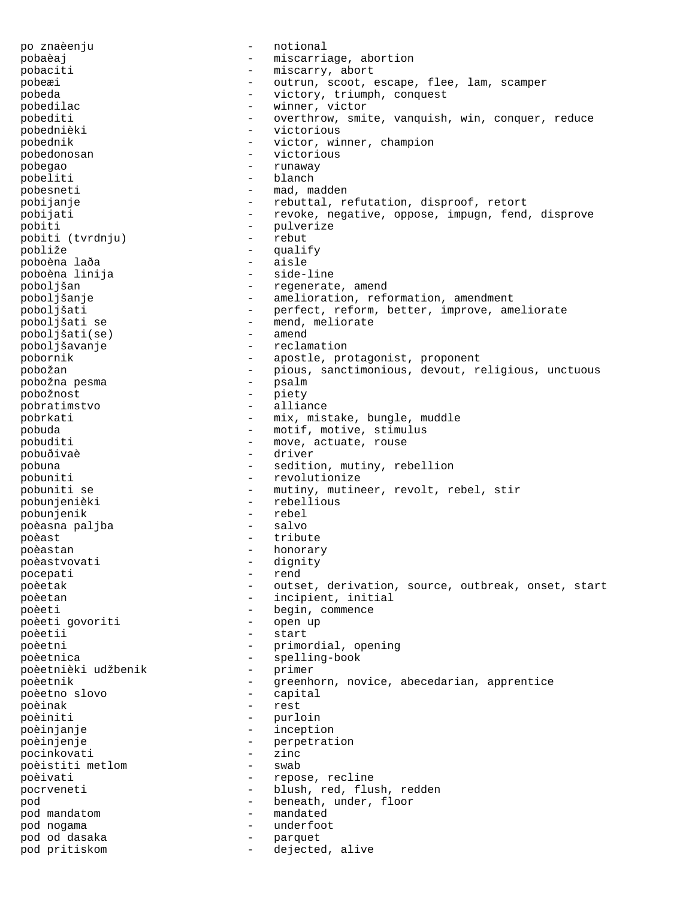po znaèenju - notional pobaèaj - miscarriage, abortion pobaciti  $-$  miscarry, abort pobeæi - outrun, scoot, escape, flee, lam, scamper pobeda - victory, triumph, conquest pobedilac - winner, victor pobediti - overthrow, smite, vanquish, win, conquer, reduce pobednièki - victorious pobednik - victor, winner, champion pobedonosan - victorious pobegao - runaway pobeliti - blanch pobesneti - mad, madden pobijanje - rebuttal, refutation, disproof, retort pobijati - revoke, negative, oppose, impugn, fend, disprove pobiti - pulverize pobiti (tvrdnju) - rebut pobliže - qualify poboèna laða - aisle poboèna linija poboljšan - regenerate, amend poboljšanje - amelioration, reformation, amendment poboljšati - perfect, reform, better, improve, ameliorate poblem<br>
point in meliorate<br>
point of the sense of the sense of the sense of the sense of the sense of the sense of the sense of the sense<br>
point of the sense of the sense of the sense of the sense of the sense of the sense poboljšati(se) poboljšavanje - reclamation pobornik - apostle, protagonist, proponent pobožan - pious, sanctimonious, devout, religious, unctuous pobožna pesma - psalm pobožnost - piety pobratimstvo - alliance pobrkati - mix, mistake, bungle, muddle pobuda - motif, motive, stimulus pobuditi - move, actuate, rouse pobuðivaè - driver pobuna - sedition, mutiny, rebellion pobuniti  $\begin{array}{ccc} - & + & - & \text{revolutionize} \\ \text{pobuniti} & \text{se} & - & \text{mutiny}, \text{mutine} \end{array}$ - mutiny, mutineer, revolt, rebel, stir pobunjenièki - rebellious pobunjenik - rebel poèasna paljba - salvo poèast  $-$  tribute poèastan - honorary poèastvovati - dignity<br>pocepati - rend - rend pocepati - rend poèetak - outset, derivation, source, outbreak, onset, start poèetan  $-$  incipient, initial poèeti - begin, commence poèeti qovoriti - begin, commence poèeti govoriti - open up poèetii - start poèetni - primordial, opening poèetnica - spelling-book poèetnièki udžbenik poèetnik  $-$  greenhorn, novice, abecedarian, apprentice poèetno slovo - capital poèinak - restaurant - restaurant - restaurant - restaurant - restaurant - restaurant - restaurant - restauran<br>Desember - restaurant - restaurant - restaurant - restaurant - restaurant - restaurant - restaurant - restaura poèiniti - purloin<br>poèinianie - inceptie poèinjanje - inception poèinjenje<br>
pocinkovati<br>
- zinc<br>
- zinc pocinkovati - zinc<br>poèistiti metlom - swab poèistiti metlom poèivati  $-$  repose, recline pocrveneti - blush, red, flush, redden pod  $\begin{array}{ccc} \text{pod} & - & \text{ beneath, under, floor} \\ \text{pod mandatom} & - & \text{mandated} \end{array}$ pod mandatom pod nogama - underfoot pod od dasaka - parquet pod pritiskom - dejected, alive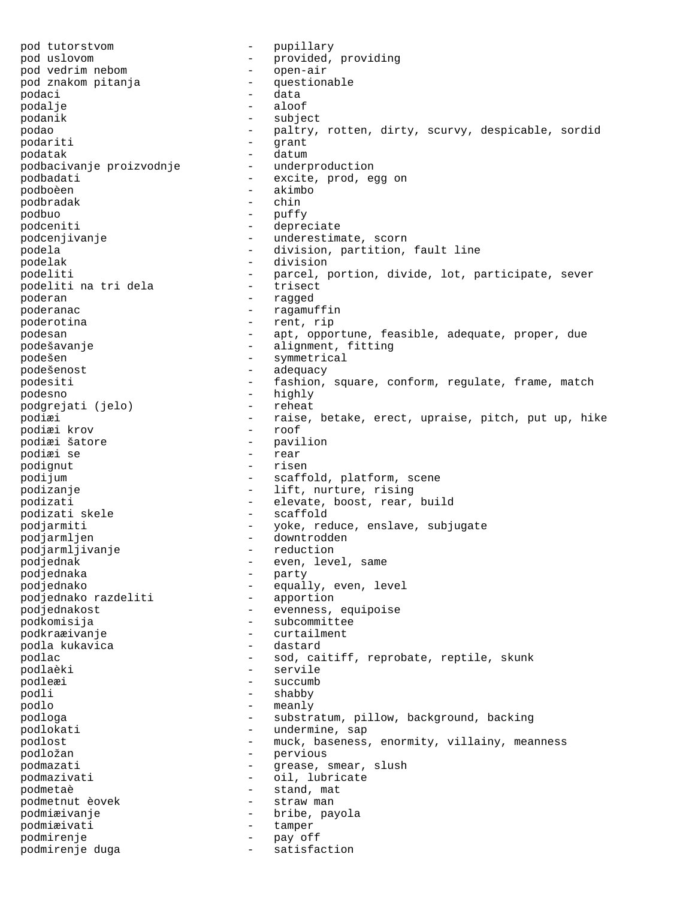pod tutorstvom - pupillary pod uslovom - provided, providing pod vedrim nebom - open-air pod znakom pitanja  $-$  questionable podaci - data podalje - aloos - aloos - aloos - aloos - aloos - aloos - aloos - aloos - aloos - aloos - aloos - aloos - aloos - aloos - aloos - aloos - aloos - aloos - aloos - aloos - aloos - aloos - aloos - aloos - aloos - aloos - aloo podanik - subject podao - paltry, rotten, dirty, scurvy, despicable, sordid podariti - qrant podatak - datum podbacivanje proizvodnje podbadati  $-$  excite, prod, egg on podboèen - akimbo podbradak - chin podbuo - puffy - puffy - puffy - puffy - puffy - puffy - puffy - puffy - puffy - puffy - puffy - puffy - puffy - puffy - puffy - puffy - puffy - puffy - puffy - puffy - puffy - puffy - puffy - puffy - puffy - puffy - puffy podceniti - depreciate podcenjivanje - underestimate, scorn podela - division, partition, fault line podelak - division podeliti<br>
podeliti na tri dela<br>
- trisect<br>
- trisect<br>
- trisect podeliti na tri dela - trisect poderan - ragged poderanac  $\qquad \qquad -$  ragamuffin poderotina  $-$  rent, rip podesan - apt, opportune, feasible, adequate, proper, due podešavanje - alignment, fitting podešen - symmetrical podešenost - adequacy podesiti - fashion, square, conform, regulate, frame, match<br>podesno<br>- highly podesno - highly podgrejati (jelo) podiæi - raise, betake, erect, upraise, pitch, put up, hike podiæi krov<br>podiæi šatore - pavilion<br>- rear podiæi se podignut - risen podijum  $-$  scaffold, platform, scene podizanje  $-$  lift, nurture, rising podizati - elevate, boost, rear, build<br>podizati skele - - scaffold podizati skele podjarmiti - yoke, reduce, enslave, subjugate podjarmljen - downtrodden<br>podjarmljivanje - reduction podjarmljivanje podjednak  $-$  even, level, same podjednaka - party<br>podjednako - party - party podjednako  $-$  equally, even, level<br>podjednako razdeliti  $-$  apportion podjednako razdeliti podjednakost - evenness, equipoise podkomisija - subcommittee podkraæivanje - curtailment podla kukavica - dastard podlac - sod, caitiff, reprobate, reptile, skunk<br>
- servile<br>
- servile podlaèki - servile podleæi - succumb podli - shabby podlo - meanly podloga - substratum, pillow, background, backing podlokati  $-$  undermine, sap podlost - muck, baseness, enormity, villainy, meanness podložan – pervious<br>podmazati – messe s podmazati  $-$  grease, smear, slush podmazivati - oil, lubricate podmetaè - stand, mat podmetnut èovek - straw man podmiæivanje - bribe, payola podmiæivati - tamper podmirenje - pay off podmirenje duga - satisfaction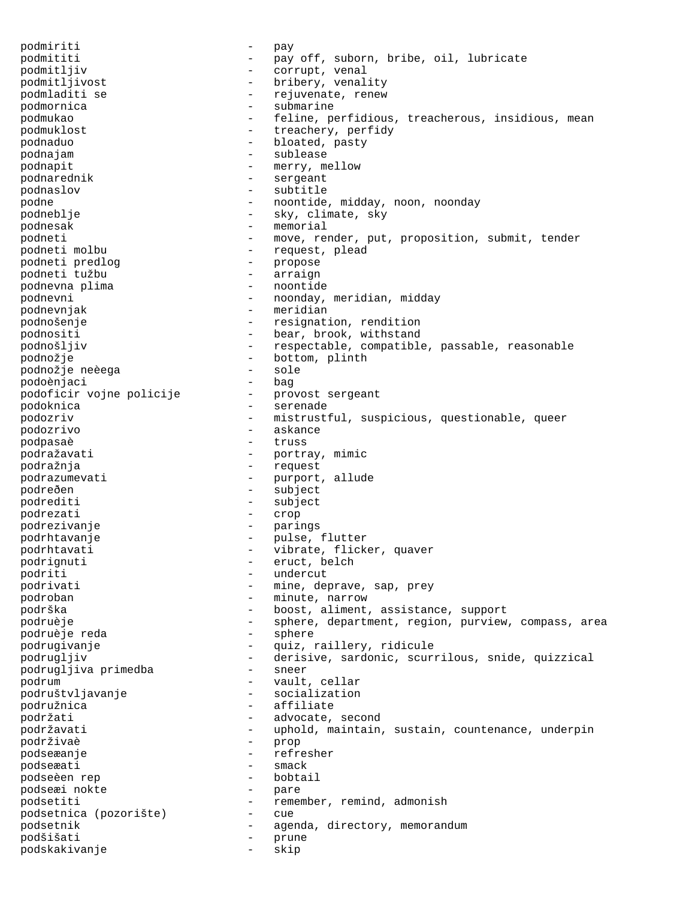podmiriti - pay podmititi - pay off, suborn, bribe, oil, lubricate podmitljiv - corrupt, venal podmitljivost - bribery, venality podmladiti se  $-$  rejuvenate, renew podmornica - submarine podmukao - feline, perfidious, treacherous, insidious, mean podmuklost  $-$  treachery, perfidy podnaduo - bloated, pasty podnajam - sublease podnapit - merry, mellow podnarednik - sergeant podnaslov - subtitle podne - noontide, midday, noon, noonday podneblje - sky, climate, sky podnesak - memorial podneti - move, render, put, proposition, submit, tender<br>podneti molbu - request, plead - request, plead<br>- propose podneti predlog - propose podneti tužbu - arraign podnevna plima podnevni - noonday, meridian, midday podnevnjak - meridian podnošenje - resignation, rendition podnositi - bear, brook, withstand podnošljiv - respectable, compatible, passable, reasonable podnožje - bottom, plinth podnožje neèega - sole podoènjaci<br>podoficir vojne policije provost sergeant podoficir vojne policije - -<br>podoknica - podoknica - serenade podozriv - mistrustful, suspicious, questionable, queer podozrivo - askance podpasaè podražavati - portray, mimic podražnja - request podrazumevati - purport, allude -<br>podreðen - subject podrediti - subject podrezati - crop podrezivanje - parings podrhtavanje - pulse, flutter<br>
podrhtavati - vibrate flicke podrhtavati - vibrate, flicker, quaver podrignuti - eruct, belch podriti - undercut podrivati  $-$  mine, deprave, sap, prey podroban - minute, narrow podrška - boost, aliment, assistance, support podruèje - sphere, department, region, purview, compass, area<br>podruèje reda - sphere - sphere podruèje reda podrugivanje - - - - quiz, raillery, ridicule podrugljiv - derisive, sardonic, scurrilous, snide, quizzical podrugljiva primedba - sneer podrum - vault, cellar podruštvljavanje - socialization - socialization - socialization - socialization - socialization - socializati<br>Internationalization - socialization - socialization - socialization - socialization - socialization - sociali podružnica - affiliate podržati  $-$  advocate, second podržavati e metali v rojem v rojem v rojeku naintain, sustain, countenance, underpin podrživaè - prop -<br>podseæanje - refresher<br>nodseæati - smack podseæati - smack podseèen rep - bobtail podseæi nokte podsetiti - remember, remind, admonish<br>podsetnica (pozorište) - cue podsetnica (pozorište) - cue podsetnik  $-$  agenda, directory, memorandum podšišati - prune podskakivanje - skip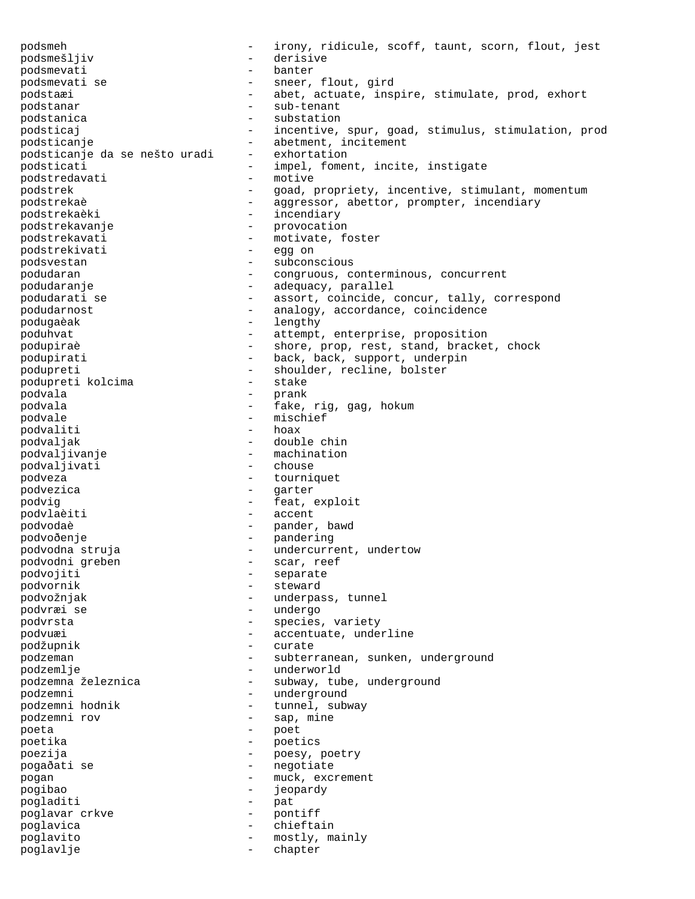podsmeh - irony, ridicule, scoff, taunt, scorn, flout, jest podsmešljiv - derisive podsmevati - banter - sneer, flout, gird podstaæi - abet, actuate, inspire, stimulate, prod, exhort podstanar - sub-tenant podstanica entrancement entrancement de la substation podsticaj - incentive, spur, goad, stimulus, stimulation, prod podsticanje - abetment, incitement podsticanje da se nešto uradi - exhortation podsticati - impel, foment, incite, instigate<br>
nodstredavati - motive<br>
- motive podstredavati podstrek - goad, propriety, incentive, stimulant, momentum podstrekaè  $-$  aggressor, abettor, prompter, incendiary podstrekaèki - incendiary podstrekavanje - provocation podstrekavati - motivate, foster<br>podstrekivati - egg on podstrekivati - egg on podsvestan - subconscious podudaran  $\qquad \qquad -$  congruous, conterminous, concurrent podudaranje  $\qquad \qquad -$  adequacy, parallel podudarati se e strategies - assort, coincide, concur, tally, correspond podudarnost and the same of the conduction of the conduction of the same of the conduction of the conduction of the conduction of the conduction of the conduction of the conduction of the conduction of the conduction of th podugaèak - lengthy poduhvat - attempt, enterprise, proposition podupiraè - shore, prop, rest, stand, bracket, chock podupirati  $-$  back, back, support, underpin podupreti - shoulder, recline, bolster - shoulder, recline, bolster - stake podupreti kolcima - sta podvala - prank podvala  $-$  fake, rig, gag, hokum podvale - mischief<br>
podvaliti - mischief<br>
- hoax podvaliti podvaljak - double chin podvaljivanje - machination podvaljivati podveza - tourniquet podvezica - garter podvig  $-$  feat, exploit podvlaèiti - accent podvodaè - pander, bawd podvoðenje - pandering podvodna struja - undercurrent, undertow podvodni greben - scar, reef -<br>podvojiti - separate podvornik - steward podvožnjak - underpass, tunnel podvræi se - undergo podvrsta - species, variety podvuæi  $\qquad \qquad -$  accentuate, underline podžupnik - curate podzeman - subterranean, sunken, underground podzemlje - underworld podzemna železnica <br />
- subway, tube, underground - underground<br>podzemni hodnik - underground - eunnel, sub - tunnel, subway -<br>podzemni rov - sap, mine poeta - poet poetika - poetics poezija - poesy, poetry -<br>pogaðati se - - - - - - - - negotiate pogan – muck, excrement<br>pogan – muck, excrement pogibao - jeopardy pogladiti - pat pogladiti - pat poglavar crkve - pontiff poglavica - chieftain poglavito - mostly, mainly poglavlje - chapter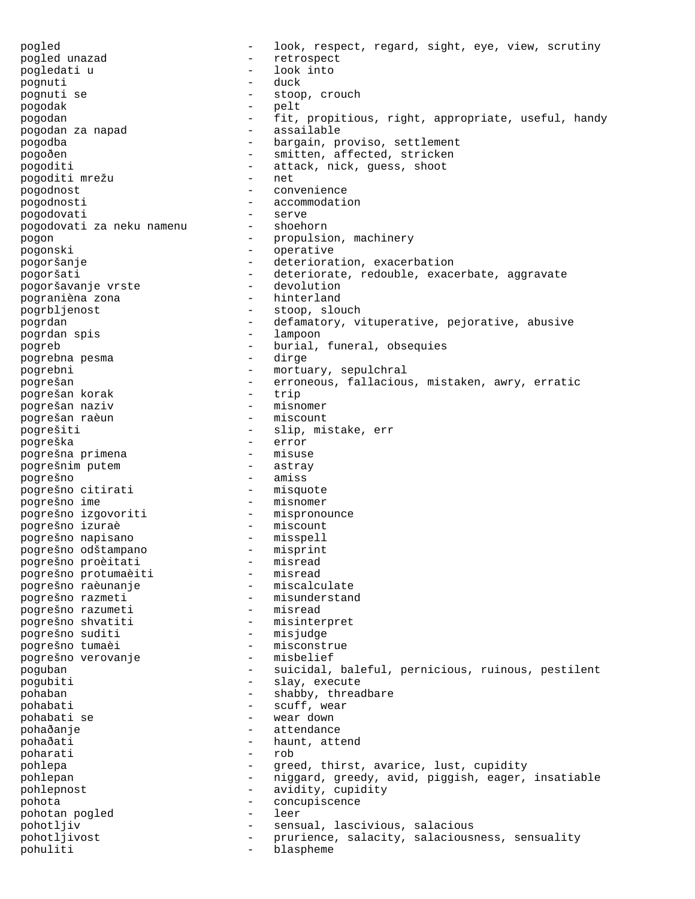pogled - look, respect, regard, sight, eye, view, scrutiny pogled unazad - retrospect pogledati u  $\qquad \qquad -$  look into noonuti pognuti pognuti se  $-$  stoop, crouch pogodak - pelt - fit, propitious, right, appropriate, useful, handy<br>- assailable pogodan za napad pogodba <sup>-</sup> bargain, proviso, settlement pogoðen - smitten, affected, stricken pogoditi  $\frac{1}{2}$  - attack, nick, guess, shoot nogoditi mrežu pogoditi mrežu pogodnost - convenience pogodnosti - accommodation pogodovati - serve<br>pogodovati za neku namenu - shoehorn pogodovati za neku namenu pogon - propulsion, machinery<br>pogonski - propulsion, machinery pogonski - operative pogoršanje - deterioration, exacerbation Pogoršati<br>pogoršati - deteriorate, redouble, exacerbate, aggravate<br>pogoršavanie vrste - devolution pogoršavanje vrste devolution<br>pogranièna zona hinterland pogranièna zona pogrbljenost - stoop, slouch pogrdan - defamatory, vituperative, pejorative, abusive<br>pogrdan spis - lampoon - lampoon pogrdan spis pogreb - burial, funeral, obsequies pogrebna pesma pogrebni - mortuary, sepulchral pogrešan - erroneous, fallacious, mistaken, awry, erratic<br>pogrešan korak - trip pogrešan korak - trip pogrešan naziv - misnomer pogrešan raèun pogrešiti - slip, mistake, err pogreška - error pogrešna primena - misuse pogrešnim putem pogrešno - amiss pogrešno citirati - misquote pogrešno ime - misnomer pogrešno izgovoriti - mispronounce pogrešno izuraè - miscount pogrešno napisano - misspell pogrešno odštampano - misprint pogrešno proèitati - misread pogrešno protumaèiti - misread pogrešno raèunanje - miscalculate pogrešno razmeti - misunderstand -<br>pogrešno razumeti - misread<br>pogrešno shvatiti - misinter - misinterpret numi<br>pogrešno suditi - misjudge pogrešno tumaèi - misconstrue<br>pogrešno verovanje - misbelief pogrešno verovanje poguban - suicidal, baleful, pernicious, ruinous, pestilent pogubiti - slay, execute pohaban - shabby, threadbare<br>pohabati - scuff, wear - scuff, wear pohabati se - wear down pohaðanje - attendance - haunt, attend<br>- rob poharati pohlepa - greed, thirst, avarice, lust, cupidity pohlepan - niggard, greedy, avid, piggish, eager, insatiable pohlepnost  $-$  avidity, cupidity pohota - concupiscence pohotan pogled pohotljiv - sensual, lascivious, salacious<br>pohotljivost - prurience, salacity, salacious pohotljivost - prurience, salacity, salaciousness, sensuality<br>pohuliti - blaspheme blaspheme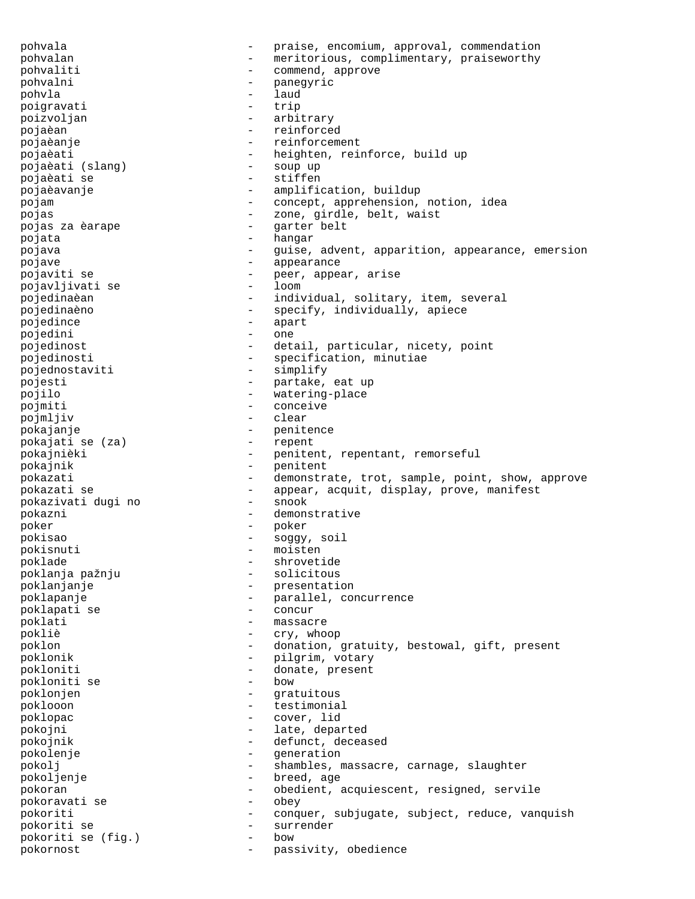pohvala - praise, encomium, approval, commendation pohvalan - meritorious, complimentary, praiseworthy pohvaliti - commend, approve pohvalni - panegyric pohvla - laud poigravati - trip poizvoljan - arbitrary pojaèan - reinforced pojaèanje - reinforcement pojaèati - heighten, reinforce, build up<br>pojaèati (slang) - soup up pojaèati (slang) - soup up pojaèati se pojaèavanje - amplification, buildup pojam  $-$  concept, apprehension, notion, idea pojas - zone, girdle, belt, waist pojas za èarape  $\overline{\phantom{a}}$  - garter belt pojata - hangar pojava - guise, advent, apparition, appearance, emersion<br>
- appearance pojave - appearance pojaviti se - peer, appear, arise pojavljivati se - loom pojedinaèan - individual, solitary, item, several pojedinaèno - specify, individually, apiece pojedince - apart<br>pojedini - apart pojedini - one pojedinost - detail, particular, nicety, point pojedinosti  $-$  specification, minutiae pojednostaviti - simplify pojesti - partake, eat up<br>pojilo - partake, eat up pojilo - watering-place<br>
poimiti - conceive pojmiti - conceive pojmljiv - clear pokajanje - penitence pokajati se (za) pokajnièki - penitent, repentant, remorseful pokajnik - penitent pokazati  $-$  demonstrate, trot, sample, point, show, approve pokazati se  $-$  appear, acquit, display, prove, manifest pokazivati duqi no  $-$  snook pokazivati dugi no pokazni - demonstrative poker - poker pokisao - soggy, soil pokisnuti - moisten<br>poklade - shrowet: poklade - shrovetide - shrovetide - shrovetide - shrovetide - shrovetide - shrovetide - shrovetide poklanja pažnju poklanjanje - presentation poklapanje - parallel, concurrence poklapati se  $-$  concur<br>poklati  $-$  massac - massacre pokliè - cry, whoop poklon - donation, gratuity, bestowal, gift, present poklonik - pilgrim, votary<br>pokloniti - donate present pokloniti - donate, present pokloniti se - bow poklonjen - gratuitous<br>noklooon - testimonia poklooon - testimonial poklopac - cover, lid pokojni - late, departed pokojnik - defunct, deceased pokolenje - generation pokolj - shambles, massacre, carnage, slaughter pokoljenje - breed, age pokoran - obedient, acquiescent, resigned, servile pokoravati se - obey pokoriti - conquer, subjugate, subject, reduce, vanquish<br>pokoriti se - surrender pokoriti se - surrender pokoriti se (fig.) - bow pokornost - passivity, obedience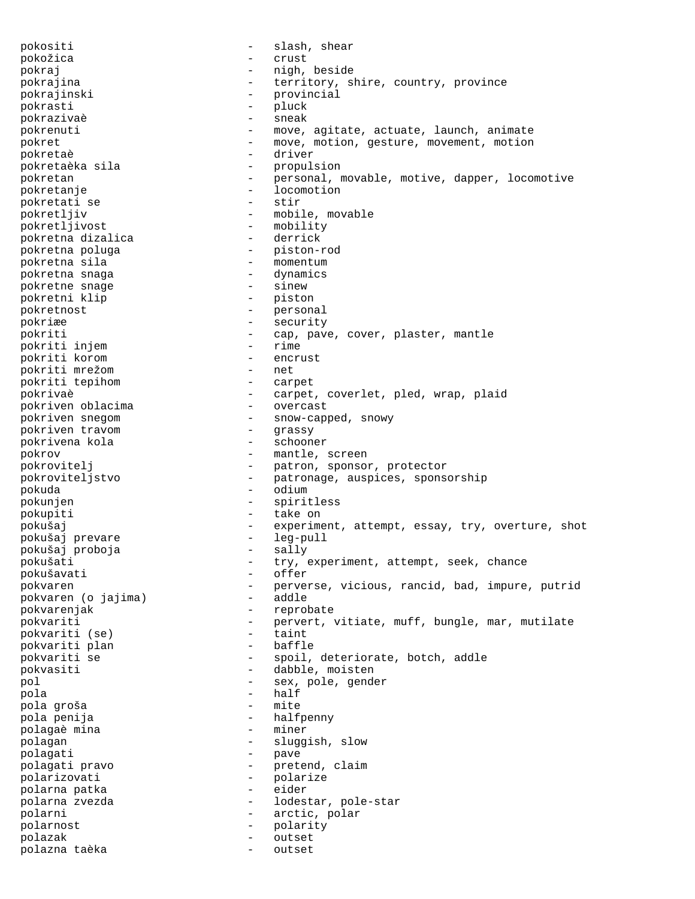pokositi - slash, shear pokožica - crust pokraj  $-$  nigh, beside pokrajina  $-$  territory, shire, country, province pokrajinski - provincial pokrasti - pluck pokrazivaè - sneak pokrenuti - move, agitate, actuate, launch, animate pokret - move, motion, gesture, movement, motion<br>
pokretaè driver - driver pokretaè pokretaèka sila - propulsion pokretan - personal, movable, motive, dapper, locomotive -<br>
pokretanje - locomotion<br>
pokretati se - stir pokretati se pokretljiv - mobile, movable pokretljivost - mobility<br>pokretna dizalica - derrick pokretna dizalica - derrick pokretna poluga pokretna sila - momentum pokretna snaga - dynamics pokretne snage  $\begin{array}{ccc} - & \text{sin} = 0 \\ - & \text{sin} = 0 \end{array}$ pokretni klip pokretnost - personal - security pokriti  $\begin{array}{ccc} - & \text{cap, pave, cover, player, mantle} \\ \text{nokriti iniem} & - & \text{rime} \end{array}$ pokriti injem - rime pokriti korom - encrust pokriti mrežom chrále na neto ne pokriti tepihom - carpet pokrivaè - carpet, coverlet, pled, wrap, plaid pokriven oblacima - carpet, coverlet, pled, wrap, plaid pokriven oblacima pokriven snegom - snow-capped, snowy<br>pokriven travom - grassy pokriven travom - grassy pokrivena kola pokrov - mantle, screen pokrovitelj - patron, sponsor, protector pokroviteljstvo - patronage, auspices, sponsorship pokuda - odium pokunjen - spiritless pokupiti - take on pokušaj - experiment, attempt, essay, try, overture, shot<br>pokušaj prevare - leg-pull pokušaj prevare - leg-pull pokušaj proboja - sally pokušati - try, experiment, attempt, seek, chance pokušavati - offer pokvaren<br>nokvaren (o iaiima) - perverse, vicious, rancid, bad, impure, putrid<br>addle pokvaren (o jajima) - addle pokvarenjak - reprobate pokvariti - pervert, vitiate, muff, bungle, mar, mutilate<br>
pokvariti (se) - taint pokvariti (se) - taint pokvariti plan - baffle pokvariti se  $-$  spoil, deteriorate, botch, addle pokvasiti - dabble, moisten pol  $-$  sex, pole, gender pola - half pola groša - mite pola penija - halfpenny polagaè mina polagan - sluggish, slow polagati - pave polagati pravo - pretend, claim polarizovati - polarize<br>polarna patka - eider polarna patka - eider polarna zvezda - lodestar, pole-star polarni - arctic, polar polarnost - polarity polazak - outset polazna taèka - outset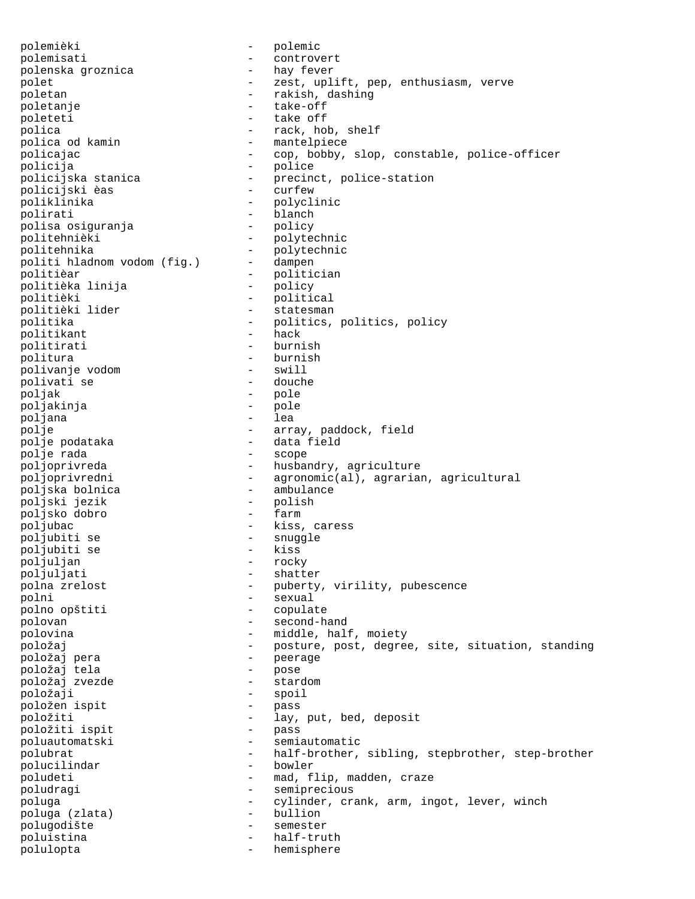polemièki - polemic<br>polemisati - controv polemisati - controvert<br>polenska groznica - hay fever polenska groznica polet - zest, uplift, pep, enthusiasm, verve poletan - rakish, dashing poletanje - take-off poleteti - take off polica<br>polica od kamin - rack, hob, shelf<br>- mantelpiece - mantelpiece policajac - cop, bobby, slop, constable, police-officer<br>policija - police - police - police policijska stanica - precinct, police-station<br>
- curfew - curfew policijski èas poliklinika - polyclinic -<br>polirati - blanch<br>polisa osiguranja - policy polisa osiguranja - policy politehnièki - polytechnic politehnika - polytechnic<br>politi hladnom vodom (fig.) - dampen politi hladnom vodom (fig.) politièar - politician politièka linija politièki - political<br>politièki lider - - - - - statesman - statesman politika - politics, politics, politics, policy<br>
politikant - hack politikant politirati - burnish politura - burnish polivanje vodom - swill polivati se poljak - pole poljakinja - pole poljana<br>polje polje - array, paddock, field - data field<br>- scope polje rada poljoprivreda - husbandry, agriculture<br>poljoprivredni - agronomic(al), aqraria - agronomic(al), agrarian, agricultural<br>- ambulance poljska bolnica - ambulance poljski jezik poljsko dobro poljubac - kiss, caress poljubiti se - snuggle<br>
poljubiti se - kiss poljubiti se - kiss poljuljan - rocky poljuljati - shatter polna zrelost  $-$  puberty, virility, pubescence -<br>polni - sexual<br>polno opštiti - copulate polno opštiti polovan - second-hand polovina - middle, half, moiety položaj - posture, post, degree, site, situation, standing položaj pera - peerage položaj tela - pose položaj zvezde položaji - spoil<br>položaji - spoil položen ispit - pass položiti - lay, put, bed, deposit<br>položiti ispit - pass položiti ispit poluautomatski - semiautomatic polubrat - half-brother, sibling, stepbrother, step-brother polucilindar poludeti - mad, flip, madden, craze poludragi - semiprecious poluga - cylinder, crank, arm, ingot, lever, winch<br>poluga (zlata) - bullion poluga (zlata) - bullion polugodište poluistina  $-$  half-truth polulopta - hemisphere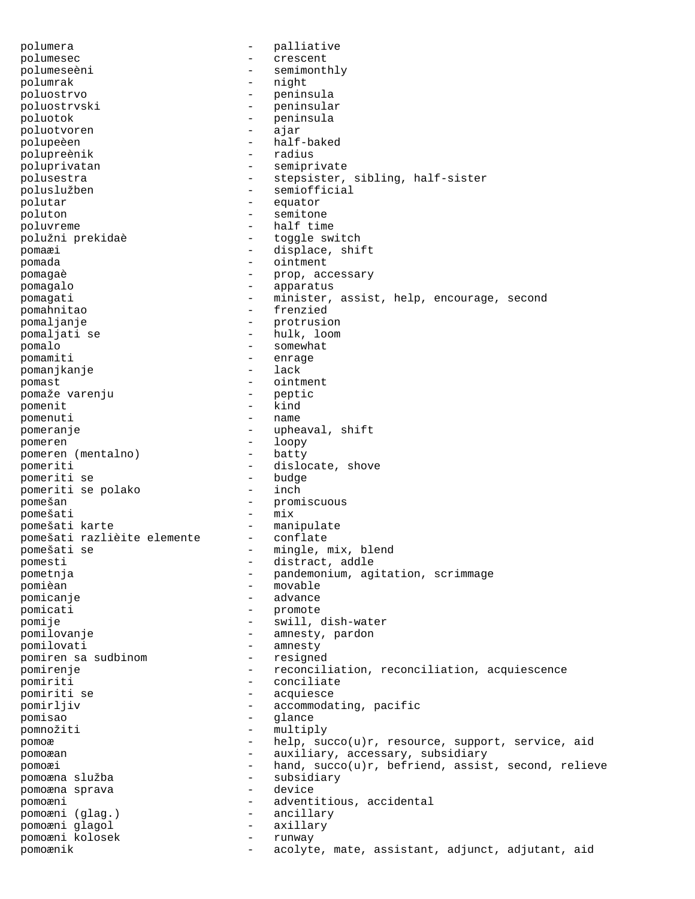polumera - palliative polumesec - crescent polumeseèni - semimonthly polumrak - night poluostrvo - peninsula poluostrvski - peninsular poluotok – peninsula<br>poluotyoren – peninsula poluotvoren - ajar polupeèen - half-baked<br>polupreènik - radius polupreènik poluprivatan - semiprivate polusestra - stepsister, sibling, half-sister poluslužben - semiofficial polutar - equator poluton - semitone poluvreme - half time polužni prekidaè - toggle switch pomaæi - displace, shift<br>nomada - cintment pomada - ointment pomagaè  $-$  prop, accessary pomagalo  $-$  apparatus pomagati - minister, assist, help, encourage, second pomahnitao - frenzied pomaljanje - protrusion pomaljati se  $-$  hulk, loom pomalo - somewhat pomamiti - enrage pomanikanje - enrage - lack pomanjkanje - lack - lack - lack - lack - lack - lack - lack - lack - lack - lack - lack - lack - lack - lack pomast  $-$  ointment pomaže varenju - peptic pomenit - kind pomenuti pomeranje  $\qquad \qquad -$  upheaval, shift pomeren <br>
pomeren (mentalno) - loopy<br>
- batty - batty pomeren (mentalno) pomeriti  $-$  dislocate, shove<br>
pomeriti se  $-$  budge pomeriti se - budge pomeriti se polako pomešan - promiscuous pomešati - mix pomešati karte<br>
pomešati razlièite elemente - conflate pomešati razlièite elemente - conflate pomešati se - mingle, mix, blend<br>nomesti - distract addle pomesti  $-$  distract, addle pometnja  $-$  pandemonium, agitation, scrimmage pomièan - movable pomicanje - advance pomicati - promote pomije - swill, dish-water pomilovanje  $-$  amnesty, pardon pomilovati - amnesty<br>pomiren sa sudbinom - resigned pomiren sa sudbinom pomirenje  $-$  reconciliation, reconciliation, acquiescence pomiriti - conciliate pomiriti se  $\overline{a}$  - acquiesce - accommodation pomirljiv - accommodating, pacific<br>nomisao - alance pomisao - glance pomnožiti - multiply pomoæ - help, succo(u)r, resource, support, service, aid pomoæan - auxiliary, accessary, subsidiary pomoæi - hand, succo(u)r, befriend, assist, second, relieve pomoæna služba - subsidiary pomoæna sprava - device pomoæni - adventitious, accidental pomoæni (glag.) - ancillary pomoæni glagol pomoæni kolosek - runway pomoænik - acolyte, mate, assistant, adjunct, adjutant, aid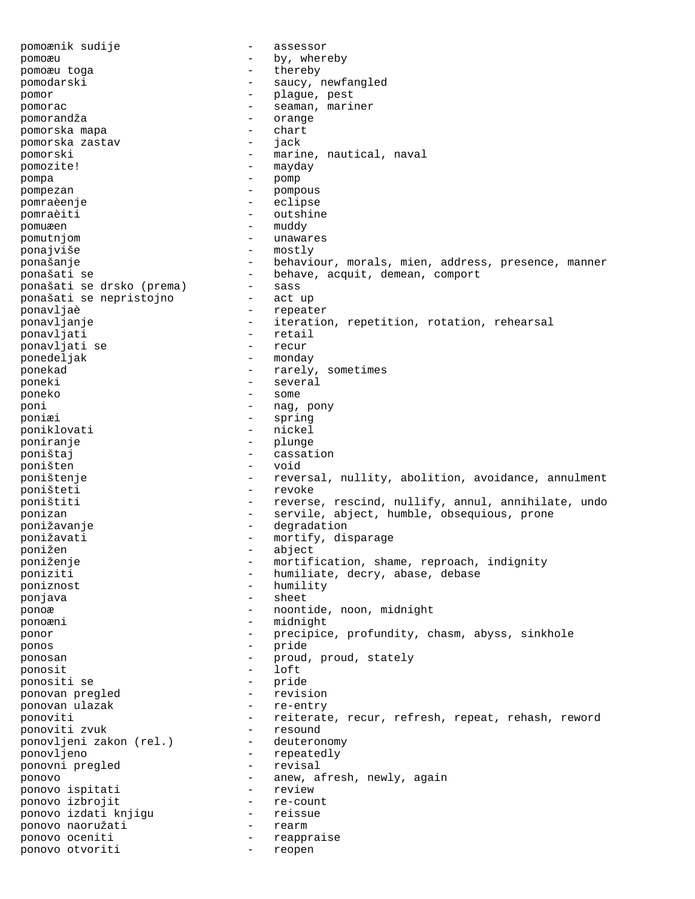pomoænik sudije  $-$  assessor pomoæu - by, whereby pomoæu toga  $-$  thereby pomodarski - saucy, newfangled pomor - plague, pest pomorac - seaman, mariner pomorandža - seaman, mariner - seaman, mariner - seaman, mariner - seaman, mariner pomorandža pomorska mapa - chart pomorska zastav pomorski - marine, nautical, naval pomozite! - mayday pompa - pomp pompezan - pompous pomraèenje - eclipse pomraèiti - outshine pomuæen – muddy – muddy – muddy – muddy – muddy – muddy – muddy – muddy – muddy – muddy – muddy – muddy – muddy – muddy – muddy – muddy – muddy – muddy – muddy – muddy – muddy – muddy – muddy – muddy – muddy – muddy – mudd pomutnjom - unawares ponajviše - mostly ponašanje en energy versojnem versojnem versojnem versojnem versojnem versojnem versojnem versojnem versojnem ponašati se  $-$  behave, acquit, demean, comport ponašati se drsko (prema)  $-$  sass ponašati se drsko (prema) - sass ponašati se nepristojno ponavljaè - repeater ponavljanje - iteration, repetition, rotation, rehearsal<br>
ponavljati - retail ponavljati - retail ponavljati se ponedeljak - monday ponekad  $-$  rarely, sometimes poneki - several poneko - some poni - nag, pony poniæi - spring poniklovati - nickel poniranje - plunge<br>poništaj - casat poništaj - cassation poništen - void poništenje - reversal, nullity, abolition, avoidance, annulment poništeti - revoke poništiti  $-$  reverse, rescind, nullify, annul, annihilate, undo ponizan - servile, abject, humble, obsequious, prone ponižavanje - degradation ponižavati  $-$  mortify, disparage ponižen - abject poniženje  $-$  mortification, shame, reproach, indignity poniziti  $-$  humiliate, decry, abase, debase poniznost - humility ponjava - sheet ponoæ - noontide, noon, midnight ponoæni - midnight ponor - precipice, profundity, chasm, abyss, sinkhole ponos - pride ponosan  $-$  proud, proud, stately ponosit - loft ponositi se - pride ponovan pregled - revision ponovan ulazak - re-entry ponoviti - reiterate, recur, refresh, repeat, rehash, reword ponoviti zvuk - resound ponoviti zvuk - resound ponovljeni zakon (rel.) ponovljeno - repeatedly ponovni pregled ponovo ispitati  $\rule{1em}{0.5mm}$  - anew, afresh, newly, again nonovo ispitati  $\rule{1em}{0.5mm}$  - review ponovo ispitati ponovo izbrojit - re-count ponovo izdati knjigu ponovo naoružati - rearm ponovo oceniti - reappraise ponovo otvoriti - reopen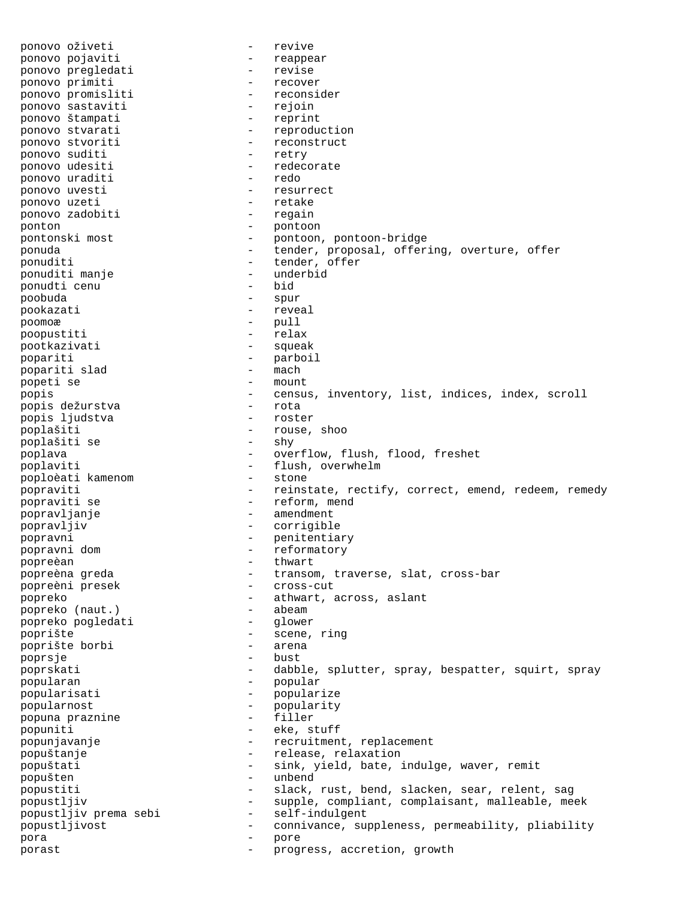ponovo oživeti - revive ponovo pojaviti - reappear ponovo pregledati ponovo primiti - recover<br>
ponovo promisliti - reconsider ponovo promisliti - reconsideration - reconsideration - rejoin ponovo sastaviti - rejoin ponovo štampati ponovo stvarati  $\rho$  - reproduction<br>ponovo stvoriti - reconstruct - reconstruct<br>- retry ponovo suditi ponovo udesiti  $\qquad -$  redecorate<br>nonovo uraditi - redo ponovo uraditi  $-$  redo<br>
ponovo uvesti  $-$  resurrect ponovo uvesti ponovo uzeti - retake ponovo zadobiti ponton - pontoon pontonski most - pontoon, pontoon-bridge ponuda - tender, proposal, offering, overture, offer ponuditi<br>
ponuditi manje<br>
- underbid<br>
- underbid ponuditi manje - underbid ponudti cenu poobuda - spur pookazati - reveal poomoæ - pull<br>poopustiti - relax poopustiti pootkazivati - squeak popariti - parboil popariti slad popeti se - mount<br>popis - mount - mount popis - census, inventory, list, indices, index, scroll<br>popis dežurstva - rota - rota popis dežurstva - rota popis ljudstva poplašiti - rouse, shoo - rouse, shoo - rouse, shoo - rouse, shoo - shy poplašiti se poplava - overflow, flush, flood, freshet poplaviti - flush, overwhelm<br>nonloèati kamenom - stone - stone poploèati kamenom popraviti - reinstate, rectify, correct, emend, redeem, remedy popraviti se  $-$  reform, mend popravljanje - amendment popravljiv - corrigible popravni - penitentiary popravni dom - reformatory popreèan - thwart popreèna greda - transom, traverse, slat, cross-bar<br>popreèni presek - cross-cut popreèni presek popreko  $-$  athwart, across, aslant nonreko (naut.)  $-$  abeam abeam popreko (naut.) - abeam popreko pogledati poprište - scene, ring poprište borbi poprsje - bust poprskati - dabble, splutter, spray, bespatter, squirt, spray popularan - popular popularisati - popularize<br>nopularnost - popularity popularnost - popularity<br>
popularnost - filler popuna praznine - filler popuniti - eke, stuff popunjavanje - recruitment, replacement popuštanje - release, relaxation popuštati - sink, yield, bate, indulge, waver, remit popušten - unbend popustiti - slack, rust, bend, slacken, sear, relent, sag popustljiv - supple, compliant, complaisant, malleable, meek popustljiv prema sebi - self-indulgent popustljivost - connivance, suppleness, permeability, pliability pora - pore porast  $-$  progress, accretion, growth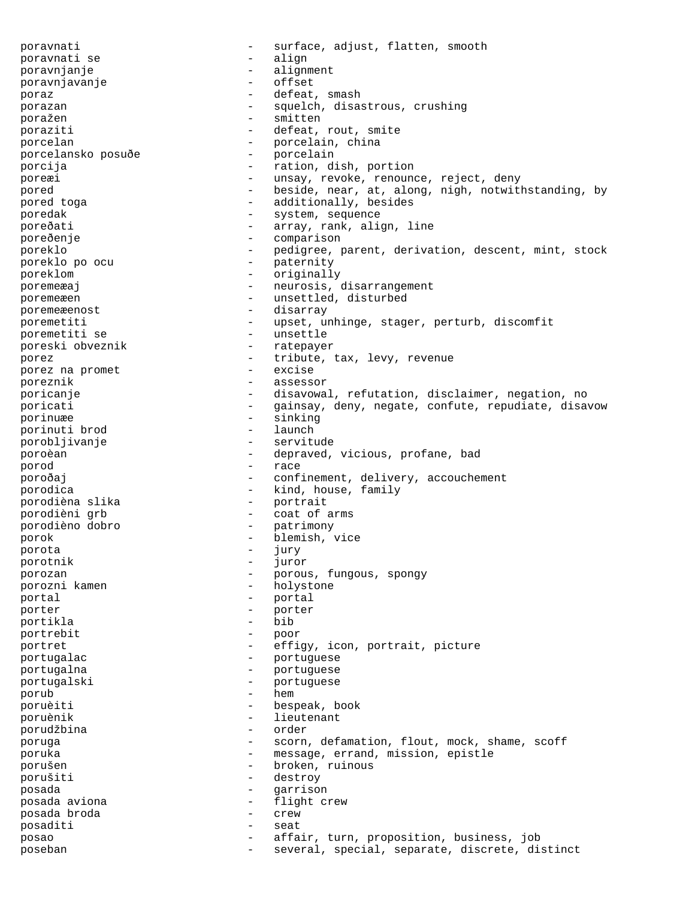poravnati - surface, adjust, flatten, smooth<br>poravnati se - align - align poravnati se - align poravnjanje - alignment<br>poravnjavanje - - - - - - - - - - - offset poravnjavanje poraz  $-$  defeat, smash porazan  $-$  squelch, disastrous, crushing poražen - smitten poraziti  $-\qquad -\qquad$ defeat, rout, smite porcelan - porcelain, china porcelansko posuðe - porcelain porcija - ration, dish, portion poreæi - unsay, revoke, renounce, reject, deny pored - beside, near, at, along, nigh, notwithstanding, by pored toga  $\qquad \qquad -$  additionally, besides poredak  $-$  system, sequence poreðati  $-$  array, rank, align, line poreðenje - comparison<br>poreklo - pedigree r poreklo - pedigree, parent, derivation, descent, mint, stock<br>poreklo po ocu - paternity poreklo po ocu - paternity poreklom - originally poremeæaj - neurosis, disarrangement poremeæen - unsettled, disturbed poremeæenost - disarray poremetiti - upset, unhinge, stager, perturb, discomfit<br>poremetiti se - unsettle poremetiti se - unsettle<br>poreski obveznik - ratepayer poreski obveznik porez<br>
porez na promet<br>
- excise<br>
- excise<br>
- excise porez na promet - excise poreznik - assessor poricanje e ale e disavowal, refutation, disclaimer, negation, no poricati  $-$  gainsay, deny, negate, confute, repudiate, disavow<br>porinuæe sinking porinuæe - sinking<br>
porinuti brod - launch porinuti brod<br>
porobliivanje<br>
- servitude<br>
- servitude porobljivanje poroèan - depraved, vicious, profane, bad porod - race poroðaj  $-$  confinement, delivery, accouchement porodica<br>
porodièna slika<br>
- portrait<br>
- portrait porodièna slika -<br>porodièni grb - coat of arms porodièno dobro - patrimony porok - blemish, vice porota - jury porotnik - juror porozan - porous, fungous, spongy - holystone portal - portal - portal - portal - portal porter - porter portikla portrebit - poor portret  $-$  effigy, icon, portrait, picture portugalac - portuguese<br>
portugalac portugalna - portuguese portugalski - portuguese porub - hem<br>poruèiti - hesi poruèiti - bespeak, book poruènik - lieutenant porudžbina poruga - scorn, defamation, flout, mock, shame, scoff poruka - message, errand, mission, epistle porušen - broken, ruinous porušiti - destroy - destroy<br>posada - destroy - destroy posada - garrison posada aviona - flight crew posada broda - crew posaditi - seat posao - affair, turn, proposition, business, job poseban - several, special, separate, discrete, distinct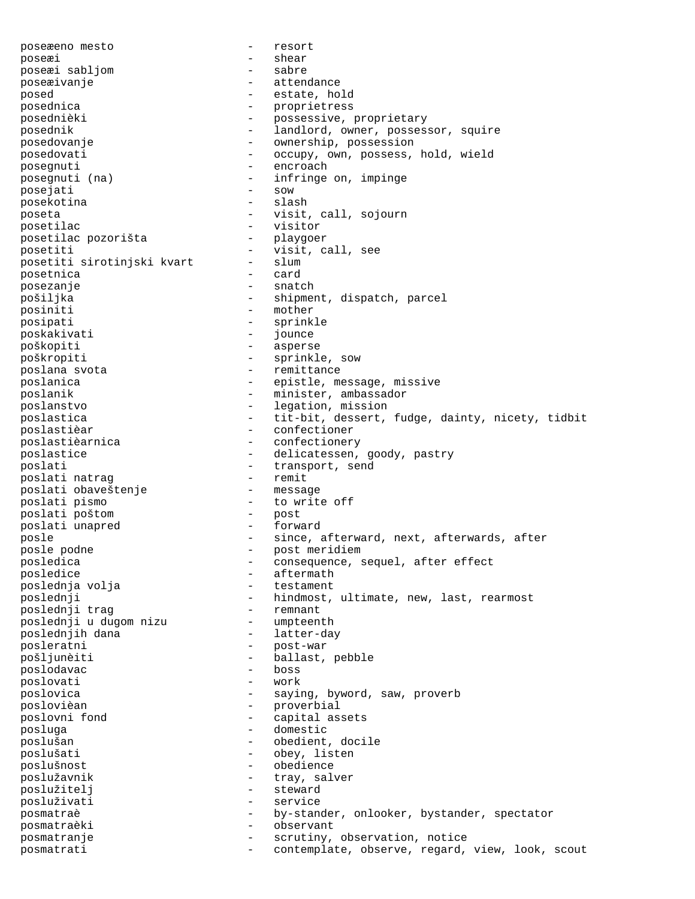poseæeno mesto - resort poseæi - shear poseæi sabljom - sabre poseæivanje - attendance posed estate, hold posednica<br>
proprietress<br>
posednièki<br>
- posessive posednièki - possessive, proprietary posednik - landlord, owner, possessor, squire posedovanje - ownership, possession posedovati - occupy, own, possess, hold, wield posegnuti - encroach<br>posegnuti (na) - infringe posinguri infringe on, impinge<br>- sow posejati posekotina - slash poseta - visit, call, sojourn posetilac - visitor posetilac pozorišta - playgoer posetiti  $-$  visit, call, see<br>posetiti sirotinjski kvart  $-$  slum posetiti sirotinjski kvart - slum posetnica – cardinal – cardinal – cardinal – cardinal – cardinal – cardinal – cardinal – cardinal – cardinal – cardinal – cardinal – cardinal – cardinal – cardinal – cardinal – cardinal – cardinal – cardinal – cardinal – c posezanje - snatch pošiljka - shipment, dispatch, parcel posiniti - mother posipati - sprinkle poskakivati - jounce poškopiti - asperse poškropiti - sprinkle, sow poslana svota  $-$  remittance poslanica  $-$  epistle, message, missive poslanik - minister, ambassador<br>poslanstvo - legation mission poslanstvo - legation, mission poslastica - tit-bit, dessert, fudge, dainty, nicety, tidbit poslastièar - confectioner poslastièarnica - confectionery poslastice - delicatessen, goody, pastry poslati<br>
poslati natraq<br>
- transport, send<br>
- remit poslati natrag - remit poslati obaveštenje poslati pismo - to write off poslati poštom - post poslati unapred posle - since, afterward, next, afterwards, after posle podne - post meridiem posledica - consequence, sequel, after effect<br>posledice - aftermath posledice - aftermath<br>
poslednia volia poslednja volja - testament poslednji - hindmost, ultimate, new, last, rearmost<br>poslednji traq - remnant - remnant poslednji trag - remnant poslednji u dugom nizu poslednjih dana  $-$  latter-day posleratni - post-war pošljunèiti - ballast, pebble<br>poslodavac - boss - boss poslodavac - boss poslovati - work poslovica - saying, byword, saw, proverb poslovièan - proverbial poslovni fond - capital assets posluga - domestic poslušan - obedient, docile poslušati - obey, listen poslušnost<br>poslušavnik - obedience<br>coslušavnik - trav sal poslužavnik - tray, salver<br>poslužiteli - tray, salver poslužitelj - steward posluživati - service posmatraè  $-$  by-stander, onlooker, bystander, spectator posmatraèki - observant posmatranje  $-$  scrutiny, observation, notice posmatrati - contemplate, observe, regard, view, look, scout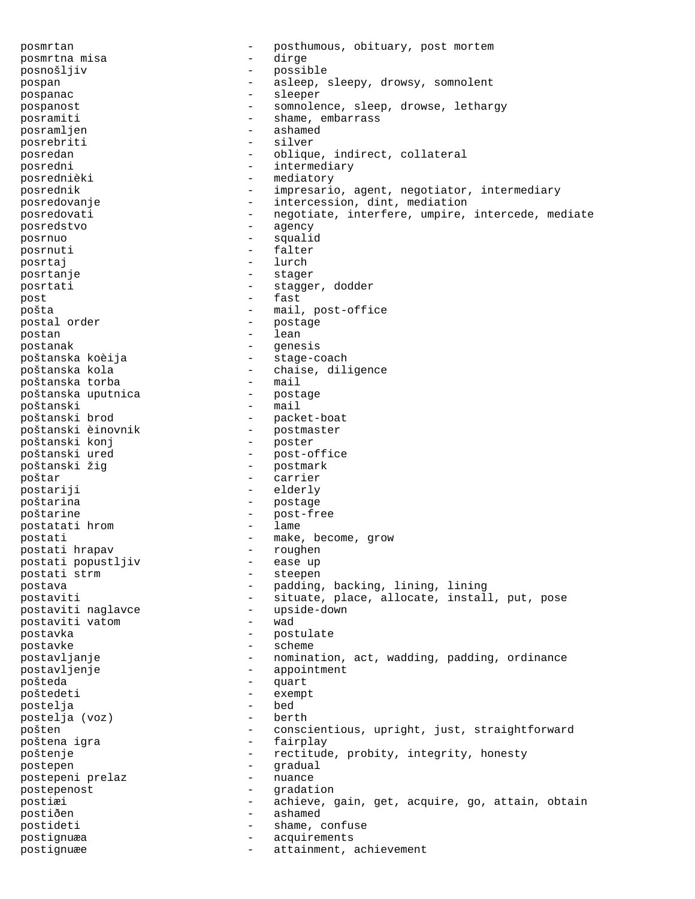posmrtan - posthumous, obituary, post mortem<br>posmrtna misa - dirge - dirge posmrtna misa posnošljiv - possible pospan - asleep, sleepy, drowsy, somnolent pospanac  $\qquad$  - sleeper pospanost - somnolence, sleep, drowse, lethargy posramiti - shame, embarrass<br>posramlien - ashamed posramljen - ashamed - ashamed - ashamed - ashamed - ashamed - ashamed - ashamed - ashamed - ashamed - ashamed -  $\sim$  ashamed - ashamed - ashamed - ashamed - ashamed - ashamed - ashamed - ashamed - ashamed - ashamed - asha posrebriti posredan - oblique, indirect, collateral posredni - intermediary - mediatory posrednik - impresario, agent, negotiator, intermediary posredovanje - intercession, dint, mediation posredovati - negotiate, interfere, umpire, intercede, mediate<br>
- agency<br>
- agency posredstvo - agency posrnuo - squalid posrnuti - falter - falter - falter - falter - falter - falter - falter - falter - falter - falter - falter - falter - falter - falter - falter - falter - falter - falter - falter - falter - falter - falter - falter - falt posrtaj - lurch posrtanje posrtati  $-$  stagger, dodder post  $-$  fast pošta - mail, post-office postal order -<br>postan - lean postanak - genesis poštanska koèija - stage-coach -<br>poštanska kola - chaise, diligence<br>poštanska torba - mail poštanska torba - mail poštanska uputnica - postage poštanski<br>poštanski brod - packet-boat<br>- postmaster poštanski èinovnik - postmas - postmas<br>poštanski konj - poster poštanski konj poštanski ured  $-$  post-office poštanski žig  $-$  postmark poštar - carrier postariji - elderly poštarina - postage poštarine - post-free<br>postatati hrom - lame - lame postatati hrom postati  $-$  make, become, grow  $-$  make, become, grow postati hrapav - roughen postati popustljiv postati strm  $-$  steepen postava - padding, backing, lining, lining postaviti - situate, place, allocate, install, put, pose<br>postaviti naqlavce - upside-down postaviti naglavce and the set of the postaviti value of the control of the post of the post of the post of the<br>
postaviti value of the control of the value of the value of the value of the value of the value of the value postaviti vatom postavka - postulate postavke - scheme postavljanje en enomination, act, wadding, padding, ordinance postavljenje - appointment<br>pošteda - miart pošteda - quart poštedeti - exempt postelja - bed postelja (voz) pošten - conscientious, upright, just, straightforward -<br>poštena igra - fairplay poštenje - rectitude, probity, integrity, honesty postepen - gradual<br>
postepeni prelaz - nuance - nuance postepeni prelaz postepenost  $-$  gradation postiæi - achieve, gain, get, acquire, go, attain, obtain<br>postiðen - ashamed postiðen - ashamed postideti - shame, confuse postignuæa - acquirements postignuæe - attainment, achievement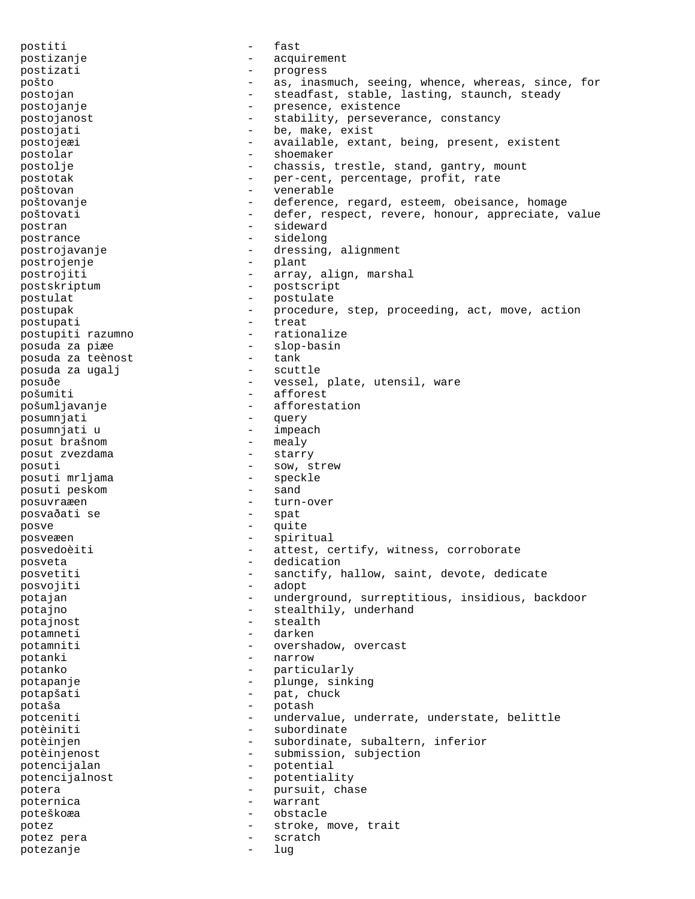postiti - fast postizanje - acquirement postizati - progress pošto - as, inasmuch, seeing, whence, whereas, since, for postojan - steadfast, stable, lasting, staunch, steady postojanje  $\qquad \qquad -$  presence, existence postojanost external resolution of the stability, perseverance, constancy postojati  $-$  be, make, exist postojeæi - available, extant, being, present, existent postolar - shoemaker postolje - chassis, trestle, stand, gantry, mount postotak  $-$  per-cent, percentage, profit, rate poštovan - venerable poštovanje - - deference, regard, esteem, obeisance, homage poštovati - defer, respect, revere, honour, appreciate, value postran - sideward postrance - sidelong postrojavanje - dressing, alignment postrojenje - plant postrojiti  $-$  array, align, marshal postskriptum - postscript postulat - postulate postupak - procedure, step, proceeding, act, move, action postupati - treat postupiti razumno posuda za piæe - slop-basin<br>posuda za teènost - tank - tank posuda za teènost - tank posuda za ugalj posuðe - vessel, plate, utensil, ware<br>pošumiti - - - - - - - - afforest - afforest<br>- afforesta pošumljavanje - afforestation posumnjati - query posumnjati u - impeach posut brašnom - mealy posut zvezdama posuti  $\frac{1}{2}$  - sow, strew  $\frac{1}{2}$  - sow, strew posuti mrljama - specker - specker - specker - sand posuti peskom posuvraæen - turn-over posvaðati se - spat posve - quite posveæen - spiritual posvedoèiti - attest, certify, witness, corroborate<br>
- dedication<br>
- dedication posveta - dedication posvetiti - sanctify, hallow, saint, devote, dedicate<br>posvojiti - adopt posvojiti potajan - underground, surreptitious, insidious, backdoor potajno - stealthily, underhand potajnost extending to the stealth potamneti - darken potamniti - overshadow, overcast potanki - narrow potanko - particularly potapanje - plunge, sinking potapšati - pat, chuck potaša - potash potceniti - undervalue, underrate, understate, belittle potèiniti - subordinate potèinjen - subordinate, subaltern, inferior potèinjenost - submission, subjection potencijalan - potential<br>potencijalnost - potential potencijalnost - potentiality<br>
potera - pursuit, cha potera - pursuit, chase poternica - warrant poteškoæa - obstacle potez  $-$  stroke, move, trait potez pera - scratch potezanje - lug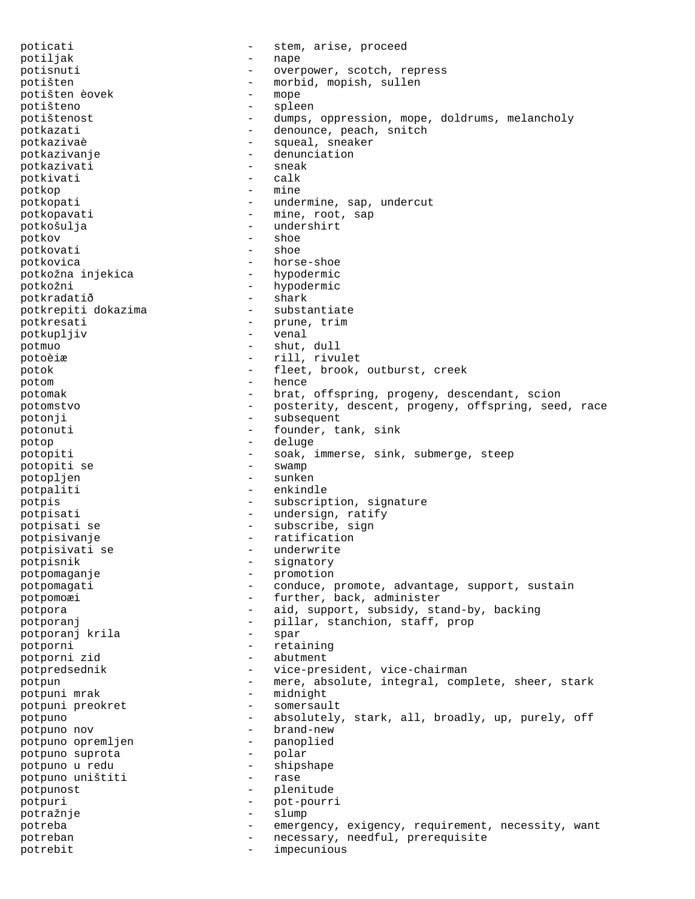poticati  $-$  stem, arise, proceed potiljak - nape potisnuti - overpower, scotch, repress potišten - morbid, mopish, sullen potišten èovek - mope potišteno - spleen<br>potištenost - spleen potištenost - dumps, oppression, mope, doldrums, melancholy potkazati - denounce, peach, snitch potkazivaè - squeal, sneaker potkazivanje - denunciation potkazivati - sneak<br>potkivati - calk potkivati potkop - mine potkopati  $-$  undermine, sap, undercut potkopavati - mine, root, sap<br>
potkošulia - mine, root, sap potkošulja - undershirt potkov potkovati - shoe potkovica<br>
potkožna injekica<br>
- hypodermic<br>
- hypodermic potkožna injekica potkožni - hypodermic potkradatið<br>
potkrepiti dokazima<br>
- substantiate potkrepiti dokazima potkresati - prune, trim<br>
potkuplijv - venal potkupljiv - venal<br>
potmuo - shut potmuo - shut, dull potoèiæ - rill, rivulet potok - fleet, brook, outburst, creek potom - hence potomak - brat, offspring, progeny, descendant, scion potomstvo - posterity, descent, progeny, offspring, seed, race potonji - subsequent potonuti - founder, tank, sink potop - deluge potopiti - soak, immerse, sink, submerge, steep potopiti se  $\begin{array}{ccc} - & \text{swamp} \\ \text{nonholien} & - & \text{sunken} \end{array}$ potopljen potpaliti - enkindle potpis - subscription, signature potpisati  $-$  undersign, ratify potpisati se  $\overline{\phantom{a}}$  - subscribe, sign<br>notpisivanie  $\overline{\phantom{a}}$  - ratification potpisivanje - ratification potpisivati se - underwrite potpisnik - signatory potpomaganje - promotion potpomagati - conduce, promote, advantage, support, sustain potpomoæi - further, back, administer potpora - aid, support, subsidy, stand-by, backing potporanj - pillar, stanchion, staff, prop<br>
potporanj krila - spar - spar potporanj krila potporni - retaining potporni zid - abutment potpredsednik - vice-president, vice-chairman potpun - mere, absolute, integral, complete, sheer, stark<br>potpuni mrak - midnight potpuni mrak - -<br>potpuni preokret - - - - - potpuni preokret  $\overline{ }$  - somersault<br>notpuno potpuno - absolutely, stark, all, broadly, up, purely, off potpuno nov - brand-new potpuno opremljen - panoplied potpuno suprota potpuno u redu - shipshape potpuno uništiti potpunost - plenitude potpuri - pot-pourri potražnje - slump potreba - emergency, exigency, requirement, necessity, want potreban - necessary, needful, prerequisite potrebit - impecunious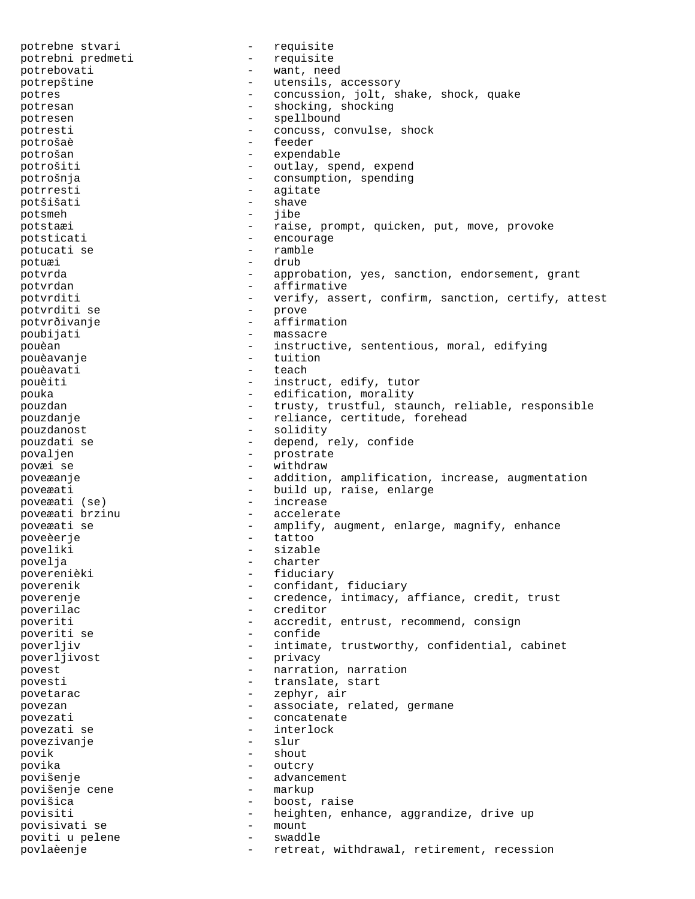potrebne stvari - requisite potrebni predmeti potrebovati - want, need potrepštine - utensils, accessory potres - concussion, jolt, shake, shock, quake potresan - shocking, shocking potresen - spellbound potresti - concuss, convulse, shock<br>potrošaè - feeder - feeder potrošaè potrošan - expendable potrošiti  $-$  outlay, spend, expend potrošnja - consumption, spending potrresti - agitate potšišati - shave potsmeh - jibe potstaæi - raise, prompt, quicken, put, move, provoke potsticati  $-$  encourage potucati se  $-$  ramble potuæi - drub potvrda - approbation, yes, sanction, endorsement, grant potvrdan en affirmative potvrditi - verify, assert, confirm, sanction, certify, attest<br>potvrditi se - prove potvrditi se potvrðivanje - affirmation poubijati - massacre pouèan - instructive, sententious, moral, edifying pouèavanje - tuition pouèavati d'annuncière de la commune de la commune de la commune de la commune de la commune de la commune de pouèiti - instruct, edify, tutor pouka - edification, morality pouzdan - trusty, trustful, staunch, reliable, responsible pouzdanje - reliance, certitude, forehead pouzdanost - solidity pouzdati se  $-$  depend, rely, confide povaljen - prostrate<br>
povai se - vithdraw povæi se  $-$  withdraw poveæanje - addition, amplification, increase, augmentation poveæati  $-$  build up, raise, enlarge poveæati (se)  $-$  increase poveæati (se) poveæati brzinu - accelerate poveæati se  $\begin{array}{cccc} - & \text{amplify, augment, enlarge, magnitude} \\ - & \text{tattoo} \end{array}$ poveèerje - tattoon - tattoon poveliki - sizable povelja - charter poverenièki - fiduciary poverenik  $\qquad \qquad -$  confidant, fiduciary poverenje e credence, intimacy, affiance, credit, trust poverilac - creditor poveriti - accredit, entrust, recommend, consign poveriti se poverljiv - intimate, trustworthy, confidential, cabinet poverljivost - privacy<br>povest - narrati povest  $\qquad \qquad -$  narration, narration povesti  $-$  translate, start povetarac  $-$  zephyr, air povezan  $-$  associate, related, germane povezati - concatenate povezati se - interlock povezivanje povik - shout povika - outcry povišenje<br>
povišenje cene<br>
povišenje cene<br>
antkup<br>
antkup povišenje cene povišica - boost, raise povisiti - heighten, enhance, aggrandize, drive up povisivati se - mount poviti u pelene  $-$  swaddle povlaèenje - retreat, withdrawal, retirement, recession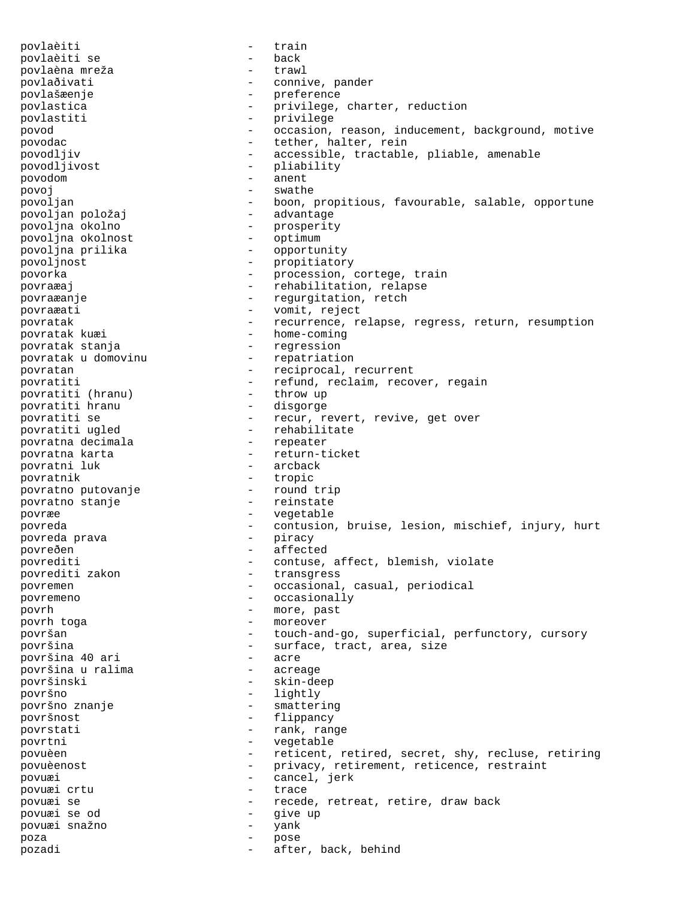povlaèiti - train povlaèiti se - back povlaèna mreža - trawl povlaðivati  $\qquad \qquad -$  connive, pander povlašæenje - preference povlastica - privilege, charter, reduction - privilege povod - occasion, reason, inducement, background, motive povodac - tether, halter, rein - accessible, tractable, pliable, amenable povodljivost - pliability povodom - anent povoj en estado en la swathe povoljan - boon, propitious, favourable, salable, opportune<br>povoljan položaj - advantage povoljan položaj povoljna okolno - prosperity povoljna okolnost - optimum povoljna prilika - opportunity<br>povoljnost - propitiator - propitiatory povorka - procession, cortege, train povraæaj en andre en andre rehabilitation, relapse povraæanje **-** regurgitation, retch povraæati - vomit, reject povratak  $-$  recurrence, relapse, regress, return, resumption povratak kuæi  $-$  home-coming - home-coming povratak stanja - regression povratak u domovinu povratan  $-$  reciprocal, recurrent povratiti - refund, reclaim, recover, regain povratiti (hranu) - throw up<br>povratiti hranu - disgorge povratiti hranu povratiti se  $-$  recur, revert, revive, get over povratiti ugled  $-$  rehabilitate - rehabilitate<br>- repeater povratna decimala<br>povratna karta - return-ticket<br>- arcback povratni luk povratnik - tropic povratno putovanje povratno stanje e energie i povratno stanje povræe - vegetable povreda - contusion, bruise, lesion, mischief, injury, hurt<br>povreda prava - piracy - piracy povreda prava povreðen - affected<br>povrediti - affected<br>- contuse, povrediti - contuse, affect, blemish, violate - transgress povremen - occasional, casual, periodical povremeno - occasionally -<br>povrh - more, past povrh toga - moreover površan - touch-and-go, superficial, perfunctory, cursory površina - surface, tract, area, size površina 40 ari - acre površina u ralima površinski - skin-deep površno - lightly površno znanje  $\overline{\phantom{0}}$  - smattering površnost - flippancy povrstati  $-$  rank, range povrtni - vegetable povuèen - reticent, retired, secret, shy, recluse, retiring povuèenost - privacy, retirement, reticence, restraint povuæi - cancel, jerk povuæi crtu povuæi se - recede, retreat, retire, draw back povuæi se od - give up povuæi snažno - yank poza - pose pozadi  $-$  after, back, behind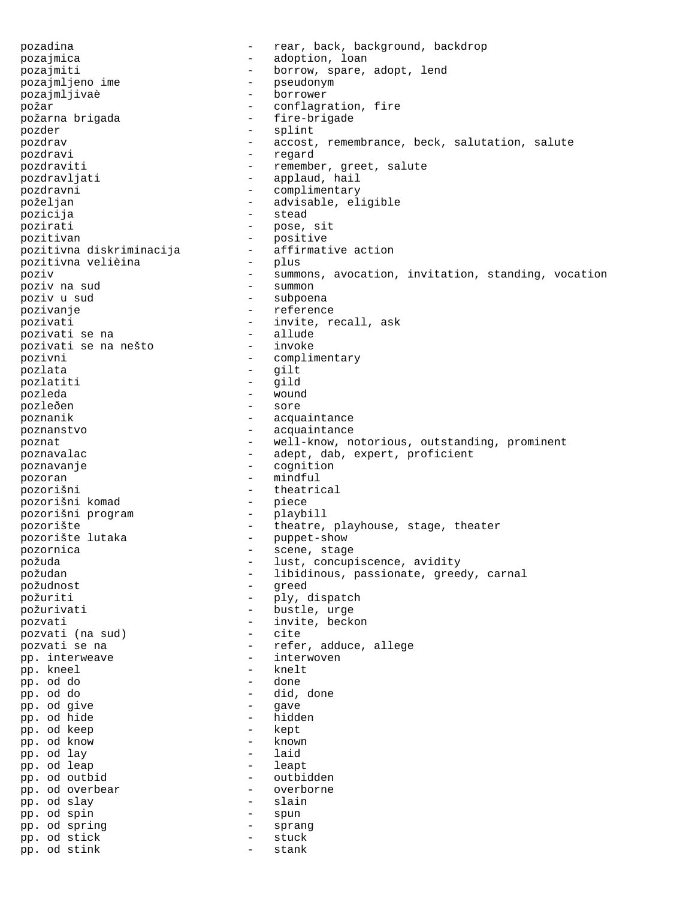pozadina - rear, back, background, backdrop pozajmica - adoption, loan pozajmiti - borrow, spare, adopt, lend<br>pozajmljeno ime - borrow, spare, adopt, lend pozajmljeno ime - pseudonym pozajmljivaè požar  $-$  conflagration, fire požarna brigada - fire-brigade pozder - splint pozdrav - accost, remembrance, beck, salutation, salute pozdravi - regard pozdraviti - remember, greet, salute -<br>pozdravljati - applaud, hail pozdravni - complimentary poželjan - advisable, eligible pozicija - stead pozirati - pose, sit<br>pozitivan - pose, sit pozitivan - positive pozitivna diskriminacija - affirmative action pozitivna velièina poziv - summons, avocation, invitation, standing, vocation poziv na sud poziv na sud<br>poziv u sud - subpoena pozivanje - reference pozivati - invite, recall, ask pozivati se na - allude pozivati se na nešto pozivni - complimentary pozlata - gilt pozlatiti - gild pozleda - wound pozleðen poznanik - acquaintance poznanstvo - acquaintance poznat  $-$  well-know, notorious, outstanding, prominent poznavalac - adept, dab, expert, proficient poznavanje - cognition pozoran - mindful pozorišni - theatrical pozorišni komad - piece pozorišni program - playbill pozorište - theatre, playhouse, stage, theater<br>pozorište lutaka - theatre, playhouse, stage, theater<br>pozorište lutaka - puppet-show pozorište lutaka - puppet-show pozornica - scene, stage požuda - lust, concupiscence, avidity požudan - libidinous, passionate, greedy, carnal požudnost - greed požuriti - ply, dispatch<br>požurivati - bustle, urqe - bustle, urge pozvati  $\begin{array}{ccc} - & - \\ - & \text{invite, beckon} \\ \text{nozvati} & \text{na sud} \end{array}$ pozvati (na sud) pozvati se na  $-$  refer, adduce, allege pp. interweave  $\begin{array}{ccc} - & - \\ \text{in} \\ \text{on} & \text{kne} \end{array}$ pp. kneel - kneel - kneel - kneel - kneel - kneel - kneel - kneel - kneel - kneel - kneel - kneel - kneel - kneel - kneel - kneel - kneel - kneel - kneel - kneel - kneel - kneel - kneel - kneel - kneel - kneel - kneel - kn pp. od do - done - did, done<br>- gave pp. od give - gave pp. od hide - hidden - hidden - hidden - hidden - hidden - hidden - hidden - hidden - hidden - hidden - hidden pp. od keep  $\begin{array}{ccc} - & \text{kept} \\ \text{nn} & \text{od} & \text{known} \end{array}$ pp. od know - known pp. od lay - laid pp. od leap - leapt pp. od outbid - outbidden pp. od overbear - overborne - overborne - overborne - overborne - overborne - overborne - overborne - overbo pp. od slay pp. od spin - spun pp. od spring  $-$  sprang pp. od stick - stuck pp. od stink - stank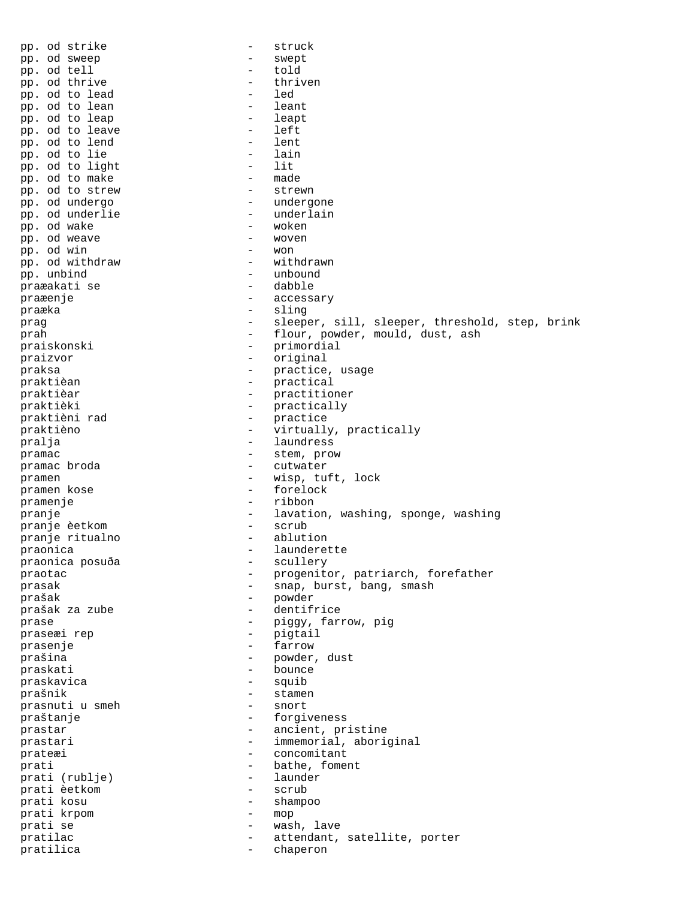pp. od strike  $-$  struck pp. od sweep  $-$  swept pp. od sweep - swepther - swepther and the swepther of the swepther of the swepther of the swepther of the swepther of the swepther of the swepther of the swepther of the swepther of the swepther of the swepther of the swe pp. od tell - told pp. od thrive - thri<br>m od to lead - led pp. od to lead - led<br>pp. od to lean - leant pp. od to lean the contract of the least of the least of the least of the least of the least of the least of the least  $\sim$  1 eart of the least of the least of the least of the least of the least of the least of the least pp. od to leap - leapth - leapth - leapth - leapth - left pp. od to leave  $\begin{array}{ccc} - & \text{left} \\ \text{pn. od to lend} & - & \text{lent} \end{array}$ pp. od to lend - lent pp. od to lie - lain<br>nn od to light - lit pp. od to light  $-$  lit<br>pp. od to make  $-$  made pp. od to make  $-$  made  $-$  made  $-$  strewn pp. od to strew pp. od undergo  $-$  undergone pp. od underlie - underlain<br>pp. od wake - woken pp. od wake  $-$  woken  $-$  woken  $-$  woken  $-$  woven pp. od weave - woven pp. od win<br>
pp. od withdraw<br>
- withdraw<br>
- withdrawn pp. od withdraw - withdrawn - withdrawn - withdrawn - withdrawn - withdrawn - withdrawn - withdrawn - withdrawn - withdrawn - withdrawn - withdrawn - withdrawn - withdrawn - withdrawn - withdrawn - withdrawn - withdrawn pp. unbind - unbound<br>praæakati se - dabble praæakati se praæenje - accessary praæka - sling prag example of the sleeper, sill, sleeper, threshold, step, brink prah - flour, powder, mould, dust, ash praiskonski - primordial praizvor - original praksa - practice, usage<br>
praktièan - practical<br>
- practical praktièan  $-$  practical<br>
praktièar  $-$  practition praktièar - practitioner praktièki - practically - practice<br>- virtually praktièno - virtually, practically -<br>pralja - laundress pramac broda  $\qquad \qquad -$  stem, prow pramac broda  $\qquad \qquad -$  cutwater - cutwater pramen - wisp, tuft, lock pramen kose  $\overline{\phantom{a}}$  - forelock pramenje - ribbon pranje - lavation, washing, sponge, washing<br>pranie èetkom - scrub - scrub pranje èetkom - scrub pranje ritualno praonica<br>
praonica<br>
posuða<br>
- scullery<br>
- scullery praonica posuða praotac - progenitor, patriarch, forefather prasak - snap, burst, bang, smash prašak - powder prašak za zube prase  $-$  piggy, farrow, pig praseæi rep 1999 - pigtail prasenje - farrow prašina  $-$  powder, dust praskati - bounce praskavica - squib prašnik - stamen<br>prašnik - stamen - stamen prasnuti u smeh praštanje - forgiveness prastar - ancient, pristine prastari  $-$  immemorial, aboriginal prateæi - concomitant prati  $\begin{array}{ccc} \text{prati} & - & \text{bathe, foment} \\ \text{prati} & \text{rublie} & - & \text{launder} \end{array}$ prati (rublje) - laund<br>prati èetkom - scrub prati èetkom prati kosu - shampoo prati krpom - mop prati se  $-$  wash, lave pratilac  $-$  attendant, satellite, porter pratilica - chaperon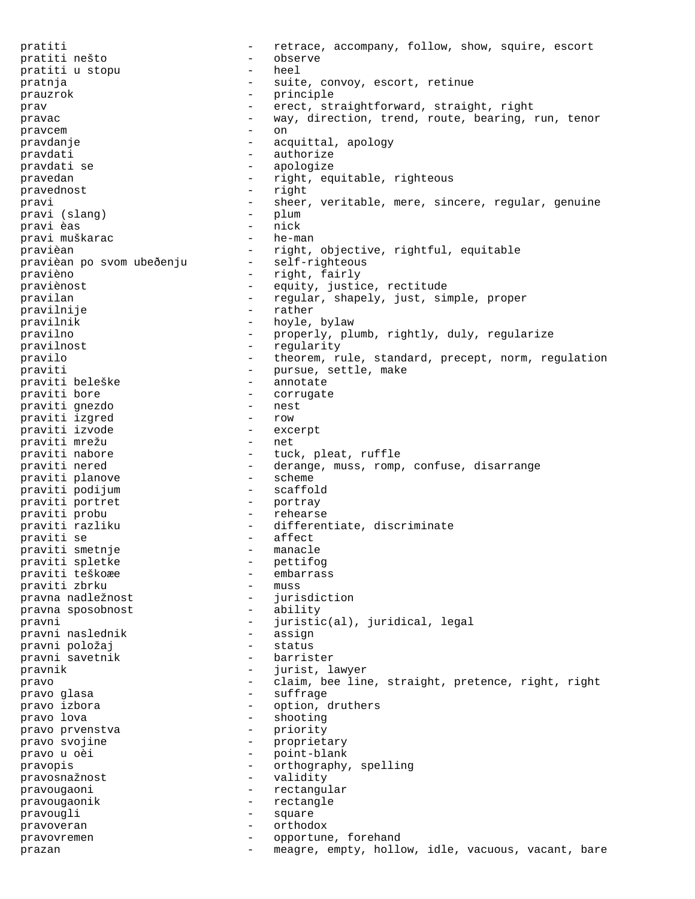pratiti  $p^2$  - retrace, accompany, follow, show, squire, escort<br>pratiti nešto pratiti nešto - observe pratiti u stopu pratnja  $-$  suite, convoy, escort, retinue prauzrok - principle prav erect, straightforward, straight, right pravac - way, direction, trend, route, bearing, run, tenor pravcem - on pravdanje  $\qquad \qquad -$  acquittal, apology pravdati  $-$  authorize pravdati se  $-$  apologize pravedan - right, equitable, righteous pravednost - right pravi - sheer, veritable, mere, sincere, regular, genuine<br>pravi (slang) - plum pravi (slang) pravi èas - nick pravi muškarac pravièan - right, objective, rightful, equitable<br>pravièan po svom ubeðenju - self-righteous pravièan po svom ubeðenju pravièno - right, fairly praviènost  $-$  equity, justice, rectitude pravilan - regular, shapely, just, simple, proper pravilnije - rather pravilnik - hoyle, bylaw pravilno - properly, plumb, rightly, duly, regularize pravilnost - regularity pravilo - theorem, rule, standard, precept, norm, regulation praviti - theorem, rule, standa<br>praviti beleške - pursue, settle, make<br>praviti beleške - pursue, settle, make praviti beleške - annotate praviti bore - corrugate praviti gnezdo - nest praviti izgred - row praviti izvode - excerpt praviti mrežu<br>praviti nabore praviti nabore  $\begin{array}{ccc} - & \text{tuck, pleat, ruffle} \\ - & \text{derange, muss, romp} \end{array}$ pravitio derange, muss, romp, confuse, disarrange<br>- scheme praviti planove - scheme praviti podijum - scaffold praviti portret - portray praviti probu - rehearse praviti razliku - differentiate, discriminate<br>- affect praviti se - affect praviti smetnje - manacle praviti spletke - peters - peters - peters - peters - peters - peters - peters - peters - peters - peters - pe praviti teškoæe - embarrass praviti zbrku - muss pravna nadležnost - jurisdiction pravna sposobnost pravni - juristic(al), juridical, legal pravni naslednik pravni položaj **bravni položaj** - status pravni savetnik  $-$  barrister pravnik - jurist, lawyer pravo  $-$  claim, bee line, straight, pretence, right, right pravo glasa pravo glasa - suffrage - suffrage - suffrage - suffrage - suffrage - suffrage - suffrage - suffrage - suffrage - suffrage - suffrage - suffrage - suffrage - suffrage - suffrage - suffrage - suffrage - suffrage - suffrage pravo izbora  $\qquad \qquad$  - option, druthers pravo lova - shooting pravo prvenstva pravo svojine  $-$  proprietary pravo u oèi  $-$  point-blank pravopis - orthography, spelling<br>pravosnažnost - validity - validity pravosnažnost pravougaoni - rectangular pravougaonik - rectangle pravougli - square pravoveran - orthodox pravovremen - opportune, forehand prazan and the meagre, empty, hollow, idle, vacuous, vacant, bare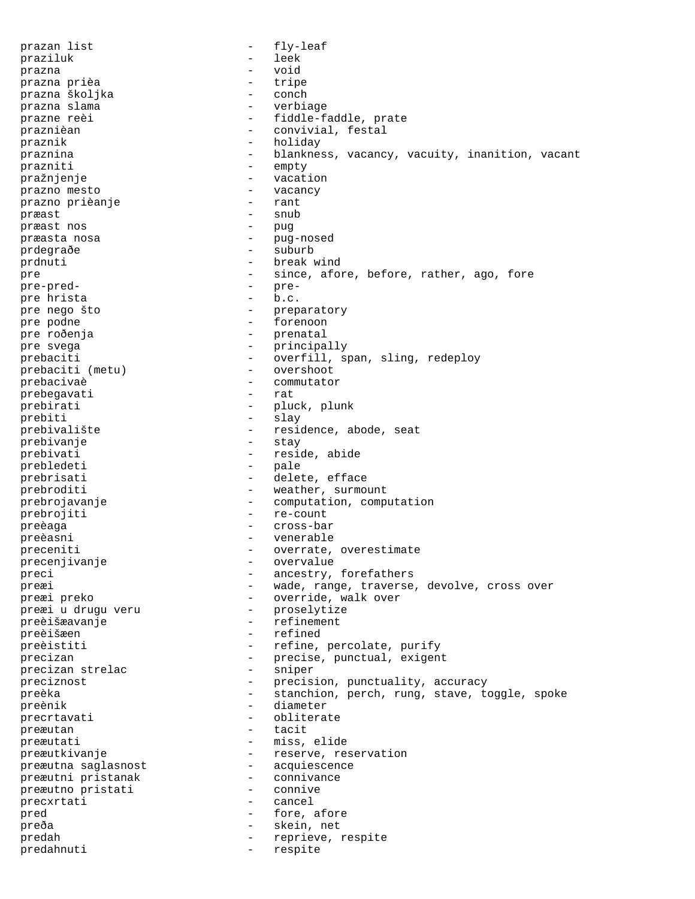prazan list  $-$  fly-leaf praziluk - leek prazna - void prazna prièa - tripe prazna školjka - conch prazna slama - verbiage prazne reèi  $-$  fiddle-faddle, prate praznièan - convivial, festal praznik - holiday praznina - blankness, vacancy, vacuity, inanition, vacant prazniti - empty pražnjenje - vacation prazno mesto - vacancy prazno prièanje - rant præast - snub præast nos - pug præasta nosa - pug-nosed prdegraðe - suburb prdnuti - break wind pre  $-$  since, afore, before, rather, ago, fore pre-pred-<br>
pre-predpre<br>
pre<sub>pre-</sub>
<sub>pre-</sub>
<sub>pre-</sub>
<sub>pre-</sub>
<sub>pre-</sub>
<sub>pre-</sub>
<sub>pre-</sub>
<sub>pre-</sub>
<sub>pre-</sub>
<sub>pre-</sub>
<sub>pre-</sub>
<sub>pre-</sub>
<sub>pre-</sub> pre hrista pre nego što  $-$  preparatory pre podne  $\qquad$  - forenoon pre roðenja **-** prenatal pre svega  $\qquad \qquad$  - principally prebaciti  $-\text{overfill}, \text{span}, \text{sing}, \text{redeploy}$ <br>prebaciti (metu) - overshoot prebaciti (metu) prebacivaè - commutator prebegavati - rat prebirati - pluck, plunk<br>
prebiti - slav prebiti - slay prebivalište - residence, abode, seat<br>prebivanie - stay - stay prebivanje prebivati - reside, abide<br>
prebledeti - pale prebledeti prebrisati  $\qquad -$  delete, efface prebroditi - weather, surmount prebrojavanje  $-$  computation, computation prebrojiti - re-count preèaga - cross-bar preèasni - venerable preceniti - overrate, overestimate<br>precenjivanje - - - - - - - overvalue precenjivanje - overvalue preci - ancestry, forefathers preæi - wade, range, traverse, devolve, cross over preæi preko  $-$  override, walk over preæi u drugu veru  $-$  proselytize preæi u drugu veru - proselytize preèišæavanje preèišæen - refined preèistiti - refine, percolate, purify<br>
precizan - recise, punctual, exigen precizan - precise, punctual, exigent<br>precizan strelac - sniper - sniper precizan strelac and the sniper preciznost  $-$  precision, punctuality, accuracy preèka - stanchion, perch, rung, stave, toggle, spoke preènik - diameter precrtavati - obliterate<br>preæutan - tacit - tacit preæutan preæutati - miss, elide preæutkivanje - reserve, reservation<br>preæutna saqlasnost - acquiescence preæutna saglasnost - acquiescence preæutni pristanak - connivan<br>
preæutno pristati - connive preæutno pristati precxrtati - cancel pred - fore, afore preða - skein, net predah - reprieve, respite predahnuti - respite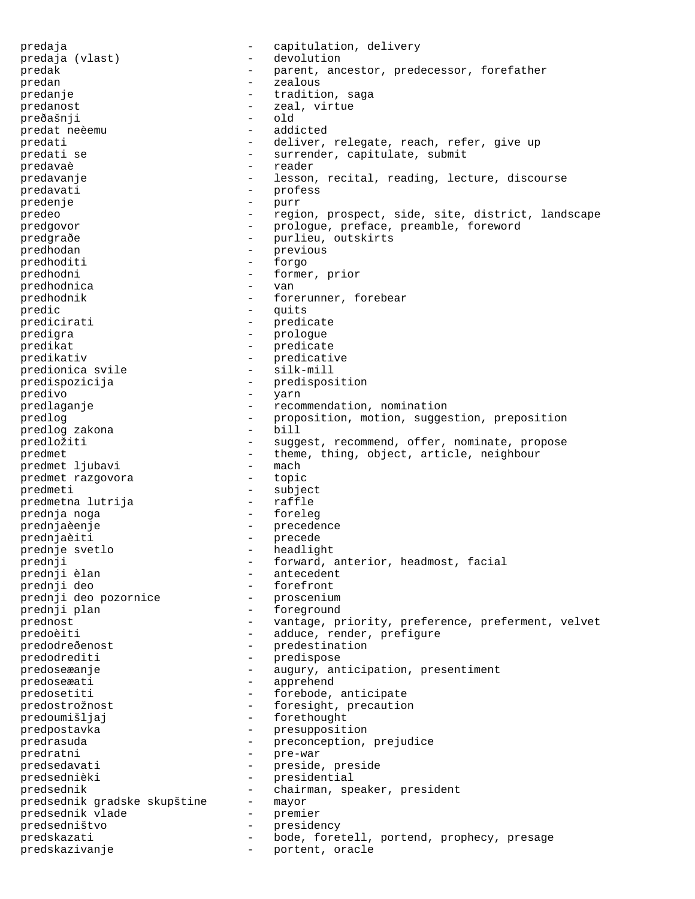predaja  $-$  capitulation, delivery predaja (vlast) - capitulation, delivery predaja (vlast) - devolution predak - parent, ancestor, predecessor, forefather predan - zealous predanje - tradition, saga predanost  $\qquad \qquad -$  zeal, virtue preðašnji - old predat neèemu - addicted predati entitled and the deliver, relegate, reach, refer, give up predati se  $-$  surrender, capitulate, submit -<br>predavaè - reader - reader predavanje - lesson, recital, reading, lecture, discourse predavati - profess predenje - purr predeo - region, prospect, side, site, district, landscape predgovor - prologue, preface, preamble, foreword predgraðe - purlieu, outskirts predhodan - previous predhoditi - forgo predhodni - former, prior predhodnica - van predhodnik - forerunner, forebear predic example the contract of the set of the set of the set of the set of the set of the set of the set of the set of the set of the set of the set of the set of the set of the set of the set of the set of the set of the predicirati - predicate predigra - prologue predikat - predicate predikativ - predicative predionica svile - silk-mill predispozicija - predisposition<br>predivo - varn<br>- varn predivo - yarn predlaganje - recommendation, nomination<br>predlog<br>predlog - proposition motion sugges predlog - proposition, motion, suggestion, preposition predlog zakona - bill predlog zakona predložiti - suggest, recommend, offer, nominate, propose predmet - theme, thing, object, article, neighbour<br>
predmet liubavi - mach predmet ljubavi - mach predmet razgovora -<br>predmeti - subject<br>predmetna lutrija - raffle predmetna lutrija prednja noga - foreleg prednjaèenje - precedence prednjaèiti - precede prednje svetlo - headlight - headlight prednji - forward, anterior, headmost, facial - antecedent prednji deo - forefront prednji deo pozornice prednji plan - foreground prednost - vantage, priority, preference, preferment, velvet predoèiti - adduce, render, prefigure predodreðenost - predestination predodrediti - predispose<br>predosexanie - predispose<br>predosexanie predoseæanje  $-$  augury, anticipation, presentiment predoseæati - apprehend predosetiti  $\qquad \qquad -$  forebode, anticipate predostrožnost - foresight, precaution -<br>predoumišljaj - forethought predpostavka - presupposition predrasuda - preconception, prejudice predratni - pre-war predsedavati - preside, preside predsednièki - presidential predsednik  $-$  chairman, speaker, president predsednik gradske skupštine  $-$  mayor predsednik gradske skupštine predsednik vlade - premier predsedništvo - presidency predskazati - bode, foretell, portend, prophecy, presage predskazivanje  $\qquad \qquad -$  portent, oracle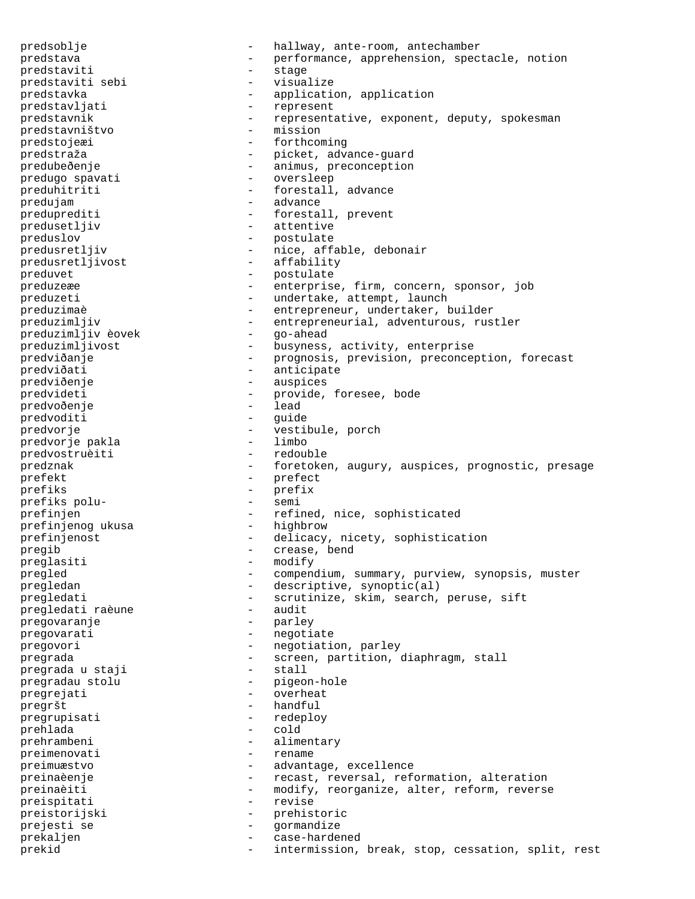predsoblje - hallway, ante-room, antechamber predstava - performance, apprehension, spectacle, notion predstaviti - stage predstaviti sebi visualize predstavka - application, application predstavljati - represent predstavnik - representative, exponent, deputy, spokesman predstavništvo - mission predstavništvo predstojeæi - forthcoming predstraža - picket, advance-guard -<br>predubeðenje - - - - - - - - - - - - animus, preconception predugo spavati - oversleep preduhitriti - forestall, advance predujam - advance preduprediti - forestall, prevent predusetljiv - attentive preduslov - postulate predusretljiv - nice, affable, debonair predusretljivost - affability preduvet - postulate preduzeæe - enterprise, firm, concern, sponsor, job preduzeti - undertake, attempt, launch preduzimaè  $-$  entrepreneur, undertaker, builder preduzimljiv - entrepreneurial, adventurous, rustler preduzimljiv èovek preduzimljivost - busyness, activity, enterprise predviðanje - prognosis, prevision, preconception, forecast predviðati - anticipate predviðenje - auspices predvideti - provide, foresee, bode nredvoðenie - - provide, foresee, bode predvoðenje predvoditi - guide<br>
predvorie - guide<br>
- vestil predvorje - vestibule, porch predvorje pakla - limbo predvostruèiti predznak - foretoken, augury, auspices, prognostic, presage prefekt - prefect prefiks - prefix prefiks polu- - semi prefinjen - refined, nice, sophisticated<br>prefinjenog ukusa - highbrow - highbrow prefinjenog ukusa prefinjenost - delicacy, nicety, sophistication pregib - crease, bend preglasiti - modify pregled - compendium, summary, purview, synopsis, muster pregledan - descriptive, synoptic(al) pregledati - scrutinize, skim, search, peruse, sift<br>pregledati raèune - audit pregledati raèune pregovaranje - parley pregovarati - negotiate pregovori - negotiation, parley pregrada - screen, partition, diaphragm, stall pregrada u staji - stall pregradau stolu - pigeon-hole pregrejati - overheat pregršt - handful pregrupisati - redeploy prehlada - cold prehrambeni - alimentary preimenovati - alimentary - alimentary - alimentary - alimentary - rename preimenovati preimuæstvo - advantage, excellence preinaèenje  $-$  recast, reversal, reformation, alteration preinaèiti - modify, reorganize, alter, reform, reverse preispitati - revise preistorijski - prehistoric prejesti se - gormandize prekaljen - case-hardened prekid - intermission, break, stop, cessation, split, rest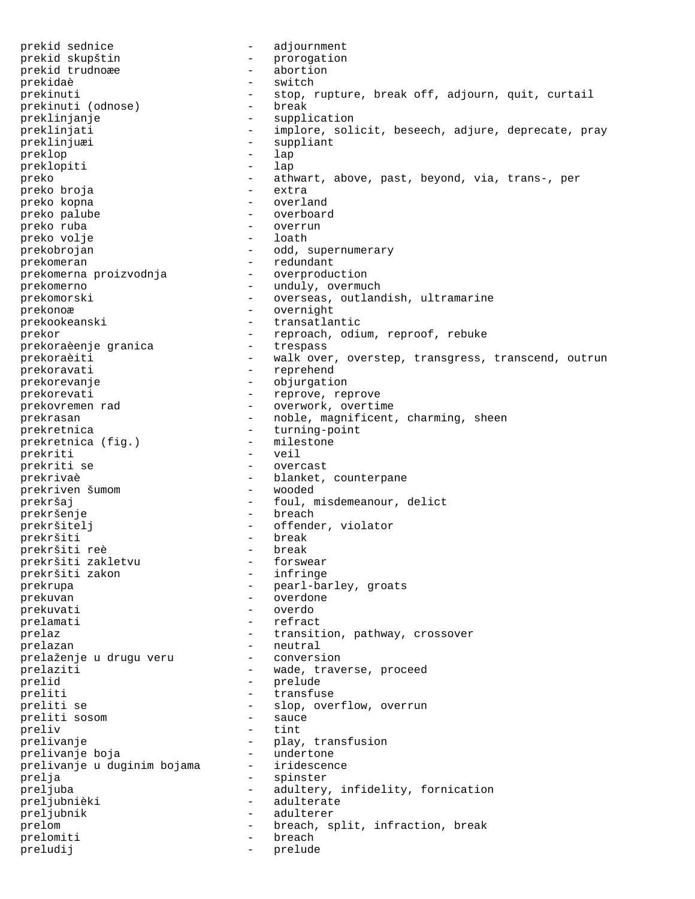prekid sednice adjournment prekid skupštin - prorogation<br>prekid trudnoæe - abortion prekid trudnoæe prekidaè - switch prekinuti (odnose) - stop, rupture, break off, adjourn, quit, curtail prekinuti (odnose) - break prekinuti (odnose) preklinjanje - supplication preklinjati  $-$  implore, solicit, beseech, adjure, deprecate, pray preklinjuæi - suppliant preklop - lap preklopiti preko - athwart, above, past, beyond, via, trans-, per<br>preko broja - extra - extra preko broja preko kopna - overland preko palube  $\qquad \qquad -$  overboard preko ruba - overrun preko volje prekobrojan - odd, supernumerary -<br>prekomeran - redundant<br>prekomerna proizvodnja - overproduction prekomerna proizvodnja prekomerno - unduly, overmuch prekomorski - overseas, outlandish, ultramarine prekonoæ - overnight prekookeanski - transatlantic prekor - reproach, odium, reproof, rebuke<br>prekoraèenie qranica - - trespass prekoraèenje granica prekoraèiti - walk over, overstep, transgress, transcend, outrun prekoravati - reprehend -<br>prekorevanje - objurgation prekorevati - reprove, reprove prekovremen rad - - reprove - overwork, overting - overwork, overtime prekrasan - noble, magnificent, charming, sheen prekretnica<br>
prekretnica (fiq.) - turning-point<br>
- milestone prekretnica (fig.) - miles<br>prekriti - veil prekriti prekriti se - overcast prekrivaè - blanket, counterpane<br>
prekriven šumom - wooded - wooded prekriven šumom prekršaj  $-$  foul, misdemeanour, delict prekršenje<br>prekršitelj - breach<br>prekršitelj - offende prekršitelj - offender, violator prekršiti - break prekršiti reè - break prekršiti zakletvu - forswear prekršiti zakon<br>prekrupa - pearl-barley, groats prekuvan - overdone prekuvati - overdo prelamati - refract prelaz  $-$  transition, pathway, crossover prelazan - neutral prelaženje u drugu veru - conversion prelaziti  $-$  wade, traverse, proceed prelid - prelude preliti - transfuse preliti se - slop, overflow, overrun<br>
preliti sosom - sauce preliti sosom preliv - tint prelivanje - play, transfusion<br>
prelivanje boja - undertone - undertone prelivanje boja<br>prelivanje u duginim bojama - iridescence prelivanje u duginim bojama prelja - spinster - spinster preljuba - adultery, infidelity, fornication preljubnièki - adulterate preljubnik - adulterer prelom - breach, split, infraction, break prelomiti - breach preludij - prelude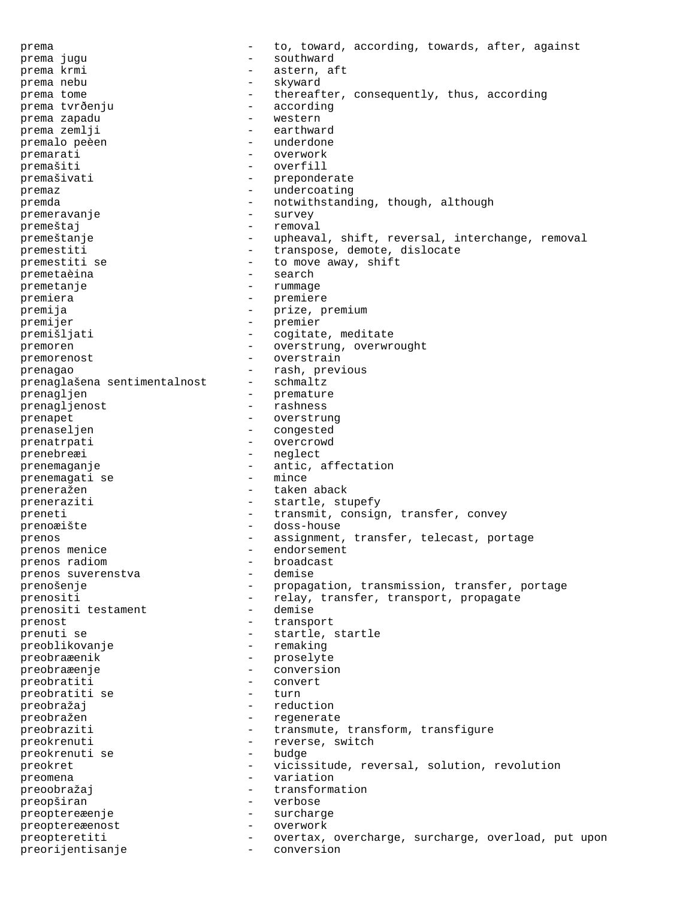prema  $-$  to, toward, according, towards, after, against prema jugu  $\qquad \qquad$  - southward prema krmi  $-$  astern, aft prema nebu - skyward prema tome - thereafter, consequently, thus, according prema tvrðenju - according - according prema tvrðenju prema zapadu - western prema zemlji - earthward<br>premalo peèen - - - - - - - - - underdone premalo peèen die man die voltooi van die voltooi van die voltooi van die voltooi van die voltooi van die volt<br>Die voltooi van die voltooi van die voltooi van die voltooi van die voltooi van die voltooi van die van die vo<br> premarati - overwork premašiti - overfill premašivati - preponderate premaz - undercoating premda - notwithstanding, though, although premeravanje - survey premeštaj - removal premeštanje  $-$  upheaval, shift, reversal, interchange, removal premestiti - transpose, demote, dislocate premestiti se  $-$  to move away, shift -<br>premetaèina - search premetanje - rummage premiera - premiere premija - prize, premium premijer - premier premišljati  $-$  cogitate, meditate premoren - overstrung, overwrought premorenost - overstrain prenagao - rash, previous<br>prenaglašena sentimentalnost - schmaltz prenaglašena sentimentalnost prenagljen - premature - premature<br>prenaglienost - rashness prenagljenost - rashness prenapet - overstrung prenaseljen - congested prenatrpati - overcrowd prenebreæi - neglect prenemaganje - antic, affectation<br>
prenemagati se - mince prenemagati se preneražen - taken aback preneraziti - startle, stupefy preneti - transmit, consign, transfer, convey prenoæište - doss-house prenos **- assignment, transfer, telecast, portage** prenos menice - endorsement prenos radiom - broadcast prenos suverenstva prenošenje - propagation, transmission, transfer, portage prenositi<br>
prenositi testament - relay, transfer, transport, propagate<br>
- demise prenositi testament prenost  $\overline{z}$  - transport prenuti se  $-$  startle, startle preoblikovanje - remaking preobraæenik - proselyte<br>preobraæenie - conversio preobraæenje - conversion preobratiti - convert preobratiti se - turn preobražaj - reduction<br>preobražen - regenerati preobražen - regenerate preobraziti  $-$  transmute, transform, transfigure preokrenuti - reverse, switch - reverse, switch - reverse, switch - reverse, switch - reverse - reverse - reverse - reverse - reverse - reverse - reverse - reverse - reverse - reverse - reverse - reverse - reverse - revers preokrenuti se preokret - vicissitude, reversal, solution, revolution<br>reomena preomena - variation preoobražaj  $-$  transformation preopširan - verbose preoptereæenje - surcharge preoptereæenost - overwork preopteretiti - overtax, overcharge, surcharge, overload, put upon preorijentisanje - conversion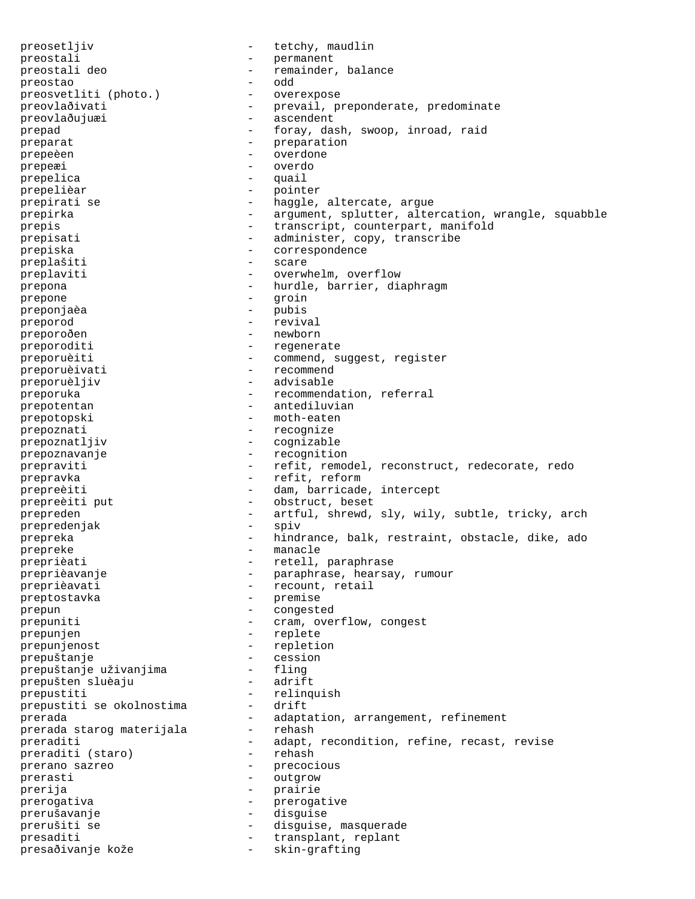preosetljiv - tetchy, maudlin preostali - permanent preostali deo - remainder, balance preostao - odd<br>preosvetliti (photo.) - overexpose preosvetliti (photo.) preovlaðivati - prevail, preponderate, predominate preovlaðujuæi - ascendent -<br>prepad - foray, dash, swoop, inroad, raid preparat - preparation<br>preparation - preparation prepeèen en la prepeèn dieu en la prepeèn dieu en la presentation de la provincia de la provincia de la provincia<br>Distribution de la provincia de la provincia de la provincia de la provincia de la provincia de la provincia prepeæi - overdo prepelica - quail prepelièar - pointer prepirati se  $-$  haggle, altercate, argue prepirka - argument, splutter, altercation, wrangle, squabble prepis - transcript, counterpart, manifold prepisati - administer, copy, transcribe prepiska - correspondence - correspondence - correspondence - correspondence - correspondence - correspondence - correspondence - correspondence - correspondence - correspondence - correspondence - corresponden preplašiti preplaviti - overwhelm, overflow prepona - hurdle, barrier, diaphragm prepone - groin - - pubis<br>preponjaèa - - - pubis preporod - revival preporoðen - newborn preporoditi - regenerate preporuèiti - commend, suggest, register preporuèivati - recommend preporuèljiv - advisable preporuka  $-$  recommendation, referral prepotentan  $\qquad \qquad -$  antediluvian prepotopski - moth-eaten prepoznati - recognize prepoznatljiv - cognizable prepoznavanje  $-$  recognition prepraviti e construct, remodel, reconstruct, redecorate, redo prepravka  $\overline{r}$  - refit, reform prepreèiti - dam, barricade, intercept prepreèiti put  $-$  obstruct, beset prepreden - artful, shrewd, sly, wily, subtle, tricky, arch<br>prepredeniak - spiv prepredenjak prepreka - hindrance, balk, restraint, obstacle, dike, ado prepreke - manacle preprièati  $-$  retell, paraphrase preprièavanje - paraphrase, hearsay, rumour preprièavati - recount, retail preptostavka - premise prepun - congested prepuniti  $\qquad \qquad - \qquad \text{cram}, \text{ overflow}, \text{congest}$ prepunjen - replete prepunjenost<br>prepuštanje - repletion<br>- cession prepuštanje - cession prepuštanje uživanjima - fling prepušten sluèaju - adrift prepustiti - relinquish prepustiti se okolnostima -<br>prerada prerada<br>prerada staroq materijala - adaptation, arrangement, refinement<br>prerada staroq materijala - rehash prerada starog materijala<br>prerada starog materijala prerada starog materijala<br>preraditi - adapt, recondition, refine, recast, revise<br>preraditi (staro) - rehash preraditi (staro) prerano sazreo  $-$  precocious -<br>prerasti - outgrow -<br>prerija - prairie<br>prerogativa - preroga prerogativa - prerogative prerušavanje - disguise prerušiti se  $\qquad \qquad -$  disguise, masquerade presaditi  $-$  transplant, replant presaðivanje kože - skin-grafting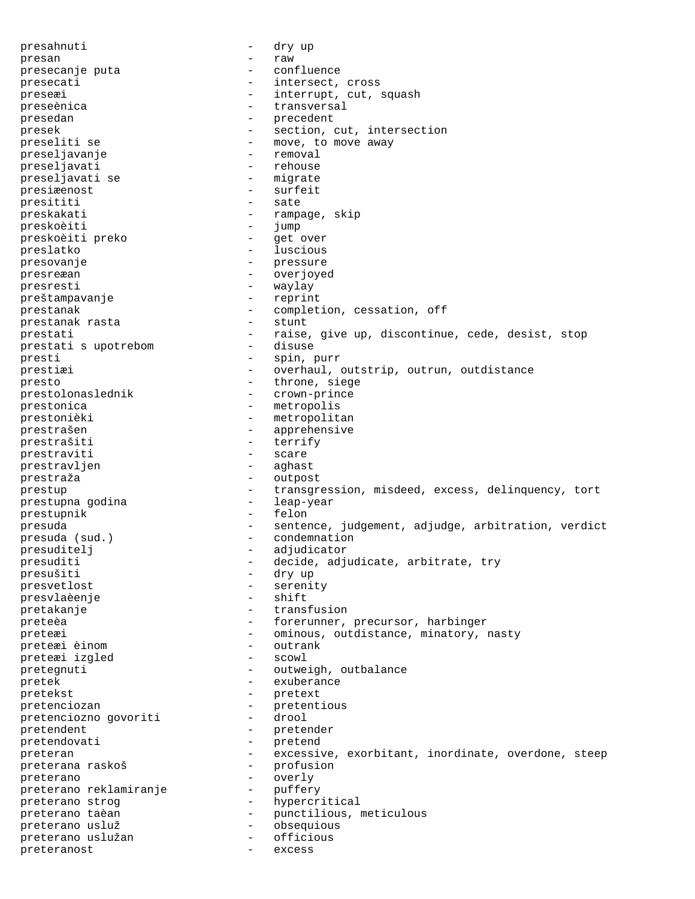presahnuti - dry up presan - raw<br>presecanie puta - raw - raw presecanje puta - confluence presecati - intersect, cross preseæi - interrupt, cut, squash preseènica en entre la communication de la communication de la communication de la communication de la communica presedan - precedent - precedent - precedent - precedent - precedent - precedent - precedent - precedent - precedent - precedent - precedent - precedent - precedent - precedent - precedent - precedent - precedent - precede presek - section, cut, intersection preseliti se  $\begin{array}{ccc} - & move, & to move away \ 0 & - & r & + \end{array}$ preseljavanje - removal preseljavati - rehouse<br>preseliavati se - migrate preseljavati se presiæenost - surfeit presititi - sate preskakati - rampage, skip preskoèiti - jump preskoèiti preko - get over preslatko - luscious presovanje - pressure presreæan - overjoyed presresti - waylay<br>preštampavanje - reprint preštampavanje prestanak  $\overline{r}$  - completion, cessation, off prestanak rasta prestanak rasta prestati  $-$  raise, give up, discontinue, cede, desist, stop<br>prestati s upotrebom  $-$  disuse prestati s upotrebom presti<br>prestial - spin, purr<br>prestial - overhaul d prestiæi - overhaul, outstrip, outrun, outdistance presto - throne, siege prestolonaslednik - crown-prince prestonica - metropolis prestonièki - metropolitan prestrašen - apprehensive prestrašiti - terrify - terrify - terrify - scare prestraviti - scare<br>prestravlien - aghast prestravljen prestraža - outpost prestup - transgression, misdeed, excess, delinquency, tort prestupna godina  $-$  leap-year prestupnik - felon presuda  $-$  sentence, judgement, adjudge, arbitration, verdict presuda (sud.)  $-$  condemnation - condemnation presuditelj - adjudicator<br>presuditi - decide adju presuditi  $\begin{array}{ccc}\n-\text{decide, adjudicate, arbitrate, try} \\
-\text{drv up}\n\end{array}$ presušiti - dry up presvetlost - serenity presvlaèenje pretakanje  $-$  transfusion preteèa - forerunner, precursor, harbinger preteæi - ominous, outdistance, minatory, nasty<br>
- outrank preteæi èinom - outrank preteæi izgled - scowl<br>pretegnuti - outwei pretegnuti - outweigh, outbalance pretek - exuberance pretekst - pretext<br>pretenciozan - metenti pretenciozan - pretentious<br>
pretenciozno govoriti - drool pretenciozno govoriti - drool pretendent - pretender pretendovati - pretendovati - pretendovati - pretendovati - pretendovati - pretendovati - pretendovati - pretend preteran - excessive, exorbitant, inordinate, overdone, steep preterana raskoš - profusion preterano - overly preterano reklamiranje preterano strog and the hypercritical preterano taèan  $-$  punctilious, meticulous<br>preterano usluž  $-$  obsequious preterano usluž - obsequious preterano uslužan preteranost - excess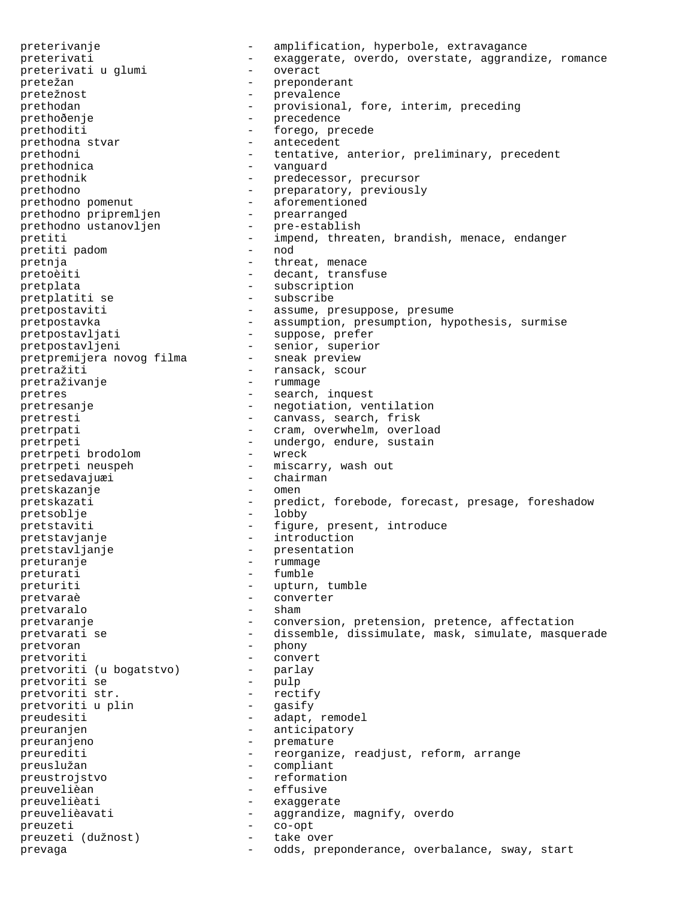preterivanje - amplification, hyperbole, extravagance preterivati - exaggerate, overdo, overstate, aggrandize, romance preterivati u qlumi - overact preterivati u glumi pretežan - preponderant<br>pretežnost - prevalence - prevalence prevalence prethodan - provisional, fore, interim, preceding prethoðenje - precedence prethoditi - forego, precede prethodna stvar - antecedent prethodni - tentative, anterior, preliminary, precedent prethodnica - vanguard -<br>
prethodnik - predecessor, precursor prethodno - preparatory, previously prethodno pomenut - aforementioned prethodno pripremljen - prearranged prethodno ustanovljen - pre-establish prethodno pripremljen<br>
prethodno ustanovljen<br>
pretiti - impend, threaten, brandish, menace, endanger<br>
pretiti padom<br>
pretiti padom<br>
- nod<br>
- nod pretiti padom pretnja  $-$  threat, menace pretoèiti - decant, transfuse pretplata - subscription<br>pretplatiti se - subscribe - subscribe pretplatiti se pretpostaviti - assume, presuppose, presume pretpostavka - assumption, presumption, hypothesis, surmise pretpostavljati - suppose, prefer pretpostavljeni - senior, superior<br>pretpremijera novog filma - sneak preview pretpremijera novog filma pretražiti - ransack, scour -<br>pretraživanje - rummage pretres  $\qquad \qquad -$  search, inquest pretresanje - negotiation, ventilation pretresti - canvass, search, frisk pretrpati - cram, overwhelm, overload<br>pretrpeti - cram, overwhelm, overload<br>- undergo, endure, sustain - undergo, endure, sustain<br>- wreck pretrpeti brodolom pretrpeti *niversem*<br>
pretrpeti neuspeh - miscarry, wash out<br>
pretsedavajuæi - chairman pretsedavajuæi - chair<br>pretskazanje - omen pretskazanje pretskazati - predict, forebode, forecast, presage, foreshadow pretsoblje - lobby pretstaviti - figure, present, introduce pretstavjanje - introduction pretstavljanje - presentation preturanje - rummage - rummage preturati - fumble preturiti - upturn, tumble pretvaraè - converter pretvaralo pretvaranje enterpretence on the conversion, pretension, pretence, affectation pretvarati se etter te - dissemble, dissimulate, mask, simulate, masquerade pretvoran - phony<br>pretvoriti - conve pretvoriti (u bogatstvo) - convert<br>pretvoriti (u bogatstvo) - parlay pretvoriti (u bogatstvo) -<br>pretvoriti se pretvoriti se - pulp<br>pretvoriti str. - rectify pretvoriti str. - rectify pretvoriti u plin preudesiti - adapt, remodel preuranjen - anticipatory preuranjeno - premature preurediti - reorganize, readjust, reform, arrange preuslužan - reorganize, readjust, reform, arrange - compliant preustrojstvo - reformation preuvelièan - effusive preuvelièati - exaggerate preuvelièavati - aggrandize, magnify, overdo<br>preuzeti - co-opt - co-opt preuzeti - co-opt preuzeti (dužnost) - take over prevaga - odds, preponderance, overbalance, sway, start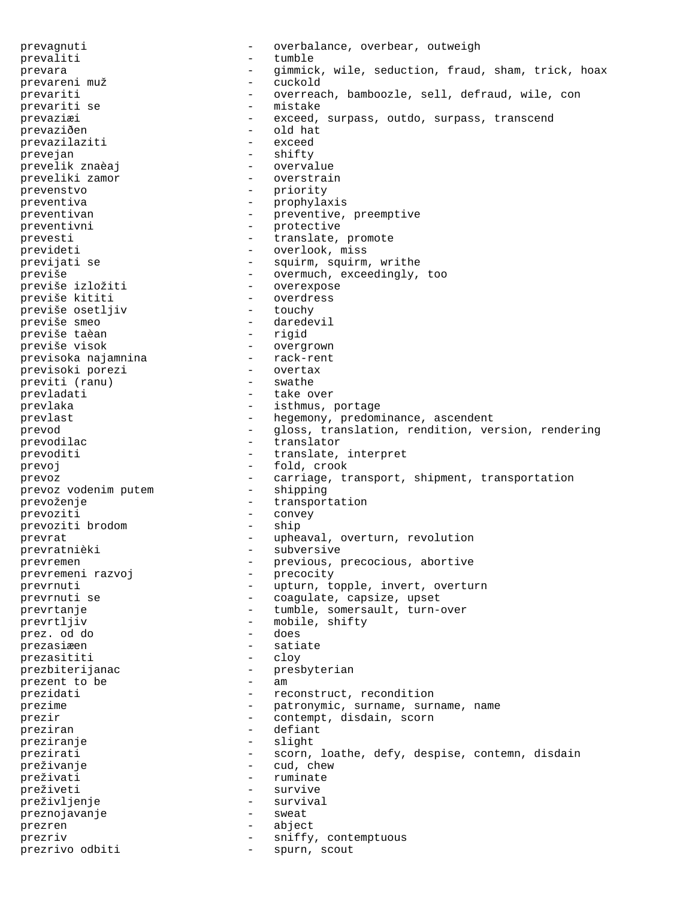prevagnuti - overbalance, overbear, outweigh prevaliti - tumble prevara - gimmick, wile, seduction, fraud, sham, trick, hoax prevareni muž - cuckold prevariti - overreach, bamboozle, sell, defraud, wile, con<br>prevariti se - mistake - mistake prevariti se - mistake prevaziæi - exceed, surpass, outdo, surpass, transcend prevaziðen - old hat<br>prevazilaziti - exceed prevazilaziti prevejan - shifty prevelik znaèaj overvalue<br>preveliki zamor overstrain preveliki zamor prevenstvo - priority preventiva - prophylaxis preventivan - preventive, preemptive<br>preventivni - preventive preventivni - protective prevesti  $-$  translate, promote prevideti - overlook, miss previjati se  $-$  squirm, squirm, writhe previše  $-$  overmuch, exceedingly, too previše izložiti  $-$  overexpose previše izložiti - overexpose<br>
previše kititi - overdress - overdress<br>- touchy previše osetljiv previše smeo - daredevil previše taèan previše visok - overgrown<br>previsoka najamnina - rack-rent previsoka najamnina - rack-rent previsoki porezi - overtax previti (ranu) - swathe prevladati - take over prevlaka  $-$  isthmus, portage prevlast  $-$  hegemony, predominance, ascendent prevod - gloss, translation, rendition, version, rendering prevodilac - translator prevoditi  $-$  translate, interpret prevoj - fold, crook prevoz - carriage, transport, shipment, transportation prevoz vodenim putem - shipping prevoz vodenim putem prevoženje  $-$  transportation prevoziti - convey prevoziti brodom - ship prevrat  $-$  upheaval, overturn, revolution prevratnièki - subversive prevremen - previous, precocious, abortive prevremeni razvoj do standarda - precocity prevrnuti - upturn, topple, invert, overturn prevrnuti se  $\qquad \qquad -$  coagulate, capsize, upset prevrtanje - tumble, somersault, turn-over prevrtljiv - mobile, shifty<br>
prez. od do - does prez. od do prezasiæen - satiate prezasititi - cloy prezbiterijanac - presbyterian prezent to be  $-$  am prezidati  $-$  reconstruct, recondition prezime - patronymic, surname, surname, name<br>
- contempt disdain soorn prezir - contempt, disdain, scorn<br>preziran - defiant - defiant preziran preziranje - slight prezirati  $-$  scorn, loathe, defy, despise, contemn, disdain preživanje  $-$  cud, chew preživati - ruminate preživeti - survive preživljenje - survival preznojavanje - sweat prezren - abject prezriv  $-$  sniffy, contemptuous prezrivo odbiti  $-$  spurn, scout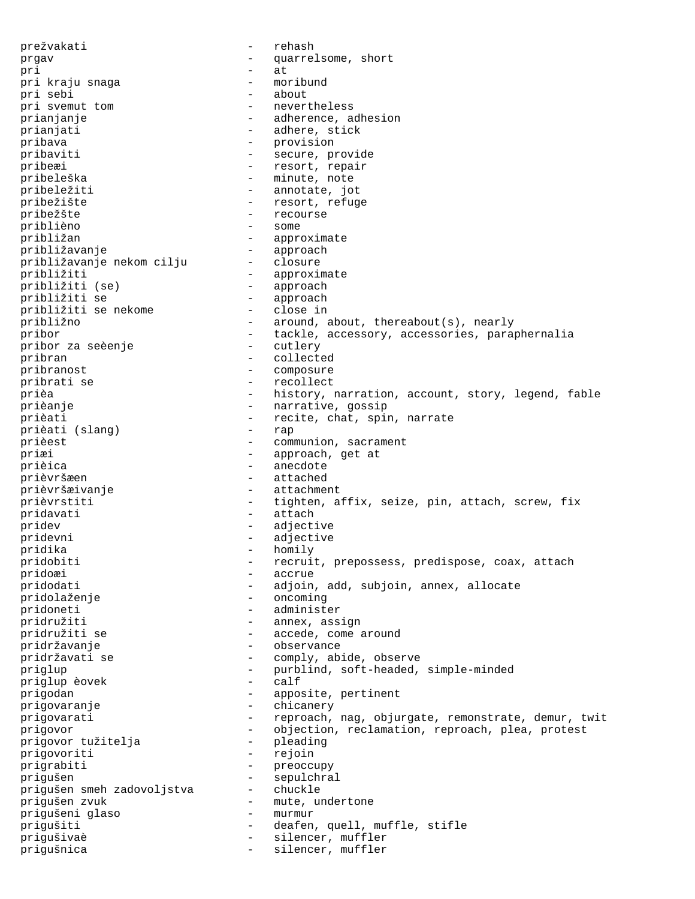prežvakati - rehash prgav - quarrelsome, short pri - at pri kraju snaga - moribund pri sebi<br>pri svemut tom - nevertheless prianjanje - adherence, adhesion prianjati  $-$  adhere, stick pribava - provision pribaviti - secure, provide pribeæi - resort, repair pribeleška - minute, note<br>pribeležiti - - minute, note<br>- annotate, jo - annotate, jot pribežište - resort, refuge pribežšte - recourse priblièno - some približan - approximate -<br>približavanje - approach<br>približavanje nekom cilju - closure približavanje nekom cilju približiti - approximate približiti (se) približiti se - approach približiti se nekome približno - around, about, thereabout(s), nearly pribor - tackle, accessory, accessories, paraphernalia<br>pribor za seèenie - cutlery - cutlery pribor za seèenje pribran - collected pribranost - composure pribrati se  $-$  recollect prièa  $-$  history, narration, account, story, legend, fable prièanje  $-$  narrative, gossip prièati  $-$  recite, chat, spin, narrate prièati (slang)  $-$  recite, chat, spin, narrate prièati (slang) prièest  $-$  communion, sacrament priæi - approach, get at - anecdote - prièvršæen - attached<br>prièvršæivanje - attachment prièvršæivanje prièvrstiti - tighten, affix, seize, pin, attach, screw, fix pridavati - attach pridev - adjective pridevni - adjective pridika - homily pridobiti - recruit, prepossess, predispose, coax, attach pridoæi - accrue<br>pridodati - adjoin, - adjoin, add, subjoin, annex, allocate pridolaženje - oncoming pridoneti - administer pridružiti - annex, assign<br>pridružiti se - - - - - - - - accede, come a - accede, come around pridržavanje - observance pridržavati se  $-$  comply, abide, observe priglup  $-$  purblind, soft-headed, simple-minded priglup eovek priglup èovek - calf prigodan  $-$  apposite, pertinent - prigovaranje - chicanery prigovarati e a reproach, nag, objurgate, remonstrate, demur, twit prigovor - objection, reclamation, reproach, plea, protest<br>prigovor tužitelja - pleading prigovor tužitelja prigovoriti - rejoin prigrabiti - preoccupy prigušen - sepulchral prigušen smeh zadovoljstva - chuckle prigušen zvuk - mute, undertone<br>prigušeni glaso - - murmur prigušeni glaso - murmur prigušiti - deafen, quell, muffle, stifle prigušivaè - silencer, muffler prigušnica - silencer, muffler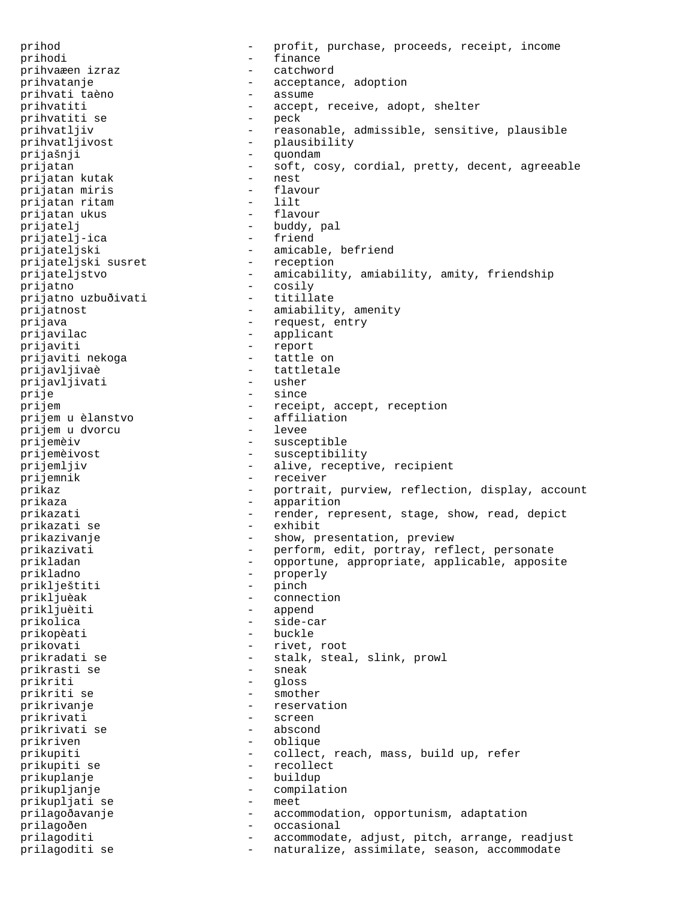prihod - profit, purchase, proceeds, receipt, income prihodi - finance prihvaæen izraz prihvatanje - acceptance, adoption - brihvati taèno - assume - assume prihvati taèno prihvatiti  $-$  accept, receive, adopt, shelter prihvatiti se prihvatiti se<br>prihvatljiv - reasonable, admissible, sensitive, plausible prihvatljivost - plausibility<br>
prijašnij - guondam prijašnji - quondam prijatan - soft, cosy, cordial, pretty, decent, agreeable<br>
- nest<br>
- nest prijatan kutak - nest prijatan miris prijatan ritam - lilt prijatan ukus prijatelj - buddy, pal<br>prijatelj-ica - - - - friend prijatelj-ica prijateljski - amicable, befriend - reception - reception prijateljski susret<br>prijateljstvo prijateljstvo - amicability, amiability, amity, friendship<br>prijatno - cosily - cosily - cosily<br>- titillate prijatno uzbuðivati prijatnost  $-$  amiability, amenity prijava - request, entry<br>prijavilac - - - - - - - - - - - - applicant - applicant prijaviti - report prijaviti nekoga prijavljivaè - tattletale prijavljivati prije - since prijem - receipt, accept, reception<br>prijem u èlanstvo - affiliation prijem u èlanstvo - affiliation prijem u dvorcu<br>prijemèiv prijemèiv - susceptible<br>prijemèivost - susceptibil prijemèivost - susceptibility<br>
prijemljiv - alive, receptiv - alive, receptive, recipient prijemnik - receiver<br>
prikaz - - portrait - portrait, purview, reflection, display, account prikaza  $-$  apparition prikazati - render, represent, stage, show, read, depict<br>prikazati se - exhibit - exhibit prikazati se prikazivanje - show, presentation, preview prikazivati - perform, edit, portray, reflect, personate prikladan - opportune, appropriate, applicable, apposite - prikladno - properly<br>priklještiti - pinch - pinch priklještiti<br>prikljuèak - connection prikljuèiti - append prikolica - side-car prikopèati prikovati - rivet, root prikradati se  $-$  stalk, steal, slink, prowl<br>prikrasti se  $-$  sneak - sneak prikrasti se - sneak prikriti - gloss -<br>prikriti se - smother prikrivanje - reservation prikrivati prikrivati se - abscond prikriven - oblique prikupiti - collect, reach, mass, build up, refer<br>
prikupiti se recollect prikupiti se - recollection - recollection - recollection - recollection - recollection - recollection - recollection - recollection - recollection - recollection - recollection - recollection - recollection - recollectio prikuplanje prikupljanje - compilation<br>prikupliati se - meet prikupljati se prilagoðavanje - accommodation, opportunism, adaptation prilagoðen - occasional prilagoditi - accommodate, adjust, pitch, arrange, readjust prilagoditi se - naturalize, assimilate, season, accommodate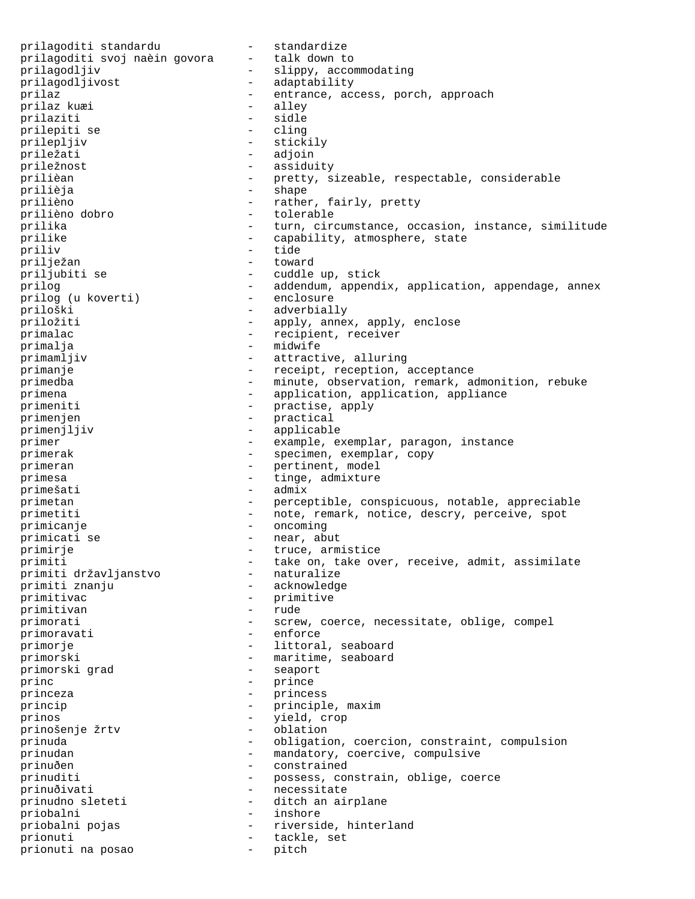prilagoditi standardu - standardize<br>prilagoditi svoj naèin govora - talk down to prilagoditi svoj naèin govora prilagodljiv - slippy, accommodating prilagodljivost - adaptability prilaz  $-$  entrance, access, porch, approach prilaz kuæi  $-$  alley prilaz kuæi prilaziti - sidle<br>
prilepiti se - cling prilepiti se prilepljiv - stickily priležati - adjoin priležnost - assiduity - pretty, sizeable, respectable, considerable prilièja - shape - shape prilièno  $-$  rather, fairly, pretty prilièno dobro  $-$  tolerable prilièno dobro - tolerable prilika - turn, circumstance, occasion, instance, similitude prilike  $\qquad \qquad -$  capability, atmosphere, state priliv - tide prilježan - toward priljubiti se - cuddle up, stick prilog  $-$  addendum, appendix, application, appendage, annex prilog (u koverti)  $-$  enclosure prilog (u koverti) priloški - adverbially priložiti - apply, annex, apply, enclose primalac  $-$  recipient, receiver primalja - midwife primamljiv - attractive, alluring primanje  $-$  receipt, reception, acceptance primedba - minute, observation, remark, admonition, rebuke primena  $-$  application, application, application, appliance primeniti - practise, apply<br>primenien - practical<br>practical primenjen - practical<br>primeniliiv - practical primenjljiv - applicable primer - example, exemplar, paragon, instance primerak - specimen, exemplar, copy primeran  $-$  pertinent, model primesa  $-$  tinge, admixture primešati - admix primetan - perceptible, conspicuous, notable, appreciable primetiti - note, remark, notice, descry, perceive, spot primicanje - oncoming primicati se  $-$  near, abut primirje - truce, armistice - take on, take over, receive, admit, assimilate<br>- naturalize primiti državljanstvo - naturalize primiti znanju primitivac - primitive - primitive - primitive - primitive - primitive - primitive - primitive - primitive - primitive - primitive - primitive - primitive - primitive - primitive - primitive - primitive - primitive - primi primitivan primorati  $-$  screw, coerce, necessitate, oblige, compel primoravati - enforce primorje  $-$  littoral, seaboard primorski  $-$  maritime, seaboard<br>primorski grad  $-$  seaport primorski grad princ - prince - prince princeza - princess<br>
princip princip  $\begin{array}{ccc} \text{princip} & - & \text{principle, maximum} \\ \text{prinos} & - & \text{yield. cron} \end{array}$ prinos<br>
prinošenie žrtv<br>
- oblation<br>
- oblation prinošenje žrtv - oblation prinuda - obligation, coercion, constraint, compulsion prinudan - mandatory, coercive, compulsive prinuðen - constrained prinuditi - possess, constrain, oblige, coerce prinuðivati - necessitate prinudno sleteti - ditch an airplane priobalni - inshore priobalni pojas and selling variations of the riverside, hinterland prionuti  $-$  tackle, set prionuti na posao - pitch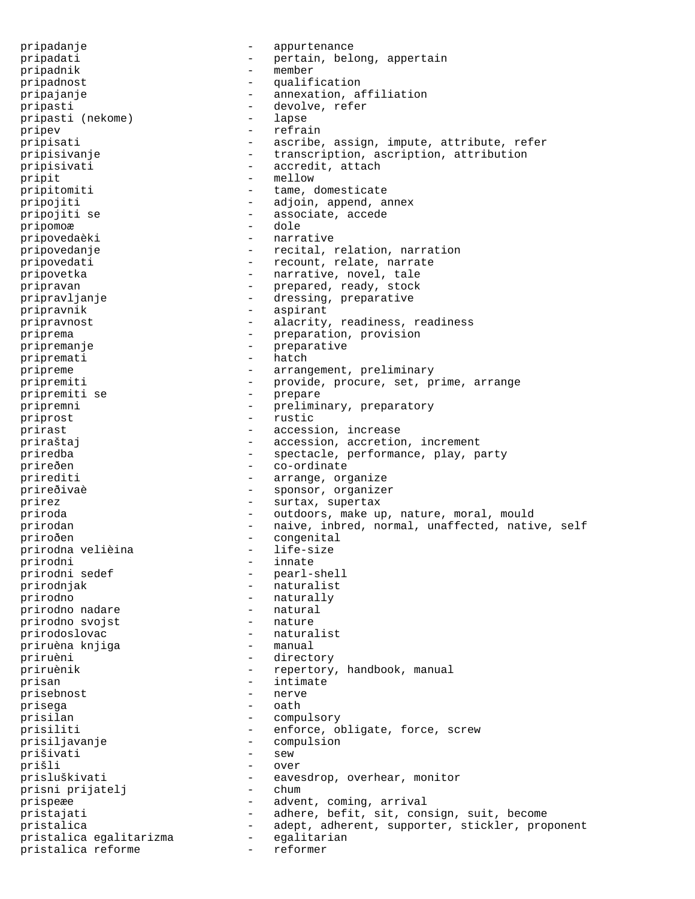pripadanje - appurtenance pripadati  $-$  pertain, belong, appertain pripadnik - member pripadnost - qualification pripajanje - annexation, affiliation pripasti<br>
pripasti (nekome) - devolve, refer<br>
- lapse pripasti (nekome) pripev - refrain pripisati - ascribe, assign, impute, attribute, refer pripisivanje - transcription, ascription, attribution pripisivati - accredit, attach pripit  $-$  mellow pripitomiti - tame, domesticate pripojiti  $-$  adjoin, append, annex pripojiti se  $-$  associate, accede pripomoæ - dole pripovedaèki - narrative pripovedanje - recital, relation, narration pripovedati - recount, relate, narrate pripovetka  $-$  narrative, novel, tale pripravan  $-$  prepared, ready, stock pripravljanje - dressing, preparative pripravnik - aspirant pripravnost  $-$  alacrity, readiness, readiness priprema  $-$  preparation, provision pripremanje - preparative pripremati - hatch pripreme - arrangement, preliminary pripremiti - provide, procure, set, prime, arrange pripremiti se  $-$  prepare pripremni - preliminary, preparatory priprost - rustic prirast  $\overline{p}$  - accession, increase priraštaj - accession, accretion, increment priredba - spectacle, performance, play, party prireðen - co-ordinate prirediti  $-$  arrange, organize prireðivaè - sponsor, organizer prirez  $-$  surtax, supertax priroda entiroda and the set outdoors, make up, nature, moral, mould prirodan - naive, inbred, normal, unaffected, native, self priroðen - congenital<br>prirodna velièina - - life-size prirodna velièina - life-size prirodni - innate - pearl-shell -<br>prirodnjak - naturalist prirodno - naturally prirodno nadare - natural prirodno svojst prirodoslovac - naturalist<br>priruèna knjiga - - manual priruèna knjiga priruèni - directory priruènik - repertory, handbook, manual prisan - intimate<br>prisebnost - intimate<br>- nerve prisebnost prisega - oath prisilan - compulsory prisiliti  $-$  enforce, obligate, force, screw prisiljavanje - compulsion<br>prišivati - sew - sew prišivati - sew prišli prisluškivati - eavesdrop, overhear, monitor prisni prijatelj - chum prisni prijatelj prispeæe - advent, coming, arrival pristajati - adhere, befit, sit, consign, suit, become pristalica - adept, adherent, supporter, stickler, proponent<br>pristalica egalitarizma - egalitarian pristalica egalitarizma - egalitarian pristalica reforme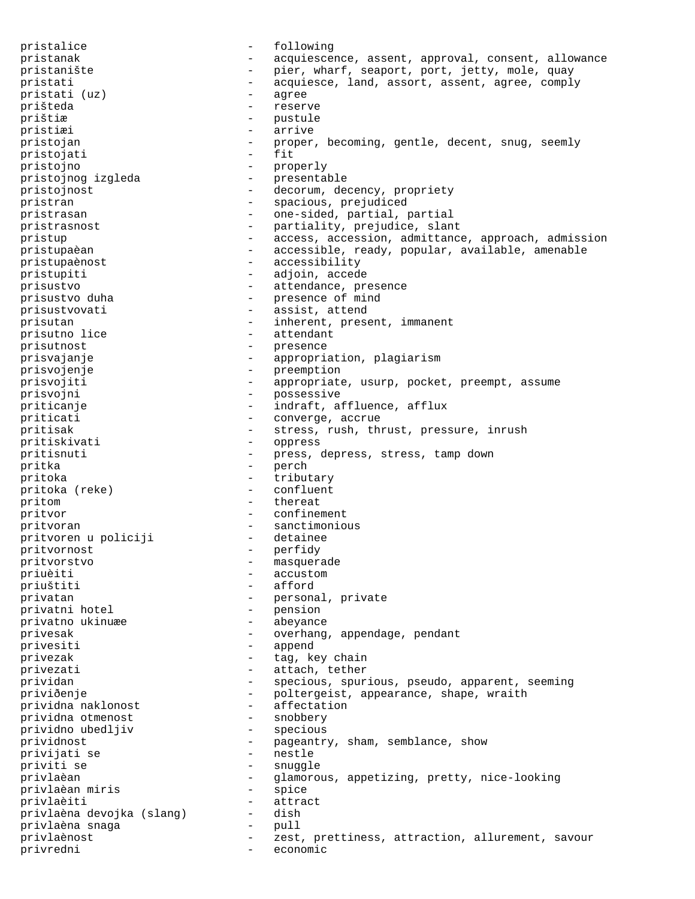pristalice - following pristanak - acquiescence, assent, approval, consent, allowance pristanište - pier, wharf, seaport, port, jetty, mole, quay pristati - acquiesce, land, assort, assent, agree, comply -<br>pristati (uz) - agree prišteda - reserve prištiæ - pustule pristiæi - arrive pristojan - proper, becoming, gentle, decent, snug, seemly pristojati pristojno - properly<br>pristojnog izgleda - presentable pristojnog izgleda pristojnost - decorum, decency, propriety pristran - spacious, prejudiced pristrasan - one-sided, partial, partial pristrasnost - partiality, prejudice, slant pristup - access, accession, admittance, approach, admission pristupaèan - accessible, ready, popular, available, amenable pristupaènost - accessibility pristupiti - adjoin, accede prisustvo  $\begin{array}{ccc}\n-\end{array}$  attendance, presence prisustvo duha  $\begin{array}{ccc}\n-\end{array}$  presence of mind - presence of mind prisustvovati - assist, attend prisutan  $-$  inherent, present, immanent prisutno lice  $-$  attendant prisutno lice prisutnost - presence prisvajanje - appropriation, plagiarism prisvojenje - preemption<br>prisvojiti - appropriate prisvojiti - appropriate, usurp, pocket, preempt, assume prisvojni - possessive priticanje - indraft, affluence, afflux priticati - converge, accrue pritisak - stress, rush, thrust, pressure, inrush pritiskivati - oppress pritisnuti entitled and the press, depress, stress, tamp down pritka - perch pritoka  $-\text{tributary}$ <br>pritoka (reke) - confluent pritoka (reke) pritom - thereat pritvor - confinement pritvoran - sanctimonious<br>pritvoren u policiji - detainee pritvoren u policiji pritvornost - perfidy pritvorstvo - masquerade -<br>priuèiti - accustom priuštiti - afford privatan  $-$  personal, private privatni hotel  $-$  pension privatni hotel privatno ukinuæe  $\qquad -$  abeyance privesak - overhang, appendage, pendant privesiti - append privezak  $-$  tag, key chain privezati  $-$  attach, tether prividan - specious, spurious, pseudo, apparent, seeming priviðenje - poltergeist, appearance, shape, wraith<br>prividna naklonost - affectation prividna naklonost - affectation prividna otmenost - snobbery prividno ubedljiv prividnost - pageantry, sham, semblance, show -<br>privijati se - nestle priviti se - snuggle privlaèan - glamorous, appetizing, pretty, nice-looking<br>
privlaèan miris - spice<br>
- spice privlaèan miris privlaèiti - attract<br>privlaèna devoika (slang) - dish privlaèna devojka (slang) - dish privlaèna snaga - pull privlaènost - zest, prettiness, attraction, allurement, savour privredni - economic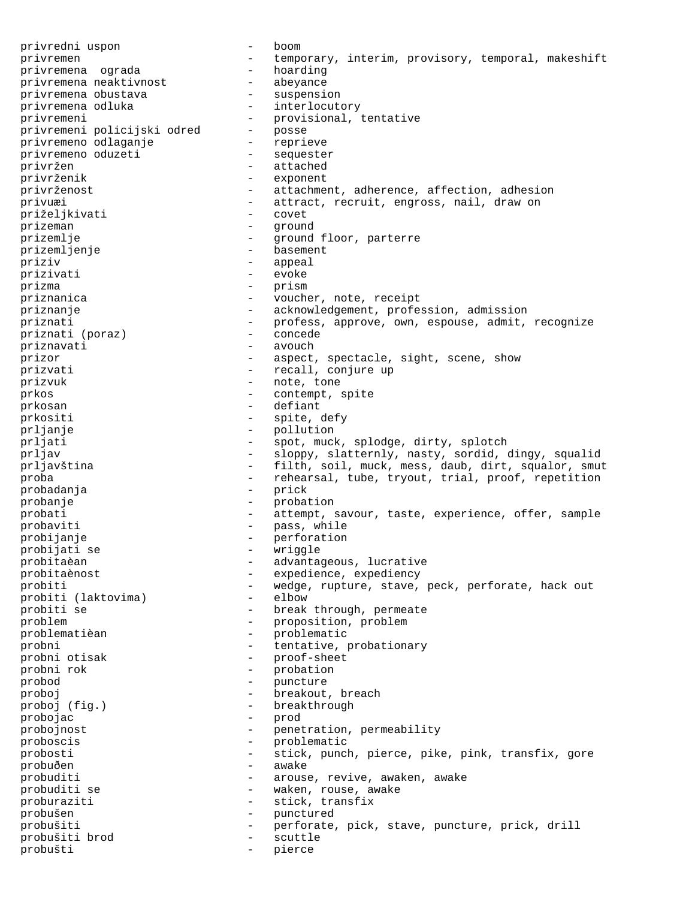privredni uspon - boom privremen - temporary, interim, provisory, temporal, makeshift<br>privremena oqrada - hoarding privremena ograda - hoarding<br>privremena neaktivnost - abeyance privremena neaktivnost - abeyance<br>privremena obustava - suspension privremena obustava -<br>privremena odluka - interlocutory privremeni - provisional, tentative - provisional, tentative - provisional, tentative privremeni policijski odred - posse privremeno odlaganje - reprieve privremeno oduzeti - sequester privržen - attached privrženik - exponent privrženost - attachment, adherence, affection, adhesion privuæi - attract, recruit, engross, nail, draw on priželikivati - covet priželjkivati prizeman - ground<br>prizemlie - around prizemlje - ground floor, parterre prizemljenje - basement priziv - appeal prizivati - evoke prizma - prism priznanica entry and the voucher, note, receipt priznanje entertainten acknowledgement, profession, admission priznati - profess, approve, own, espouse, admit, recognize<br>priznati (poraz) - concede priznati (poraz) - concede priznavati prizor  $-$  aspect, spectacle, sight, scene, show prizvati  $-$  recall, conjure up prizvuk - note, tone prkos - contempt, spite prkosan - defiant prkositi - spite, defy prljanje - pollution - spot, muck, splodge, dirty, splotch prljav - sloppy, slatternly, nasty, sordid, dingy, squalid prljavština <br />
- filth, soil, muck, mess, daub, dirt, squalor, smut proba - rehearsal, tube, tryout, trial, proof, repetition<br>probadanja - prick probadanja probanje - probation probati - attempt, savour, taste, experience, offer, sample probaviti - pass, while<br>probijanje - pass, while probijanje - perforation probijati se - wriggle probitaèan  $-$  advantageous, lucrative probitaènost - expedience, expediency probiti  $\begin{array}{ccc} - & \text{wedge}, \text{rupture}, \text{stave}, \text{peck}, \text{perfect}, \text{hack} \text{out} \\ - & \text{elbow} \end{array}$ probiti (laktovima)<br>probiti se - break through, permeate problem - proposition, problem problematièan - problematic probni - tentative, probationary probni otisak - proof-sheet<br>probni rok - probation probni rok - probation probod – puncture – puncture – puncture – puncture – puncture – puncture – puncture – puncture – puncture – puncture – puncture – puncture – puncture – puncture – puncture – puncture – puncture – puncture proboj - breakout, breach proboj (fig.) - breakthrough probojac - prod probojnost  $-$  penetration, permeability proboscis - problematic probosti - stick, punch, pierce, pike, pink, transfix, gore -<br>probuðen - awake probuditi - arouse, revive, awaken, awake probuditi se  $-$  waken, rouse, awake proburaziti - stick, transfix probušen - punctured probušiti - perforate, pick, stave, puncture, prick, drill probušiti brod - scuttle probušti - pierce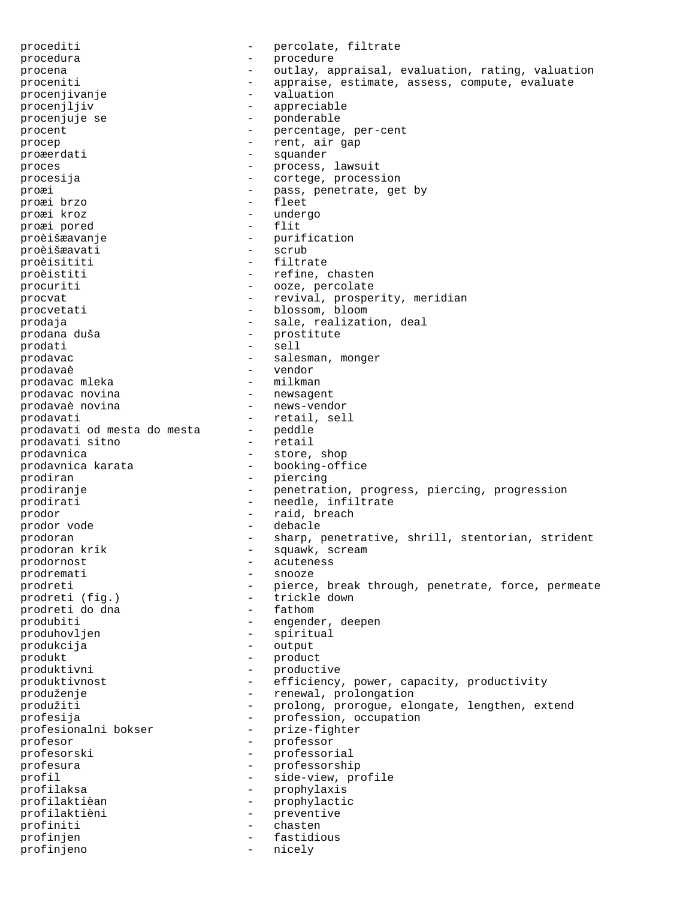procediti  $-$  percolate, filtrate procedura - procedure procena - outlay, appraisal, evaluation, rating, valuation proceniti - appraise, estimate, assess, compute, evaluate procenjivanje - valuation procenjljiv - appreciable procenjuje se  $\overline{a}$  - ponderable<br>procent procent  $\qquad \qquad -$  percentage, per-cent procep - rent, air gap proæerdati - squander proces - process, lawsuit procesija - cortege, procession proæi - pass, penetrate, get by proæi brzo - fleet proæi kroz - undergo proæi pored - flitten - flitten - flitten - flitten - flitten - flitten - flitten - flitten - flitten - flitte proèišæavanje - purification proèišæavati - scrub proèisititi - filtrate proèistiti  $-$  refine, chasten procuriti - ooze, percolate procvat - revival, prosperity, meridian procvetati - blossom, bloom prodaja  $\qquad \qquad \qquad -$  sale, realization, deal prodana duša - prostitute prodati e sell prodavac <br />
- salesman, monger<br />
- salesman, monger<br />  $\blacksquare$ prodavaè - vendor prodavac mleka - milkman<br>prodavac novina - mewsagent prodavac novina prodavaè novina <br/> - <br/> - <br/> news-vendor prodavati<br>prodavati od mesta do mesta - peddle<br>- peddle prodavati od mesta do mesta - peddle prodavati sitno prodavnica<br>
prodavnica karata<br>
- booking-office prodavnica karata prodiran - piercing prodiranje  $-$  penetration, progress, piercing, progression prodirati - needle, infiltrate prodor  $-$  raid, breach prodor vode  $\qquad$  - debacle prodoran - sharp, penetrative, shrill, stentorian, strident<br>prodoran krik - squawk, scream - squawk, scream prodornost - acuteness prodremati - snooze prodreti - pierce, break through, penetrate, force, permeate<br>prodreti (fig.) - trickle down prodreti (fig.) - trickle down prodreti do dna produbiti - engender, deepen produhovljen - spiritual produkcija - output produkt - product produktivni - productive<br>produktivnost - efficiency produktivnost - efficiency, power, capacity, productivity produženje - renewal, prolongation produžiti - prolong, prorogue, elongate, lengthen, extend profesija - profession, occupation - profession, occupation - prize-fighter profesionalni bokser profesor - professor profesorski - professorial profesura - professorship profil  $\overline{\phantom{a}}$  - side-view, profile profilaksa - prophylaxis profilaktièan - prophylactic profilaktièni - preventive profiniti - chasten profinjen - fastidious profinjeno - nicely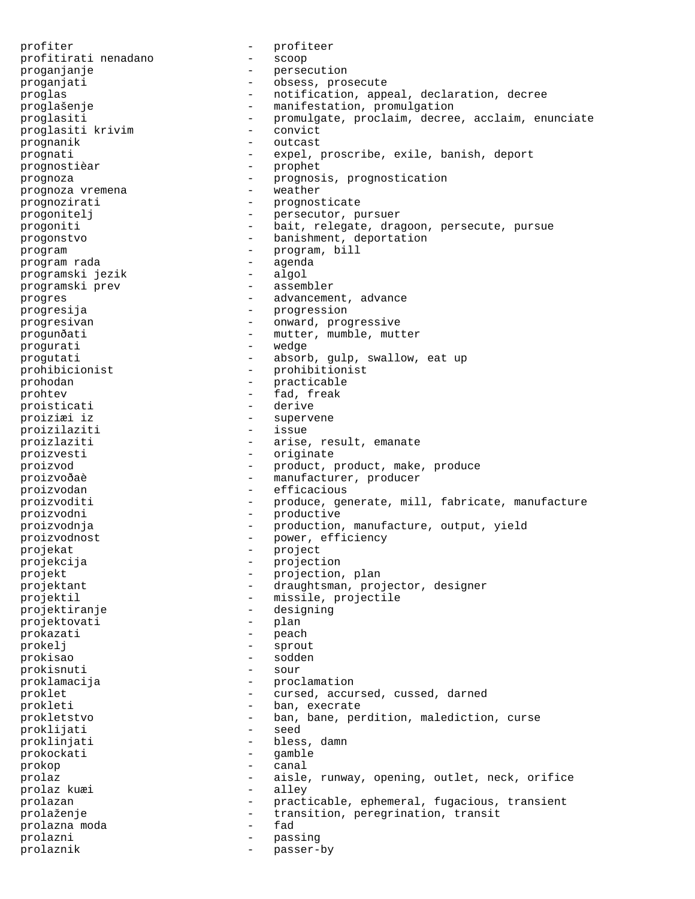profiter  $\begin{array}{ccc} \text{profit} & - & \text{profit} \\ \text{profitirati nendaano} & - & \text{scope} \end{array}$ profitirati nenadano proganjanje - persecution proganjati - obsess, prosecute proglas - notification, appeal, declaration, decree proglašenje - manifestation, promulgation proglasiti - promulgate, proclaim, decree, acclaim, enunciate<br>proglasiti krivim - convict proglasiti krivim - convict prognanik - outcast prognati - expel, proscribe, exile, banish, deport prognostièar - prophet prognoza<br>
prognostication<br>
prognoza<br>
veather<br>
veather<br>
veather prognoza vremena prognozirati - prognosticate<br>progoniteli - persecutor n progonitelj - persecutor, pursuer progoniti - bait, relegate, dragoon, persecute, pursue progonstvo - banishment, deportation program - program, bill program rada - agenda programski jezik - algol programski prev - assembler progres extending the contract of the advancement, advance progresija - progression progresivan - onward, progressive -<br>progunðati - mutter, mumble, mutter progurati - wedge progutati - absorb, gulp, swallow, eat up prohibicionist - prohibitionist prohodan - practicable prohtev - fad, freak proisticati - derive<br>
proiziæi iz proiziæi iz - supervene proizilaziti proizlaziti  $\qquad \qquad -$  arise, result, emanate proizvesti - originate proizvod - product, product, make, produce -<br>proizvoðaè - manufacturer, producer proizvodan efficacious proizvoditi - produce, generate, mill, fabricate, manufacture proizvodni - productive proizvodnja - production, manufacture, output, yield proizvodnost - power, efficiency<br>
projekat<br>
- project projekat - project projekcija - projection projekt - projection, plan projektant - draughtsman, projector, designer projektil - missile, projectile projektiranje - designing<br>projektovati - plan projektovati prokazati - peach prokelj - sprout prokisao - sodden prokisnuti - sour proklamacija - proclamation proklet - cursed, accursed, cussed, darned prokleti - ban, execrate prokletstvo - ban, bane, perdition, malediction, curse proklijati proklinjati - bless, damn prokockati - gamble prokop - canal prolaz  $-$  aisle, runway, opening, outlet, neck, orifice prolaz kuæi  $-$  alley prolaz kuæi en allega en allega en allega en allega en allega en allega en allega en allega en allega en alleg prolazan - practicable, ephemeral, fugacious, transient prolaženje - transition, peregrination, transit<br>prolazna moda - fad - fad prolazna moda energy and the set of  $\sim$ prolazni - passing prolaznik - passer-by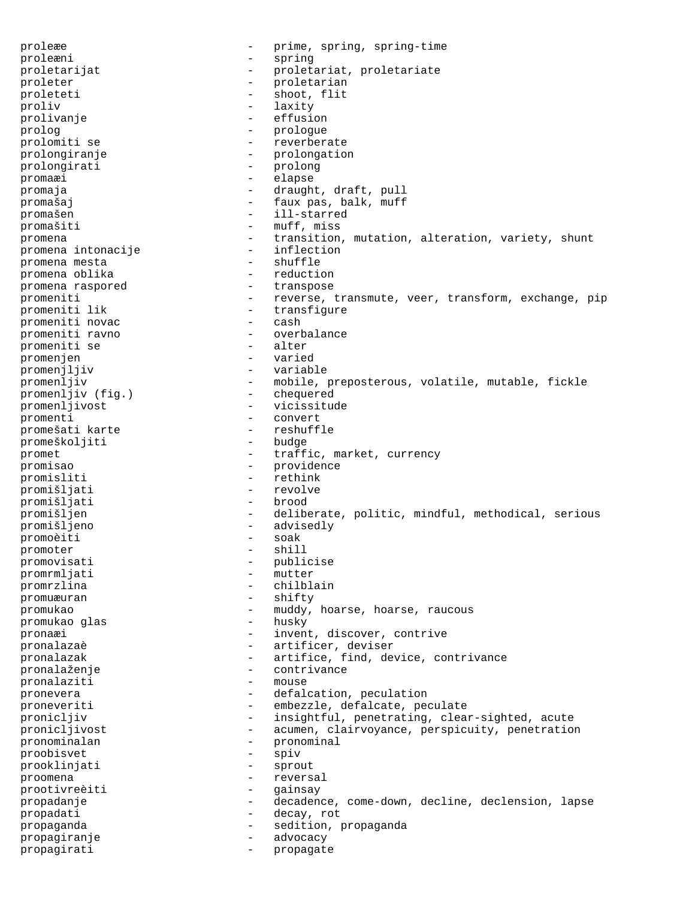proleæe - prime, spring, spring-time proleæni - spring proletarijat - proletariat, proletariate proleter - proletarian proleteti - shoot, flit proliv - laxity prolivanje - effusion prolog extends the prologue of the prologue of the prologue of the prologue of the prologue of the prologue of the  $\sim$ prolomiti se  $-$  reverberate prolongiranje - prolongation<br>prolongirati - prolong prolongirati promaæi - elapse promaja  $\qquad \qquad -$  draught, draft, pull promašaj  $-$  faux pas, balk, muff promašen - ill-starred promašiti - muff, miss<br>promena - transition promena  $-$  transition, mutation, alteration, variety, shunt promena intonacije  $-$  inflection promena intonacije - inflect<br>promena mesta - shuffle promena mesta promena oblika - reduction<br>promena raspored - transpose promena raspored promeniti - reverse, transmute, veer, transform, exchange, pip<br>promeniti lik - transfigure - transfigure<br>- cash promeniti novac promeniti ravno - overbalance promeniti se promenjen - varied promenjljiv - variable promenljiv  $-$  mobile, preposterous, volatile, mutable, fickle promenljiv (fig.)  $-$  chequered  $\begin{array}{ccc}\n\text{promenljiv (fig.)} \\
\text{promenljivost}\n\end{array}$ promenljivost - vicissitude<br>promenti - convert promenti - convert promešati karte - reshuffle promeškoljiti promet - traffic, market, currency promisao - providence promisliti - rethink<br>
promišliati - revolve promišljati promišljati - brood promišljen - deliberate, politic, mindful, methodical, serious promišljeno - advisedly<br>promoèiti - soak - soak promoèiti - soak promoter - shill promoter - shill be shown to be a shifted by  $\sim$ promovisati - publicise<br>prom<br/>rmliati - mutter - mutter promrmljati promrzlina - chilblain promuæuran - shifty promukao - muddy, hoarse, hoarse, raucous<br>nromukao qlas - husky - husky promukao glas pronaæi  $-$  invent, discover, contrive pronalazaè - artificer, deviser pronalazak  $-$  artifice, find, device, contrivance pronalaženje - contrivance pronalaziti - mouse pronevera  $\qquad \qquad -$  defalcation, peculation proneveriti - embezzle, defalcate, peculate pronicljiv - insightful, penetrating, clear-sighted, acute pronicljivost - acumen, clairvoyance, perspicuity, penetration pronominalan - pronominal proobisvet - spiv<br>prookliniati - sprout - sprout prooklinjati -<br>proomena - reversal prootivreèiti - gainsay propadanje - decadence, come-down, decline, declension, lapse propadati - decay, rot propaganda - sedition, propaganda propagiranje - advocacy propagirati - propagate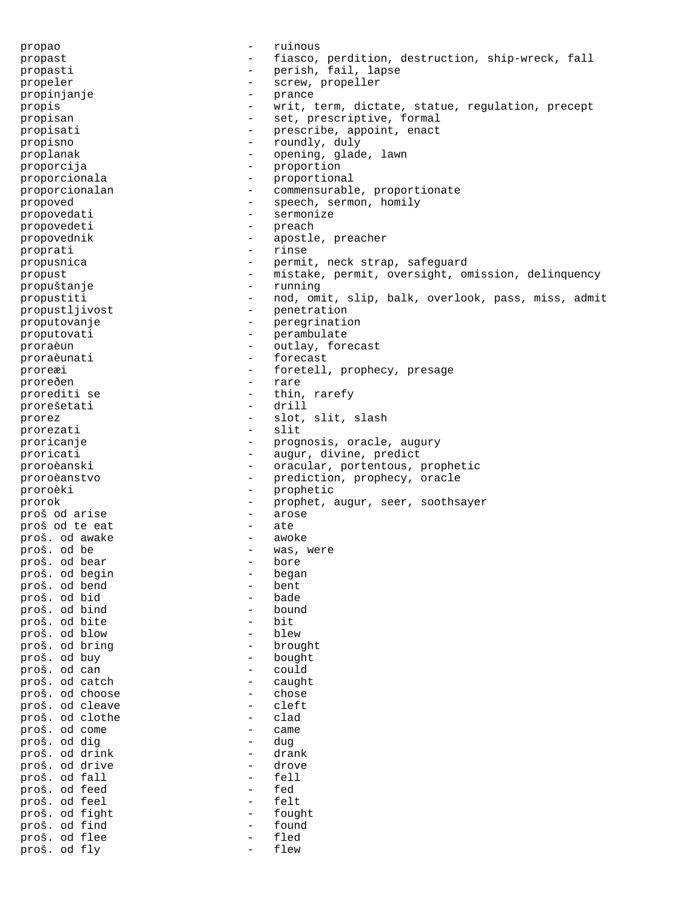propao - ruinous propast - fiasco, perdition, destruction, ship-wreck, fall propasti - perish, fail, lapse propeler - screw, propeller propinjanje - prance propis - writ, term, dictate, statue, regulation, precept propisan - set, prescriptive, formal propisati  $-$  prescribe, appoint, enact propisno - roundly, duly proplanak  $\qquad \qquad \qquad -$  opening, glade, lawn proporcija - proportion proporcionala - proportional proporcionalan - commensurable, proportionate propoved **-** speech, sermon, homily propovedati e e sermonize propovedeti - preach propovednik - apostle, preacher proprati - rinse propusnica - permit, neck strap, safeguard propust - mistake, permit, oversight, omission, delinquency propuštanje - running propustiti - nod, omit, slip, balk, overlook, pass, miss, admit propustljivost - penetration proputovanje en en en en peregrination proputovati - perambulate proraèun - outlay, forecast proraèunati - forecast proreæi - foretell, prophecy, presage proreðen - foretell, prophecy, presage proreðen - raret - raret - raret - raret - raret - raret - raret - raret - raret - raret - raret - raret - ra prorediti se - thin, rarefy - thin, rarefy - thin, rarefy - thin, rarefy - thin, rarefy - thin, rarefy - thin, rarefy - thin, rarefy - thin, rarefy - thin, rarefy - thin, rarefy - thin, rarefy - thin, rarefy prorešetati – drilla – drilla – drilla – drilla – drilla – drilla – drilla – drilla – drilla – drilla – drilla prorez - slot, slit, slash<br>prorezati - slit - slit prorezati proricanje  $\qquad \qquad -$  prognosis, oracle, augury proricati  $\overline{\phantom{a}}$  - augur, divine, predict proroèanski - oracular, portentous, prophetic proroèanstvo - prediction, prophecy, oracle proroèki - prophetic prorok - prophet, augur, seer, soothsayer<br>proš od arise - arose - arose proš od arise - arose proš od te eat - ate proš. od awake<br>proš. od be - was, were<br>- bore proš. od bear - bore proš. od begin - began proš. od bend - bent proš. od bid - bade proš. od bind<br>nroš od bite<br>- bit proš. od bite - bit proš. od blow - blew proš. od bring proš. od buy - bought proš. od can - could proš. od catch - caught proš. od choose - chose proš. od cleave - cleft proš. od clothe - clad proš. od come - came proš. od dig - dug proš. od drink - drank proš. od drive - drove proš. od fall - fell proš. od feed - fed proš. od feel - felt proš. od fight - fought proš. od find - found proš. od flee proš. od fly - flew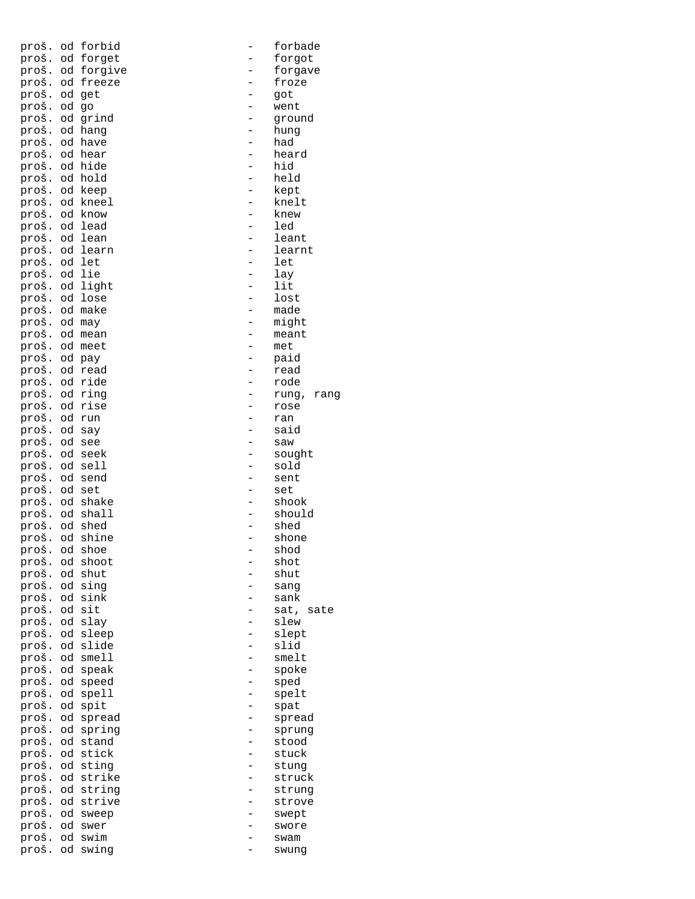| proš.         |                 | od forbid  | $\overline{a}$ | forbade       |
|---------------|-----------------|------------|----------------|---------------|
| proš.         | od              | forget     |                | forgot        |
| proš.         |                 | od forgive |                | forgave       |
| proš.         |                 | od freeze  |                | froze         |
| proš.         |                 | od get     |                | got           |
| proš.         | od              | go         |                | went          |
| proš.         |                 | od grind   |                | ground        |
| proš.         |                 | od hang    |                | hung          |
| proš.         |                 | od have    |                | had           |
| proš.         |                 | od hear    |                | heard         |
| proš.         |                 | od hide    | $\overline{a}$ | hid           |
| proš.         | od              | hold       |                | held          |
| proš.         |                 | od keep    | $\overline{a}$ | kept          |
| proš.         | od              | kneel      |                | knelt         |
| proš.         |                 | od know    |                | knew          |
| proš.         | od              | lead       |                | led           |
| proš.         | od              | lean       |                | leant         |
| proš.         | od              | learn      |                | learnt        |
| proš.         | od              | let        |                | let           |
| proš.         | $\circ {\rm d}$ | lie        |                | lay           |
| proš.         | od              | light      |                | lit           |
| proš.         | od              | lose       |                | lost          |
| proš.         |                 | od make    |                | made          |
| proš.         | od              | may        |                | might         |
| proš.         |                 | od mean    |                | meant         |
| proš.         |                 | od meet    |                | met           |
| proš.         | od              | pay        |                | paid          |
| proš.         |                 | od read    |                | read          |
| proš.         |                 | od ride    |                | rode          |
| proš.         | od              | ring       |                | rung,<br>rang |
| proš.         | od              | rise       |                | rose          |
| proš.         | od              | run        |                | ran           |
| proš.         | od              | say        |                | said          |
| proš.         | $\circ {\rm d}$ | see        |                | saw           |
| proš.         | od              | seek       |                | sought        |
| proš.         | od              | sell       |                | sold          |
| proš.         | od              | send       |                | sent          |
| proš.         | $\circ {\rm d}$ | set        |                | set           |
| proš.         | od              | shake      |                | shook         |
| proš.         | od              | shall      |                | should        |
| proš.         | od              | shed       |                | shed          |
| proš.         | od              | shine      |                | shone         |
| proš. od shoe |                 |            |                | shod          |
| proš.         | od              | shoot      |                | shot          |
| proš.         | od              | shut       |                | shut          |
| proš.         |                 | od sing    |                | sang          |
| proš.         | od              | sink       |                | sank          |
| proš.         | $\circ {\rm d}$ | sit        |                | sat,<br>sate  |
| proš.         | od              | slay       |                | slew          |
| proš.         | od              | sleep      |                | slept         |
| proš.         | od              | slide      |                | slid          |
| proš.         | od              | smell      |                | smelt         |
| proš.         | od              | speak      |                | spoke         |
| proš.         | od              | speed      |                | sped          |
| proš.         |                 | od spell   |                | spelt         |
| proš.         | od              | spit       |                | spat          |
| proš.         | od              | spread     |                | spread        |
| proš.         | od              | spring     |                | sprung        |
| proš.         |                 | od stand   |                | stood         |
| proš.         | od              | stick      |                | stuck         |
| proš.         | od              | sting      |                | stung         |
| proš.         | $\circ {\rm d}$ | strike     |                | struck        |
| proš.         |                 | od string  |                | strung        |
| proš.         | od              | strive     |                | strove        |
| proš.         | od              | sweep      |                | swept         |
| proš.         | od              | swer       |                | swore         |
| proš.         | $\circ {\rm d}$ | swim       |                | swam          |
| proš.         | od              | swing      |                | swung         |

|                | forbade       |
|----------------|---------------|
|                | forgot        |
|                |               |
|                | forgave       |
|                | froze         |
|                | got           |
|                |               |
| $\overline{a}$ | went          |
|                | ground        |
|                |               |
|                | hung          |
|                | had           |
| $\overline{a}$ | heard         |
|                |               |
|                | hid           |
|                | held          |
|                |               |
|                | kept          |
|                | knelt         |
|                | knew          |
|                |               |
|                | led           |
|                | leant         |
|                | learnt        |
|                |               |
| $\overline{a}$ | let           |
| $\overline{a}$ | lay           |
|                | lit           |
|                |               |
| $\overline{a}$ | lost          |
|                | made          |
|                |               |
|                | might         |
|                | meant         |
|                | met           |
|                |               |
|                | paid          |
|                | read          |
|                | rode          |
|                |               |
|                | rung,<br>rang |
| $\overline{a}$ | rose          |
|                | ran           |
|                | said          |
|                |               |
|                | saw           |
| $\overline{a}$ | sought        |
|                | sold          |
|                | sent          |
|                |               |
|                | set           |
|                | shook         |
|                | should        |
|                |               |
|                | shed          |
|                | shon          |
|                | shod          |
|                |               |
|                | shot          |
|                | shut          |
|                |               |
|                | sanq          |
|                | sank          |
|                | sat,<br>sate  |
|                | slew          |
|                |               |
|                | slept         |
|                | slid          |
|                | smelt         |
|                |               |
|                | spoke         |
|                | sped          |
|                | spelt         |
|                |               |
|                | spat          |
|                | spread        |
|                | sprung        |
|                | stood         |
|                |               |
|                | stuck         |
|                | stung         |
|                | struck        |
|                |               |
|                | strung        |
|                | strove        |
|                | swept         |
|                |               |
|                | swore         |
|                | $C^{1/2}$     |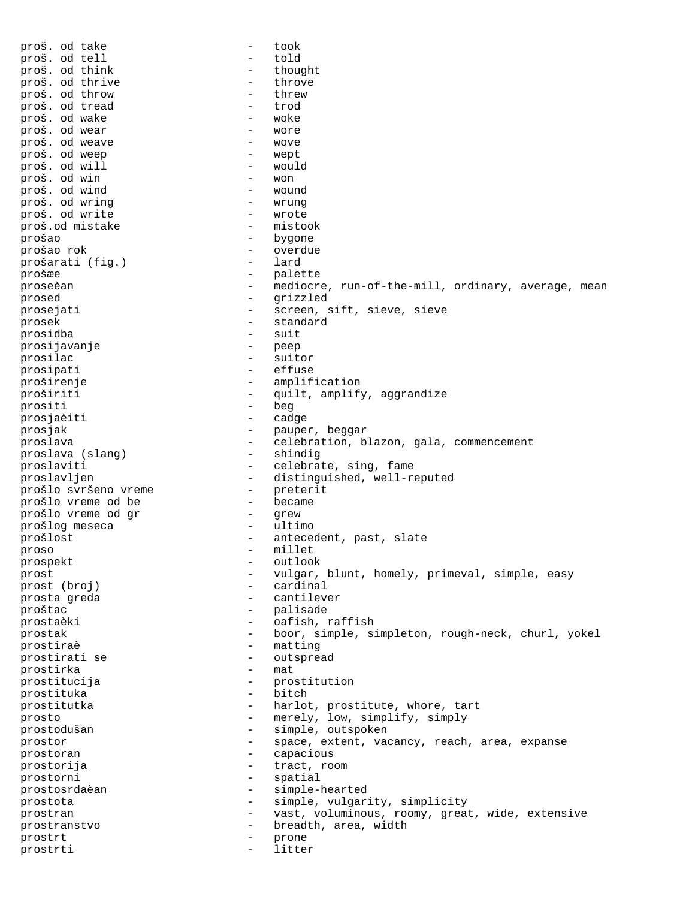proš. od take - took proš. od tell - told proš. od think - thought proš. od thrive  $-$  throve proš. od throw - threw proš. od tread - trod proš. od wake  $\overline{p}$  - woke proš. od wear - wore proš. od weave - wove proš. od weep - wept proš. od will a vou - would be a vou - would be a vou - would be a vou - would be a vou - would be a vou - wou<br>
proš. od win proš. od win - won proš. od wind - wound proš. od wring  $\begin{array}{ccc} - & \text{wrung} \\ \text{proš. od write} & - & \text{wrote} \end{array}$ proš. od write - wrote proš.od mistake prošao - bygone prošao rok - overdue prošarati (fig.) prošæe - palette proseèan - mediocre, run-of-the-mill, ordinary, average, mean prosed - grizzled prosejati - screen, sift, sieve, sieve prosek - standard prosidba - suit prosijavanje prosilac - suitor prosipati - effuse proširenje - amplification proširiti - quilt, amplify, aggrandize prositi - quilt, amplify, aggrandize prositi - beg prosjaèiti prosjak - pauper, beggar<br>proslava - elebration, bl - celebration, blazon, gala, commencement<br>- shindig proslava (slang) proslaviti - celebrate, sing, fame<br>proslavljen - distinguished, well-re proved and istinguished, well-reputed<br>- preterit prošlo svršeno vreme - preterit prošlo vreme od be prošlo vreme od gr - grew prošlog meseca - ultimo prošlost  $-$  antecedent, past, slate proso - millet<br>prospekt - millet prospekt - outlook prost - vulgar, blunt, homely, primeval, simple, easy prost (broj) - cardinal prosta greda  $-$  cantilever proštac<br>prostaèki - palisade - palisade - palisade prostaèki - oafish, raffish prostak - boor, simple, simpleton, rough-neck, churl, yokel prostiraè - matting prostirati se - outspread prostirka - material - material prostitucija - prostitution prostituka - bitch prostitutka  $-$  harlot, prostitute, whore, tart prosto - merely, low, simplify, simply<br>
prostodušan<br>
- simple outspoken prostodušan - simple, outspoken prostor - space, extent, vacancy, reach, area, expanse<br>prostoran - capacious prostoran - capacious prostorija - tract, room prostorni - spatial prostosrdaèan - simple-hearted prostota  $-$  simple, vulgarity, simplicity prostran - vast, voluminous, roomy, great, wide, extensive prostranstvo - breadth, area, width prostrt - prone - prone - prone - prone - prone - prone - prone - prone - prone - prone - prone - prone - prone - prone - prone - prone - prone - prone - prone - prone - prone - prone - prone - prone - prone - prone - pron prostrti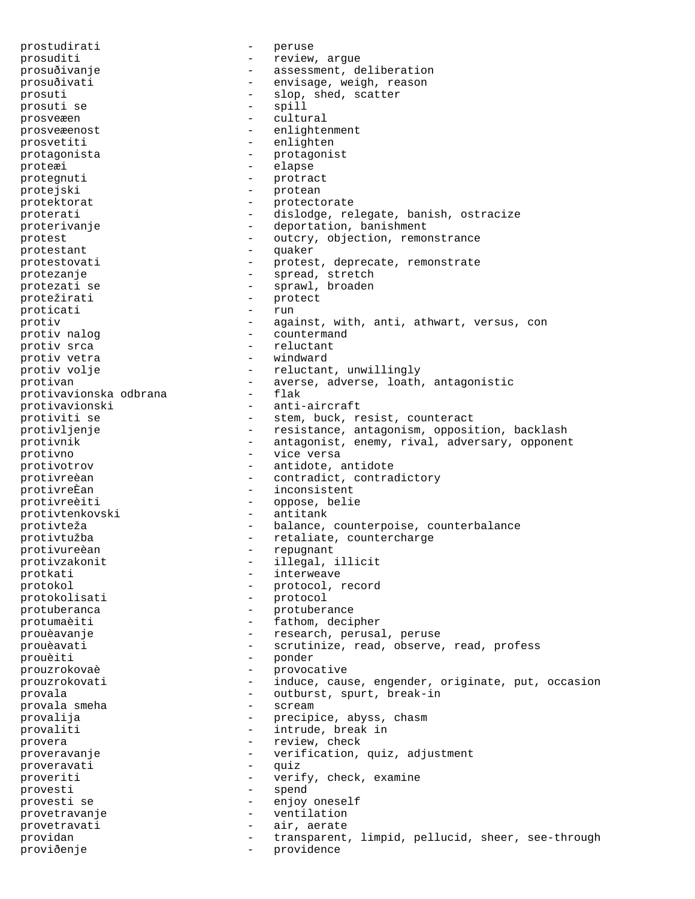prostudirati - peruse prosuditi  $-$  review, argue prosuðivanje - assessment, deliberation prosuðivati - envisage, weigh, reason prosuti - slop, shed, scatter<br>prosuti se - spill prosuti se prosveæen - cultural prosveæenost - enlightenment prosvetiti - enlighten protagonista - protagonist proteæi - elapse protegnuti - protract protejski - protean protektorat - protectorate proterati - dislodge, relegate, banish, ostracize proterivanje - deportation, banishment protest  $-$  outcry, objection, remonstrance protestant - quaker protestovati - protest, deprecate, remonstrate protezanje - spread, stretch protezati se  $-$  sprawl, broaden protežirati - protect - protect - protect - protect - protect - protect - protect - protect - protect - protect - protect - protect - protect - protect - protect - protect - protect - protect - protect - protect - protect proticati protiv  $\begin{array}{cccc} - & \text{against, with, anti, athwart, versus, con} \\ - & \text{countermand} \end{array}$ - countermand protiv srca - reluctant - reluctant - reluctant - reluctant - reluctant - reluctant - reluctant - reluctant - reluctant - reluctant - reluctant - reluctant - reluctant - reluctant - reluctant - reluctant protiv vetra protiv volje  $\qquad \qquad -$  reluctant, unwillingly protivan - averse, adverse, loath, antagonistic protivavionska odbrana protivavionski - anti-aircraft protiviti se  $-$  stem, buck, resist, counteract protivljenje - resistance, antagonism, opposition, backlash protivnik - antagonist, enemy, rival, adversary, opponent protivno - vice versa protivotrov - antidote, antidote protivreèan - contradict, contradictory<br>
protivreÈan - inconsistent - inconsistent protivreèiti - oppose, belie protivtenkovski - antitank protivteža  $-$  balance, counterpoise, counterbalance protivtužba - retaliate, countercharge protivure<br/>èan - repugnant protivureèan - republikant - republikant - republikant - republikant - republikant - republikant - republikant - republikant - republikant - republikant - republikant - republikant - republikant - republikant - republikant protivzakonit - illegal, illicit protkati - interweave protokol - protocol, record protokolisati protuberanca entre a protuberance protumaèiti - fathom, decipher prouèavanje  $\qquad \qquad -$  research, perusal, peruse prouèavati - scrutinize, read, observe, read, profess prouèiti - ponder prouzrokovaè - provocative prouzrokovati - induce, cause, engender, originate, put, occasion provala  $\qquad \qquad \qquad -$  outburst, spurt, break-in provala smeha provala smeha provalija - precipice, abyss, chasm provaliti - intrude, break in provera  $-$  review, check proveravanje - verification, quiz, adjustment<br>proveravati - quiz proveravati proveriti - verify, check, examine provesti - spend provesti se - enjoy oneself provetravanje - ventilation provetravati - air, aerate providan - transparent, limpid, pellucid, sheer, see-through proviðenje - providence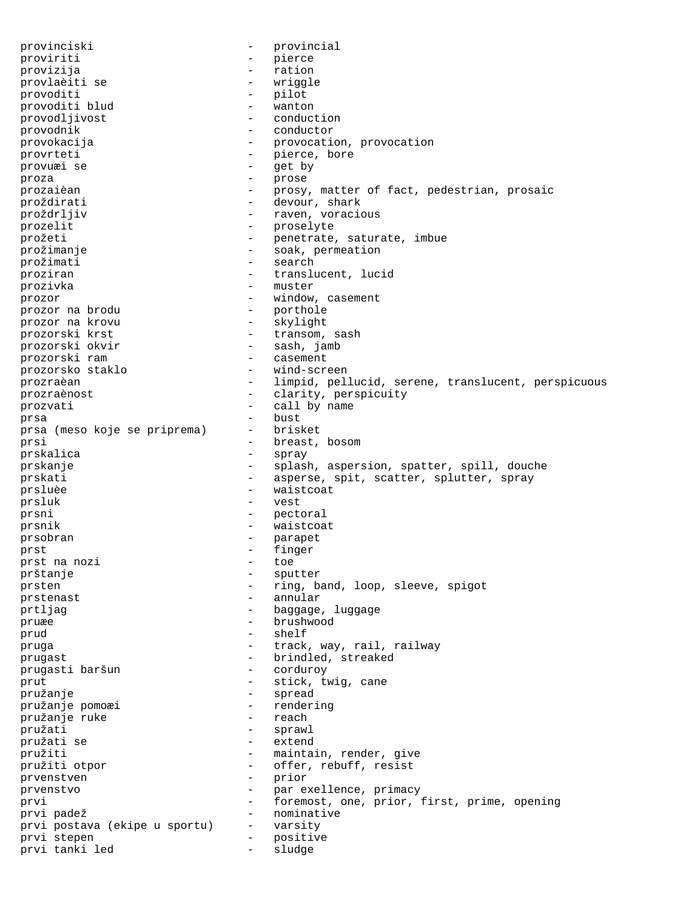provinciski - provincial proviriti - pierce provizija - ration provlaèiti se  $-$  wriggle provoditi - pilot provoditi blud<br>provodljivost - wanton - eonduction provodljivost provodnik - conductor provokacija - provocation, provocation provrteti - pierce, bore provuæi se - get by proza - prose prozaièan - prosy, matter of fact, pedestrian, prosaic proždirati - devour, shark proždrljiv - raven, voracious prozelit - proselyte prožeti - penetrate, saturate, imbue prožimanje - soak, permeation prožimati - search<br>prožimati - search<br>prožiman - translu proziran - translucent, lucid prozivka - muster prozor - window, casement prozor na brodu - porthole prozor na krovu<br>prozorski krst - transom, sash prozorski okvir - sash, jamb prozorski ram  $\qquad \qquad -$  casement prozorsko staklo - wind-screen prozraèan - limpid, pellucid, serene, translucent, perspicuous prozraènost - clarity, perspicuity prozvati  $\qquad \qquad -$  call by name prsa - bust prsa (meso koje se priprema) prsi - breast, bosom prskalica - spray prskanje - splash, aspersion, spatter, spill, douche prskati - asperse, spit, scatter, splutter, spray prsluèe  $-$  waistcoat prsluk - vest prsni - pectoral prsnik - waistcoat prsobran - parapet prst  $\frac{1}{2}$  prst a nozi  $\frac{1}{2}$  finger prst na nozi  $-$  toe prštanje - sputter prsten - ring, band, loop, sleeve, spigot prstenast - annular prtljag  $-$  baggage, luggage pruæe - brushwood prud - shelf - shelf - shelf - shelf - shelf - shelf - shelf - shelf - shelf - shelf - shelf - shelf - shelf - shelf - shelf - shelf - shelf - shelf - shelf - shelf - shelf - shelf - shelf - shelf - shelf - shelf - shelf pruga  $-$  track, way, rail, railway prugast<br>prugasti baršun - brindled, streaked<br>prugasti baršun - corduroy prugasti baršun prut - stick, twig, cane<br>
pružanie - spread - spread pružanje - spread pružanje pomoæi - rendering pružanje ruke pružati - sprawl pružati se - extend pružiti - maintain, render, give pružiti otpor  $-$  offer, rebuff, resist prvenstven - prior prvenstvo - par exellence, primacy prvi - foremost, one, prior, first, prime, opening prvi padež - nominative prvi postava (ekipe u sportu) - varsity prvi stepen - positive prvi tanki led - sludge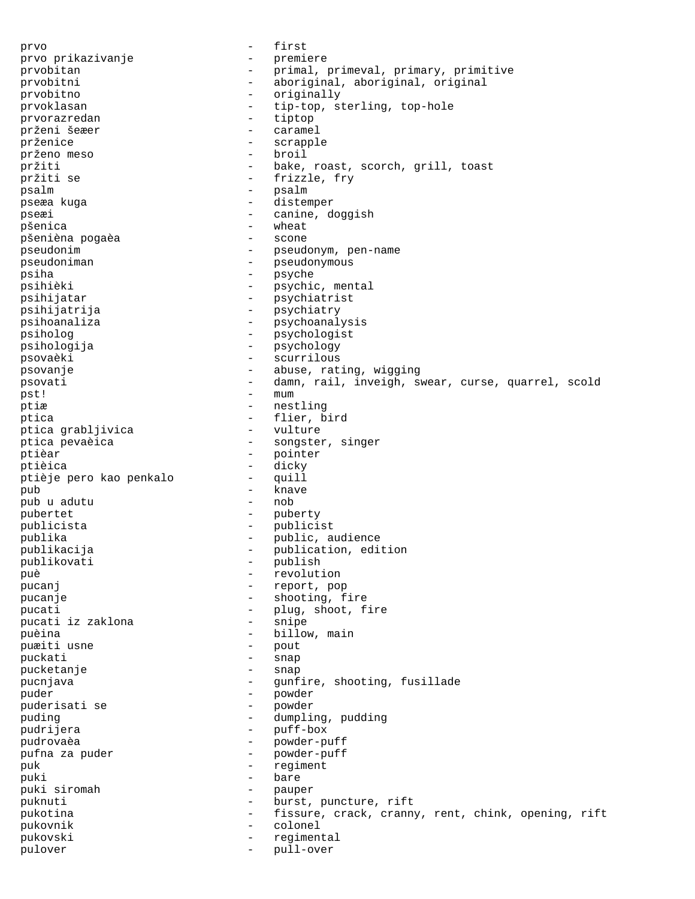prvo - first prvo prikazivanje - premiere prvobitan - primal, primeval, primary, primitive prvobitni - aboriginal, aboriginal, original -<br>
prvobitno - originally<br>
prvoklasan - tip-top, st - tip-top, sterling, top-hole<br>- tiptop prvorazredan<br>prženi šeæer - caramel prženice - scrapple<br>
prženo meso - - broil prženo meso pržiti - bake, roast, scorch, grill, toast pržiti se  $-$  frizzle, fry psalm - psalm - psalm pseæa kuga - distemper pseæi - canine, doggish pšenica - wheat pšenièna pogaèa pseudonim extensive pseudonym, pen-name pseudoniman extensive pseudonymous pseudonymous -<br>psiha - psyche - psyche<br>psihièki - psychi psihièki - psychic, mental<br>psihijatar - psychiatrist - psychiatrist psihijatrija - psychiatry psihoanaliza - psychoanalysis psiholog - psychologist psihologija - psychology psovaèki - scurrilous psovanje  $\qquad \qquad \qquad -$  abuse, rating, wigging psovati entertainpst! – mum ptiæ - nestling ptica<br>ptica qrabljivica - flier, bird<br>ptica qrabljivica - vulture ptica grabljivica ptica pevaèica - songster, singer ptièar - pointer ptièica - dicky ptièje pero kao penkalo pub - knave pub u adutu pubertet - puberty publicista - publicist publika - public, audience publikacija - publication, edition publikovati - publish<br>puè - revoluti - revolution pucanj - report, pop pucanje  $\qquad \qquad -$  shooting, fire pucati  $\begin{array}{ccc} 1 & - & - & - \\ - & - & - & - \end{array}$  shoot, fire pucati iz zaklona pucati iz zaklona puèina - billow, main puæiti usne puckati - snap -<br>pucketanje - snap pucnjava - gunfire, shooting, fusillade puder - powder puderisati se puding  $-$  dumpling, pudding pudrijera - puff-box - powder-puff pufna za puder - powder-puff puk  $-$  regiment puki - bare<br>puki siromah - bare puki siromah - pauper puknuti - burst, puncture, rift pukotina  $-$  fissure, crack, cranny, rent, chink, opening, rift pukovnik - colonel pukovski - regimental pulover - pull-over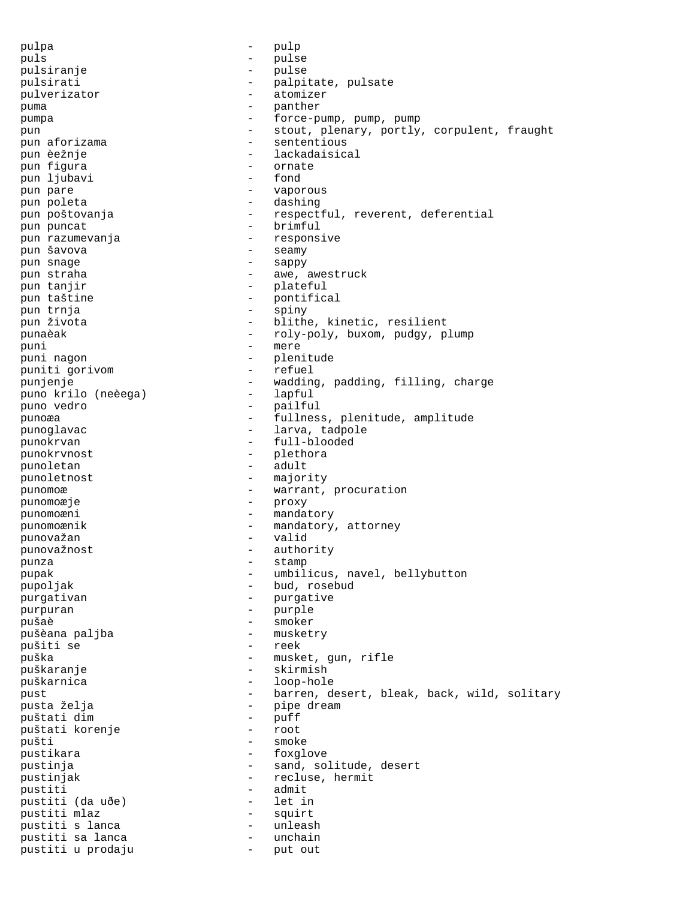pulpa - pulp puls - pulse pulsiranje - pulse pulsirati - palpitate, pulsate pulverizator - atomizer puma - panther pumpa - force-pump, pump, pump pun - stout, plenary, portly, corpulent, fraught pun aforizama  $-$  sententious pun èežnje - lackadaisical pun figura - ornate pun ljubavi pun pare  $\qquad \qquad -$  vaporous pun poleta - dashing pun poštovanja  $-$  respectful, reverent, deferential pun puncat - brimful - brimful pun razumevanja - responsive pun šavova - seamy pun snage pun straha  $-$  awe, awestruck pun tanjir  $-$  plateful pun taštine  $-$  pontifical pun trnja - spiny pun života - blithe, kinetic, resilient punaèak - roly-poly, buxom, pudgy, plump puni - mere puni nagon - plenitude puniti gorivom - refuel punjenje - wadding, padding, filling, charge<br>puno krilo (neèeqa) - - lapful puno krilo (neèega) puno vedro - pailful punoæa - fullness, plenitude, amplitude punoglavac  $\qquad \qquad -$  larva, tadpole punokrvan - full-blooded punokrvnost - plethora -<br>punoletan - adult punoletnost - majority punomoæ  $-$  warrant, procuration punomoæje - proxy punomoæni - mandatory punomoænik - mandatory, attorney<br>
punovažan - mandatory, attorney punovažan - valid punovažnost - authority<br>
punza - stamp - stamp punza - stamp pupak - umbilicus, navel, bellybutton pupoljak - bud, rosebud purgativan - purgative purpuran - purple pušaè<br>pušaè - smoker<br>nušèana paliba - musketry pušèana paljba pušiti se - reek puška - musket, gun, rifle puškaranje - skirmish puškarnica - loop-hole pust - barren, desert, bleak, back, wild, solitary pusta želja - pipe dream puštati dim - puff puštati korenje pušti - smoke pustikara  $-$  foxglove pustinja  $-$  sand, solitude, desert pustinjak - recluse, hermit pustiti  $\begin{array}{ccc} \text{pustiti} & - & \text{admit} \\ \text{pustiti} & (\text{da uõe}) & - & \text{let in} \end{array}$ pustiti (da uðe) - let in pustiti mlaz - squirt pustiti s lanca - unleash pustiti sa lanca and the muchain pustiti u prodaju - put out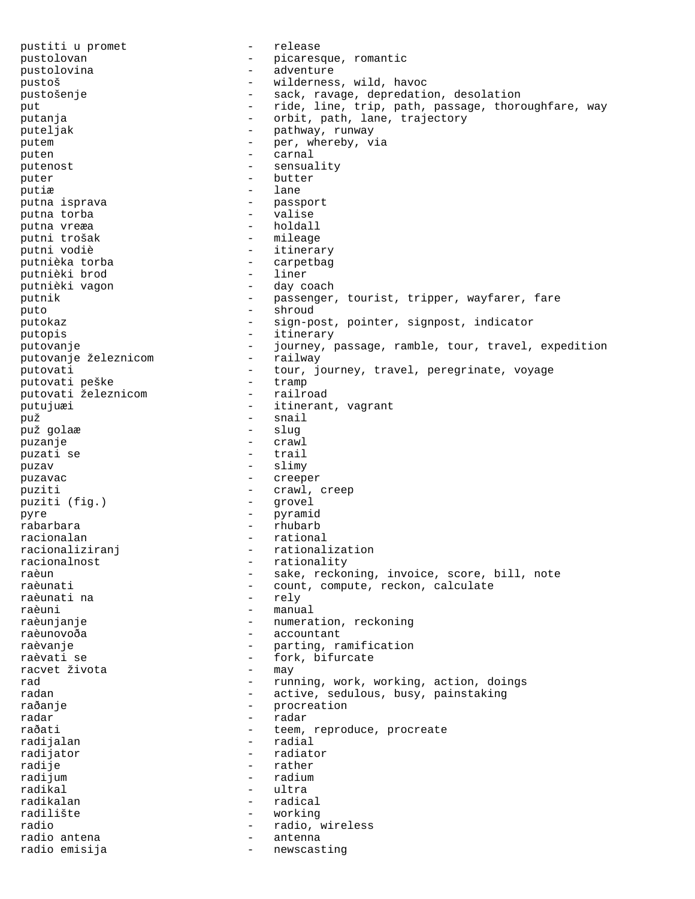pustiti u promet entry the contract of the release pustolovan - picaresque, romantic<br>pustolovina - adventure - adventure pustolovina pustoš - wilderness, wild, havoc pustošenje - sack, ravage, depredation, desolation put  $-$  ride, line, trip, path, passage, thoroughfare, way putanja - orbit, path, lane, trajectory puteljak  $-$  pathway, runway putem  $-$  per, whereby, via puten - carnal putenost - sensuality puter  $\qquad -$  butter putiæ - lane putna isprava  $\qquad \qquad \qquad -$  passport putna torba - valise - holdall<br>- mileage putni trošak<br>putni vodiè - itinerary putnièka torba - carpetbag putnièki brod<br>putnièki vagon - day coach putnik  $-$  passenger, tourist, tripper, wayfarer, fare puto - shroud - sign-post, pointer, signpost, indicator putopis - itinerary putovanje - journey, passage, ramble, tour, travel, expedition<br>putovanje železnicom - railway putovanje železnicom putovati - tour, journey, travel, peregrinate, voyage putovati peške - tramp putovati peške - tramp putovati železnicom putujuæi - itinerant, vagrant puž - snail puž golaæ puzanje - crawl puzati se - trail puzav - slimy -<br>puzavac - creeper puziti  $-$  crawl, creep<br>puziti (fig.) - grovel puziti (fig.) pyre - pyramid - rhubarb racionalan - rational racionaliziranj - rationalization racionalnost - rationality raèun - sake, reckoning, invoice, score, bill, note<br>raèunati - count, compute, reckon, calculate - count, compute, reckon, calculate<br>- relv raèunati na raèuni - manual raèunjanje - numeration, reckoning<br>raèunovoða - - - - - - - accountant - accountant raèvanje - parting, ramification raèvati se - fork, bifurcate racvet života - may rad  $-$  running, work, working, action, doings radan - active, sedulous, busy, painstaking raðanje - procreation<br>radar - procreation radar - radar raðati - teem, reproduce, procreate<br>
radijalan - radial - radial radijator - radiator - rather radijum - radium - radium radikal - ultra radikalan  $-$  radical radilište - working<br>radio - radio - radio i radio - radio, wireless radio antena - antenna radio emisija - newscasting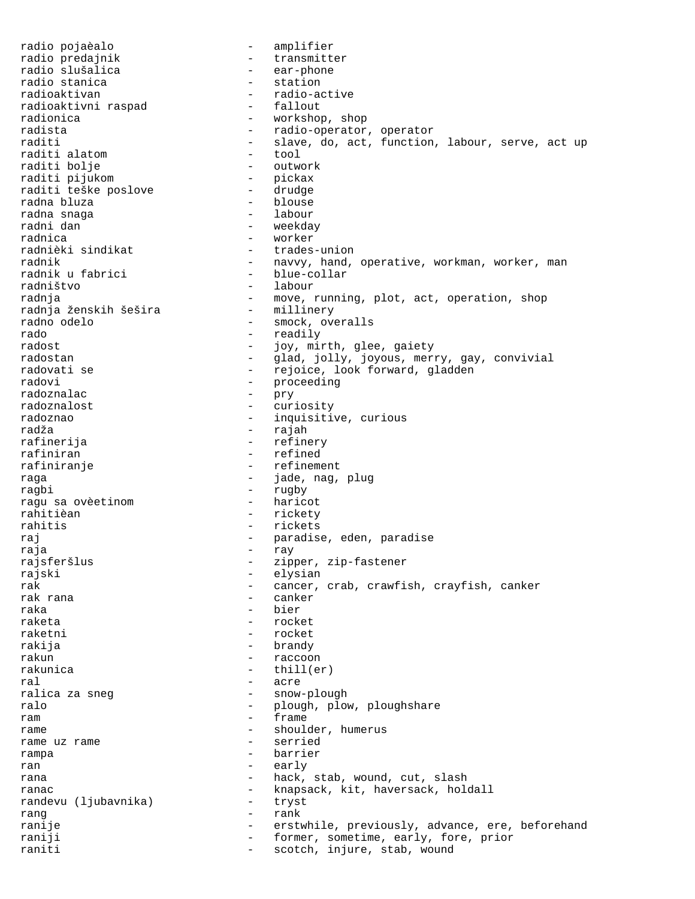radio pojaèalo - amplifier radio predajnik  $\begin{array}{ccc} \text{radio} & \text{pred} & \text{total} \\ \text{radio} & \text{slušalica} & \text{c} & \text{c} \\ \end{array}$ - ear-phone<br>- station radio stanica<br>radioaktivan - radio-active<br>- fallout radioaktivni raspad<br>radionica radionica - workshop, shop<br>radista - workshop, shop<br>radio-operator radista<br>
raditi - radio-operator, operator<br>
raditi - slave do act function - slave, do, act, function, labour, serve, act up<br>- tool raditi alatom<br>raditi bolje - outwork<br>- pickax raditi pijukom - pickax raditi teške poslove radna bluza  $\qquad \qquad$  - blouse radna snaga - labour - weekday radnica - worker - trades-union radnik - navvy, hand, operative, workman, worker, man<br>radnik u fabrici - blue-collar radnik u fabrici - blue-collar radništvo - labour - move, running, plot, act, operation, shop<br>- millinery radnja ženskih šešira radno odelo - smock, overalls rado - readily<br>radost - readily<br>- iov.min - joy, mirth, glee, gaiety radostan - glad, jolly, joyous, merry, gay, convivial radovati se - - - - - - - - - - - rejoice, look forward, gladden radovi - proceeding<br>radovnalac radoznalac - pry radoznalost<br>
radoznalost - curiosity<br>
radoznao - inquisitiv radoznao - inquisitive, curious radža - rajah rafinerija - refinery - refined rafiniranje  $\overline{\phantom{a}}$  - refinement raga - jade, nag, plug - rugby<br>- haricot ragu sa ovèetinom rahitièan - rickety rahitis - rickets raj - paradise, eden, paradise raja - ray rajsferšlus - zipper, zip-fastener rajski - elysian<br>rak - cancer. rak - cancer, crab, crawfish, crayfish, canker<br>rak rana - canker - canker - canker raka - bier raketa - rocket raketni - rocket rakija - brandy rakun - raccoon rakunica - thill(er) ral - acre ralica za sneg  $-$  snow-plough ralo  $-$  plough, plow, ploughshare ram - frame rame  $\frac{1}{2}$  rame  $\frac{1}{2}$  rame  $\frac{1}{2}$  rame  $\frac{1}{2}$  rame  $\frac{1}{2}$  rame  $\frac{1}{2}$  rame  $\frac{1}{2}$  rame  $\frac{1}{2}$  rame  $\frac{1}{2}$  rame  $\frac{1}{2}$  rame  $\frac{1}{2}$  rame  $\frac{1}{2}$  rame  $\frac{1}{2}$  rame  $\frac{1}{2}$  rame  $\frac{1}{2$ rame uz rame rampa - barrier ran - early rana  $-$  hack, stab, wound, cut, slash ranac - knapsack, kit, haversack, holdall randevu (ljubavnika) - knapsack, kit, haversack, holdall randevu (ljubavnika) rang - rank ranije - erstwhile, previously, advance, ere, beforehand<br>
raniji - former, sometime, early, fore, prior - former, sometime, early, fore, prior raniti - scotch, injure, stab, wound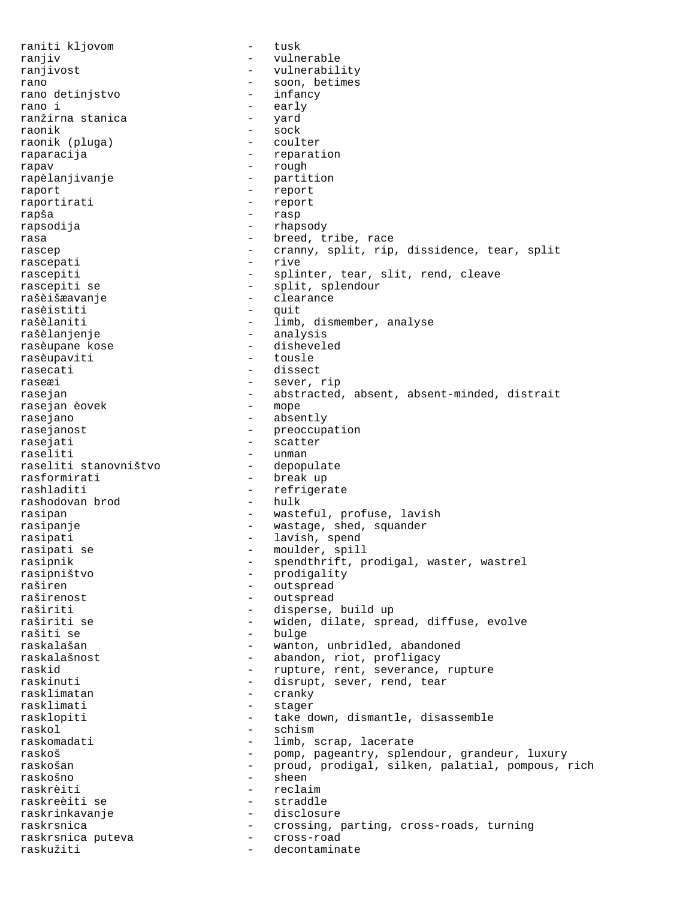raniti kljovom - tusk ranjiv - vulnerable ranjivost - vulnerability rano  $\frac{1}{100}$  - soon, betimes rano detinistvo - infancy rano detinjstvo - infancialno - infancialno - infancialno - infancialno - infancialno - infancialno - infancialno - infancialno - infancialno - infancialno - infancialno - infancialno - infancialno - infancialno - infancia rano i - early ranžirna stanica raonik - sock raonik (pluga) raparacija - reparation rapav - rough rapèlanjivanje - partition raport - report raportirati - report rapša - rasp rapsodija - rhapsody rasa  $-$  breed, tribe, race rascep - cranny, split, rip, dissidence, tear, split<br>rascepati - rive - rive rascepati rascepiti - splinter, tear, slit, rend, cleave<br>rascepiti se - split, splendour - split, splendour rašèišæavanje - clearance rasèistiti - quit rašèlaniti  $-$  limb, dismember, analyse rašèlanjenje - analysis rasèupane kose rasèupaviti - tousle rasecati - dissect raseæi - sever, rip rasejan - abstracted, absent, absent-minded, distrait rasejan èovek - mope rasejan èovek rasejano - absently rasejanost - preoccupation - scatter raseliti - unman raseliti stanovništvo rasformirati - break up rashladiti - refrigerate<br>
rashodovan brod - hulk - hulk rashodovan brod rasipan - wasteful, profuse, lavish<br>rasipanie - wastage shed squander rasipanje - wastage, shed, squander rasipati - lavish, spend rasipati se  $-$  moulder, spill rasipnik - spendthrift, prodigal, waster, wastrel rasipništvo - prodigality raširen - outspread<br>
raširenost - outspread<br>
- outspread - outspread raširiti - disperse, build up raširiti se - widen, dilate, spread, diffuse, evolve rašiti se  $-$  bulge raskalašan - wanton, unbridled, abandoned raskalašnost - abandon, riot, profligacy raskid  $-$  rupture, rent, severance, rupture raskinuti - disrupt, sever, rend, tear rasklimatan - cranky rasklimati - stager<br>rasklopiti - take d rasklopiti - take down, dismantle, disassemble raskol - schism raskomadati - limb, scrap, lacerate<br>
raskoš - bomp, pageantry, splei raskoš - pomp, pageantry, splendour, grandeur, luxury<br>raskošan - - proud, prodigal. silken. palatial. pompous. - proud, prodigal, silken, palatial, pompous, rich raskošno - sheen - reclaim raskreèiti se - straddle raskrinkavanje - disclosure raskrsnica - crossing, parting, cross-roads, turning<br>raskrsnica puteva - cross-road raskrsnica puteva - cross-road raskužiti - decontaminate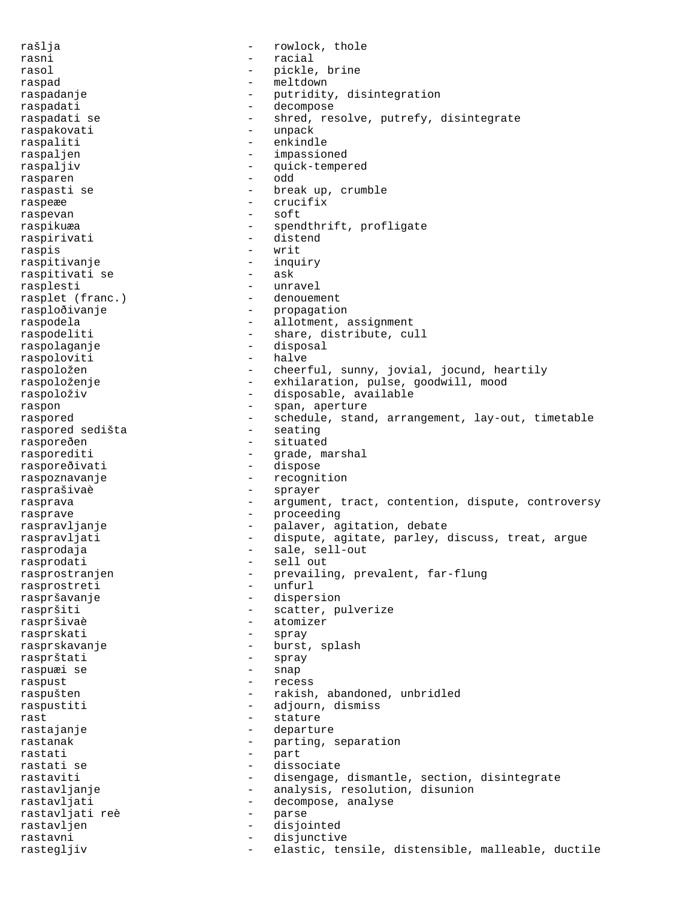rašlja - rowlock, thole rasni - racial rasol - pickle, brine raspad - meltdown raspadanje - putridity, disintegration raspadati - decompose - shred, resolve, putrefy, disintegrate raspakovati - unpack raspaliti - enkindle raspaljen - impassioned raspaljiv - quick-tempered<br>
rasparen - odd rasparen raspasti se  $-$  break up, crumble raspeæe - crucifix raspevan - soft raspikuæa - spendthrift, profligate<br>raspirivati - distend<br>- distend raspirivati raspis - writ raspitivanje - inquiry raspitivati se rasplesti - unravel<br>
rasplet (franc.) - denouement rasplet (franc.) rasploðivanje - propagation raspodela - allotment, assignment raspodeliti - share, distribute, cull raspolaganje - disposal raspoloviti - halve raspoložen - cheerful, sunny, jovial, jocund, heartily raspoloženje - exhilaration, pulse, goodwill, mood raspoloživ - disposable, available raspon - span, aperture - schedule, stand, arrangement, lay-out, timetable<br>- seating raspored sedišta rasporeðen - situated rasporediti - grade, marshal<br>rasporeðivati - dispose rasporeðivati raspoznavanje - recognition rasprašivaè - sprayer rasprava e argument, tract, contention, dispute, controversy rasprave - proceeding raspravljanje - - - - - - - - - - palaver, agitation, debate raspravljati - dispute, agitate, parley, discuss, treat, argue rasprodaja - sale, sell-out rasprodati rasprostranjen - prevailing, prevalent, far-flung<br>rasprostrati - unfurl rasprostreti - unfurl raspršavanje - dispersion raspršiti - scatter, pulverize raspršivaè - atomizer rasprskati - spray rasprskavanje - burst, splash rasprštati - spray raspuæi se - snap raspust - recess raspušten - rakish, abandoned, unbridled raspustiti - adjourn, dismiss<br>rast - stature rast  $-$  stature rastajanje - departure rastanak - parting, separation<br>rastati - part rastati - part rastati se  $\begin{array}{ccc} - & - & \text{dissociate} \\ - & \text{dissociate} \end{array}$ rastaviti - disengage, dismantle, section, disintegrate<br>rastavljanje - - - - - - - analysis, resolution, disunion - analysis, resolution, disunion rastavljati - decompose, analyse<br>rastavljati reè - parse rastavljati reè  $-$  parse rastavljen - disjointed rastavni - disjunctive rastegljiv - elastic, tensile, distensible, malleable, ductile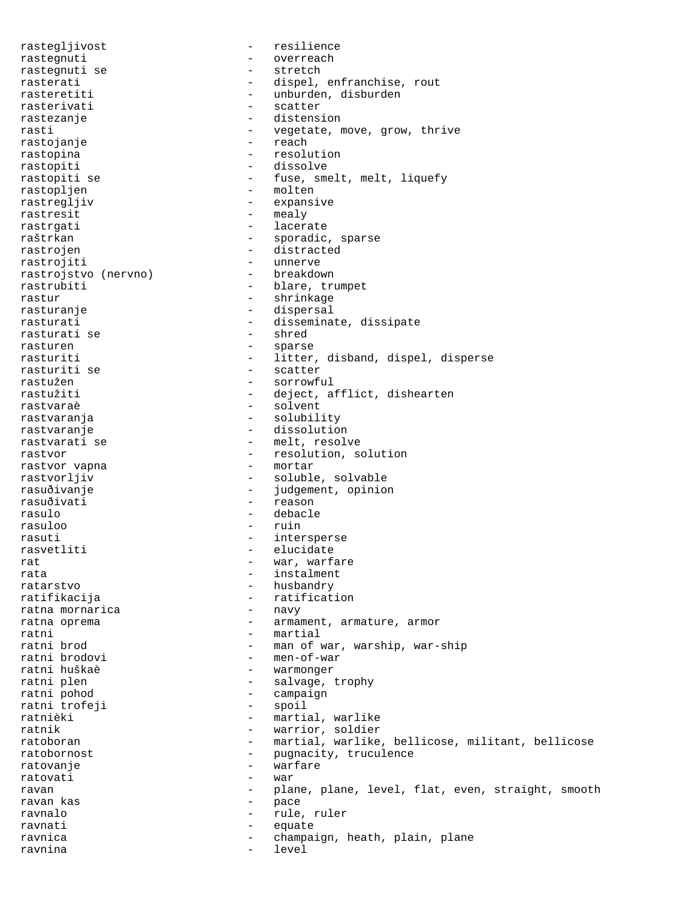rastegljivost - resilience rastegnuti - overreach rastegnuti se  $-$  stretch rasterati - dispel, enfranchise, rout rasteretiti - unburden, disburden<br>rasterivati - scatter rasterivati - scatterivati rastezanje - distension rasti - vegetate, move, grow, thrive<br>
rastoianie - reach<br>
- reach rastojanje rastopina - resolution rastopiti - dissolve rastopiti se  $-$  fuse, smelt, melt, liquefy rastopljen - molten rastregljiv - expansive rastresit - mealy rastrgati - lacerate raštrkan - sporadic, sparse rastrojen - distracted rastrojiti - unnerve rastrojstvo (nervno)<br>rastrubiti - blare, trumpet rastur - shrinkage rasturanje - dispersal - disseminate, dissipate<br>- shred rasturati se rasturen  $-$  sparse rasturiti - litter, disband, dispel, disperse rasturiti se  $-$  scatter rastužen - sorrowful<br>rastužiti - deject, a - deject, afflict, dishearten rastvaraè - solvent rastvaranja - solubility rastvaranje  $-$  dissolution rastvarati se  $-$  melt, resolve rastvor vapna external contraction, solution rastvor vapna external contraction of  $\sim$  resolution, solution rastvor vapna rastvorljiv - soluble, solvable rasuðivanje - judgement, opinion rasuðivati - reason rasulo - debacle rasuloo - ruin rasuti - intersperse rasvetliti - elucidate rat  $-$  war, warfare rata  $-$  instalment ratarstvo - husbandry<br>
ratifikacija - ratificat - ratification<br>- navy ratna mornarica ratna oprema  $\qquad \qquad -$  armament, armature, armor ratni - martial ratni brod  $-$  man of war, warship, war-ship ratni brodovi - men-of-war ratni huškaè - warmonger ratni plen - salvage, trophy<br>
ratni pohod - campaign - campaign<br>- spoil ratni trofeji ratnièki  $-$  martial, warlike ratnik - warrior, soldier<br>
ratoboran - martial, warlike - martial, warlike, bellicose, militant, bellicose ratobornost - pugnacity, truculence ratovanje  $\overline{\phantom{a}}$  - warfare ratovati - war ravan - plane, plane, level, flat, even, straight, smooth ravan kas  $\qquad \qquad -$  pace ravnalo  $-$  rule, ruler ravnati equate ravnica - champaign, heath, plain, plane ravnina - level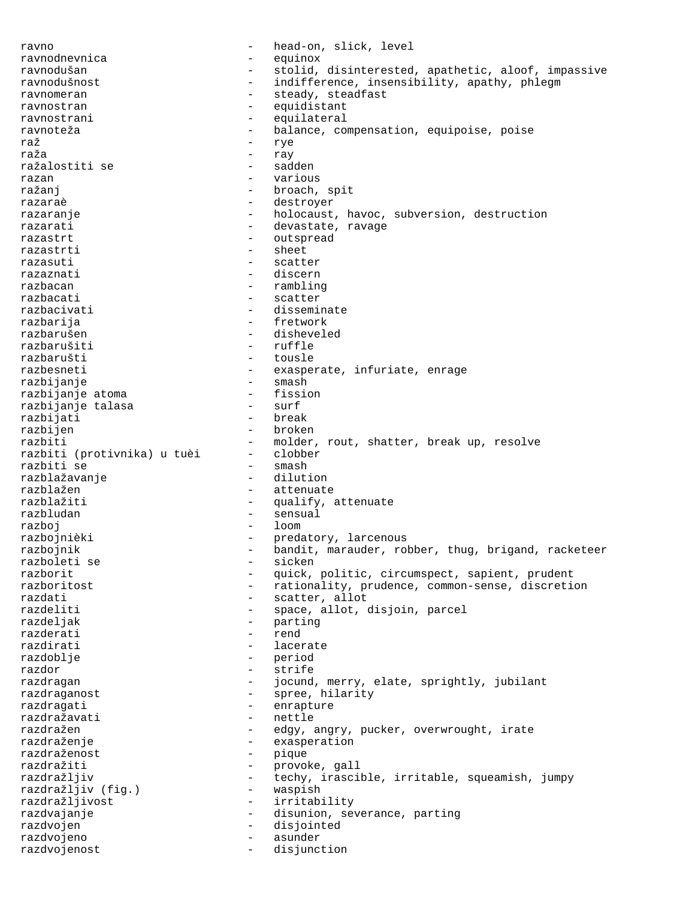ravno - head-on, slick, level ravnodnevnica - equinox ravnodušan - stolid, disinterested, apathetic, aloof, impassive - indifference, insensibility, apathy, phlegm ravnomeran en en en andre steady, steadfast ravnostran - equidistant ravnostrani - equilateral<br>ravnoteža - halance co ravnoteža - balance, compensation, equipoise, poise<br>raž raž - rye raža - ray ražalostiti se - sadden razan - various ražanj <br/> - broach, spit razaraè - destroyer razaranje  $-$  holocaust, havoc, subversion, destruction razarati  $-$  devastate, ravage razastrt - outspread razastrti - sheet razasuti - scatter razaznati - discern razbacan  $\qquad \qquad \qquad -$  rambling razbacati - scatter razbacivati - disseminate razbarija - fretwork - disheveled razbarušiti - ruffle razbarušti - tousle<br>razbesneti - exaspe razbesneti - exasperate, infuriate, enrage<br>razbijanje - - - - - - - smash razbijanje - smash razbijanje atoma - fission razbijanje talasa - surf razbijati<br>razbijen razbijen - broken - molder, rout, shatter, break up, resolve<br>- clobber razbiti (protivnika) u tuèi - clobberazhiti se razbiti se - smash razblažavanje<br>razblažen - attenuate razblažiti - qualify, attenuate razbludan - sensual razboj - loom razbojnièki  $-$  predatory, larcenous razbojnik - bandit, marauder, robber, thug, brigand, racketeer<br>razboleti se - sicken razboleti se - sicken razborit - quick, politic, circumspect, sapient, prudent razboritost - rationality, prudence, common-sense, discretion razdati - scatter, allot - space, allot, disjoin, parcel razdeljak - parting razderati - rend razdirati - lacerate razdoblje - period razdor - strife razdragan - jocund, merry, elate, sprightly, jubilant razdraganost - spree, hilarity razdragati - enrapture razdražavati - nettle razdražen - edgy, angry, pucker, overwrought, irate<br>razdraženje - exasperation - exasperation<br>- pique razdraženost<br>razdražiti razdražiti - provoke, gall razdražljiv - techy, irascible, irritable, squeamish, jumpy<br>razdražljiv (fig.) - waspish razdražljiv (fig.) razdražljivost - irritability razdvajanje - - - - - - - - - - disunion, severance, parting razdvojen - disjointed razdvojeno - asunder razdvojenost - disjunction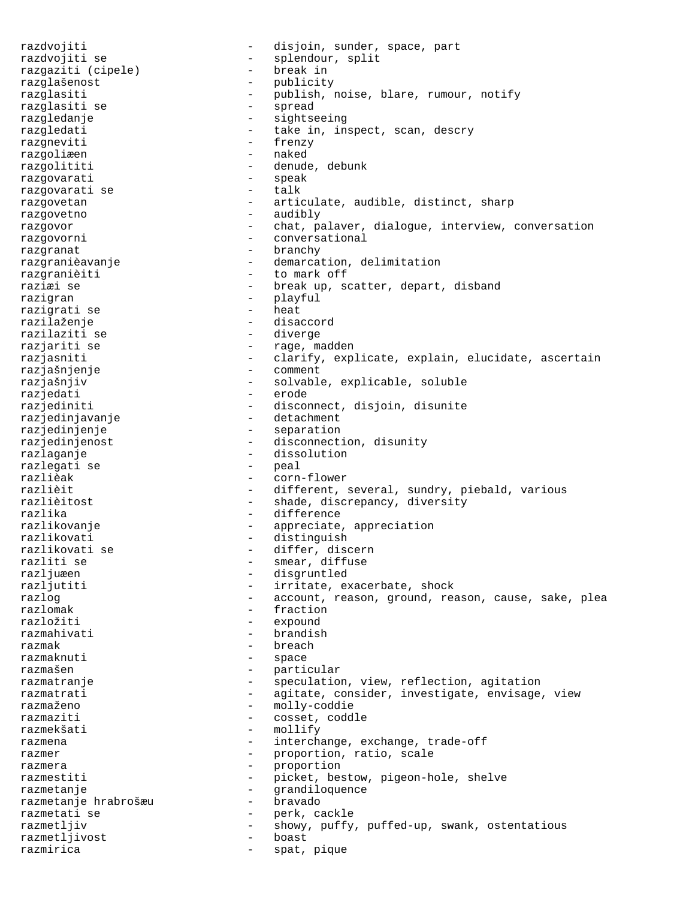razdvojiti - disjoin, sunder, space, part razdvojiti se - splendour, split<br>razgaziti (cipele) - break in razgaziti (cipele) razglašenost - publicity razglasiti - publish, noise, blare, rumour, notify<br>razglasiti se - - - - - - - spread razglasiti se razgledanje - sightseeing razgledati - take in, inspect, scan, descry razgneviti - frenzy razgoliæen - naked razgolititi - denude, debunk razgovarati - speak razgovarati se razgovetan - articulate, audible, distinct, sharp razgovetno - audibly razgovor **chat**, palaver, dialogue, interview, conversation razgovorni - conversational razgranat - branchy razgranièavanje - demarcation, delimitation razgranièiti - to mark off raziæi se  $-$  break up, scatter, depart, disband razigran - playful<br>razionati se - heat - heat razigrati se razilaženje - disaccord razilaziti se - diverge razjariti se  $-$  rage, madden razjasniti - clarify, explicate, explain, elucidate, ascertain razjašnjenje - comment razjašnjiv - solvable, explicable, soluble razjedati - erode razjediniti - disconnect, disjoin, disunite razjedinjavanje - detachment razjedinjenje - separation razjedinjenost - disconnection, disunity razlaganje - dissolution razlegati se<br>razlièak - corn-flower razlièit - different, several, sundry, piebald, various razlièitost - shade, discrepancy, diversity razlika - difference razlikovanje  $\qquad \qquad \qquad -$  appreciate, appreciation razlikovati - distinguish razlikovati se  $\begin{array}{ccc} - & \text{differ, discern} \\ - & \text{smear, diffuse} \end{array}$ razliti se  $\begin{array}{ccc} - & - & - \\ - & - & \end{array}$  diffuse razljuæen razljuæen - disgruntled<br>razljutiti - irritate, en - irritate, exacerbate, shock razlog  $-$  account, reason, ground, reason, cause, sake, plea<br>razlomak  $-$  fraction razlomak - fraction<br>
razložiti - expound razložiti - expound<br>
razmahivati - brandisi - brandish razmak - breach razmaknuti - space razmašen - particular<br>
razmatranie - particular razmatranje e speculation, view, reflection, agitation razmatrati - agitate, consider, investigate, envisage, view razmaženo - molly-coddie<br>razmaziti - Cosset coddi razmaziti - cosset, coddle razmekšati - mollify razmena  $-$  interchange, exchange, trade-off razmer - proportion, ratio, scale razmera  $-$  proportion razmestiti - picket, bestow, pigeon-hole, shelve razmetanje - grandiloquence razmetanje hrabrošæu razmetati se  $\begin{array}{ccc} - & - & - \\ - & - & - \end{array}$  showv, puffy razmetljiv - showy, puffy, puffed-up, swank, ostentatious<br>razmetliivost - boast - boast razmetljivost razmirica  $-$  spat, pique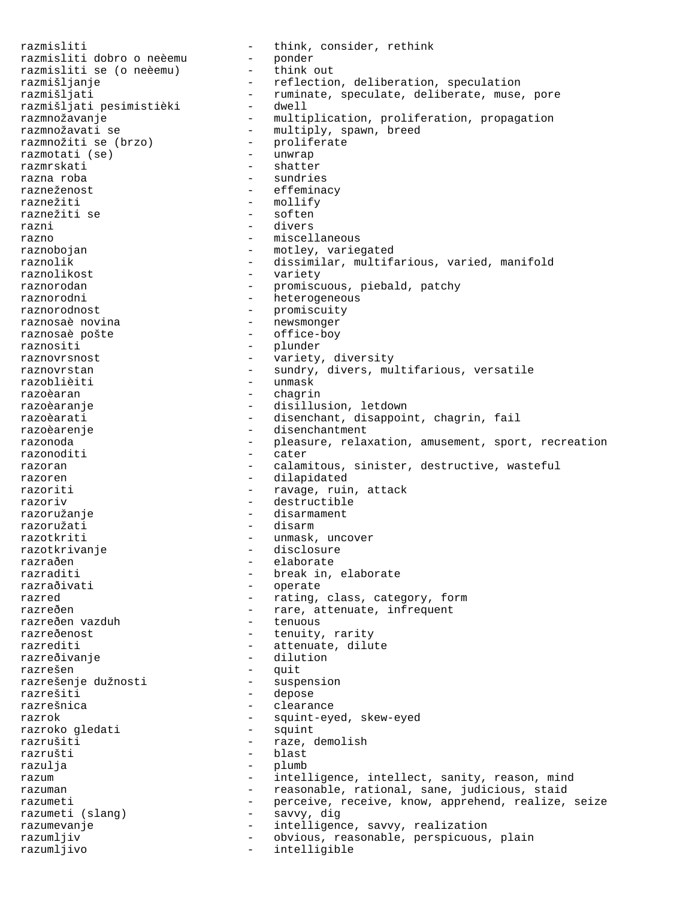razmisliti  $1$  - think, consider, rethink<br>razmisliti dobro o neèemu - ponder razmisliti dobro o neèemu razmisliti se (o neèemu) razmisliti se (o neèemu) - htink out<br>
razmišljanje reflection, deliberation, speculation<br>
razmišljati ruminate, speculate, deliberate, muse, pore razmišljati - ruminate, speculate, deliberate, muse, pore razmišljati pesimistièki - dwell razmnožavanje - multiplication, proliferation, propagation razmnožavati se - multiply, spawn, breed razmnožiti se (brzo) - proliferate razmotati (se)<br>razmrskati - shatter razna roba - sundries razneženost  $-$  effeminacy raznežiti - mollify raznežiti se  $-$  soften razni - divers razno  $-$  miscellaneous raznobojan - motley, variegated<br>
raznolik - dissimilar, multifa raznolik - dissimilar, multifarious, varied, manifold<br>raznolikost - variety - variety - variety raznorodan - promiscuous, piebald, patchy raznorodni e materialne raznorodni heterogeneous raznorodnost - promiscuity raznosaè novina - newsmonger raznosaè pošte  $-$  office-boy raznositi - plunder raznovrsnost <br/> - variety, diversity raznovrsnost<br>
raznovrstan - sundry, divers, multifarious, versatile<br>
razoblièiti - unmask - unmask razoèaran - chaqrin razoèaranje  $-$  disillusion, letdown razoèarati - disenchant, disappoint, chagrin, fail razoèarenje - disenchantment razonoda e contracted relaxation, amusement, sport, recreation razonoditi - cater razoran - calamitous, sinister, destructive, wasteful razoren - dilapidated razoriti  $-$  ravage, ruin, attack razoriv - destructible razoružanje - disarmament razoružati - disarm razotkriti - unmask, uncover<br>razotkrivanje - disclosure - disclosure - disclosure razraðen - elaborate razraditi - break in, elaborate<br>
razraðivati - - - - - - - - - - - - operate - operate razred  $-$  rating, class, category, form razreðen - rare, attenuate, infrequent<br>
razreðen vazduh - raxreðen vazduh - tenuous razreðen vazduh razreðenost - tenuity, rarity razrediti - attenuate, dilute razreðivanje **1888** - dilution razrešen - quit<br>razrešenje dužnosti - suspension razrešenje dužnosti razrešiti - depose - clearance razrok - squint-eyed, skew-eyed razroko qledati - squint - squint razroko gledati razrušiti - raze, demolish razrušti - blast razulja - plumb razum - intelligence, intellect, sanity, reason, mind razuman - reasonable, rational, sane, judicious, staid razumeti - perceive, receive, know, apprehend, realize, seize razumeti (slang) - savvy, dig razumevanje  $\qquad \qquad -$  intelligence, savvy, realization razumljiv obvious, reasonable, perspicuous, plain<br>razumljivo razumljivo - intelligible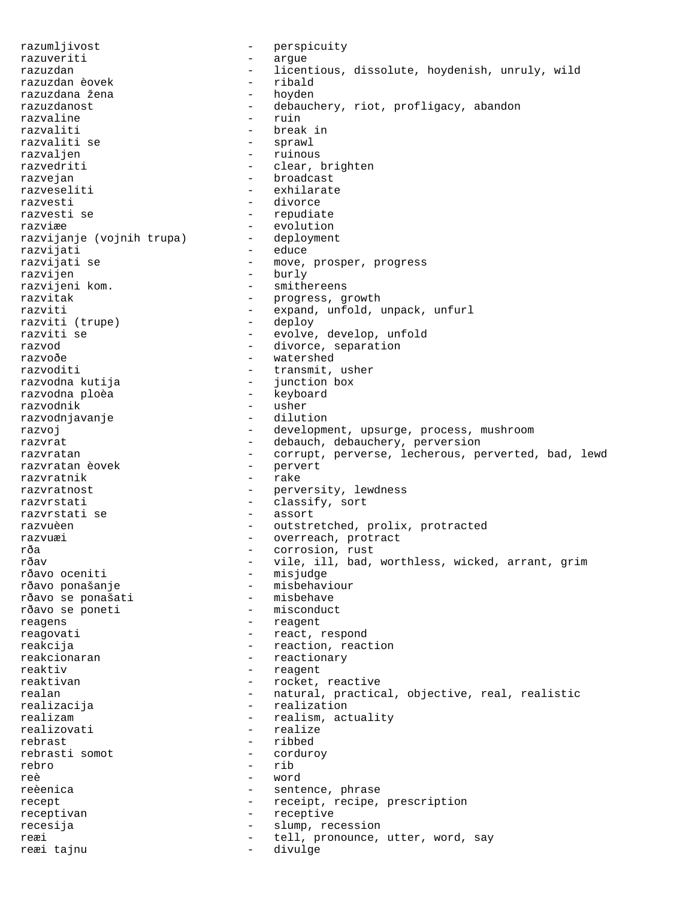razumljivost - perspicuity razuveriti - argue razuzdan - licentious, dissolute, hoydenish, unruly, wild<br>razuzdan èovek - ribald razuzdan èovek - ribald razuzdana žena razuzdanost - debauchery, riot, profligacy, abandon razvaline<br>razvaliti razvaliti - break in - sprawl razvaljen - ruinous - ruinous - ruinous - ruinous - ruinous - ruinous - ruinous - ruinous - ruinous - ruinous<br>
- ruinous - ruinous - ruinous - ruinous - ruinous - ruinous - ruinous - ruinous - ruinous - ruinous - ruinous - clear, brighten razvejan - broadcast razveseliti - exhilarate razvesti - divorce razvesti se  $-$  repudiate razviæe - evolution<br>razvijanje (vojnih trupa) - deployment razvijanje (vojnih trupa) razvijati - educe razvijati se  $-$  move, prosper, progress razvijen razvijen - burly razvijeni kom. - smithereens - progress, growth razviti - expand, unfold, unpack, unfurl<br>razviti (trupe) - deploy - deploy razviti (trupe) razviti se  $-$  evolve, develop, unfold razvod  $-$  divorce, separation razvoðe - watershed razvoditi - transmit, usher<br>razvodna kutija - iunction box razvodna kutija - junction box razvodna ploèa - keyboard razvodnik - usher razvodnjavanje razvoj - development, upsurge, process, mushroom razvrat - debauch, debauchery, perversion - corrupt, perverse, lecherous, perverted, bad, lewd<br>- pervert razvratan èovek razvratnik - rake razvratnost - perversity, lewdness<br>razvrstati - classify sort razvrstati - classify, sort razvrstati se - assort razvuèen - outstretched, prolix, protracted razvuæi  $\qquad \qquad \qquad -$  overreach, protract rða - corrosion, rust - vile, ill, bad, worthless, wicked, arrant, grim<br>- misjudge rðavo oceniti<br>rðavo ponašanje - misbehaviour<br>- misbehave rðavo se ponašati - misbehave - misbehave - misbehave - misconduct rðavo se poneti reagens - reagent reagovati - react, respond reakcija  $-$  reaction, reaction reakcionaran  $-$  reactionary reaktiv - reagent reaktivan - rocket, reactive realan - natural, practical, objective, real, realistic<br>
realizacija - realization - realization realizam  $-$  realism, actuality<br>
realizovati realize - realize rebrast - ribbed<br>rebrasti somot - corduroy rebrasti somot rebro - rib reè - word reèenica - sentence, phrase recept - receipt, recipe, prescription receptivan - receptive<br>recesija - slump rec recesija - slump, recession reæi en andrettell, pronounce, utter, word, say reæi tajnu - divulge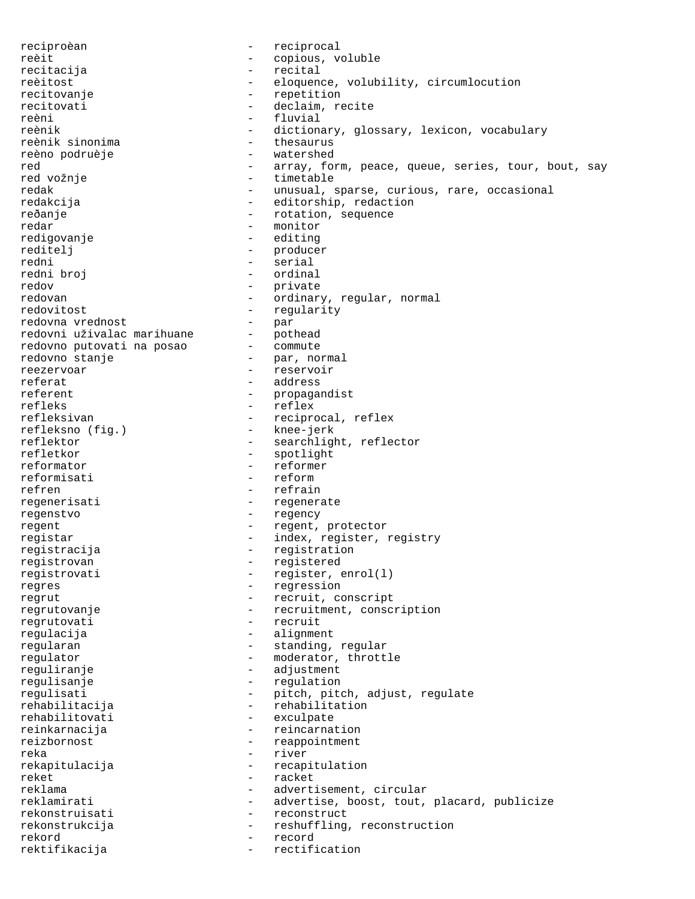reciproèan - reciprocal reèit - copious, voluble recitacija - recital reèitost - eloquence, volubility, circumlocution recitovanje  $-$  repetition recitovati - declaim, recite reèni - fluvial - dictionary, glossary, lexicon, vocabulary<br>- thesaurus reènik sinonima - thesaurus reèno podruèje red - array, form, peace, queue, series, tour, bout, say - timetable redak - unusual, sparse, curious, rare, occasional redakcija - editorship, redaction reðanje - rotation, sequence redar - monitor<br>
redigovanie - editing redigovanje - editing reditelj - producer redni - serial - ordinal redov<br>redovan - private<br>- ordinar - ordinary, regular, normal redovitost - regularity redovna vrednost - par redovni uživalac marihuane - pothead<br>redovno putovati na posao - commute redovno putovati na posao redovno stanje  $-$  par, normal reezervoar - reservoir referat - address referent - propagandist refleks - reflex - reciprocal, reflex<br>- knee-jerk refleksno (fig.)<br>reflektor reflektor - searchlight, reflector<br>reflector - spotlight, reflector - spotlight reformator  $\overline{r}$  - reformer<br>reformisati - reform reformisati refren - refrain regenerisati - regenerate regenstvo - regency regent  $-$  regent, protector registar - index, register, registry registracija - registration registrovan - registered registrovati - register, enrol(1) regres - regression regrut  $-$  recruit, conscript regrutovanje - recruitment, conscription regrutovati - recruit regulacija - alignment regularan  $-$  standing, regular regulator - moderator, throttle reguliranje  $-$  adjustment regulisanje - regulation regulisati - pitch, pitch, adjust, regulate rehabilitacija - rehabilitation rehabilitovati - exculpate reinkarnacija - reincarnation<br>reizbornost - reappointment - reappointment reka - river rekapitulacija - recapitulation reket - racket reklama  $-$  advertisement, circular reklamirati - advertise, boost, tout, placard, publicize rekonstruisati - reconstruct rekonstrukcija - reshuffling, reconstruction rekord - record rektifikacija - rectification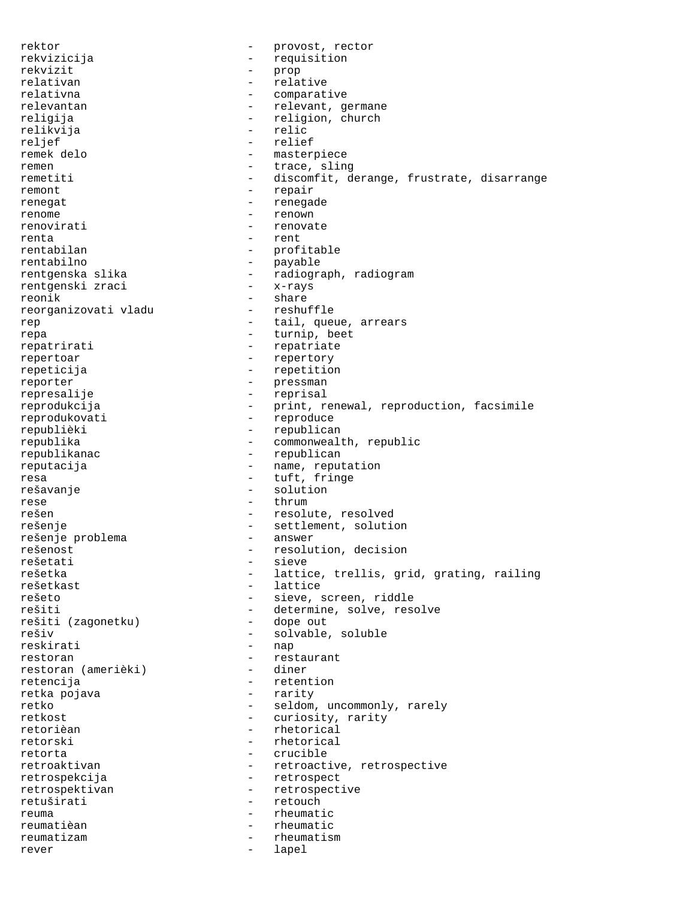rektor  $-$  provost, rector rekvizicija - requisition rekvizit - prop relativan - relative relativna - comparative relevantan entertainment and the relevant, germane religija - religion, church<br>relikvija - religion, church relikvija<br>reljef reljef - relief remek delo  $-$  masterpiece remen - trace, sling remetiti - discomfit, derange, frustrate, disarrange remont - repair renegat - renegade renome - renown renovirati - renovate renta - rent<br>
rentabilan - rent - profitable rentabilno - payable<br>rentgenska slika - radiogra - <sub>Payurre</sub><br>- radiograph, radiogram<br>- x-rays rentgenski zraci<br>reonik - share<br>- reshuffle reorganizovati vladu rep  $-$  tail, queue, arrears repa - turnip, beet repatrirati - repatriate repertoar - repertory repeticija - repetition reporter - pressman represalije - reprisal reprodukcija - print, renewal, reproduction, facsimile reprodukovati - reproduce republièki - republican republika - commonwealth, republic republikanac - republican reputacija  $-$  name, reputation resa  $-$  tuft, fringe rešavanje - solution rese - thrum rešen - resolute, resolved rešenje - settlement, solution<br>rešenje problema - - answer rešenje problema<br>rešenost rešenost - resolution, decision<br>
rešetati - resolution, decision<br>
- sieve rešetati - sieve<br>rešetka - sieve - sieve - sieve rešetka - lattice, trellis, grid, grating, railing<br>rešetkast - lattice - lattice rešetkast - lattice rešeto - sieve, screen, riddle<br>rešiti - determine, solve, rese - determine, solve, resolve<br>- dope out rešiti (zagonetku) rešiv - solvable, soluble reskirati - nap restoran  $\overline{\phantom{a}}$  - restaurant<br>restoran (amerièki) - diner restoran (amerièki) retencija - retention retka pojava retko  $-$  seldom, uncommonly, rarely retkost - curiosity, rarity retorièan - rhetorical retorski - rhetorical retorta - crucible retroaktivan - retroactive, retrospective retrospekcija - retrospect retrospektivan - retrospective retuširati - retouch reuma - rheumatic reumatièan - rheumatic reumatizam - rheumatism rever - lapel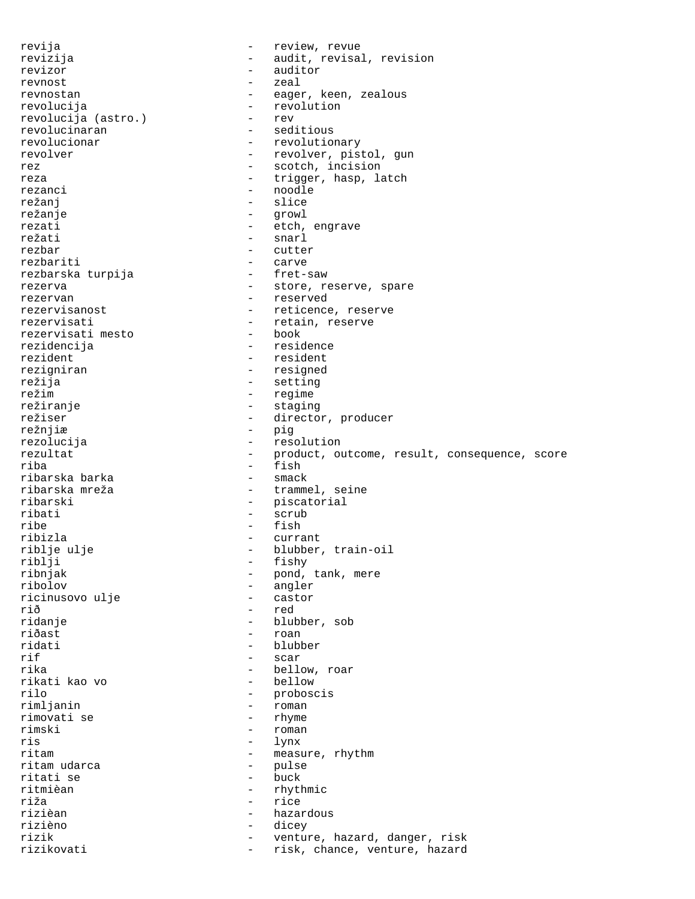revija - review, revue revizija - audit, revisal, revision revizor - auditor revnost - zeal revnostan - eager, keen, zealous revolucija - revolution<br>revolucija (astro.) - rev revolucija (astro.)<br>revolucinaran revolucinaran - seditious<br>revolucionar - revolutio - revolutionary revolver - revolver, pistol, gun rez  $-$  scotch, incision reza  $-$  trigger, hasp, latch rezanci - noodle režanj - slice režanje - growl rezati - etch, engrave režati - snarl rezbar - cutter<br>rezbariti - carve - carve<br>- fret-saw rezbarska turpija rezerva - store, reserve, spare rezervan - reserved rezervisanost external reticence, reserve rezervisati  $\begin{array}{ccc} - & + \text{retain, reserve} \\ - & \text{hock} \end{array}$ rezervisati mesto rezidencija - residence rezident - resident rezigniran - resigned<br>režija - resigned režija - setting - setting - setting - setting - setting - setting - setting - setting - setting - setting - setting - setting - setting - setting - setting - setting - setting - setting - setting - setting - setting - set režim - regime režiranje - staging režiser - director, producer<br>režnjiæ - pig - pig rezolucija - resolution rezultat - product, outcome, result, consequence, score<br>
- fish<br>
- fish - fish<br>- smack ribarska barka<br>ribarska mreža - trammel, seine ribarski - piscatorial ribati - scrub ribe - fish - fish<br>ribizla - curra - currant riblje ulje - blubber, train-oil<br>
riblji - fishy - fishy riblji - fishy<br>ribnjak - fishy<br>pond, ribnjak - pond, tank, mere<br>ribolov - angler - angler<br>- castor ricinusovo ulje rið - red<br>ridanie - blul - blul - blubber, sob riðast - roan ridati - blubber rif - scar rika - bellow, roar rikati kao vo rilo - proboscis - roman<br>- rhyme rimovati se<br>rimski rimski - roman - roman - roman - roman - roman - roman - roman - roman - roman - roman - roman - roman - roman - roman - roman - roman - roman - roman - roman - roman - roman - roman - roman - roman - roman - roman - roman ris - lynx<br>ritam - measured - measured - measure, rhythm<br>- pulse ritam udarca - pulse ritati se<br>ritmièan - rhythmic riža - rice rizièan - hazardous rizièno - dicey - venture, hazard, danger, risk rizikovati - risk, chance, venture, hazard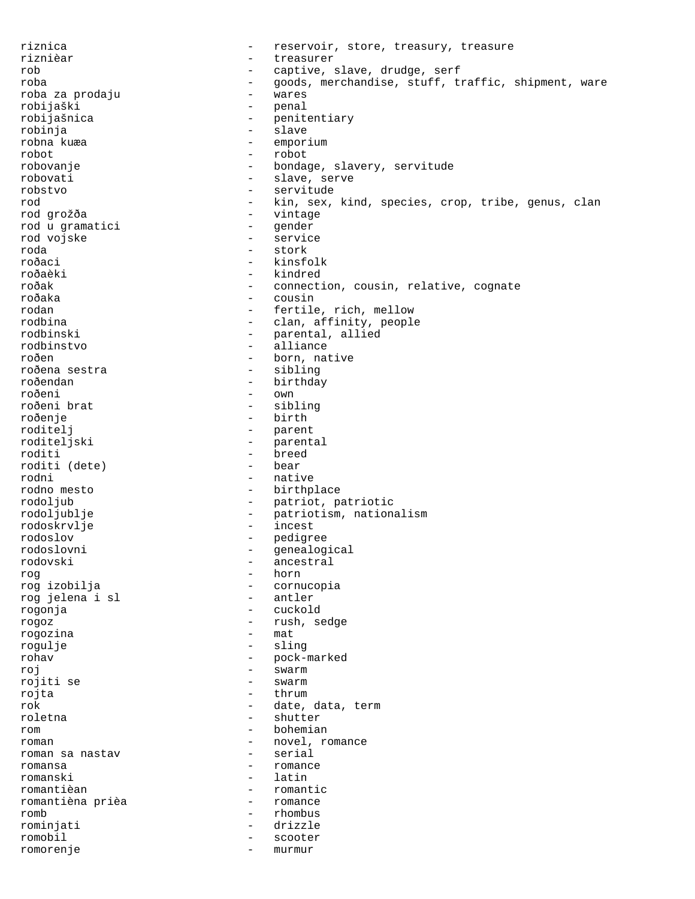riznica - reservoir, store, treasury, treasure riznièar - treasurer rob - captive, slave, drudge, serf<br>
roba - captive, slave, drudge, serf<br>
- coods merchandise stuff the roba - goods, merchandise, stuff, traffic, shipment, ware roba za prodaju - wares robijaški - penal<br>robijašnica - - - - - - - - - - - penit - penitentiary<br>- slave robinja<br>robna kuæa - emporium robot - robot robovanje - bondage, slavery, servitude robovati - slave, serve robstvo - servitude rod  $-$  kin, sex, kind, species, crop, tribe, genus, clan rod grožða - vintage rod u gramatici - gender rod vojske - service - service - service - service - service - service - service - service - service - service roda - stork roðaci - kinsfolk roðaèki - kindred<br>roðak - kindred - konnect roðak - connection, cousin, relative, cognate<br>roðaka - cousin - cousin - cousin rodan - fertile, rich, mellow rodbina - clan, affinity, people<br>rodbinski - parental, allied rodbinski - parental, allied<br>rodbinstvo - alliance - alliance roðen - born, native<br>roðena sestra - - - - - - - - - - - - - sibling - sibling roðendan - birthday roðeni - own roðeni brat roðenje - birth - birth - birth - birth - birth - birth - birth - birth - birth - birth - birth - birth - birth - birth - birth - birth - birth - birth - birth - birth - birth - birth - birth - birth - birth - birth - birt - parent<br>- parental roditeljski roditi - breed<br>roditi (dete) - bear<br>- bear roditi (dete) rodni - native rodno mesto - birthplace rodoljub - patriot, patriotic rodoljublje - patriotism, nationalism rodoskrvlje - incest rodoslov - pedigree rodoslovni - genealogical - ancestral<br>- horn rog - horn - cornucopia<br>- antler rog jelena i sl rogonja - cuckold rogoz - rush, sedge rogozina rogulje - sling rohav - pock-marked roj - swarm rojiti se - swarm - swarm - swarm - swarm - swarm - swarm - swarm - swarm - swarm - swarm - swarm - swarm - sw rojta - thrum - thrum - thrum - thrum - thrum - thrum - thrum - thrum - thrum - thrum - thrum - thrum - thrum - thrum - thrum - thrum - thrum - thrum - thrum - thrum - thrum - thrum - thrum - thrum - thrum - thrum - thrum rok - date, data, term<br>
roletna - shutter roletna - shutter rom - bohemian roman  $\frac{1}{2}$  romance  $\frac{1}{2}$  romance  $\frac{1}{2}$  romance  $\frac{1}{2}$  romance  $\frac{1}{2}$  romance roman sa nastav romansa - romance romanski - latin romantièan - romantic romantièna prièa - romance romb - rhombus rominjati - drizzle romobil - scooter romorenje - murmur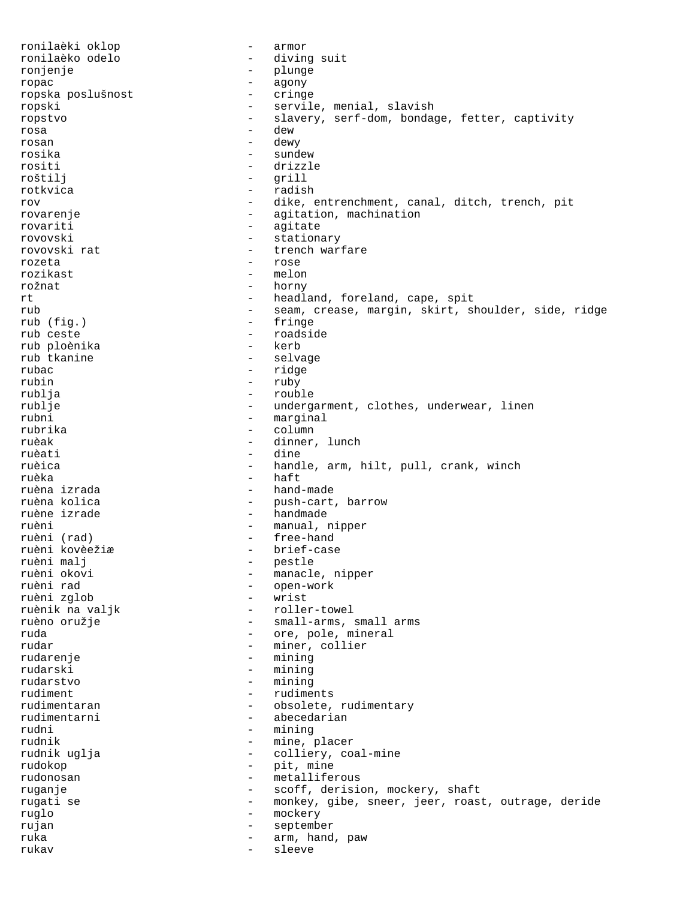ronilaèki oklop - armor ronilaèko odelo - diving suit ronjenje - plunge ropac - agony ropska poslušnost ropski - servile, menial, slavish<br>ropstvo - slavery, serf-dom, bonda - slavery, serf-dom, bondage, fetter, captivity rosa - dew rosan - dewy rosika - sundew - drizzle roštilj - grill rotkvica - radish rov - dike, entrenchment, canal, ditch, trench, pit rovarenje  $-$  agitation, machination rovariti - agitate rovovski - stationary rovovski rat  $-$  trench warfare rozeta - rose rozikast rožnat - horny rt  $\qquad \qquad -$  headland, foreland, cape, spit rub - seam, crease, margin, skirt, shoulder, side, ridge<br>rub (fig.) - fringe rub (fig.) - fringe - roadside<br>- kerb rub ploènika rub tkanine  $\qquad \qquad$  - selvage rubac - ridge rubin - ruby rublja - rouble rublje - undergarment, clothes, underwear, linen rubni - marginal - marginal - marginal - marginal - marginal - marginal - marginal - marginal - marginal - marginal - marginal - marginal - marginal - marginal - marginal - marginal - marginal - marginal - marginal - margi rubrika - column ruèak  $-$  dinner, lunch ruèati - dine ruèica - handle, arm, hilt, pull, crank, winch ruèka - haft ruèna izrada - hand-made ruèna kolica - push-cart, barrow - handmade ruèni - manual, nipper - free-hand<br>- brief-case ruèni kovèežiæ<br>ruèni malj ruèni malj - pestle ruèni okovi - manacle, nipper - open-work<br>- wrist ruèni zglob - wrist ruènik na valjk ruèno oružje - small-arms, small arms ruda  $\qquad \qquad -$  ore, pole, mineral rudar - miner, collier rudarenje - mining rudarski - mining rudarstvo - mining rudiment - rudiments rudimentaran - obsolete, rudimentary<br>
rudimentarni - abecedarian rudimentarni - abecedarian<br>rudni - mining rudni - mining - mine, placer rudnik uglja  $-$  colliery, coal-mine rudokop - pit, mine rudonosan - metalliferous ruganje - scoff, derision, mockery, shaft rugati se - monkey, gibe, sneer, jeer, roast, outrage, deride ruglo - mockery rujan - september ruka  $\qquad \qquad -$  arm, hand, paw rukav - sleeve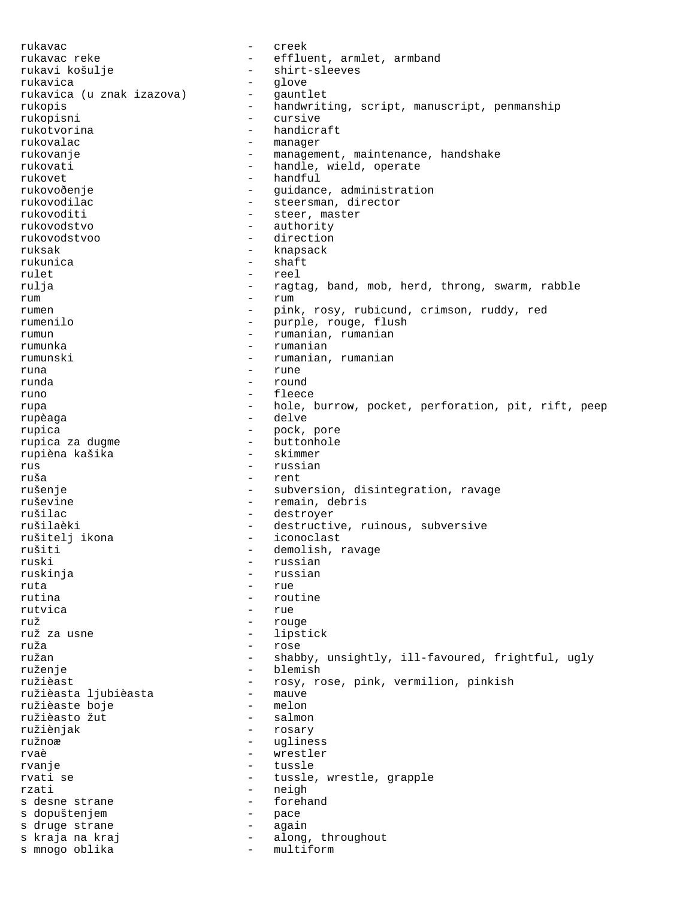rukavac - creek rukavac reke - effluent, armlet, armband<br>rukavi košulje - - shirt-sleeves - shirt-sleeves<br>- glove rukavica rukavica (u znak izazova) - gauntlet rukopis - handwriting, script, manuscript, penmanship rukopisni - cursive handicraft rukovalac - manager rukovanje  $\qquad \qquad \qquad -$  management, maintenance, handshake rukovati - handle, wield, operate rukovet - handful rukovoðenje - - - - guidance, administration rukovodilac - steersman, director rukovoditi - steer, master rukovodstvo - authority rukovodstvoo - direction ruksak - knapsack<br>rukunica - knapsack rukunica - shaft<br>rulet - shaft<br>- reel rulet - reel rulja - ragtag, band, mob, herd, throng, swarm, rabble rum - rum - rum rumen - pink, rosy, rubicund, crimson, ruddy, red rumenilo - purple, rouge, flush rumun - rumanian, rumanian rumunka - rumanian rumunski - rumanian, rumanian runa - rune runda - round runo  $-$  fleece rupa  $-$  hole, burrow, pocket, perforation, pit, rift, peep rupèaga - delve rupica - pock, pore - buttonhole<br>- skimmer rupièna kašika<br>rus rus - russian ruša - rent rušenje - subversion, disintegration, ravage ruševine - remain, debris rušilac - destroyer - destroyer<br>rušilaèki - destructi - destructive, ruinous, subversive<br>- iconoclast rušitelj ikona iconoclastica rušiti - demolish, ravage<br>ruski - russian ruski - russian - russian - russian - russian - russian - russian - russian - russian - russian - russian - russian - russian - russian - russian - russian - russian - russian - russian - russian - russian - russian - russ - russian ruta - rue<br>rutina - routa - rout - routine rutvica e rue e rue ruž - rouge - lipstick ruža - rose ružan  $-$  shabby, unsightly, ill-favoured, frightful, ugly ruženje - blemish ružièast - rosy, rose, pink, vermilion, pinkish<br>ružièasta liubièasta - mauve ružièasta ljubièasta - mauve<br>ružièaste boje - melon ružièaste boje - melon ružièasto žut - salmon ružiènjak - rosary - ugliness rvaè de l'annouvelle de la partie de la partie de la partie de la partie de la partie de la partie de la partie rvanje - tussle rvati se  $-$  tussle, wrestle, grapple rzati - neigh s desne strane  $-$  forehand s dopuštenjem  $-$  pace s druge strane  $\qquad \qquad$  - again s kraja na kraj<br>s mnogo oblika<br>- multiform s mnogo oblika - multiform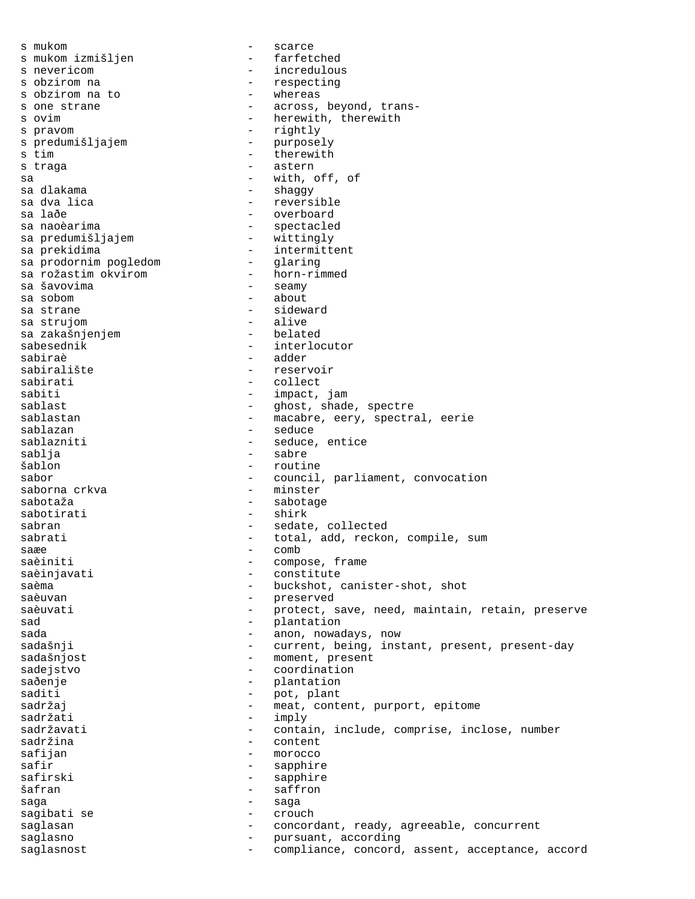s mukom - scarce s mukom izmišljen s nevericom and the set of the set of the set of the set of the set of the set of the set of the set of the set of the set of the set of the set of the set of the set of the set of the set of the set of the set of the set s obzirom na - respecting s obzirom na to s one strane  $\begin{array}{ccc} - & - & \text{across, beyond, trans-} \\ - & \text{here with, the} \\ \end{array}$ - herewith, therewith s pravom - rightly s predumišljajem - purposelje purposelje purposelje purposelje purposelje purposelje purposelje purposelje pur<br>Se purposelje purposelje purposelje purposelje purposelje purposelje purposelje purposelje purposelje purposel s tim  $-$  therewith s traga and the set of the set of the set of the set of the set of the set of the set of the set of the set of the set of the set of the set of the set of the set of the set of the set of the set of the set of the set of t sa - with, off, of sa dlakama  $-$  shaggy sa dva lica  $-$  reversible sa laðe - overboard - overboard sa naoèarima - spectacled sa predumišljajem sa prekidima - intermittent sa prodornim pogledom - glaring sa rožastim okvirom<br>sa šavovima sa šavovima - seamy - about sa strane - sideward sa strujom - alive sa zakašnjenjem sabesednik - interlocutor sabiraè - adder sabiralište - reservoir<br>sabirati - rollect sabirati - collect sabiti  $-$  impact, jam sablast - ghost, shade, spectre sablastan - macabre, eery, spectral, eerie sablazan - seduce - seduce, entice sablja - sabre šablon - routine sabor - council, parliament, convocation<br>saborna crkva - minster - minster sabotaža - sabotage - sabotage sabotirati - shirk sabran - sedate, collected sabrati - total, add, reckon, compile, sum<br>saxe - comb saæe - comb<br>saàiniti saèiniti - compose, frame saèinjavati - constitute saèma - buckshot, canister-shot, shot<br>saèuvan - preserved - preserved saèuvati di controlle de la protect, save, need, maintain, retain, preserve sad - plantation sada  $\qquad \qquad \qquad -$  anon, nowadays, now sadašnji  $-$  current, being, instant, present, present-day sadašnjost - moment, present<br>sadejstvo sadejstvo - coordination saðenje - plantation saditi - pot, plant<br>sadržaj - meat cont sadržaj - meat, content, purport, epitome<br>sadržati - imply sadržati - imply - contain, include, comprise, inclose, number<br>- content sadržina safijan - morocco - sapphire safirski - sapphire šafran - saffron saga - saga - saga - saga sagibati se  $-$  crouch saglasan - concordant, ready, agreeable, concurrent saglasno  $-$  pursuant, according saglasnost extending the compliance, concord, assent, acceptance, accord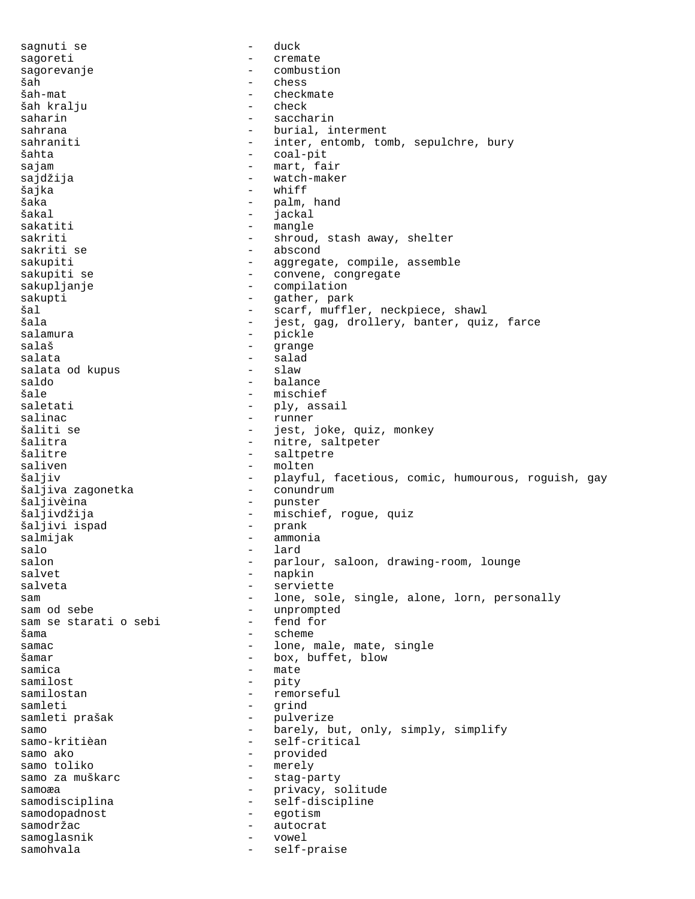sagnuti se  $-$  duck sagoreti - cremate sagorevanje - combustion šah - chess šah-mat - checkmate šah kralju - check<br>saharin - check saharin - saccharin - saccharin sahrana  $-$  burial, interment sahraniti - inter, entomb, tomb, sepulchre, bury šahta - coal-pit sajam - mart, fair sajdžija - watch-maker<br>Šaika - whiff - whiff šajka - whiff šaka - palm, hand šakal - jackal - jackal - jackal - jackal - jackal - jackal - jackal - jackal - jackal - jackal - jackal - jackal - jackal - jackal - jackal - jackal - jackal - jackal - jackal - jackal - jackal - jackal - jackal - jackal sakatiti - mangle sakriti - shroud, stash away, shelter sakriti se  $-$  abscond sakupiti - aggregate, compile, assemble sakupiti se  $\sim$  - convene, congregate sakupljanje - compilation sakupti - gather, park šal - scarf, muffler, neckpiece, shawl<br>Šala - start, gag, drollery, banter, gui šala - jest, gag, drollery, banter, quiz, farce<br>salamura - pickle - pickle<br>- grange salaš - grange salata - salad salata od kupus - slaw saldo - balance - mischief<br>- ply ass saletati - ply, assail salinac - runner šaliti se - jest, joke, quiz, monkey - nitre, saltpeter šalitre - saltpetre saliven - molten šaljiv - playful, facetious, comic, humourous, roguish, gay<br>šaljiva zagonetka - conundrum šaljiva zagonetka šaljivèina - punster šaljivdžija - mischief, rogue, quiz šaljivi ispad salmijak - ammonia<br>salo - lard salo - lard<br>salon - narl salon - parlour, saloon, drawing-room, lounge<br>salvet salvet - napkin<br>salveta - serviet salveta - serviette sam and the sole, sole, single, alone, lorn, personally sam od sebe<br>sam se staratio sebi - fend for sam se starati o sebi šama - scheme samac - lone, male, mate, single šamar - box, buffet, blow samica - mate samilost - pity samilostan - remorseful<br>samleti - remorseful<br>samleti - rind samleti - grind samleti prašak  $-$  pulverize samo - barely, but, only, simply, simplify<br>samo-kritièan - self-critical - self-critical samo ako  $-$  provided samo toliko  $-$  merely samo za muškarc <br />
- stag-party samoæa - privacy, solitude samodisciplina - self-discipline samodopadnost - egotism samodržac - autocrat samoglasnik - vowel samohvala - self-praise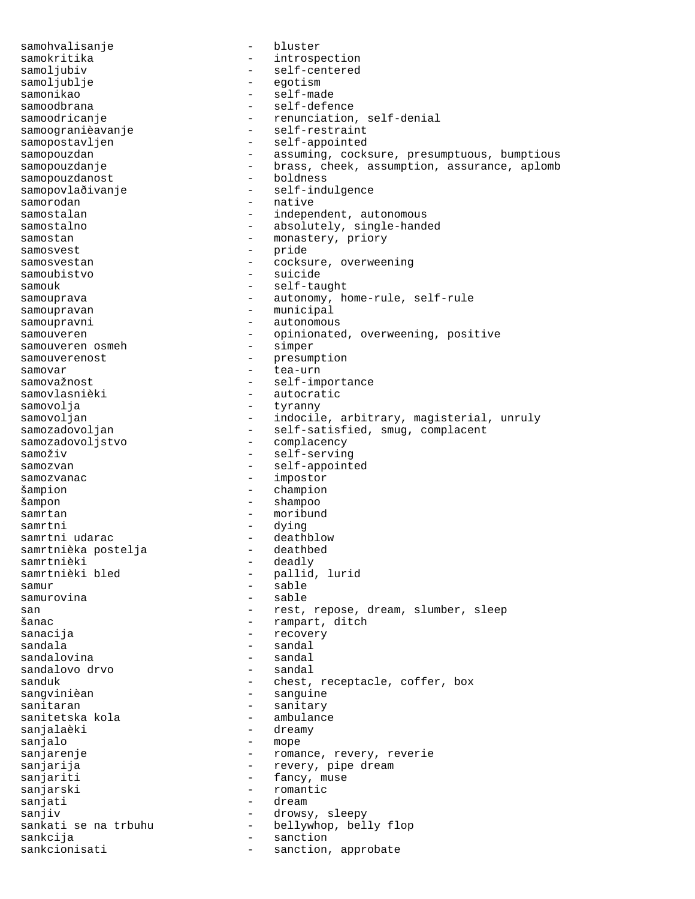samohvalisanje - bluster samokritika - introspection samoljubiv - self-centered<br>samoljublje - egotism - egotism samonikao - self-made - self-defence samoodricanje - renunciation, self-denial samoogranièavanje - self-restraint samopostavljen - self-appointed samopouzdan - assuming, cocksure, presumptuous, bumptious samopouzdanje brass, cheek, assumption, assurance, aplomb samopouzdanost boldness samopouzdanost samopovlaðivanje - self-indulgence samorodan - native samostalan - independent, autonomous samostalno  $-$  absolutely, single-handed samostan - monastery, priory samosvest<br>samosvestan - pride<br>- cocksu samosvestan - cocksure, overweening samoubistvo - suicide samouk - self-taught samouprava - autonomy, home-rule, self-rule samoupravan - municipal samoupravni - autonomous samouveren - opinionated, overweening, positive samouveren osmeh - simper samouveren osmeh samouverenost - presumption samovar - tea-urn samovažnost entre entre self-importance samovlasnièki - autocratic<br>samovolja - tyranny - tyranny samovolja - tyranny samovoljan - indocile, arbitrary, magisterial, unruly<br>samozadovoljan - self-satisfied, smug, complacent samozadovoljan - self-satisfied, smug, complacent<br>samozadovoljstvo - complacency - complacency samoživ - self-serving samozvan - self-appointed samozvanac - impostor šampion - champion šampon - shampoo samrtan - moribund samrtni - dying samrtni udarac - deathblow samrtnièka postelja samrtnièki - deadly - pallid, lurid samur - sable - sable san - rest, repose, dream, slumber, sleep šanac - rampart, ditch<br>sanacija - recovery - recovery - recovery sandala - sandal sandalovina - sandal sandalovo drvo sanduk - chest, receptacle, coffer, box sangvinièan en manguine sanguine sanitaran - sanitary sanitetska kola - ambulance sanjalaèki - dreamy sanjalo - mope<br>sanjarenje - roman - romance, revery, reverie sanjarija  $-$  revery, pipe dream sanjariti - fancy, muse sanjarski - romantic sanjati  $\qquad \qquad - \qquad$ dream sanjiv  $-$  drowsy, sleepy sankati se na trbuhu  $-$  bellywhop, belly flop sankcija - sanction sankcionisati - sanction, approbate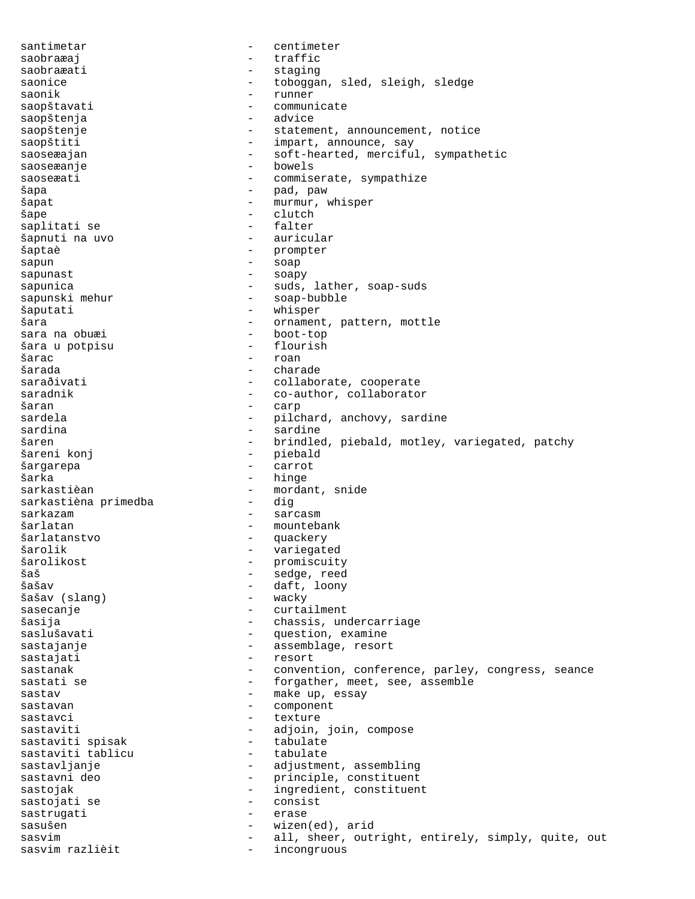santimetar - centimeter saobraæaj - traffic saobraæati - staging saonice - toboggan, sled, sleigh, sledge saonik - runner saopštavati - commun:<br>saopštenja - advice saopštenja<br>saopštenje - statement, announcement, notice saopštiti - impart, announce, say saoseæajan - soft-hearted, merciful, sympathetic saoseæanje - bowels saoseæati - commiserate, sympathize šapa - pad, paw šapat - murmur, whisper<br>Šape - clutch - clutch šape - clutch saplitati se šapnuti na uvo  $\overline{\phantom{a}}$  - auricular šaptaè - prompter sapun - soap sapunast - soapy sapunica - suds, lather, soap-suds<br>sapunski mehur - soap-bubble - soap-bubble - soap-bubble šaputati - whisper šara - ornament, pattern, mottle sara na obuæi - boot-top šara u potpisu  $\texttt{\$arac}$  - roan šarada - charade - charade - charade - charade - charade - charade - charade - charade - charade - charade - charade - charade - charade - charade - charade - charade - charade - charade - charade - charade - charade - cha saraðivati - collaborate, cooperate saradnik - co-author, collaborator<br>
saran - carp šaran - carp - pilchard, anchovy, sardine<br>- sardine sardina - sardine šaren - brindled, piebald, motley, variegated, patchy<br>šareni konj - piebald - piebald<br>- carrot šargarepa - carrot šarka - hinge sarkastièan - mordant, snide<br>sarkastièna primedba - dig sarkastièna primedba sarkazam <br/>  $\hfill$  - sarcasm šarlatan - mountebank<br>Šarlatanstvo - muackery šarlatanstvo - quackery šarolik - variegated šarolikost - promiscuity šaš - sedge, reed - daft, loony<br>- wacky šašav (slang) sasecanje - curtailment šasija - chassis, undercarriage saslušavati - question, examine sastajanje - assemblage, resort sastajati - resort sastanak entity convention, conference, parley, congress, seance sastati se  $-$  forgather, meet, see, assemble sastav - make up, essay<br>sastavan - component sastavan - component<br>sastavci - texture sastavci - texture sastaviti - adjoin, join, compose<br>sastaviti spisak - tabulate - tabulate sastaviti spisak tabulate<br>sastaviti tablicu tabulate sastaviti tablicu sastavljanje - adjustment, assembling sastavni deo  $-$  principle, constituent sastojak  $-$  ingredient, constituent sastojati se - consist sastrugati - erase sasušen - wizen(ed), arid sasvim all, sheer, outright, entirely, simply, quite, out sasvim razlièit  $-$  incongruous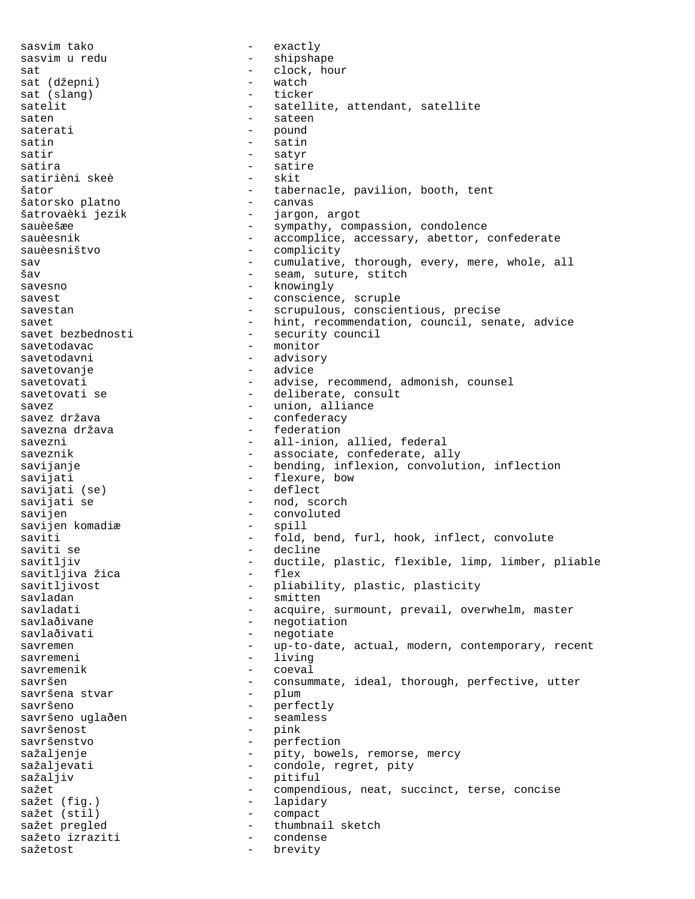sasvim tako  $-$  exactly sasvim u redu - shipshape sat - clock, hour sat (džepni) - watch sat (slang) satelit - satellite, attendant, satellite saten - sateen - sateen saterati - pound<br>satin - satin satin - satin satir - satyr<br>satira - satira - satir - satire<br>- skit satirièni skeè šator - tabernacle, pavilion, booth, tent šatorsko platno - canvas šatrovaèki jezik  $-$  jargon, argot sauèešæe - sympathy, compassion, condolence<br>sauèesnik - accomplice, accessary, abettor, que - accomplice, accessary, abettor, confederate<br>- complicity sauèesništvo - complicity sav - cumulative, thorough, every, mere, whole, all - seam, suture, stitch savesno - knowingly savest  $\sim$  - conscience, scruple savestan - scrupulous, conscientious, precise savet  $-$  hint, recommendation, council, senate, advice<br>savet bezbednosti  $-$  security council savet bezbednosti - security council - monitor savetodavni - advisory savetovanje - advice savetovati - advise, recommend, admonish, counsel savetovati se  $-$  deliberate, consult savez - union, alliance savez država savezna država  $-$  federation savezni - all-inion, allied, federal saveznik  $-$  associate, confederate, ally savijanje bending, inflexion, convolution, inflection<br>savijati flexure, bow - flexure, bow<br>- deflect savijati (se) savijati se  $-$  nod, scorch savijen - convoluted savijen komadiæ 1999 - spill saviti - fold, bend, furl, hook, inflect, convolute saviti se - decline savitljiv - ductile, plastic, flexible, limp, limber, pliable savitljiva žica - flex savitljivost - pliability, plastic, plasticity<br>savladan - smitten - smitten savladati e acquire, surmount, prevail, overwhelm, master savlaðivane - negotiation savlaðivati - negotiate savremen - up-to-date, actual, modern, contemporary, recent savremeni - living savremenik - coeval savršen - consummate, ideal, thorough, perfective, utter savršena stvar - plum savršeno - perfectly savršeno uglaðen - seamless savršenost - pink - perfection<br>- pity bowe sažaljenje - pity, bowels, remorse, mercy<br>sažaljevati - condole regret pity sažaljevati  $-$  condole, regret, pity sažaljiv - pitiful<br>sažet - compand sažet  $-$  compendious, neat, succinct, terse, concise sažet (fig.) - lapidary sažet (stil) - compact sažet pregled thumbnail sketch<br>sažeto izraziti condense sažeto izraziti - condense<br>sažetost - hrevity sažetost - brevity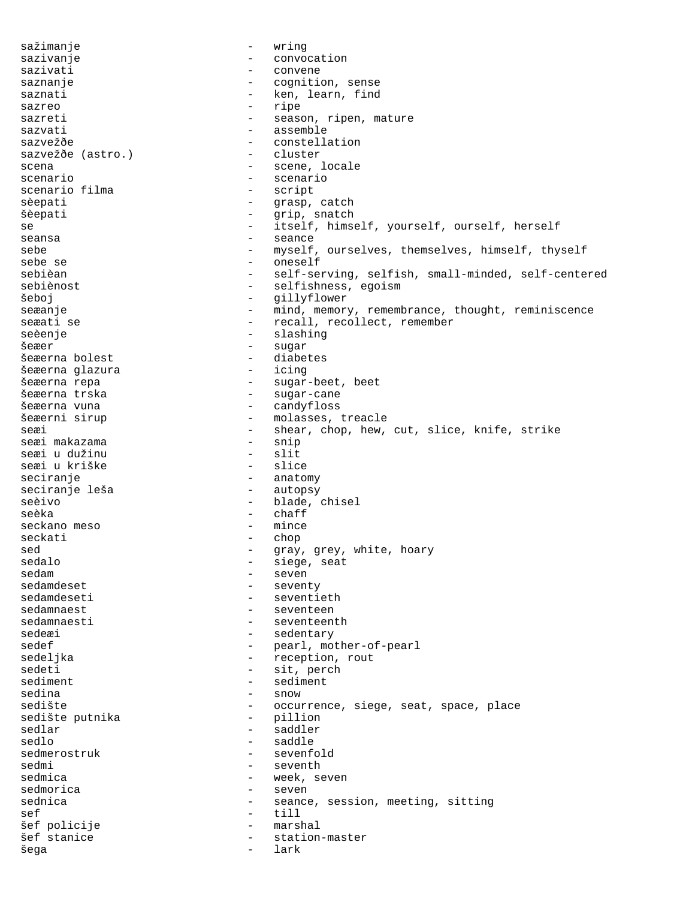sažimanje - wring sazivanje - convocation sazivati - convene saznanje - cognition, sense saznati - ken, learn, find sazreo  $-$  ripe sazreti - season, ripen, mature<br>sazvati - seasemble - seasemble sazvati - assemble - constellation<br>- cluster sazvežðe (astro.) scena - scene, locale<br>scenario - scenario - scenario scenario - scenario scenario filma sèepati - grasp, catch šèepati - grip, snatch se  $\overline{\phantom{a}}$  - itself, himself, yourself, ourself, herself seansa - seance sebe - myself, ourselves, themselves, himself, thyself<br>sebe se - oneself sebe se - oneself - self-serving, selfish, small-minded, self-centered sebiènost  $-$  selfishness, egoism šeboj - gillyflower seæanje - mind, memory, remembrance, thought, reminiscence - recall, recollect, remember seèenje - slashing - slashing šeæer - sugar šeæerna bolest - diabetes šeæerna glazura šeæerna repa - sugar-beet, beet<br>šeæerna trska - - sugar-cane - sugar-cane šeæerna vuna - candyfloss - molasses, treacle seæi  $-$  shear, chop, hew, cut, slice, knife, strike seæi makazama  $-$  snip seæi makazama - snip seæi u dužinu - slit seæi u kriške seciranje - anatomy seciranje leša seèivo - blade, chisel seèka - chaff seckano meso seckati - chop sed - gray, grey, white, hoary<br>sedalo - siege, seat sedalo<br>sedalo - siege, seat<br>sedam - seven sedam - seven sedamdeset - seventy<br>sedamdeseti - seventi - seventieth sedamnaest en metallise van de seventeen sedamnaesti - seventeenth sedeæi - sedentary sedef  $-$  pearl, mother-of-pearl sedeljka - reception, rout sedeti - sit, perch sediment - sediment sedina - snow - occurrence, siege, seat, space, place<br>- pillion sedište putnika sedlar - saddler - saddle sedmerostruk - sevenfold<br>sedmi - seventh sedmi - seventh<br>sedmica - seventh - week se sedmica - week, seven<br>sedmorica - seven - seven sednica - seance, session, meeting, sitting<br>sef - till<br>- till sef - till šef policije - marshal - station-master šega - lark - lark - lark -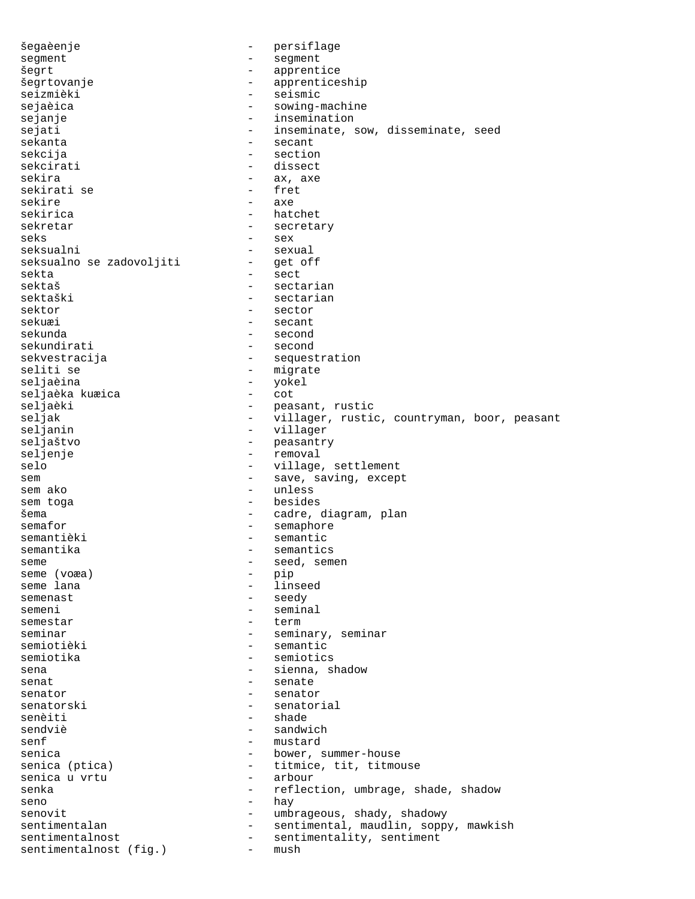šegaèenje - persiflage segment - segment šegrt - apprentice šegrtovanje - apprenticeship seizmièki - seismic sejaèica - sowing-machine sejanje - insemination sejati - inseminate, sow, disseminate, seed<br>sekanta - secant - secant - secant sekcija - section sekcirati - dissect sekira - ax, axe sekirati se sekire - axe sekirica - hatchet sekretar - secretary seks - sex seksualni - sexual<br>seksualno se zadovoljiti - get off seksualno se zadovoljiti sekta - sect sektaš - sectarian - sectarian - sectarian - sectarian - sectarian - sectarian - sectarian - sectarian - sectarian - sectarian - sectarian - sectarian - sectarian - sectarian - sectarian - sectarian - sectarian - sectarian - sectarian sektor - sector sekuæi - secant sekunda - second - second sekvestracija - sequestration seliti se - migrate - yokel<br>- cot seljaèka kuæica - cot seljaèki - peasant, rustic seljak - villager, rustic, countryman, boor, peasant<br>seljanin - villager - villager seljanin - villager seljaštvo - peasantry - removal selo  $-$  village, settlement sem  $-$  save, saving, except sem ako  $-$  unless sem toga  $-$  besides šema - cadre, diagram, plan<br>semafor - semaphore - semaphore - semaphore semantièki  $-$  semantic semantika - semantics seme  $-$  seed, semen <br>seme (voæa) - pip seme (voæa)<br>seme lana - linseed semenast - seedy semeni - seminal<br>semestar - term - term semestar - term - seminary, seminar semiotièki - semantic semiotika - semiotics sena - sienna, shadow senat - senate senator - senator<br>senatorski - senatorski - senatorski senatorski - senatorial senèiti - shade - shade - shade - shade - shade - shade - shade - shade - shade - shade - shade - shade - shade - shade - shade - shade - shade - shade - shade - shade - shade - shade - shade - shade - shade - shade - shad sendviè - sandwich - mustard senica - bower, summer-house senica (ptica) - titmice, tit, titmouse<br>senica u vrtu - arbour senica u vrtu senka - reflection, umbrage, shade, shadow seno - hay - hay - hay - hay - hay - hay - hay - hay - hay - hay - hay - hay - hay - hay - hay - hay - hay - hay - hay - hay - hay - hay - hay - hay - hay - hay - hay - hay - hay - hay - hay - hay - hay - hay - hay - hay senovit - umbrageous, shady, shadowy sentimentalan - sentimental, maudlin, soppy, mawkish sentimentalnost - sentimentality, sentiment sentimentalnost (fig.) - mush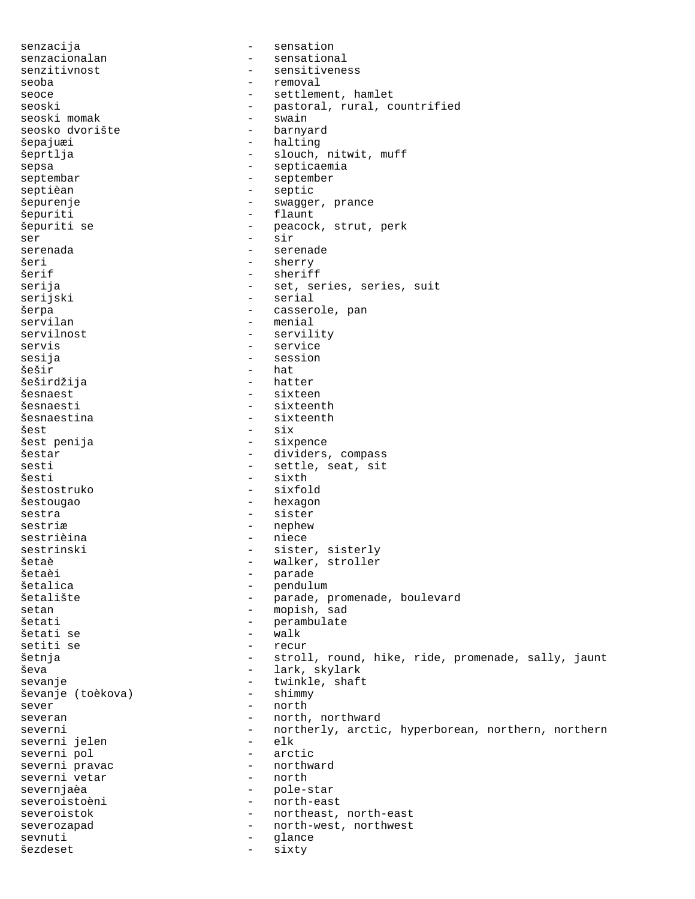senzacija - sensation senzacionalan - sensational senzitivnost - sensitiveness seoba - removal seoce - settlement, hamlet seoski - pastoral, rural, countrified<br>seoski momak - swain seoski momak - swain seosko dvorište šepajuæi - halting šeprtlja - slouch, nitwit, muff sepsa - septicaemia septembar - september septièan - septie šepurenje - swagger, prance šepuriti - flaunt šepuriti se  $\qquad \qquad$  - peacock, strut, perk ser - sir serenada - serenade - serenade - serenade - serenade - serenade - serenade - serenade - serenade - serenade šeri - sherry šerif - sheriff - set, series, series, suit serijski - serial šerpa - casserole, pan servilan - menial servilnost - servility servis ervis and the service sesija - session šešir - hat šeširdžija - hatteri šesnaest - sixteen<br>šesnaesti - sixteen - sixteen - sixteenth šesnaestina - sixteenth šest - six - sixpence šestar - dividers, compass sesti  $-$  settle, seat, sit šesti - sixth<br>šestostruko - sixfold šestostruko šestougao - hexagon sestra - sister sestriæ - nephew sestrièina - niece sestrinski - sister, sisterly šetaè - walker, stroller šetaèi - parade šetalica - pendulum - parade, promenade, boulevard setan - mopish, sad šetati - perambulate šetati se setiti se  $-$  recur šetnja 1988. – stroll, round, hike, ride, promenade, sally, jaunt ševa - lark, skylark sevanje - twinkle, shaft<br>ševanje (toèkova) - - shimmy - shimmy ševanje (toèkova) - shimmy sever - north severan - north, northward severni - northerly, arctic, hyperborean, northern, northern<br>severni ielen - elk severni jelen - elk severni pol - arctic severni pravac - northward severni vetar severnjaèa - pole-star severoistoèni - north-east severoistok - northeast, north-east severozapad - north-west, northwest sevnuti - glance šezdeset - sixty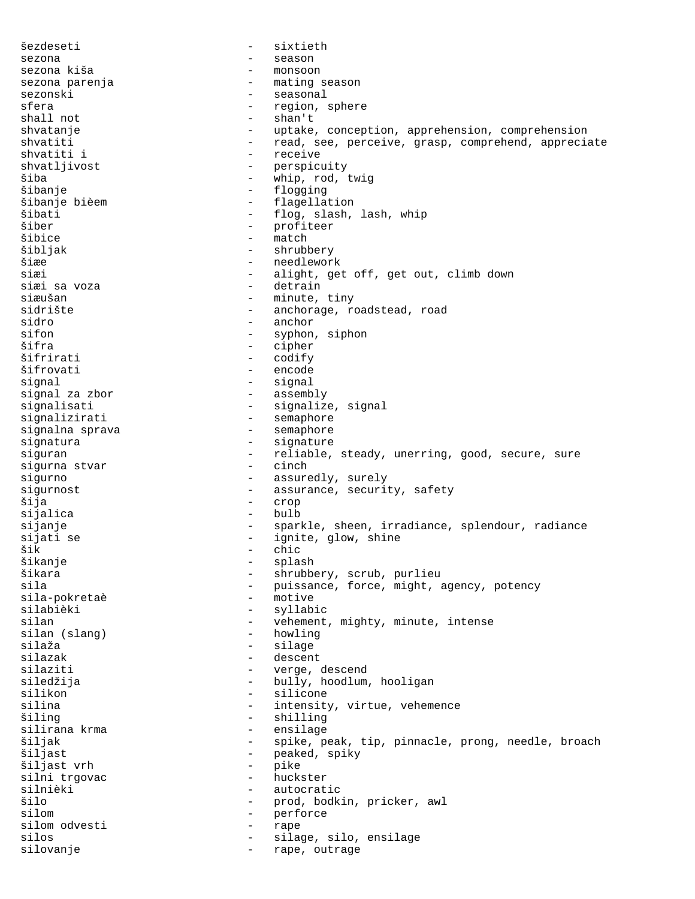šezdeseti - sixtieth sezona - season - season sezona kiša - monsoon sezona parenja - mating season<br>sezonski - seasonal sezonski - seasonal sfera - region, sphere<br>shall not - shan't shall not shvatanje - uptake, conception, apprehension, comprehension shvatiti - read, see, perceive, grasp, comprehend, appreciate<br>shvatiti i - receive - receive - receive shvatljivost - perspicuity<br>
šiha - whin rod i šiba - whip, rod, twig šibanje - flogging šibanje bièem  $-$  flagellation šibati - flog, slash, lash, whip šiber - profiteer šibice - match šibljak - shrubbery<br>Šiæe - shrubbery šiæe - needlework siæi - alight, get off, get out, climb down<br>siæi sa voza - detrain - detrain siæušan - minute, tiny sidrište - anchorage, roadstead, road sidro - anchor sifon - syphon, siphon<br>Šifra - cipher - cipher - cipher šifrirati - codify šifrovati - encode signal - signal signal za zbor signalisati - signalize, signal signalizirati - semaphore signalna sprava and the semaphore semaphore signatura - signature siguran - reliable, steady, unerring, good, secure, sure<br>sigurna stvar - cinch - cinch sigurna stvar sigurno - assuredly, surely sigurnost  $-$  assurance, security, safety šija - crop sijalica - bulb sijanje - sparkle, sheen, irradiance, splendour, radiance sijati se - ignite, glow, shine<br>šik - chic šik - chic šikanje - splash šikara - shrubbery, scrub, purlieu<br>sila - shrubbery, scrub, purlieu<br>- puissance, force, might, and the sile - puissance, force, might, agency, potency<br>- motive sila-pokretaè - motive silabièki - syllabic silan - vehement, mighty, minute, intense<br>silan (slang) - howling - howling silaža - silage silazak - descent silaziti - verge, descend siledžija - bully, hoodlum, hooligan silikon - silicone silina - intensity, virtue, vehemence<br>
siling - shilling šiling - shilling silirana krma - ensilage šiljak - spike, peak, tip, pinnacle, prong, needle, broach<br>šiljast - peaked, spiky - peaked, spiky<br>- pike šiljast vrh - pike silni trgovac and the silni trgovac silnièki - autocratic šilo - prod, bodkin, pricker, awl silom - perforce silom odvesti - rape silos - silage, silo, ensilage silovanje  $\qquad \qquad -$  rape, outrage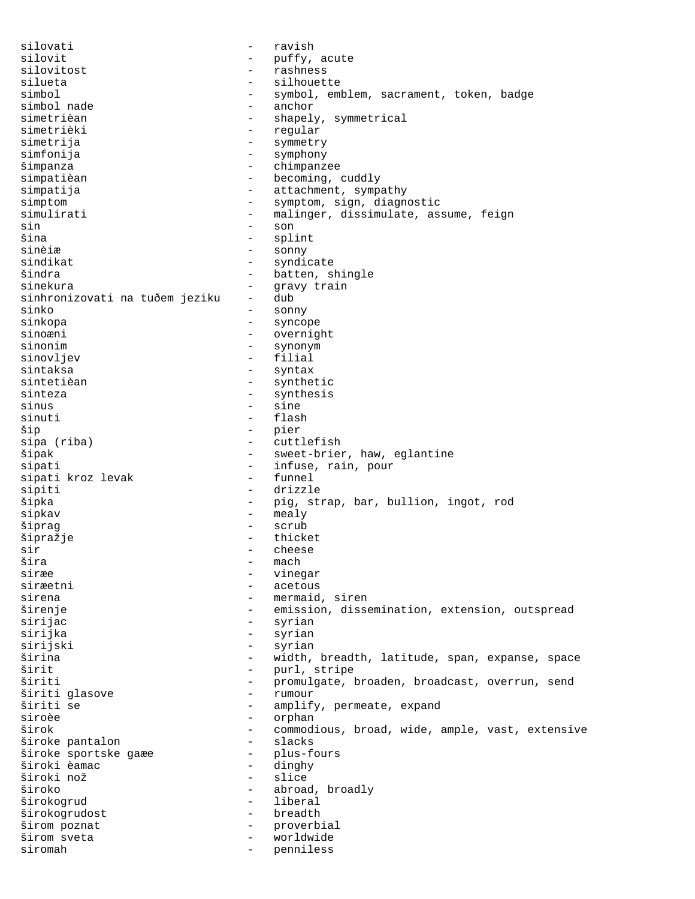silovati - ravish silovit<br>silovitost - puffy, acute<br>silovitost - rashness silovitost - rashness silueta - silhouette - symbol, emblem, sacrament, token, badge<br>- anchor simbol nade<br>simetrièan simetrièan - shapely, symmetrical<br>simetrièki - reqular simetrièki - regular - symmetry simfonija - symphony šimpanza - chimpanzee simpatièan  $-$  becoming, cuddly simpatija  $-$  attachment, sympathy simptom - symptom, sign, diagnostic simulirati  $-$  malinger, dissimulate, assume, feign sin - son šina - splint sinèiæ - sonny sindikat - syndicate - batten, shingle sinekura - gravy train sinhronizovati na tuðem jeziku sinko - sonny sinkopa - syncope - overnight sinonim - synonym sinovljev - filial sintaksa - syntax sintetièan - synthetic sinteza - synthesis<br>sinus - sine<br>- sine sinus - sine - sine - sine - sine - sine - sine - sine - sine - sine - sine - sine - sine - sine - sine - sine <br>- sinuti - sinuti - sine - sine - sine - sine - sine - sine - sine - sine - sine - sine - sine - sine - sine flash šip - pier - cuttlefish šipak - sweet-brier, haw, eglantine<br>sipati - infuse, rain, pour - infuse, rain, pour<br>- funnel sipati kroz levak sipiti - drizzle šipka - pig, strap, bar, bullion, ingot, rod sipkav - mealy šiprag - scrub šipražje - thicket - thicket sir - cheese šira - mach vinegar siræetni - acetous sirena  $-$  mermaid, siren širenje - emission, dissemination, extension, outspread sirijac - syrian sirijka - syrian sirijski - syrian širina - width, breadth, latitude, span, expanse, space - purl, stripe<br>- promulgate. širiti - promulgate, broaden, broadcast, overrun, send<br>širiti glasove - rumour širiti glasove - rumour širiti se  $\frac{1}{2}$  - amplify, permeate, expand<br>siroèe siroèe - orphan - commodious, broad, wide, ample, vast, extensive<br>- slacks široke pantalon - slacks široke sportske gaæe<br>široki èamac široki èamac - dinghy - slice široko - abroad, broadly širokogrud - liberal širokogrudost - breadth širom poznat - proverbial širom sveta - worldwide siromah - penniless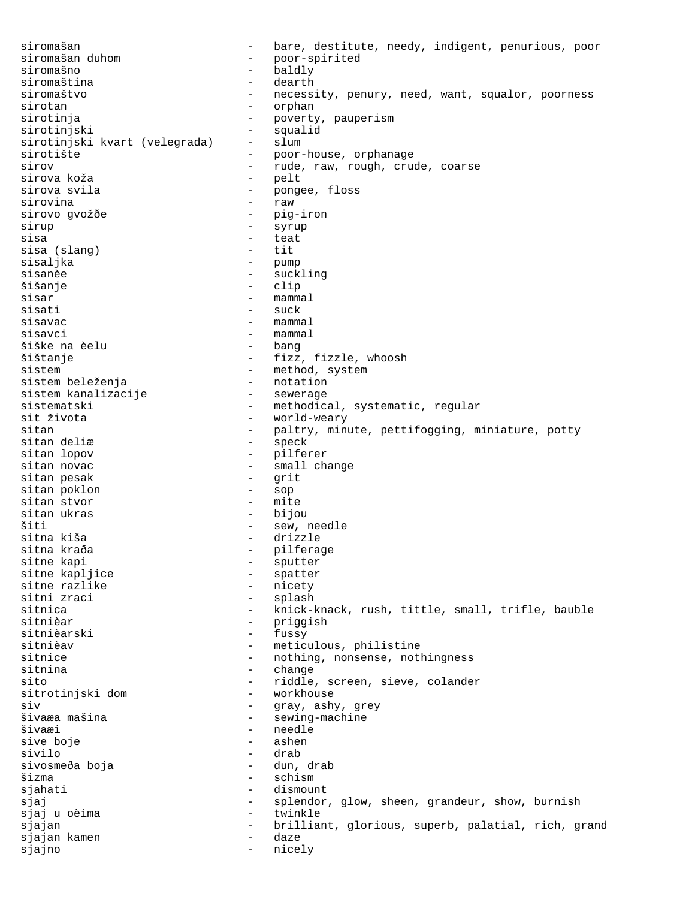siromašan - bare, destitute, needy, indigent, penurious, poor<br>siromašan duhom - poor-spirited siromašan duhom - poor-spirited - baldly<br>- dearth siromaština siromaštvo - necessity, penury, need, want, squalor, poorness sirotan - orphan sirotinja - poverty, pauperism sirotinjski - squalid sirotinjski kvart (velegrada) sirotište - poor-house, orphanage sirov - rude, raw, rough, crude, coarse sirova koža sirova svila  $-$  pongee, floss sirovina - raw sirovo gvožðe - pig-iron<br>sirup - syrup - syrup sirup - syrup sisa - teat sisa (slang) - tit sisaljka - pump sisanèe - suckling<br>šišanje - suckling<br>šišanje - clip - clip sisar - mammal sisati - suck  $size$  - mammal sisavci - mammal šiške na èelu šištanje - fizz, fizzle, whoosh sistem<br>
sistem beleženja<br>
- method, system<br>
- notation<br>
- notation sistem beleženja - notation sistem kanalizacije sistematski - methodical, systematic, regular<br>sit života - world-wearv sit života - world-weary - paltry, minute, pettifogging, miniature, potty<br>- speck sitan deliæ<br>sitan lopov - pilferer sitan novac - small change sitan pesak - grit sitan poklon - sop sitan stvor sitan ukras - bijou šiti - sew, needle sitna kiša<br>sitna kraða - drizzle<br>- pilfera sitna kraða - pilferage sitne kapi - sputter sitne kapljice - spatter sitne razlike<br>sitni zraci - splash sitnica - knick-knack, rush, tittle, small, trifle, bauble - priggish<br>- fussy sitnièarski sitnièav - meticulous, philistine sitnice - nothing, nonsense, nothingness<br>sitnina - change - change sitnina - change sito - riddle, screen, sieve, colander sitrotinjski dom<br>siv siv - gray, ashy, grey šivaæa mašina - sewing-machine<br>Šivaæi - sewing-machine - sewing-machine - needle<br>- ashen sive boje sivilo - drab sivosmeða boja šizma - schism sjahati - dismount sjaj - splendor, glow, sheen, grandeur, show, burnish sjaj u oèima - twinkle sjajan - brilliant, glorious, superb, palatial, rich, grand sjajan kamen - daze sjajno - nicely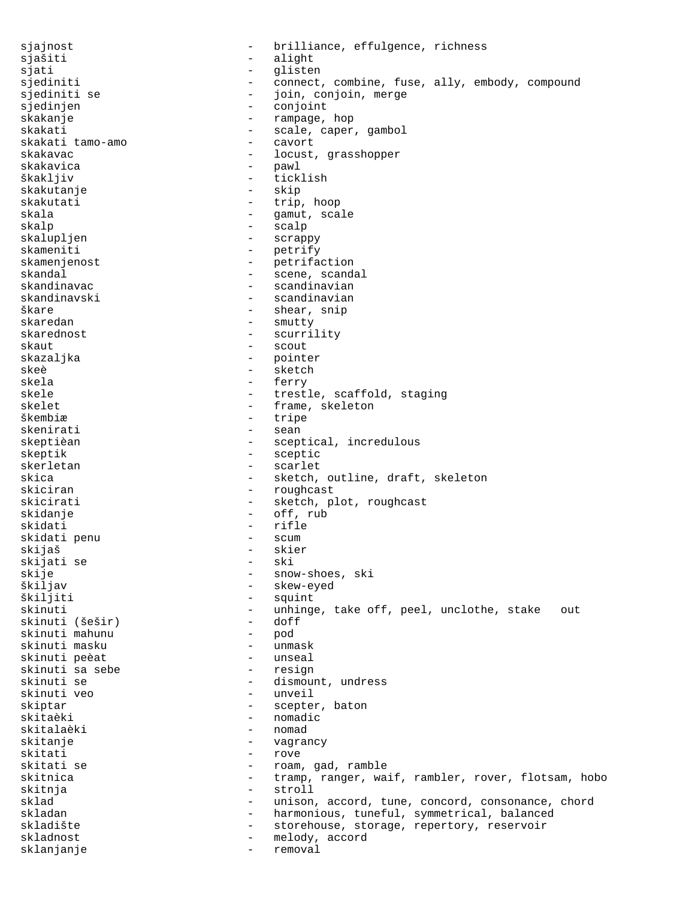sjajnost **-** brilliance, effulgence, richness sjašiti - alight<br>siati - alight - alight sjati - glisten sjediniti - connect, combine, fuse, ally, embody, compound<br>siediniti se - ioin, conjoin, merge sjediniti se  $-$  join, conjoin, merge sjedinjen - conjoint skakanje - rampage, hop skakati - scale, caper, gambol<br>skakati tamo-amo - - cavort - cavort skakati tamo-amo skakavac - locust, grasshopper skakavica - pawl škakljiv - ticklish skakutanje - skip skakutati - trip, hoop skala - gamut, scale<br>skalp - scalp - scalp skalp - scalp skalupljen - scrappy skameniti - petrify skamenjenost - petrifaction skamenjenost<br>skandal - scene, scandal<br>skandinavac - - - - - - - - scandinavian skandinavac - scandinavian - scandinavian škare - shear, snip skaredan - smutty skarednost - scurrility<br>skaut - scout - scout skazaljka - pointer<br>skeè - sketch skeè - sketch skela - ferry - ferry - ferry - ferry - ferry - ferry - ferry - ferry - ferry - ferry - ferry - ferry - ferry - ferry - ferry - ferry - ferry - ferry - ferry - ferry - ferry - ferry - ferry - ferry - ferry - ferry - ferry - trestle, scaffold, staging<br>- frame skeleton skelet - frame, skeleton<br>
škembiæ škembiæ - tripe<br>skenirati - sean - sean - sean skeptièan - sceptical, incredulous skeptik - sceptic skerletan - scarlet skica - sketch, outline, draft, skeleton skiciran - roughcast skicirati - sketch, plot, roughcast skidanje - off, rub skidati - rifle skidati penu - scum skijaš - skier skijati se<br>skije skije - snow-shoes, ski<br>Škiljav - skew-eyed škiljav - skew-eyed škiljiti - squint<br>skinuti - unhing - unhinge, take off, peel, unclothe, stake out<br>- doff skinuti (šešir) - dof<br>skinuti mahunu - pod skinuti mahunu - pod skinuti masku - unmask skinuti peèat - unseal skinuti sa sebe<br>skinuti se - dismount, undress<br>- unveil skinuti veo skiptar - scepter, baton skitaèki - nomadic skitalaèki - nomad<br>skitanie - nomad skitanje - vagrancy skitati - rove<br>skitati se - roam - roam - roam, gad, ramble skitnica - tramp, ranger, waif, rambler, rover, flotsam, hobo skitnja – stroll sklad - unison, accord, tune, concord, consonance, chord - harmonious, tuneful, symmetrical, balanced<br>- storehouse, storage, repertory, reservoir skladište - storehouse, storage, repertory, reservoir - melody, accord sklanjanje - removal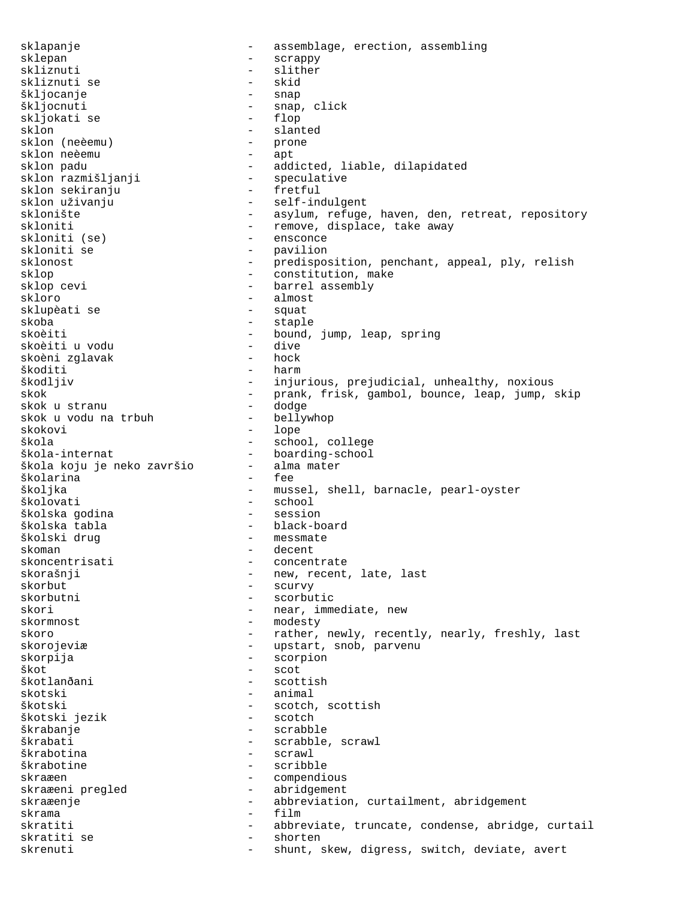sklapanje - assemblage, erection, assembling sklepan - scrappy skliznuti - slither<br>skliznuti se - skid - skid skliznuti se - skid škljocanje<br>škljocnuti – snap, click<br>– flop skljokati se<br>sklon - slanted<br>- prone sklon (neèemu) - prone<br>sklon neèemu - apt sklon neèemu sklon padu - addicted, liable, dilapidated - speculative<br>- fretful sklon sekiranju sklon uživanju  $-$  self-indulgent sklonište - asylum, refuge, haven, den, retreat, repository skloniti - remove, displace, take away<br>skloniti (se) - ensconce skloniti (se) skloniti se - pavilion sklonost - predisposition, penchant, appeal, ply, relish sklop  $-$  constitution, make sklop cevi - barrel assembly<br>skloro - almost - almost<br>- squat sklupèati se skoba - staple - staple - staple<br>skoèiti - bound. - bound, jump, leap, spring<br>- dive skoèiti u vodu - dive skoèni zglavak škoditi - harm škodljiv - injurious, prejudicial, unhealthy, noxious skok - prank, frisk, gambol, bounce, leap, jump, skip<br>skok u stranu - dodge - dodge skok u stranu - dodge skok u vodu na trbuh<br>skokovi skokovi – lope<br>škola – school – school - school, college škola-internat boarding-school<br>škola koju je neko završio alma mater škola koju je neko završio - alma mater školarina školjka - mussel, shell, barnacle, pearl-oyster školovati - school školska godina školska tabla - black-board školski drug a v v v v v v v messmate skoman - decent<br>skoncentrisati - concent - concentrate skorašnji - new, recent, late, last<br>skorbut - scurvy - scurvy skorbut - scurvy<br>skorbutni - scorbut - scorbutic skori - near, immediate, new skormnost - modesty skoro **1988** - rather, newly, recently, nearly, freshly, last skorojeviæ - upstart, snob, parvenu skorpija - scorpion škot - scot - scottish skotski - animal škotski - scotch, scottish - scotch, scottish - scotch - scotch - scotch - scotch - scotch - scotch - scotch - scotch - scotch - scotch - scotch - scotch - scotch - scotch - scotch - scotch - scotch - scotch - scotch - sco škotski jezik škrabanje - scrabble škrabati - scrabble, scrawl<br>škrabotina - - - - - - - - - scrawl - scrawl škrabotine - scribble skraæen - compendious<br>skraæeni pregled - abridgement skraæeni pregled skraæenje en en abbreviation, curtailment, abridgement<br>skrama skrama - film - abbreviate, truncate, condense, abridge, curtail<br>- shorten skratiti se  $-$  shorten skrenuti - shunt, skew, digress, switch, deviate, avert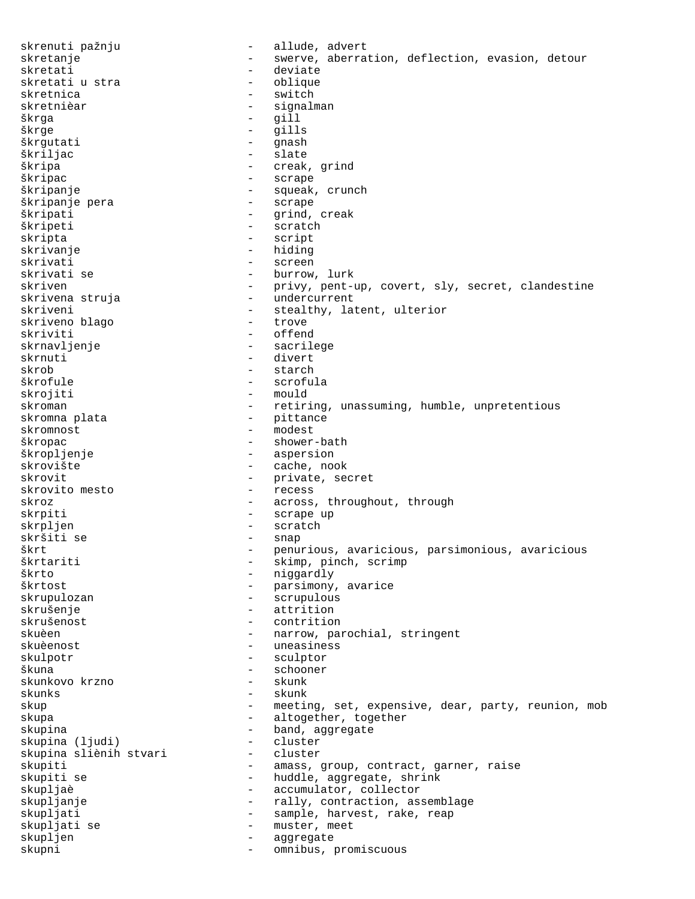skrenuti pažnju  $-$  allude, advert skretanje en en swerve, aberration, deflection, evasion, detour skretati - deviate skretati u stra skretnica - switch<br>skretnièar - signali skretnièar  $-$  signalman škrga  $-$  gill<br>škrge  $-$  gill škrge - gills škrgutati - gnash škriljac - slate škripa - creak, grind - scrape škripanje - squeak, crunch škripanje pera škripati - grind, creak škripeti - scratch - scratch skripta - script - hiding skrivati - screen - screen - screen - screen - screen - screen - screen - screen - screen - screen - screen - - burrow, lurk skriven - privy, pent-up, covert, sly, secret, clandestine<br>skrivena struja - undercurrent - undercurrent skriveni - stealthy, latent, ulterior skriveno blago skriviti - offend skrnavljenje - sacrilege skrnuti - divert skrob - starch škrofule - scrofula skrojiti - mould skroman - retiring, unassuming, humble, unpretentious skromna plata  $-$  pittance skromnost - modest škropac - shower-bath škropljenje - aspersion skrovište - cache, nook skrovit - private, secret skrovito mesto skroz - across, throughout, through skrpiti - scrape up skrpljen - scratch skršiti se - snap škrt - penurious, avaricious, parsimonious, avaricious škrtariti - skimp, pinch, scrimp škrto - niggardly škrtost - parsimony, avarice - scrupulous skrušenje - attrition skrušenost - contrition - narrow, parochial, stringent skuèenost <br/> - uneasiness skulpotr - sculptor škuna - schooner skunkovo krzno - skunk skunks - skunk skup expensive, expensive, dear, party, reunion, mob skupa - altogether, together skupina - band, aggregate<br>skupina (liudi) - cluster - cluster skupina (ljudi) - cluster skupina sliènih stvari skupiti - amass, group, contract, garner, raise skupiti se  $-$  huddle, aggregate, shrink skupljaè  $-$  accumulator, collector skupljanje - rally, contraction, assemblage skupljati  $-$  sample, harvest, rake, reap skupljati se - muster, meet<br>skupljen - muster, meet skupljen - aggregate skupni - omnibus, promiscuous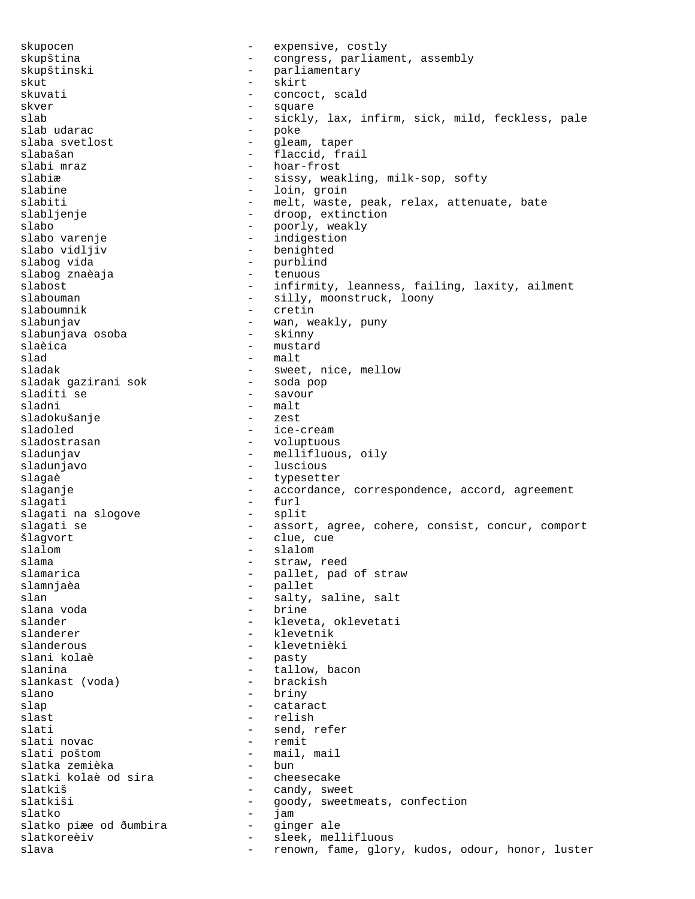skupocen - expensive, costly skupština - congress, parliament, assembly skupštinski - parliamentary skut - skirt skuvati - concoct, scald<br>skver - concoct, scald skver - square - sickly, lax, infirm, sick, mild, feckless, pale<br>- poke slab udarac - poke slaba svetlost - gleam, taper slabašan - flaccid, frail<br>slabi mraz - hoar-frost slabi mraz - hoar-frost - sissy, weakling, milk-sop, softy slabine - loin, groin slabiti - melt, waste, peak, relax, attenuate, bate slabljenje - droop, extinction slabo - poorly, weakly slabo varenje - indigestion slabo vidljiv - benighted - purblind<br>- tenuous slabog znaèaja - tenuous slabost - infirmity, leanness, failing, laxity, ailment - silly, moonstruck, loony slaboumnik - cretin slabunjav - wan, weakly, puny slabunjava osoba slaèica - mustard slad - malt sladak - sweet, nice, mellow<br>sladak gazirani sok - - soda pop sladak gazirani sok - soda pop sladiti se sladni - malt sladokušanje sladoled - ice-cream<br>sladostrasan - voluptuous - voluptuous sladunjav - mellifluous, oily sladunjavo - luscious slagaè de la communité de la communité de la communité de la communité de la communité de la communité de la communité de la communité de la communité de la communité de la communité de la communité de la communité de la c slaganje en accordance, correspondence, accord, agreement slagati - furl slagati na slogove slagati se  $\begin{array}{cccc} - & \text{assert, agree, cohere, consist, concur, comport} \\ - & \text{clue, cue} \end{array}$ - clue, cue slalom - slalom - slalom slama - straw, reed slamarica  $\qquad \qquad -$  pallet, pad of straw slamnjaèa - pallet slan - salty, saline, salt<br>slana voda - brine - brine - brine slander - kleveta, oklevetati slanderer - klevetnik slanderous - klevetnièki slani kolaè - pasty slanina - tallow, bacon slankast (voda) slano - briny - briny slap - cataract slast - relish - relish<br>slati - send, 1 slati  $-$  send, refer<br>slati novac  $-$  remit - remit slati poštom - mail, mail slatka zemièka - bun slatki kolaè od sira<br>slatkiš - candy, sweet slatkiši - goody, sweetmeats, confection slatko - jam slatko piæe od ðumbira - ginger ale slatkoreèiv - sleek, mellifluous slava - renown, fame, glory, kudos, odour, honor, luster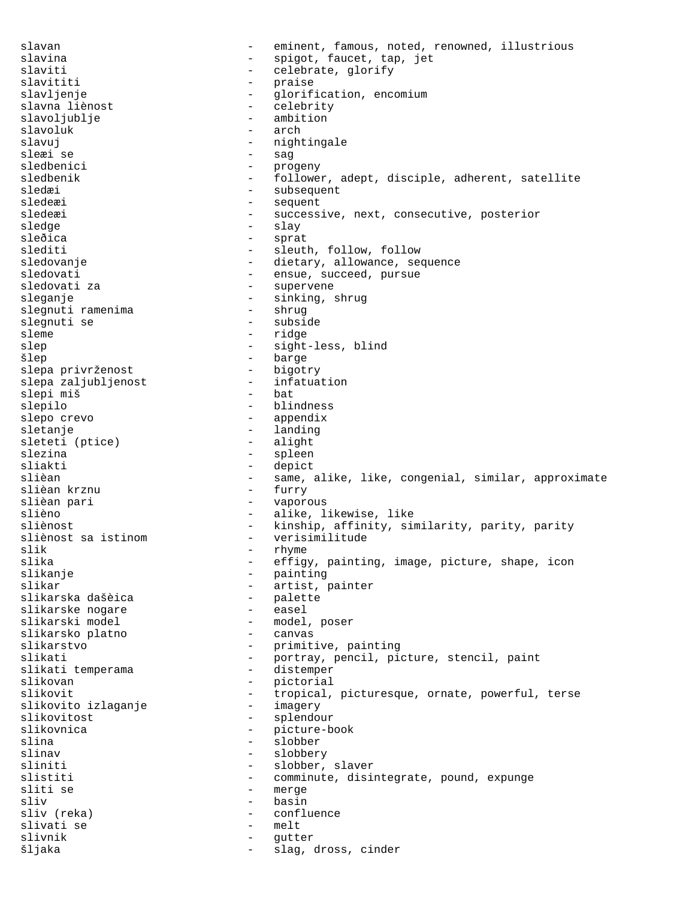slavan eminent, famous, noted, renowned, illustrious slavina - spigot, faucet, tap, jet - celebrate, glorify slavititi - praise slavljenje - glorification, encomium<br>slavna liènost - celebrity - celebrity - celebrity slavoljublje - ambition slavoluk - arch - nightingale sleæi<sup>se</sup> - sag<br>sledbenici - pro - progeny sledbenik - follower, adept, disciple, adherent, satellite sledæi - subsequent sledeæi - sequent sledeæi - successive, next, consecutive, posterior sledge - slay - slay sleðica - sprat slediti - sleuth, follow, follow<br>sledovanje - dietary, allowance, see - dietary, allowance, sequence sledovati - ensue, succeed, pursue sledovati za - supervene - sinking, shrug<br>- shrug slegnuti ramenima slegnuti se - subside<br>sleme - ridge - ridge - ridge slep - sight-less, blind šlep - barge slepa privrženost - bigotry slepa zaljubljenost - infatuation slepi miš slepilo - blindness - appendix sletanje - landing<br>sleteti (ptice) - alight sleteti (ptice) slezina - spleen<br>sliakti - depict sliakti – depict<br>slièan – same - same, alike, like, congenial, similar, approximate<br>- furry slièan krznu slièan pari - vaporous slièno - alike, likewise, like sliènost<br>
sliènost sa istinom<br>
- verisimilitude<br>
- verisimilitude sliènost sa istinom  $-$  verisimilitude<br>slik  $-$  rhyme slik - rhyme - rhyme - rhyme - rhyme - rhyme - rhyme - rhyme - rhyme - rhyme - rhyme - rhyme - rhyme - rhyme slika - effigy, painting, image, picture, shape, icon<br>slikanje - painting - painting slikanje - painting - artist, painter<br>- palette slikarska dašèica - palette slikarske nogare<br>slikarski model - model, poser<br>- canvas slikarsko platno slikarstvo<br>slikati - primitive, painting<br>- portray, pencil, pi slikati - portray, pencil, picture, stencil, paint<br>slikati temperama - distemper slikati temperama slikovan - pictorial slikovit - tropical, picturesque, ornate, powerful, terse<br>slikovito izlaganje - imagery slikovito izlaganje<br>slikovitost slikovitost - splendour slikovnica - picture-book<br>slina - slobber<br>- slobber slina - slobber<br>slinav - slobber<br>- slobber - slobbery sliniti - slobber, slaver<br>slistiti - comminute disi slistiti - comminute, disintegrate, pound, expunge<br>sliti se - merge - merge sliv<br>sliv (reka) - basin<br>- confli sliv (reka) - confluence slivati se - melt slivnik - gutter šljaka - slag, dross, cinder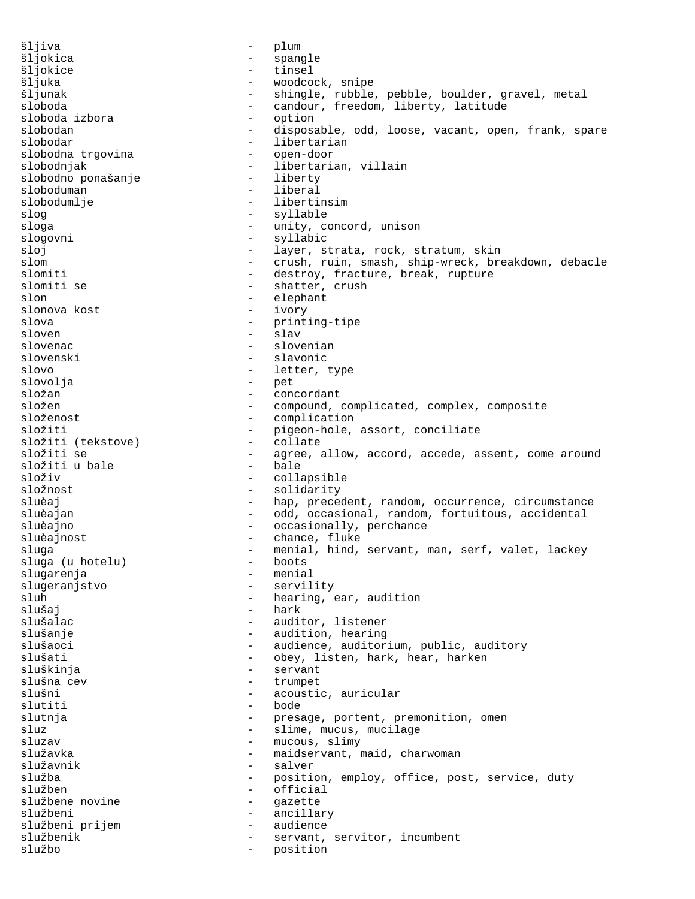šljiva - plum šljokica - spangle šljokice - tinsel šljuka - woodcock, snipe - shingle, rubble, pebble, boulder, gravel, metal sloboda - candour, freedom, liberty, latitude sloboda izbora<br>slobodan slobodan - disposable, odd, loose, vacant, open, frank, spare - libertarian<br>- open-door slobodna trgovina slobodnjak - libertarian, villain<br>slobodno ponašanje - liberty slobodno ponašanje - liberty sloboduman slobodumlje - libertinsim slog - syllable sloga - unity, concord, unison<br>slogovni - svllabic slogovni - syllabic<br>sloj - laver si sloj - layer, strata, rock, stratum, skin slom - crush, ruin, smash, ship-wreck, breakdown, debacle<br>slomiti - destrov, fracture, break, rupture slomiti - destroy, fracture, break, rupture<br>slomiti se - shatter, crush - shatter, crush<br>- elephant slon - elephant<br>slonova kost - ivory - ivory slonova kost slova - printing-tipe sloven - slav slovenac - slovenian slovenski - slavonic slovo - letter, type slovolja - pet složan - concordant složen - compound, complicated, complex, composite<br>složenost - complication - complication složiti - pigeon-hole, assort, conciliate<br>složiti (tekstove) - collate složiti (tekstove) - collate složiti se - agree, allow, accord, accede, assent, come around<br>- hale složiti u bale složiv - collapsible složnost - solidarity sluèaj  $-$  hap, precedent, random, occurrence, circumstance sluèajan  $-$  odd, occasional, random, fortuitous, accidental sluèajno  $\qquad \qquad \qquad -$  occasionally, perchance sluèajnost - chance, fluke sluga - menial, hind, servant, man, serf, valet, lackey<br>sluga (u hotelu) - hoots sluga (u hotelu) - boots slugarenja - menial slugeranjstvo - servility sluh - hearing, ear, audition<br>slušaj - hark - hark slušaj - hark - auditor, listener slušanje - audition, hearing slušaoci **1988** - audience, auditorium, public, auditory slušati - obey, listen, hark, hear, harken<br>sluškinia - servant sluškinja - servant slušna cev  $\overline{\phantom{a}}$  - trumpet slušni - acoustic, auricular - acoustic, auricular - bode slutiti slutnja  $-$  presage, portent, premonition, omen sluz - slime, mucus, mucilage<br>sluzav - mucous, slimv - mucous, slimy služavka - maidservant, maid, charwoman - maidservant, maid, charwoman služavnik - salver služba - position, employ, office, post, service, duty služben - official službene novine - gazette<br>službeni - ancilla službeni - ancillary službeni prijem službenik - servant, servitor, incumbent službo - position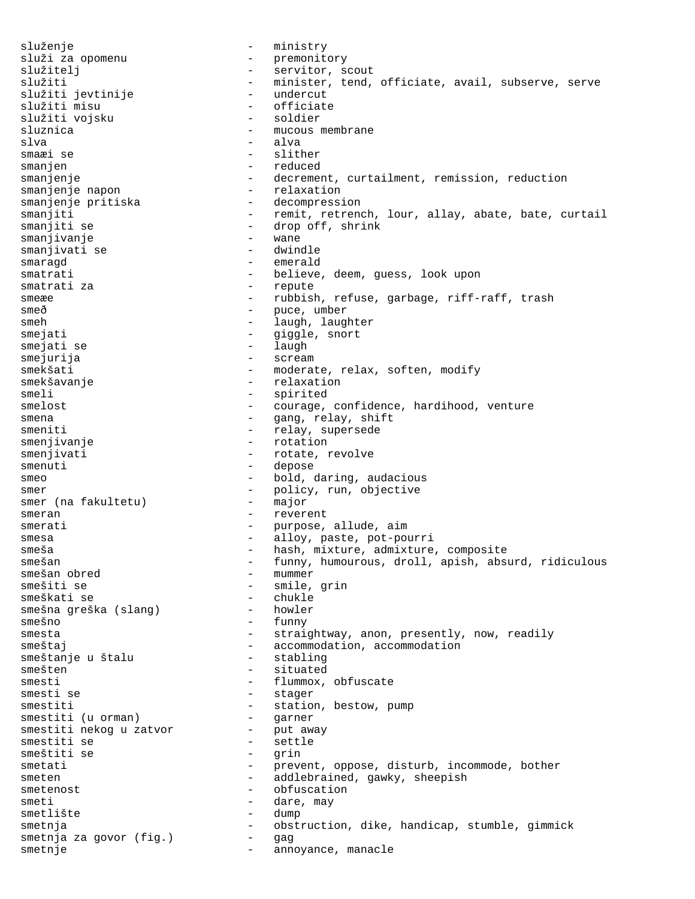služenje - ministry služi za opomenu - premonitory služitelj - servitor, scout služiti<br>služiti ievtiniie – minister, tend, officiate, avail, subserve, serve<br>služiti ievtiniie – undercut služiti jevtinije undercut<br>služiti misu officiate služiti misu - officiate služiti vojsku sluznica - mucous membrane<br>slva - alva slva - alva - slither smanjen - reduced smanjenje - decrement, curtailment, remission, reduction<br>smanjenje napon - relaxation smanjenje napon smanjenje pritiska - decompression smanjiti - remit, retrench, lour, allay, abate, bate, curtail smanjiti se  $\begin{array}{ccc} - & \text{drop off, shrink} \\ - & \text{wane} \end{array}$ smanjivanje - wane smanjivati se smaragd - emerald smatrati - believe, deem, guess, look upon smatrati za  $-$  repute smeæe - rubbish, refuse, garbage, riff-raff, trash smeð - puce, umber smeh - laugh, laughter smejati - giggle, snort smejati se  $-$  laugh smejurija - scream smekšati - moderate, relax, soften, modify smekšavanje - relaxation smeli - spirited smelost - courage, confidence, hardihood, venture smena - gang, relay, shift<br>smeniti - relay, supersede - relay, supersede smenjivanje - rotation smenjivati - rotate, revolve smenuti - depose smeo - bold, daring, audacious smer  $-$  policy, run, objective smer (na fakultetu)  $-$  major smer (na fakultetu) - major<br>smeran - reverent smeran - reverent smerati - purpose, allude, aim smesa - alloy, paste, pot-pourri smeša - hash, mixture, admixture, composite smešan - funny, humourous, droll, apish, absurd, ridiculous<br>smešan obred - mummer smešan obred - mummer - smile, grin<br>- chukle smeškati se - chukle smešna greška (slang) smešno - funny smesta - straightway, anon, presently, now, readily smeštaj - accommodation, accommodation smeštanje u štalu - accommodation - stabling smeštanje u štalu<br>smešten - situated smesti - flummox, obfuscate smesti se  $-$  stager smestiti - station, bestow, pump<br>smestiti (u orman) - garner smestiti (u orman) - garner<br>smestiti nekog u zatvor - put away smestiti nekog u zatvor<br>smestiti se - settle<br>- grin smeštiti se smetati - prevent, oppose, disturb, incommode, bother smeten - addlebrained, gawky, sheepish smetenost - obfuscation smeti - dare, may smetlište - dump smetnja  $-$  obstruction, dike, handicap, stumble, gimmick smetnja za govor (fig.) - gag<br>smetnje - anno smetnje - annoyance, manacle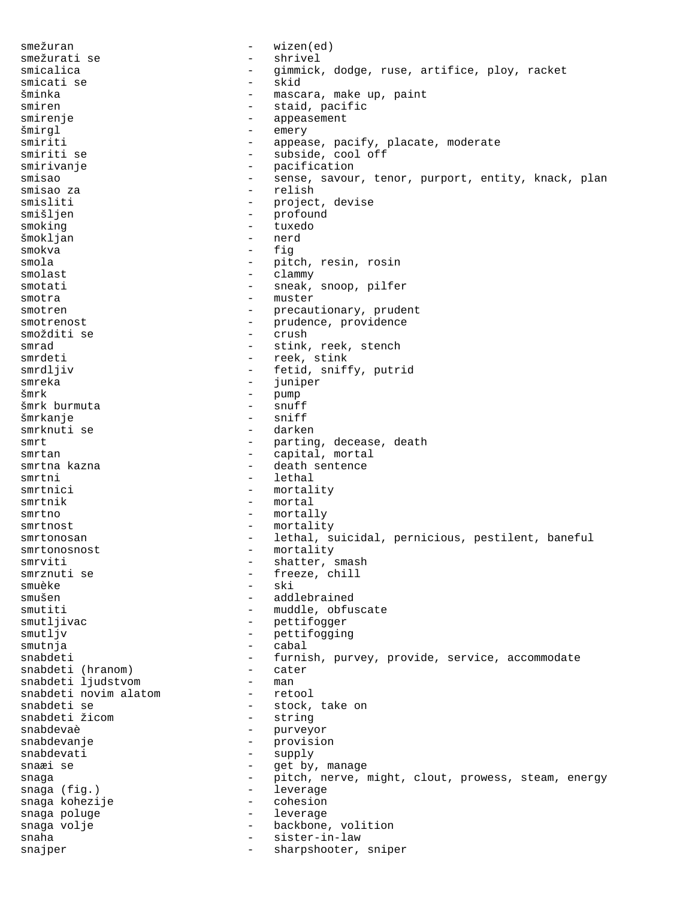smežuran - wizen(ed) smežurati se  $-$  shrivel smicalica - gimmick, dodge, ruse, artifice, ploy, racket smicati se šminka - mascara, make up, paint smiren - staid, pacific smirenje - appeasement šmirgl - emery - appease, pacify, placate, moderate smiriti se  $-$  subside, cool off smirivanje - pacification smisao - sense, savour, tenor, purport, entity, knack, plan smisao za  $-$  relish smisliti - project, devise smišljen - profound<br>smoking - tuxedo smoking - tuxedo šmokljan - nerd smokva smola<br>smolast - pitch, resin, rosin<br>clammy<br>clammy smolast - clammy smotati - sneak, snoop, pilfer smotra - muster smotren - precautionary, prudent smotrenost - prudence, providence smožditi se  $-$  crush smrad - stink, reek, stench smrdeti - reek, stink smrdljiv - fetid, sniffy, putrid<br>smreka - inniper smreka - juniper šmrk - pump šmrk burmuta - snuff šmrkanje - sniff smrknuti se smrt - parting, decease, death smrtan - capital, mortal smrtna kazna - death sentence<br>smrtni - lethal - lethal smrtnici - mortality smrtnik - mortal smrtno - mortally smrtnost - mortality smrtonosan - lethal, suicidal, pernicious, pestilent, baneful smrtonosnost - mortality smrviti - shatter, smash<br>smrznuti se - freeze, chill - freeze, chill smuèke – ski<br>smušen – ski – ski - addlebrained smutiti - muddle, obfuscate smutljivac - pettifogger smutljv - pettifogging smutnja - cabal snabdeti - furnish, purvey, provide, service, accommodate snabdeti (hranom) - cater snabdeti (hranom) - cate<br>snabdeti liudstvom - man snabdeti ljudstvom - man snabdeti novim alatom<br>snabdeti se - stock, take on<br>- string snabdeti žicom<br>snabdevaè - purveyor snabdevanje - provision snabdevati - supply snaæi se  $-$  get by, manage snaga - pitch, nerve, might, clout, prowess, steam, energy snaga (fig.) - leverage snaga kohezije - cohesion snaga poluge snaga volje  $-$  backbone, volition snaha  $-$  sister-in-law snajper - sharpshooter, sniper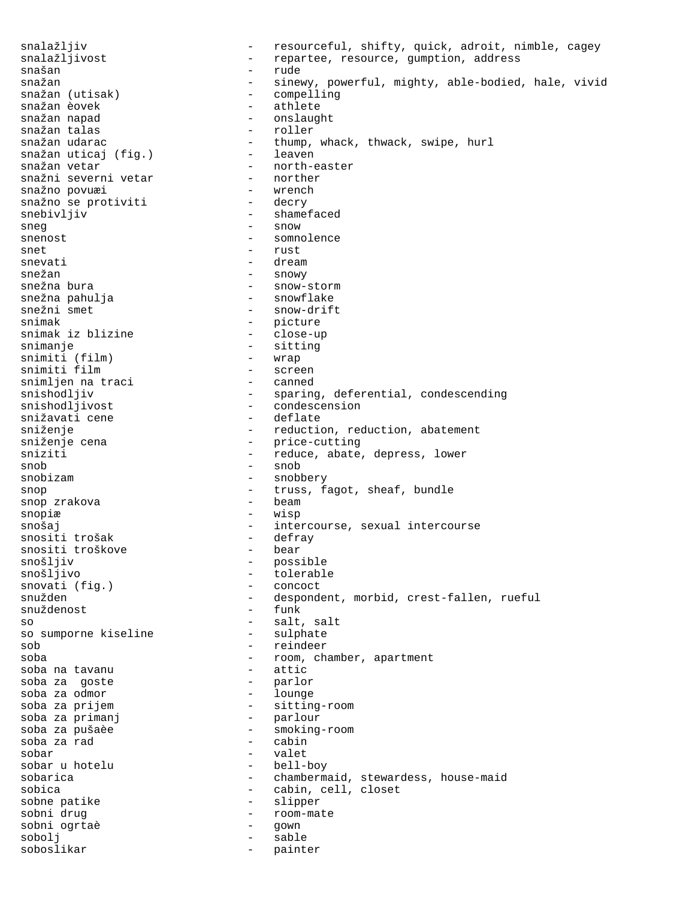snalažljiv  $-$  resourceful, shifty, quick, adroit, nimble, cagey snalažljivost  $-$  repartee, resource, gumption, address snašan - rude snažan - sinewy, powerful, mighty, able-bodied, hale, vivid<br>snažan (utisak) - compelling snažan (utisak) - compelling snažan èovek - athlete - onslaught<br>- roller snažan talas<br>snažan udarac - thump, whack, thwack, swipe, hurl<br>- leaven snažan uticaj (fig.)<br>snažan vetar - north-easter<br>- norther snažni severni vetar - norther snažno povuæi - wrench snažno se protiviti snebivljiv - shamefaced sneg - snow - snow snenost - somnolence snet - rust snevati - dream snežan - snowy snežna bura<br>snežna pahulja - snow-storm - snow-storm snežna pahulja - snowflake - snow-drift snimak - picture snimak iz blizine snimanje – sitting – sitting – sitting – sitting – sitting – sitting – sitting – sitting – sitting – sitting – sitting – sitting – sitting – sitting – sitting – sitting – sitting – sitting – sitting – sitting – sitting – s snimiti (film)<br>snimiti film - screen<br>- canned snimljen na traci snishodljiv - sparing, deferential, condescending<br>snishodljivost - condescension<br>- condescension - condescension<br>- deflate snižavati cene<br>sniženje sniženje - reduction, reduction, abatement - price-cutting sniziti  $-$  reduce, abate, depress, lower  $\mathsf{snob}$  - snob snobizam - snobbery snop - truss, fagot, sheaf, bundle snop zrakova snopiæ - wisp snošaj - intercourse, sexual intercourse snositi trošak - defray snositi trošak - defray snositi troškove<br>snošljiv snošljiv - possible - tolerable<br>- concoct snovati (fig.)<br>snužden - despondent, morbid, crest-fallen, rueful<br>- funk snuždenost so sumporne kiseline 1999 - salt, salt<br>so sumporne kiseline 1999 - sulphate so sumporne kiseline sob - reindeer soba  $\qquad \qquad -$  room, chamber, apartment soba na tavanu soba na tavanu - attic soba za goste - parlor soba za odmor soba za prijem - sitting-room soba za primanj soba za pušaèe  $\overline{ }$  - smoking-room soba za rad soba za rad sobar - valet sobar u hotelu sobarica - chambermaid, stewardess, house-maid sobica - cabin, cell, closet sobne patike  $-$  slipper sobni drug - room-mate sobni ogrtaè - gown sobolj - sable soboslikar - painter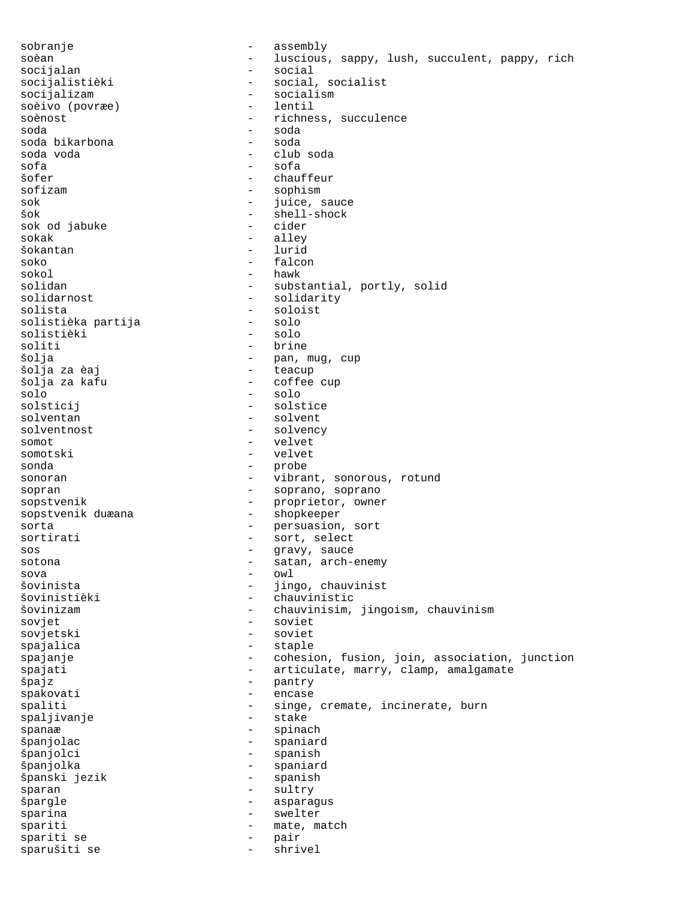sobranje - assembly soèan - luscious, sappy, lush, succulent, pappy, rich socijalan - social<br>socijalistièki - social, socijalistièki - social, socialist<br>socijalizam - socialism - socialism - socialism<br>- lentil soèivo (povræe) soènost  $\overline{\phantom{a}}$  - richness, succulence soda - soda soda bikarbona soda voda - club soda sofa - sofa - chauffeur sofizam - sophism sok - juice, sauce šok - shell-shock sok od jabuke sokak - alley - alley - alley - alley - alley - alley - alley - alley - alley - alley - alley - alley - alley -  $\sim$  1 and -  $\sim$  1 and - 1 and - 1 and - 1 and - 1 and - 1 and - 1 and - 1 and - 1 and - 1 and - 1 and - 1 an - lurid soko - falcon sokol - hawk = hawk<br>solidan - subs solidan - substantial, portly, solid<br>solidarnost - solidarity - solidarity solidarnost - solidarity<br>solista - soloist - soloist - soloist<br>- solo solistièka partija - solo solistièki<br>soliti - brine šolja - pan, mug, cup šolja za èaj - teacup šolja za kafu - coffee cup solo - solo - solo - solo<br>solsticij - solst - solstice solventan - solvent - solvency somot - velvet somotski - velvet sonda - probe sonoran - vibrant, sonorous, rotund sopran - soprano, soprano sopstvenik - proprietor, owner sopstvenik duæana - shopkeeper sorta - persuasion, sort sortirati - sort, select sos - gravy, sauce sotona - satan, arch-enemy sova - owl šovinista - jingo, chauvinist<br>šovinistièki - - chauvinistic - chauvinistic šovinizam - chauvinisim, jingoism, chauvinism sovjet<br>sovjetski - sovjet sovjetski spajalica - staple spajanje - cohesion, fusion, join, association, junction spajati  $-$  articulate, marry, clamp, amalgamate špajz - pantry spakovati - encase spaliti - singe, cremate, incinerate, burn<br>spaliivanje - stake - stake spaljivanje spanaæ - spinach španjolac - spaniard španjolci - spanish španjolka - spaniard španski jezik sparan - sultry špargle - asparagus sparina - swelter spariti  $\begin{array}{ccc} - & \text{mate, match} \\ \text{spariti se} & - & \text{naic} \\ \end{array}$ spariti se  $-$  pair sparušiti se - shrivel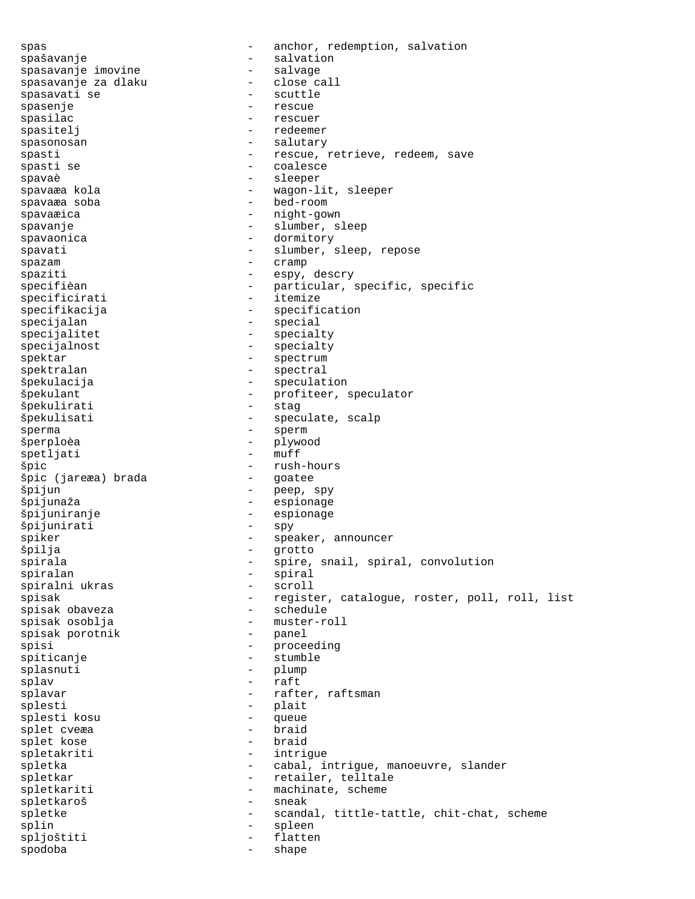spas - anchor, redemption, salvation spašavanje<br>spasavanje imovine - salvage - salvage spasavanje imovine - salvage spasavanje za dlaku - close call spasavati se - scuttle spasenje – rescuestive – response – response – response – response – response – response – response – response spasilac - rescuer spasitelj - redeemer spasonosan  $-$  salutary spasti - rescue, retrieve, redeem, save<br>spasti se - coalesce - coalesce - coalesce spavaè d'aleger de la commune de la separation de la commune de la commune de la commune de la commune de la c spavaæa kola - vagon-lit, sleeper spavaæa soba - bed-room spavaæica - night-gown spavanje - slumber, sleep spavaonica - dormitory spavati - slumber, sleep, repose spazam - cramp spaziti - espy, descry<br>specifièan - espy, descry<br>particular, specifièan - particular, specific, specific<br>- itemize specificirati specifikacija - specification specijalan - special specijalitet - specialty specijalnost - specialty spektar - spectrum - spectrum spektralan - spectral špekulacija - speculation špekulant - profiteer, speculator špekulirati - stag špekulisati - speculate, scalp sperma - sperm šperploèa - plywood spetljati špic - rush-hours špic (jareæa) brada špijun - peep, spy špijunaža - espionage špijuniranje - espionage špijunirati spiker - speaker, announcer špilja - grotto spirala - spire, snail, spiral, convolution spiralan - spiral spiralni ukras spisak - register, catalogue, roster, poll, roll, list<br>spisak obaveza - schedule spisak obaveza spisak osoblja - muster-roll spisak porotnik - panel - panel - panel - panel - panel - panel - panel - panel - panel - panel - panel - panel - panel - panel - panel - panel - panel - panel - panel - panel - panel - panel - panel - panel - panel - pane spisi - proceeding spiticanje - stumble splasnuti - plump splav - raft splavar - rafter, raftsman splesti<br>splestikosu - plait<br>- queue splesti kosu - queue splet cveæa - braid splet kose spletakriti - intrigue spletka - cabal, intrigue, manoeuvre, slander spletkar - retailer, telltale spletkariti - machinate, scheme spletkaroš - sneak spletke - scandal, tittle-tattle, chit-chat, scheme splin - spleen spljoštiti - flatten - flatten - flatten - flatten - flatten - flatten - flatten - flatten - flatten - flatten spodoba - shape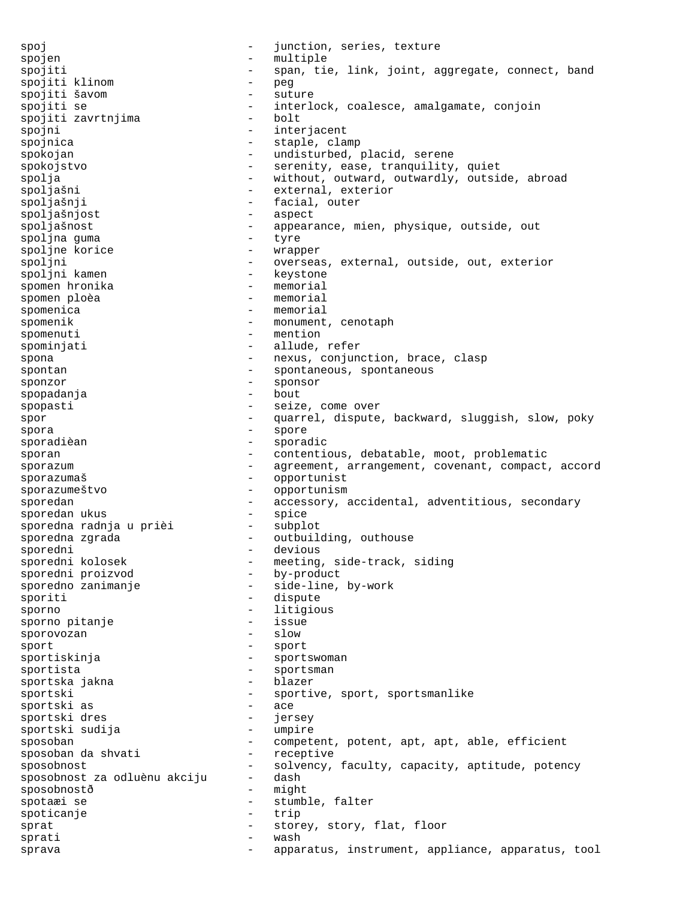spoj  $-$  junction, series, texture spojen - multiple<br>spojiti - span tie spojiti **1988** - span, tie, link, joint, aggregate, connect, band spojiti klinom - peg spojiti šavom - suture - interlock, coalesce, amalgamate, conjoin<br>- bolt  $s$ pojiti zavrtnjima  $\overline{\phantom{a}}$ spojni - interjacent - staple, clamp spokojan - undisturbed, placid, serene spokojstvo  $-$  serenity, ease, tranquility, quiet spolja - without, outward, outwardly, outside, abroad spoljašni - external, exterior spoljašnji - facial, outer spoljašnjost - aspect spoljašnost - appearance, mien, physique, outside, out spoljna guma<br>spoljne korice and tyre wrap spoljne korice - wrapper<br>spoljni - wrapper spoljni - overseas, external, outside, out, exterior<br>spoljni kamen - keystone - keystone spoljni kamen - keystone spomen hronika and the memorial spomen ploèa and the memorial spomen plot of the memorial spomen plot of the memorial spomen plot of the memorial spomen plot of the memorial spomen plot of the memorial spomen plot of the m spomen ploèa spomenica - memorial spomenik - monument, cenotaph<br>spomenuti - mention - mention spominjati  $-$  allude, refer spona - nexus, conjunction, brace, clasp spontan - spontaneous, spontaneous<br>sponzor - sponsor - sponsor sponzor - sponsor spopadanja - bout spopasti  $\begin{array}{ccc} - & \text{seize, come over} \\ - & \text{square.} \end{array}$ spor - quarrel, dispute, backward, sluggish, slow, poky spora - spore sporadièan - sporadic sporan - contentious, debatable, moot, problematic sporazum external compact, agreement, arrangement, covenant, compact, accord sporazumaš - opportunist sporazumeštvo - opportunism sporedan - accessory, accidental, adventitious, secondary<br>sporedan ukus - spice sporedan ukus<br>sporedna radnja u prièi subplot r<br>sporedna radnja u prièi sporedna zgrada - - - - outbuilding, outhouse sporedni - devious<br>sporedni kolosek - meeting - meeting, side-track, siding<br>- by-product sporedni proizvod sporedno zanimanje  $-$  side-line, by-work sporiti - dispute sporno - litigious<br>sporno pitanie - lissue - lissue sporno pitanje - issue sporovozan sport - sport sportiskinja - sportswoman<br>sportista - sportsman sportista - sportsman sportska jakna - blazer - blazer - blazer - blazer - blazer - blazer - blazer - blazer - blazer - bl sportski<br>sportski as sport i sportive, sport, sportsmanlike sportski as - ace sportski dres - jersey sportski sudija sposoban - competent, potent, apt, apt, able, efficient<br>sposoban da shvati - receptive sposoban da shvati sposobnost<br>sposobnost za odluènu akciju - dash<br>sposobnost za odluènu akciju - dash sposobnost za odluènu akciju -<br>sposobnostě sposobnostð - might spotaæi se 1990 - stumble, falter i spotiganie spoticanje - trip sprat  $-$  storey, story, flat, floor sprati - wash sprava - apparatus, instrument, appliance, apparatus, tool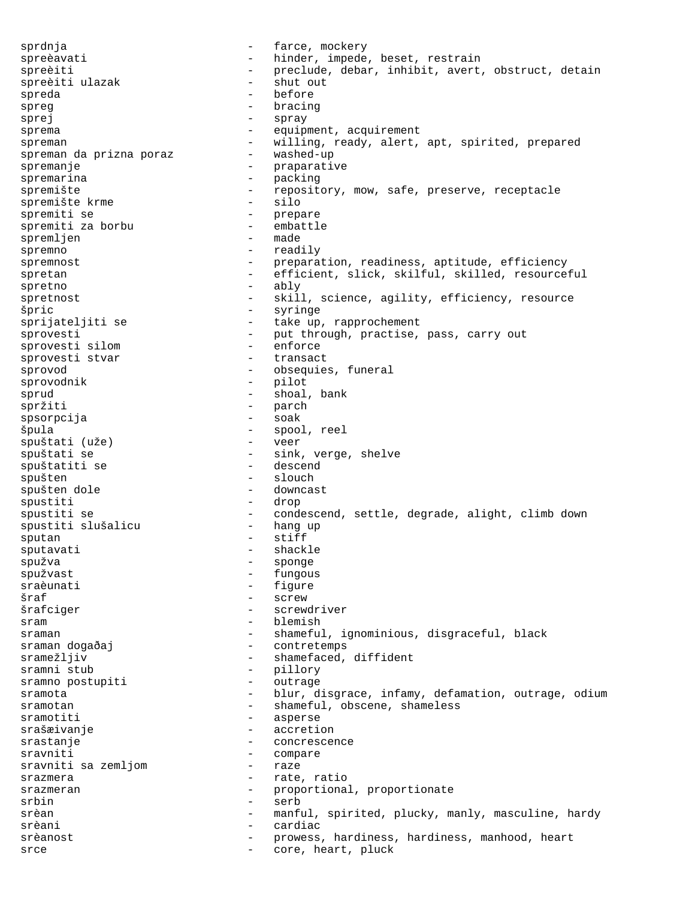sprdnja  $-$  farce, mockery spreèavati - hinder, impede, beset, restrain spreèiti - preclude, debar, inhibit, avert, obstruct, detain<br>spreèiti ulazak - shut out spreèiti ulazak spreda en el estado en el estado en el estado en el estado en el estado en el estado en el estado en el estado spreg - bracing<br>sprei - bracing<br>- spray sprej - spray sprema - equipment, acquirement spreman<br>spreman da prizna poraz - willing, ready, alert, apt, spirited, prepared<br>spreman da prizna poraz - washed-up spreman da prizna poraz spremanje  $-$  praparative spremarina - packing<br>spremište - reposito - repository, mow, safe, preserve, receptacle<br>- silo spremište krme spremiti se - prepare spremiti za borbu - embattle spremljen spremno - readily spremnost and the preparation, readiness, aptitude, efficiency spretan - efficient, slick, skilful, skilled, resourceful spretno - ably - ably spretnost  $-$  skill, science, agility, efficiency, resource špric - syringe sprijateljiti se  $-$  take up, rapprochement sprovesti - put through, practise, pass, carry out<br>sprovesti silom - enforce sprovesti silom - enforce sprovesti stvar sprovod extending the sprovod obsequies, funeral sprovodnik - pilot sprud - shoal, bank spržiti – parch – parch – parch – parch – parch – parch – parch – parch – parch – parch – parch – parch – parch – parch – parch – parch – parch – parch – parch – parch – parch – parch – parch – parch – parch – parch – parc spsorpcija špula - spool, reel spuštati (uže)<br>spuštati se - sink, verge, shelve<br>- descend spuštatiti se spušten<br>spušten dole<br>spušten dole<br>spušten dole<br>spušten dole spušten dole spustiti - drop spustiti se - condescend, settle, degrade, alight, climb down spustiti slušalicu sputan - stiff<br>sputavati - shack sputavati - shackle<br>spužva - shonge spužva - sponge spužvast - fungous sraèunati - figure  $\text{Sraf}$  - screw šrafciger - screwdriver sram - blemish sraman - shameful, ignominious, disgraceful, black sraman dogaðaj **-** contretemps sramežljiv  $-$  shamefaced, diffident sramni stub - pillory sramno postupiti - outrage sramota <sup>-</sup> <sup>-</sup> blur, disgrace, infamy, defamation, outrage, odium sramotan - shameful, obscene, shameless sramotiti - asperse srašæivanje<br>srastanje - accretion<br>- concrescen srastanje - concrescence sravniti - compare sravniti sa zemljom srazmera  $-$  rate, ratio srazmeran - proportional, proportionate srbin - serb srèan - manful, spirited, plucky, manly, masculine, hardy srèani - cardiac srèanost en externe en la prowess, hardiness, hardiness, manhood, heart srce and the core, heart, pluck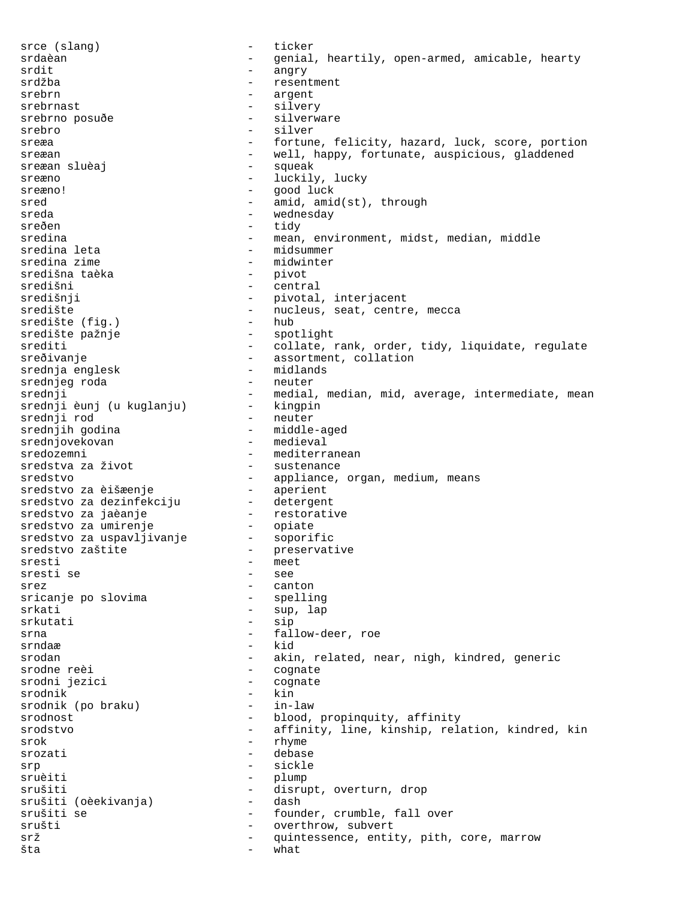srce (slang) - ticker srdaèan - genial, heartily, open-armed, amicable, hearty<br>srdit - angry srdit - angry srdžba - resentment srebrn - argent srebrnast - silvery srebrno posuðe  $-$  silverware srebro - silver sreæa - fortune, felicity, hazard, luck, score, portion sreæan - well, happy, fortunate, auspicious, gladdened<br>sreæan sluèaj - squeak sreæan sluèaj sreæno - luckily, lucky sreæno! - good luck sred  $-$  amid, amid(st), through sreda - wednesday - wednesday sreðen - tidy sredina - mean, environment, midst, median, middle<br>sredina leta - midsummer sredina leta - midsummer - midwinter<br>- pivot središna taèka<br>središni središni - central - pivotal, interjacent središte<br>središte (fig.) - nucleus, seat, centre, mecca<br>- hub - hub središte (fig.) središte pažnje  $-$  spotlight srediste paznje<br>srediti - collate, rank, order, tidy, liquidate, regulate sreðivanje - assortment, collation<br>srednja englesk - midlands srednja englesk - midlands srednjeg roda - neuter - medial, median, mid, average, intermediate, mean srednji èunj (u kuglanju) - kingpin srednji rod - neuter srednjih godina - middle-aged srednjovekovan - medieval sredozemni - mediterranean<br>sredstva za život - sustenance sredstva za život sredstvo - appliance, organ, medium, means<br>sredstvo za èišæenje - aperient sredstvo za èišæenje sredstvo za dezinfekciju - detergent sredstvo za jaèanje restorative sredstvo za umirenje - opiate sredstvo za uspavljivanje - soporific sredstvo zaštite - - - - - - preservative sresti – meet<br>sresti se – – see sresti se srez - canton sricanje po slovima<br>srkati - sup, lap srkutati - sip srna  $-$  fallow-deer, roe srndaæ - kid srodan - akin, related, near, nigh, kindred, generic srodne reèi - cognate srodni jezici - cognate srodnik - kin<br>srodnik (po braku) - in-law srodnik (po braku) srodnost - blood, propinquity, affinity srodstvo - affinity, line, kinship, relation, kindred, kin srok - rhyme srozati - debase srp - sickle sruèiti - plump srušiti - disrupt, overturn, drop srušiti (oèekivanja) - disrupt, overturn, drop srušiti (oèekivanja) srušiti se  $-$  founder, crumble, fall over srušti - overthrow, subvert srž - quintessence, entity, pith, core, marrow šta – what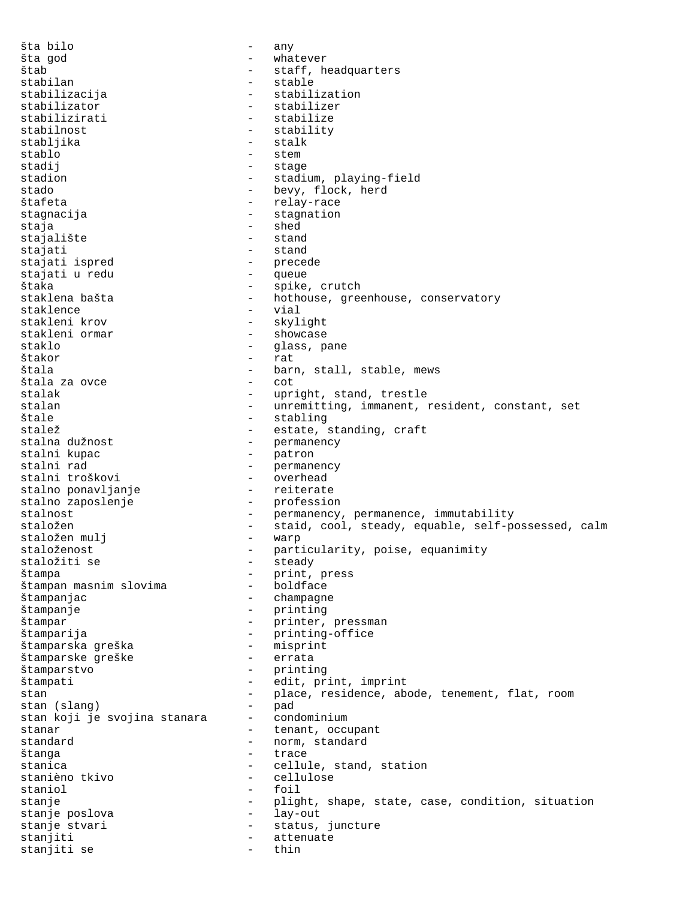šta bilo - any šta god  $\qquad \qquad -$  whatever štab - staff, headquarters stabilan - stable stabilizacija - stabilization stabilizator - stabilizer stabilizirati - stabilize stabilnost - stability stabljika - stalk<br>stablo - stem - stem - stem stadij - stage stadion - stadium, playing-field stado - bevy, flock, herd štafeta - relay-race stagnacija - stagnation staja - shed stajalište - stand stajati - stand stajati ispred - precede stajati u redu štaka - spike, crutch<br>staklena bašta - - - - - - hothouse, gree - hothouse, greenhouse, conservatory<br>- vial staklence<br>stakleni krov stakleni krov - skylight - showcase staklo  $-$  glass, pane štakor - rat štala - barn, stall, stable, mews štala za ovce - cot - upright, stand, trestle stalan - unremitting, immanent, resident, constant, set<br>
Stale - stabling štale - stabling - stabling<br>stalež - - state - state - state - state - state - state - state - state - state - state - state - state - st stalež - estate, standing, craft<br>stalna dužnost - estate, standing, craft stalna dužnost - permanency stalni kupac - patron - permanency<br>- overhead stalni troškovi - overhead stalno ponavljanje - reiterate stalno zaposlenje stalnost - permanency, permanence, immutability staložen - staid, cool, steady, equable, self-possessed, calm staložen mulj - warp staloženost  $-$  particularity, poise, equanimity staložiti se - steady - print, press<br>- boldface štampan masnim slovima štampanjac - champagne štampanje - printing štampar - printer, pressman štamparija<br>
štamparska greška – printing-office<br>
– misprint štamparska greška štamparske greške - errata štamparstvo - printing štampati - edit, print, imprint stan - place, residence, abode, tenement, flat, room stan (slang) - pad stan koji je svojina stanara - condominium stanar - tenant, occupant standard - norm, standard štanga - trace - cellule, stand, station<br>- cellulose stanièno tkivo staniol - foil<br>stanje - mligi stanje eta estate - plight, shape, state, case, condition, situation stanje poslova - lay-out stanje stvari e verove v status, juncture stanjiti - attenuate stanjiti se  $-$  thin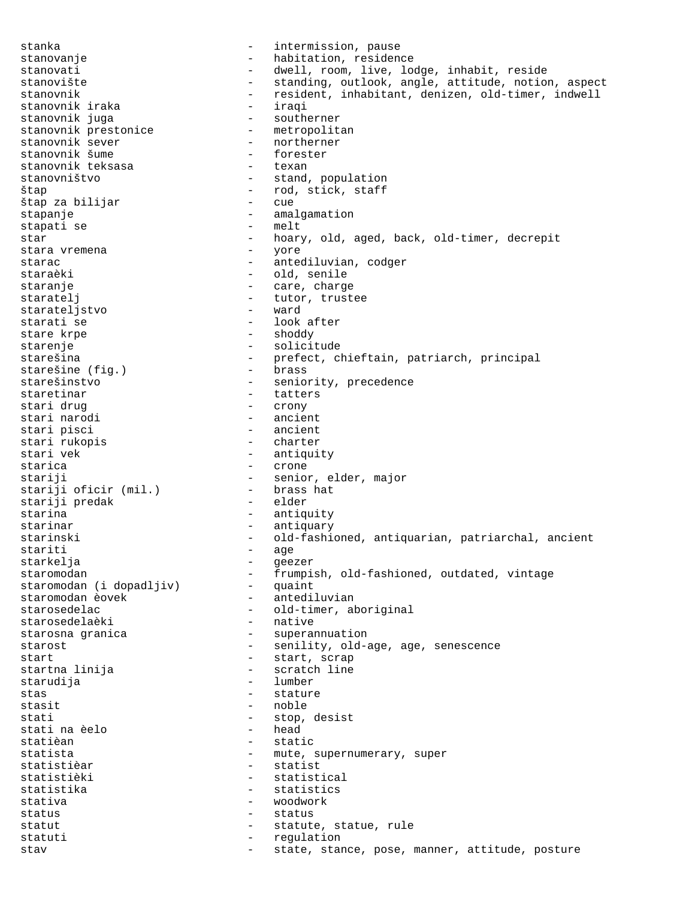stanka - intermission, pause stanovanje  $\qquad \qquad \qquad -$  habitation, residence stanovati - dwell, room, live, lodge, inhabit, reside - standing, outlook, angle, attitude, notion, aspect stanovnik - resident, inhabitant, denizen, old-timer, indwell<br>stanovnik iraka - iraqi stanovnik iraka - iraqi stanovnik juga - southerner stanovnik prestonice - metropolitan stanovnik sever and the mortherner - northerner - northerne stanovnik šume - forest<br>stanovnik teksasa - texan stanovnik teksasa stanovništvo - stand, population štap - rod, stick, staff štap za bilijar stapanje - amalgamation<br>stapati se - melt stapati se star - hoary, old, aged, back, old-timer, decrepit<br>stara vremena - yore - yore stara vremena starac - antediluvian, codger staraèki - old, senile staranje - care, charge - tutor, trustee<br>- ward starateljstvo starati se  $-$  look after stare krpe  $\qquad \qquad -$  shoddy starenje - solicitude starešina - prefect, chieftain, patriarch, principal<br>starešine (fig.) - brass starešine (fig.) starešinstvo - seniority, precedence staretinar - tatters stari drug - crony stari narodi - ancient - ancient<br>- charter stari rukopis<br>stari vek - antiquity starica - crone stariji - senior, elder, major<br>stariji oficir (mil.) - brass hat stariji oficir (mil.) - brass<br>stariji predak - elder stariji predak starina - antiquity<br>starinar - antiquity starinar - antiquary - old-fashioned, antiquarian, patriarchal, ancient stariti - age<br>starkelja - ege: - geezer staromodan - frumpish, old-fashioned, outdated, vintage staromodan (i dopadljiv) - quaint staromodan èovek - antediluvian starosedelac - old-timer, aboriginal<br>starosedelaèki - native - native starosedelaèki starosna granica and the superannuation starost  $-$  senility, old-age, age, senescence start - start, scrap - scratch line starudija - lumber stas - stature stasit - noble stati  $\begin{array}{ccc} - & \text{stop, desist} \\ - & \text{head} \end{array}$ stati na èelo<br>statièan statièan - static - mute, supernumerary, super statistièar - statist - statistical statistika - statistics stativa - woodwork status - status - status statut - statute, statue, rule statuti - regulation stav state, stance, pose, manner, attitude, posture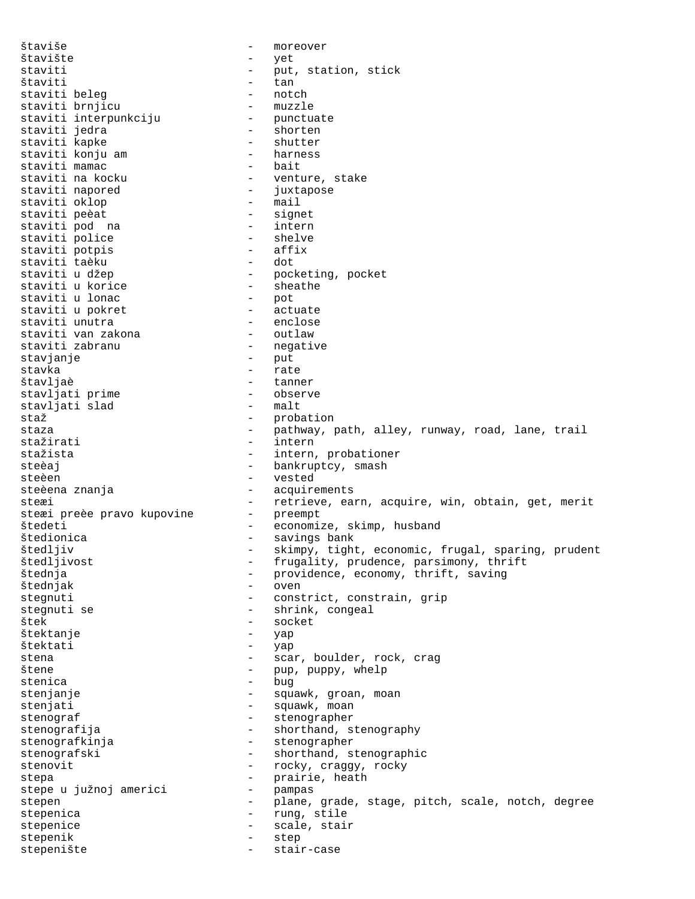štaviše - moreover štavište - yet staviti - put, station, stick štaviti - tan staviti beleg - notch staviti brnjicu - muzzle staviti interpunkciju - punctuate staviti jedra - shorten staviti kapke - shutter<br>staviti konju am - - - - - - - - - harness staviti konju am - harness staviti mamac<br>staviti na kocku staviti na kocku - venture, stake - juxtapose<br>- mail staviti oklop - mail staviti peèat - signet staviti pod na - intern staviti police and the shelve staviti potpis - affix staviti taèku - dot staviti u džep  $\qquad \qquad$  - pocketing, pocket staviti u korice - sheathe staviti u lonac - pot staviti u pokret - actuate staviti unutra - enclose staviti van zakona - outlaw staviti zabranu - negative stavjanje stavka - rate štavljaè - tanner stavljati prime - observe stavljati slad<br>staž staž - probation staza - pathway, path, alley, runway, road, lane, trail<br>stažirati - intern stažirati - intern<br>stažista - intern.<br>- intern. - intern, probationer steèaj - bankruptcy, smash steèen - vested steèena znanja  $\overline{\phantom{a}}$  - acquirements steæi en en steæi - retrieve, earn, acquire, win, obtain, get, merit steæi preèe pravo kupovine šte i preče pravo kupovine - preempt<br>štedeti - economize, skimp, husband<br>štedionica - savings bank - savings bank štedljiv - skimpy, tight, economic, frugal, sparing, prudent - frugality, prudence, parsimony, thrift štednja - providence, economy, thrift, saving<br>štednjak - oven - oven štednjak - oven stegnuti - constrict, constrain, grip stegnuti se  $-$  shrink, congeal štek - socket štektanje štektati - yap stektati<br>stena - scar, boulder, rock, crag<br>štene - pup, puppy, whelp štene - pup, puppy, whelp stenica - bug stenjanje  $\qquad \qquad \qquad -$  squawk, groan, moan stenjati - squawk, moan stenograf - stenographer stenografija - shorthand, stenography stenografkinja - stenographer stenografski - shorthand, stenographic stenovit - rocky, craggy, rocky stepa - prairie, heath<br>stepe u južnoj americi - pampas stepe u južnoj americi stepen - plane, grade, stage, pitch, scale, notch, degree stepenica - rung, stile stepenice - scale, stair<br>stepenik - stan - stan stepenik - step stepenište - stair-case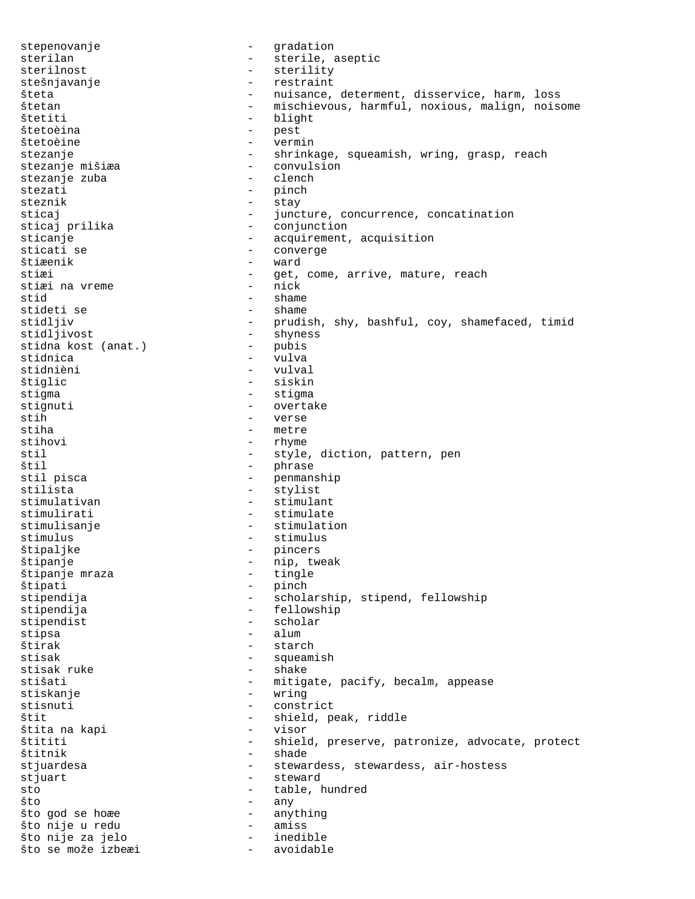stepenovanje - qradation sterilan - sterile, aseptic sterilnost - sterility stešnjavanje **-** restraint šteta - nuisance, determent, disservice, harm, loss štetan - mischievous, harmful, noxious, malign, noisome štetiti - blight štetoèina - pest štetoèine stezanje - shrinkage, squeamish, wring, grasp, reach<br>stezanje mišiæa - convulsion stezanje mišiæa - convulsion stezanje zuba<br>stezati - pinch steznik - stay sticaj  $-$  juncture, concurrence, concatination<br>sticaj prilika  $-$  conjunction - conjunction sticanje - acquirement, acquisition sticati se - converge štiæenik - ward - get, come, arrive, mature, reach<br>- nick stiæi na vreme<br>stid - shame<br>- shame stideti se stidljiv - prudish, shy, bashful, coy, shamefaced, timid - shyness<br>- pubis stidna kost (anat.) stidnica and a vulva stidnièni - vulval štiglic - siskin stigma - stigma stignuti - overtake<br>stih - verse stih  $-$  verse<br>stiha - metre stiha - metre<br>stihovi - metre stihovi - rhyme<br>stil - style stil - style, diction, pattern, pen<br>
stil - phrase<br>
- phrase štil - phrase stil pisca - penmanship - stylist stimulativan - stimulant stimulirati - stimulate stimulisanje - stimulation stimulus - stimulus štipaljke - pincers štipanje - nip, tweak štipanje mraza štipati - pinch<br>stipendija - schola - scholarship, stipend, fellowship stipendija - fellowship<br>stipendist - scholar stipendist stipsa - alum štirak - starch stisak - squeamish - squeamish - shake - shake - shake - shake - shake - shake - shake - shake - shake - shake - shake - shake - shake - shake - shake - shake - shake - shake - shake - shake - shake - shake - shake - shake stisak ruke<br>stišati - mitigate, pacify, becalm, appease stiskanje – wring – wring<br>stisnuti – const stisnuti - constrict<br>  $\frac{1}{2}$  - constrict<br>
- shield p štit - shield, peak, riddle štita na kapi - visor - shield, preserve, patronize, advocate, protect štitnik - shade stjuardesa - stewardess, stewardess, air-hostess stjuart - steward sto - table, hundred što – any što god se hoæe - anything što nije u redu - amiss što nije za jelo - inedible što se može izbeæi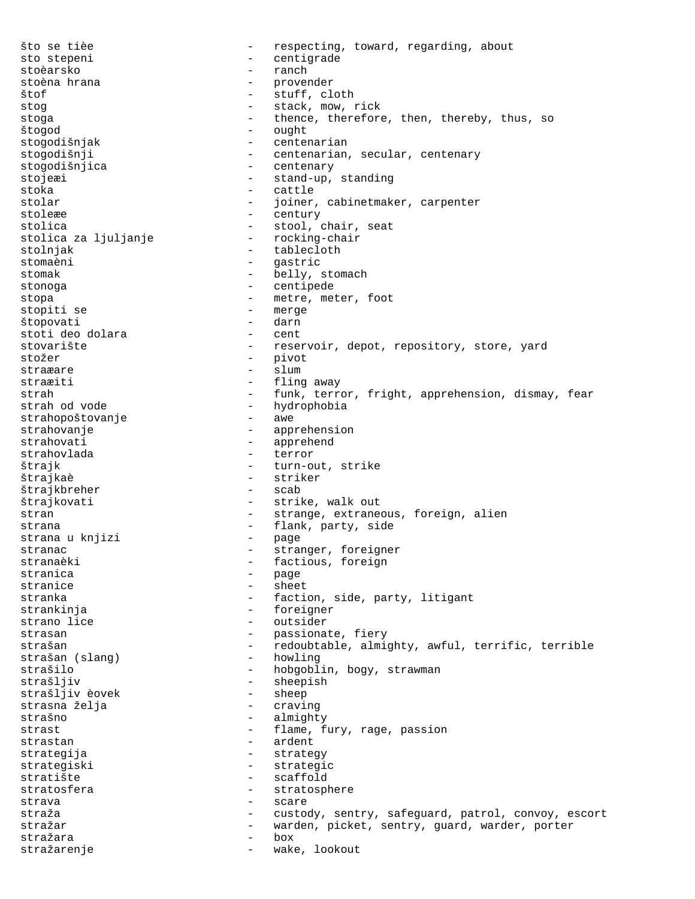što se tièe - respecting, toward, regarding, about sto stepeni - centigrade - ranch<br>- provender stoèna hrana štof - stuff, cloth stog  $-$  stack, mow, rick stoga - thence, therefore, then, thereby, thus, so štogod - ought - centenarian stogodišnji - centenarian, secular, centenary stogodišnjica - centenary stojeæi - stand-up, standing stoka - cattle stolar  $-$  joiner, cabinetmaker, carpenter stoleæe - century stolica - stool, chair, seat stolica za ljuljanje - rocking-chair stolnjak - tablecloth stomaèni - gastric stomak - belly, stomach stonoga - centipede stopa - metre, meter, foot stopiti se - merge štopovati - darn stoti deo dolara stovarište - reservoir, depot, repository, store, yard stožer – pivot – pivot<br>stra<del>z</del>are – – slum straæare - slum straæiti - fling away strah - funk, terror, fright, apprehension, dismay, fear<br>strah od vode - hydrophobia - hydrophobia<br>- awe strahopoštovanje strahovanje - apprehension - apprehend strahovlada - terror - turn-out, strike štrajkaè - striker štrajkbreher štrajkovati - strike, walk out stran - strange, extraneous, foreign, alien strana<br>strana u knjizi - flank, party, side<br>- page strana u knjizi stranac - stranger, foreigner stranaèki  $-$  factious, foreign stranica - page stranice - sheet stranka - faction, side, party, litigant<br>strankinia - foreigner - foreigner strano lice  $\qquad \qquad -$  outsider strasan - passionate, fiery strašan - redoubtable, almighty, awful, terrific, terrible<br>strašan (slanq) - howling strašan (slang) strašilo  $-$  hobgoblin, bogy, strawman strašljiv - sheepish strašljiv èovek - sheep strasna želja strašno - almighty strast  $-$  flame, fury, rage, passion strastan - ardent strategija - strategy strategiski - strategic stratište - scaffold stratosfera - stratosphere strava - scare straža - custody, sentry, safeguard, patrol, convoy, escort stražar - warden, picket, sentry, guard, warder, porter stražara stražarenje - wake, lookout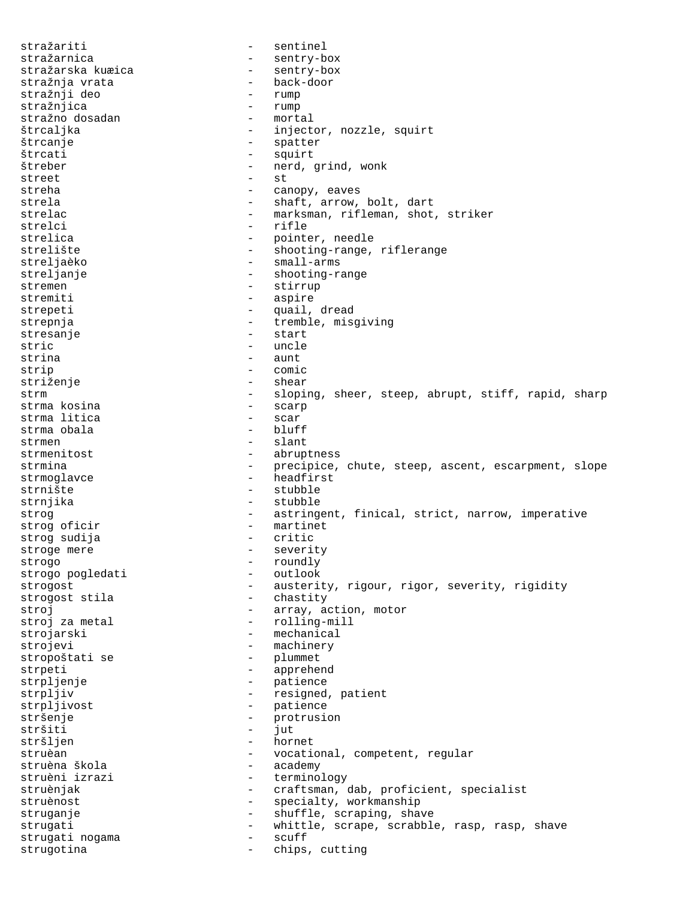stražariti - sentinel stražarnica - sentry-box stražarska kuæica stražnja vrata - back-door stražnji deo - rump stražnjica - rump stražno dosadan<br>štrcaljka štrcaljka - injector, nozzle, squirt<br>štrcanje - - - - - - - - spatter - spatter štrcati - squirt štreber – nerd, grind, wonk<br>street – st  $\frac{1}{2}$  street  $\frac{1}{2}$  street  $\frac{1}{2}$  street  $\frac{1}{2}$ streha - canopy, eaves strela  $-$  shaft, arrow, bolt, dart strelac - marksman, rifleman, shot, striker strelci - rifle strelica - pointer, needle<br>strelište - shooting-range. strelište - shooting-range, riflerange<br>streljaèko - - small-arms streljaèko - small-arms<br>streljanje - shooting-ra - shooting-range stremen - stirrup<br>stremiti - stirrup - stirrup - aspire strepeti - quail, dread strepnja - tremble, misgiving stresanje - start stric - uncle strina - aunt strip - comic striženje - shear strm - sloping, sheer, steep, abrupt, stiff, rapid, sharp<br>strma kosina - scarp<br>- scarp strma kosina - scarp strma litica - scar strma obala strmen - slant strmenitost - abruptness strmina external contract to the precipice, chute, steep, ascent, escarpment, slope strmoglavce - headfirst<br>strnište - stubble - stubble strnjika - stubble strog extending the stringent, finical, strict, narrow, imperative strog oficir and the martinet strog sudija - critic stroge mere  $-$  severity strogo - roundly<br>strogo poqledati - outlook - strogo pogledati strogost - austerity, rigour, rigor, severity, rigidity<br>strogost stila - chastity strogost stila stroj<br>stroj za metal  $-$  array, action, motor<br>- rolling-mill - rolling-mill strojarski - mechanical strojevi - machinery stropoštati se  $-$  plummet strpeti - apprehend strpljenje - patience strpljiv  $-$  resigned, patient strpljivost<br>stršenje - patience<br>stršenje - protrusi - protrusion<br>- jut stršiti - jut stršljen - hornet - hornet - hornet - hornet - hornet - hornet - hornet - hornet - hornet - hornet - hornet - - vocational, competent, regular<br>- academy struèna škola<br>struèni izrazi - terminology struènjak - craftsman, dab, proficient, specialist struènost - specialty, workmanship struganje - shuffle, scraping, shave strugati - whittle, scrape, scrabble, rasp, rasp, shave<br>strugati nogama - scuff strugati nogama strugotina - chips, cutting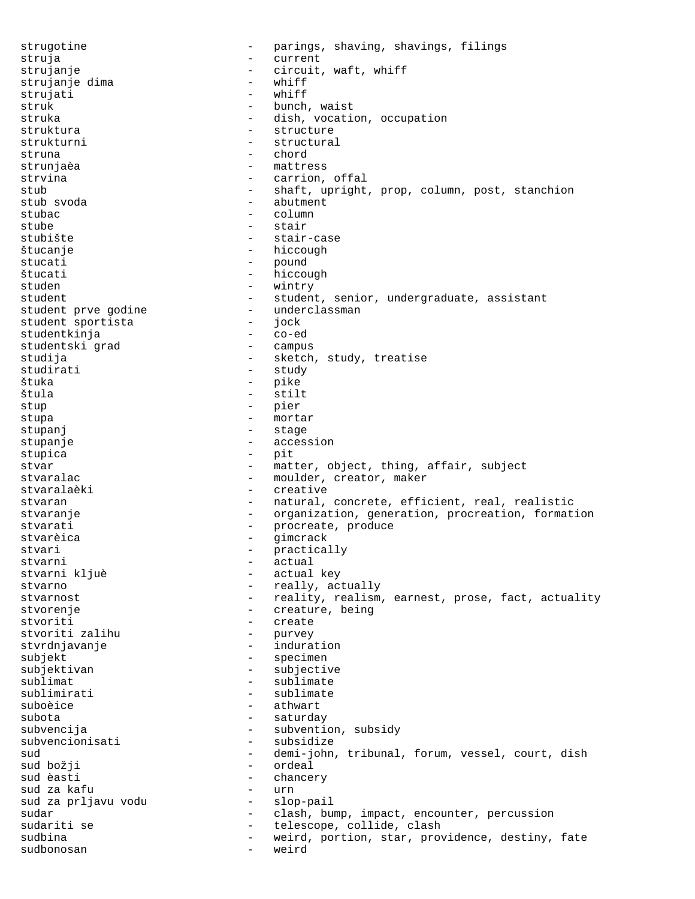strugotine - parings, shaving, shavings, filings struja - current strujanje  $\overline{\phantom{a}}$  - circuit, waft, whiff<br>strujanje dima  $\overline{\phantom{a}}$  - whiff strujanje dima - whiff strujati struk - bunch, waist struka - dish, vocation, occupation struktura - structure - structural struna - chord strunjaèa - mattress strvina  $\qquad \qquad -$  carrion, offal stub - shaft, upright, prop, column, post, stanchion stub svoda - abutment stubac - column - column stube - stair stubište - stair-case štucanje - hiccough stucati - pound<br>Štucati - pound - pound - pound štucati – hiccough<br>studen – wintrv studen - wintry<br>student - student - studen - student, senior, undergraduate, assistant<br>- underclassman student prve godine - underclassman student sportista - jock studentkinja - co-ed studentski grad studija - sketch, study, treatise studirati - study štuka – pike – pike – pike – pike – pike – pike – pike – pike – pike – pike – pike – pike – pike – pike – pike štula - stilt stup - pier stupa - mortar stupanj - stage stupanje - accession stupica – pit stvar - matter, object, thing, affair, subject<br>stvaralac - moulder, creator, maker - moulder, creator, maker stvaralaèki - creative stvaran - natural, concrete, efficient, real, realistic stvaranje entitled resolution, generation, procreation, formation stvarati - procreate, produce gimcrack stvari - practically stvarni - actual - actual key stvarno  $-$  really, actually stvarnost extending the reality, realism, earnest, prose, fact, actuality stvorenje - creature, being - create<br>- purvey stvoriti zalihu stvrdnjavanje <br/> - induration subjekt - specimen subjektivan - subjective sublimat - sublimate sublimirati - sublimate suboèice - athwart subota - saturday subvencija - subvention, subsidy<br>subvencionisati - subsidize - subsidize sud - demi-john, tribunal, forum, vessel, court, dish<br>sud božji - ordeal sud božji - ordeal - chancery<br>- urn sud za kafu sud za prljavu vodu slop-pail sudar - clash, bump, impact, encounter, percussion sudariti se  $-$  telescope, collide, clash sudbina - weird, portion, star, providence, destiny, fate sudbonosan - weird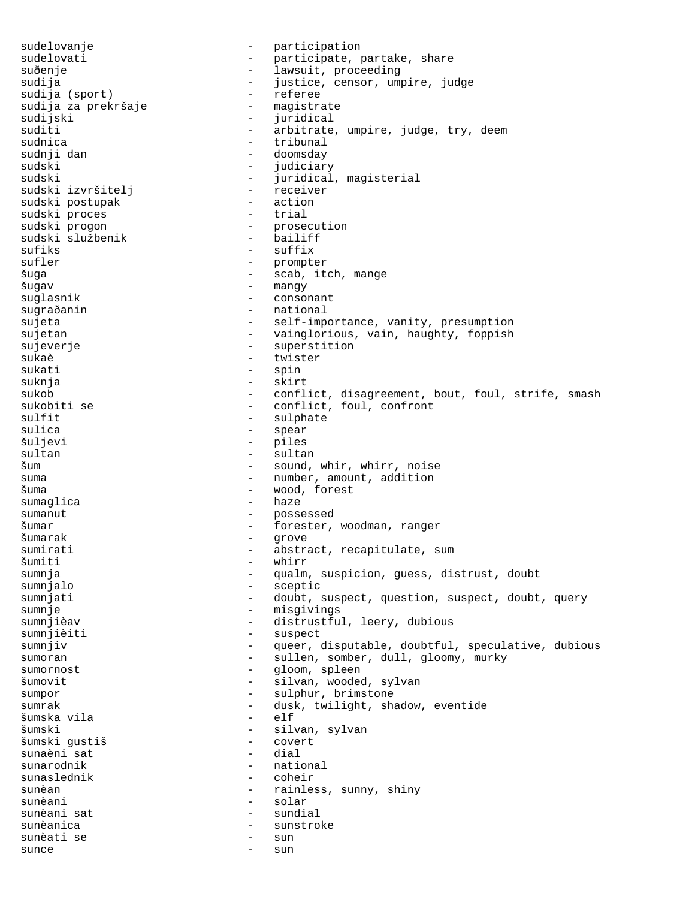sudelovanje  $\qquad \qquad -$  participation sudelovati - participate, partake, share suðenje - lawsuit, proceeding sudija - justice, censor, umpire, judge sudija (sport) - referee sudija za prekršaje - magistrate -<br>sudijski sudijski - juridical suditi - arbitrate, umpire, judge, try, deem<br>sudnica - tribunal - tribunal - tribunal sudnji dan  $-$  doomsday sudski - judiciary sudski - juridical, magisterial sudski izvršitelj sudski postupak  $-$  action sudski proces and trial<br>sudski progon and trial sudski progon - prosecution sudski službenik - bailiff sufiks - suffix<br>sufler - prompte - prompter šuga - scab, itch, mange šugav - mangy suglasnik sugraðanin - national sujeta - self-importance, vanity, presumption sujetan - vainglorious, vain, haughty, foppish sujeverje - superstition sukaè - twister<br>sukati - spin sukati - spin suknja - skirt sukob - conflict, disagreement, bout, foul, strife, smash sukobiti se  $-$  conflict, foul, confront sulfit<br>sulica - sulphate<br>- spear - spear sulica - spear - piles sultan - sultan - sultan šum - sound, whir, whirr, noise suma  $-$  number, amount, addition šuma - wood, forest sumaglica - haze<br>sumanut - hosse sumanut - possessed šumar - forester, woodman, ranger - grove sumirati - abstract, recapitulate, sum<br>
šumiti - whirr - whirr<br>- *c*ualm sumnja - qualm, suspicion, guess, distrust, doubt sumnjalo - sceptic sumnjati  $-$  doubt, suspect, question, suspect, doubt, query sumnje - misgivings sumnjièav - distrustful, leery, dubious sumnjièiti - suspect sumnjiv extendion to the sum of the queer, disputable, doubtful, speculative, dubious sumoran - sullen, somber, dull, gloomy, murky sumornost - gloom, spleen šumovit - silvan, wooded, sylvan sumpor - sulphur, brimstone<br>sumrak - dusk twilight sha sumrak<br>
sumska vila<br>
- elf<br>
- elf<br>
- elf šumska vila - elf - silvan, sylvan<br>- covert šumski gustiš - covert sunaèni sat<br>sunarodnik sunarodnik - national<br>sunaslednik - coheir - coheir sunèan - rainless, sunny, shiny sunèani - solar - solar - solar - sundial - sundial - sundial - sundial - sundial - sundial - sundial - sundial - sundial - sundial - sundial - sundial - sundial - sundial - sundial - sundial - sundial - sundial - sundial sunèani sat sunèani sat sunèanica - sunstroke sunèati se - sun sunce - sun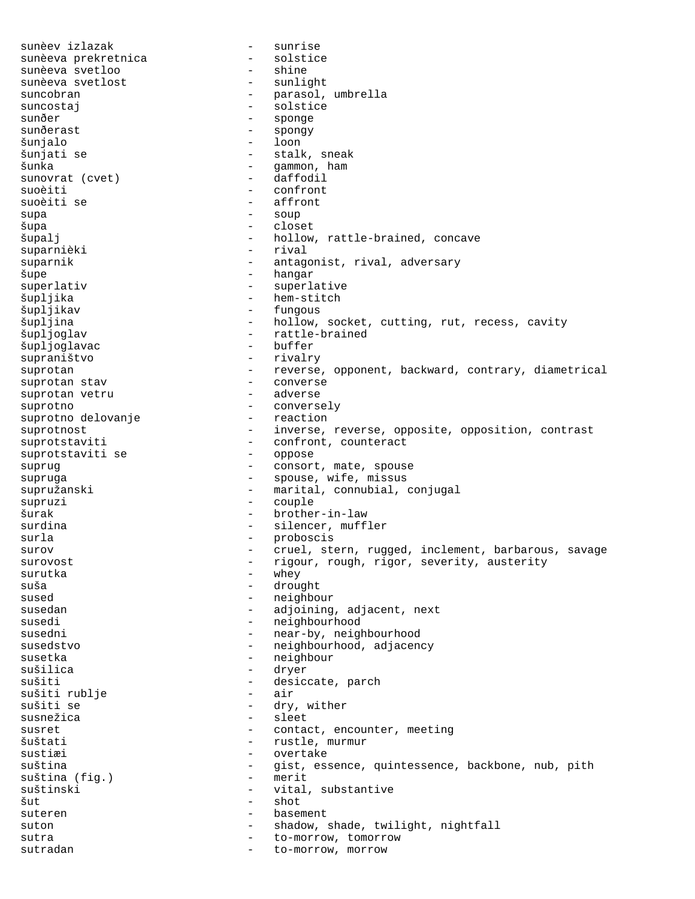sunèev izlazak - sunrise sunèeva prekretnica - solstice sunèeva svetloo - shine sunèeva svetlost suncobran - parasol, umbrella suncostaj - solstice sunðer - sponge sunðerast - spongy šunjalo - loon šunjati se  $-$  stalk, sneak šunka - gammon, ham sunovrat (cvet) suoèiti - confront suoèiti se  $-$  affront supa - soup šupa - closet šupalj - hollow, rattle-brained, concave - rival suparnik - antagonist, rival, adversary šupe - hangar - superlative šupljika - hem-stitch šupljikav - fungous šupljina  $-$  hollow, socket, cutting, rut, recess, cavity šupljoglav - rattle-brained<br>šupljoglavac - - buffer šupljoglavac supraništvo - rivalry suprotan - reverse, opponent, backward, contrary, diametrical suprotan stav - converse suprotan vetru suprotno - conversely suprotno delovanje suprotnost extending the inverse, reverse, opposite, opposition, contrast suprotstaviti - confront, counteract<br>suprotstaviti se - oppose suprotstaviti se suprug - consort, mate, spouse supruga - spouse, wife, missus supružanski - marital, connubial, conjugal supruzi - couple šurak - brother-in-law surdina  $-$  silencer, muffler surla - proboscis surov externe cruel, stern, rugged, inclement, barbarous, savage surovost - rigour, rough, rigor, severity, austerity<br>surutka surutka - whey suša - drought<br>sused - drought - drought - neighbour susedan - adjoining, adjacent, next susedi - neighbourhood susedni - near-by, neighbourhood susedstvo - neighbourhood, adjacency susetka - neighbour - neighbour sušilica - dryer sušiti - desiccate, parch<br>sušiti rublje - - - - - - - - air sušiti rublje - air sušiti se  $\frac{1}{2}$  ary, wither susnežica - sleet susret - contact, encounter, meeting<br>
sustati - rustle, murmur - rustle, murmur sustiæi - overtake suština - gist, essence, quintessence, backbone, nub, pith<br>suština (fig.) - merit suština (fig.) - merit suštinski - vital, substantive šut - shot suteren basement - basement suton - shadow, shade, twilight, nightfall sutra  $-$  to-morrow, tomorrow sutradan  $\qquad \qquad -$  to-morrow, morrow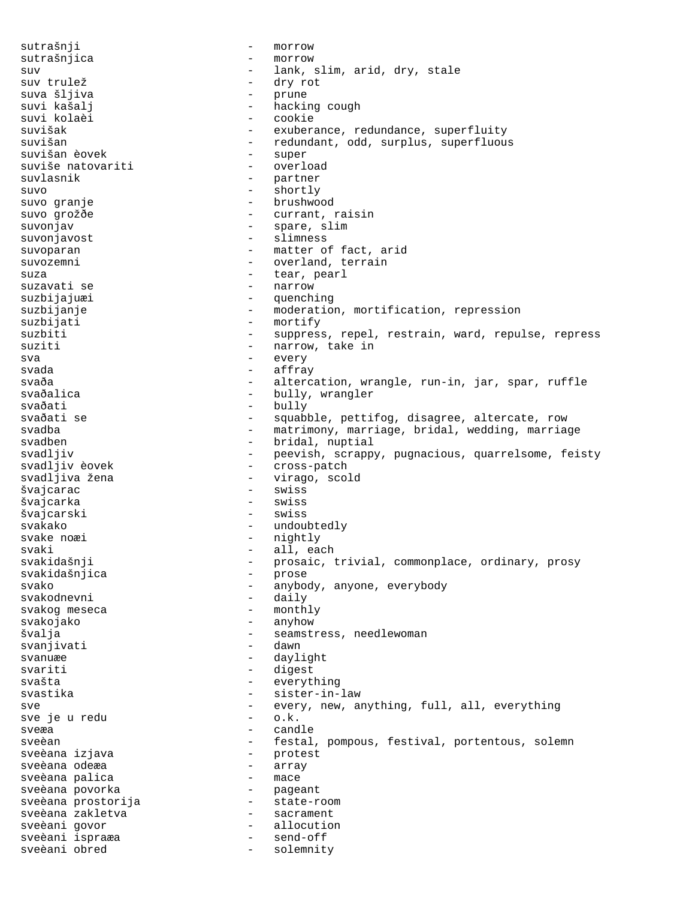sutrašnji - morrow sutrašnjica - morrow<br>suv - lank suv  $-$  lank, slim, arid, dry, stale suv trulež  $-$  dry rot suva šljiva - prune suvi kašalj - hacking cough suvi kolaèi - cookie suvišak - exuberance, redundance, superfluity<br>suvišan - exuberance, redundant, odd, surplus, superfluous - redundant, odd, surplus, superfluous<br>- super suvišan èovek<br>suviše natovariti - super - super suviše natovariti suvlasnik - partner suvo - shortly suvo granje  $\qquad \qquad$  - brushwood suvo grožðe  $-$  currant, raisin suvonjav - spare, slim suvonjavost<br>suvoparan - slimness<br>- matter of suvoparan - matter of fact, arid<br>suvozemni - overland terrain suvozemni - overland, terrain<br>suza - tear. pearl suza - tear, pearl<br>suzavati se - - - - - - - - - narrow - narrow<br>- guench suzbijajuæi - quenching suzbijanje - moderation, mortification, repression suzbijati - mortify<br>suzbiti - sunnress - suppress, repel, restrain, ward, repulse, repress suziti  $-$  narrow, take in sva - every svada - affray svaða - altercation, wrangle, run-in, jar, spar, ruffle svaðalica - bully, wrangler<br>svaðati - bully, wrangler svaðati - bully squabble, pettifog, disagree, altercate, row svadba - matrimony, marriage, bridal, wedding, marriage<br>svadben - bridal, nuptial svadben - bridal, nuptial<br>svadljiv - peevish, scrapp svadljiv - peevish, scrappy, pugnacious, quarrelsome, feisty svadljiv èovek - cross-patch<br>svadljiva žena - virago, scol - virago, scold švajcarac - swiss švajcarka - swiss švajcarski - swiss svakako - undoubtedly svake noæi en mightly - nightly svaki - all, each svakidašnji - prosaic, trivial, commonplace, ordinary, prosy<br>svakidašnjica - - prose svakidašnjica - prose svako - anybody, anyone, everybody<br>svakodnevni - daily - daily - daily svakog meseca - monthly svakojako - anyhow švalja - seamstress, needlewoman svanjivati - dawn svanuæe daylight svariti - digest svašta - everything svastika - sister-in-law sve  $-$  every, new, anything, full, all, everything sve je u redu  $-$  o.k.  $\overline{\phantom{0}}$ sveæa - candle sveèan - festal, pompous, festival, portentous, solemn<br>sveèana izjava - protest - protest sveèana izjava - protest sveèana odeæa - array sveèana palica - mace sveèana povorka sveèana prostorija - state-room sveèana zakletva - sacrament sveèani govor - allocution sveèani ispraæa  $-$  send-off sveèani obred - solemnity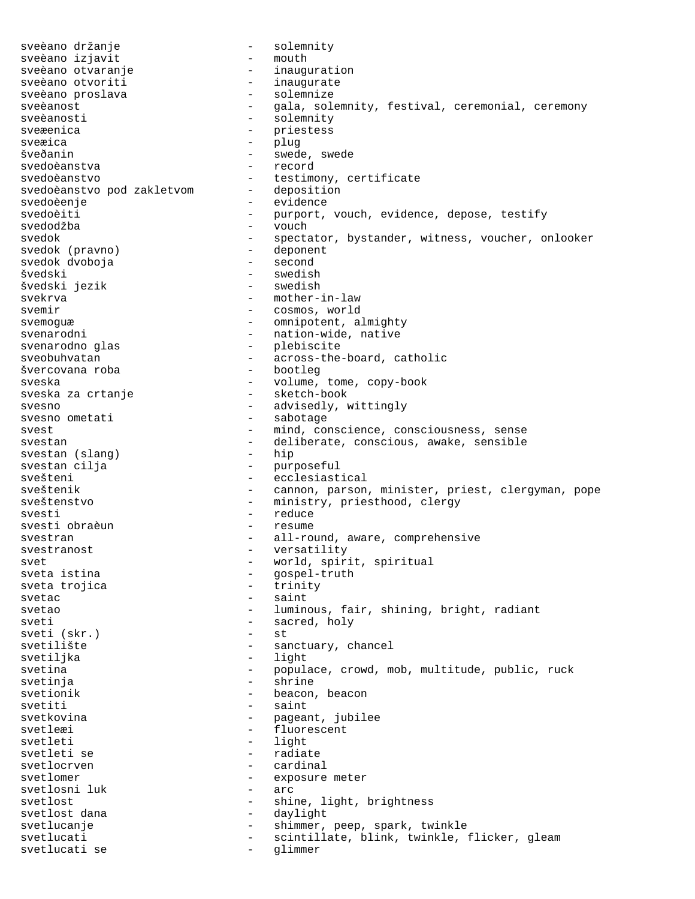sveèano držanje - solemnity sveèano izjavit sveèano otvaranje - inauguration - inaugurate<br>- solemnize sveèano proslava sveèanost - gala, solemnity, festival, ceremonial, ceremony - solemnity<br>- priestess sveæenica - priestess sveæica šveðanin - swede, swede svedoèanstva svedoèanstvo<br>svedoèanstvo pod zakletvom - deposition<br>deposition svedoèanstvo pod zakletvom svedoèenje - evidence svedoèiti - purport, vouch, evidence, depose, testify svedodžba - vouch svedok - spectator, bystander, witness, voucher, onlooker<br>svedok (pravno) - deponent svedok (pravno) - deponent svedok dvoboja švedski - swedish - swedish<br>švedski jezik - swedish - swedish švedski jezik svekrva - mother-in-law svemir - cosmos, world svemoguæ - omnipotent, almighty<br>svenarodni - nation-wide, native - nation-wide, native svenarodno glas - plebiscite sveobuhvatan - across-the-board, catholic švercovana roba - bootleg sveska <br/> - volume, tome, copy-book sveska za crtanje <br/> - sketch-book <br/> - sketch-book  $\,$ sveska za crtanje svesno  $-$  advisedly, wittingly svesno ometati  $-$  sabotage svesno ometati svest <a>>
svest <a>
svest</a>
svest <a>
sense <a>
sense <a>
sense <a>
sense <a>
sense <a>
sense <a>
sense <a>
sense <a</a>
sense <a>
sense <a</>
sense <a>
sense <a</>
sense <a<br/>
sense <a</>
sense <a</>
sense <a</>
sens svestan  $-$  deliberate, conscious, awake, sensible<br>svestan (slang)  $-$  hip svestan (slang)<br>svestan cilja - purposeful svešteni - ecclesiastical<br>sveštenik - cannon parson - cannon, parson, minister, priest, clergyman, pope sveštenstvo - ministry, priesthood, clergy svesti - reduce svesti obraèun svestran - all-round, aware, comprehensive svestranost - versatility svet  $-$  world, spirit, spiritual<br>sveta istina  $-$  gospel-truth - gospel-truth<br>- trinity sveta trojica svetac - saint svetao  $-$  luminous, fair, shining, bright, radiant sveti - sacred, holy<br>sveti (skr.) - st - st sveti (skr.) svetilište - sanctuary, chancel svetiljka - light svetina - populace, crowd, mob, multitude, public, ruck svetinja - shrine svetionik - beacon, beacon svetiti - saint svetkovina - pageant, jubilee<br>svetleri svetleæi - fluorescent<br>svetleti - light<br>- light - light svetleti se - radiate svetlocrven - cardinal svetlomer - exposure meter - exposure meter svetlosni luk - arc svetlosni luk svetlost - shine, light, brightness svetlost dana  $\qquad \qquad -$  daylight svetlucanje - shimmer, peep, spark, twinkle svetlucati - scintillate, blink, twinkle, flicker, gleam svetlucati se  $-$  glimmer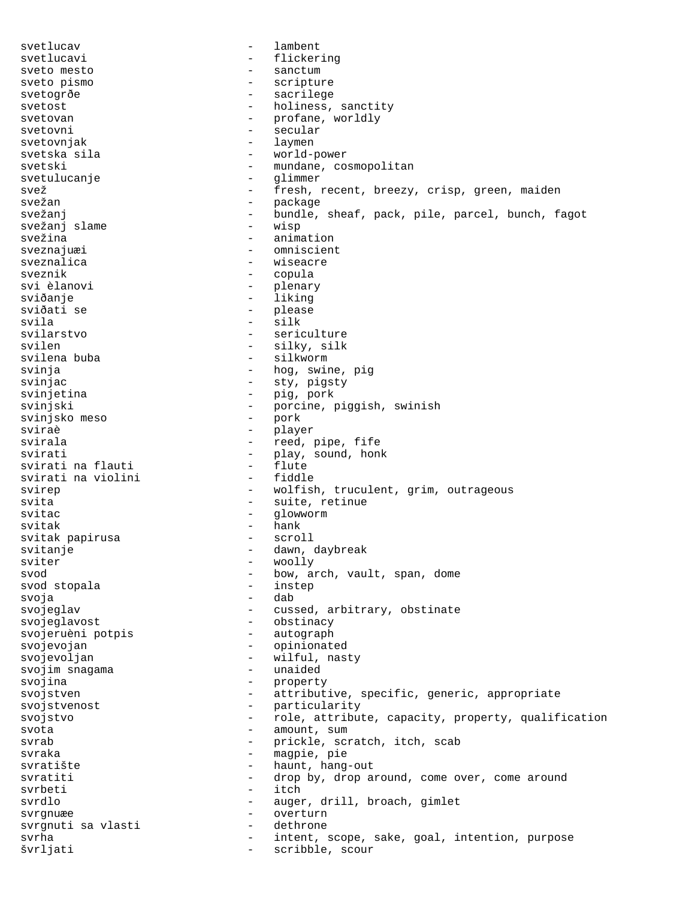svetlucav - lambent svetlucavi - flickering sveto mesto  $-$  sanctum sveto pismo - scripture svetogrðe - sacrilege svetost  $-$  holiness, sanctity svetovan - profane, worldly<br>svetovni - secular svetovni - secular svetovnjak - laymen svetska sila - world-power svetski - mundane, cosmopolitan svetulucanje - glimmer svež - fresh, recent, breezy, crisp, green, maiden svežan - package - package svežanj en stronger - bundle, sheaf, pack, pile, parcel, bunch, fagot svežanj slame - wisp svežina - animation sveznajuæi - omniscient sveznalica - wiseacre sveznik - copula<br>svi èlanovi - plenar - plenary sviðanje - liking sviðati se - please - please - please - please - please - please - please - please - please - please - please - please - please - please - please - please - please - please - please - please - please - please - please - pl svila - silk - sericulture svilen - silky, silk svilena buba  $-$  silkworm svinja - hog, swine, pig svinjac - sty, pigsty svinjetina - pig, pork svinjski - porcine, piggish, swinish svinjsko meso sviraè - player - reed, pipe, fife svirati - play, sound, honk<br>svirati na flauti - flute - flute svirati na flauti - flute svirati na violini svirep - wolfish, truculent, grim, outrageous svita - suite, retinue svitac - glowworm svitak - hank svitak papirusa svitanje - dawn, daybreak sviter - woolly svod stopala - bow, arch, vault, span, dome svod stopala - instep svod stopala svoja - dab svojeglav - cussed, arbitrary, obstinate svojeglavost - obstinacy svojeruèni potpis svojevojan - opinionated svojevoljan - wilful, nasty<br>svojim snagama - - unaided svojim snagama svojina - property svojstven - attributive, specific, generic, appropriate svojstvenost - particularity svojstvo  $-$  role, attribute, capacity, property, qualification svota - amount, sum<br>svrab - amount, sum<br>- prickle scu - prickle, scratch, itch, scab svraka - magpie, pie svratište - haunt, hang-out svratiti - drop by, drop around, come over, come around svrbeti - itch - itch svrdlo - auger, drill, broach, gimlet svrgnuæe - overturn<br>svrgnuti sa vlasti - dethrone svrgnuti sa vlasti - dethrone svrha svrha - intent, scope, sake, goal, intention, purpose švrljati - scribble, scour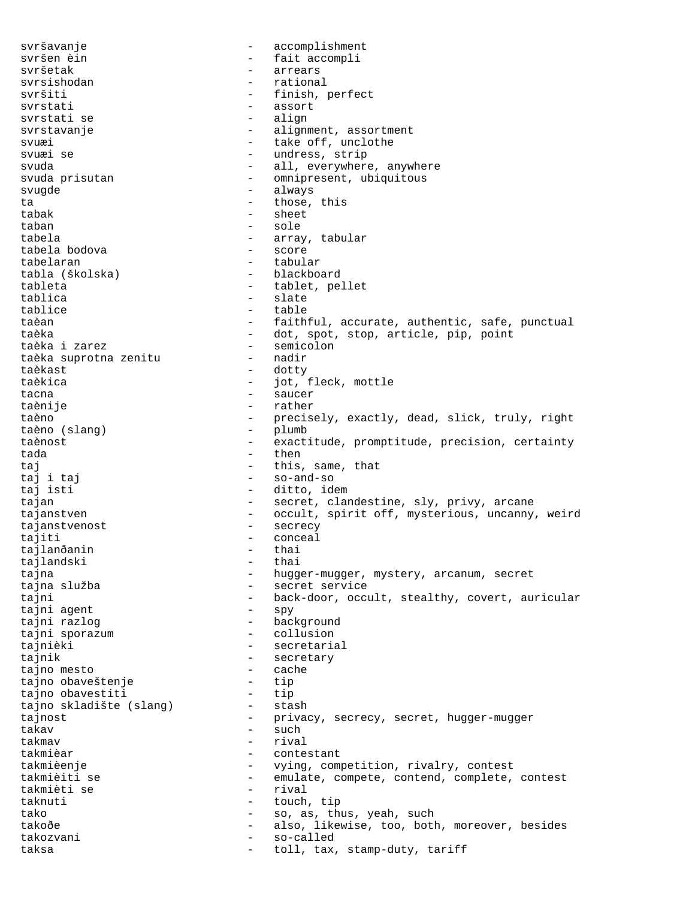svršavanje - accomplishment svršen èin  $-$  fait accompli svršetak - arrears svrsishodan - rational - rational - rational - rational - rational - rational - rational - rational - rational - rational - rational - rational - rational - rational - rational - rational - rational - rational - rational -- finish, perfect svrstati - assort - assort - assort - assort - assort - assort - align svrstati se svrstavanje en metal en metal - alignment, assortment svuæi - take off, unclothe svuæi se  $-$  undress, strip svuda - all, everywhere, anywhere svuda prisutan - omnipresent, ubiquitous svugde - always ta  $-$  those, this tabak - sheet taban - sole tabela - array, tabular tabela bodova tabelaran  $\qquad \qquad$  - tabular tabla (školska) - blackboard tableta - tablet, pellet<br>tablica - tablet, pellet - slate tablice - table taèan  $-$  faithful, accurate, authentic, safe, punctual taèka  $\begin{array}{ccc} 1 & - & \text{dot, spot, stop, article, pip, point} \\ - & \text{semicolon} \end{array}$ - semicolon<br>- nadir taèka suprotna zenitu taèkast - dotty taèkica - jot, fleck, mottle tacna  $\overline{\phantom{0}}$  - saucer taènije - rather taèno - precisely, exactly, dead, slick, truly, right<br>taèno (slanq) - plumb - plumb taèno (slang) taènost exactitude, promptitude, precision, certainty tada - then taj - this, same, that taj i taj - so-and-so - ditto, idem tajan - secret, clandestine, sly, privy, arcane - secret, clandestine, sly, privy, arcane tajanstven - occult, spirit off, mysterious, uncanny, weird tajanstvenost - secrecy tajiti - conceal<br>tajlanðanin - thai tajlanðanin - thai tajlandski tajna - hugger-mugger, mystery, arcanum, secret<br>tajna služba - secret service - secret service tajni - back-door, occult, stealthy, covert, auricular<br>tajni aqent - spy - spy tajni agent tajni razlog - background tajni sporazum - collusion tajnièki - secretarial tajnik - secretary tajno mesto - cache tajno obaveštenje - tip tajno obavestiti - tip tajno skladište (slang) tajnost  $-$  privacy, secrecy, secret, hugger-mugger takav - such takmav - rival takmièar  $-$  contestant takmièenje - vying, competition, rivalry, contest takmièiti se - emulate, compete, contend, complete, contest takmièti se - rival taknuti - touch, tip tako - so, as, thus, yeah, such<br>takoðe - so, as, thus, yeah, such<br>also, likewise, too, both - also, likewise, too, both, moreover, besides<br>- so-called takozvani - so-called taksa  $-$  toll, tax, stamp-duty, tariff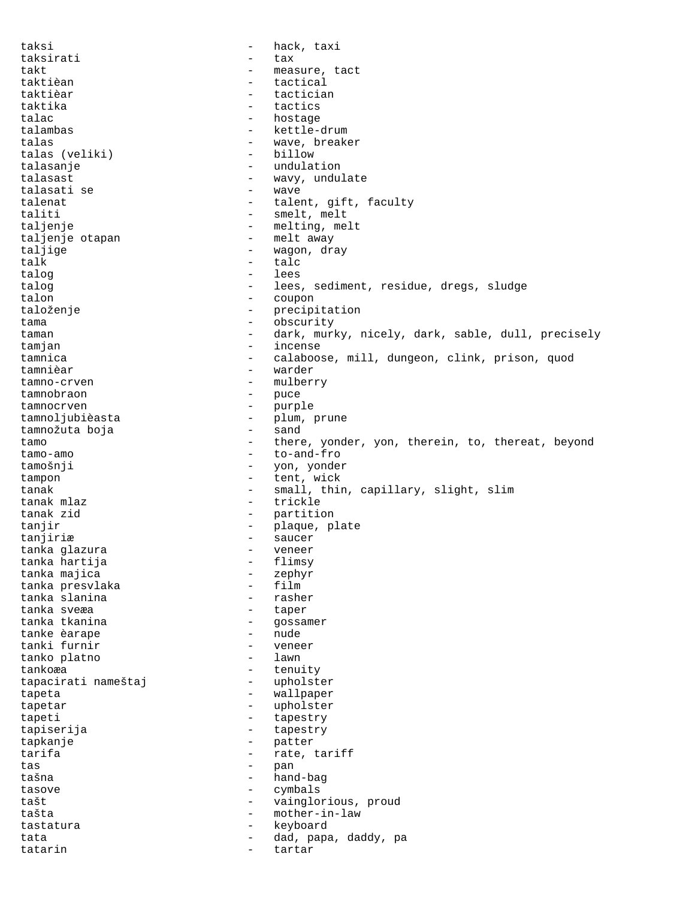taksi - hack, taxi taksirati - tax takt - measure, tact - tact taktièan - tact - tactical tactical taktièar - tactician taktika – tactics – tactics – tactics – tactics – tactics – tactics – tactics – tactics – tactics – tactics – tactics – tactics – tactics – tactics – tactics – tactics – tactics – tactics – tactics – tactics – tactics – ta talac - hostage - kettle-drum talas  $\begin{array}{ccc} \texttt{talas} & \texttt{...} \\ \texttt{talas} & \texttt{(veliki)} & \texttt{...} \\ \end{array}$  -  $\begin{array}{ccc} \texttt{wave,} & \texttt{breaker} \\ \texttt{billow} \end{array}$ talas (veliki) talasanje - undulation talasast - wavy, undulate talasati se talenat  $-$  talent, gift, faculty taliti - smelt, melt taljenje - melting, melt taljenje otapan - melt away - wagon, dray<br>- talc talk - talc<br>
talog - talc talog  $-$  lees talog  $-$  lees, sediment, residue, dregs, sludge talon  $-$  coupon - coupon taloženje - precipitation tama - obscurity taman - dark, murky, nicely, dark, sable, dull, precisely tamjan - incense tamnica - calaboose, mill, dungeon, clink, prison, quod tamnièar - warder tamno-crven - mulberry tamnobraon - puce<br>tamnocryen - purpl tamnocrven - purple tamnoljubièasta - plum, prune tamnožuta boja tamo  $-$  there, yonder, yon, therein, to, thereat, beyond tamo-amo  $-$  to-and-fro tamošnji - yon, yonder tampon - tent, wick tanak - small, thin, capillary, slight, slim tanak mlaz  $-$  trickle tanak zid - partition tanjir - plaque, plate tanjiriæ - saucer tanka glazura - veneer tanka hartija - flimsy tanka majica - zephyr tanka presvlaka - film tanka slanina tanka sveæa - taper - gossamer<br>- nude tanke èarape tanki furnir - veneer tanko platno tankoæa - tenuity tapacirati nameštaj tapeta - wallpaper<br>tapetar - wholster tapetar - upholster<br>tapeti - tapestry - tapestry tapeti - tapestry tapiserija - tapestry tapkanje - patter tarifa  $-$  rate, tariff tas - pan tašna - hand-bag - hand-bag - hand-bag - hand-bag - hand-bag - hand-bag - hand-bag - hand-bag - hand-bag - hand-bag - hand-bag - hand-bag - hand-bag - hand-bag - hand-bag - hand-bag - hand-bag - hand-bag - hand-bag - handtasove - cymbals tašt - vainglorious, proud tašta - mother-in-law tastatura - keyboard tata - dad, papa, daddy, pa tatarin  $-$  tartar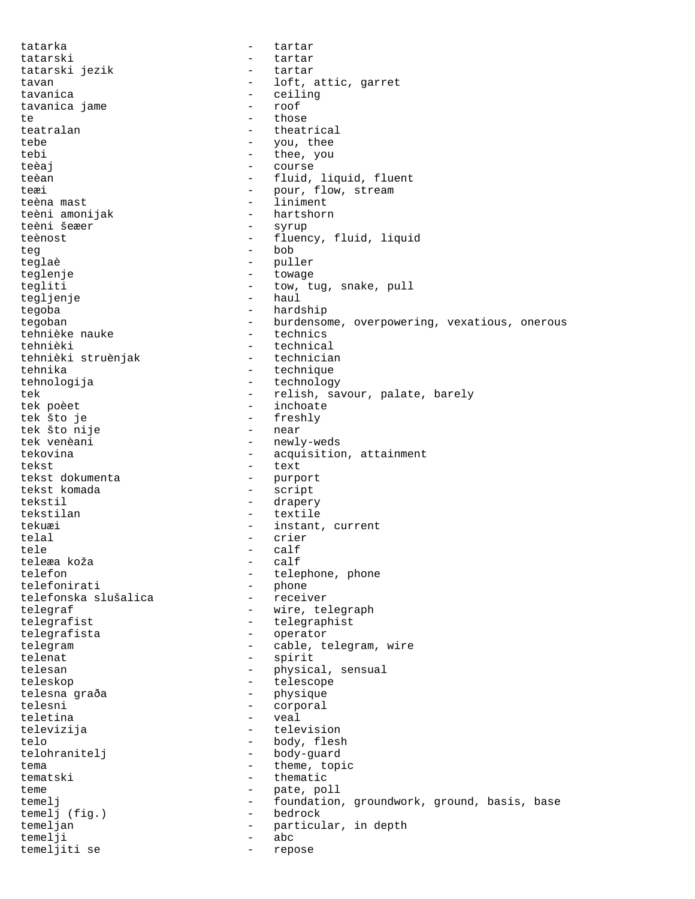tatarka - tartar tatarski - tartar tatarski jezik - tartar tavan  $-$  loft, attic, garret tavanica<br>
tavanica iame<br>
- ceiling<br>
- ceiling tavanica jame - roof te - those - those teatralan - theatrical tebe  $-$  you, thee tebi - thee, you teèaj en la course teèan - fluid, liquid, fluent teæi - pour, flow, stream teèna mast  $-$  liniment teèni amonijak hartshorn<br>teèni šeæer syrup teèni šeæer teènost - fluency, fluid, liquid<br>teq - bob - bob teglaè - puller teglenje - towage tegliti - tow, tug, snake, pull<br>tegliti - tow, tug, snake, pull<br>- haul tegljenje tegoba - hardship tegoban - burdensome, overpowering, vexatious, onerous<br>tehnièke nauke - technics tehnièke nauke tehnièki - technical<br>tehnièki struènjak - technician tehnièki struènjak tehnika - technique - technique tehnologija - technology tek - relish, savour, palate, barely<br>tek poèet - inchoate - inchoate tek poèet - inchoate - freshly<br>- near tek što nije<br>tek venèani - newly-weds tekovina  $-$  acquisition, attainment tekst - text<br>tekst dokumenta - text - purp tekst dokumenta - purport - script tekstil - drapery tekstilan - textile - instant, current telal - crier tele - calf teleæa koža telefon - telephone, phone<br>telefonirati - phone<br>phone telefonirati - phone telefonska slušalica telegraf - wire, telegraph telegrafist - telegraphist telegrafista - operator telegram  $\qquad \qquad -$  cable, telegram, wire telenat - spirit telesan - physical, sensual teleskop - telescope telesna graða - physiquesna graða - physiquesna - physiquesna - physiquesna - physiquesna - physiquesna - physiquesna - physiquesna - physiquesna - physiquesna - physiquesna - physiquesna - physiquesna - physiquesna - phys telesni - corporal<br>teletina - veal teletina - veal televizija - television telo - body, flesh telohranitelj - body-guard tema  $-$  theme, topic tematski - thematic teme - pate, poll<br>temelj - foundation temelj - foundation, groundwork, ground, basis, base<br>temelj (fig.) - bedrock temelj (fig.) –<br>temeljan – temeljan - particular, in depth temelji - abc temeljiti se - repose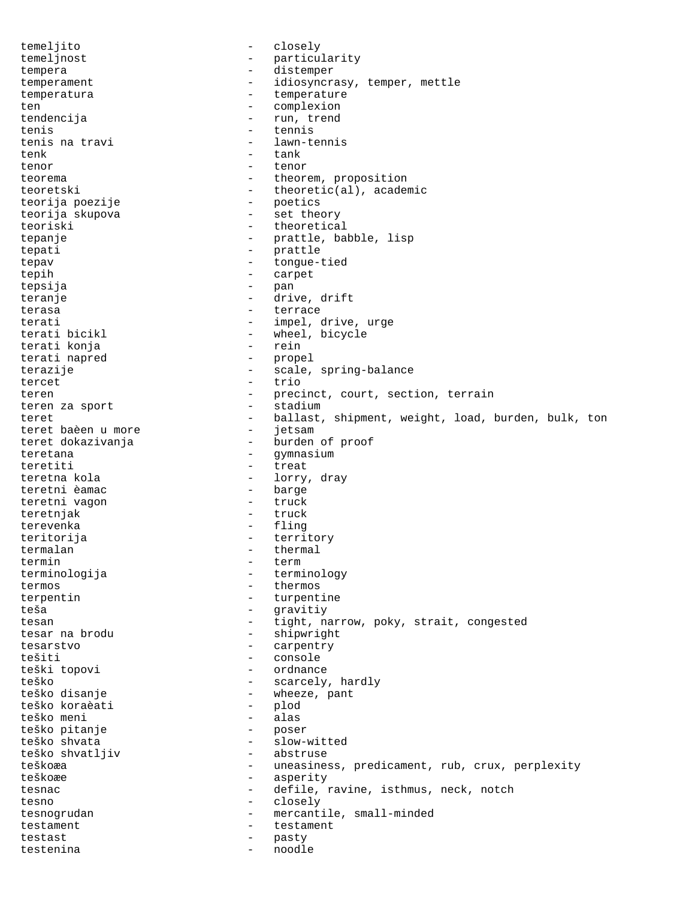temeljito - closely temeljnost - particularity tempera - distemper temperament - idiosyncrasy, temper, mettle temperatura - temperature ten  $-$  complexion tendencija  $-$  run, trend tenis  $\frac{1}{2}$  tennis tenis na travi tenis na travi - lawn-tennis - tank tenor  $-$  tenor teorema  $-$  theorem, proposition teoretski - theoretic(al), academic<br>teorija poezije - poetics<br>teorija skupova - set theory<br>- set theory teorija poezije teorija skupova - set theory teoriski - theoretical tepanje - prattle, babble, lisp<br>tepati - prattle - prattle tepati - prattle<br>tepav - tonque-t tepav - tongue-tied tepih - carpet tepsija - pan teranje  $\qquad \qquad -$  drive, drift terasa - terrace terati  $-$  impel, drive, urge<br>terati bicikl  $-$  wheel, bicycle - wheel, bicycle<br>- rein terati konja terati napred - propel terazije - scale, spring-balance<br>tercet - trio tercet - trio teren - precinct, court, section, terrain teren za sport  $-$  stadium teret 10 more - ballast, shipment, weight, load, burden, bulk, ton teret baèen u more 10 more teret baèen u more<br>teret dokazivanja - burden of proof teretana - Gymnasium - gymnasium teretiti - treat<br>teretna kola - lorrv - lorry, dray<br>- barge teretni èamac - barge teretni vagon teretnjak - truck terevenka - fling<br>teritorija - terri - territory termalan - thermal<br>termin - term termin - term terminologija - terminology termos - thermos terpentin - turpentine teša - gravitiy tesan external tight, narrow, poky, strait, congested tesar na brodu  $-$  shipwright tesarstvo - carpentry tešiti - console teški topovi - ordnance teško - scarcely, hardly - wheeze, pant<br>- plod teško koraèati - plod teško meni - alas teško pitanje<br>teško shvata - slow-witted<br>- abstruse teško shvatljiv teškoæa - uneasiness, predicament, rub, crux, perplexity teškoæe - asperity tesnac - defile, ravine, isthmus, neck, notch tesno - closely tesnogrudan - mercantile, small-minded testament - testament testast - pasty testenina - noodle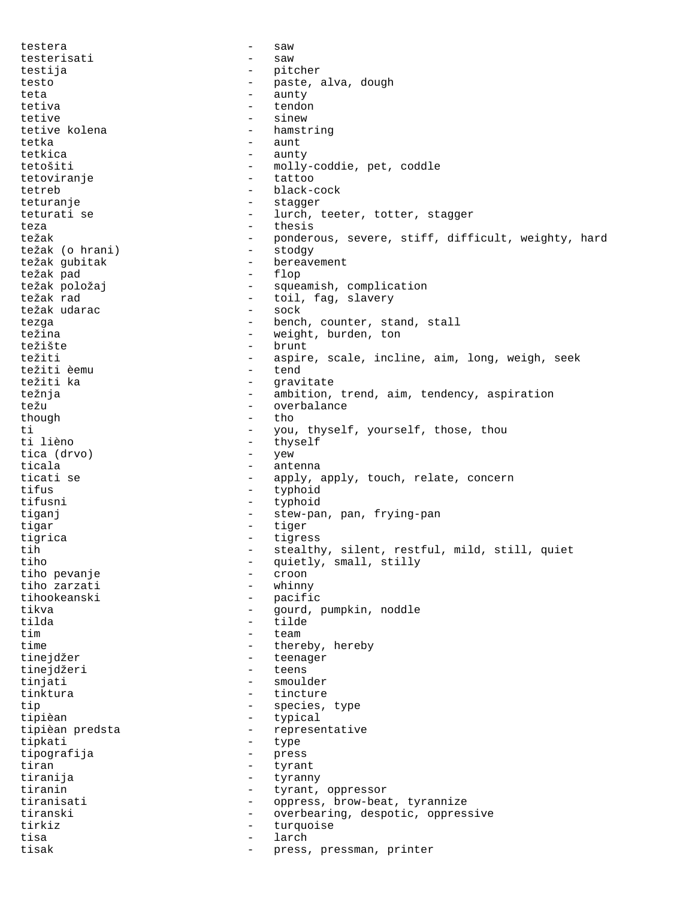testera - saw testerisati - saw testija - pitcher testo  $-$  paste, alva, dough teta - aunty tetiva - tendon tetive tetive tolena and the sinew of the sinew tetive kolena and the sinew of the sinew of the sinew  $\sim$  sinew  $\sim$  sinew  $\sim$  sinew  $\sim$  sinew  $\sim$  sinew  $\sim$  sinew  $\sim$  sinew  $\sim$  sinew  $\sim$  sinew  $\sim$  sinew  $\sim$  sinew tetive kolena tetka - aunt tetkica - aunty<br>tetošiti - mollv - molly-coddie, pet, coddle<br>- tattoo tetoviranje tetreb - black-cock teturanje - stagger teturati se  $-$  lurch, teeter, totter, stagger teza - thesis težak - ponderous, severe, stiff, difficult, weighty, hard<br>težak (o hrani) - stodov težak (o hrani) - stodgy težak gubitak - bereavement - bereavement - bereavement - bereavement - bereavement - bereavement - bereavement - bereavement - bereavement - bereavement - bereavement - bereavement - bereavement - bereavement - bereavemen težak pad - flop težak položaj - squeamish, complication - toil, fag, slavery<br>- sock težak udarac tezga - bench, counter, stand, stall - weight, burden, ton<br>- brunt težište - brunt težiti - aspire, scale, incline, aim, long, weigh, seek težiti èemu - tend težiti ka  $-$  gravitate težnja - ambition, trend, aim, tendency, aspiration<br>težu - overbalance težu - overbalance<br>though - the though  $\begin{array}{ccc}\n\text{though} & - & \text{the} \\
\text{+} & - & \text{you}\n\end{array}$ ti  $-$  you, thyself, yourself, those, thou ti lièno  $-$  thyself - thyself<br>- yew tica (drvo) - yew<br>ticala - ante ticala - antenna ticati se  $\begin{array}{ccc}\n - & \text{apply, apply, touch, relate, concern} \\
 - & \text{twohold}\n\end{array}$ - typhoid tifusni - typhoid tiganj  $-$  stew-pan, pan, frying-pan tigar - tiger tigrica - tigress tih  $-$  stealthy, silent, restful, mild, still, quiet<br>tiho  $-$  quietly, small, stilly - quietly, small, stilly<br>- croon tiho pevanje - croon tiho zarzati<br>tihookeanski - pacific<br>- gourd tikva - gourd, pumpkin, noddle tilda - tilde tim team time  $-$  thereby, hereby tinejdžer - teenager tinejdžeri - teens tinjati - smoulder tinktura - tincture tip  $\begin{array}{ccc} - & \text{species, type} \\ - & \text{twical} \end{array}$ tipièan - typical tipièan predsta  $\overline{z}$  - representative<br>tipkati tipkati - type tipografija - press<br>tiran - tyran - tyran tiran - tyrant - tyrant - tyrant - tyrant - tyrant - tyrant - tyrant - tyrant - tyrant - tyrant - tyrant - tyrant - tyrant - tyrant - tyrant - tyrant - tyrant - tyrant - tyrant - tyrant - tyrant - tyrant - tyrant - tyrant tiranija - tyranny tiranin  $-$  tyrant, oppressor tiranisati - oppress, brow-beat, tyrannize tiranski - overbearing, despotic, oppressive tirkiz  $-$  turquoise tisa - larch tisak - press, pressman, printer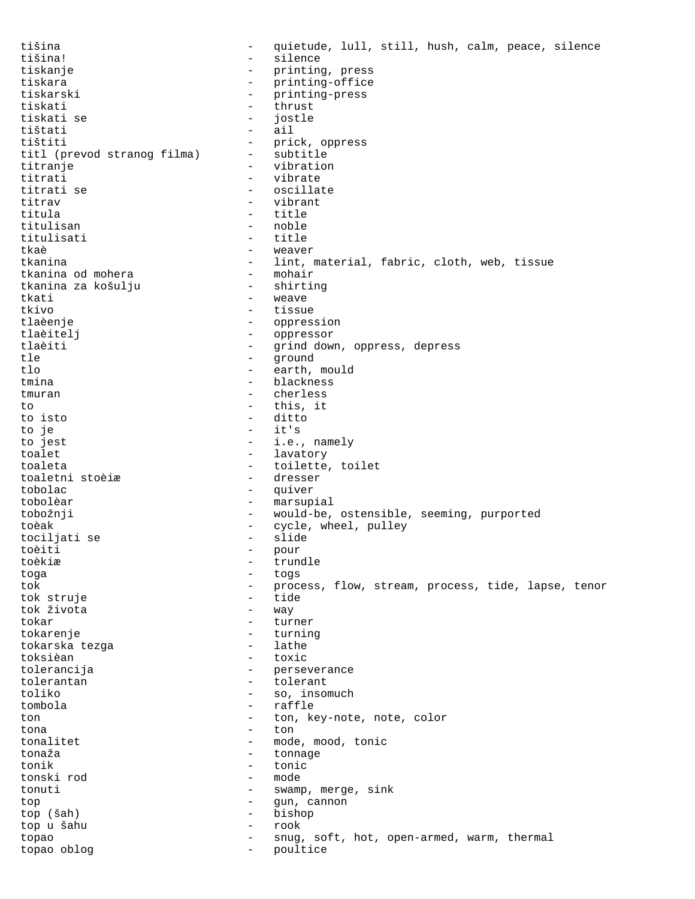tišina - quietude, lull, still, hush, calm, peace, silence tišina! - silence tiskanje - printing, press tiskara  $-$  printing-office tiskarski - printing-press tiskati - thrust tiskati se<br>tištati tištati - ail - prick, oppress<br>- subtitle titl (prevod stranog filma)<br>titranie - vibration<br>- vibrate titrati<br>titrati se - oscillate titrav - vibrant titula - title titulisan - noble - noble - noble - noble - noble - noble - noble - noble - noble - noble - noble - noble - noble - noble - noble - noble - noble - noble - noble - noble - noble - noble - noble - noble - noble - noble - no titulisati - title tkaè - weaver - lint, material, fabric, cloth, web, tissue<br>- mohair tkanina od mohera - mohair tkanina za košulju<br>tkati - weave tkivo - tissue - tissue tlaèenje - oppression tlaèitelj - oppressor tlaèiti - grind down, oppress, depress tle - ground tlo - earth, mould tmina - blackness tmuran - cherless to this, it<br>to isto  $\qquad \qquad -$  this, it to isto<br>to je to je  $\begin{array}{ccc} - & it's \\ \hline \end{array}$  to jest  $\begin{array}{ccc} - & it's \\ \end{array}$ - i.e., namely toalet - lavatory<br>toaleta - hoilette - hoilette - toilette, toilet<br>- dresser toaletni stoèiæ tobolac - quiver tobolèar - marsupial tobožnji - would-be, ostensible, seeming, purported toèak - cycle, wheel, pulley<br>tociliati se - slide - slide tociljati se - slide toèiti – pour la pour la pour la pour la pour la pour la pour la pour la pouve la pouve la pouve la pouve la p<br>La pouve la pouve la pouve la pouve la pouve la pouve la pouve la pouve la pouve la pouve la pouve la pouve la toèkiæ - trundle<br>toga - toga - toga toga - togs tok - process, flow, stream, process, tide, lapse, tenor<br>tok struie tok struje - tide tok života tokar - turner - turner tokarenje - turning tokarska tezga toksièan - toxic tolerancija - perseverance tolerantan - tolerant toliko - so, insomuch - so, insomuch - so, insomuch - so, insomuch - so, insomuch - so, insomuch - so, insomuch - so, insomuch - so, insomuch - so, insomuch - so, insomuch - so, insomuch - so, insomuch - so, insomuch - so, - raffle<br>- ton ke ton  $\begin{array}{cccc} - & \text{ton} \\ - & \text{ton} \\ \end{array}$  + ton, key-note, note, color tona - ton tonalitet - mode, mood, tonic<br>tonaža tonaža - tonnage tonik - tonic tonski rod tonuti - swamp, merge, sink top  $-$  gun, cannon top (šah) - bishop top u šahu - rook topao - snug, soft, hot, open-armed, warm, thermal topao oblog - poultice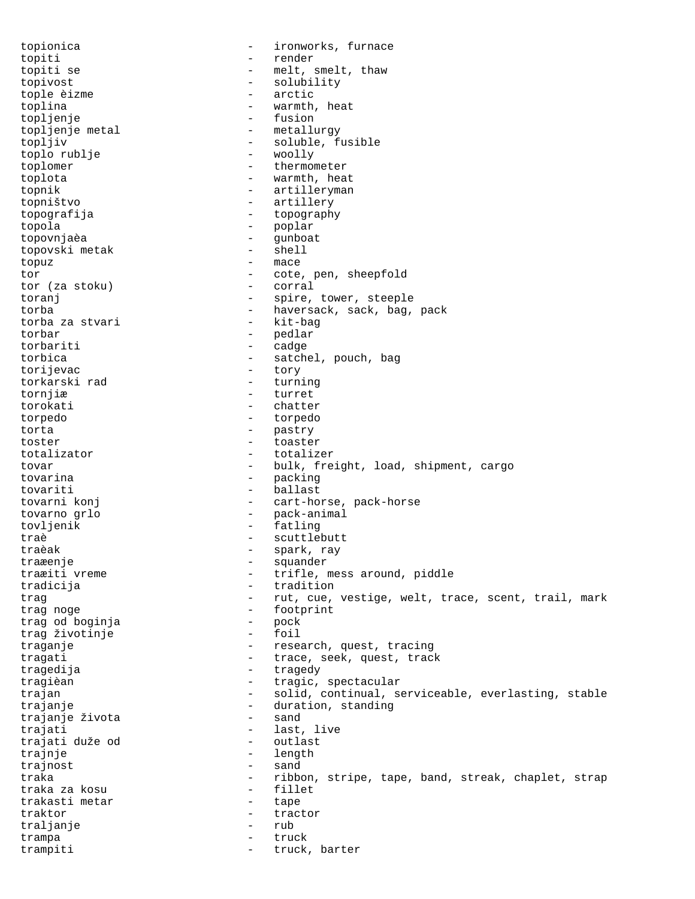topionica - ironworks, furnace topiti - render topiti se  $-$  melt, smelt, thaw topivost - solubility tople èizme - arctic toplina  $-$  warmth, heat topljenje - fusion topljenje metal  $-$  metallurgy topljiv - soluble, fusible toplo rublje toplomer - thermometer toplota - warmth, heat topnik - artilleryman topništvo - artillery topografija - topography topola - poplar topovnjaèa - gunboat topovski metak topuz - mace tor  $\begin{array}{ccc} - & \cot e & \text{pen} \text{, sheepfold} \\ \tan (\text{za stoku}) & - & \cot r \text{.} \end{array}$ tor (za stoku) toranj  $-$  spire, tower, steeple torba - haversack, sack, bag, pack torba za stvari torbar - pedlar torbariti - cadge torbica - satchel, pouch, bag torijevac - tory - tory torkarski rad - turning torkarski rad tornjiæ - turret torokati - chatter torpedo - torpedo torta - pastry toster - toaster totalizator - totalizer tovar - bulk, freight, load, shipment, cargo tovarina  $-$  packing tovariti - ballast tovarni konj <br/> - cart-horse, pack-horse tovarno grlo - pack-animal tovljenik - fatling traè  $\qquad \qquad -$  scuttlebutt traèak - spark, ray traæenje - squander - trifle, mess around, piddle tradicija - tradition trag entiry cue, vestige, welt, trace, scent, trail, mark trag noge<br>
trag od boginja<br>
- pock <br/> - pock trag od boginja - pock trag životinje traganje  $-$  research, quest, tracing tragati - trace, seek, quest, track tragedija - tragedy tragièan  $-$  tragic, spectacular trajan extending the solid, continual, serviceable, everlasting, stable trajanje - duration, standing trajanje života trajati - last, live trajati duže od trajnje  $-$  length trajnost - sand traka  $-$  ribbon, stripe, tape, band, streak, chaplet, strap traka za kosu traka za kosu trakasti metar - tape traktor - tractor traljanje - rubbit - rubbit - rubbit - rubbit - rubbit - rubbit - rubbit - rubbit - rubbit - rubbit - rubbit trampa - truck trampiti  $-$  truck, barter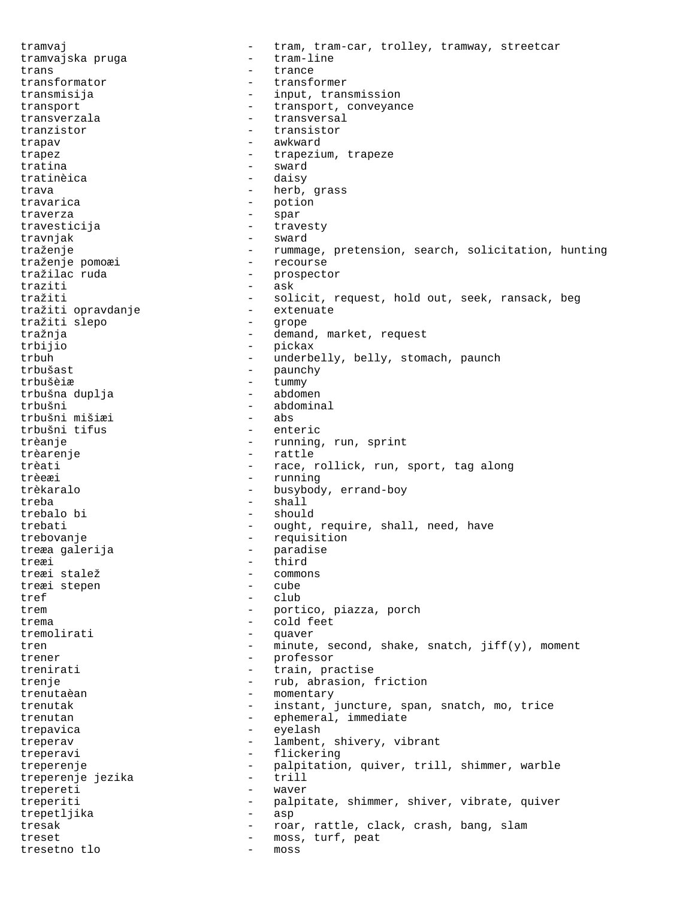tramvaj - tram, tram-car, trolley, tramway, streetcar<br>tramvajska pruga - tram-line tramvajska pruga trans - trance transformator  $-$  transformer transmisija - input, transmission transport  $-$  transport, conveyance transverzala - transversal tranzistor - transistor trapav - awkward trapez - trapezium, trapeze tratina - sward<br>tratinàica - daisy tratinèica trava - herb, grass travarica - potion traverza - spar travesticija - travesty travnjak - sward traženje - rummage, pretension, search, solicitation, hunting<br>traženje pomoæi - recourse traženje pomoæi tražilac ruda - prospector<br>traziti - ask  $\begin{array}{ccc} \text{traziti} & - & \text{ask} \\ \text{traziti} & - & \text{sol} \end{array}$ - solicit, request, hold out, seek, ransack, beg<br>- extenuate tražiti opravdanje<br>tražiti slepo tražiti slepo - grope tražnja - demand, market, request trbijio - pickax trbuh - underbelly, belly, stomach, paunch trbušast - paunchy trbušèiæ - tummy trbušna duplja - abdomen trbušni - abdominal trbušni mišiæi - abs trbušni tifus trèanje  $-$  running, run, sprint trèarenje  $-$  rattle trèati - race, rollick, run, sport, tag along trèeæi - running trèkaralo - busybody, errand-boy treba - shall trebalo bi - should trebati - ought, require, shall, need, have<br>trebovanje - requisition<br>- requisition - requisition<br>- paradise treæa galerija - paradise - paradise - paradise - paradise - paradise - paradise - paradise - paradise - para<br>Disebna - paradise - paradise - paradise - paradise - paradise - paradise - paradise - paradise - paradise - p treæi - third treæi stalež - commons treæi stepen tref - club trem  $-$  portico, piazza, porch trema - cold feet tremolirati - quaver tren - minute, second, shake, snatch, jiff(y), moment trener - professor<br>trenirati - train prai trenirati  $-$  train, practise trenje  $-$  rub, abrasion, friction trenutaèan  $\overline{z}$  - momentary<br>trenutak - instant trenutak - instant, juncture, span, snatch, mo, trice<br>trenutan - ephemeral, immediate - ephemeral, immediate<br>- evelesh trepavica - eyelash treperav - lambent, shivery, vibrant treperavi - flickering treperenje - palpitation, quiver, trill, shimmer, warble<br>treperenje jezika treperenje jezika - trill<br>trepereti - wayer trepereti - waver treperiti - palpitate, shimmer, shiver, vibrate, quiver<br>trepetliika - asp - asp trepetljika - asp tresak  $-$  roar, rattle, clack, crash, bang, slam treset - moss, turf, peat tresetno tlo - moss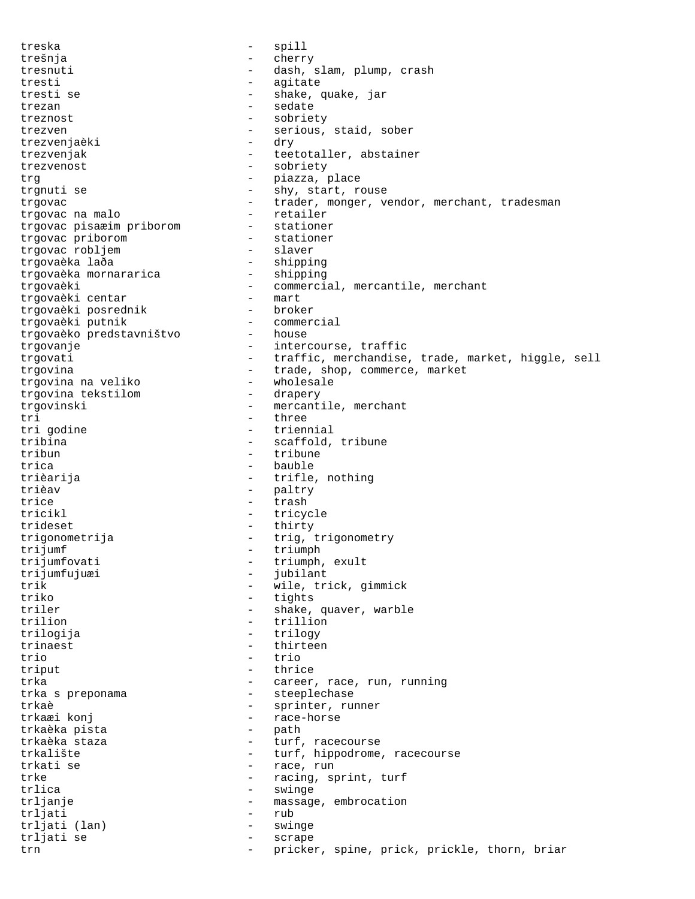treska - spill trešnja - cherry tresnuti - dash, slam, plump, crash tresti - agitate tresti se  $-$  shake, quake, jar trezan - sedate - sedate treznost - sobriety trezven - serious, staid, sober<br>
trezvenia<br/>èki - dry - dry - dry - dry - dry - dry - dry - dry - dry - dry - dry - dry - dry - dry - dry - dry - dry - dry - dry - dry - dry - dry - dry - dry - dry - dry - dry - dry - d trezvenjaèki trezvenjak - teetotaller, abstainer trezvenost - sobriety trg  $-$  piazza, place trgnuti se  $-$  shy, start, rouse trgovac - trader, monger, vendor, merchant, tradesman<br>traovac na malo - retailer trgovac na malo - retailer trgovac pisaæim priborom - stationer trgovac priborom - stationer trgovac robljem - slaver<br>trgovaèka laða - shipping trgovaèka laða - shipping trgovaèka mornararica trgovaèki - commercial, mercantile, merchant trgovaèki centar - mart trgovaèki posrednik - broker trgovaèki putnik - commercial trgovaèko predstavništvo - house trgovanje  $\qquad \qquad -$  intercourse, traffic trgovati - traffic, merchandise, trade, market, higgle, sell trgovina<br>trgovina na veliko  $-$  trade, shop, commerce, market<br> $-$  wholesale trgovina na veliko - wholesale trgovina tekstilom trgovinski - mercantile, merchant<br>tri - three tri 1900 - three tri 1900 in the trient entri 1900 in the trient entrient entrient entrient entrient entrient<br>1991 - The San Stein entrient entrient entrient entrient en de la maritaine de la maritaine de la maritaine de<br>1 tri godine  $\begin{array}{ccc} t & - & t & t \\ t & - & s & t \\ t & - & s & t \end{array}$ tribina - scaffold, tribune<br>
- tribune<br>
- tribune - tribune trica  $-$  bauble trièarija  $-$  trifle, nothing trièav - paltry trice - trash tricikl - tricycle<br>trideset - thirty - thirty - thirty trigonometrija - trig, trigonometry trijumf<br>
trijumfovati - triumph<br>
- triumph trijumfovati - triumph, exult<br>trijumfujuæi - jubilant trijumfujuæi - jubilant<br>trik - wile, tr trik - wile, trick, gimmick<br>
- tights<br>
- tights triko - tights triler - shake, quaver, warble<br>trilion - trillion - trillion trilion - trillion trilogija - trilogy trinaest - thirteen trio - trio triput - thrice trka - career, race, run, running trka s preponama trkaè  $\overline{\phantom{a}}$  - sprinter, runner<br>trkaæi konj race-horse - race-horse<br>- path trkaèka pista<br>trkaèka staza - turf, racecourse trkalište - turf, hippodrome, racecourse trkati se  $-$  race, run trke - racing, sprint, turf<br>trlica - swinge - swinge - swinge trljanje - massage, embrocation trljati - rub<br>trljati (lan) - swir trljati (lan) - swinge - scrape trn - pricker, spine, prick, prickle, thorn, briar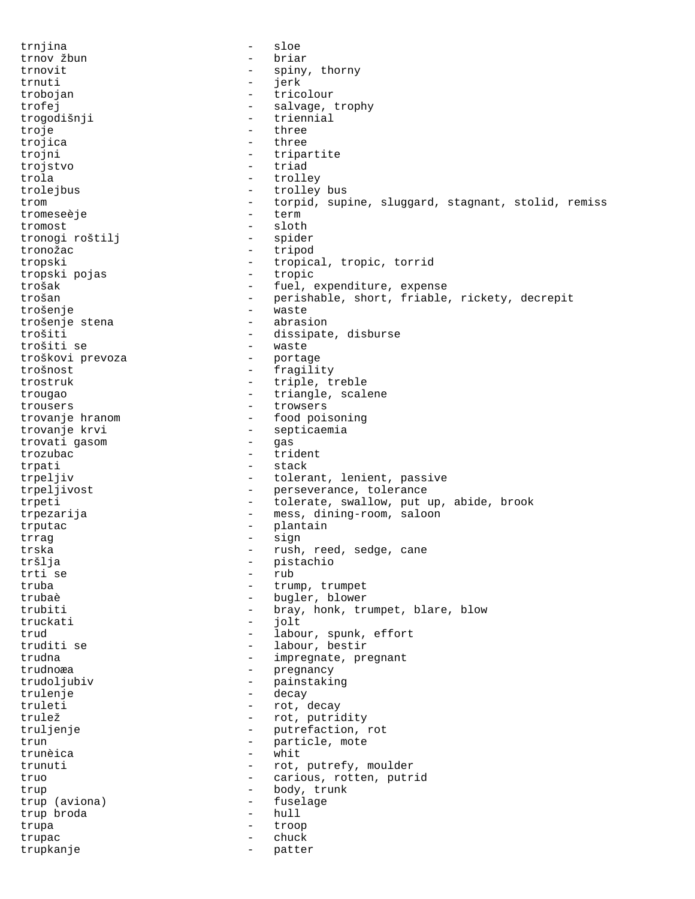trnjina - sloe trnov žbun trnovit - spiny, thorny trnuti - jerk trobojan - tricolour trofej  $\qquad \qquad -$  salvage, trophy trogodišnji - triennial<br>troje - three - three troje<br>trojica - three trojni - tripartite trojstvo - triad trola - trolley trolejbus - trolley bus trom - torpid, supine, sluggard, stagnant, stolid, remiss tromeseèje - term tromost - sloth tronogi roštilj tronožac - tripod tropski - tropical, tropic, torrid<br>tropski pojas - tropic - tropic tropski pojas trošak - fuel, expenditure, expense<br>trošan - fuel, expenditure, expense<br>existable, short, friable - perishable, short, friable, rickety, decrepit trošenje<br>trošenie stena - vaste - vaste trošenje stena trošiti - dissipate, disburse - waste<br>- portage troškovi prevoza trošnost - fragility trostruk - triple, treble trougao  $-$  triangle, scalene trousers - trowsers trovanje hranom  $\qquad \qquad -$  food poisoning trovanje krvi - septicaemia trovati gasom trozubac - trident trpati - stack trpeljiv - tolerant, lenient, passive trpeljivost - perseverance, tolerance trpeti - tolerate, swallow, put up, abide, brook trpezarija - mess, dining-room, saloon trputac - plantain<br>trraq - plantain<br>- sign trrag - sign trska - rush, reed, sedge, cane tršlja - pistachio<br>trti se - pistachio trti se - rub truba - trump, trumpet trubaè - bugler, blower trubiti - bray, honk, trumpet, blare, blow<br>
- iolt<br>
- iolt truckati - jolt trud  $-$  labour, spunk, effort truditi se  $-$  labour, bestir trudna  $-$  impregnate, pregnant trudnoæa - pregnancy trudoljubiv - painstaking trulenje - decay truleti - rot, decay trulež - rot, putridity truljenje - putrefaction, rot trun<br>trunàica de la component de la particle, mote trunèica - whit trunuti - rot, putrefy, moulder truo - carious, rotten, putrid trup - body, trunk trup (aviona) - fuselage trup broda - hull trupa - troop trupac - chuck trupkanje - patter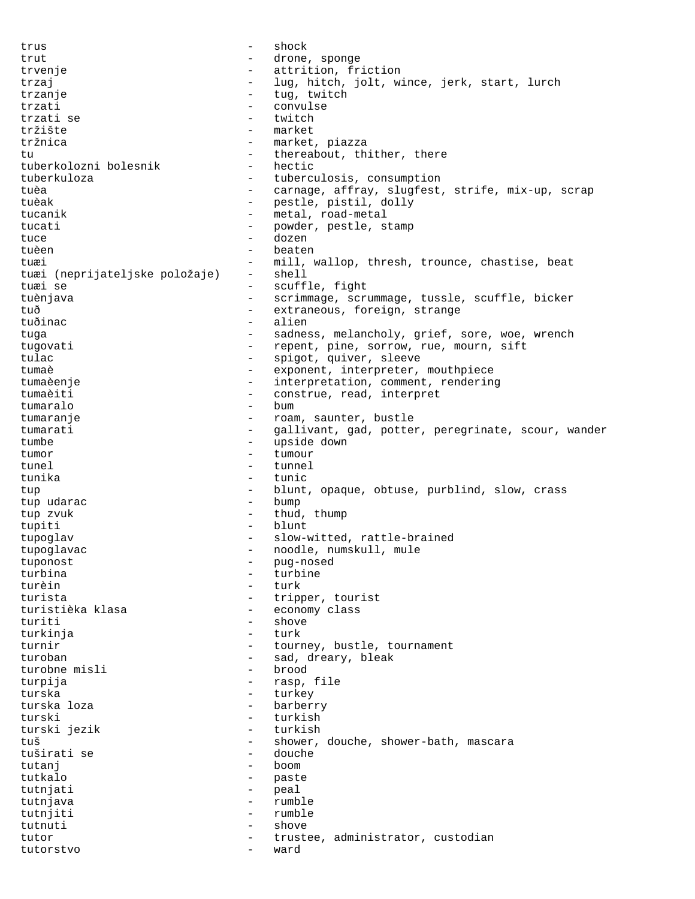trus - shock trut - drone, sponge<br>tryenie - attrition fr trvenje  $\qquad \qquad -$  attrition, friction trzaj - lug, hitch, jolt, wince, jerk, start, lurch trzanje - tug, twitch - convulse<br>- twitch trzati se  $\overline{t}$  - twitch  $\overline{t}$  - twitch  $\overline{t}$  - twitch  $\overline{t}$ tržište - market - market, piazza<br>- thereabout th tu - thereabout, thither, there<br>tuberkolozni bolesnik - hectic tuberkolozni bolesnik tuberkuloza - tuberculosis, consumption tuèa  $-$  carnage, affray, slugfest, strife, mix-up, scrap tuèak - pestle, pistil, dolly tucanik - metal, road-metal tucati  $-$  powder, pestle, stamp tuce - dozen tuèen en la communistée de la position de la position de la position de la position de la position de la position de la position de la position de la position de la position de la position de la position de la position de tuæi  $-$  mill, wallop, thresh, trounce, chastise, beat<br>tuæi (neprijateljske položaje) - shell tuæi (neprijateljske položaje)<br>tuæi se - scuffle, fight<br>- scrimmage scri tuènjava - scrimmage, scrummage, tussle, scuffle, bicker tuð - extraneous, foreign, strange tuðinac - alien tuga end a sadness, melancholy, grief, sore, woe, wrench tugovati - repent, pine, sorrow, rue, mourn, sift tulac - spigot, quiver, sleeve<br>
- exponent interpreter tumaè - exponent, interpreter, mouthpiece tumaèenje  $-$  interpretation, comment, rendering tumaèiti - construe, read, interpret<br>tumaralo - hum - bum tumaralo - bum tumaranje - roam, saunter, bustle<br>tumarati - callivant cad potter tumarati - gallivant, gad, potter, peregrinate, scour, wander<br>tumbe tumbe  $-$  upside down<br>tumor  $-$  tumour tumor - tumour tunel - tunnel - tunnel - tunnel - tunnel - tunnel - tunnel - tunnel - tunnel - tunnel - tunnel - tunnel - tunnel - tunnel - tunnel - tunnel - tunnel - tunnel - tunnel - tunnel - tunnel - tunnel - tunnel - tunnel - tunnel tunika - tunic tup - blunt, opaque, obtuse, purblind, slow, crass tup udarac  $-$  bump tup zvuk  $-$  thud, thump tupiti - blunt tupoglav - slow-witted, rattle-brained tupoglavac - noodle, numskull, mule<br>tuponost - nuq-nosed tuponost - pug-nosed turbine turèin - turk<br>turista - trip - tripper, tourist turistièka klasa  $-$  economy class turiti - shove<br>- turk turkinja turnir  $-$  tourney, bustle, tournament turoban - sad, dreary, bleak<br>turobne misli - brood - brood turobne misli turpija - rasp, file turska - turkey turska loza - barberry - barberry - barberry - barberry - barberry - barberry - barberry - barberry - barberry - barberry - barberry - barberry - barberry - barberry - barberry - barberry - barberry - barberry - barberry turski - turkish - turkish - turkish - turkish - turkish - turkish - turkish - turkish - turkish - turkish - turkish - turkish - turkish - turkish - turkish - turkish - turkish - turkish - turkish - turkish - turkish - tur turski jezik tuš - shower, douche, shower-bath, mascara<br>tuširati se - douche - douche tuširati se - douche tutanj - boom tutkalo - paste tutnjati - peal tutnjava - rumble tutnjiti - rumble tutnuti - shove tutor and trustee, administrator, custodian custodian custodian custodian custodian custodian custodian custodian tutorstvo - ward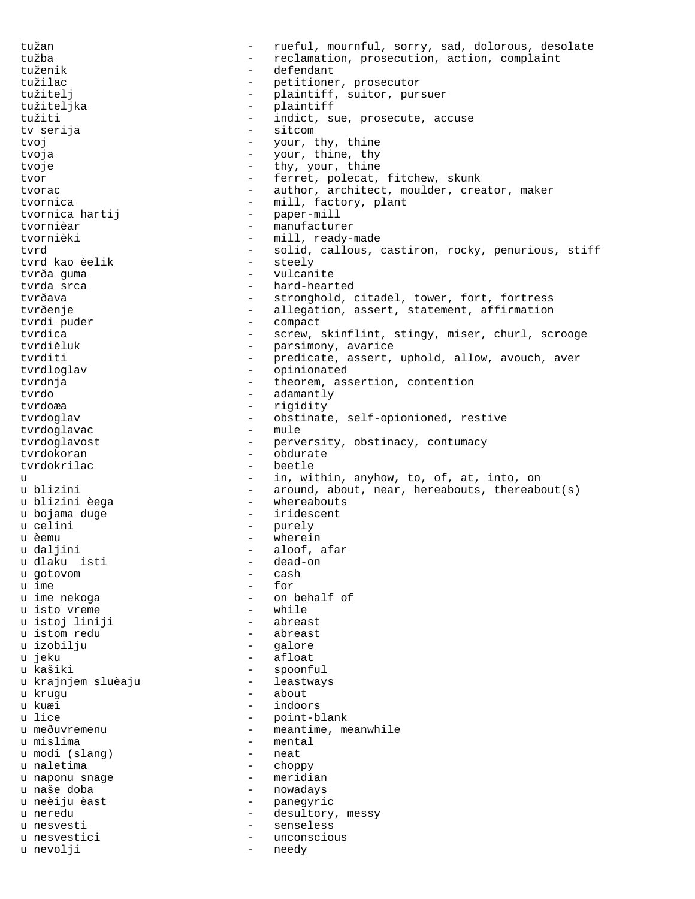tužan com v rueful, mournful, sorry, sad, dolorous, desolate tužba - reclamation, prosecution, action, complaint tuženik - defendant tužilac - petitioner, prosecutor tužitelj - plaintiff, suitor, pursuer tužiteljka - plaintiff tužiti - indict, sue, prosecute, accuse tv serija tvoj - your, thy, thine<br>tvoja - your thine thy tvoja  $-$  your, thine, thy tvoje  $-$  thy, your, thine tvor - ferret, polecat, fitchew, skunk tvorac **- author, architect, moulder, creator, maker** tvornica  $-$  mill, factory, plant tvornica hartij  $-$  paper-mill tvornièar - manufacturer - mill, ready-made tvrd<br>
- solid, callous, castiron, rocky, penurious, stiff<br>
tvrd kao èelik<br>
- steely tvrd kao èelik - steely<br>tvrða quma - steely - steely tvrða guma<br>tvrda srca tvrda srca - hard-hearted<br>tvrðava - hard-hearted<br>- stronghold - stronghold, citadel, tower, fort, fortress tvrðenje - allegation, assert, statement, affirmation<br>tvrdi puder - compact - compact - compact tvrdica - screw, skinflint, stingy, miser, churl, scrooge<br>tvrdièluk - parsimony, avarice - parsimony, avarice tvrditi - predicate, assert, uphold, allow, avouch, aver<br>tyrdloglav - opinionated tvrdloglav - opinionated tvrdnja  $-$  theorem, assertion, contention tvrdo - adamantly<br>tvrdoæa - rigidity tvrdoæa - rigidity<br>tvrdoglav - obstinate tvrdoglav - obstinate, self-opionioned, restive<br>tvrdoglavac - mule tvrdoglavac tvrdoglavost - perversity, obstinacy, contumacy<br>tyrdokoran - obdurate tvrdokoran - obdurate tvrdokrilac - beetle u e in, within, anyhow, to, of, at, into, on u blizini  $-$  around, about, near, hereabouts, thereabout(s) u blizini èega <br />
- whereabouts u bojama duge  $-$  iridescent u celini - purely<br>u èemu - wherei u èemu - wherein u daljini - aloof, afar u dlaku isti - dead-on u gotovom<br>u ime u ime  $\frac{1}{2}$  - for  $\frac{1}{2}$  - for  $\frac{1}{2}$  - on  $\frac{1}{2}$ - on behalf of<br>- while u isto vreme - while u istoj liniji - abreast u istom redu u izobilju  $-$  galore u jeku - afloat - spoonful<br>- leastways u krajnjem sluèaju - leastways u krugu - about - about - about - about - about - about - about - about - about - about - about - about - about u kuæi - indoors u lice - point-blank<br>u meðuvremenu - meantime, m - meantime, meanwhile u mislima - mental u modi (slang) u naletima<br>u naponu snage stati standardnih v naponu snage u naponu snage u naše doba  $-$  nowadays u neèiju èast  $\overline{a}$  - panegyric<br>u neredu u neredu - desultory, messy<br>u nesvesti - senseless u nesvesti  $-$  senseless u nesvestici - unconscious u nevolji - needy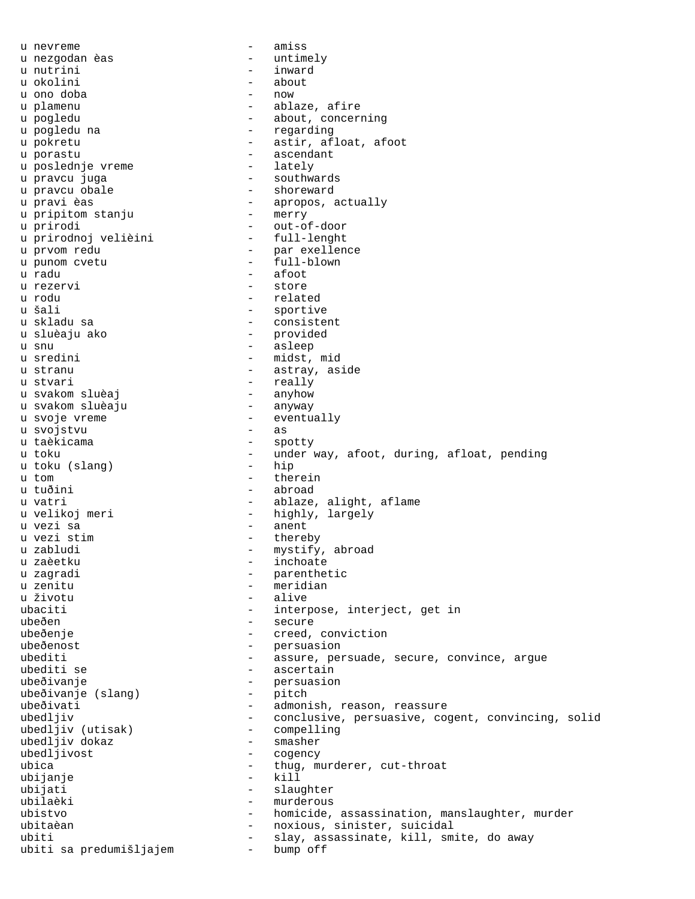u nevreme  $-$  amiss u nezgodan èas  $\overline{\phantom{a}}$  - untimely u nutrini - inward u okolini - about u ono doba u plamenu  $\qquad \qquad$  - ablaze, afire u pogledu  $\qquad \qquad$  - about, concerning u pogledu na  $\qquad \qquad$  - regarding u pokretu  $-$  astir, afloat, afoot u porastu - ascendant u poslednje vreme u pravcu juga<br>u pravcu obale - shoreward - shoreward - shoreward u pravi èas - apropos, actually u pripitom stanju u prirodi - out-of-door u prirodnoj velièini u prvom redu - par exellence u punom cvetu  $-$  full-blown u radu - afoot u rezervi - store u rodu - related u šali  $-$  sportive u skladu sa - consistent u sluèaju ako u snu  $-$  asleep u sredini - midst, mid u stranu  $-$  astray, aside u stvari - really u svakom sluèaj - anyhow u svakom sluèaju u svoje vreme - eventually u svojstvu<br>u taèkicama - spotty u toku - under way, afoot, during, afloat, pending<br>u toku (slang) - hip u toku (slang) u tom - therein u tuðini - abroad u vatri  $\qquad \qquad$  - ablaze, alight, aflame u velikoj meri  $-$  highly, largely u vezi sa - anent - thereby u zabludi - mystify, abroad u zaèetku  $-$  inchoate u zagradi  $-$  parenthetic u zenitu - meridian - alive ubaciti - interpose, interject, get in ubeðen - secure ubeðenje - creed, conviction ubeðenost - persuasion ubediti - assure, persuade, secure, convince, argue - assure, persuade, secure, convince, argue ubediti se  $-$  ascertain ubeðivanje<br>ubeðivanje (slang) - persuasion<br>- pitch ubeðivanje (slang) - pitch ubeðivati - admonish, reason, reassure - conclusive, persuasive, cogent, convincing, solid<br>- compelling ubedljiv (utisak) - compell<br>ubedljiv dokaz - smasher ubedljiv dokaz ubedljivost - cogency ubica - thug, murderer, cut-throat ubijanje - kill ubijati - slaughter ubilaèki - murderous ubistvo - homicide, assassination, manslaughter, murder ubitaèan - noxious, sinister, suicidal ubiti  $-$  slay, assassinate, kill, smite, do away ubiti sa predumišljajem - bump off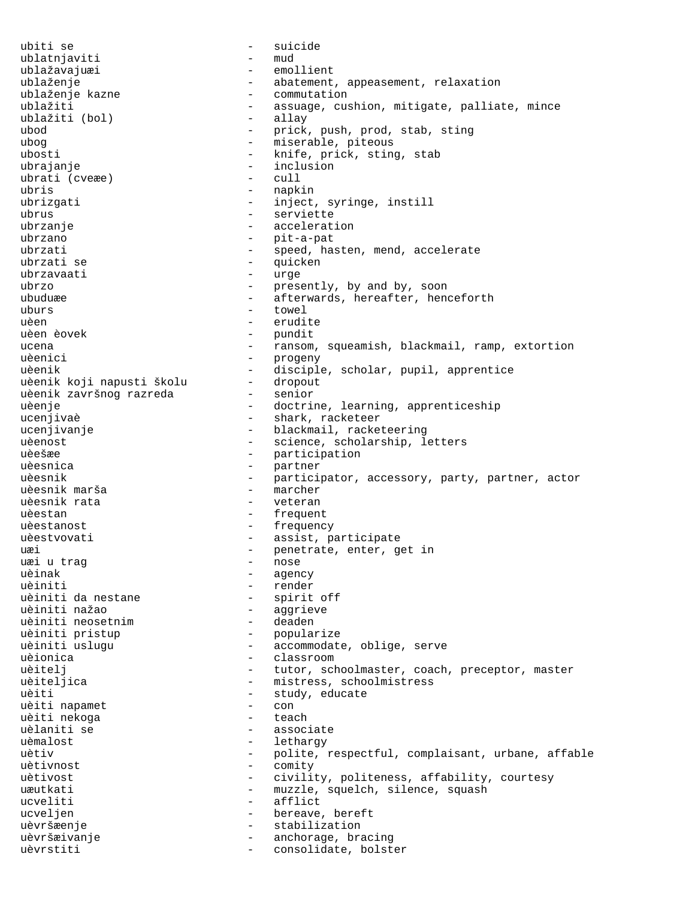ubiti se - suicide ublatnjaviti - mud ublažavajuæi - emollient ublaženje  $-$  abatement, appeasement, relaxation ublaženje kazne - commutation<br>ublažiti - assuage, cu - assuage, cushion, mitigate, palliate, mince<br>- allav ublažiti (bol)<br>ubod ubod - prick, push, prod, stab, sting<br>
- miserable, piteous<br>
- miserable, piteous - miserable, piteous ubosti  $-$  knife, prick, sting, stab ubrajanje - inclusion<br>ubrati (cyexe) - cull ubrati (cveæe) ubris - napkin ubrizgati  $-$  inject, syringe, instill ubrus - serviette ubrzanje  $\qquad \qquad -$  acceleration ubrzano - pit-a-pat<br>ubrzati - speed ha ubrzati - speed, hasten, mend, accelerate - quicken<br>- urge ubrzavaati - urge<br>ubrzo - urge ubrzo  $-$  presently, by and by, soon  $-$  presently, by and by, soon  $-$  afterwards bereafter bene - afterwards, hereafter, henceforth uburs - towel uèen - erudite - pundit ucena - ransom, squeamish, blackmail, ramp, extortion uèenici - progeny uèenik - disciple, scholar, pupil, apprentice uèenik koji napusti školu - dropout uèenik koji napusti školu dropou<br>uèenik završnog razreda senior uèenik završnog razreda uèenje - doctrine, learning, apprenticeship ucenjivaè  $-$  shark, racketeer ucenjivanje - blackmail, racketeering uèenost - science, scholarship, letters uèešæe - participation uèesnica - partner uèesnik - participator, accessory, party, partner, actor<br>uèesnik marša - marcher - marcher uèesnik rata  $-$  veteran uèestan en announcement and the frequent uèestanost en contra la proposition de la proposition de la proposition de la proposition de la proposition de uèestvovati en entre la construction de la construction de la construction de la construction de la constructio uæi 1992 - 1992 - 1992 - 1992 - 1992 penetrate, enter, get in 1992 uæi 1992 - 1992 - 1992 - 1992 - 1993 - 1992 - 1993 - 1993 - 1993 - 1993 - 1993 - 1993 - 1993 - 1993 - 1993 - 1993 - 1993 - 1993 - 1993 - 1994 - 1994 - 1994 uæi u trag uèinak - agency<br>uèiniti - render - render uèiniti - render<br>uèiniti da nestane - spirit uèiniti da nestane - spirit off – aggrieve<br>– deaden uèiniti neosetnim uèiniti pristup  $-$  popularize uèiniti uslugu  $\qquad \qquad -$  accommodate, oblige, serve uèionica <br/> - classroom <br/> - classroom uèitelj  $-$  tutor, schoolmaster, coach, preceptor, master uèiteljica - mistress, schoolmistress uèiti - study, educate<br>
- study, educate<br>
- con uèiti napamet - con uèiti nekoga  $-$  teach uèlaniti se  $\overline{\phantom{a}}$  - associate  $\overline{\phantom{a}}$  associate  $\overline{\phantom{a}}$ - lethargy uètiv - polite, respectful, complaisant, urbane, affable<br>
- comity uètivnost - comity uètivost en entre la civility, politeness, affability, courtesy uæutkati - muzzle, squelch, silence, squash ucveliti - afflict ucveljen - bereave, bereft uèvršæenje - stabilization uèvršæivanje <br />  $\qquad \qquad -$  anchorage, bracing uèvrstiti  $\qquad \qquad -$  consolidate, bolster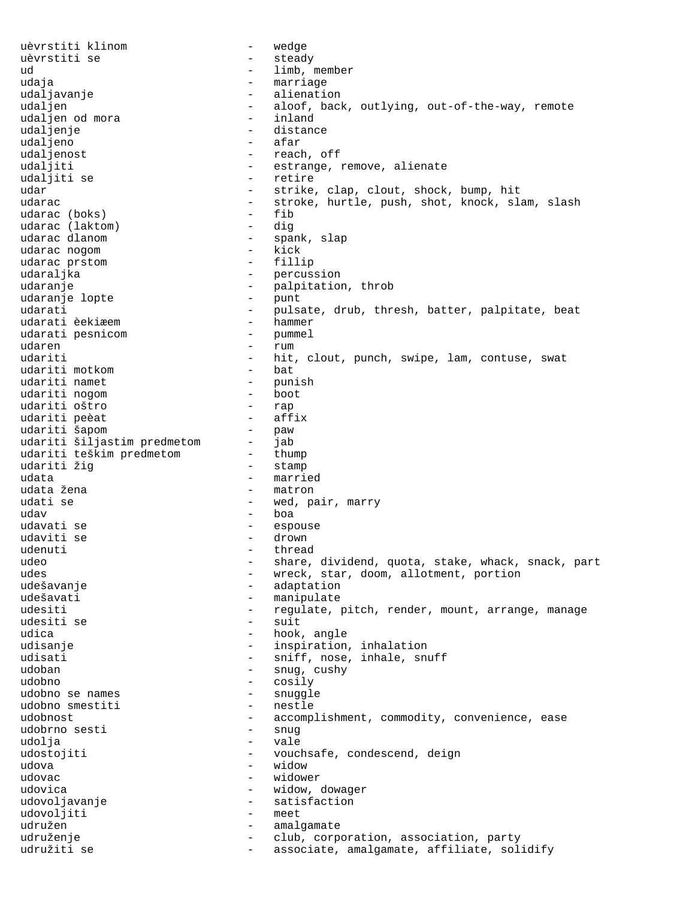uèvrstiti klinom - wedge uèvrstiti se - steady - limb, member udaja - marriage - marriage udaljavanje - alienation - aloof, back, outlying, out-of-the-way, remote<br>- inland udaljen od mora<br>udalienie - inland<br>distance - distance udaljenje<br>udaljeno - afar udaljenost - reach, off udaljiti - estrange, remove, alienate udaljiti se  $-$  retire udar - strike, clap, clout, shock, bump, hit udarac - stroke, hurtle, push, shot, knock, slam, slash<br>udarac (boks) - fib udarac (boks) –<br>udarac (laktom) – udarac (laktom) - dig<br>udarac dlanom - spa - spank, slap<br>- kick udarac nogom - kick udarac prstom udaraljka - percussion<br>udaranje - palpitation udaranje - palpitation, throb udaranje lopte - punt udarati - pulsate, drub, thresh, batter, palpitate, beat<br>udarati èekiæem - hammer udarati èekiæem  $udarati$  pesnicom  $-$  hammer udarati pesnicom udaren 18a - 18a - 18a - 18a - 18a - 18a - 18a - 18a - 18a - 18a - 18a - 18a - 18a - 18a - 18a - 18a - 18a - 1 udariti  $-$  hit, clout, punch, swipe, lam, contuse, swat<br>udariti motkom  $-$  bat udariti motkom - bat udariti namet - punish udariti nogom - boot udariti oštro - rap udariti peèat - affix udariti šapom - paw udariti šiljastim predmetom - jab udariti teškim predmetom - thump<br>udariti žig - stamp udariti žig - stamp udata - married<br>udata žena - married - matron - matron udati se  $-$  wed, pair, marry  $\begin{array}{ccc} u{\textnormal d} a v & -& b{\textnormal o} a \end{array}$ udavati se  $-$  espouse udaviti se  $-$  drown udenuti - thread<br>udeo - share, - share, dividend, quota, stake, whack, snack, part udes - wreck, star, doom, allotment, portion udešavanje - adaptation - manipulate udesiti - regulate, pitch, render, mount, arrange, manage<br>udesiti se - suit udesiti se udica  $\qquad \qquad -$  hook, angle udisanje  $-$  inspiration, inhalation udisati - sniff, nose, inhale, snuff udoban - snug, cushy udobno - cosily udobno se names - snuggle udobno smestiti udobnost - accomplishment, commodity, convenience, ease<br>udobrno sesti - snug udobrno sesti - snug udolja - vale udostojiti  $-$  vouchsafe, condescend, deign udova - widow udovac - widower udovica  $-$  widow, dowager udovoljavanje - satisfaction udovoljiti - meetimaalise - meetimaalise - meetimaalise - meetimaalise - meetimaalise - meetimaalise - meetima<br>- meetimaalise - meetimaalise - meetimaalise - meetimaalise - meetimaalise - meetimaalise - meetimaalise - mee udružen - amalgamate udruženje - club, corporation, association, party udružiti se  $-$  associate, amalgamate, affiliate, solidify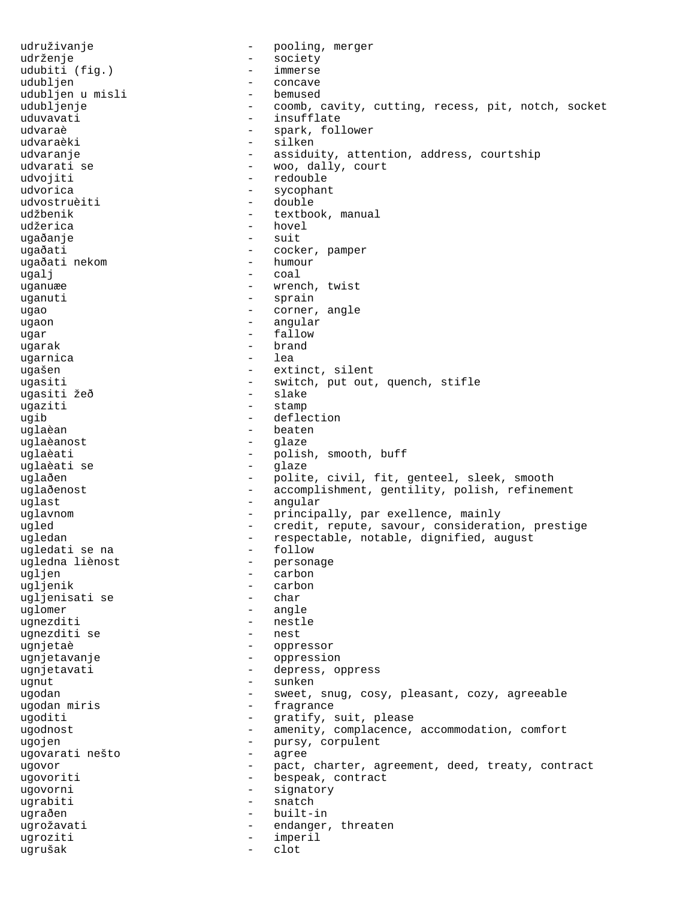udruživanje - pooling, merger udrženje - society udubiti (fig.) udubljen - concave udubljen u misli<br>udubljenje udubljenje - coomb, cavity, cutting, recess, pit, notch, socket uduvavati - insufflate<br>udvaraè - spark, fol. udvaraè - spark, follower - silken udvaranje - assiduity, attention, address, courtship - woo, dally, court udvojiti - redouble udvorica - sycophant udvostruèiti - double udžbenik - textbook, manual udžerica - hovel ugaðanje - suit ugaðati - cocker, pamper ugaðati nekom ugalj - coal uganuæe - wrench, twist uganuti - sprain ugao  $-$  corner, angle ugaon - angular ugar - fallow<br>ugarak - fallow<br>- hrand ugarak - brand ugarnica ugašen - extinct, silent ugasiti - switch, put out, quench, stifle<br>uqasiti žeð - slake - slake ugasiti žeð - slakest slakest samt slakest slakest slakest slakest slakest slakest slakest slakest slakest sla<br>- slakest slakest slakest slakest slakest slakest slakest slakest slakest slakest slakest slakest slakest slak ugaziti - stamp ugib - deflection<br>uglaèan - - - - - - - - - - beaten  $-$  beaten uglaèanost - glaze uglaèati - polish, smooth, buff<br>uqlaèati se - glaze - glaze uglaèati se uglaðen - polite, civil, fit, genteel, sleek, smooth uglaðenost - accomplishment, gentility, polish, refinement uglast  $\qquad$  - angular uglavnom - principally, par exellence, mainly<br>ugled - credit, repute, savour, considerat: ugled - credit, repute, savour, consideration, prestige ugledan - respectable, notable, dignified, august<br>ugledati se na - follow - follow ugledati se na - follow ugledna liènost - personage ugljen - carbon - carbon<br>- char ugljenisati se uglomer - angle ugnezditi - nestle<br>ugnezditi se - nest ugnezditi se ugnjetaè - oppressor ugnjetavanje - oppression ugnjetavati - depress, oppress ugnut – sunken<br>ugodan – sweet ugodan - sweet, snug, cosy, pleasant, cozy, agreeable<br>ugodan miris - fragrance - fragrance ugoditi - gratify, suit, please ugodnost - amenity, complacence, accommodation, comfort ugojen<br>ugojen - pursy, corpulent<br>ugovarati nešto - agree ugovarati nešto - agree ugovor and the pact, charter, agreement, deed, treaty, contract ugovoriti - bespeak, contract ugovorni - signatory ugrabiti - snatch<br>ugraðen - builtugraðen - built-in<br>ugrožavati - built-in ugrožavati - endanger, threaten ugroziti - imperil<br>ugrušak - clot ugrušak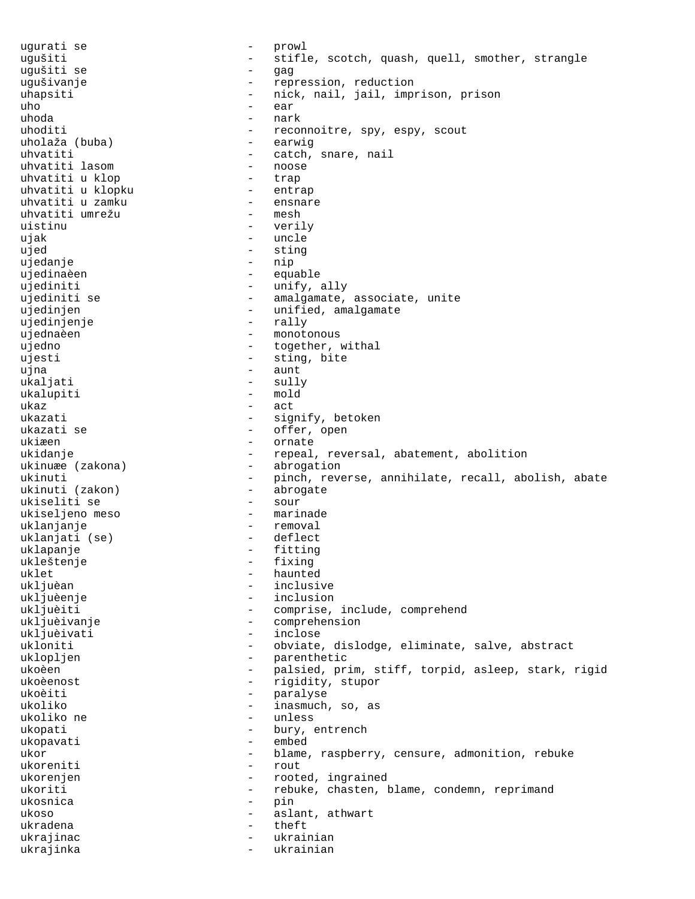ugurati se  $-$  prowl ugušiti - stifle, scotch, quash, quell, smother, strangle ugušiti se - gag ugušivanje  $\qquad \qquad -$  repression, reduction uhapsiti - nick, nail, jail, imprison, prison uho - ear uhoda - nark - reconnoitre, spy, espy, scout<br>- earwig uholaža (buba)<br>uhvatiti - catch, snare, nail<br>- noose uhvatiti lasom - noose uhvatiti u klop - trap uhvatiti u klopku - entrap uhvatiti u zamku - ensnare uhvatiti umrežu - mesh uistinu - verily ujak - uncle ujed - sting ujedanje - nip ujedinaèen equable equable ujediniti - unify, ally ujediniti se  $-$  amalgamate, associate, unite ujedinjen - unified, amalgamate<br>ujedinjenje - - - - - - - - - - - - rally ujedinjenje ujednaèen - monotonous ujedno - together, withal ujesti - sting, bite ujna - aunt ukaljati - sully ukalupiti - mold<br>ukaz - act ukaz - act ukazati - signify, betoken ukazati se  $\overline{\phantom{a}}$  - offer, open ukiæen - ornate ukidanje  $-$  repeal, reversal, abatement, abolition ukinuæe (zakona) - abrogation ukinuti - pinch, reverse, annihilate, recall, abolish, abate ukinuti (zakon) - abrogate ukinuti (zakon) - abrogate ukiseliti se - sour ukiseljeno meso uklanjanje - removal uklanjati (se) uklapanje - fitting ukleštenje - fixing uklet - haunted ukljuèan - haunted - haunted - haunted - haunted - haunted - haunted - haunted - haunted - haunted - haunted - haunted - haunted - haunted - haunted - haunted - haunted - haunted - haunted - haunted - haunt ukljuèan - inclusive ukljuèenje - inclusion ukljuèiti - comprise, include, comprehend<br>ukljuèivanje - comprehension - comprehension ukljuèivanje - comprehension - inclose ukloniti - obviate, dislodge, eliminate, salve, abstract uklopljen - parenthetic<br>ukoèen - parenthetic<br>- palsied pr ukoèen - palsied, prim, stiff, torpid, asleep, stark, rigid ukoèenost - rigidity, stupor ukoèiti - paralyse ukoliko - inasmuch, so, as<br>ukoliko ne - inasmuch, so, as ukoliko ne - unless ukopati - bury, entrench<br>ukopayati - embed ukopavati - embed ukor - blame, raspberry, censure, admonition, rebuke ukoreniti - rout ukorenjen - rooted, ingrained ukoriti - rebuke, chasten, blame, condemn, reprimand ukosnica - pin ukoso  $-$  aslant, athwart ukradena - theft - theft - theft - theft - theft - theft - theft - the - the - the - the - the - th ukrajinac - ukrainian ukrajinka - ukrainian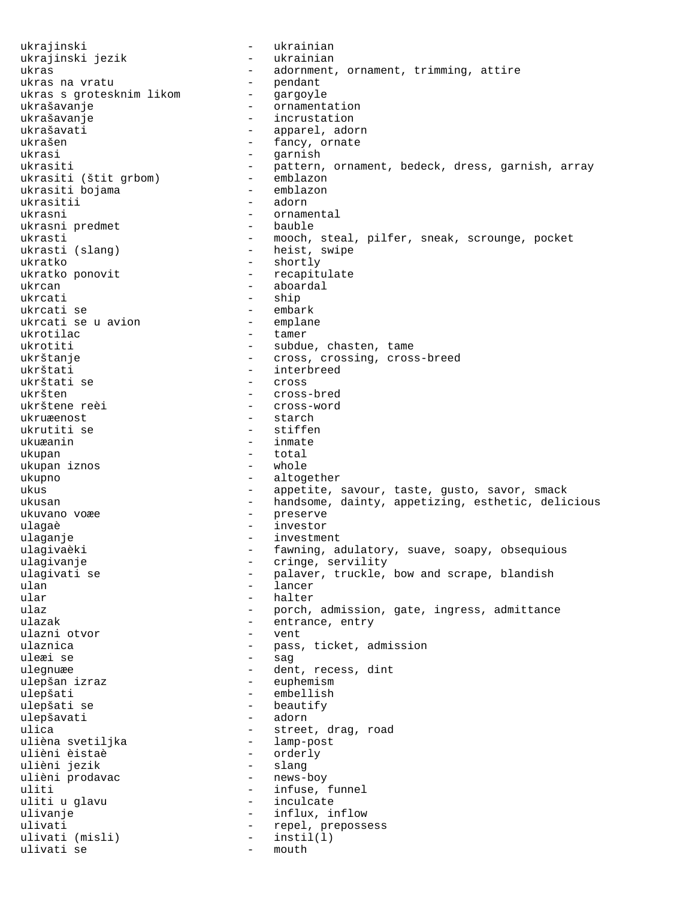ukrajinski - ukrainian ukrajinski jezik - ukrainian - adornment, ornament, trimming, attire<br>- pendant<br>- gargoyle ukras na vratu ukras s grotesknim likom - gargoyle ukrašavanje en metalog - ornamentation ukrašavanje - incrustation ukrašavati - apparel, adorn<br>ukrašen - - - - - - - fancy ornate - fancy, ornate ukrasi - garnish ukrasiti - pattern, ornament, bedeck, dress, garnish, array<br>ukrasiti (štit grbom) - emblazon ukrasiti (štit grbom) - emblazon<br>ukrasiti bojama ukrasiti bojama ukrasitii - adorn ukrasni - ornamental ukrasni predmet ukrasti - mooch, steal, pilfer, sneak, scrounge, pocket<br>ukrasti (slang) - heist, swipe - heist, swipe ukratko  $\overline{\phantom{0}}$  - shortly ukratko ponovit - recapitu ukratko ponovit - recapitulate ukrcan - aboardal - aboardal - aboardal - aboardal - aboardal - ship - ship ukrcati se - embark ukrcati se u avion<br>ukrotilac - tamer ukrotiti - subdue, chasten, tame ukrštanje - cross, crossing, cross-breed ukrštati - interbreed ukrštati se - cross - cross - cross - cross - cross - cross - cross - cross - cross - cross - cross - cross ukršten - cross-bred<br>ukrštene reèi - cross-word - cross-word ukruæenost - starch ukrutiti se - stiffen - inmate ukupan - total ukupan iznos ukupno - altogether ukus - appetite, savour, taste, gusto, savor, smack ukusan - handsome, dainty, appetizing, esthetic, delicious ukuvano voæe - preserve ulagaè diversités d'autres de la commune de la commune de la commune de la commune de la commune de la commune ulaganje en anti-sensitive de la provincia de la provincia de la provincia de la provincia de la provincia de ulagivaèki  $-$  fawning, adulatory, suave, soapy, obsequious ulagivanje  $\qquad \qquad \qquad -$  cringe, servility ulagivati se - palaver, truckle, bow and scrape, blandish ulan - lancer<br>ular - halter ular - halter<br>ulaz - porch. - porch, admission, gate, ingress, admittance ulazak - entrance, entry<br>ulazni otvor - vent - vent ulazni otvor ulaznica - pass, ticket, admission uleæi se - sag ulegnuæe en andersmælden af dent, recess, dint ulepšan izraz  $-$  euphemism ulepšati - embellish<br>ulepšati se - beautify - beautify - beautify<br>- adorn ulepšavati<br>ulica - street, drag, road<br>- lamp-post ulièna svetiljka<br>ulièni èistaè ulièni èistaè - orderly - slang<br>- news-boy ulièni prodavac uliti - infuse, funnel uliti u glavu  $-$  inculcate ulivanje  $-$  influx, inflow ulivati - repel, prepossess<br>ulivati (misli) - instil(l) ulivati (misli) - instil(l) ulivati se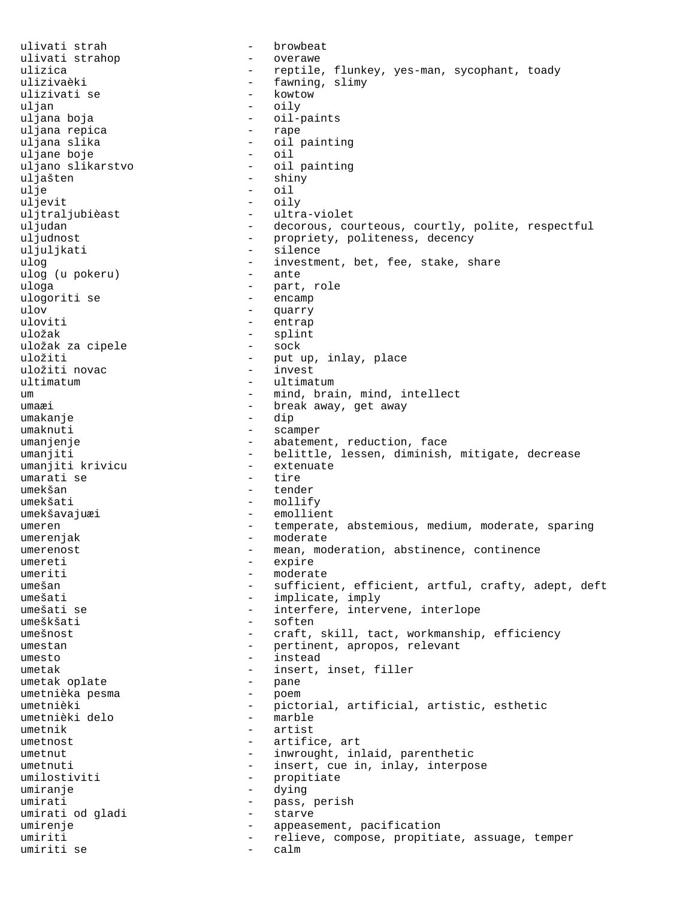ulivati strah - browbeat ulivati strahop  $-$  overawe ulizica - reptile, flunkey, yes-man, sycophant, toady ulizivaèki  $-$  fawning, slimy ulizivati se  $-$  kowtow uljan - oily - oil-paints<br>- rape uljana repica<br>uljana slika - oil painting<br>- oil uljane boje - oil uljano slikarstvo uljašten - shiny ulje - oil uljevit - oily uljtraljubièast - ultra-violet uljudan - decorous, courteous, courtly, polite, respectful uljudnost<br>uljulikati - propriety, politeness, decency uljuljkati - silence ulog  $-$  investment, bet, fee, stake, share ulog (u pokeru)  $-$  ante ulog (u pokeru) uloga - part, role ulogoriti se ulov - quarry - quarry - quarry - quarry - quarry - quarry - quarry - quarry - quarry - quarry - quarry - quarry - quarry - quarry - quarry - quarry - quarry - quarry - quarry - quarry - quarry - quarry - quarry - quarry -- entrap uložak - splint uložak za cipele uložiti - put up, inlay, place uložiti novac ultimatum - ultimatum um  $-$  mind, brain, mind, intellect umaæi - break away, get away<br>umakanie - dip umakanje - dip umaknuti - scamper umanjenje - abatement, reduction, face umanjiti - belittle, lessen, diminish, mitigate, decrease<br>umanjiti krivicu - extenuate umanjiti krivicu - extenuate umarati se umekšan - tender umekšati - mollify umekšavajuæi - emollient umeren - temperate, abstemious, medium, moderate, sparing umerenjak - moderate umerenost **-** mean, moderation, abstinence, continence umereti - expire umeriti - moderate<br>umešan - sufficier umešan - sufficient, efficient, artful, crafty, adept, deft umešati - implicate, imply<br>umešati se - interfere, interv - interfere, intervene, interlope umeškšati - soften umešnost - craft, skill, tact, workmanship, efficiency umestan - pertinent, apropos, relevant umesto - instead umetak  $-$  insert, inset, filler umetak oplate  $-$  pane umetak oplate - pane umetnièka pesma - poem umetnièki - pictorial, artificial, artistic, esthetic<br>umetnièki delo - marble umetnièki delo umetnik - artist umetnost  $-$  artifice, art umetnut - inwrought, inlaid, parenthetic umetnuti - insert, cue in, inlay, interpose umilostiviti - propitiate<br>umiranie - dving<br>- dving umiranje - dying umirati  $-$  pass, perish umirati od gladi - starve umirenje  $\qquad \qquad -$  appeasement, pacification umiriti - relieve, compose, propitiate, assuage, temper umiriti se - calm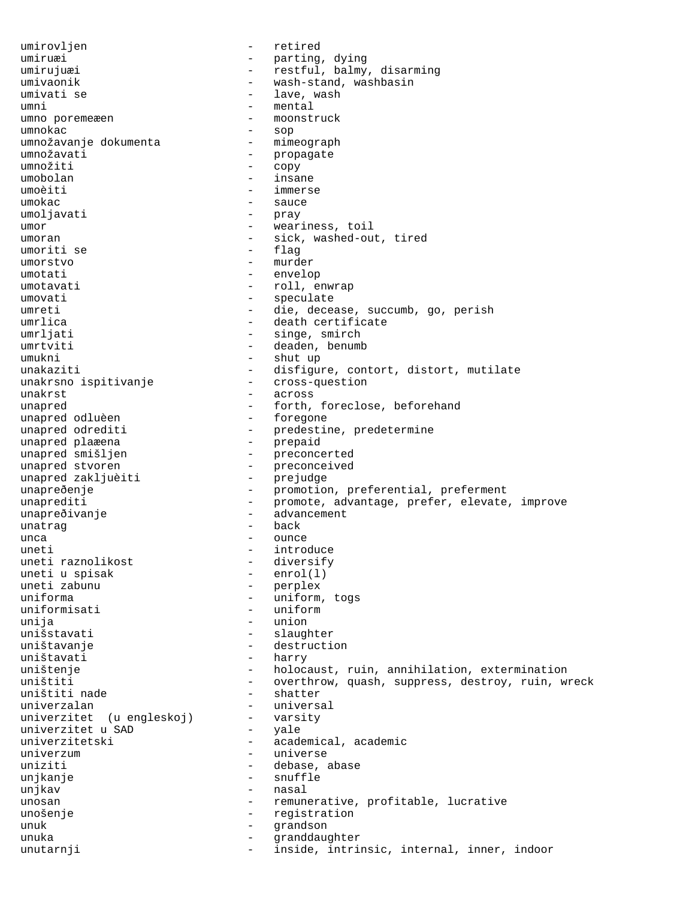umirovljen - retired umiruæi - parting, dying umirujuæi - restful, balmy, disarming umivaonik - wash-stand, washbasin umivati se  $-$  lave, wash umni - mental umno poremeæen umnokac - sop umnožavanje dokumenta umnožavati - propagate<br>umnožiti - conv umnožiti - copy umobolan - insane umoèiti - immerse umokac - sauce umoljavati - pray<br>umor - wear umor - weariness, toil umoran - sick, washed-out, tired<br>umoriti se - flaq umoriti se umorstvo - murder umotati - envelop umotavati - roll, enwrap umovati - speculate umreti - die, decease, succumb, go, perish umrlica - death certificate umrljati - singe, smirch umrtviti - deaden, benumb umukni - shut up unakaziti - disfigure, contort, distort, mutilate unakrsno ispitivanje - cross-question unakrst - across unapred - forth, foreclose, beforehand unapred odluèen - forth, foreclose, beforehand unapred odluèen<br>unapred odrediti - predestine, predetermine<br>- prepaid unapred plaæena<br>unapred smišljen unapred smišljen - preconcerted<br>unapred stvoren - preconceived - preconceived<br>- prejudge unapred sovoren<br>unapred zakljuèiti unapreðenje - promotion, preferential, preferment unaprediti - promote, advantage, prefer, elevate, improve unapreðivanje - advancement unatrag  $\overline{\phantom{a}}$  back unca - ounce uneti - introduce uneti raznolikost - diversify uneti u spisak<br>uneti zabunu uneti zabunu - perplex<br>uniforma - uniform - uniform, togs uniformisati - uniform<br>unija - union - union - union unišstavati - slaughter uništavanje - destruction uništavati - harry uništenje - holocaust, ruin, annihilation, extermination<br>uništiti - - overthrow, quash, suppress, destroy, ruin, w - overthrow, quash, suppress, destroy, ruin, wreck<br>- shatter uništiti nade - shatter - shatter univerzalan - universal<br>univerzitet (u engleskoj) - - varsity univerzitet (u engleskoj) - varsity<br>univerzitet u SAD - yale univerzitet u SAD<br>univerzitetski - academical, academic univerzum entre entre entre entre entre universe uniziti - debase, abase unjkanje - snuffle unjkav - nasal unosan - remunerative, profitable, lucrative unošenie - registration - registration - registration<br>- grandson unuk - grandson unuka - granddaughter unutarnji  $-$  inside, intrinsic, internal, inner, indoor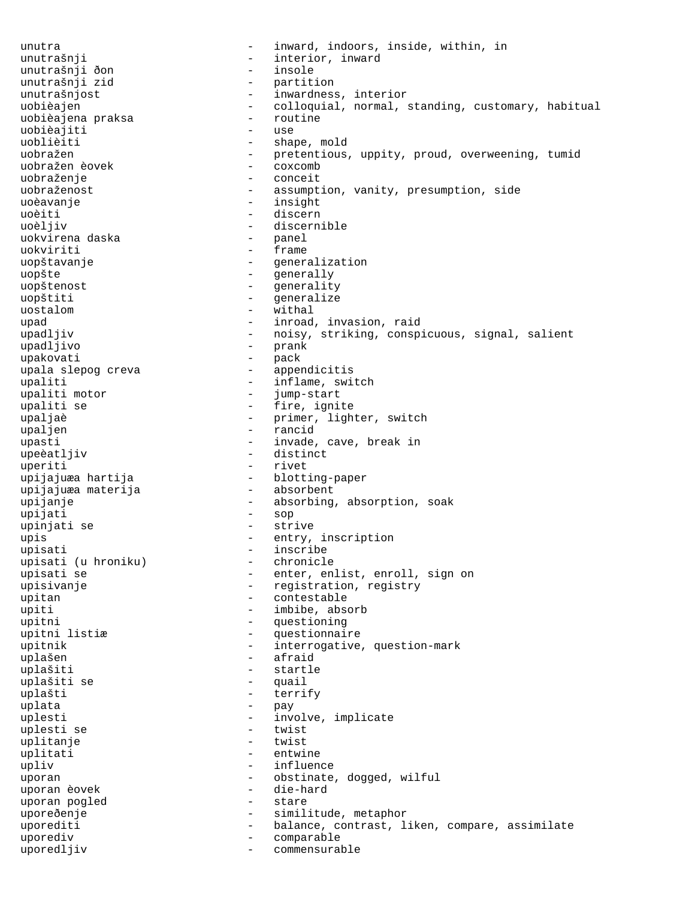unutra - inward, indoors, inside, within, in unutrašnji - interior, inward<br>unutrašnji ðon - - insole - insole unutrašnji ðon - insole unutrašnji zid unutrašnjost **Australie** - inwardness, interior uobièajen<br>uobièajen - colloquial, normal, standing, customary, habitual<br>- routine uobièajena praksa uobièajiti - use - shape, mold uobražen - pretentious, uppity, proud, overweening, tumid<br>uobražen èovek - coxcomb uobražen èovek uobraženje - conceit uobraženost - assumption, vanity, presumption, side uoèavanje - insight uoèiti - discern uoèljiv - discernible uokvirena daska uokviriti - frame uopštavanje - eneralization uopšte - generally - generally - generally - generally - generality uopštiti - generalize uostalom - withal upad  $-$  inroad, invasion, raid upadljiv - noisy, striking, conspicuous, signal, salient upadljivo - prank upakovati - pack upala slepog creva - appendicitis upaliti  $u$ enditi motor  $u$  - inflame, switch  $u$ enditi motor  $u$  - jump-start upaliti motor upaliti se - fire, ignite upaljaè - primer, lighter, switch - rancid upasti  $-$  invade, cave, break in upeèatljiv - distinct uperiti - rivet upijajuæa hartija - blotting-paper upijajuæa materija upijanje  $-$  absorbing, absorption, soak upijati - sop upinjati se  $-$  strive upis - entry, inscription upisati - inscribe<br>upisati (u hroniku) - chronicle upisati (u hroniku)<br>upisati se - enter, enlist, enroll, sign on upisivanje - registration, registry upitan - contestable upiti - imbibe, absorb<br>upitni - questioning<br>- questioning upitni - questioning - questionnaire upitnik - interrogative, question-mark uplašen - afraid uplašiti - startle uplašiti se - quail uplašti  $\overline{u}$  - terrify<br>uplata - terrify  $\text{update}$   $\text{update}$   $\text{update}$   $\text{index}$   $\text{index}$   $\text{index}$   $\text{index}$   $\text{index}$   $\text{index}$   $\text{index}$   $\text{index}$   $\text{index}$   $\text{index}$   $\text{index}$   $\text{index}$   $\text{index}$   $\text{index}$   $\text{index}$   $\text{index}$   $\text{index}$   $\text{index}$   $\text{index}$   $\text{index}$   $\text{index}$   $\text{index}$   $\text{index}$   $\text{index}$   $\text{index$ uplesti - involve, implicate<br>uplesti se - twist - twist uplesti se - twist uplitanje uplitati - entwine upliv  $-$  influence uporan - obstinate, dogged, wilful<br>uporan èovek - die-hard uporan èovek uporan pogled - stare uporeðenje - similitude, metaphor uporediti  $-$  balance, contrast, liken, compare, assimilate uporediv - comparable uporedljiv - commensurable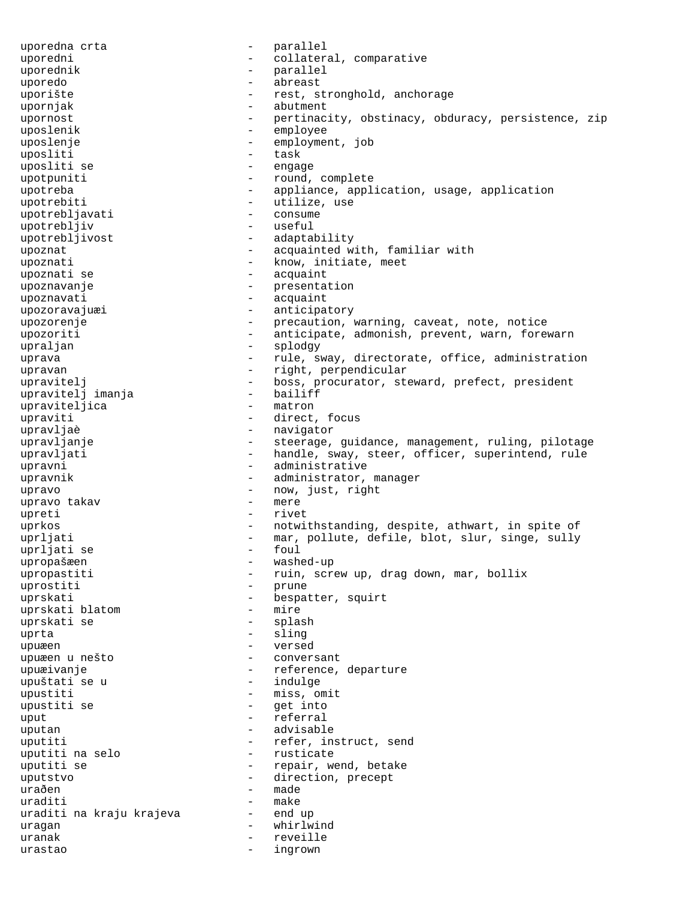uporedna crta - parallel uporedni  $\qquad \qquad -$  collateral, comparative uporednik - parallel uporedo - abreast uporište - rest, stronghold, anchorage upornjak - abutment upornost **-** pertinacity, obstinacy, obduracy, persistence, zip uposlenik - employee uposlenje - employment, job uposliti - task uposliti se  $-$  engage upotpuniti  $-$  round, complete upotreba - appliance, application, usage, application upotrebiti - utilize, use upotrebljavati - consume upotrebljiv - useful upotrebljivost - adaptability upoznat - acquainted with, familiar with<br>upoznati - know, initiate, meet - know, initiate, meet upoznati se  $\qquad \qquad$  - acquaint upoznavanje  $\overline{\phantom{a}}$  - presentation  $\overline{\phantom{a}}$  - acquaint upoznavati - acquaint upozoravajuæi - anticipatory upozorenje e e e e e e e e e e precaution, warning, caveat, note, notice upozoriti - anticipate, admonish, prevent, warn, forewarn upraljan - splodgy uprava - rule, sway, directorate, office, administration upravan - right, perpendicular upravitelj - boss, procurator, steward, prefect, president<br>upraviteli imania - bailiff upravitelj imanja - bailiff upraviteljica - matron<br>upraviti - direct upraviti - direct, focus upravljaè  $-$  navigator upravljanje e steerage, guidance, management, ruling, pilotage upravljati entimeleri - handle, sway, steer, officer, superintend, rule upravni - administrative upravnik  $-$  administrator, manager upravo  $\begin{array}{ccc} - & \text{now, just, right} \\ - & \text{new, right} \end{array}$ upravo takav upreti - rivet uprkos - notwithstanding, despite, athwart, in spite of uprljati - mar, pollute, defile, blot, slur, singe, sully<br>uprliati se - foul - foul  $upr1jati se$  - found  $v =$  found  $v =$ upropašæen - washed-up upropastiti - ruin, screw up, drag down, mar, bollix<br>uprostiti - prune uprostiti uprskati - bespatter, squirt uprskati blatom - mire uprskati se uprta - sling upuæen - versed upuæen u nešto  $-$  conversant upuæivanje en en en meterence, departure upuštati se u se indulge - indulge upustiti - miss, omit<br>upustiti se - qet into upustiti se - get into uput - referral uputan - advisable uputiti  $-$  refer, instruct, send<br>uputiti na selo  $-$  rusticate uputiti na selo uputiti se  $-$  repair, wend, betake uputstvo - direction, precept uraðen - made uraditi - make uraditi na kraju krajeva - end up uragan - whirlwind uranak - reveille urastao - ingrown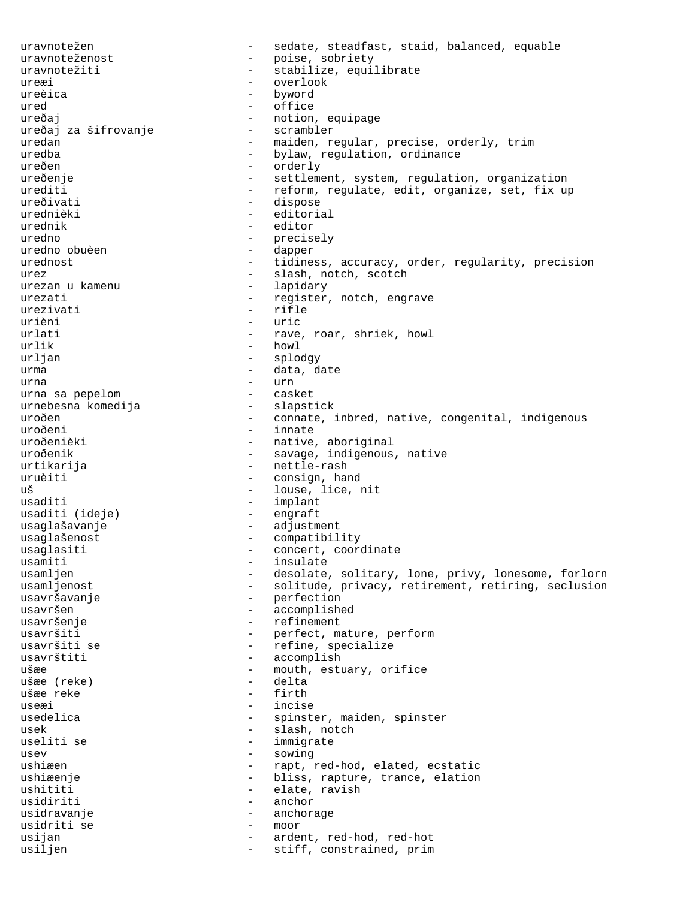uravnotežen - sedate, steadfast, staid, balanced, equable uravnoteženost - poise, sobriety<br>uravnotežiti - stabilize equi uravnotežiti - stabilize, equilibrate ureæi - overlook ureèica - byword ured - office ureðaj - notion, equipage ureðaj za šifrovanje<br>uredan - maiden, regular, precise, orderly, trim uredba - bylaw, regulation, ordinance ureðen - orderly ureðenje - settlement, system, regulation, organization<br>urediti - reform, regulate, edit, organize, set, fix ur - reform, regulate, edit, organize, set, fix up ureðivati - dispose urednièki - editorial urednik - editor uredno - precisely uredno obuèen  $-$  dapper urednost **-** tidiness, accuracy, order, regularity, precision urez - slash, notch, scotch urezan u kamenu<br>urezati urezati - register, notch, engrave<br>urezivati - rifle - rifle urièni - uric urlati - rave, roar, shriek, howl<br>urlik - howl - howl urljan - splodgy urma - data, date urna - urn urna sa pepelom - casket urnebesna komedija uroðen - connate, inbred, native, congenital, indigenous<br>
- innate uroðeni - innate verðeni - innate verðeni - innate - innate verðeni - innate - innate - innate - innate - innate - innate - innate - innate - innate - innate - innate - innate - innate - innate - innate - innate - innate -- native, aboriginal uroðenik - savage, indigenous, native urtikarija - nettle-rash uruèiti - consign, hand<br>uš - louse lice - louse, lice, nit usaditi - implant usaditi (ideje) usaglašavanje - adjustment usaglašenost - compatibility usaglasiti - concert, coordinate usamiti - insulate<br>usamljen - desolate usamljen - desolate, solitary, lone, privy, lonesome, forlorn<br>usamljenost - solitude, privacy, retirement, retiring, seclusion - solitude, privacy, retirement, retiring, seclusion usavršavanje - perfection usavršen - accomplished usavršenje - refinement usavršiti - perfect, mature, perform usavršiti se  $-$  refine, specialize usavrštiti - accomplish ušæe - mouth, estuary, orifice ušæe (reke) - delta ušæe reke - first - first - first - first - first - first - first - first - first - first - first useæi - incise usedelica - spinster, maiden, spinster usek - slash, notch<br>useliti se - slash, notch<br>- immigrate - immigrate usev - sowing - sowing ushiæen - rapt, red-hod, elated, ecstatic ushiæenje - 1992 - bliss, rapture, trance, elation ushititi - elate, ravish usidiriti - anchor usidravanje - anchorage usidriti se - moor usijan - ardent, red-hod, red-hot usiljen - stiff, constrained, prim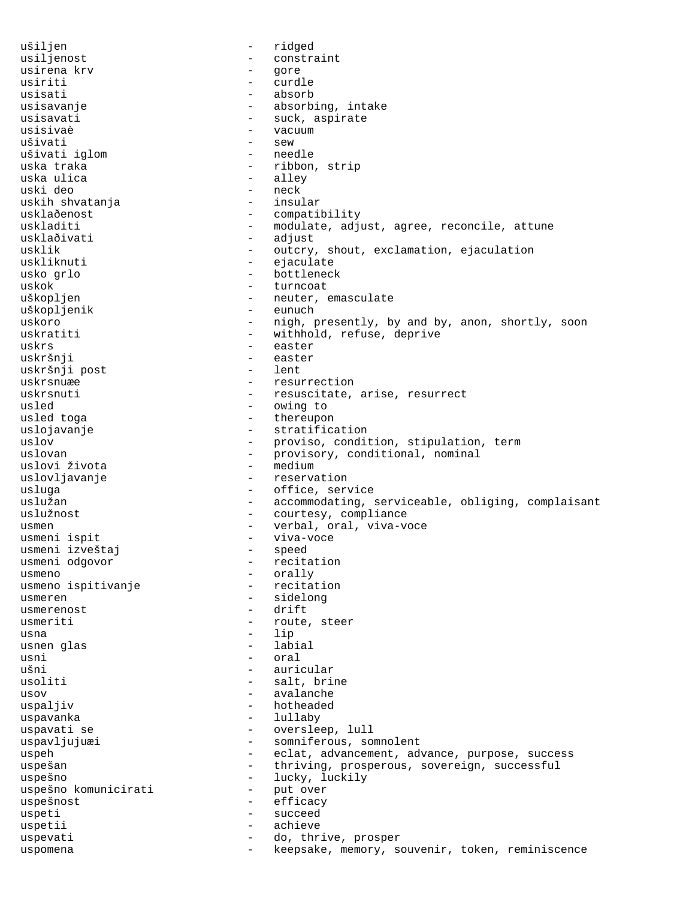ušiljen - ridged usiljenost<br>usirena krv usirena krv - gore usiriti - curdle usisati - absorb usisavanje  $\qquad \qquad \bullet$  absorbing, intake usisavati - suck, aspirate<br>usisivaè - suck, aspirate usisivaè - vacuum - sew<br>- needle ušivati iglom uska traka  $-$  ribbon, strip iska ulica - alley<br>- neck uski deo - neck uskih shvatanja usklaðenost - compatibility uskladiti - modulate, adjust, agree, reconcile, attune usklaðivati - adjust usklik - outcry, shout, exclamation, ejaculation<br>uskliknuti - ejaculate - ejaculate usko grlo - bottleneck uskok - turncoat<br>uškopljen - turncoat - turncoat - neuter, emasculate<br>- eunuch uškopljenik uskoro - nigh, presently, by and by, anon, shortly, soon uskratiti - withhold, refuse, deprive uskrs - easter uskršnji - easter uskršnji post uskrsnuæe - resurrection uskrsnuti - resuscitate, arise, resurrect usled - owing to usled toga  $-$  thereupon uslojavanje  $\qquad \qquad \qquad -$  stratification uslov - proviso, condition, stipulation, term<br>uslovan - provisory, conditional, nominal - provisory, conditional, nominal<br>- medium uslovi života uslovljavanje en verservation usluga - office, service uslužan - accommodating, serviceable, obliging, complaisant uslužnost - courtesy, compliance usmen - verbal, oral, viva-voce<br>usmeni ispit<br>- viva-voce usmeni ispit - viva-voce usmeni izveštaj<br>usmeni odgovor - recitation usmeno - orally usmeno ispitivanje usmeren - sidelong - sidelong usmerenost - drift usmeriti - route, steer usna - lip usnen glas usni - oral ušni - auricular usoliti - salt, brine usov - avalanche uspaljiv  $-$  hotheaded uspavanka - lullaby uspavati se  $-$  oversleep, lull uspavljujuæi - somniferous, somnolent uspeh - eclat, advancement, advance, purpose, success uspešan - thriving, prosperous, sovereign, successful uspešno<br>uspešno komunicirati - lucky, luckily<br>- put over uspešno komunicirati - put over - put over - put over - put over - put over - put over - put over - put over uspešnost - efficacy uspeti - succeed uspetii - achieve - achieve - achieve - achieve - achieve - achieve - achieve - achieve - achieve - achieve uspevati - do, thrive, prosper uspomena - keepsake, memory, souvenir, token, reminiscence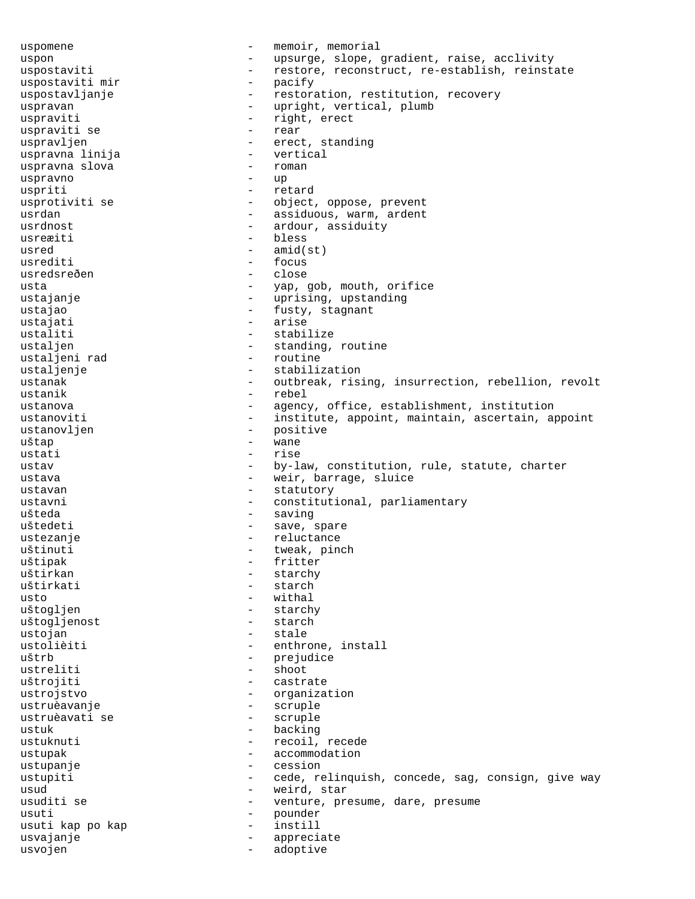uspomene  $-$  memoir, memorial uspon - upsurge, slope, gradient, raise, acclivity uspostaviti - restore, reconstruct, re-establish, reinstate uspostaviti mir - pacify uspostavljanje - restoration, restitution, recovery uspravan - upright, vertical, plumb uspraviti - right, erect uspraviti se uspravljen - erect, standing<br>uspravna linija - - - - - - vertical uspravna linija - vertical uspravna slova - roman uspravno - up uspriti - retard usprotiviti se  $-$  object, oppose, prevent usrdan - assiduous, warm, ardent usrdnost<br>usrexiti - ardour, assiduity<br>- bless usreæiti  $-$  bless<br>usred  $-$  amid( usred - amid(st)<br>usrediti - focus usrediti - focus usredsreðen<br>usta usta - yap, gob, mouth, orifice - uprising, upstanding ustajao - fusty, stagnant ustajati - arise ustaliti - stabilize ustaljen - standing, routine<br>ustaljeni rad - routine - routine ustaljeni rad ustaljenje - stabilization ustanak entitled a vertex outbreak, rising, insurrection, rebellion, revolt ustanik - rebel ustanova - agency, office, establishment, institution ustanoviti - institute, appoint, maintain, ascertain, appoint ustanovljen - positive - positive - positive - positive - positive - positive - positive - positive - positive - positive - positive - positive - positive - positive - positive - positive - positive - positive - positive uštap ustati - rise ustav - by-law, constitution, rule, statute, charter ustava  $-$  weir, barrage, sluice ustavan - statutory - statutory ustavni - constitutional, parliamentary ušteda - saving - saving uštedeti - save, spare ustezanje  $-$  reluctance uštinuti - tweak, pinch uštipak - fritter uštirkan - starchy - starch  $\begin{tabular}{ccc} \bfusto & \tt & -- & \tt withal \\ \end{tabular}$ uštogljen - starchy<br>uštoglienost - starch - starch uštogljenost ustojan - stale ustolièiti - enthrone, install uštrb - prejudice<br>ustreliti - shoot - shoot ustreliti - shoot uštrojiti - castrate ustrojstvo - organization ustruèavanje - scruple ustruèavati se ustuk - backing ustuknuti - recoil, recede ustupak - accommodation ustupanje - cession ustupiti - cede, relinquish, concede, sag, consign, give way usud - weird, star usuditi se  $\begin{array}{ccc}\n & - & \text{venture, pressure, dare, pressure} \\
 & - & \text{boundary}\n\end{array}$ usuti - pounder usuti kap po kap - instill usvajanje - appreciate usvojen - adoptive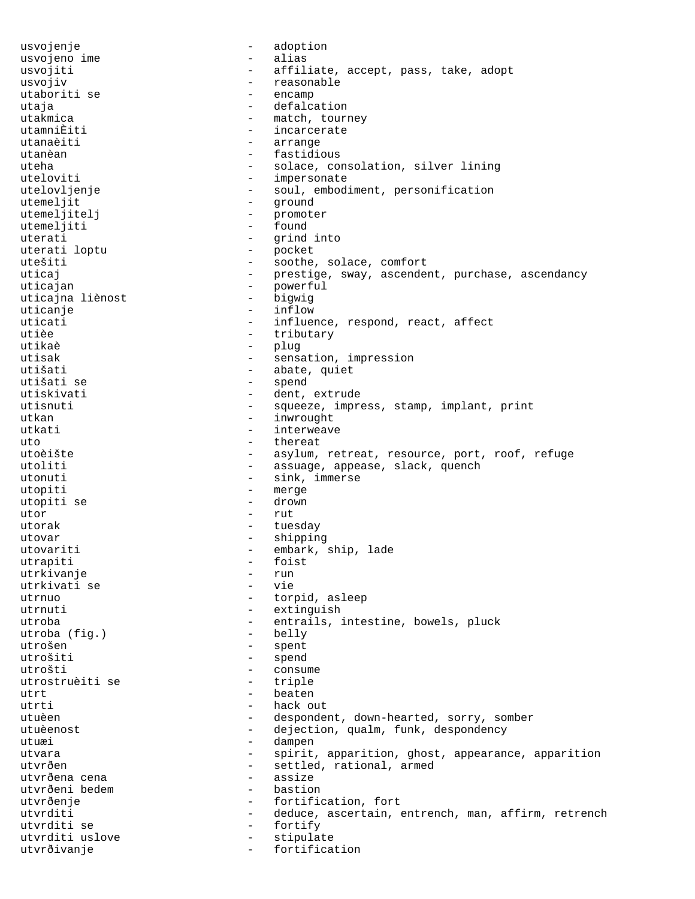usvojenje - adoption usvojeno ime usvojiti  $-$  affiliate, accept, pass, take, adopt usvojiv - reasonable utaboriti se  $-$  encamp utaja - defalcation utakmica - match, tourney<br>utamniÈiti - match, tourney utamniÈiti - incarcerate<br>utanaèiti - incarcerate - arrange utanèan - fastidious uteha - solace, consolation, silver lining uteloviti - impersonate utelovljenje - soul, embodiment, personification utemeljit - ground utemeljitelj - promoter - found uterati - grind into<br>uterati lontu - pocket uterati loptu - pocket utešiti - soothe, solace, comfort uticaj - prestige, sway, ascendent, purchase, ascendancy uticajan - powerful uticajna liènost uticanje - inflow uticati and the set of the influence, respond, react, affect utièe  $-$  tributary utikaè - plug utisak  $-$  sensation, impression utišati - abate, quiet utišati se - spend utiskivati - dent, extrude<br>utisnuti - squeeze impr utisnuti - squeeze, impress, stamp, implant, print<br>utkan - inwrought - inwrought utkan - inwrought utkati - interweave uto  $-$  thereat utoèište - asylum, retreat, resource, port, roof, refuge utoliti - assuage, appease, slack, quench utonuti - sink, immerse utopiti - merge utopiti se  $-$  drown utor - rut utorak - tuesday - tuesday utovar - shipping - shipping utovariti - embark, ship, lade<br>utrapiti - foist - foist utrapiti - foist utrkivanje - run utrkivati se - vie utrnuo  $-$  torpid, asleep utrnuti - extinguish utroba - entrails, intestine, bowels, pluck<br>utroba (fig.) - belly utroba (fig.) utrošen - spent utrošiti - spend<br>utrošti - consul utrošti - consume utrostruèiti se  $-$  triple utrt beaten utrti - hack out utuèen - despondent, down-hearted, sorry, somber utuèenost en entre la comme dejection, qualm, funk, despondency utuæi en en en anne en anne dampen utvara - spirit, apparition, ghost, appearance, apparition utvrðen - settled, rational, armed<br>utvrðena cena - - - - - - - assize utvrðena cena - assizer - assizer - assizer - assizer - assizer - assizer - assizer - assizer - assizer - assi utvrðeni bedem - bastion utvrðenje - fortification, fort<br>utvrditi - deduce ascertain utvrditi - deduce, ascertain, entrench, man, affirm, retrench utvrditi se - fortify utvrditi uslove  $-$  stipulate utvrðivanje - fortification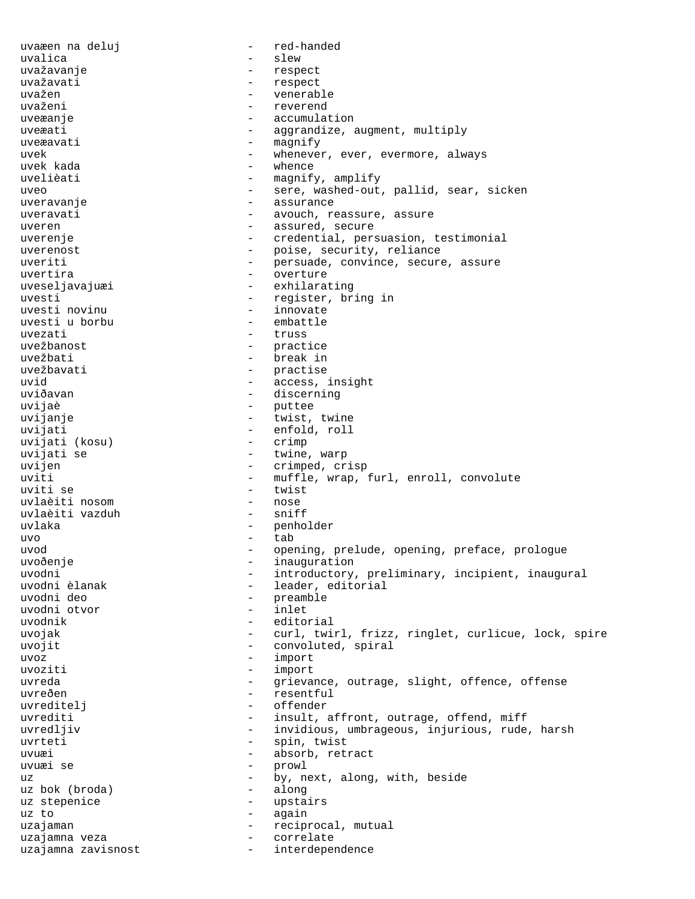uvaæen na deluj - red-handed uvalica - slew - respect uvažavati - respect uvažen - venerable - reverend uveæanje - accumulation uveæati - aggrandize, augment, multiply  $u$ veæavati  $u$ <sup>-</sup> magnify<br> $u$ <sup>-</sup>  $u$ <sup>-</sup>  $u$ <sup>-</sup>  $u$ <sup>-</sup>  $u$ <sup>-</sup>  $u$ <sup>-</sup>  $u$ <sup>-</sup>  $u$ <sup>-</sup>  $u$ <sup>-</sup> uvek - whenever, ever, evermore, always - whence uvelièati  $-$  magnify, amplify uveo - sere, washed-out, pallid, sear, sicken uveravanje - assurance uveravati - avouch, reassure, assure uveren en en en assured, secure uverenje entertaing versuasion, testimonial entertaingle entertainglemental entertainglemental entertainglemen uverenost - poise, security, reliance uveriti - persuade, convince, secure, assure<br>uvertira uvertira - overture uveseljavajuæi - exhilarating uvesti  $-$  register, bring in uvesti novinu uvesti novinu<br>uvesti u borbu - embattle uvesti u borbu uvezati - truss<br>uvežbanost - truss - truss - practice uvežbati - break in uvežbavati - practise<br>uvid - access uvid  $\qquad \qquad -$  access, insight uviðavan - discerning uvijaè - puttee uvijanje - twist, twine - enfold, roll<br>- crimp uvijati (kosu) uvijati se  $-$  twine, warp uvijen - crimped, crisp uviti - muffle, wrap, furl, enroll, convolute uviti se - twist uvlaèiti nosom - nose uvlaèiti vazduh uvlaka - penholder uvo - tab uvod - opening, prelude, opening, preface, prologue<br>uvoðenje - inauguration - inauguration - inauguration uvodni - introductory, preliminary, incipient, inaugural<br>uvodni èlanak - leader, editorial uvodni èlanak - leader, editorial - preamble<br>- inlet uvodni otvor - inlet - editorial uvojak - curl, twirl, frizz, ringlet, curlicue, lock, spire uvojit  $\qquad \qquad -$  convoluted, spiral uvoz - import uvoziti - import uvreda - Grievance, outrage, slight, offence, offense uvreðen - resentful<br>uvreditelj - offender uvreditelj uvrediti and the set of the set of the set of the set of the set of the set of the set of the set of the set o uvredljiv  $-$  invidious, umbrageous, injurious, rude, harsh uvrteti - spin, twist uvuæi - absorb, retract uvuæi se - prowl uz bok (broda) - by, next, along, with, beside<br>uz bok (broda) - along uz bok (broda) uz stepenice  $-$  upstairs uz to  $-$  again uzajaman - reciprocal, mutual<br>uzajamna veza - - - - - - - - - - - - correlate uzajamna veza - correlate uzajamna zavisnost interdependence -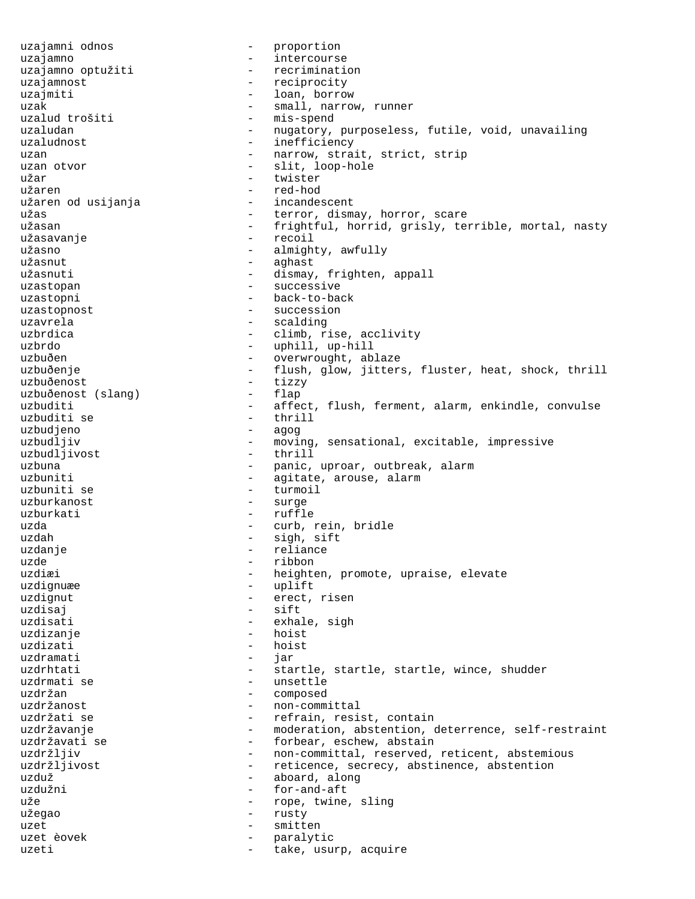uzajamni odnos a version - proportion uzajamno - intercourse<br>uzajamno optužiti - - recriminati - recrimination uzajamnost - reciprocity uzajmiti - loan, borrow uzak - small, narrow, runner uzalud trošiti - mis-spend<br>uzaludan - nugatory, uzaludan - nugatory, purposeless, futile, void, unavailing - inefficiency uzan  $-$  narrow, strait, strict, strip uzan otvor  $\begin{array}{ccc} - & \text{slit}, \text{loop-hole} \\ - & \text{twister} \end{array}$ - twister užaren - red-hod užaren od usijanja užas  $-$  terror, dismay, horror, scare užasan <br />
- frightful, horrid, grisly, terrible, mortal, nasty užasavanje - recoil užasno - almighty, awfully<br>užasnut - aqhast užasnut - aghast - dismay, frighten, appall uzastopan - successive uzastopni - back-to-back uzastopnost  $-$  succession uzavrela - scalding uzbrdica  $\qquad \qquad -$  climb, rise, acclivity uzbrdo - uphill, up-hill uzbuðen - overwrought, ablaze uzbuðenje - flush, glow, jitters, fluster, heat, shock, thrill uzbuðenost<br>uzbuðenost (slang) - tizzy<br>- flap uzbuðenost (slang) -<br>uzbuditi -- affect, flush, ferment, alarm, enkindle, convulse uzbuditi se - thrill uzbudjeno - agog - moving, sensational, excitable, impressive<br>- thrill uzbudljivost uzbuna - panic, uproar, outbreak, alarm uzbuniti  $-$  agitate, arouse, alarm uzbuniti se  $-$  turmoil uzburkanost - surge uzburkati - ruffle uzda  $-$  curb, rein, bridle uzdah - sigh, sift - reliance uzde - ribbon uzdiæi - heighten, promote, upraise, elevate<br>uzdignuæe - uplift - uplift uzdignut - erect, risen uzdisaj en la esift uzdisati  $\qquad \qquad -$  exhale, sigh uzdizanje - hoist uzdizati - hoist uzdramati - jar uzdrhtati - startle, startle, startle, startle, wince, shudder uzdrmati se  $-$  unsettle uzdržan - composed uzdržanost - non-committal uzdržati se  $-$  refrain, resist, contain uzdržavanje e moderation, abstention, deterrence, self-restraint uzdržavati se  $\qquad \qquad -$  forbear, eschew, abstain uzdržljiv  $-$  non-committal, reserved, reticent, abstemious uzdržljivost - reticence, secrecy, abstinence, abstention uzduž  $\qquad \qquad \qquad -$  aboard, along uzdužni  $\qquad \qquad -$  for-and-aft - for-and-aft uže - rope, twine, sling užegao - rusty uzet - smitten - paralytic uzeti  $-$  take, usurp, acquire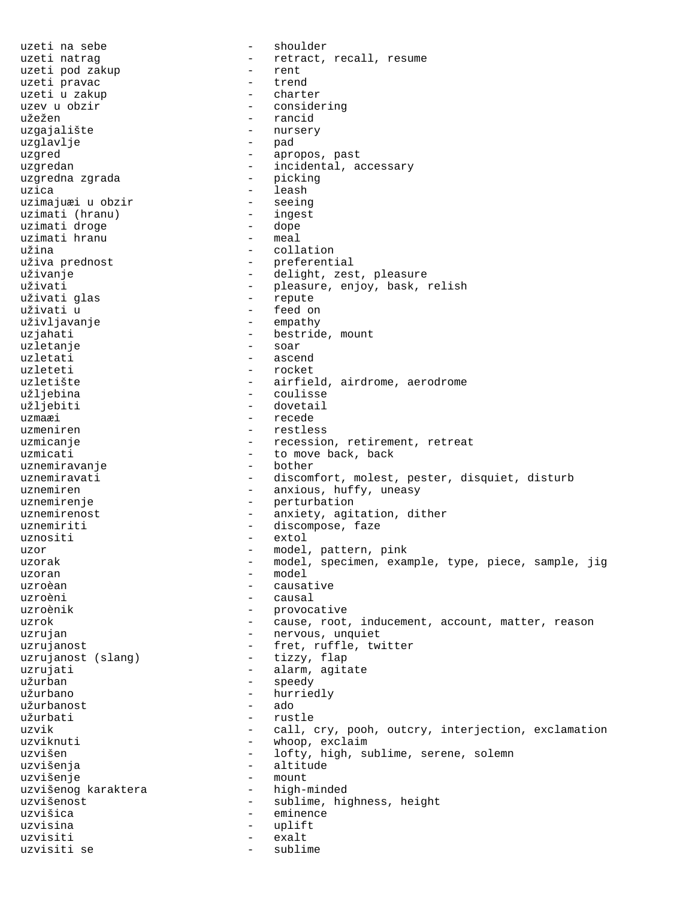uzeti na sebe - shoulder uzeti natrag  $-$  retract, recall, resume<br>uzeti pod zakup  $-$  rent uzeti pod zakup uzeti pravac - trend uzeti u zakup<br>uzev u obzir užežen - rancid uzgajalište - nurs<br>uzglavlje - nursery - nurs uzglavlje uzgred - apropos, past uzgredan - incidental, accessary<br>uzgredna zgrada - - - - - picking uzgredna zgrada uzica - leash uzimajuæi u obzir - seeing uzimati (hranu) - ingest uzimati droge - dope uzimati hranu<br>užina užina - collation uživanje - delight, zest, pleasure uživati glas uživati u  $-$  feed on uživljavanje - empathy uzjahati - bestride, mount<br>uzletanie - - - - - - - - soar uzletanje uzletati - ascend - rocket uzletište - airfield, airdrome, aerodrome užljebina - coulisse uzmaæi - recede<br>uzmeniren - - restle; uzmicanje - recession, retirement, retreat<br>uzmicati - to move back, back uznemiravanje uznemiren  $-$  anxious, huffy, uneasy uznemirenje - berturbation uznemirenost - anxiety, agitation, dither uznemiriti - discompose, faze uznositi - extol uzor - model, pattern, pink uzoran  $\qquad$  - model uzroèan  $\overline{\phantom{a}}$  - causative uzroèni - causal uzroènik - provocative uzrujan - nervous, unquiet uzrujanost - fret, ruffle, twitter uzrujanost (slang) - tizzy, flap uzrujati  $-$  alarm, agitate  $u$ žurban  $-$  speedy<br> $u$ žurbano  $-$  hurrie užurbano - hurriedly užurbanost - ado užurbati - rustle uzvišen - lofty, high, sublime, serene, solemn uzvišenja<br>uzvišenje - altitude - altitude uzvišenje - mount uzvišenog karaktera uzvišenost - sublime, highness, height<br>uzvišica uzvišica - eminence uzvisina - uplift uzvisiti - exalt uzvisiti se - sublime

- considering - preferential - pleasure, enjoy, bask, relish<br>- repute - dovetail - restless - to move back, back<br>- bother uznemiravati - discomfort, molest, pester, disquiet, disturb uzorak en andel, specimen, example, type, piece, sample, jig uzrok en extended a cause, root, inducement, account, matter, reason uzvik - call, cry, pooh, outcry, interjection, exclamation<br>uzviknuti - whoop, exclaim - whoop, exclaim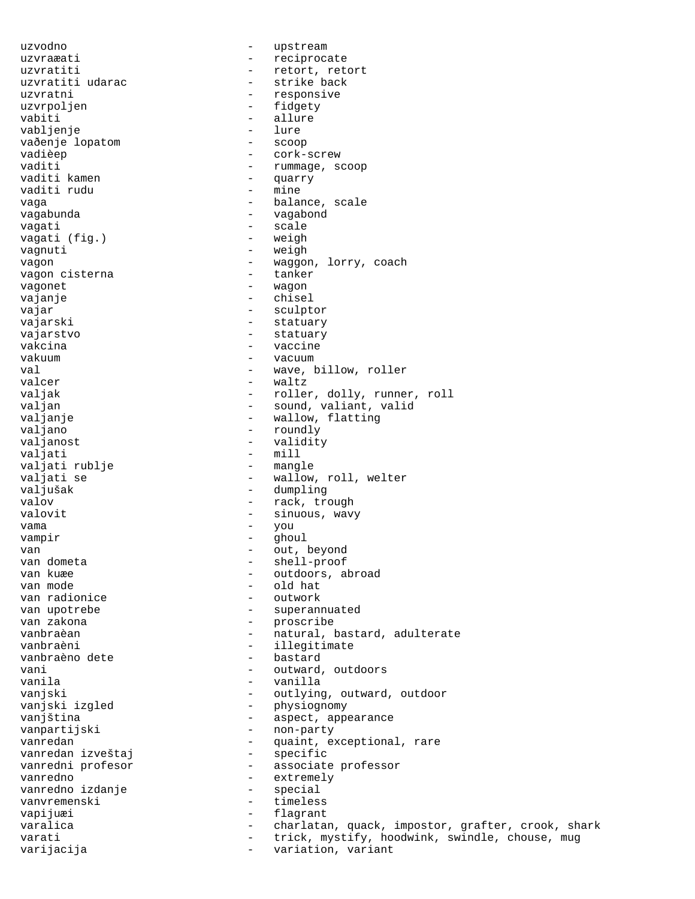uzvodno - upstream uzvraæati - reciprocate uzvratiti  $\frac{1}{2}$  - retort, retort<br>uzvratiti udarac - - strike back - strike back uzvratni  $-$  responsive uzvrpoljen - fidgety vabiti - allure - allure - allure - allure - allure - allure - allure - allure - allure - allure - allure - allure - allure - allure - allure - allure - allure - allure - allure - allure - allure - allure - allure - allure vabljenje - lure vaðenje lopatom vadièep  $\overline{\phantom{a}}$  - cork-screw vaditi  $\begin{array}{ccc} \text{vaditi} & - & \text{rummage, scop} \\ \text{vaditi kamen} & - & \text{vuarrv} \end{array}$ - quarry<br>- mine vaditi rudu vaga - balance, scale vagabunda - vagabond vagati - scale<br>vagati (fig.) - weigh vagati (fig.) vagnuti - weigh vagon - waggon, lorry, coach<br>vagon cisterna - tanker vagon cisterna vagonet - wagon - chisel vajar - sculptor vajarski - statuary vajarstvo - statuary vakcina  $-$  vaccine vakuum - vacuum val  $-$  wave, billow, roller valcer - waltz valjak - roller, dolly, runner, roll<br>valjan - sound, valiant, valid valjan - sound, valiant, valid valjanje - wallow, flatting valjano - roundly valjanost - validity - mill<br>- mangle valjati rublje valjati se  $-$  wallow, roll, welter valjušak - dumpling valov - rack, trough valovit - sinuous, wavy vama - you<br>vampir - dhou vampir - ghoul van 1990<br>van dometa 1990<br>van dometa 1990 - shell-proof van dometa - shell-proof van kuæe  $\begin{array}{ccc}\n & - & \text{outdoors, abroad} \\
 & - & \text{old hat}\n\end{array}$ - old hat<br>- outwork van radionice van upotrebe  $\begin{array}{ccc} & - & \text{supernulated} \\ \text{van zakona} & - & \text{prescribe} \end{array}$ van zakona - proscribe - natural, bastard, adulterate vanbraèni - illegitimate vanbraèno dete vani  $-$  outward, outdoors vanila - vanilla vanjski - outlying, outward, outdoor<br>vanjski izgled - - - - - - - - - physiognomy - physiognomy vanjština - aspect, appearance<br>vanpartijski - non-party - non-party vanredan - quaint, exceptional, rare<br>vanredan izveštaj - specific vanredan izveštaj vanredni profesor - associate professor vanredno<br>
vanredno izdanje<br>
- special<br>
- special vanredno izdanje - special vanvremenski - timeless<br>vanjiuzi - timeless vapijuæi - flagrant varalica - charlatan, quack, impostor, grafter, crook, shark varati - trick, mystify, hoodwink, swindle, chouse, mug<br>variacija - variation variant varijacija - variation, variant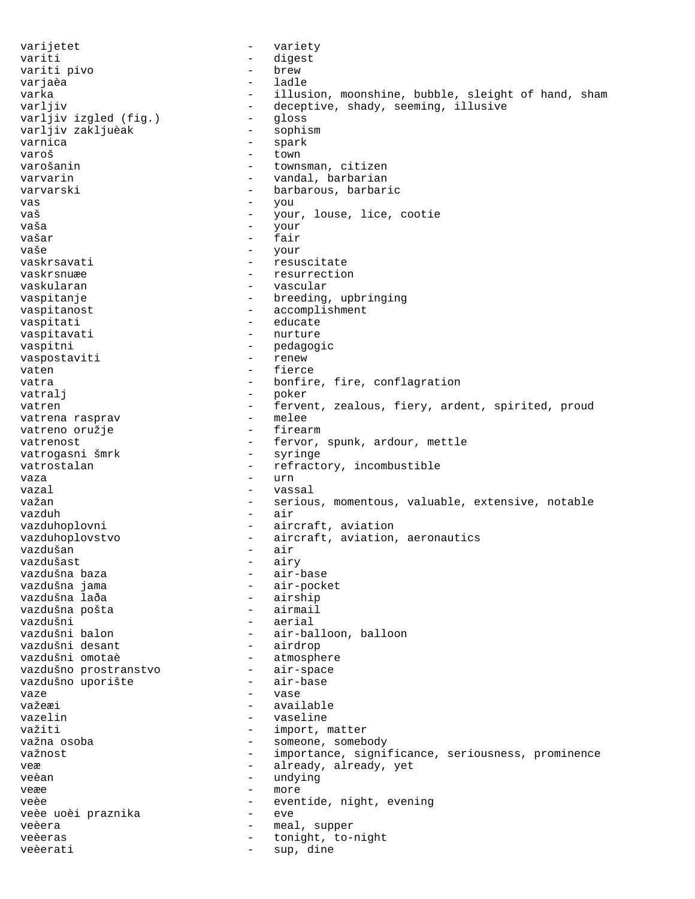varijetet - variety variti - digest variti pivo - brew varjaèa varka - illusion, moonshine, bubble, sleight of hand, sham<br>varljiv - deceptive, shady, seeming, illusive - deceptive, shady, seeming, illusive<br>- qloss varljiv izgled (fig.) - gloss<br>varljiv zakljuèak - sophism varljiv zakljuèak<br>varnica - spark varoš - town<br>varošanin - town - town - townsman, citizen varvarin  $-$  vandal, barbarian varvarski - barbarous, barbaric vas - you vaš - your, louse, lice, cootie vaša - your vašar - fair - your vaskrsavati - resuscitate<br>vaskrsnuæe - resurrectio vaskrsnuæe - resurrection<br>vaskularan - resurrection<br>- vascular - vascular vaspitanje  $-$  breeding, upbringing vaspitanost - accomplishment vaspitati  $-$  educate vaspitavati - nurture vaspitni - pedagogic<br>vaspostaviti - renew - renew vaspostaviti vaten - fierce vatra  $-$  bonfire, fire, conflagration vatralj - poker vatren - fervent, zealous, fiery, ardent, spirited, proud vatrena rasprav - melee vatreno oružje vatrenost - fervor, spunk, ardour, mettle<br>vatrogasni šmrk - syringe - syringe vatrogasni šmrk vatrostalan - refractory, incombustible vaza - urn vazal  $\sim$  vassal važan composite various, momentous, valuable, extensive, notable vazduh - air vazduhoplovni - aircraft, aviation vazduhoplovstvo - aircraft, aviation, aeronautics<br>vazdušan - air vazdušan<br>vazdušast - airy<br>- air-base vazdušna baza<br>vazdušna jama - air-pocket<br>- airship vazdušna laða - airship vazdušna pošta vazdušni - aerial - air-balloon, balloon<br>- airdrop vazdušni desant vazdušni omotaè - atmosphere vazdušno prostranstvo - air-space vazdušno uporište - air-base - air-base - air-base - air-base - air-base - air-base - air-base - air-base - ai vaze - vase - vase važeæi - available vazelin - vaseline važiti - import, matter<br>važna osoba - import, matter važna osoba - import, someb - someone, somebody važnost važnost - importance, significance, seriousness, prominence veæ  $-$  already, already, yet veèan - undying<br>ve<sup>n</sup>e veæe en aanvangelige verwyste verwyste verwyste verwyste verwyste verwyste verwyste verwyste verwyste verwyste veèe - eventide, night, evening veèe uoèi praznika  $-$  eve veèera - meal, supper<br>veèeras - meal, supper veèeras - tonight, to-night veèerati - sup, dine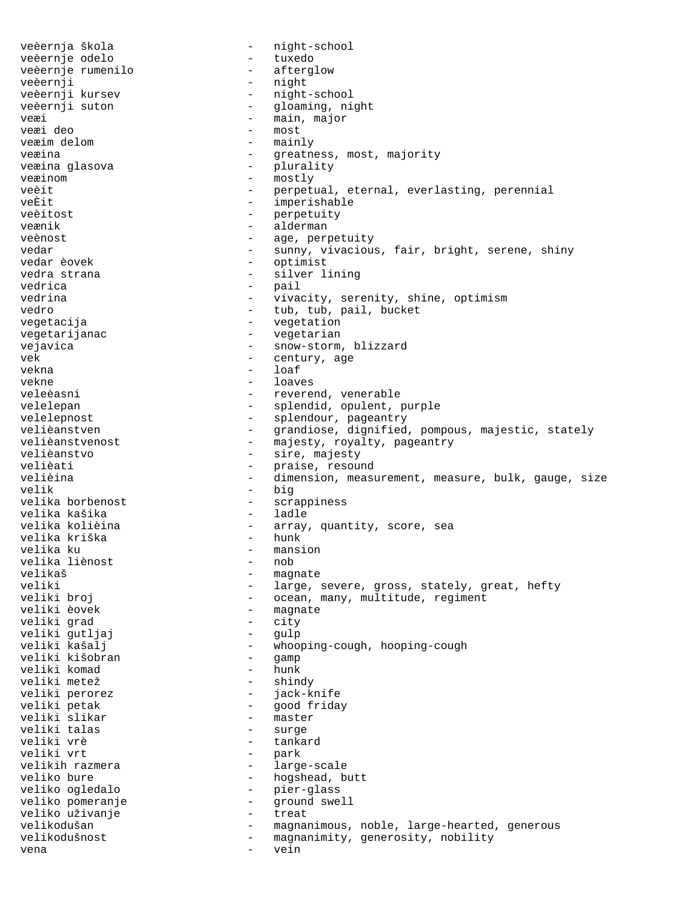veèernja škola - night-school veèernje odelo - tuxedo veèernje rumenilo veèernji - night veèernji kursev - night-school - gloaming, night veæi - main, major veæi deo - most - mainly veæina - greatness, most, majority<br>veæina glasova - - - - - - - - plurality - plurality veæinom - mostly veèit  $-$  perpetual, eternal, everlasting, perennial veÈit - imperishable veèitost - perpetuity veænik - alderman veènost - age, perpetuity vedar - sunny, vivacious, fair, bright, serene, shiny<br>vedar èovek - optimist vedar èovek - optimist vedra strana - silver lining<br>
vedrica - silver lining vedrica - pail vivacity, serenity, shine, optimism vedro  $-$  tub, tub, pail, bucket vegetacija - vegetation vegetarijanac - vegetarian vejavica - snow-storm, blizzard vek - century, age vekna - loaf vekne - loaves - reverend, venerable velelepan - splendid, opulent, purple<br>velelepnost - splendour, pageantry velelepnost - splendour, pageantry velièanstven - grandiose, dignified, pompous, majestic, stately<br>velièanstvenost - majestv, rovaltv, pageantry - majesty, royalty, pageantry velièanstvo - sire, majesty velièati  $v$ elièati - praise, resound<br>velièina velièina - dimension, measurement, measure, bulk, gauge, size - big velika borbenost - scrappiness velika kašika<br>velika kolièina velika korray, quantity, score, sea<br>- hunk velika kriška<br>velika ku - mansion<br>- nob velika liènost<br>velikaš velikaš - magnate veliki - large, severe, gross, stately, great, hefty<br>veliki broj - ocean, many, multitude, regiment veliki broj - ocean, many, multitude, regiment - magnate<br>- city veliki grad - city veliki gutljaj<br>veliki kašalj - whooping-cough, hooping-cough<br>- qamp veliki kišobran - gamp veliki komad<br>veliki metež veliki metež - shindy veliki perorez - jack-knife - good friday<br>- master veliki slikar - master veliki talas<br>veliki vrè veliki vrè - tankard veliki vrt<br>
velikih razmera<br>
- large velikih razmera - large-scale veliko bure - hogshead, butt<br>veliko oqledalo - - - - - - - pier-qlass – pier-glass<br>– ground swe veliko pomeranje - ground swell veliko uživanje velikodušan entryminous, noble, large-hearted, generous velikodušnost - magnanimity, generosity, nobility vena - vein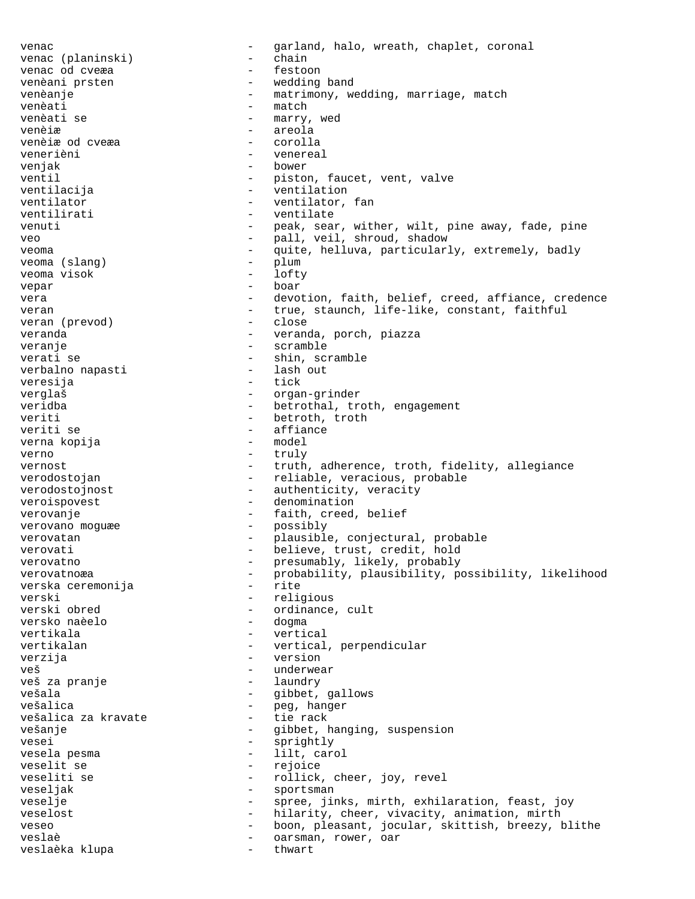venac  $-$  garland, halo, wreath, chaplet, coronal venac (planinski)  $-$  chain venac (planinski) - chain venac od cveæa venèani prsten  $-$  wedding band venèanje  $-$  matrimony, wedding, marriage, match venèati - match - match - match - match - match - match - match - match - match - match - match - match - match - match - match - match - match - match - match - match - match - match - match - match - match - match - matc - marry, wed venèiæ - areola venèiæ od cveæa - corollation - corollation - corollation - corollation - corollation - corollation - corollation venerièni - venereal venjak - bower ventil  $-$  piston, faucet, vent, valve ventilacija - ventilation ventilator - ventilator, fan ventilizati - ventilator, fan ventilizati - ventilator, fan ventilizati - ventilator ventilirati - ventilate venuti - peak, sear, wither, wilt, pine away, fade, pine<br>veo - pall veil shroud shadow veo - pall, veil, shroud, shadow<br>veo - pall, veil, shroud, shadow<br>- quite helluva particular veoma  $-$  quite, helluva, particularly, extremely, badly<br>veoma (slang)  $-$  plum veoma (slang) - plum<br>veoma visok - lofty veoma visok vepar - boar - boar vera external contract the devotion, faith, belief, creed, affiance, credence veran  $-$  true, staunch, life-like, constant, faithful<br>veran (prevod)  $-$  close veran (prevod)<br>veranda - veranda, porch, piazza veranje - scramble verati se - shin, scramble verbalno napasti veresija - tick verglaš - organ-grinder veridba - betrothal, troth, engagement veriti - betroth, troth veriti se - affiance<br>verna kopija - - - - - - - - - - model verna kopija verno - truly vernost - truth, adherence, troth, fidelity, allegiance verodostojan - reliable, veracious, probable verodostojnost - authenticity, veracity veroispovest extensive the contraction of the denomination verovanje  $-$  faith, creed, belief verovano moguæe - possibly verovatan - plausible, conjectural, probable verovati  $-$  believe, trust, credit, hold verovatno  $-$  presumably, likely, probably verovatnoæa - probability, plausibility, possibility, likelihood<br>verska ceremonija - rite verska ceremonija verski - religious<br>verski obred - ordinance - ordinance, cult<br>- dogma versko naèelo vertikala - vertical vertikalan - vertical, perpendicular<br>
verzija - version - version verzija - version veš - underwear veš za pranje vešala - gibbet, gallows vešalica - peg, hanger vešalica za kravate  $-$  tie rack vešanje - Gibbet, hanging, suspension vesei - sprightly vesela pesma  $-$  lilt, carol veselit se  $-$  rejoice veseliti se  $\qquad \qquad -$  rollick, cheer, joy, revel veseljak - sportsman veselje - spree, jinks, mirth, exhilaration, feast, joy veselost **-** hilarity, cheer, vivacity, animation, mirth veseo - boon, pleasant, jocular, skittish, breezy, blithe veslaè  $-$  oarsman, rower, oar veslaèka klupa - thwart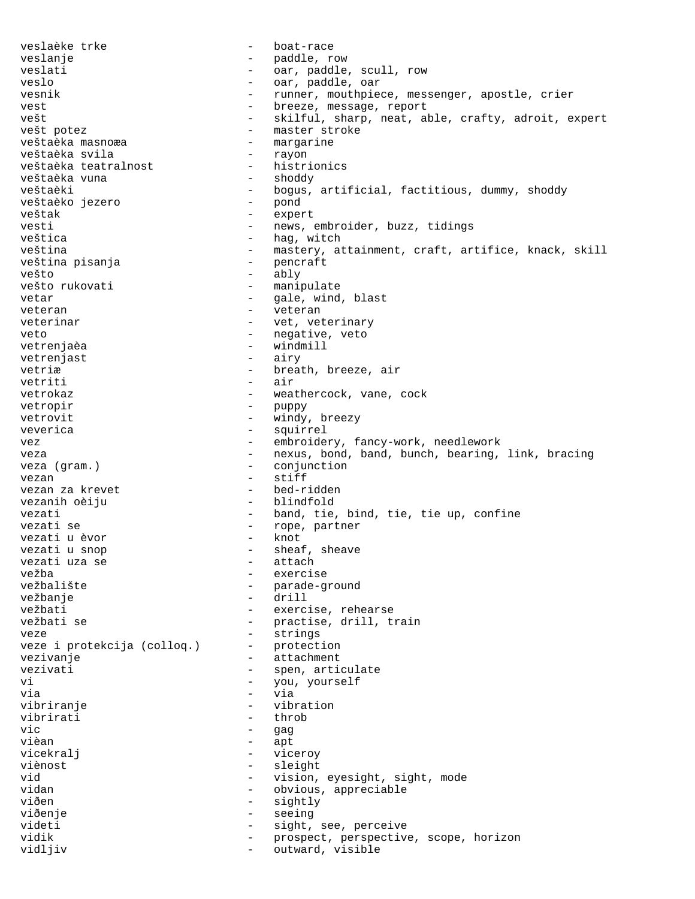veslaèke trke  $\overline{\phantom{a}}$  - boat-race veslanje - paddle, row veslati  $-$  oar, paddle, scull, row veslo - oar, paddle, oar vesnik  $-$  runner, mouthpiece, messenger, apostle, crier vest external vest report of the breeze, message, report vešt - skilful, sharp, neat, able, crafty, adroit, expert<br>vešt potez - master stroke vešt potez<br>veštaèka masnoæa - master stroke<br>- margarine - margarine<br>- rayon veštaèka svila<br>
veštaèka teatralnost histrionics veštaèka teatralnost - histrionics veštaèka vuna veštaèki - bogus, artificial, factitious, dummy, shoddy<br>veštaèko jezero - pond veštaèko jezero - pond veštak - expert vesti - news, embroider, buzz, tidings veštica - hag, witch veština - mastery, attainment, craft, artifice, knack, skill<br>veština pisanja - pencraft veština pisanja vešto - ably - manipulate vetar  $-$  gale, wind, blast veteran entre entre en la veteran en la veteran en la veteran en la veteran en la veteran en la veteran en la veteran en la veteran en la veteran en la veteran en la veteran en la veteran en la veteran en la veteran en la veterinar  $-$  vet, veterinary veto  $-$  negative, veto vetrenjaèa  $-$  windmill vetrenjast - airy vetriæ - breath, breeze, air<br>vetriti - air<br>- air vetriti - air - air - air - air - air - air - air - air - air - air - air - air - air - air - air - air - air vetrokaz - weathercock, vane, cock<br>vetropir - puppy - puppy vetropir - puppy windy, breezy veverica - squirrel vez embroidery, fancy-work, needlework veza e state of the nexus, bond, band, bunch, bearing, link, bracing veza (gram.)  $-$  conjunction vezan<br>vezan za krevet de entre entre de la ped-ridden vezan za krevet vezanih oèiju  $-$  blindfold vezati  $-$  band, tie, bind, tie, tie up, confine vezati se  $-$  rope, partner vezati u èvor vezati u èvor vezati u snop - sheaf, sheave<br>vezati uza se - attach vezati uza se vežba - exercise<br>vežbalište - exercise - exercise vežbalište - parade-ground - drill vežbati - exercise, rehearse vežbati se  $-$  practise, drill, train veze - strings veze i protekcija (colloq.) vezivanje  $\overline{\phantom{a}}$  - attachment vezivati - spen, articulate<br>vi - vou vourself vi - you, yourself via - via vibriranje - vibration vibrirati - throbas - throbas - throbas - throbas - throbas - throbas - throbas - throbas - throbas - throbas vic - gag vièan - apt vicekralj - viceroy viènost - sleight vid  $-$  vision, eyesight, sight, mode<br>vidan - obvious appreciable - obvious, appreciable viðen - sightly viðenje - seeing videti - sight, see, perceive - prospect, perspective, scope, horizon vidljiv  $-$  outward, visible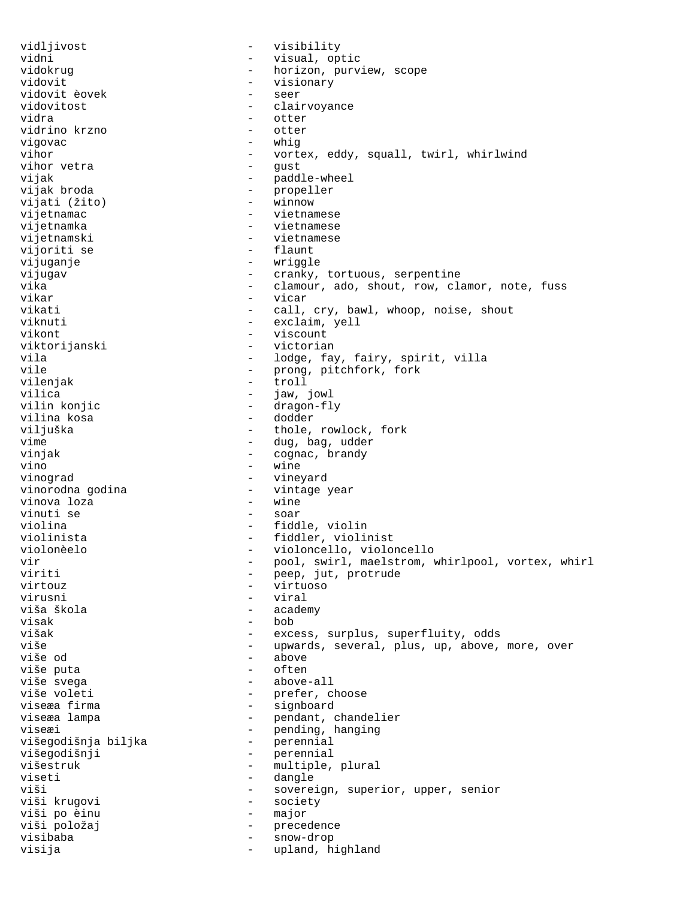vidljivost - visibility vidni - visual, optic vidokrug - horizon, purview, scope<br>vidovit - visionary vidovit - visionary vidovit èovek - seer vidovitost - clairvoyance - otter<br>- otter vidrino krzno vigovac - whig vihor - vortex, eddy, squall, twirl, whirlwind<br>vihor vetra - gust - gust vihor vetra vijak - paddle-wheel vijak broda  $\qquad \qquad$  - propeller vijati (žito) - winnow vijetnamac - vietnamese vijetnamka - vietnamese vijetnamski - vietnamese<br>vijoriti se - - - - - - - - - - - - - flaunt vijoriti se vijuganje - wriggle vijugav - cranky, tortuous, serpentine vika - clamour, ado, shout, row, clamor, note, fuss<br>vikar - vicar vikar - vicar vikati  $-$  call, cry, bawl, whoop, noise, shout viknuti - exclaim, yell vikont - viscount viktorijanski - viktorijanski - viktorijanski - vietnami - vietnami - vietnami - vietnami - vietnami - vietnam vila  $-$  lodge, fay, fairy, spirit, villa vile - prong, pitchfork, fork<br>vileniak - troll - troll vilenjak - troll<br>vilica - troll - iaw vilica - jaw, jowl<br>vilin konjic - - - - dragon-fl vilin konjic - dragon-fly vilina kosa - dodder - thole, rowlock, fork vime  $\qquad \qquad -$  dug, bag, udder vinjak - cognac, brandy<br>vino - wine - wine vino - wine vinograd - vineyard - vintage year<br>- wine vinova loza vinuti se  $-$  soar violina - fiddle, violin violinista - fiddler, violinist violonèelo - violoncello, violoncello vir  $-$  pool, swirl, maelstrom, whirlpool, vortex, whirl<br>viriti  $-$  peep, jut, protrude viriti - peep, jut, protrude<br>virtouz - virtuoso - virtuoso virtouz - virtuoso virusni - viral - academy visak - bob<br>višak - exce - excess, surplus, superfluity, odds više - upwards, several, plus, up, above, more, over - above<br>- often više puta - often više svega - above-all - prefer, choose viseæa firma  $-$  signboard viseæa lampa  $-$  pendant, chandelier viseæi<br>
višegodišnja biljka<br>
- perennial<br>
- perennial višegodišnja biljka višegodišnji - perennial višestruk - multiple, plural viseti - dangle - sovereign, superior, upper, senior viši krugovi - society viši po èinu - major viši položaj - precedence visibaba - snow-drop visija - upland, highland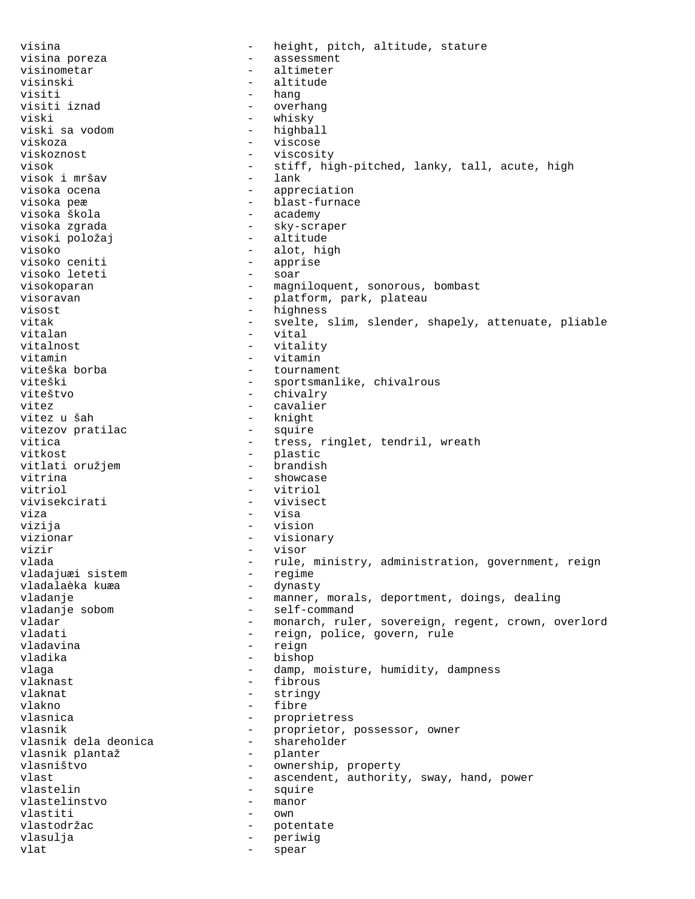visina  $-$  height, pitch, altitude, stature visina poreza  $-$  assessment visinometar - altimeter visinski - altitude visiti - hang<br>visiti iznad - overl visiti iznad - overhang viski - whisky viski sa vodom<br>viskoza viskoza - viscose viskoznost - viscosity visok - stiff, high-pitched, lanky, tall, acute, high visok i mršav - lank visok i mršav<br>visoka ocena - appreciation visoka peæ  $\qquad \qquad$  - blast-furnace visoka škola <br/>  $\hfill$  - academy visoka zgrada - sky-scraper visoki položaj visoko - alot, high<br>visoko ceniti - apprise - apprise - apprise<br>- soar visoko leteti<br>visokoparan - magniloquent, sonorous, bombast visoravan  $-$  platform, park, plateau visost - highness vitak - svelte, slim, slender, shapely, attenuate, pliable vitalan  $-$  vital vitalnost  $-$  vitality vitamin - vitamin - tournament viteški - sportsmanlike, chivalrous viteštvo - chivalry vitez - cavalier vitez u šah - knight vitezov pratilac<br>vitica - tress, ringlet, tendril, wreath vitkost - plastic<br>
vitlati oružiem - brandish - brandish vitlati oružjem vitrina - showcase vitriol - vitriol vivisekcirati - vivisect viza - visa vizija - vision vizionar - visionary vizir - visor - rule, ministry, administration, government, reign<br>- regime vladajuæi sistem - regime vladalaèka kuæa<br>vladanje - manner, morals, deportment, doings, dealing vladanje sobom en vladanje sobom - self-command vladar  $-$  monarch, ruler, sovereign, regent, crown, overlord vladati  $-$  reign, police, govern, rule vladavina  $\qquad \qquad -$  reign vladika - bishop vlaga - damp, moisture, humidity, dampness vlaknast - fibrous vlaknat - stringy vlakno - fibre vlasnica - proprietress - proprietor, possessor, owner<br>- shareholder vlasnik dela deonica - shareholder vlasnik plantaž vlasništvo - ownership, property vlast vlast  $-$  ascendent, authority, sway, hand, power vlastelin - squire<br>vlastelinstvo - manor vlastelinstvo vlastiti - own vlastodržac - potentate vlasulja - periwig vlat - spear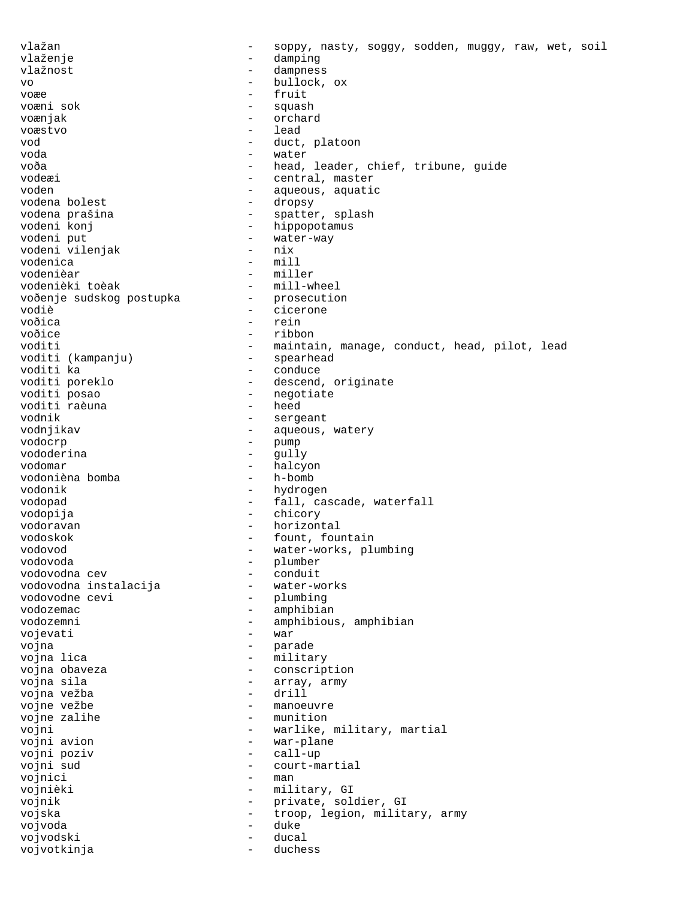vlažan  $-$  soppy, nasty, soggy, sodden, muggy, raw, wet, soil vlaženje - damping - damping vlažnost - dampness vo - bullock, ox voæe - fruit squash voænjak - orchard voæstvo - lead vod - duct, platoon voda - water voða - head, leader, chief, tribune, guide vodeæi - central, master voden - aqueous, aquatic vodena bolest - aqueous, aquatic - aqueous, aquatic vodena bolest vodena prašina - spatter, splash<br>vodeni konj - hippopotamus - hippopotamus vodeni put<br>vodeni vileniak - water-way<br>- nix vodeni vilenjak<br>vodenica vodenica - mill vodenièar - miller - mill-wheel<br>- prosecution voðenje sudskog postupka vodiè  $\overline{\phantom{a}}$  - cicerone  $\overline{\phantom{a}}$  - cicerone  $\overline{\phantom{a}}$ voðica - rein voðice - ribbon<br>voditi - mainta - maintain, manage, conduct, head, pilot, lead<br>- spearhead voditi (kampanju)<br>voditi ka voditi ka - conduce voditi poreklo - descend, originate - negotiate<br>- heed voditi raèuna<br>vodnik vodnik - sergeant - aqueous, watery vodocrp - pump vododerina vodomar - halcyon<br>vodonièna bomba - h-bomb - h-bomb vodonièna bomba vodonik - hydrogen vodopad  $\qquad \qquad \qquad -$  fall, cascade, waterfall vodopija - chicory vodoravan - horizontal vodoskok - fount, fountain vodovod - water-works, plumbing - plumber<br>- conduit vodovodna cev - conduit vodovodna instalacija<br>vodovodne cevi - plumbing vodozemac - amphibian vodozemni - amphibious, amphibian<br>vojevati - war vojevati vojna  $\overline{\phantom{a}}$  - parade vojna lica - military - military vojna obaveza  $\overline{\phantom{a}}$  - conscription vojna sila<br>vojna vežba - array, army<br>vojna vežba - drill vojna vežba<br>vojne vežbe vojne vežbe - manoeuvre - munition vojni - warlike, military, martial - war-plane vojni poziv - call-up vojni sud  $-$  court-martial vojnici - man vojnièki - military, GI vojnik - private, soldier, GI vojska - troop, legion, military, army<br>vojvoda - troop, legion, military, army vojvoda - duke vojvodski - ducal vojvotkinja - duchessing -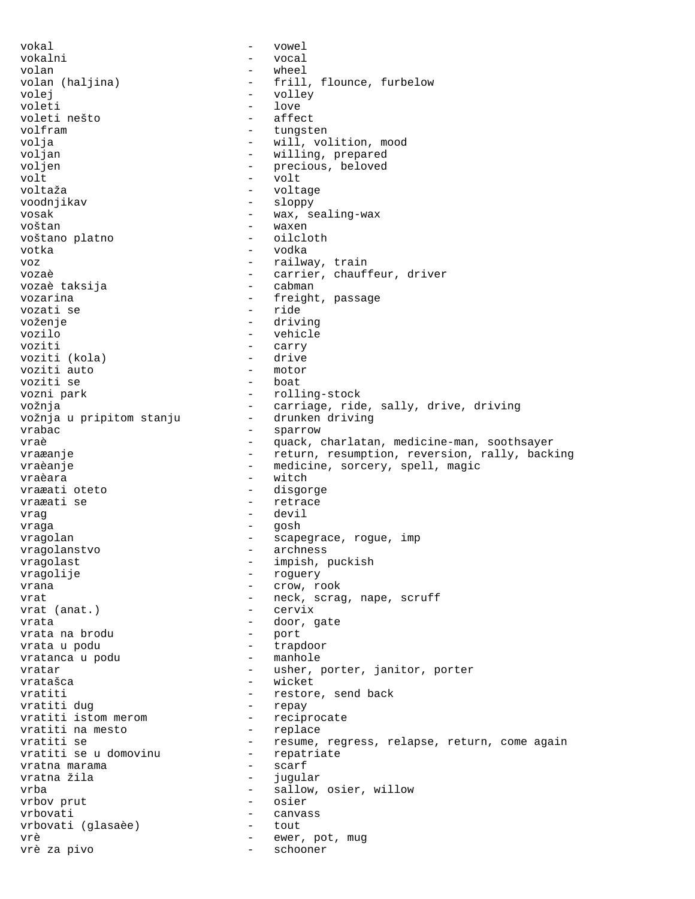vokal - vowel vokalni - vocal volan - wheel volan (haljina) - frill, flounce, furbelow<br>volei - volley volej - volley - love<br>- affect voleti nešto volfram - tungsten volja - will, volition, mood - willing, prepared voljen - precious, beloved volt - volt voltaža - voltage voodnjikav - sloppy vosak - wax, sealing-wax voštan - waxen voštano platno votka - vodka voz  $-$  railway, train vozaè  $\overline{c}$  - carrier, chauffeur, driver<br>vozaè taksija - cabman - cabman vozaè taksija vozarina - freight, passage vozati se voženje - driving vozilo - vehicle - carry<br>- drive voziti (kola) - drive voziti auto - motor voziti se<br>vozni park - rolling-stock vožnja<br>vožnja u pripitom stanju drunken driving<br>drunken driving vožnja u pripitom stanju vrabac - sparrow - sparrow vraè  $-$  quack, charlatan, medicine-man, soothsayer vraæanje en en version, resumption, reversion, rally, backing vraèanje en entrymine de vraèanje en entrymine vraèanje vraèanje vraèanje vraèanje vraèanje vraèanje vraèanje vraèara - witch vraæati oteto - disgorge vraæati se  $-$  retrace vrag - devil vraga - gosh vragolan - scapegrace, rogue, imp vragolanstvo - archness vragolast - impish, puckish vragolije - roguery - roguery<br>vrana - crow, roguery - crow, roguery - crow, rook vrat  $-$  neck, scrag, nape, scruff<br>vrat (anat.) - cervix vrat (anat.) vrata - door, gate vrata na brodu vrata u podu - trapdoor vratanca u podu vratar - usher, porter, janitor, porter vratašca - wicket vratiti  $-$  restore, send back vratiti dug  $-$  repay vratiti dug - repay vratiti istom merom - reciprocate vratiti na mesto<br>vratiti se - resume, regress, relapse, return, come again<br>- repatriate vratiti se u domovinu - repatriate  $v$ ratna marama  $-$ <br> $v$ ratna žila  $$ vratna žila  $-$  jugular vrba  $\qquad \qquad$  - sallow, osier, willow vrbov prut - osier vrbovati - canvass vrbovati (glasaèe) - tout vrè  $-$  ewer, pot, mug vrè za pivo - schooner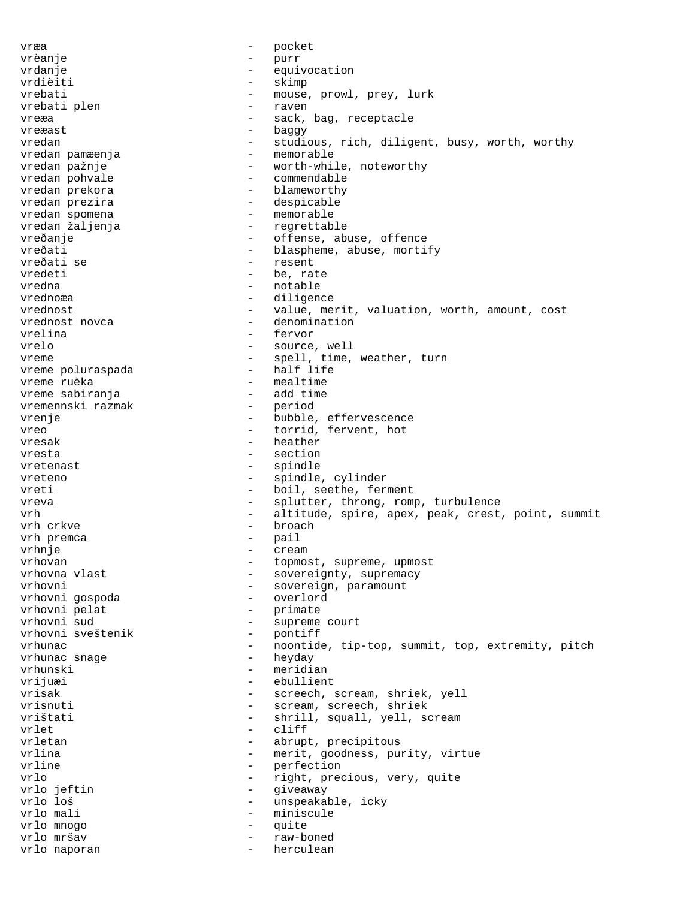vræa - pocket vrèanje - purr vrdanje - equivocation vrdièiti - skimp vrebati - mouse, prowl, prey, lurk<br>vrebati plen - raven - raven vrebati plen - raven - raven - raven - raven - raven - raven - raven - raven - raven - raven - raven - raven vreæa - sack, bag, receptacle<br>vreæast - sack, bag, receptacle vreæast - baggy vredan - studious, rich, diligent, busy, worth, worthy<br>vredan pamæenja - memorable vredan pamæenja vredan pažnje  $-$  worth-while, noteworthy vredan pohvale  $\qquad \qquad -$  commendable vredan prekora  $-$  blameworthy vredan prezira  $-$  despicable vredan spomena <br/> - memorable - memorable vredan žaljenja - regrettable vreðanje - offense, abuse, offence<br>vreðati - offense, abuse, offence vreðati  $-$  blaspheme, abuse, mortify<br>vreðati se  $-$  resent  $-$  resent vreðati se - resent vredeti - be, rate vredna - notable - notable<br>vrednoæa - notable - diligen diligence vrednost **-** value, merit, valuation, worth, amount, cost vrednost novca - denomination vrelina - fervor vrelo  $-$  source, well vreme  $v$ reme poluraspada  $v$  - spell, time, weather, turn vreme poluraspada  $v$ - half life vreme poluraspada vreme ruèka  $-$  mealtime vreme sabiranja<br>vremennski razmak - period - period vremennski razmak - period vrenje  $\qquad \qquad \qquad -$  bubble, effervescence vreo  $-$  torrid, fervent, hot vresak - heather vresta en el estrello de la section de la section de la section de la section de la section de la section de l vretenast - spindle vreteno - spindle, cylinder vreti - boil, seethe, ferment vreva - splutter, throng, romp, turbulence<br>
- altitude spire anex peak crest vrh - altitude, spire, apex, peak, crest, point, summit vrh crkve - broach vrh premca - pail - pail - pail - pail - pail - pail - pail - pail - pail - pail - pail - pail - pail - pail vrhnje – cream<br>vrhovan – topmo: vrhovan - topmost, supreme, upmost<br>vrhovna vlast - sovereignty, supremacy - sovereignty, supremacy vrhovni - sovereign, paramount vrhovni gospoda - overlord vrhovni pelat<br>vrhovni sud - supreme court<br>- pontiff vrhovni sveštenik vrhunac - noontide, tip-top, summit, top, extremity, pitch vrhunac snage  $\begin{array}{ccc} - & \text{heyday} \\ \text{whunski} & - & \text{meridi}\end{array}$ vrhunski - meridian vrijuæi - ebullient vrisak - screech, scream, shriek, yell<br>
- scream screech shriek<br>
- scream screech shriek vrisnuti - scream, screech, shriek<br>vrištati - shrill squall vell s vrištati - shrill, squall, yell, scream<br>
- cliff vrlet - cliff<br>
vrletan - cliff<br>
- abrup abrupt, precipitous vrlina  $-$  merit, goodness, purity, virtue<br>  $-$  perfection - perfection<br>- right pres vrlo - right, precious, very, quite - giveaway vrlo loš - unspeakable, icky vrlo mali  $-$  miniscule vrlo mnogo - quite vrlo mršav - raw-boned vrlo naporan and the settless of the settless of the settless in the settless of the settless of the settless o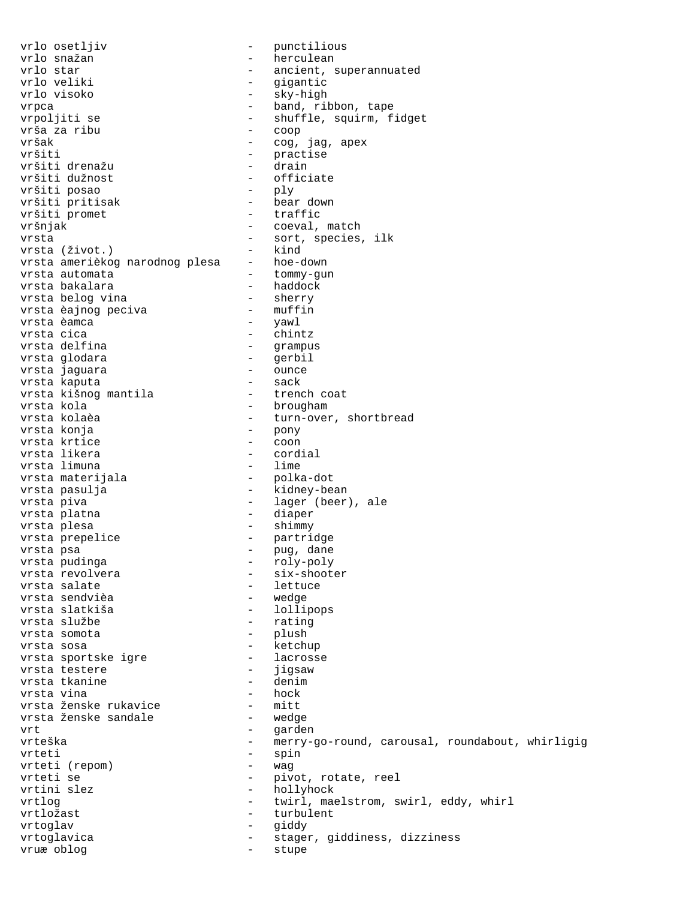vrlo osetljiv  $\qquad \qquad -$  punctilious vrlo snažan - herculean vrlo star - ancient, superannuated vrlo veliki - gigantic vrlo visoko - sky-high vrpca<br>
vrpca - band, ribbon, tape<br>
vrpoljiti se - shuffle, squirm, f - shuffle, squirm, fidget<br>- coop vrša za ribu<br>vršak vršak - cog, jag, apex<br>vršiti - cog, jag, apex - practise<br>- drain vršiti drenažu<br>vršiti dužnost - officiate<br>- ply vršiti posao - ply vršiti pritisak - bear down vršiti promet - traffic vršnjak - coeval, match vrsta  $\left( \text{život.} \right)$  - sort, species, ilk vrsta  $\left( \text{život.} \right)$ vrsta (život.) - kind vrsta amerièkog narodnog plesa - hoe-down vrsta automata - tommy-gun vrsta bakalara - haddock vrsta belog vina - sherry vrsta èajnog peciva - muffin vrsta èamca - yawl vrsta cica - chintz vrsta delfina - grampus vrsta glodara - gerbil vrsta jaguara - ounce vrsta kaputa - sack vrsta kišnog mantila - trench coat vrsta kola - brougham vrsta kolaèa - turn-over, shortbread vrsta konja - pony vrsta krtice and the coon vrsta likera - cordial vrsta limuna - lime vrsta materijala - polka-dot vrsta pasulja - kidney-bean vrsta piva - lager (beer), ale vrsta platna - diaper vrsta plesa - shimmy vrsta prepelice - partridge vrsta psa - pug, dane vrsta pudinga - roly-poly vrsta revolvera - six-shooter vrsta salate  $-$  lettuce vrsta sendvièa - wedge vrsta slatkiša - lollipops vrsta službe - rating vrsta somota - plush vrsta sosa - ketchup vrsta sportske igre lacrosse vrsta testere - jigsaw vrsta tkanine - denim vrsta vina - hock vrsta ženske rukavice - mitt vrsta ženske sandale - wedge vrt en een van de verteer van de verteer van de verteer van de verteer van de verteer van de verteer van de ve vrteška - merry-go-round, carousal, roundabout, whirligig vrteti - spin<br>vrteti (repom) - wag vrteti (repom)<br>vrteti se vrteti se  $\overline{\phantom{a}}$  - pivot, rotate, reel<br>vrtini slez - hollyhock - hollyhock vrtlog - twirl, maelstrom, swirl, eddy, whirl vrtložast - turbulent vrtoglav - giddy vrtoglavica - stager, giddiness, dizziness vruæ oblog  $\qquad -$  stupe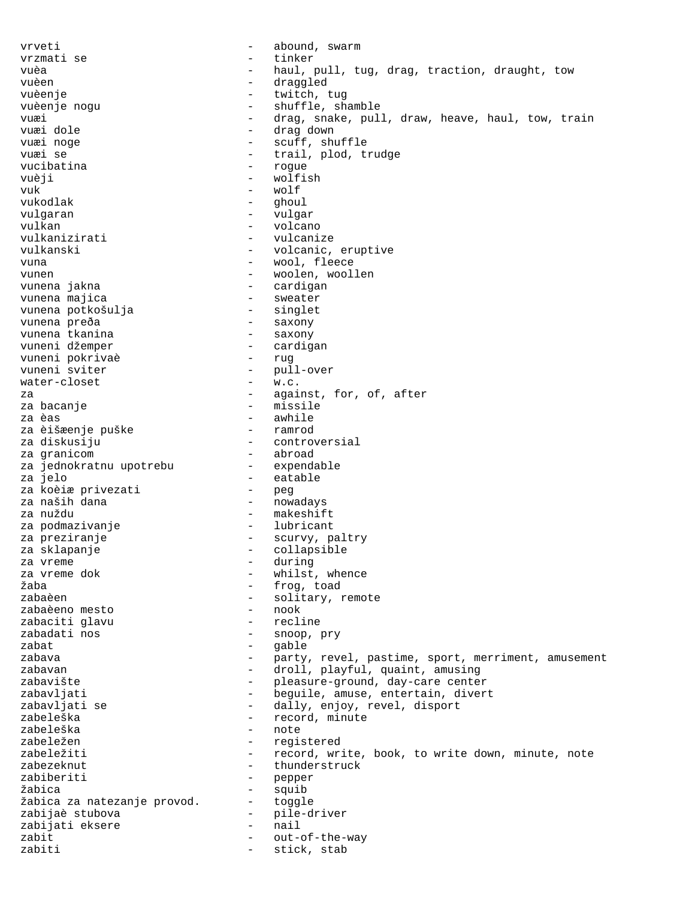vrveti - abound, swarm vrzmati se - tinker vuèa - haul, pull, tug, drag, traction, draught, tow vuèen - draggled - twitch, tug vuèenje nogu  $-$  shuffle, shamble vuæi - drag, snake, pull, draw, heave, haul, tow, train vuæi dole - drag down - scuff, shuffle vuæi se  $-$  trail, plod, trudge vucibatina  $-$  roque vuèji - wolfish vuk - wolf vukodlak - ghoul vulgaran  $-$  vulgar vulkan - volcano vulkanizirati - vulcanize vulkanski - volcanic, eruptive vuna  $-$  wool, fleece vunen 1980 vunen 1990 vunen vunen vunen 1980 vunen voollen vunen voollen vunen varaligen van die voollen van d<br>1990 vunen 1990 vunen varaligen varaligen van die voorlen van die van die van die van die van die van die van <br> - cardigan<br>- sweater vunena majica<br>vunena potkošulja - singlet - singlet vunena potkošulja vunena preða - saxony<br>vunena tkanina - saxony vunena tkanina<br>vuneni džemper - cardigan<br>- rug vuneni pokrivaè<br>vuneni sviter - pull-over<br>- w.c. water-closet - w.c. za  $-$  against, for, of, after za bacanje  $-$  missile za èas - awhile za èišæenje puške za diskusiju - controversial za granicom<br>za iednokratnu upotrebu expendable za jednokratnu upotrebu<br>za jelo – eatable<br>– peg za koèiæ privezati za naših dana  $\qquad \qquad \bullet$  - nowadays za nuždu - makeshift za podmazivanje  $-$  lubricant za preziranje  $\overline{\phantom{a}}$  - scurvy, paltry za sklapanje <br/> - collapsible - collapsible za vreme  $\overline{\phantom{a}}$  za vreme dok  $\overline{\phantom{a}}$  - during  $\overline{\phantom{a}}$  - during  $\overline{\phantom{a}}$  - whilst, za vreme dok - whilst, whence<br>Žaba - frog, toad žaba - frog, toad - frog, toad - frog, toad - frog, toad - frog, toad - frog, toad - frog, toad - frog, toad -- solitary, remote<br>- nook zabaèeno mesto - nook zabaciti qlavu zabadati nos - snoop, pry  $zabat$  - gable zabava and the party, revel, pastime, sport, merriment, amusement zabavan - droll, playful, quaint, amusing zabavište - pleasure-ground, day-care center zabavljati - beguile, amuse, entertain, divert<br>zabavljati se dally, enjoy, revel, disport zabavljati se - dally, enjoy, revel, disport zabeleška - record, minute<br>zabeleška - record, minute - note zabeležen - registered zabeležiti - record, write, book, to write down, minute, note zabezeknut - thunderstruck zabiberiti - pepper žabica - squib žabica za natezanje provod. - toggle zabijaè stubova - pile-driver zabijati eksere - nail zabit  $-$  out-of-the-way zabiti - stick, stab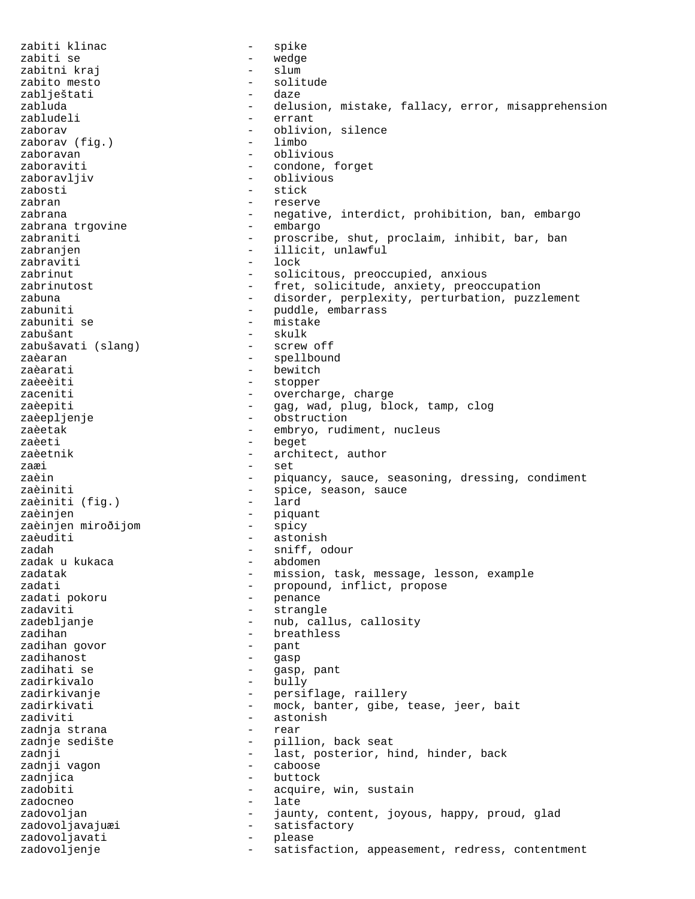zabiti klinac  $\qquad \qquad$  - spike zabiti se  $-$  wedge zabitni kraj  $-$  slum zabito mesto  $-$  solitude zablještati - daze zabluda - delusion, mistake, fallacy, error, misapprehension zabludeli - errant zaborav - oblivion, silence zaborav (fig.) zaboravan - oblivious zaboraviti - condone, forget zaboravljiv - oblivious zabosti – stick zabran  $\sim$  reserve zabrana - negative, interdict, prohibition, ban, embargo<br>zabrana trgovine - embargo - embargo zabrana trgovine zabraniti - proscribe, shut, proclaim, inhibit, bar, ban zabranjen - illicit, unlawful zabraviti zabrinut - solicitous, preoccupied, anxious<br>zabrinutost - fret, solicitude, anxiety, preoc - fret, solicitude, anxiety, preoccupation zabuna - disorder, perplexity, perturbation, puzzlement zabuniti - puddle, embarrass zabuniti se  $-$  mistake zabušant - skulk zabušavati (slang) zaèaran  $\qquad \qquad -$  spellbound zaèarati - bewitch zaèeèiti - stopper zaceniti - overcharge, charge zaèepiti  $-$  gag, wad, plug, block, tamp, clog zaèepljenje<br>zaèetak - obstruction<br>zaèetak - embryo rud zaèetak - embryo, rudiment, nucleus zaèeti - beget zaèetnik  $-$  architect, author zaæi - set zaèin  $-$  piquancy, sauce, seasoning, dressing, condiment zaèiniti  $\begin{array}{ccc} 1 & - & - \\ 2 & - & - \end{array}$  spice, season, sauce zaèiniti (fiq.) zaèiniti (fig.) zaèinjen - piquant zaèinjen miroðijom - spicy zaèuditi - astonish zadah - sniff, odour zadak u kukaca zadatak  $-$  mission, task, message, lesson, example zadati - propound, inflict, propose zadati pokoru - penance zadati pokoru<br>zadaviti - strangle zadebljanje - mub, callus, callosity zadihan  $\qquad \qquad \qquad -$  breathless zadihan govor  $\qquad \qquad -$  pant zadihan govor zadihanost - gasp zadihati se - gasp, pant zadirkivalo zadirkivanje - persiflage, raillery zadirkivati - mock, banter, gibe, tease, jeer, bait zadiviti<br>zadnja strana da i strana - astonish - astonish - astonish - astonish - astonish - astonish - astonish - astonish - astonish - astonish - astonish - astonish - astonish - astonish - astonish - astonish - astonish zadnja strana - rear zadnje sedište - pillion, back seat zadnji - last, posterior, hind, hinder, back<br>zadnji vagon - caboose - caboose zadnji vagon zadnjica - buttock zadobiti - acquire, win, sustain zadocneo  $-$  late zadovoljan - jaunty, content, joyous, happy, proud, glad zadovoljavajuæi - satisfactory zadovoljavati - please zadovoljenje - - satisfaction, appeasement, redress, contentment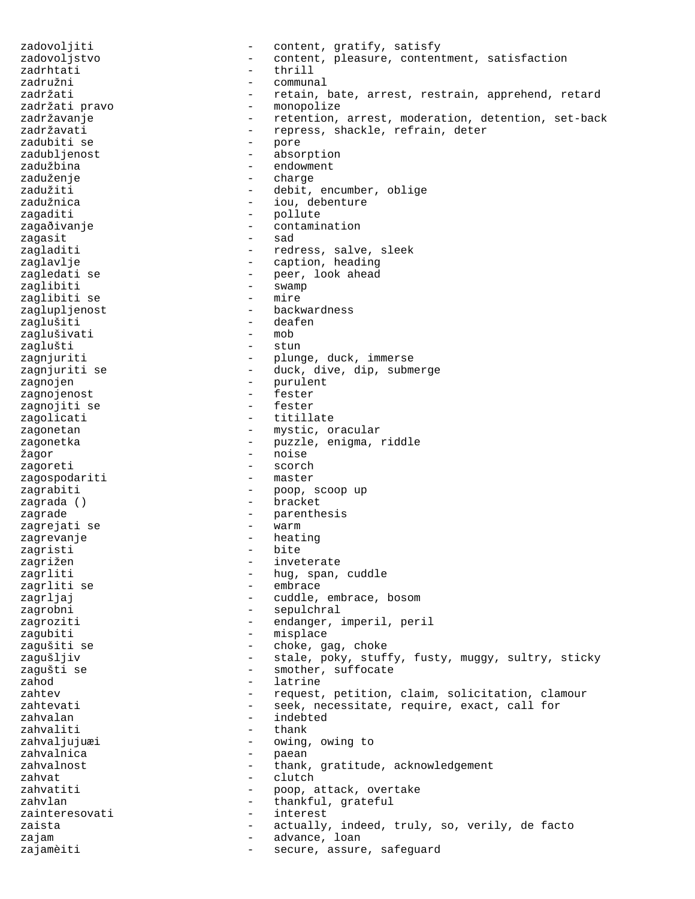zadovoljiti - content, gratify, satisfy zadovoljstvo  $\sim$  - content, pleasure, contentment, satisfaction zadrhtati - thrill zadružni - communal - retain, bate, arrest, restrain, apprehend, retard zadržati pravo  $-$  monopolize zadržavanje - retention, arrest, moderation, detention, set-back - repress, shackle, refrain, deter<br>- pore zadubiti se zadubljenost - absorption zadužbina - endowment zaduženje - charge zadužiti  $\qquad \qquad -$  debit, encumber, oblige zadužnica  $\qquad \qquad \qquad -$  iou, debenture zagaditi - pollute<br>zagađivanje - contamir zagaðivanje - contamination zagasit - sad zagladiti  $-$  redress, salve, sleek zaglavlje - caption, heading zagledati se  $\hspace{1cm}$  - peer, look ahead zaglibiti - swamp zaglibiti se  $-$  mire zaglupljenost - backwardness zaglušiti - deafen<br>zaglušivati - mob zaglušivati - mob zaglušti zagnjuriti  $-$  plunge, duck, immerse zagnjuriti se - duck, dive, dip, submerge zagnojen - purulent<br>zagnojen - purulent<br>- fester zagnojenost - fester zagnojiti se zagolicati - titillate zagonetan  $-$  mystic, oracular zagonetka - puzzle, enigma, riddle žagor - noise - noise - noise - noise - noise - noise - noise - noise - noise - noise - noise - noise - noise - noise - noise - noise - noise - noise - noise - noise - noise - noise - noise - noise - noise - noise - noise - scorch<br>- master zagospodariti zagrabiti  $\qquad \qquad -$  poop, scoop up zagrada () - bracket zagrade - parenthesis<br>zagrejati se - warm - warm zagrejati se  $-$  warm zagrevanje - heating zagristi zagrižen - inveterate zagrliti - hug, span, cuddle - embrace zagrljaj  $\qquad \qquad -$  cuddle, embrace, bosom zagrobni - sepulchral zagroziti  $-$  endanger, imperil, peril zagubiti - misplace zagušiti se  $\overline{\phantom{a}}$  - choke, gag, choke zagušljiv - stale, poky, stuffy, fusty, muggy, sultry, sticky - smother, suffocate zahod - latrine zahtev - request, petition, claim, solicitation, clamour zahtevati  $-$  seek, necessitate, require, exact, call for zahvalan - indebted zahvaliti<br>zahvaljujuæi - owing, owing to zahvalnica - paean zahvalnost external thank, gratitude, acknowledgement zahvat - clutch zahvatiti  $\begin{array}{ccc} - & \text{poop, attack, overtake} \end{array}$ zahvlan - thankful, grateful zainteresovati - interest zaista  $-$  actually, indeed, truly, so, verily, de facto zajam  $-$  advance, loan zajamèiti - secure, assure, safeguard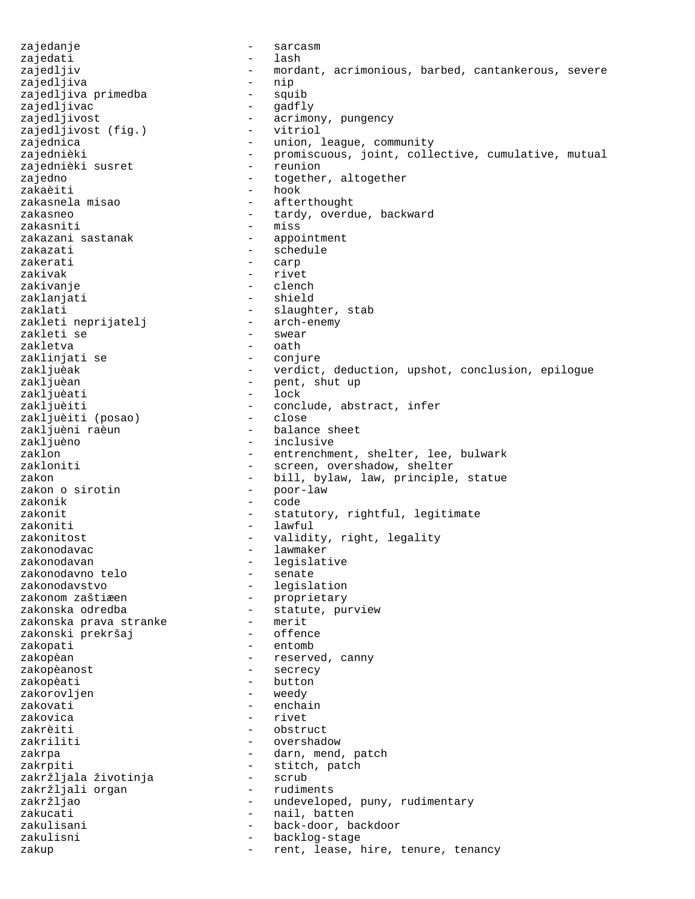zajedanje - sarcasm zajedati zajedljiv - mordant, acrimonious, barbed, cantankerous, severe zajedljiva - nip zajedljiva primedba zajedljivac - gadfly zajedljivost<br>
zajedljivost (fig.) - vitriol<br>
- vitriol zajedljivost (fig.) zajednica - union, league, community zajednièki - promiscuous, joint, collective, cumulative, mutual<br>zajednièki susret - reunion zajednièki susret zajedno  $-$  together, altogether zakaèiti - hook zakasnela misao  $-$  afterthought zakasneo  $-$  tardy, overdue, backward zakasniti - miss zakazani sastanak zakazati - schedule zakerati - carp zakivak - rivet zakivanje - clench - shield zaklati - slaughter, stab<br>zakleti neprijatelj - arch-enemy zakleti neprijatelj - arch-enemy zakleti se zakletva - oath zaklinjati se  $\qquad \qquad -$  conjure zakljuèak - verdict, deduction, upshot, conclusion, epilogue<br>zakljuèan - pent, shut up - pent, shut up<br>- lock zakljuèati<br>zakljuèiti - conclude, abstract, infer<br>- close zakljuèiti (posao)<br>zakljuèni raèun zakljuèni raèun - balance sheet - inclusive zaklon - entrenchment, shelter, lee, bulwark<br>zakloniti - screen overshadow shelter - screen, overshadow, shelter zakon - bill, bylaw, law, principle, statue<br>zakon o sirotin - poor-law zakon o sirotin zakonik - code zakonit  $-$  statutory, rightful, legitimate zakoniti - lawful zakonitost - validity, right, legality zakonodavac - lawmaker - legislative<br>- senate zakonodavno telo<br>zakonodavstvo zakonodavstvo - legislation<br>zakonom zaštiæen - proprietary - --<br>proprietary zakonska odredba - statute, purview<br>zakonska prava stranke - merit zakonska prava stranke - merit zakonski prekršaj zakopati - entomb zakopèan  $-$  reserved, canny zakopèanost - secrecy zakopèati - button<br>zakorovljen - weedy zakorovljen zakovati - enchain zakovica - rivet zakrèiti - obstruct zakriliti - overshadow - component - overshadow zakrpa - darn, mend, patch zakrpiti - stitch, patch zakržljala životinja - scrub zakržljali organ zakržljao  $-$  undeveloped, puny, rudimentary zakucati - nail, batten zakulisani - back-door, backdoor zakulisni - backlog-stage<br>zakup - rent lease b zakup - rent, lease, hire, tenure, tenancy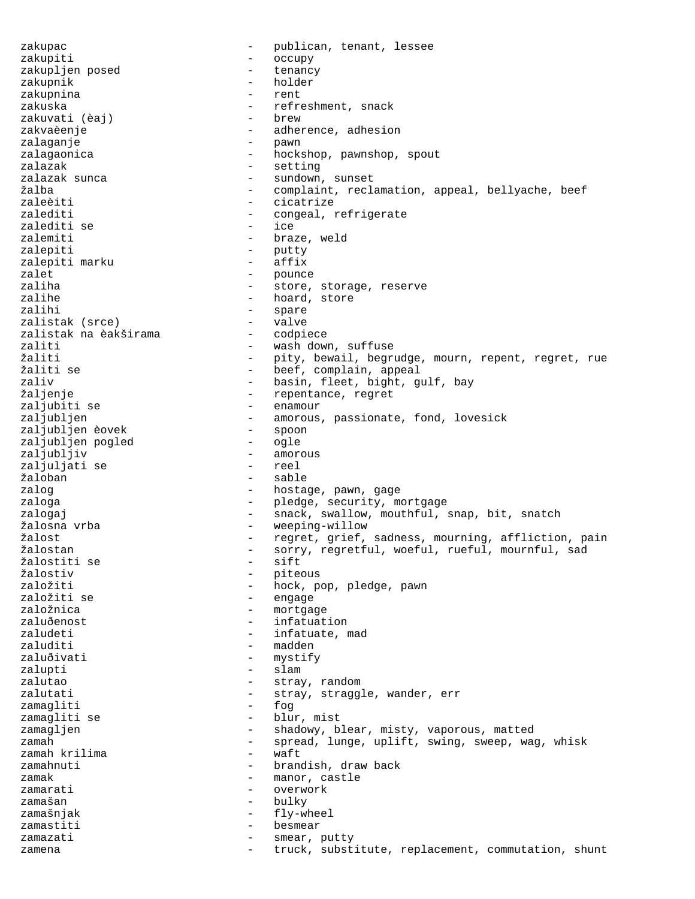zakupac - publican, tenant, lessee zakupiti - occupy zakupljen posed zakupnik - holder zakupnina - rent zakuska - refreshment, snack<br>zakuvati (èai) - brew - brew zakuvati (èaj) zakvaèenje - adherence, adhesion zalaganje - pawn zalagaonica - hockshop, pawnshop, spout zalazak - setting<br>zalazak sunca - sundown - sundown - sundown, sunset žalba - complaint, reclamation, appeal, bellyache, beef zaleèiti - cicatrize zalediti - congeal, refrigerate zalediti se - ice zalemiti - braze, weld zalepiti  $\begin{array}{ccc} - & - \\ 2 & - & - \end{array}$  putty zalepiti marku zalet - pounce zaliha - store, storage, reserve<br>zalihe - store, store, reserve zalihe - hoard, store<br>zalihi - spare - spare - spare<br>- valve zalistak (srce) - valve zalistak na èakširama<br>zaliti - wash down, suffuse žaliti - pity, bewail, begrudge, mourn, repent, regret, rue žaliti se - beef, complain, appeal zaliv  $-$  basin, fleet, bight, gulf, bay žaljenje<br>zaljubiti se standardnosti se se repentance, regret zaljubiti se - enamour zaljublen - amorous, passionate, fond, lovesick<br>- spoon zaljubljen èovek - spoon zaljubljen pogled - ogle zaljubljiv - amorous zaljuljati se žaloban - sable zalog  $\qquad \qquad -$  hostage, pawn, gage zaloga - pledge, security, mortgage zalogaj - snack, swallow, mouthful, snap, bit, snatch žalosna vrba - weeping-willow žalost - regret, grief, sadness, mourning, affliction, pain žalostan - sorry, regretful, woeful, rueful, mournful, sad žalostiti se - sift žalostiv - piteous založiti - hock, pop, pledge, pawn - engage založnica - mortgage zaluðenost - infatuation zaludeti  $-$  infatuate, mad zaluditi - madden zaluðivati - mystify<br>
zalupti - slam zalupti - slam zalutao - stray, random - stray, straggle, wander, err<br>- fog zamagliti - fog zamagliti se zamagljen - shadowy, blear, misty, vaporous, matted zamah - spread, lunge, uplift, swing, sweep, wag, whisk<br>zamah krilima - waft zamah krilima  $-$  waft zamahnuti  $\qquad \qquad -$  brandish, draw back zamak  $-$  manor, castle zamarati  $\sim$  - overwork zamašan - bulky  $\frac{1}{2}$  - bulky  $\frac{1}{2}$  -  $\frac{1}{2}$  -  $\frac{1}{2}$  -  $\frac{1}{2}$  -  $\frac{1}{2}$  -  $\frac{1}{2}$  -  $\frac{1}{2}$  -  $\frac{1}{2}$  -  $\frac{1}{2}$  -  $\frac{1}{2}$  -  $\frac{1}{2}$  -  $\frac{1}{2}$  -  $\frac{1}{2}$  -  $\frac{1}{2}$  -  $\frac{1}{2}$  -  $\frac{1}{2$ zamašnjak - fly-wheel zamastiti - besmear zamazati  $-$  smear, putty zamena  $-$  truck, substitute, replacement, commutation, shunt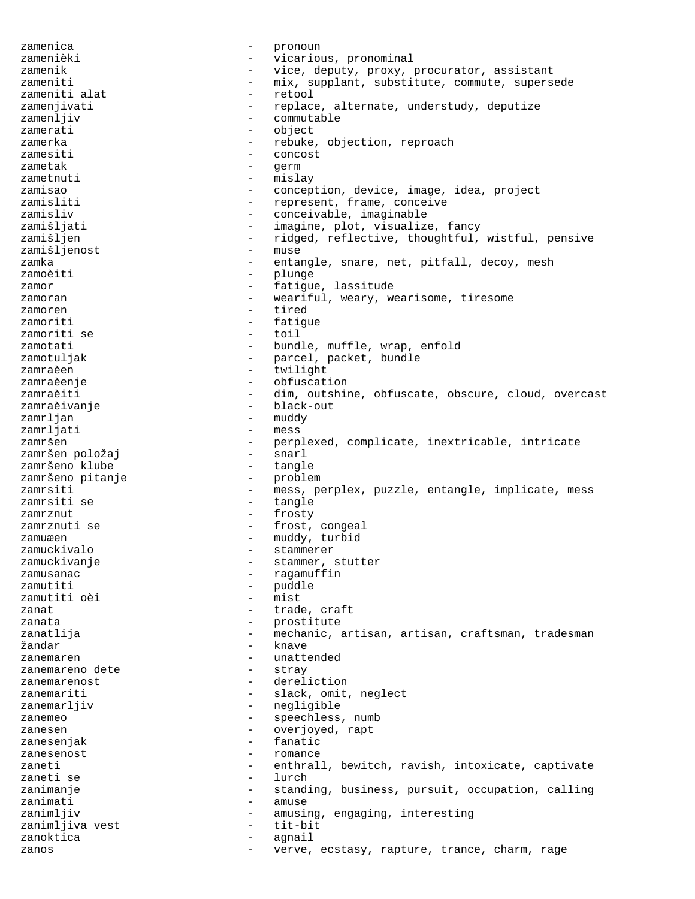zamenica  $\qquad \qquad -$  pronoun zamenièki  $-$  vicarious, pronominal zamenik  $-$  vice, deputy, proxy, procurator, assistant zameniti  $-$  mix, supplant, substitute, commute, supersede zameniti alat  $-$  retool zamenjivati  $-$  replace, alternate, understudy, deputize zamenljiv  $\qquad \qquad -$  commutable zamerati - object zamerka - rebuke, objection, reproach zamesiti - concost<br>zametak - concost<br>- cerm zametak  $-$  qerm zametnuti - mislay zamisao - conception, device, image, idea, project zamisliti  $-$  represent, frame, conceive zamisliv  $\sim$  - conceivable, imaginable zamišljati  $-$  imagine, plot, visualize, fancy zamišljen - ridged, reflective, thoughtful, wistful, pensive zamišljenost - muse<br>zamka - enta: zamka - entangle, snare, net, pitfall, decoy, mesh zamoèiti - plunge zamor - fatigue, lassitude zamoran - weariful, weary, wearisome, tiresome<br>zamoren - tired zamoren - tired<br>zamoriti - fation - fatigue<br>- toil zamoriti se zamotati - bundle, muffle, wrap, enfold zamotuljak  $-$  parcel, packet, bundle zamraèen - twilight zamraèenje - obfuscation zamraèiti - dim, outshine, obfuscate, obscure, cloud, overcast<br>zamraèivanje - black-out zamraèivanje - black-<br>zamrlian - muddy - muddy zamrljan - muddy zamrljati<br>zamršen - perplexed, complicate, inextricable, intricate<br>- sparl zamršen položaj - snarl zamršeno klube - tangle<br>zamršeno pitanje - problem zamršeno pitanje zamrsiti - mess, perplex, puzzle, entangle, implicate, mess zamrsiti se  $-$  tangle zamrznut - frosty zamrznuti se  $-$  frost, congeal zamuæen - muddy, turbid<br>zamuckivalo - stammerer zamuckivalo - stammerer - stammer, stutter zamusanac  $\qquad \qquad -$  ragamuffin zamutiti - puddle<br>zamutiti oèi - mist zamutiti oèi zanat  $\qquad \qquad -$  trade, craft zanata  $-$  prostitute zanatlija - mechanic, artisan, artisan, craftsman, tradesman žandar - knave zanemaren 1980 - unattended en antizanemareno dete entrante - stray zanemarenost - dereliction zanemariti - slack, omit, neglect<br>zanemarliiv - negligible zanemarljiv - negligible<br>zanemeo - speechless zanemeo - speechless, numb zanesen - overjoyed, rapt<br>zaneseniak - fanatic zanesenjak zanesenost - romance<br>zaneti - enthral zaneti - enthrall, bewitch, ravish, intoxicate, captivate zaneti se  $-$  lurch zanimanje e standing, business, pursuit, occupation, calling zanimati - amuse zanimljiv  $-$  amusing, engaging, interesting zanimljiva vest  $-$  tit-bit zanoktica - agnail zanos and the verve, ecstasy, rapture, trance, charm, rage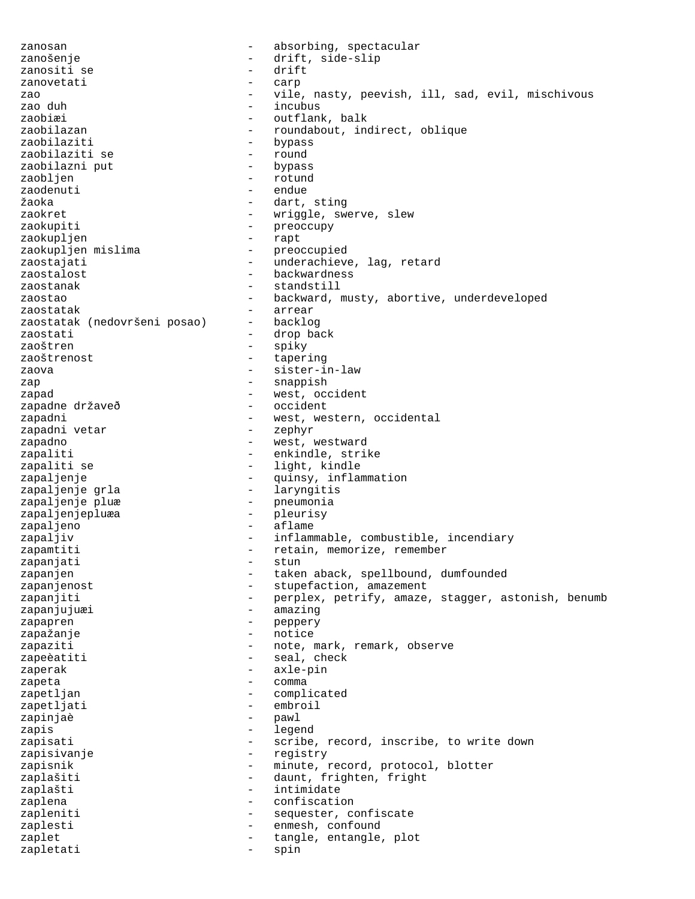zanosan  $\qquad \qquad \qquad -$  absorbing, spectacular zanošenje - drift, side-slip zanositi se zanovetati - carp zao  $-$  vile, nasty, peevish, ill, sad, evil, mischivous<br>zao duh incubus incubus zaobiæi - outflank, balk zaobilazan - roundabout, indirect, oblique<br>zaobilaziti - bypass - bypass<br>- round zaobilaziti se - round zaobilazni put zaobljen - rotund zaodenuti endue žaoka - dart, sting zaokret - wriggle, swerve, slew zaokupiti - preoccupy zaokupljen - rapt zaokupljen mislima - preoccupied zaostajati - vnderachieve, lag, retard zaostalost - backwardness zaostanak - standstill - backward, musty, abortive, underdeveloped zaostatak - arrear zaostatak (nedovršeni posao) zaostati - drop back zaoštren - spiky zaoštrenost - tapering zaova - sister-in-law zap - snappish - west, occident<br>- occident zapadne državeð<br>zapadni - west, western, occidental<br>- zephyr zapadni vetar zapadno  $-$  west, westward zapaliti - enkindle, strike zapaliti se  $-$  light, kindle zapaljenje - - - - - - - - - quinsy, inflammation zapaljenje grla - laryngitis zapaljenje pluæ  $-$  pneumonia zapaljenjepluæa - pleurisy zapaljeno - aflame zapaljiv  $-$  inflammable, combustible, incendiary zapamtiti - retain, memorize, remember<br>zapanjati - stup - stup zapanjati - stun zapanjen - taken aback, spellbound, dumfounded zapanjenost entry and the stupefaction, amazement zapanjiti - perplex, petrify, amaze, stagger, astonish, benumb zapanjujuæi **-** amazing zapapren - peppery zapažanje - notice zapaziti  $-$  note, mark, remark, observe zapeèatiti - seal, check zaperak - axle-pin zapeta  $\overline{\phantom{a}}$  - comma zapetljan - complicated<br>zapetljati - embroil - embroil zapetljati - embroiletti - embroiletti - embroiletti - embroiletti - embroiletti - embroiletti - embroiletti -<br>Embroidetti - embroiletti - embroiletti - embroidetti - embroidetti - embroidetti - embroidetti - embroidetti zapinjaè - pawl zapis  $-$  legend zapisati  $-$  scribe, record, inscribe, to write down zapisivanje - registry zapisnik  $-$  minute, record, protocol, blotter zaplašiti - daunt, frighten, fright<br>zaplašti - intimidate zaplašti - intimidate zaplena  $\qquad \qquad -$  confiscation zapleniti - sequester, confiscate zaplesti - enmesh, confound zaplet  $\qquad \qquad -$  tangle, entangle, plot zapletati - spin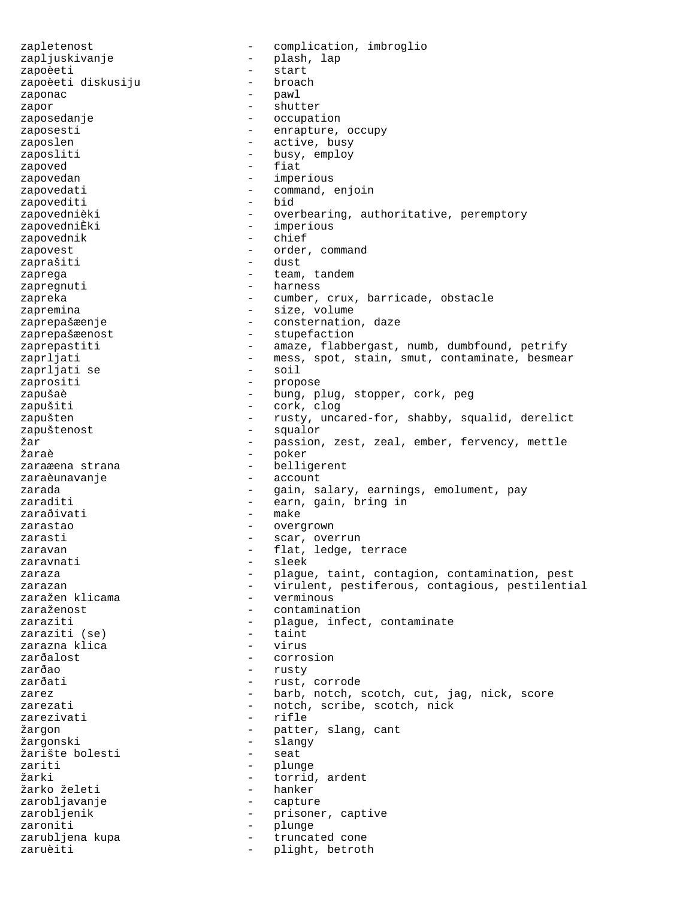zapletenost - complication, imbroglio zapljuskivanje - plash, lap<br>zapoèeti - start zapoèeti - start zapoèeti diskusiju zaponac - pawl zapor - shutter zaposedanje - occupation zaposesti  $-$  enrapture, occupy zaposlen - active, busy zaposliti  $\qquad \qquad -$  busy, employ zapoved - fiat zapovedan entre entre entre entre entre entre entre entre entre entre entre entre entre entre entre entre entre e zapovedati - command, enjoin zapovediti  $$ zapovednièki  $-$  overbearing, authoritative, peremptory zapovedniÈki - imperious<br>zapovednik - chief zapovednik - chief - chief - chief - chief - chief - chief - chief - chief - chief - chief - chief zapovest - order, command zaprašiti – dustaj – dustaj – dustaj – dustaj – dustaj – dustaj – dustaj – dustaj – dustaj – dustaj – dustaj – zaprega  $-$  team, tandem zapregnuti - harness zapreka - cumber, crux, barricade, obstacle zapremina  $-$  size, volume zaprepašæenje - consternation, daze zaprepašæenost - stupefaction zaprepastiti - amaze, flabbergast, numb, dumbfound, petrify zaprljati - mess, spot, stain, smut, contaminate, besmear<br>zaprljati se soil - soil zaprljati se - soil zaprositi - propose zapušaè - bung, plug, stopper, cork, peg - cork, clog zapušten - rusty, uncared-for, shabby, squalid, derelict zapuštenost - squalor žar - passion, zest, zeal, ember, fervency, mettle<br>žaraě - poker poker zaraæena strana  $\qquad \qquad$  - belligerent zaraèunavanje - account zarada - 1999 - gain, salary, earnings, emolument, pay zaraditi  $-$  earn, gain, bring in zaraðivati - make<br>zarastao - overc zarastao  $-$  overgrown zarasti  $\sim$  - scar, overrun zaravan - flat, ledge, terrace<br>zaravnati - sleek - sleek zaravnati - sleek zaraza  $\begin{array}{ccc} - & \text{player, } \text{taint,} \text{ contain, } \text{contination, } \text{ pest} \end{array}$ zarazan - virulent, pestiferous, contagious, pestilential<br>zaražen klicama - verminous zaražen klicama zaraženost  $\overline{\phantom{a}}$  - contamination zaraziti  $\begin{array}{ccc} \text{zaraziti} & - & \text{player} \\ \text{zaraziti} & \text{se} \end{array}$ zaraziti (se) zarazna klica - virus zarðalost - corrosion zarðao - rusty zarðati - rust, corrode zarez  $-$  barb, notch, scotch, cut, jag, nick, score zarezati - notch, scribe, scotch, nick<br>zarezivati - rifle - rifle zarezivati žargon - patter, slang, cant žargonski - slangy žarište bolesti zariti - plunge<br>
\*\*\*\* žarki - torrid, ardent<br>žarko želeti - torrid, ardent žarko želeti zarobljavanje - capture zarobljenik - prisoner, captive<br>zaroniti - prisoner, captive zaroniti - plunge zarubljena kupa - truncated cone<br>zaruèiti - plight, betrot - plight, betroth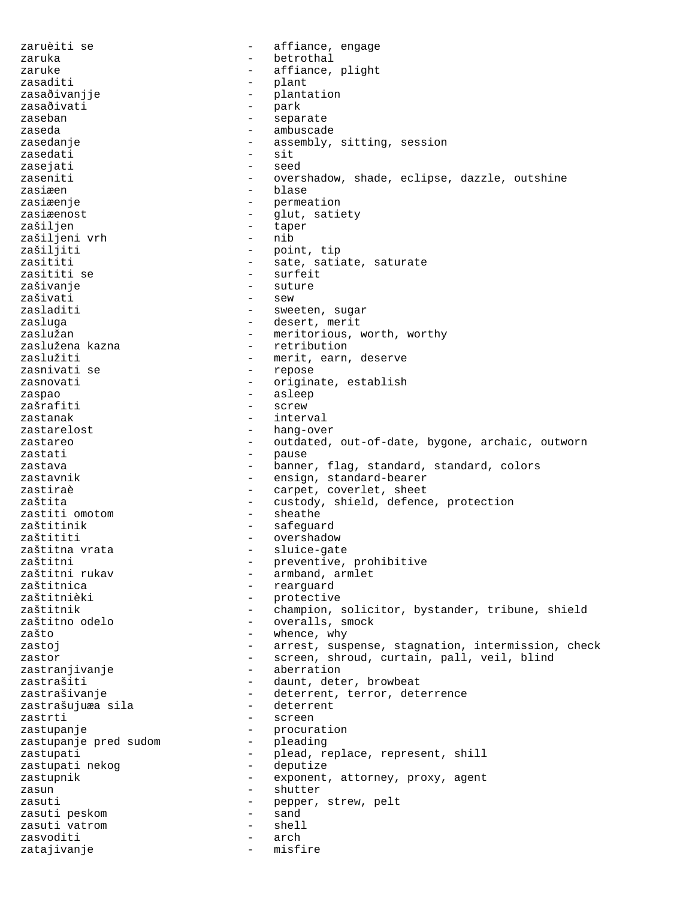zaruèiti se  $\overline{\phantom{a}}$  - affiance, engage zaruka - betrothal zaruke  $\qquad \qquad -$  affiance, plight zasaditi - plant zasaðivanjje - plantation<br>zasaðivati - park zasaðivati - park<br>zaseban - senat zaseban - separate zaseda - ambuscade - ambuscade zasedanje - assembly, sitting, session<br>zasedati - sit<br>- sit zasedati zasejati - seed zaseniti - overshadow, shade, eclipse, dazzle, outshine zasiæen en blase blase zasiæenje en andere en andere permeation zasiæenost - glut, satiety zašiljen - taper<br>zašilieni vrh - nib zašiljeni vrh<br>zašiljiti - point, tip zasititi - sate, satiate, saturate - surfeit zašivanje - suture zašivati zasladiti - sweeten, sugar<br>zasluga - sweeten, merit - desert, merit zaslužan - meritorious, worth, worthy zaslužena kazna  $-$  retribution zaslužiti - merit, earn, deserve zasnivati se  $-$  repose zasnovati - originate, establish<br>zasnao zaspao - asleep zašrafiti – screw – screw – screw – screw – screw – screw – screw – screw – screw – screw – screw – screw – sc zastanak  $-$  interval zastarelost - hang-over zastareo and the outdated, out-of-date, bygone, archaic, outworn zastati - pause zastava - banner, flag, standard, standard, colors zastavnik  $-$  ensign, standard-bearer zastiraè  $-$  carpet, coverlet, sheet zaštita - custody, shield, defence, protection<br>zastiti omotom - sheathe zastiti omotom zaštitinik - safeguard zaštititi - overshadow zaštitna vrata  $\qquad \qquad -$  sluice-gate zaštitni - preventive, prohibitive<br>zaštitni rukav - - - - - - - - armband, armlet - armband, armlet zaštitnica - rearguard - protective zaštitnik  $-$  champion, solicitor, bystander, tribune, shield zaštitno odelo  $-$  overalls, smock zašto - whence, why zastoj **de stagnation** - arrest, suspense, stagnation, intermission, check zastor - screen, shroud, curtain, pall, veil, blind zastranjivanje - aberration zastrašiti - daunt, deter, browbeat zastrašivanje - deterrent, terror, deterrence zastrašujuæa sila - deterrenti - deterrenti -<br>zastrti zastrti - screen zastupanje - procuration zastupanje pred sudom zastupati - plead, replace, represent, shill<br>zastupati nekog - deputize - deputize zastupati nekog zastupnik  $-$  exponent, attorney, proxy, agent zasun - shutter zasuti  $-$  pepper, strew, pelt zasuti peskom and - sand zasuti vatrom - shell zasvoditi zatajivanje - misfire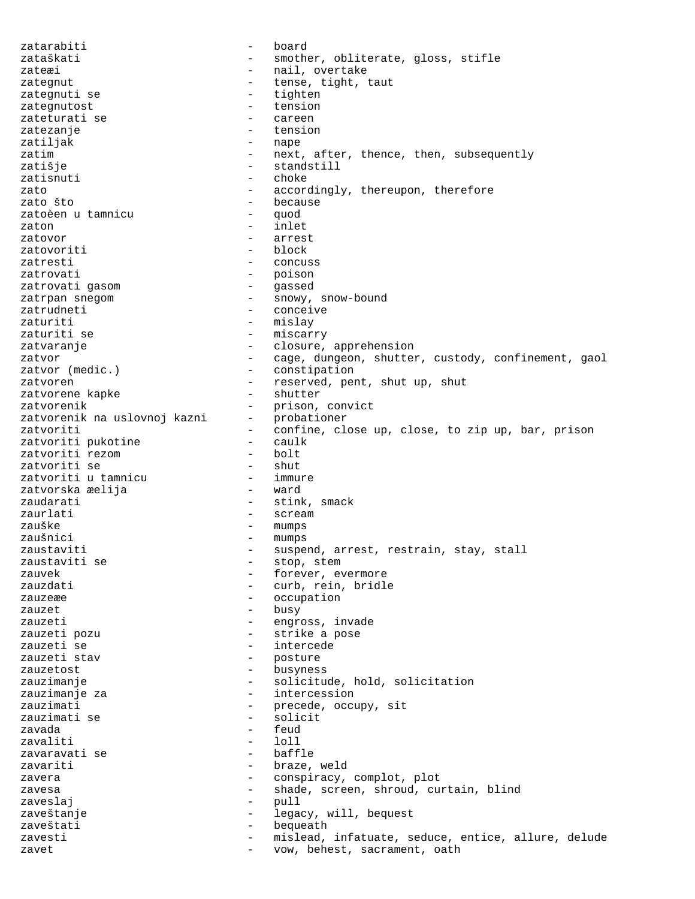zatarabiti - board zataškati  $-$  smother, obliterate, gloss, stifle zateæi - nail, overtake zategnut - tense, tight, taut<br>zategnuti se - tighten - tighten zategnuti se - tighten<br>zategnutost - tension - tension zategnutost zateturati se - careen zatezanje - tension - nape zatim  $-$  next, after, thence, then, subsequently zatišie - standstill zatisnuti - choke zato  $-$  accordingly, thereupon, therefore zato što - because zatoèen u tamnicu zaton  $-$  inlet zatovor - arrest zatovoriti zatresti - concuss - poison<br>- gassed zatrovati gasom<br>zatrpan snegom - snowy, snow-bound zatrudneti - conceive zaturiti - mislay - miscarry zatvaranje  $\qquad \qquad -$  closure, apprehension zatvor  $-$  cage, dungeon, shutter, custody, confinement, gaol<br>zatvor (medic.) - constipation - constipation zatvoren - reserved, pent, shut up, shut zatvorene kapke - reserved, pent, shut up, shut zatvorene kapke - shutter zatvorene kapke zatvorenik - prison, convict<br>zatvorenik na uslovnoj kazni - probationer zatvorenik na uslovnoj kazni zatvoriti  $-$  confine, close up, close, to zip up, bar, prison zatvoriti pukotine  $-$  caulk zatvoriti pukotine  $\begin{array}{ccc} - & \text{caul} \\ \text{zatvoriti} & \text{rezom} \\ \end{array}$ zatvoriti rezom - bolt zatvoriti se - shut zatvoriti u tamnicu immur<br>zatvorska æelija ward zatvorska æelija zaudarati  $-$  stink, smack zaurlati - scream zauške - mumps<br>zaušnici - mumps - mumps - mumps zaustaviti  $-$  suspend, arrest, restrain, stay, stall zaustaviti se  $-$  stop, stem zauvek  $\qquad \qquad -$  forever, evermore zauzdati  $-$  curb, rein, bridle zauzeæe  $\overline{\phantom{a}}$  - occupation zauzet - busy - engross, invade zauzeti pozu  $-$  strike a pose zauzeti se - intercede - posture zauzetost - busyness zauzimanje  $-$  solicitude, hold, solicitation zauzimanje za  $-$  intercession zauzimati - precede, occupy, sit zauzimati se zavada - feud zavaliti - loll zavaravati se zavariti  $\qquad \qquad -$  braze, weld zavera  $\qquad \qquad \qquad -$  conspiracy, complot, plot zavesa - shade, screen, shroud, curtain, blind zaveslaj - pull zaveštanje - legacy, will, bequest zaveštati - bequeath zavesti - mislead, infatuate, seduce, entice, allure, delude zavet  $-$  vow, behest, sacrament, oath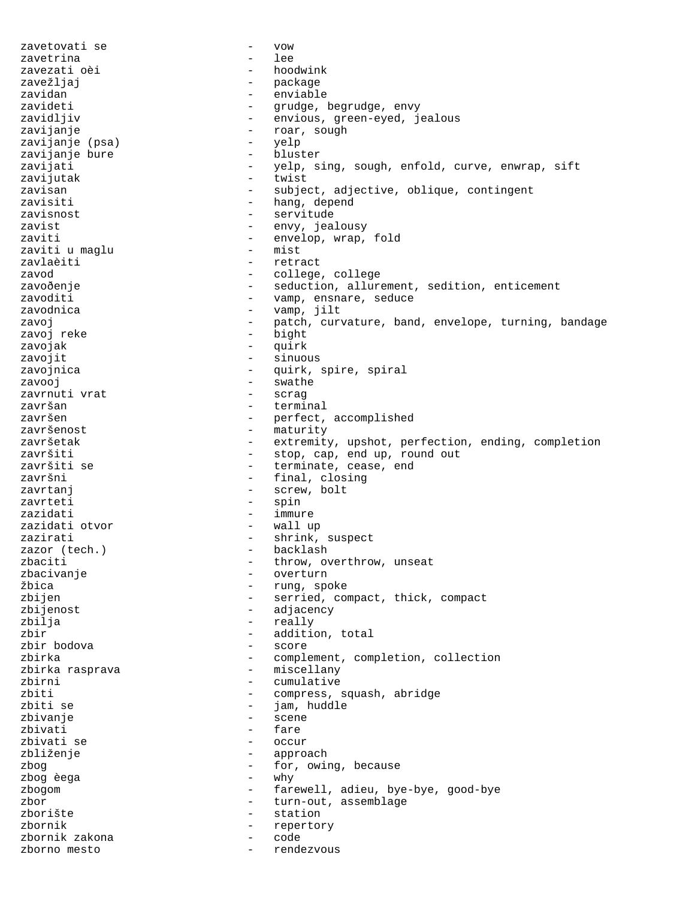zavetovati se - vow zavetrina zavezati oèi  $-$  hoodwink zavežljaj - package zavidan - enviable zavideti - grudge, begrudge, envy zavidljiv - envious, green-eyed, jealous zavijanje - roar, sough zavijanje (psa) - yelp zavijanje bure zavijati - yelp, sing, sough, enfold, curve, enwrap, sift zavijutak - twist zavisan - subject, adjective, oblique, contingent zavisiti  $-$  hang, depend zavisnost - servitude zavist - envy, jealousy zaviti - envelop, wrap, fold zaviti u maglu - mist zavlaèiti - retract zavod - college, college zavoðenje en seduction, allurement, sedition, enticement zavoditi  $-$  vamp, ensnare, seduce zavodnica  $\qquad \qquad -$  vamp, jilt zavoj - patch, curvature, band, envelope, turning, bandage - bight zavojak  $-$  quirk zavojit - sinuous zavojnica <br/> - quirk, spire, spiral zavooj - swathe zavrnuti vrat - scrag završan - terminal završen - perfect, accomplished<br>završenost - maturity - maturity završenost<br>završetak - maturity - maturity - extremity, upshot, perfection, ending, completion završiti - stop, cap, end up, round out završiti se  $-$  terminate, cease, end završni  $-$  final, closing zavrtanj  $\qquad \qquad -$  screw, bolt zavrteti - spin zazidati - immure zazidati otvor zazirati - shrink, suspect<br>zazor (tech.) - backlash zazor (tech.) -<br>zbaciti zbaciti - throw, overthrow, unseat - overturn žbica - rung, spoke zbijen - serried, compact, thick, compact zbijenost - adjacency zbilja - really zbir  $\qquad \qquad -$  addition, total zbir bodova - score zbirka - complement, completion, collection zbirka rasprava  $\qquad \qquad -$  miscellany zbirni - cumulative<br>
zbiti - compress zbiti - compress, squash, abridge - jam, huddle<br>- scene zbivanje - scene zbivati - fare - fare - fare - fare - fare - fare - fare - fare - fare - fare - fare - fare - fare - fare - fare - fare - fare - fare - fare - fare - fare - fare - fare - fare - fare - fare - fare - fare - fare - fare - fa zbivati se - occur zbliženje - approach zbog - for, owing, because zbog èega zbogom - farewell, adieu, bye-bye, good-bye zbor - turn-out, assemblage zborište - station zbornik - repertory zbornik zakona - code zborno mesto  $-$  rendezvous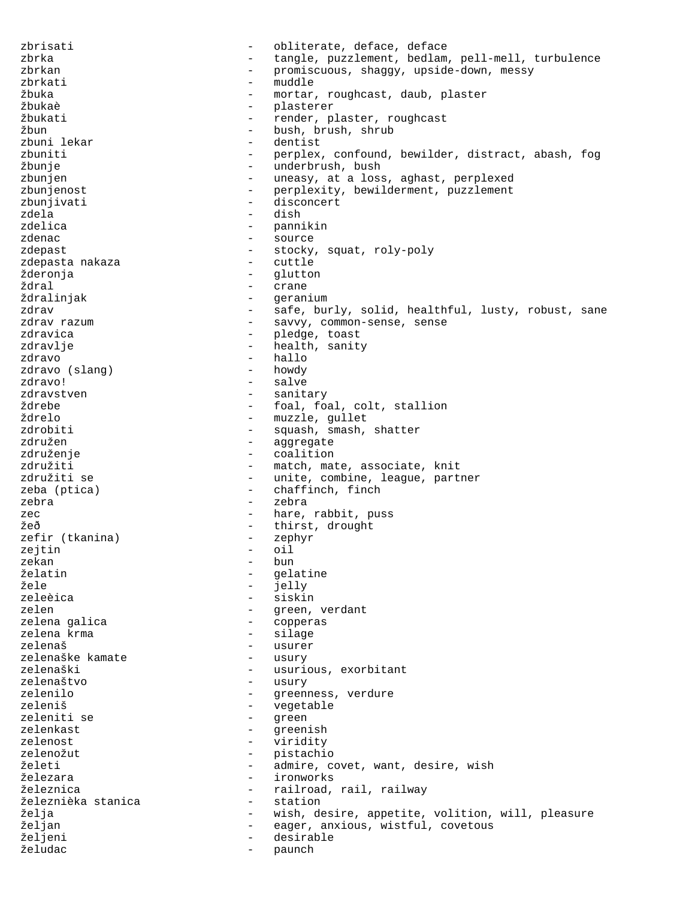zbrisati  $\qquad \qquad -$  obliterate, deface, deface zbrka - tangle, puzzlement, bedlam, pell-mell, turbulence<br>zbrkan - promiscuous, shaqqy, upside-down, messy zbrkan - promiscuous, shaggy, upside-down, messy zbrkati - muddle žbuka - mortar, roughcast, daub, plaster<br>žbukaè - mortar, roughcast, daub, plaster žbukaè - plasterer žbukati - render, plaster, roughcast<br>
- hush hrush shrub<br>
- hush hrush shrub žbun - bush, brush, shrub<br>zbuni lekar - - - - - - - - - - - dentist - dentist zbuniti - perplex, confound, bewilder, distract, abash, fog žbunje - underbrush, bush zbunjen - uneasy, at a loss, aghast, perplexed zbunjenost - perplexity, bewilderment, puzzlement zbunjivati - disconcert zdela - dish zdelica - pannikin zdenac - source zdepast - stocky, squat, roly-poly zdepasta nakaza žderonja - glutton ždral - crane - geranium zdrav - safe, burly, solid, healthful, lusty, robust, sane - savvy, common-sense, sense zdravica  $\qquad \qquad -$  pledge, toast zdravlje - health, sanity zdravo - hallo zdravo (slang) zdravo! - salve zdravstven - sanitary ždrebe - foal, foal, colt, stallion<br>
\*drelo ždrelo - muzzle, gullet<br>zdrobiti - squash, smash, zdrobiti - squash, smash, shatter<br>združen - squash, shatter združen - aggregate<br>združenje - andro - aggregate - coalition združiti - match, mate, associate, knit združiti se  $\overline{\phantom{a}}$  - unite, combine, league, partner zeba (ptica)  $-$  chaffinch, finch zebra - zebra zec  $\qquad \qquad -$  hare, rabbit, puss žeð - thirst, drought zefir (tkanina) zejtin - oil<br>zekan - bun zekan - bun želatin - gelatine žele - ielly - jelly - jelly - jelly - jelly - iele - jelly - iele - iele - iele - iele - iele - iel<br>zeleèica - iele - iele - iele - iele - iele - iele - iele - iele - iele - iele - iele - iele - iele - iele - i - siskin zelen - green, verdant<br>zelena galica - copperas zelena galica<br>zelena krma - copperas - copperas - silage zelenaš - usurer zelenaške kamate<br>zelenaški zelenas, exorbitant<br>
2. usurv zelenaštvo zelenilo - greenness, verdure zeleniš - vegetable zeleniti se - green - greenish<br>- viridity zelenost - viridity zelenožut - pistachio želeti - admire, covet, want, desire, wish železara - ironworks železnica - railroad, rail, railway železnièka stanica - station želja - vish, desire, appetite, volition, will, pleasure<br>Željan - eager, anxious, wistful, covetous željan - eager, anxious, wistful, covetous<br>željeni - desirable - desirable <sup>-</sup> desirable<br>- paunch želudac - paunch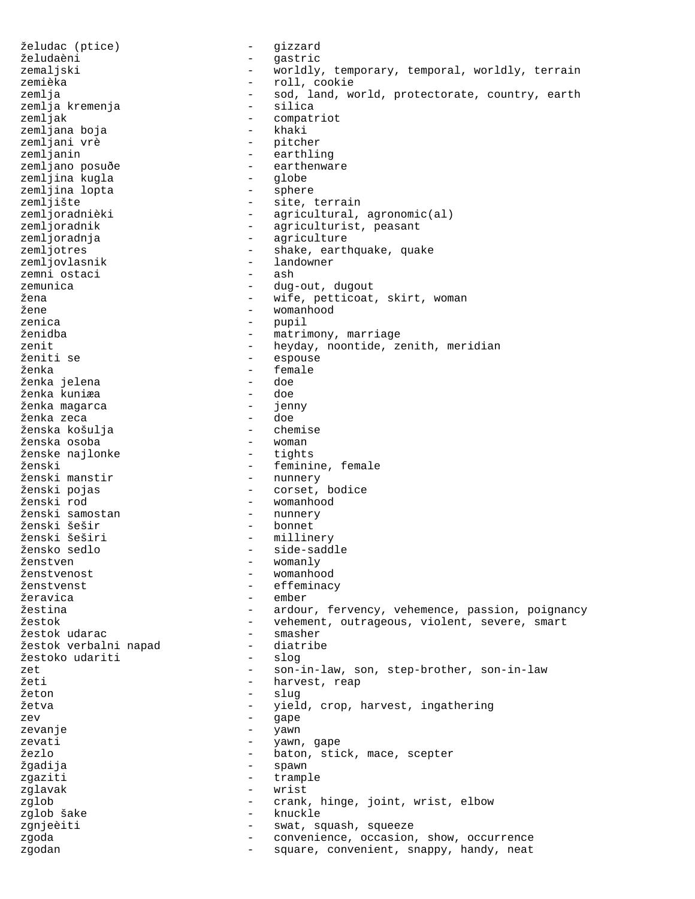želudac (ptice) - gizzard želudaèni - gastric zemaljski  $-$  worldly, temporary, temporal, worldly, terrain<br>zemièka  $-$  roll, cookie - roll, cookie zemlja - sod, land, world, protectorate, country, earth<br>zemlia kremenia - silica zemlja kremenja<br>zemljak - compatriot<br>- khaki zemljana boja<br>zemljani vrè zemljani vrè - pitcher zemljanin - earthling - earthenware<br>- qlobe zemljina kugla<br>zemlina lopta - globe - sphere zemljina lopta zemljište - site, terrain zemljoradnièki - agricultural, agronomic(al)<br>zemljoradnik - agriculturist, peasant zemljoradnik - agriculturist, peasant<br>zemljoradnja - - agriculture zemljoradnja<br>zemljotres - agriculture zemljotres zemljotres - shake, earthquake, quake<br>zemljovlasnik - landowner - landowner<br>- ash zemni ostaci zemunica - dug-out, dugout<br>  $\frac{1}{2}$  dug-out, dugout - wife, petticoat, skirt, woman žene - womanhood zenica - pupil - matrimony, marriage zenit  $-$  heyday, noontide, zenith, meridian ženiti se - espouse ženka - female ženka jelena ženka kuniæa - doe ženka magarca - jenny ženka zeca<br>ženska košulia - doe - doe - doe - doe - doe ženska košulja - chemise ženska osoba - woman ženske najlonke ženski - feminine, female<br>Ženski manstir - munnery - hunnery –<br>ženski manstir – nunnery<br>ženski pojas – corset, - corset, bodice ženski rod - womanhood ženski samostan - nunnery ženski šešir<br>ženski šeširi ženski šeširi - millinery žensko sedlo - side-saddle ženstven - womanly ženstvenost - womanhood ženstvenst - effeminacy - ember žestina  $-$  ardour, fervency, vehemence, passion, poignancy žestok - vehement, outrageous, violent, severe, smart žestok udarac - smasher žestok verbalni napad - diatribe žestoko udariti zet  $-$  son-in-law, son, step-brother, son-in-law<br>  $\frac{1}{2}$  harvest reap žeti - harvest, reap žeton – slug<br>žetva – slug – slug žetva - yield, crop, harvest, ingathering zev - gape zevanje – yawn – yawn<br>zevati zevati  $-$  yawn, gape žezlo - baton, stick, mace, scepter žgadija - spawn zgaziti - trample zglavak - wrist zglob - crank, hinge, joint, wrist, elbow - knuckle zgnjeèiti - swat, squash, squeeze zgoda - convenience, occasion, show, occurrence zgodan - square, convenient, snappy, handy, neat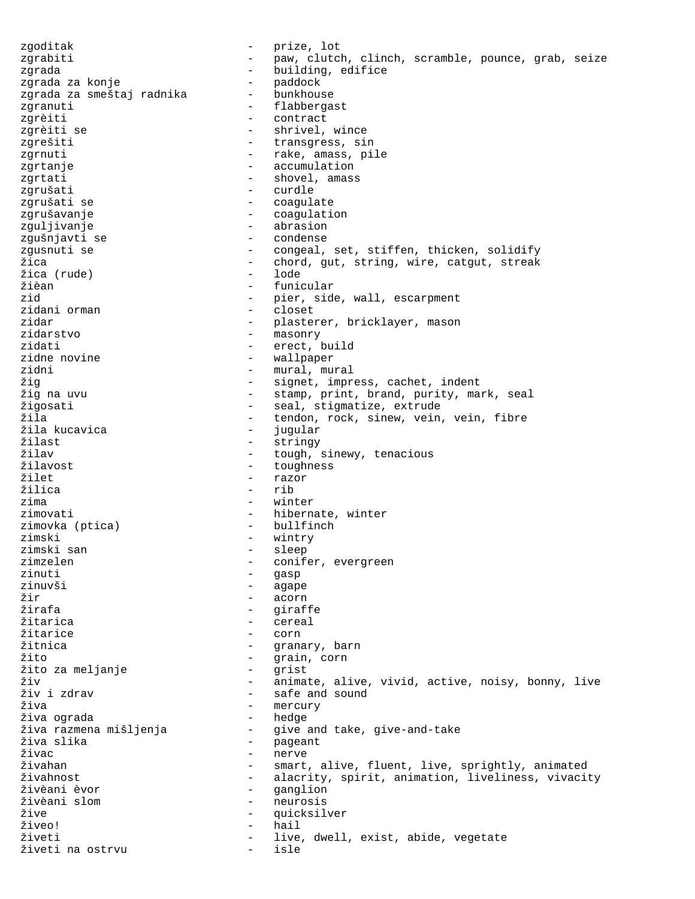zgoditak - prize, lot zgrabiti  $-$  paw, clutch, clinch, scramble, pounce, grab, seize zgrada - building, edifice zgrada za konje<br>zgrada za smeštaj radnika bunkhouse zgrada za smeštaj radnika zgranuti - flabbergast zgrèiti - contract <br/> - contract <br/> - contract <br/> - shrivel, <br/> - shrivel, <br/> - shrivel, <br/> - shrivel, <br/> - shrivel, <br/> - shrivel, <br/> - shrivel, <br/> - shrivel, <br/> - shrivel, <br/> - shrivel, - shrivel, wince zgrešiti - transgress, sin zgrnuti - rake, amass, pile zgrtanje - accumulation zgrtati - shovel, amass zgrušati - curdle zgrušati se - - - - - - - - - - - - coagulate zgrušavanje - coagulation zguljivanje - abrasion zgušnjavti se  $\qquad \qquad -$  condense zgusnuti se  $\qquad \qquad -$  congeal, set, stiffen, thicken, solidify žica - chord, gut, string, wire, catgut, streak<br>Žica (rude) - lode - lode žica (rude)<br>žièan žièan - funicular - pier, side, wall, escarpment<br>- closet zidani orman  $\sim$  - closet zidar - plasterer, bricklayer, mason zidarstvo - masonry zidati  $\qquad \qquad -$  erect, build zidne novine - wallpaper - mural, mural žig - signet, impress, cachet, indent žig na uvu - stamp, print, brand, purity, mark, seal žigosati - seal, stigmatize, extrude - tendon, rock, sinew, vein, vein, fibre<br>- jugular žila kucavica<br>žilast žilast - stringy<br>
\*ilav - tough. žilav - tough, sinewy, tenacious<br>
\*ilavost - toughness žilavost - toughness žilet - razor - razor - razor<br>Žilica - rib - rib zima - winter zimovati  $-$  hibernate, winter zimovka (ptica) - bullfinch zimski - wintry<br>zimski san - sleep - sleep - sleep zimzelen - conifer, evergreen<br>zinuti - gasp zinuti - gasp zinuvši - agape žir - acorn žirafa - giraffe - giraffe - giraffe - giraffe - giraffe - giraffe - giraffe - giraffe - giraffe - giraffe - giraffe - giraffe - giraffe - giraffe - giraffe - giraffe - giraffe - giraffe - giraffe - giraffe - giraffe - gir - cereal žitarice - corn žitnica - granary, barn žito - grain, corn žito za meljanje - grist živ - animate, alive, vivid, active, noisy, bonny, live živ i zdrav - safe and sound - mercury<br>- hedge živa ograda - hedge - give and take, give-and-take živa slika - pageant - pageant<br>živac - pageant - pageant - pageant - pageant živac - nerve - smart, alive, fluent, live, sprightly, animated živahnost - alacrity, spirit, animation, liveliness, vivacity - ganglion živèani slom - neurosis žive - quicksilver živeo! - hail živeti - live, dwell, exist, abide, vegetate živeti na ostrvu - isle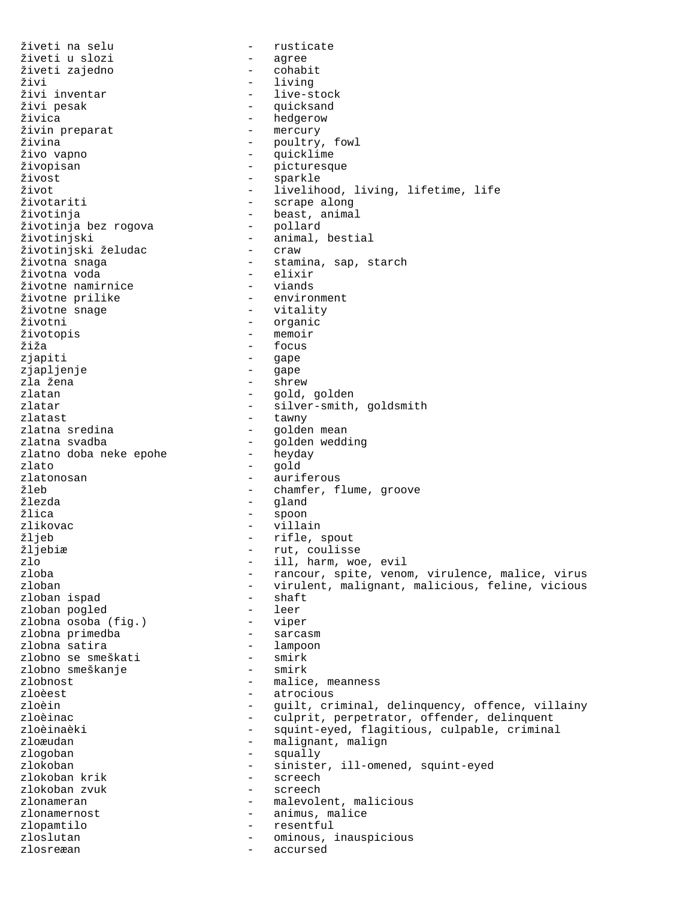živeti na selu - rusticate živeti u slozi - agree živeti zajedno<br>živi živi - living živi inventar - live-stock živi pesak - quicksand - hedgerow<br>- mercury živin preparat<br>živina - poultry, fowl živo vapno - quicklime živopisan - picturesque<br>Živost - sparkle živost - sparkle život - livelihood, living, lifetime, life - scrape along životinja - beast, animal životinja bez rogova<br>životinjski - animal, bestial<br>- craw životinjski želudac<br>životna snaga – stamina, sap, starch<br>– elixir životna voda - elixir životne namirnice - viands životne prilike<br>životne snage - vitality životni - organic životopis<br>žiža - focus zjapiti - gape zjapljenje - gape zla žena - shrew zlatan - gold, golden zlatar - silver-smith, goldsmith<br>zlatast - tawny - tawny zlatast - tawny zlatna sredina - golden mean - golden wedding<br>- heyday zlatno doba neke epohe<br>zlato zlato - gold zlatonosan - auriferous<br>21eb - auriferous - auriferous - auriferous - chamfer. - chamfer, flume, groove žlezda - gland žlica - spoon zlikovac - villain žljeb - rifle, spout žljebiæ - rut, coulisse zlo - ill, harm, woe, evil<br>zloba - rancour, spite, venou zloba - rancour, spite, venom, virulence, malice, virus - virulent, malignant, malicious, feline, vicious<br>- shaft zloban ispad - shaft zloban pogled - leer zlobna osoba (fig.) - viper<br>zlobna primedba - sarcasm zlobna primedba zlobna satira - lampoon zlobno se smeškati - smirk zlobno smeškanje zlobnost - malice, meanness zloèest - atrocious<br>zloèin - auilt.cr zloèin - guilt, criminal, delinquency, offence, villainy<br>zloèinac - culprit, perpetrator, offender, delinquent zloèinac - culprit, perpetrator, offender, delinquent<br>zloèinaèki - squint-eyed, flaqitious, culpable, crimina zloèinaèki - squint-eyed, flagitious, culpable, criminal<br>zloæudan - maliqnant, maliqn - malignant, malign zlogoban - squally zlokoban - sinister, ill-omened, squint-eyed<br>zlokoban krik - screech zlokoban krik - screech zlokoban zvuk zlonameran - malevolent, malicious zlonamernost  $\qquad \qquad -$  animus, malice zlopamtilo - resentful zloslutan - ominous, inauspicious zlosreæan - accursed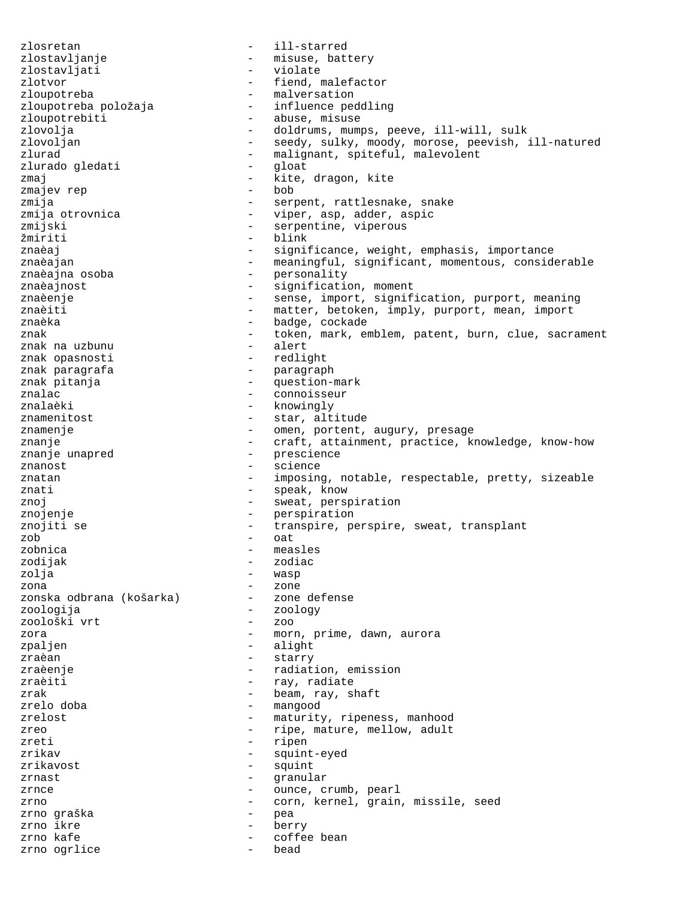zlosretan - ill-starred zlostavljanje - misuse, battery zlostavljati - violate zlotvor - fiend, malefactor zloupotreba  $-$  malversation zloupotreba položaja - influence peddling zloupotrebiti - abuse, misuse zlovolja - doldrums, mumps, peeve, ill-will, sulk - seedy, sulky, moody, morose, peevish, ill-natured zlurad  $\overline{z}$  - malignant, spiteful, malevolent zlurado gledati - gloat zmaj - kite, dragon, kite<br>
zmajev rep - bob - bob zmajev rep zmija  $-$  serpent, rattlesnake, snake zmija otrovnica - viper, asp, adder, aspic<br>zmijski - serpentine, viperous zmijski - serpentine, viperous žmiriti - blink<br>značaj - signil znaèaj - significance, weight, emphasis, importance<br>znaèajan - meaningful significant momentous consid znaèajan - meaningful, significant, momentous, considerable<br>znaèajna osoba - personality znaèajna osoba - personality<br>znaèajnost - significatie znaèajnost  $-$  signification, moment znaèenje - sense, import, signification, purport, meaning znaèiti - matter, betoken, imply, purport, mean, import znaèka - badge, cockade znak - token, mark, emblem, patent, burn, clue, sacrament<br>znak na uzbunu - alert znak na uzbunu - alert znak opasnosti znak paragrafa - paragraph<br>znak pitania - paragraph - mestionznak pitanja - question-mark - connoisseur znalaèki - knowingly znamenitost  $\qquad \qquad -$  star, altitude znamenje  $-$  omen, portent, augury, presage znanje - craft, attainment, practice, knowledge, know-how<br>znanje unapred - prescience - prescience<br>- science znanost - science znatan - imposing, notable, respectable, pretty, sizeable znati  $-$  speak, know znoj  $-$  sweat, perspiration znojenje - perspiration znojiti se - transpire, perspire, sweat, transplant  $zob$  -  $oat$ zobnica - measles zodijak - zodiac<br>zolia - zodiac zolja - wasp zona - zone zonska odbrana (košarka) zoologija - zoology zoološki vrt zora  $\sim$  - morn, prime, dawn, aurora zpaljen - alight zraèan - starry zraèenje - radiation, emission<br>zraèiti - rav. radiate zraèiti  $-$  ray, radiate zrak  $\qquad \qquad -$  beam, ray, shaft<br>zrelo doba - mangood zrelost  $\qquad \qquad -$  maturity, ripeness, manhood zreo - ripe, mature, mellow, adult<br>zreti - ripen - ripen zreti - ripen<br>zrikav - squint - squint-eyed zrikavost – squint<br>zrnast – squint<br>zrnast – granul zrnast - granular zrnce  $\qquad \qquad -$  ounce, crumb, pearl zrno - corn, kernel, grain, missile, seed zrno graška - pea zrno ikre - berry zrno kafe  $\sim$  - coffee bean zrno ogrlice and the bead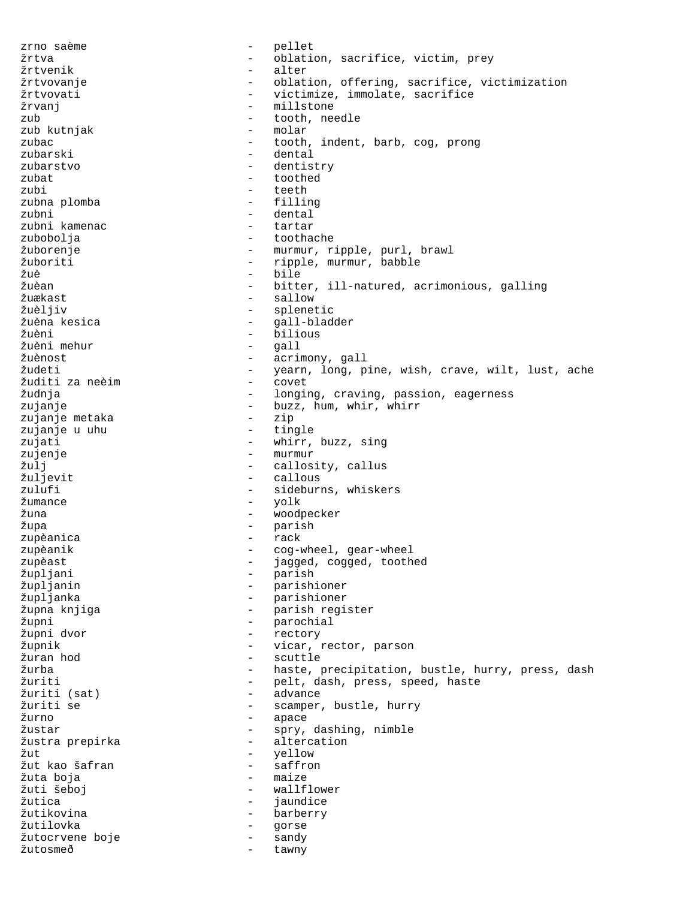zrno saème  $-$  pellet žrtva - oblation, sacrifice, victim, prey žrtvenik - alter žrtvovanje - oblation, offering, sacrifice, victimization žrtvovati - victimize, immolate, sacrifice žrvanj – millstone zub - tooth, needle zub kutnjak zubac - tooth, indent, barb, cog, prong zubarski - dental zubarstvo - dentistry zubat - toothed zubi - teeth<br>zubna plomba - filling zubna plomba zubni - dental zubni kamenac - tartarar zubobolja - toothache žuborenje - murmur, ripple, purl, brawl žuboriti - ripple, murmur, babble<br>Žuè - bile - bile žuè - bile žuèan - bitter, ill-natured, acrimonious, galling - sallow žuèljiv - splenetic žuèna kesica - gall-bladder žuèni - bilious žuèni mehur žuènost - acrimony, gall žudeti - yearn, long, pine, wish, crave, wilt, lust, ache žuditi za neèim - covet žudnja - longing, craving, passion, eagerness zujanje - buzz, hum, whir, whirr zujanje metaka - zip zujanje u uhu<br>zujati - whirr, buzz, sing zujenje  $-$  murmur žulj - callosity, callus<br> - callous - callous - callous - callous zulufi - sideburns, whiskers žumance - yolk žuna - woodpecker - parish<br>- rack zupèanica zupèanik  $\sim$  - cog-wheel, gear-wheel zupèast - jagged, cogged, toothed<br>Župljani - - parish župljani - parish<br>župljanin - - parish: - parishioner župljanka - parishioner župna knjiga - parish register župni - parochial - rectory župnik - vicar, rector, parson žuran hod - scuttle žurba - haste, precipitation, bustle, hurry, press, dash žuriti - pelt, dash, press, speed, haste žuriti (sat) - advance scamper, bustle, hurry žurno - apace - spry, dashing, nimble žustra prepirka - altercation<br>Žut - yellow - yellow<br>- saffron žut kao šafran žuta boja - maize - wallflower žutica - jaundice žutikovina - barberry žutilovka - gorse žutocrvene boje - sandy žutosmeð - tawny